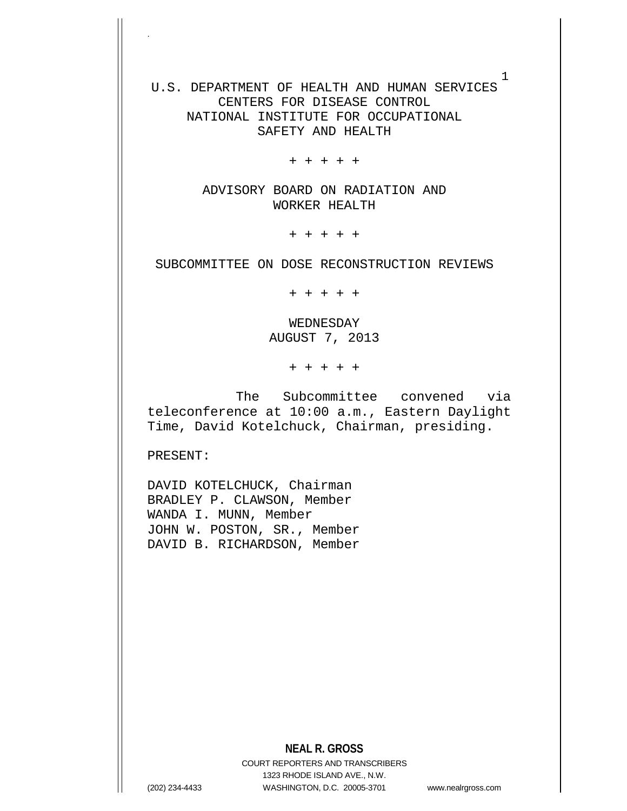U.S. DEPARTMENT OF HEALTH AND HUMAN SERVICES CENTERS FOR DISEASE CONTROL NATIONAL INSTITUTE FOR OCCUPATIONAL SAFETY AND HEALTH

+ + + + +

ADVISORY BOARD ON RADIATION AND WORKER HEALTH

+ + + + +

SUBCOMMITTEE ON DOSE RECONSTRUCTION REVIEWS

+ + + + +

WEDNESDAY AUGUST 7, 2013

+ + + + +

The Subcommittee convened via teleconference at 10:00 a.m., Eastern Daylight Time, David Kotelchuck, Chairman, presiding.

PRESENT:

.

DAVID KOTELCHUCK, Chairman BRADLEY P. CLAWSON, Member WANDA I. MUNN, Member JOHN W. POSTON, SR., Member DAVID B. RICHARDSON, Member

## **NEAL R. GROSS**

COURT REPORTERS AND TRANSCRIBERS 1323 RHODE ISLAND AVE., N.W. (202) 234-4433 WASHINGTON, D.C. 20005-3701 www.nealrgross.com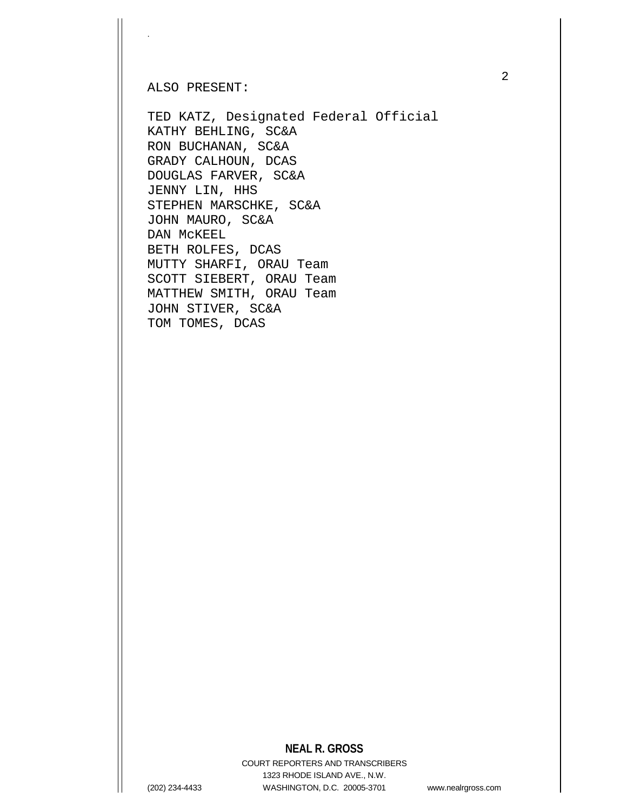ALSO PRESENT:

.

TED KATZ, Designated Federal Official KATHY BEHLING, SC&A RON BUCHANAN, SC&A GRADY CALHOUN, DCAS DOUGLAS FARVER, SC&A JENNY LIN, HHS STEPHEN MARSCHKE, SC&A JOHN MAURO, SC&A DAN McKEEL BETH ROLFES, DCAS MUTTY SHARFI, ORAU Team SCOTT SIEBERT, ORAU Team MATTHEW SMITH, ORAU Team JOHN STIVER, SC&A TOM TOMES, DCAS

## **NEAL R. GROSS**

COURT REPORTERS AND TRANSCRIBERS 1323 RHODE ISLAND AVE., N.W. (202) 234-4433 WASHINGTON, D.C. 20005-3701 www.nealrgross.com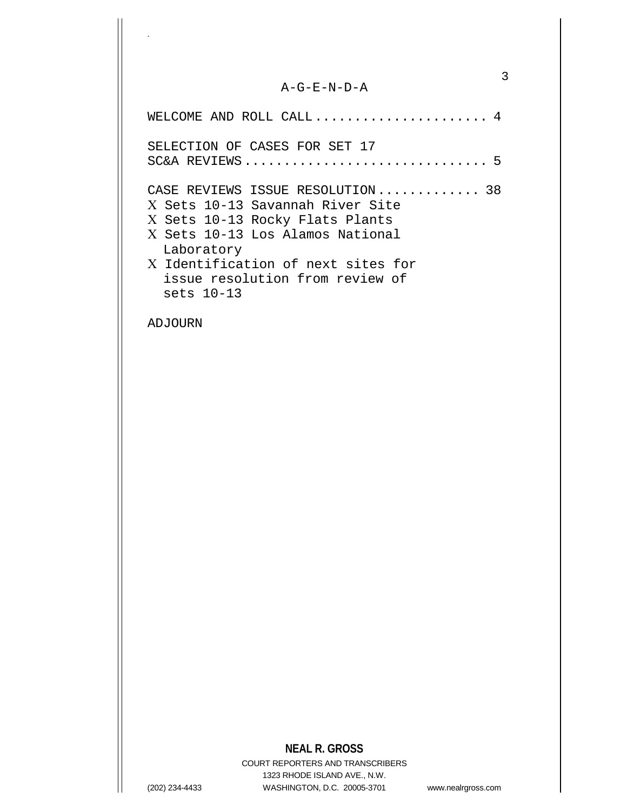## A-G-E-N-D-A

3

| WELCOME AND ROLL CALL $4$                                                                                                                                 |
|-----------------------------------------------------------------------------------------------------------------------------------------------------------|
| SELECTION OF CASES FOR SET 17                                                                                                                             |
| CASE REVIEWS ISSUE RESOLUTION 38<br>X Sets 10-13 Savannah River Site<br>X Sets 10-13 Rocky Flats Plants<br>X Sets 10-13 Los Alamos National<br>Laboratory |
| X Identification of next sites for<br>issue resolution from review of<br>sets $10-13$                                                                     |

ADJOURN

.

## **NEAL R. GROSS**

COURT REPORTERS AND TRANSCRIBERS 1323 RHODE ISLAND AVE., N.W. (202) 234-4433 WASHINGTON, D.C. 20005-3701 www.nealrgross.com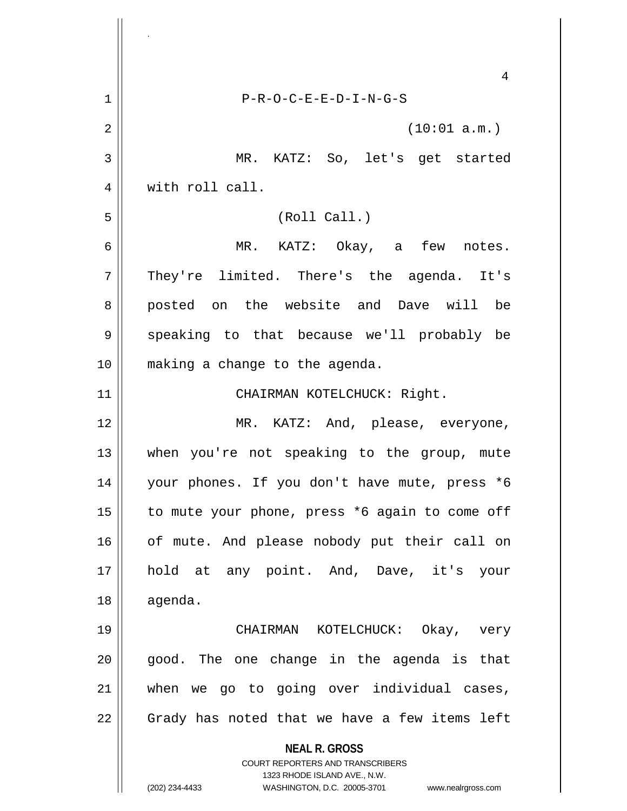**NEAL R. GROSS** COURT REPORTERS AND TRANSCRIBERS 1323 RHODE ISLAND AVE., N.W. (202) 234-4433 WASHINGTON, D.C. 20005-3701 www.nealrgross.com 4 1 P-R-O-C-E-E-D-I-N-G-S  $2 \parallel$  (10:01 a.m.) 3 MR. KATZ: So, let's get started 4 | with roll call. 5 (Roll Call.) 6 MR. KATZ: Okay, a few notes. 7 They're limited. There's the agenda. It's 8 posted on the website and Dave will be 9 || speaking to that because we'll probably be 10 making a change to the agenda. 11 || CHAIRMAN KOTELCHUCK: Right. 12 MR. KATZ: And, please, everyone, 13 when you're not speaking to the group, mute 14 your phones. If you don't have mute, press \*6 15  $\parallel$  to mute your phone, press \*6 again to come off 16 || of mute. And please nobody put their call on 17 || hold at any point. And, Dave, it's your 18 agenda. 19 CHAIRMAN KOTELCHUCK: Okay, very  $20$  || good. The one change in the agenda is that 21 when we go to going over individual cases, 22 || Grady has noted that we have a few items left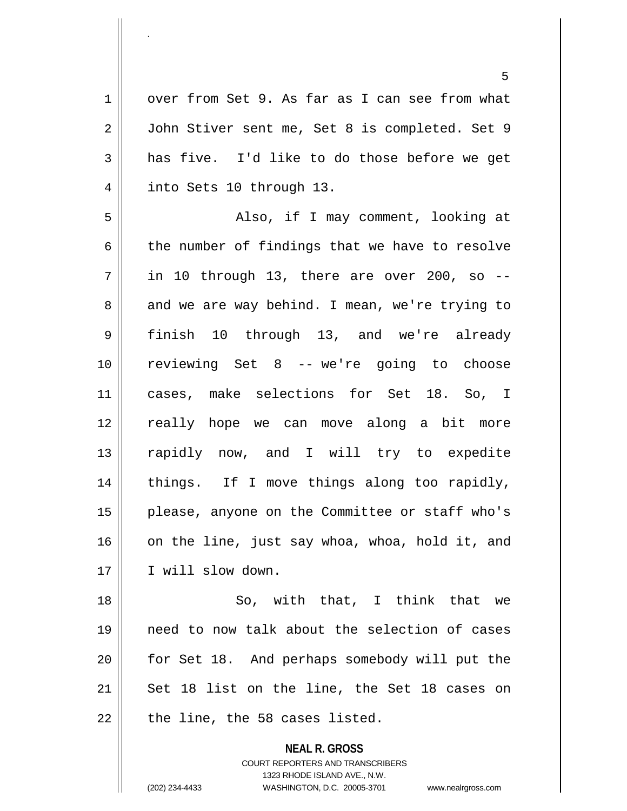1 || over from Set 9. As far as I can see from what 2 | John Stiver sent me, Set 8 is completed. Set 9  $3 \parallel$  has five. I'd like to do those before we get 4 | into Sets 10 through 13.

5 || Also, if I may comment, looking at  $6 \parallel$  the number of findings that we have to resolve  $7 \parallel$  in 10 through 13, there are over 200, so --8 and we are way behind. I mean, we're trying to 9 finish 10 through 13, and we're already 10 reviewing Set 8 -- we're going to choose 11 cases, make selections for Set 18. So, I 12 really hope we can move along a bit more 13 || rapidly now, and I will try to expedite 14 || things. If I move things along too rapidly, 15 || please, anyone on the Committee or staff who's  $16$  on the line, just say whoa, whoa, hold it, and 17 || I will slow down.

18 || So, with that, I think that we need to now talk about the selection of cases for Set 18. And perhaps somebody will put the | Set 18 list on the line, the Set 18 cases on | the line, the 58 cases listed.

> **NEAL R. GROSS** COURT REPORTERS AND TRANSCRIBERS 1323 RHODE ISLAND AVE., N.W. (202) 234-4433 WASHINGTON, D.C. 20005-3701 www.nealrgross.com

.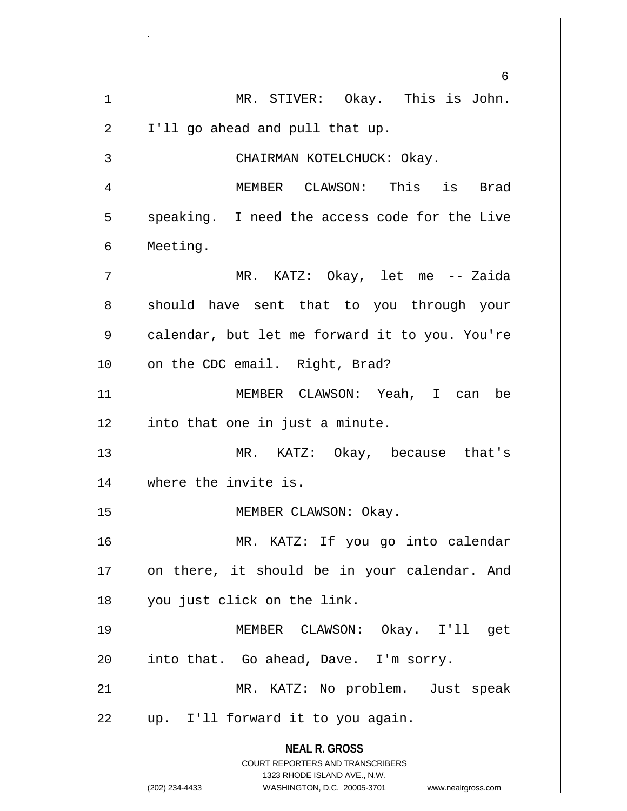**NEAL R. GROSS** COURT REPORTERS AND TRANSCRIBERS 1323 RHODE ISLAND AVE., N.W. (202) 234-4433 WASHINGTON, D.C. 20005-3701 www.nealrgross.com 6 1 || MR. STIVER: Okay. This is John.  $2 \parallel$  I'll go ahead and pull that up. 3 || CHAIRMAN KOTELCHUCK: Okay. 4 MEMBER CLAWSON: This is Brad  $5 \parallel$  speaking. I need the access code for the Live 6 Meeting. 7 MR. KATZ: Okay, let me -- Zaida 8 should have sent that to you through your 9 | calendar, but let me forward it to you. You're 10 || on the CDC email. Right, Brad? 11 MEMBER CLAWSON: Yeah, I can be  $12$  | into that one in just a minute. 13 || MR. KATZ: Okay, because that's 14 where the invite is. 15 || MEMBER CLAWSON: Okay. 16 MR. KATZ: If you go into calendar 17 || on there, it should be in your calendar. And 18 you just click on the link. 19 MEMBER CLAWSON: Okay. I'll get  $20$  || into that. Go ahead, Dave. I'm sorry. 21 || MR. KATZ: No problem. Just speak  $22$  || up. I'll forward it to you again.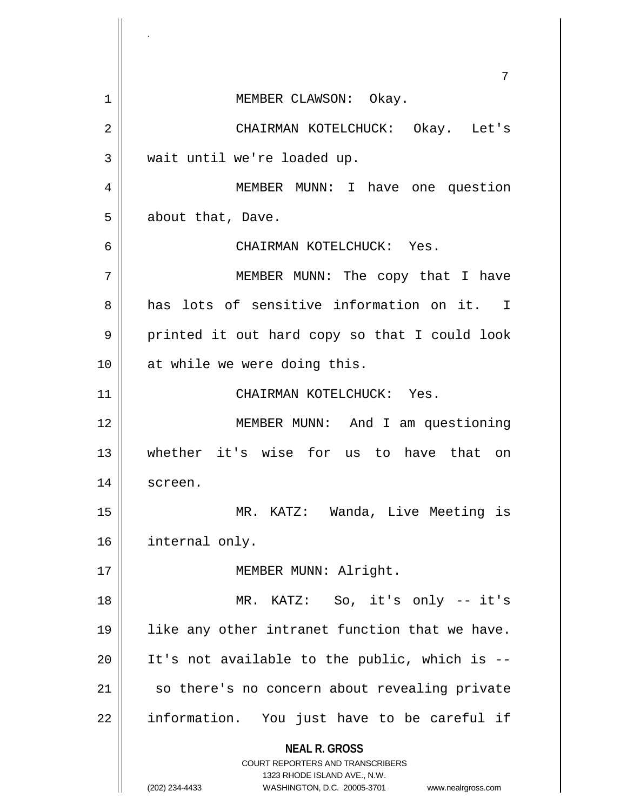**NEAL R. GROSS** COURT REPORTERS AND TRANSCRIBERS 1323 RHODE ISLAND AVE., N.W. (202) 234-4433 WASHINGTON, D.C. 20005-3701 www.nealrgross.com 7 1 || MEMBER CLAWSON: Okay. 2 CHAIRMAN KOTELCHUCK: Okay. Let's  $3$  || wait until we're loaded up. 4 MEMBER MUNN: I have one question 5 | about that, Dave. 6 CHAIRMAN KOTELCHUCK: Yes. 7 MEMBER MUNN: The copy that I have 8 has lots of sensitive information on it. I  $9 \parallel$  printed it out hard copy so that I could look 10 || at while we were doing this. 11 CHAIRMAN KOTELCHUCK: Yes. 12 || MEMBER MUNN: And I am questioning 13 whether it's wise for us to have that on 14 screen. 15 MR. KATZ: Wanda, Live Meeting is 16 | internal only. 17 || MEMBER MUNN: Alright. 18 MR. KATZ: So, it's only -- it's 19 || like any other intranet function that we have.  $20$  || It's not available to the public, which is --21 | so there's no concern about revealing private 22 || information. You just have to be careful if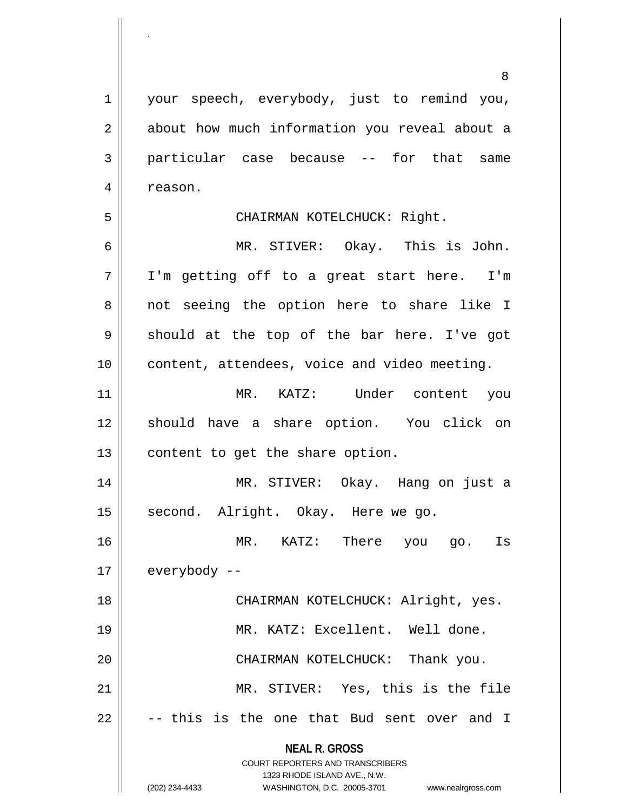**NEAL R. GROSS** COURT REPORTERS AND TRANSCRIBERS 1323 RHODE ISLAND AVE., N.W. 8 1 || your speech, everybody, just to remind you, 2 || about how much information you reveal about a 3 particular case because -- for that same 4 | reason. 5 CHAIRMAN KOTELCHUCK: Right. 6 MR. STIVER: Okay. This is John. 7 || I'm getting off to a great start here. I'm 8 || not seeing the option here to share like I  $9 \parallel$  should at the top of the bar here. I've got 10 || content, attendees, voice and video meeting. 11 MR. KATZ: Under content you 12 should have a share option. You click on  $13$  | content to get the share option. 14 MR. STIVER: Okay. Hang on just a 15 || second. Alright. Okay. Here we go. 16 MR. KATZ: There you go. Is  $17 \parallel$  everybody --18 CHAIRMAN KOTELCHUCK: Alright, yes. 19 MR. KATZ: Excellent. Well done. 20 || CHAIRMAN KOTELCHUCK: Thank you. 21 MR. STIVER: Yes, this is the file  $22 \parallel$  -- this is the one that Bud sent over and I

.

(202) 234-4433 WASHINGTON, D.C. 20005-3701 www.nealrgross.com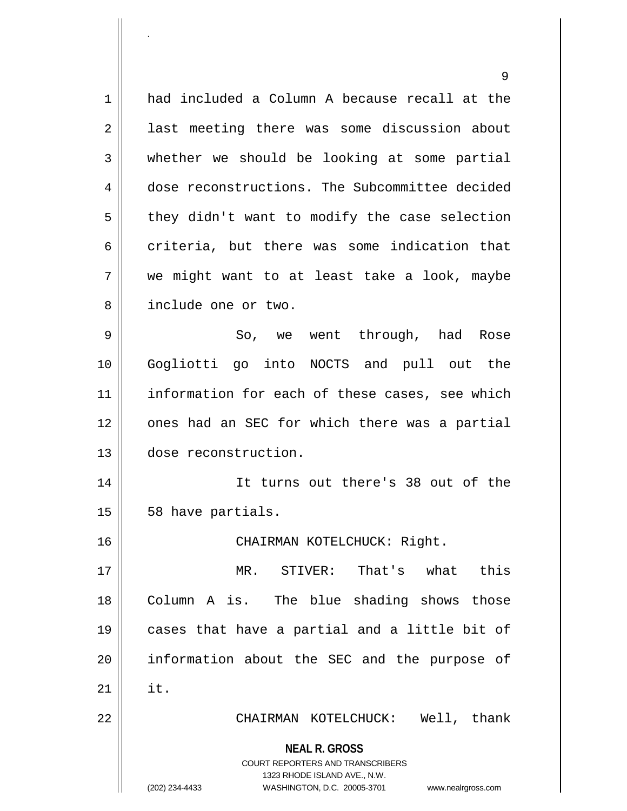**NEAL R. GROSS** COURT REPORTERS AND TRANSCRIBERS 1323 RHODE ISLAND AVE., N.W. 9 1 had included a Column A because recall at the 2 || last meeting there was some discussion about  $3 \parallel$  whether we should be looking at some partial 4 dose reconstructions. The Subcommittee decided  $5 \parallel$  they didn't want to modify the case selection 6 criteria, but there was some indication that 7 we might want to at least take a look, maybe 8 || include one or two. 9 So, we went through, had Rose 10 Gogliotti go into NOCTS and pull out the 11 || information for each of these cases, see which 12 || ones had an SEC for which there was a partial 13 dose reconstruction. 14 It turns out there's 38 out of the  $15 \parallel 58$  have partials. 16 CHAIRMAN KOTELCHUCK: Right. 17 MR. STIVER: That's what this 18 || Column A is. The blue shading shows those 19 cases that have a partial and a little bit of 20 || information about the SEC and the purpose of  $21$   $\parallel$  it. 22 CHAIRMAN KOTELCHUCK: Well, thank

.

(202) 234-4433 WASHINGTON, D.C. 20005-3701 www.nealrgross.com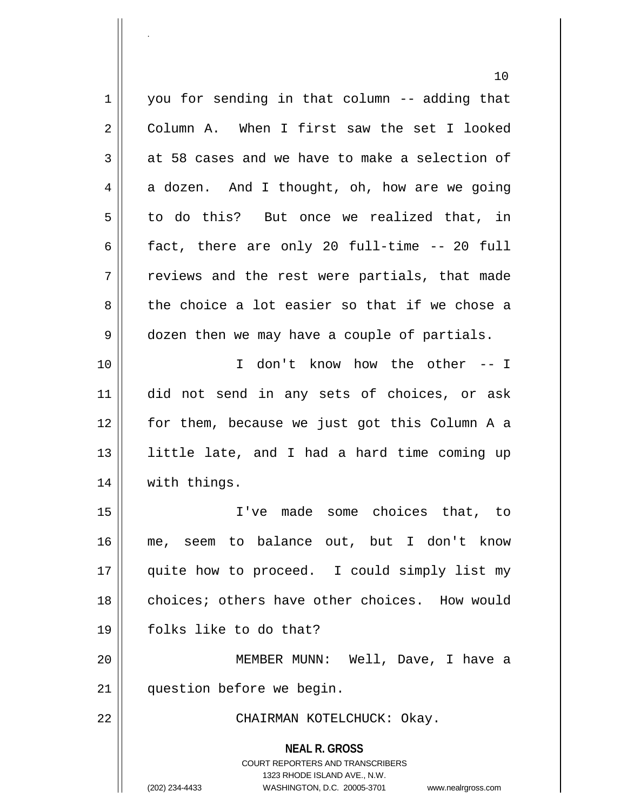**NEAL R. GROSS** COURT REPORTERS AND TRANSCRIBERS 1323 RHODE ISLAND AVE., N.W. (202) 234-4433 WASHINGTON, D.C. 20005-3701 www.nealrgross.com 10  $1 \parallel$  you for sending in that column -- adding that 2 Column A. When I first saw the set I looked  $3 \parallel$  at 58 cases and we have to make a selection of  $4 \parallel$  a dozen. And I thought, oh, how are we going  $5 \parallel$  to do this? But once we realized that, in 6  $\parallel$  fact, there are only 20 full-time -- 20 full  $7 \parallel$  reviews and the rest were partials, that made  $8 \parallel$  the choice a lot easier so that if we chose a 9 || dozen then we may have a couple of partials. 10 I don't know how the other -- I 11 did not send in any sets of choices, or ask 12 for them, because we just got this Column A a 13 || little late, and I had a hard time coming up 14 || with things. 15 I've made some choices that, to 16 me, seem to balance out, but I don't know 17 || quite how to proceed. I could simply list my 18 choices; others have other choices. How would 19 folks like to do that? 20 MEMBER MUNN: Well, Dave, I have a 21 | question before we begin. 22 CHAIRMAN KOTELCHUCK: Okay.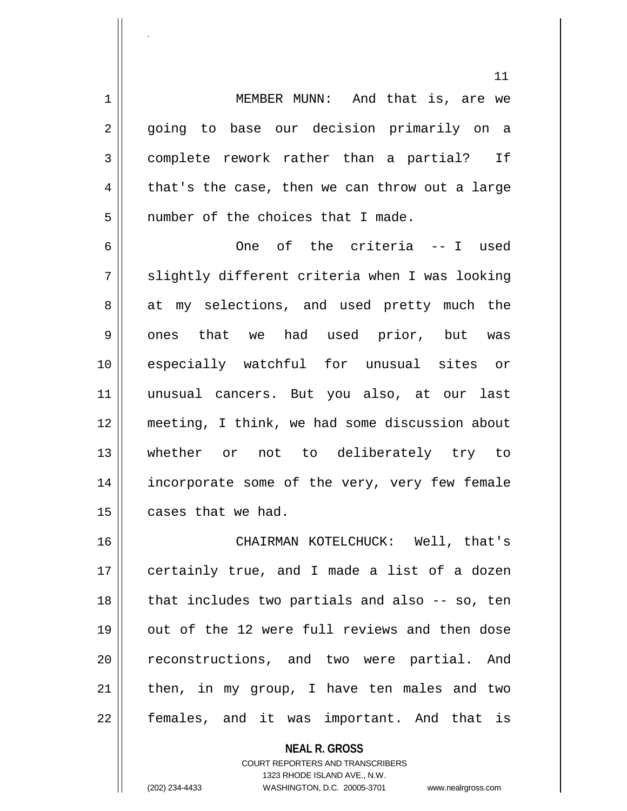1 || MEMBER MUNN: And that is, are we 2 || going to base our decision primarily on a 3 complete rework rather than a partial? If  $4 \parallel$  that's the case, then we can throw out a large 5 | number of the choices that I made.

6 One of the criteria -- I used  $7 \parallel$  slightly different criteria when I was looking 8 at my selections, and used pretty much the 9 || ones that we had used prior, but was 10 especially watchful for unusual sites or 11 unusual cancers. But you also, at our last 12 meeting, I think, we had some discussion about 13 whether or not to deliberately try to 14 || incorporate some of the very, very few female  $15$  | cases that we had.

16 CHAIRMAN KOTELCHUCK: Well, that's 17 || certainly true, and I made a list of a dozen  $18$  || that includes two partials and also  $-$  so, ten 19 || out of the 12 were full reviews and then dose 20 || reconstructions, and two were partial. And  $21$  | then, in my group, I have ten males and two 22 || females, and it was important. And that is

> **NEAL R. GROSS** COURT REPORTERS AND TRANSCRIBERS 1323 RHODE ISLAND AVE., N.W. (202) 234-4433 WASHINGTON, D.C. 20005-3701 www.nealrgross.com

.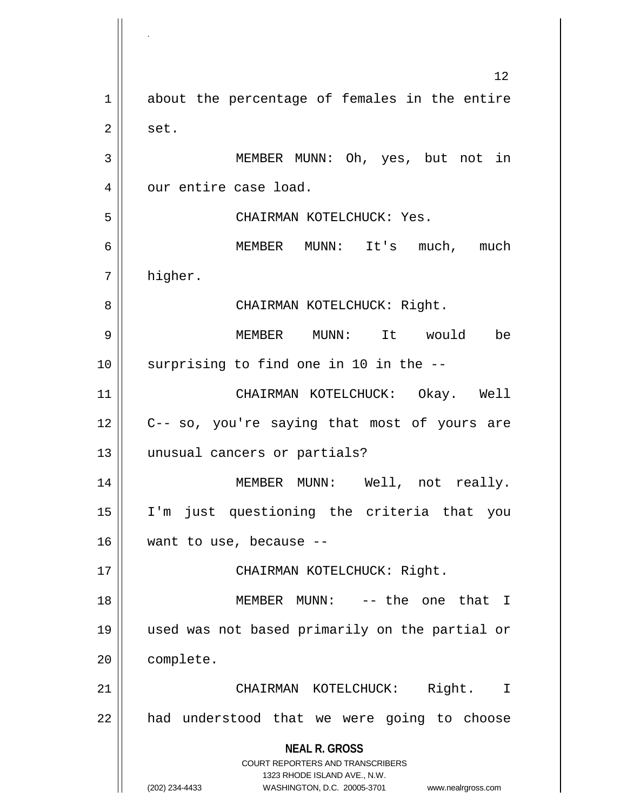**NEAL R. GROSS** COURT REPORTERS AND TRANSCRIBERS 1323 RHODE ISLAND AVE., N.W. (202) 234-4433 WASHINGTON, D.C. 20005-3701 www.nealrgross.com 12 1 about the percentage of females in the entire  $2 \parallel$  set. 3 || MEMBER MUNN: Oh, yes, but not in 4 | our entire case load. 5 CHAIRMAN KOTELCHUCK: Yes. 6 MEMBER MUNN: It's much, much 7 higher. 8 CHAIRMAN KOTELCHUCK: Right. 9 MEMBER MUNN: It would be  $10$  | surprising to find one in 10 in the  $-$ -11 CHAIRMAN KOTELCHUCK: Okay. Well 12 || C-- so, you're saying that most of yours are 13 || unusual cancers or partials? 14 || MEMBER MUNN: Well, not really. 15 I'm just questioning the criteria that you 16 want to use, because -- 17 || CHAIRMAN KOTELCHUCK: Right. 18 || MEMBER MUNN: -- the one that I 19 used was not based primarily on the partial or 20 complete. 21 CHAIRMAN KOTELCHUCK: Right. I 22 || had understood that we were going to choose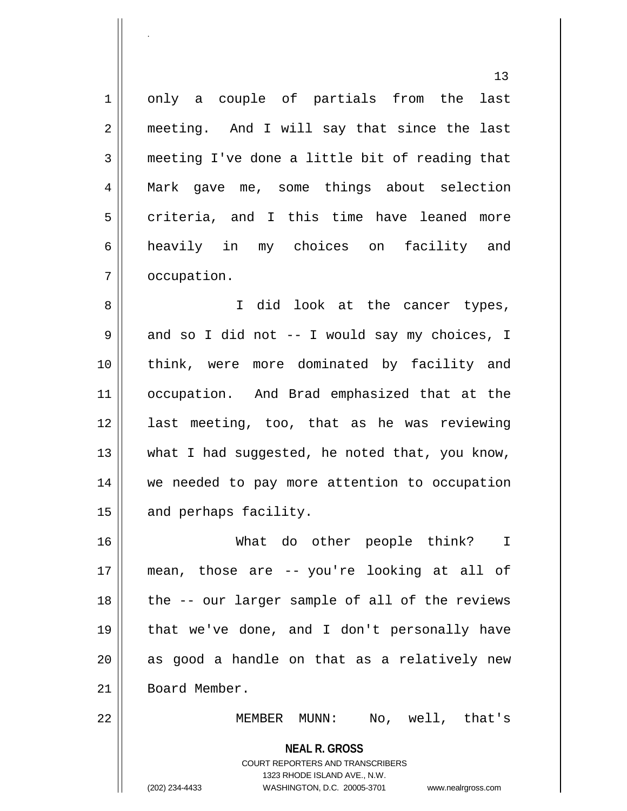1 || only a couple of partials from the last 2 || meeting. And I will say that since the last 3 meeting I've done a little bit of reading that 4 Mark gave me, some things about selection  $5 \parallel$  criteria, and I this time have leaned more 6 heavily in my choices on facility and 7 | occupation.

8 || I did look at the cancer types,  $9 \parallel$  and so I did not -- I would say my choices, I 10 || think, were more dominated by facility and 11 occupation. And Brad emphasized that at the 12 last meeting, too, that as he was reviewing  $13$  || what I had suggested, he noted that, you know, 14 we needed to pay more attention to occupation 15 | and perhaps facility.

 What do other people think? I mean, those are -- you're looking at all of || the -- our larger sample of all of the reviews that we've done, and I don't personally have || as good a handle on that as a relatively new 21 Board Member.

22 || MEMBER MUNN: No, well, that's

**NEAL R. GROSS** COURT REPORTERS AND TRANSCRIBERS 1323 RHODE ISLAND AVE., N.W. (202) 234-4433 WASHINGTON, D.C. 20005-3701 www.nealrgross.com

.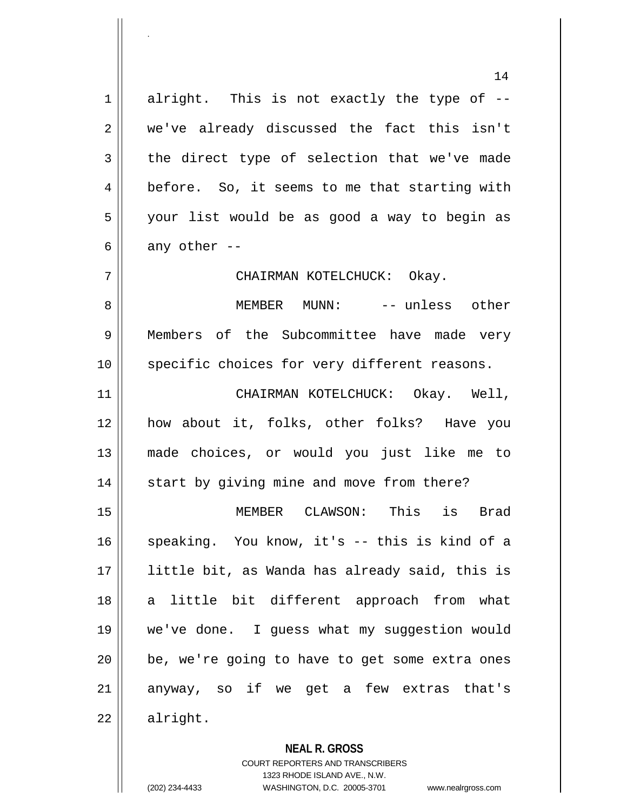$1$  alright. This is not exactly the type of  $-$ 2 we've already discussed the fact this isn't  $3 \parallel$  the direct type of selection that we've made 4 | before. So, it seems to me that starting with 5 || your list would be as good a way to begin as 6 || any other  $-$ 

7 CHAIRMAN KOTELCHUCK: Okay.

8 MEMBER MUNN: -- unless other 9 Members of the Subcommittee have made very 10 || specific choices for very different reasons.

 CHAIRMAN KOTELCHUCK: Okay. Well, how about it, folks, other folks? Have you made choices, or would you just like me to 14 || start by giving mine and move from there?

15 MEMBER CLAWSON: This is Brad 16 speaking. You know, it's -- this is kind of a 17 little bit, as Wanda has already said, this is 18 || a little bit different approach from what 19 we've done. I guess what my suggestion would 20 || be, we're going to have to get some extra ones 21 anyway, so if we get a few extras that's  $22 \parallel$  alright.

**NEAL R. GROSS**

COURT REPORTERS AND TRANSCRIBERS 1323 RHODE ISLAND AVE., N.W. (202) 234-4433 WASHINGTON, D.C. 20005-3701 www.nealrgross.com

.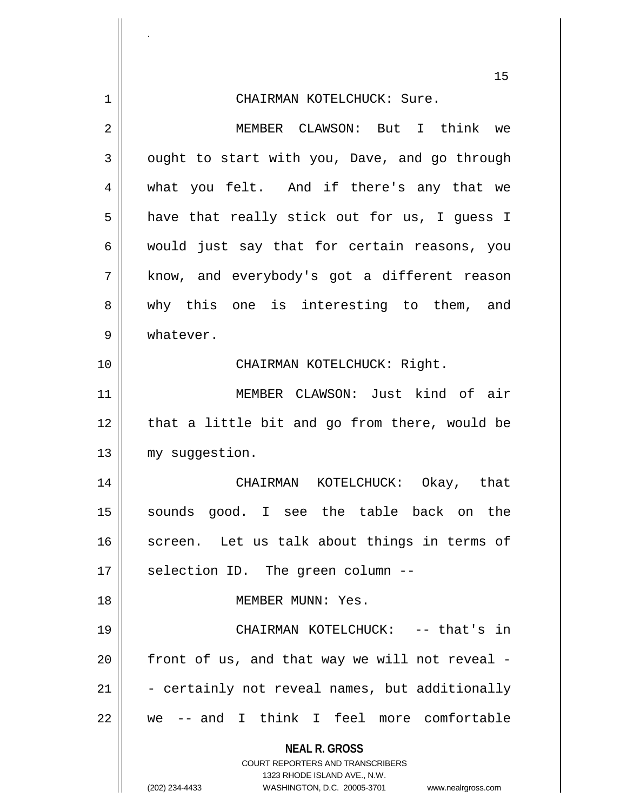|             | 15                                                                                                                                                                     |
|-------------|------------------------------------------------------------------------------------------------------------------------------------------------------------------------|
| $\mathbf 1$ | CHAIRMAN KOTELCHUCK: Sure.                                                                                                                                             |
| 2           | MEMBER CLAWSON: But I think we                                                                                                                                         |
| 3           | ought to start with you, Dave, and go through                                                                                                                          |
| 4           | what you felt. And if there's any that we                                                                                                                              |
| 5           | have that really stick out for us, I guess I                                                                                                                           |
| 6           | would just say that for certain reasons, you                                                                                                                           |
| 7           | know, and everybody's got a different reason                                                                                                                           |
| 8           | why this one is interesting to them, and                                                                                                                               |
| 9           | whatever.                                                                                                                                                              |
| 10          | CHAIRMAN KOTELCHUCK: Right.                                                                                                                                            |
| 11          | MEMBER CLAWSON: Just kind of air                                                                                                                                       |
| 12          | that a little bit and go from there, would be                                                                                                                          |
| 13          | my suggestion.                                                                                                                                                         |
| 14          | CHAIRMAN KOTELCHUCK: Okay, that                                                                                                                                        |
| 15          | sounds good. I see the table back on the                                                                                                                               |
| 16          | screen. Let us talk about things in terms of                                                                                                                           |
| 17          | selection ID. The green column --                                                                                                                                      |
| 18          | MEMBER MUNN: Yes.                                                                                                                                                      |
| 19          | CHAIRMAN KOTELCHUCK: -- that's in                                                                                                                                      |
| 20          | front of us, and that way we will not reveal -                                                                                                                         |
| 21          | - certainly not reveal names, but additionally                                                                                                                         |
| 22          | we -- and I think I feel more comfortable                                                                                                                              |
|             | <b>NEAL R. GROSS</b><br><b>COURT REPORTERS AND TRANSCRIBERS</b><br>1323 RHODE ISLAND AVE., N.W.<br>(202) 234-4433<br>WASHINGTON, D.C. 20005-3701<br>www.nealrgross.com |

.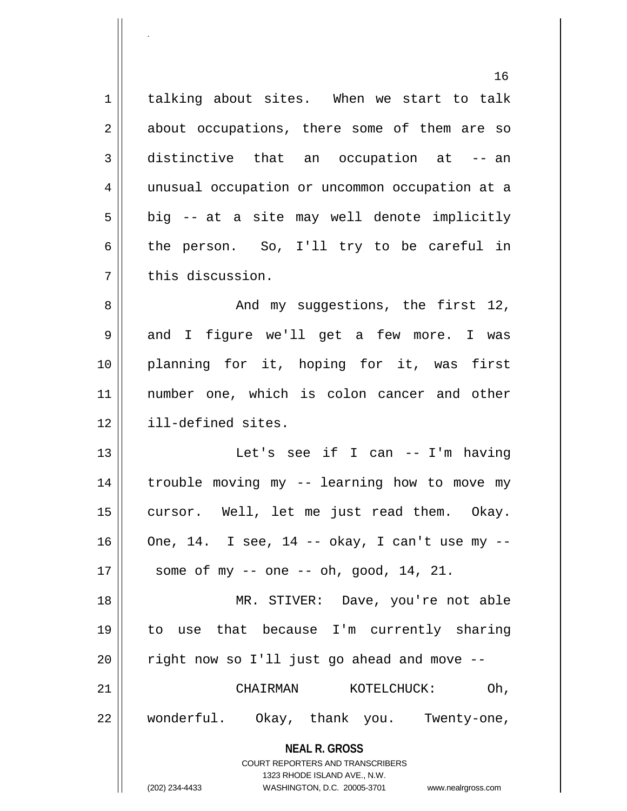**NEAL R. GROSS** COURT REPORTERS AND TRANSCRIBERS 16 1 | talking about sites. When we start to talk 2 || about occupations, there some of them are so 3 distinctive that an occupation at -- an 4 unusual occupation or uncommon occupation at a  $5 \parallel$  big -- at a site may well denote implicitly  $6 \parallel$  the person. So, I'll try to be careful in 7 | this discussion. 8 And my suggestions, the first 12, 9 and I figure we'll get a few more. I was 10 planning for it, hoping for it, was first 11 number one, which is colon cancer and other 12 || ill-defined sites. 13 Let's see if I can -- I'm having 14 trouble moving my -- learning how to move my 15 || cursor. Well, let me just read them. Okay.  $16$  | One, 14. I see, 14 -- okay, I can't use my -- $17 \parallel$  some of my -- one -- oh, good, 14, 21. 18 || MR. STIVER: Dave, you're not able 19 to use that because I'm currently sharing  $20$  | right now so I'll just go ahead and move  $-$ 21 CHAIRMAN KOTELCHUCK: Oh, 22 wonderful. Okay, thank you. Twenty-one,

.

(202) 234-4433 WASHINGTON, D.C. 20005-3701 www.nealrgross.com

1323 RHODE ISLAND AVE., N.W.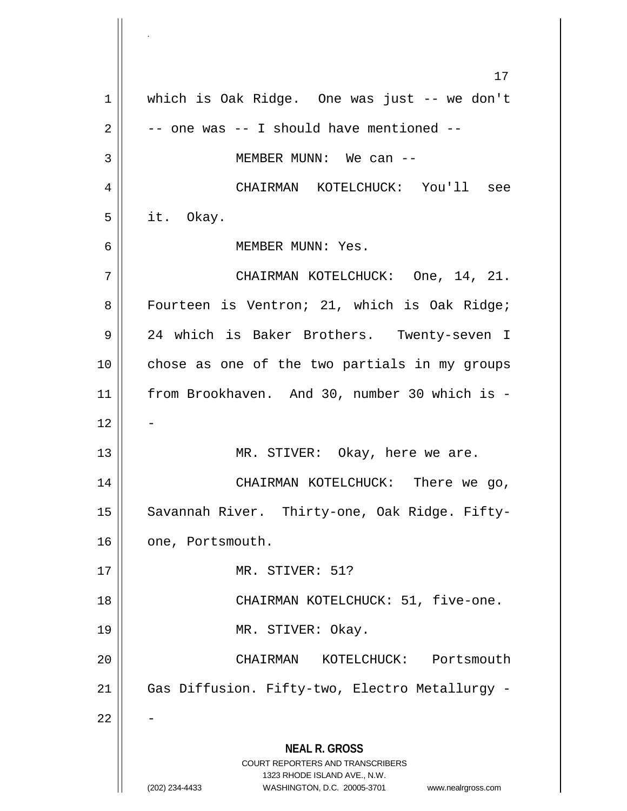**NEAL R. GROSS** COURT REPORTERS AND TRANSCRIBERS 1323 RHODE ISLAND AVE., N.W. (202) 234-4433 WASHINGTON, D.C. 20005-3701 www.nealrgross.com 17 1 || which is Oak Ridge. One was just -- we don't  $2 \parallel$  -- one was -- I should have mentioned --3 MEMBER MUNN: We can -- 4 CHAIRMAN KOTELCHUCK: You'll see  $5 \parallel$  it. Okay. 6 MEMBER MUNN: Yes. 7 CHAIRMAN KOTELCHUCK: One, 14, 21. 8 || Fourteen is Ventron; 21, which is Oak Ridge; 9 || 24 which is Baker Brothers. Twenty-seven I 10 chose as one of the two partials in my groups 11 from Brookhaven. And 30, number 30 which is -  $12$ 13 || MR. STIVER: Okay, here we are. 14 || CHAIRMAN KOTELCHUCK: There we go, 15 || Savannah River. Thirty-one, Oak Ridge. Fifty-16 | one, Portsmouth. 17 MR. STIVER: 51? 18 || CHAIRMAN KOTELCHUCK: 51, five-one. 19 || MR. STIVER: Okay. 20 CHAIRMAN KOTELCHUCK: Portsmouth 21 | Gas Diffusion. Fifty-two, Electro Metallurgy - $22$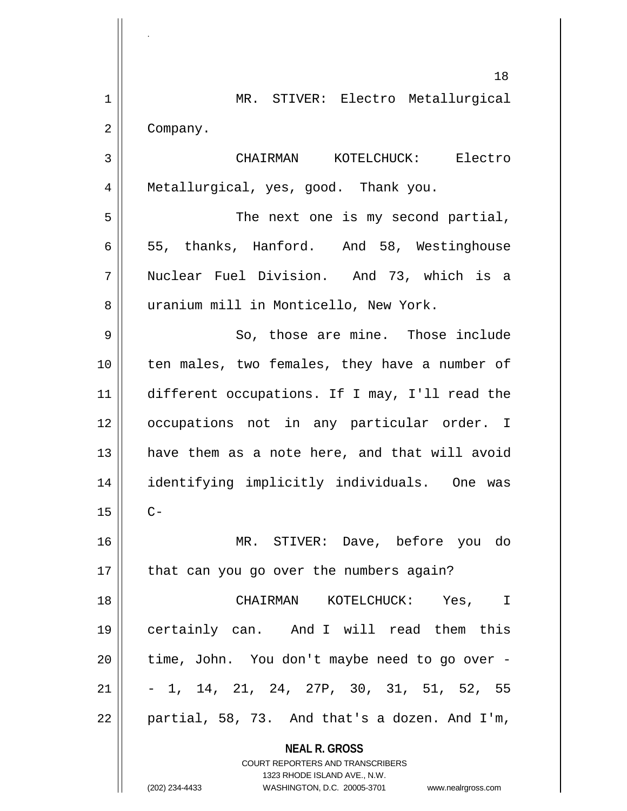**NEAL R. GROSS** COURT REPORTERS AND TRANSCRIBERS 1323 RHODE ISLAND AVE., N.W. (202) 234-4433 WASHINGTON, D.C. 20005-3701 www.nealrgross.com 18 1 MR. STIVER: Electro Metallurgical 2 | Company. 3 CHAIRMAN KOTELCHUCK: Electro 4 || Metallurgical, yes, good. Thank you. 5 || The next one is my second partial,  $6 \parallel 55$ , thanks, Hanford. And 58, Westinghouse 7 Nuclear Fuel Division. And 73, which is a 8 | uranium mill in Monticello, New York. 9 || So, those are mine. Those include 10 || ten males, two females, they have a number of 11 different occupations. If I may, I'll read the 12 || occupations not in any particular order. I  $13$  || have them as a note here, and that will avoid 14 identifying implicitly individuals. One was  $15$  ||  $C-$ 16 MR. STIVER: Dave, before you do  $17$  | that can you go over the numbers again? 18 CHAIRMAN KOTELCHUCK: Yes, I 19 certainly can. And I will read them this  $20$  || time, John. You don't maybe need to go over - $21 \parallel -1, 14, 21, 24, 27P, 30, 31, 51, 52, 55$  $22 \parallel$  partial, 58, 73. And that's a dozen. And I'm,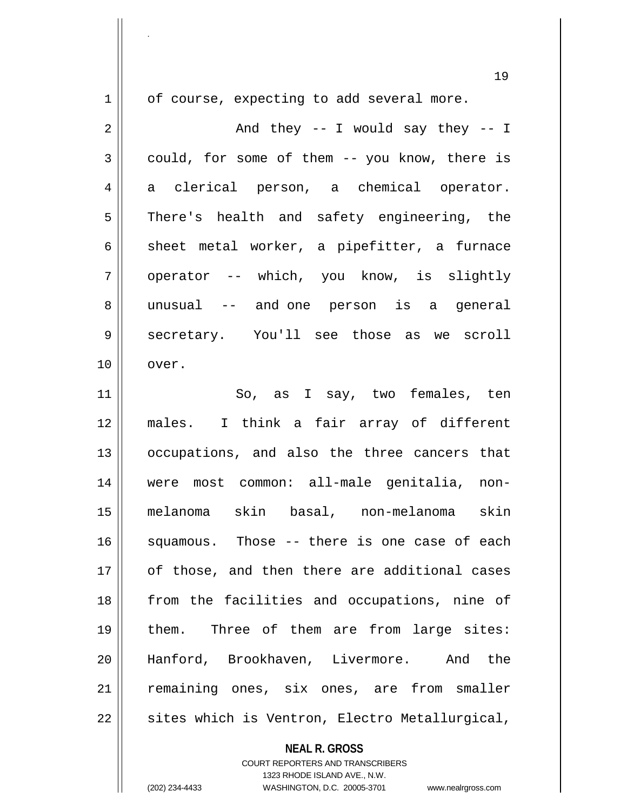.

 $1 \parallel$  of course, expecting to add several more.

 $2 \parallel$  and they -- I would say they -- I  $3 \parallel$  could, for some of them -- you know, there is 4 a clerical person, a chemical operator. 5 || There's health and safety engineering, the 6  $\parallel$  sheet metal worker, a pipefitter, a furnace 7 || operator -- which, you know, is slightly 8 unusual -- and one person is a general 9 secretary. You'll see those as we scroll 10 || over. 11 So, as I say, two females, ten 12 males. I think a fair array of different 13 || occupations, and also the three cancers that 14 were most common: all-male genitalia, non-15 melanoma skin basal, non-melanoma skin 16 || squamous. Those -- there is one case of each 17 || of those, and then there are additional cases 18 || from the facilities and occupations, nine of 19 || them. Three of them are from large sites: 20 Hanford, Brookhaven, Livermore. And the 21 remaining ones, six ones, are from smaller  $22$  | sites which is Ventron, Electro Metallurgical,

**NEAL R. GROSS**

COURT REPORTERS AND TRANSCRIBERS 1323 RHODE ISLAND AVE., N.W. (202) 234-4433 WASHINGTON, D.C. 20005-3701 www.nealrgross.com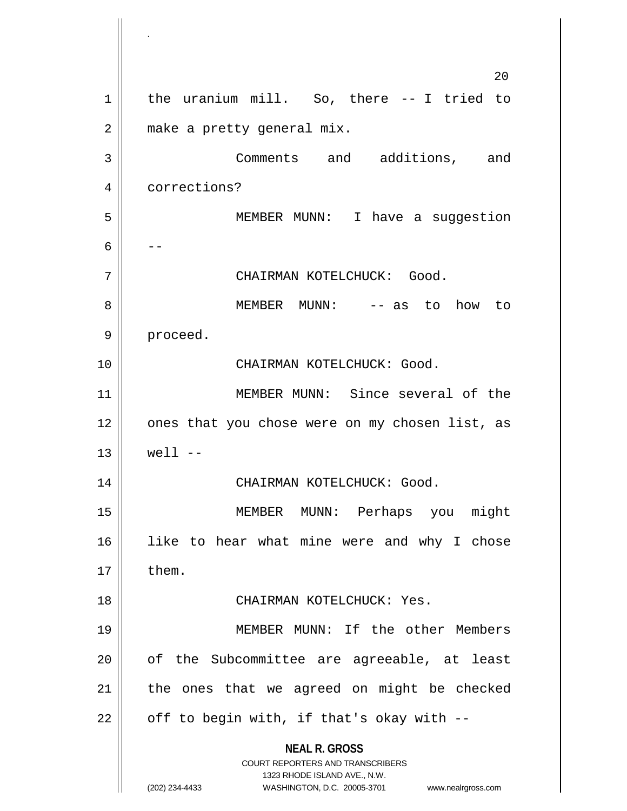**NEAL R. GROSS** COURT REPORTERS AND TRANSCRIBERS 1323 RHODE ISLAND AVE., N.W. (202) 234-4433 WASHINGTON, D.C. 20005-3701 www.nealrgross.com  $20^{\circ}$ 1 | the uranium mill. So, there -- I tried to 2 | make a pretty general mix. 3 Comments and additions, and 4 | corrections? 5 MEMBER MUNN: I have a suggestion 6  $|$  --7 CHAIRMAN KOTELCHUCK: Good. 8 MEMBER MUNN: -- as to how to 9 || proceed. 10 CHAIRMAN KOTELCHUCK: Good. 11 MEMBER MUNN: Since several of the 12 || ones that you chose were on my chosen list, as  $13 \parallel$  well  $--$ 14 || CHAIRMAN KOTELCHUCK: Good. 15 MEMBER MUNN: Perhaps you might 16 like to hear what mine were and why I chose  $17 \parallel$  them. 18 CHAIRMAN KOTELCHUCK: Yes. 19 MEMBER MUNN: If the other Members  $20$  || of the Subcommittee are agreeable, at least  $21$  | the ones that we agreed on might be checked  $22 \parallel$  off to begin with, if that's okay with --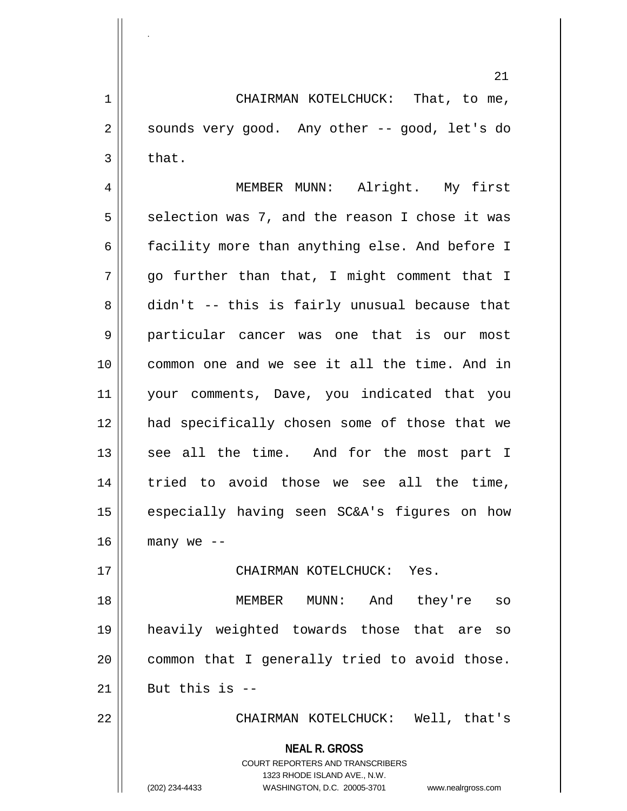1 | CHAIRMAN KOTELCHUCK: That, to me,  $2 \parallel$  sounds very good. Any other -- good, let's do  $3 \parallel$  that.

.

4 MEMBER MUNN: Alright. My first  $5 \parallel$  selection was 7, and the reason I chose it was 6 facility more than anything else. And before I  $7 \parallel$  go further than that, I might comment that I  $8 \parallel$  didn't -- this is fairly unusual because that 9 || particular cancer was one that is our most 10 common one and we see it all the time. And in 11 your comments, Dave, you indicated that you 12 had specifically chosen some of those that we 13 || see all the time. And for the most part I 14 || tried to avoid those we see all the time, 15 || especially having seen SC&A's figures on how  $16$  | many we --

17 CHAIRMAN KOTELCHUCK: Yes.

 MEMBER MUNN: And they're so heavily weighted towards those that are so | common that I generally tried to avoid those. But this is  $-$ 

22 CHAIRMAN KOTELCHUCK: Well, that's

**NEAL R. GROSS**

COURT REPORTERS AND TRANSCRIBERS 1323 RHODE ISLAND AVE., N.W. (202) 234-4433 WASHINGTON, D.C. 20005-3701 www.nealrgross.com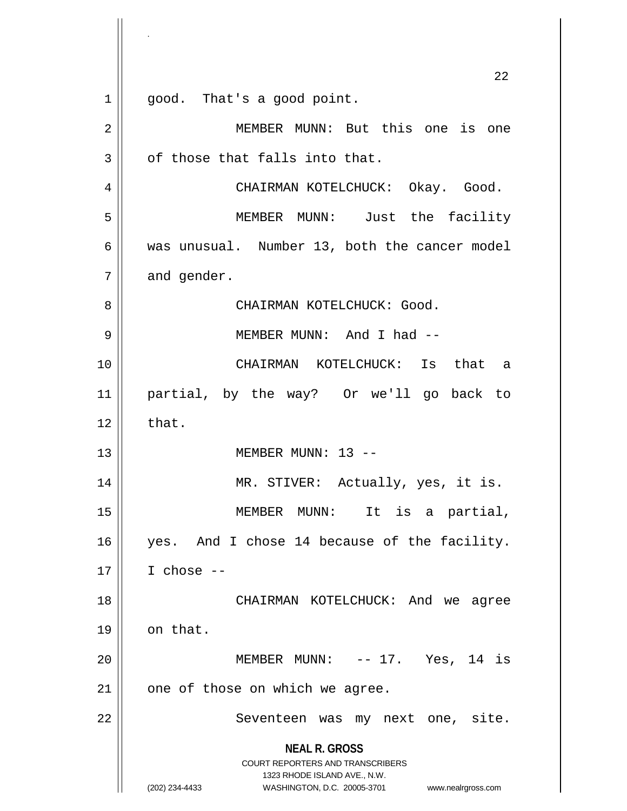|    | 22                                                                                                                                                              |
|----|-----------------------------------------------------------------------------------------------------------------------------------------------------------------|
| 1  | good. That's a good point.                                                                                                                                      |
| 2  | MEMBER MUNN: But this one is one                                                                                                                                |
| 3  | of those that falls into that.                                                                                                                                  |
| 4  | CHAIRMAN KOTELCHUCK: Okay. Good.                                                                                                                                |
| 5  | MEMBER MUNN: Just the facility                                                                                                                                  |
| 6  | was unusual. Number 13, both the cancer model                                                                                                                   |
| 7  | and gender.                                                                                                                                                     |
| 8  | CHAIRMAN KOTELCHUCK: Good.                                                                                                                                      |
| 9  | MEMBER MUNN: And I had --                                                                                                                                       |
| 10 | CHAIRMAN KOTELCHUCK: Is that a                                                                                                                                  |
| 11 | partial, by the way? Or we'll go back to                                                                                                                        |
| 12 | that.                                                                                                                                                           |
| 13 | MEMBER MUNN: 13 --                                                                                                                                              |
| 14 | MR. STIVER: Actually, yes, it is.                                                                                                                               |
| 15 | MEMBER MUNN:<br>It is a partial,                                                                                                                                |
| 16 | yes. And I chose 14 because of the facility.                                                                                                                    |
| 17 | I chose $--$                                                                                                                                                    |
| 18 | CHAIRMAN KOTELCHUCK: And we agree                                                                                                                               |
| 19 | on that.                                                                                                                                                        |
| 20 | MEMBER MUNN: $-- 17.$ Yes, 14 is                                                                                                                                |
| 21 | one of those on which we agree.                                                                                                                                 |
| 22 | Seventeen was my next one, site.                                                                                                                                |
|    | <b>NEAL R. GROSS</b><br>COURT REPORTERS AND TRANSCRIBERS<br>1323 RHODE ISLAND AVE., N.W.<br>(202) 234-4433<br>WASHINGTON, D.C. 20005-3701<br>www.nealrgross.com |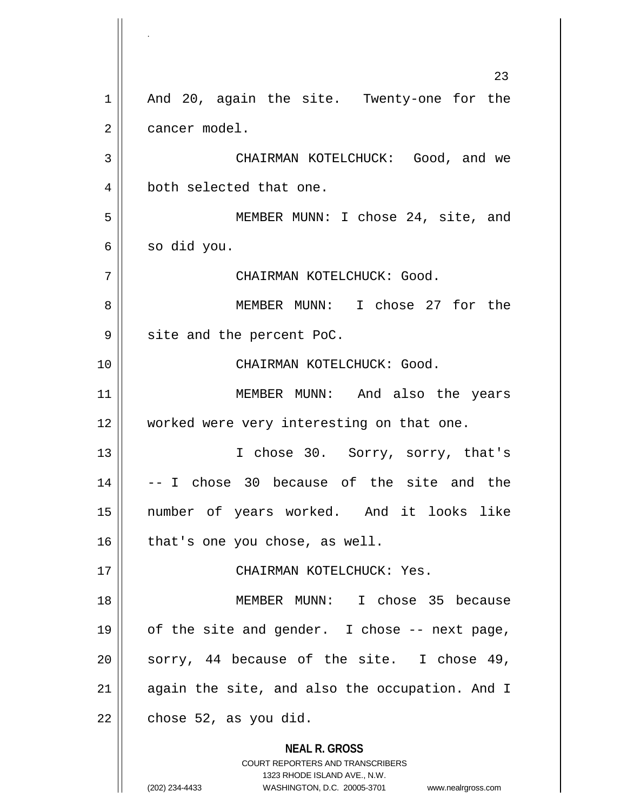**NEAL R. GROSS** COURT REPORTERS AND TRANSCRIBERS 1323 RHODE ISLAND AVE., N.W. 23 1 || And 20, again the site. Twenty-one for the 2 | cancer model. 3 CHAIRMAN KOTELCHUCK: Good, and we 4 || both selected that one. 5 || MEMBER MUNN: I chose 24, site, and  $6 \parallel$  so did you. 7 CHAIRMAN KOTELCHUCK: Good. 8 MEMBER MUNN: I chose 27 for the  $9 \parallel$  site and the percent PoC. 10 CHAIRMAN KOTELCHUCK: Good. 11 || MEMBER MUNN: And also the years 12 || worked were very interesting on that one. 13 || I chose 30. Sorry, sorry, that's  $14 \parallel$  -- I chose 30 because of the site and the 15 number of years worked. And it looks like  $16$  | that's one you chose, as well. 17 CHAIRMAN KOTELCHUCK: Yes. 18 MEMBER MUNN: I chose 35 because  $19 \parallel$  of the site and gender. I chose -- next page, 20 || sorry, 44 because of the site. I chose 49,  $21$  || again the site, and also the occupation. And I  $22$  | chose 52, as you did.

.

(202) 234-4433 WASHINGTON, D.C. 20005-3701 www.nealrgross.com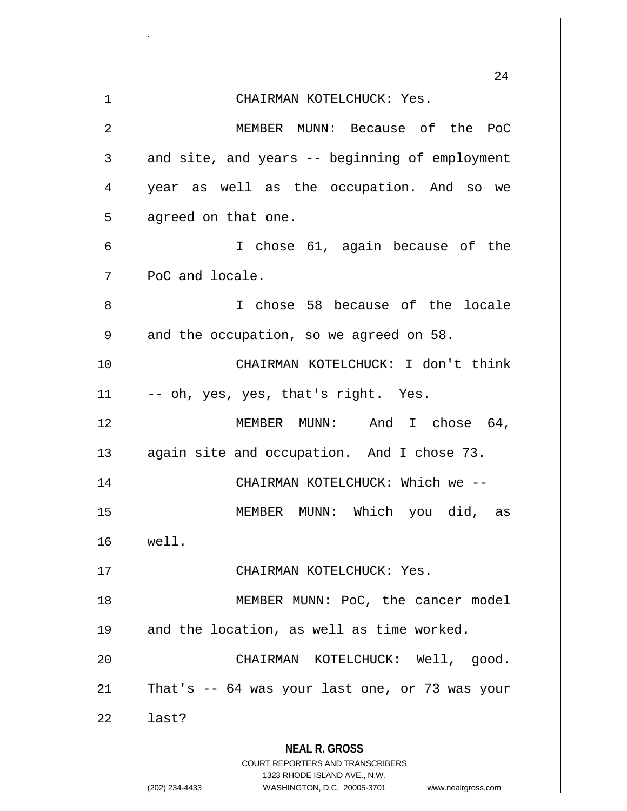|    | 24                                                                                               |
|----|--------------------------------------------------------------------------------------------------|
| 1  | CHAIRMAN KOTELCHUCK: Yes.                                                                        |
| 2  | MEMBER MUNN: Because of the<br>PoC                                                               |
| 3  | and site, and years -- beginning of employment                                                   |
| 4  | year as well as the occupation. And so we                                                        |
| 5  | agreed on that one.                                                                              |
| 6  | I chose 61, again because of the                                                                 |
| 7  | PoC and locale.                                                                                  |
| 8  | I chose 58 because of the locale                                                                 |
| 9  | and the occupation, so we agreed on 58.                                                          |
| 10 | CHAIRMAN KOTELCHUCK: I don't think                                                               |
| 11 | -- oh, yes, yes, that's right. Yes.                                                              |
| 12 | MEMBER MUNN: And I chose 64,                                                                     |
| 13 | again site and occupation. And I chose 73.                                                       |
| 14 | CHAIRMAN KOTELCHUCK: Which we --                                                                 |
| 15 | MEMBER MUNN: Which you did, as                                                                   |
| 16 | well.                                                                                            |
| 17 | CHAIRMAN KOTELCHUCK: Yes.                                                                        |
| 18 | MEMBER MUNN: PoC, the cancer model                                                               |
| 19 | and the location, as well as time worked.                                                        |
| 20 | CHAIRMAN KOTELCHUCK: Well, good.                                                                 |
| 21 | That's -- 64 was your last one, or 73 was your                                                   |
| 22 | last?                                                                                            |
|    | <b>NEAL R. GROSS</b><br><b>COURT REPORTERS AND TRANSCRIBERS</b>                                  |
|    | 1323 RHODE ISLAND AVE., N.W.<br>(202) 234-4433<br>WASHINGTON, D.C. 20005-3701 www.nealrgross.com |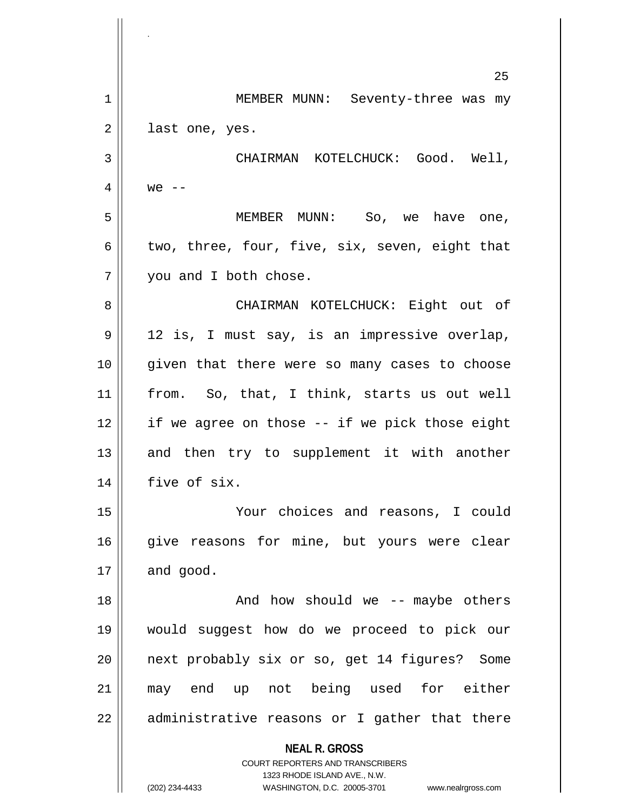**NEAL R. GROSS** COURT REPORTERS AND TRANSCRIBERS 1323 RHODE ISLAND AVE., N.W. 25 1 || MEMBER MUNN: Seventy-three was my 2 || last one, yes. 3 CHAIRMAN KOTELCHUCK: Good. Well, 4  $w$ e --5 MEMBER MUNN: So, we have one, 6 | two, three, four, five, six, seven, eight that 7 || you and I both chose. 8 CHAIRMAN KOTELCHUCK: Eight out of 9 12 is, I must say, is an impressive overlap, 10 given that there were so many cases to choose 11 from. So, that, I think, starts us out well  $12$  || if we agree on those  $-$  if we pick those eight  $13$  and then try to supplement it with another 14 | five of six. 15 Your choices and reasons, I could 16 give reasons for mine, but yours were clear  $17 \parallel$  and good. 18 || And how should we -- maybe others 19 would suggest how do we proceed to pick our 20 || next probably six or so, get 14 figures? Some 21 may end up not being used for either  $22 \parallel$  administrative reasons or I gather that there

.

(202) 234-4433 WASHINGTON, D.C. 20005-3701 www.nealrgross.com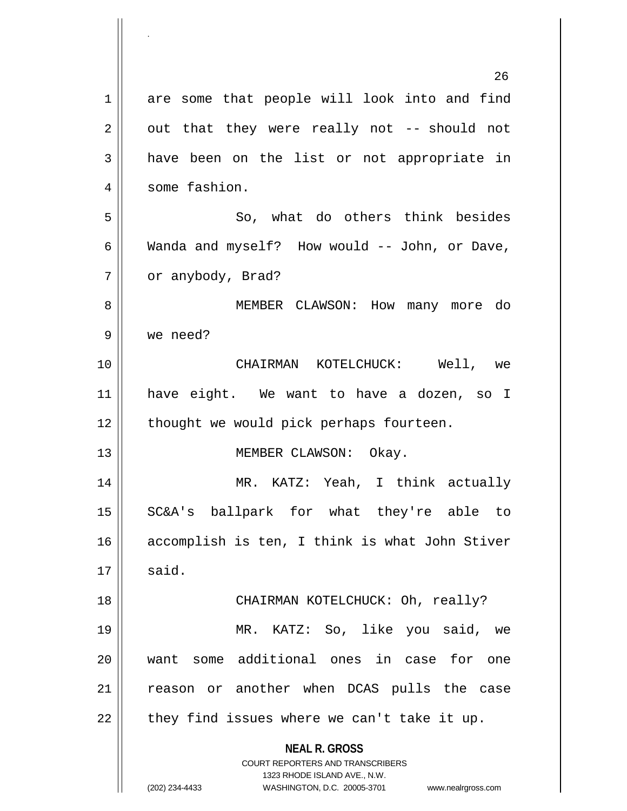**NEAL R. GROSS** COURT REPORTERS AND TRANSCRIBERS 1323 RHODE ISLAND AVE., N.W. (202) 234-4433 WASHINGTON, D.C. 20005-3701 www.nealrgross.com 26 1 are some that people will look into and find  $2 \parallel$  out that they were really not -- should not 3 have been on the list or not appropriate in 4 | some fashion.  $5 \parallel$  So, what do others think besides 6 Wanda and myself? How would  $-$  John, or Dave, 7 | or anybody, Brad? 8 MEMBER CLAWSON: How many more do 9 we need? 10 CHAIRMAN KOTELCHUCK: Well, we 11 have eight. We want to have a dozen, so I  $12$  | thought we would pick perhaps fourteen. 13 || MEMBER CLAWSON: Okay. 14 MR. KATZ: Yeah, I think actually 15 SC&A's ballpark for what they're able to 16 accomplish is ten, I think is what John Stiver  $17 \parallel$  said. 18 || CHAIRMAN KOTELCHUCK: Oh, really? 19 MR. KATZ: So, like you said, we 20 want some additional ones in case for one 21 || reason or another when DCAS pulls the case  $22$  | they find issues where we can't take it up.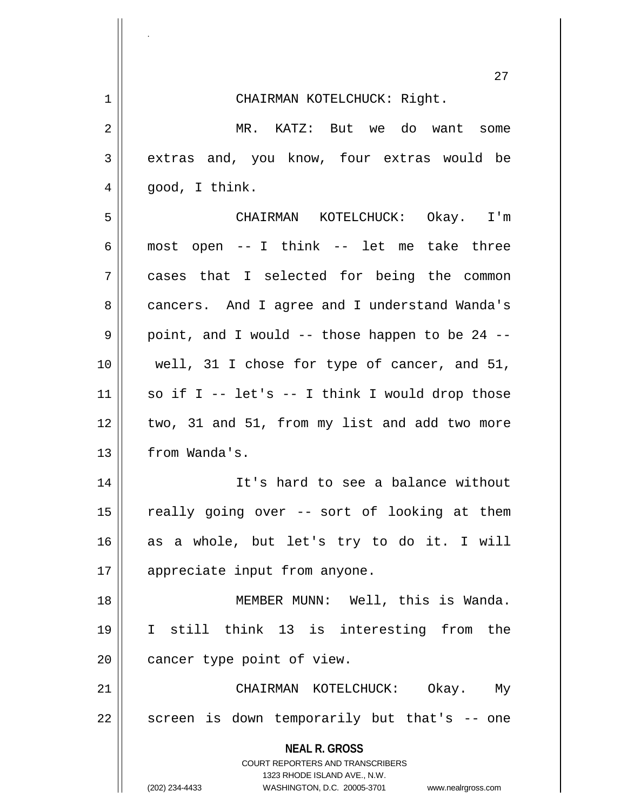|    | 27                                                               |
|----|------------------------------------------------------------------|
| 1  | CHAIRMAN KOTELCHUCK: Right.                                      |
| 2  | MR. KATZ: But we do want some                                    |
| 3  | extras and, you know, four extras would be                       |
| 4  | good, I think.                                                   |
| 5  | CHAIRMAN KOTELCHUCK: Okay. I'm                                   |
| 6  | most open -- I think -- let me take three                        |
| 7  | cases that I selected for being the common                       |
| 8  | cancers. And I agree and I understand Wanda's                    |
| 9  | point, and I would -- those happen to be 24 --                   |
| 10 | well, 31 I chose for type of cancer, and 51,                     |
| 11 | so if I -- let's -- I think I would drop those                   |
| 12 | two, 31 and 51, from my list and add two more                    |
| 13 | from Wanda's.                                                    |
| 14 | It's hard to see a balance without                               |
| 15 | really going over -- sort of looking at them                     |
| 16 | as a whole, but let's try to do it. I will                       |
| 17 | appreciate input from anyone.                                    |
| 18 | MEMBER MUNN: Well, this is Wanda.                                |
| 19 | I still think 13 is interesting from the                         |
| 20 | cancer type point of view.                                       |
| 21 | CHAIRMAN KOTELCHUCK: Okay. My                                    |
| 22 | screen is down temporarily but that's -- one                     |
|    | <b>NEAL R. GROSS</b><br><b>COURT REPORTERS AND TRANSCRIBERS</b>  |
|    | 1323 RHODE ISLAND AVE., N.W.                                     |
|    | (202) 234-4433<br>WASHINGTON, D.C. 20005-3701 www.nealrgross.com |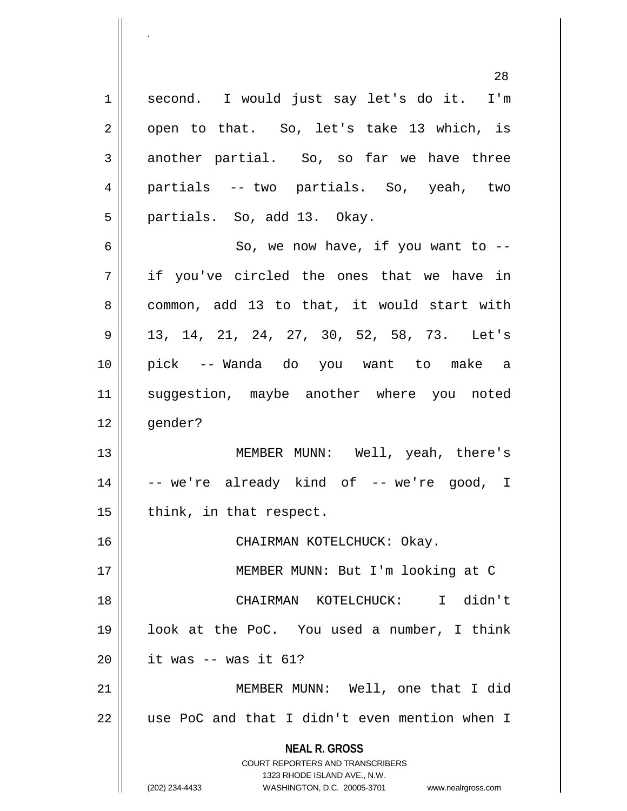**NEAL R. GROSS** COURT REPORTERS AND TRANSCRIBERS 1323 RHODE ISLAND AVE., N.W. (202) 234-4433 WASHINGTON, D.C. 20005-3701 www.nealrgross.com 28 1 || second. I would just say let's do it. I'm  $2 \parallel$  open to that. So, let's take 13 which, is  $3 \parallel$  another partial. So, so far we have three 4 partials -- two partials. So, yeah, two 5 || partials. So, add 13. Okay.  $6 \parallel$  So, we now have, if you want to  $-$ 7 if you've circled the ones that we have in 8 common, add 13 to that, it would start with 9 13, 14, 21, 24, 27, 30, 52, 58, 73. Let's 10 pick -- Wanda do you want to make a 11 || suggestion, maybe another where you noted 12 || gender? 13 MEMBER MUNN: Well, yeah, there's  $14 \parallel$  -- we're already kind of -- we're good, I  $15$  | think, in that respect. 16 CHAIRMAN KOTELCHUCK: Okay. 17 MEMBER MUNN: But I'm looking at C 18 CHAIRMAN KOTELCHUCK: I didn't 19 look at the PoC. You used a number, I think  $20$  | it was -- was it 61? 21 || MEMBER MUNN: Well, one that I did  $22$   $\parallel$  use PoC and that I didn't even mention when I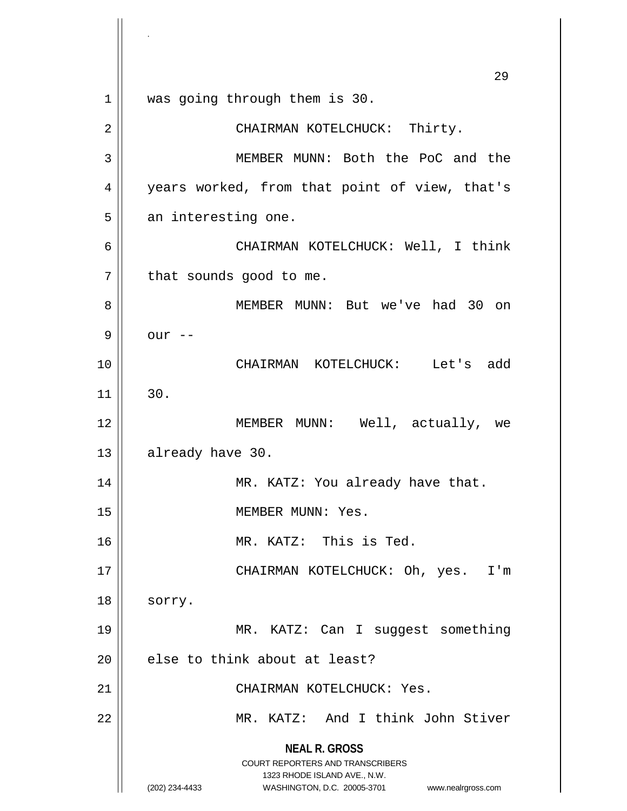**NEAL R. GROSS** COURT REPORTERS AND TRANSCRIBERS 1323 RHODE ISLAND AVE., N.W. (202) 234-4433 WASHINGTON, D.C. 20005-3701 www.nealrgross.com 29 1 || was going through them is 30. 2 CHAIRMAN KOTELCHUCK: Thirty. 3 MEMBER MUNN: Both the PoC and the 4 || years worked, from that point of view, that's  $5$  an interesting one. 6 CHAIRMAN KOTELCHUCK: Well, I think  $7 \parallel$  that sounds good to me. 8 MEMBER MUNN: But we've had 30 on  $9 \parallel$  our  $-$ 10 CHAIRMAN KOTELCHUCK: Let's add  $11$   $1$  30. 12 MEMBER MUNN: Well, actually, we 13 | already have 30. 14 | MR. KATZ: You already have that. 15 || MEMBER MUNN: Yes. 16 MR. KATZ: This is Ted. 17 CHAIRMAN KOTELCHUCK: Oh, yes. I'm 18 | sorry. 19 || MR. KATZ: Can I suggest something  $20$  | else to think about at least? 21 CHAIRMAN KOTELCHUCK: Yes. 22 || MR. KATZ: And I think John Stiver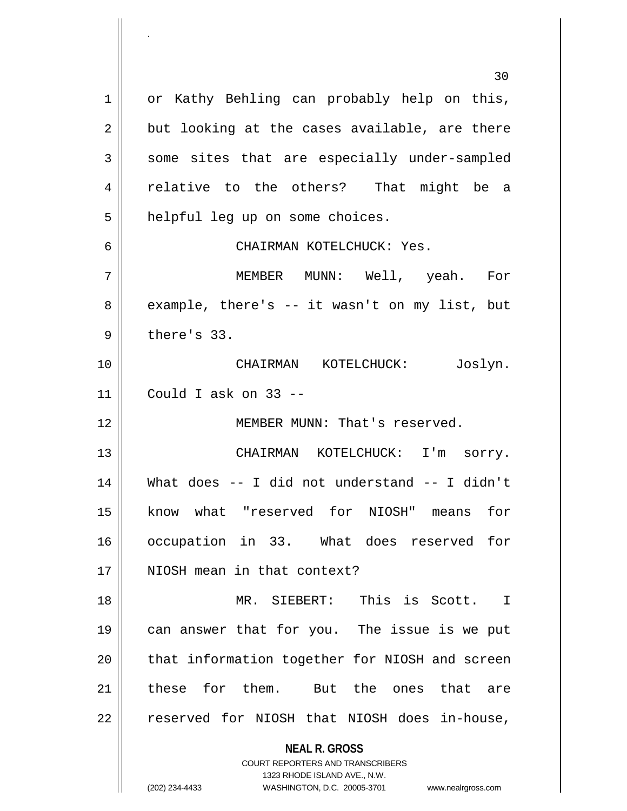**NEAL R. GROSS** COURT REPORTERS AND TRANSCRIBERS 1323 RHODE ISLAND AVE., N.W. (202) 234-4433 WASHINGTON, D.C. 20005-3701 www.nealrgross.com 30 1 || or Kathy Behling can probably help on this,  $2 \parallel$  but looking at the cases available, are there  $3 \parallel$  some sites that are especially under-sampled 4 || relative to the others? That might be a 5 | helpful leg up on some choices. 6 CHAIRMAN KOTELCHUCK: Yes. 7 MEMBER MUNN: Well, yeah. For  $8 \parallel$  example, there's -- it wasn't on my list, but  $9 \parallel$  there's 33. 10 CHAIRMAN KOTELCHUCK: Joslyn. 11 Could I ask on 33 -- 12 MEMBER MUNN: That's reserved. 13 || CHAIRMAN KOTELCHUCK: I'm sorry. 14 What does -- I did not understand -- I didn't 15 || know what "reserved for NIOSH" means for 16 occupation in 33. What does reserved for 17 || NIOSH mean in that context? 18 MR. SIEBERT: This is Scott. I 19 can answer that for you. The issue is we put 20 || that information together for NIOSH and screen 21 ll these for them. But the ones that are 22 || reserved for NIOSH that NIOSH does in-house,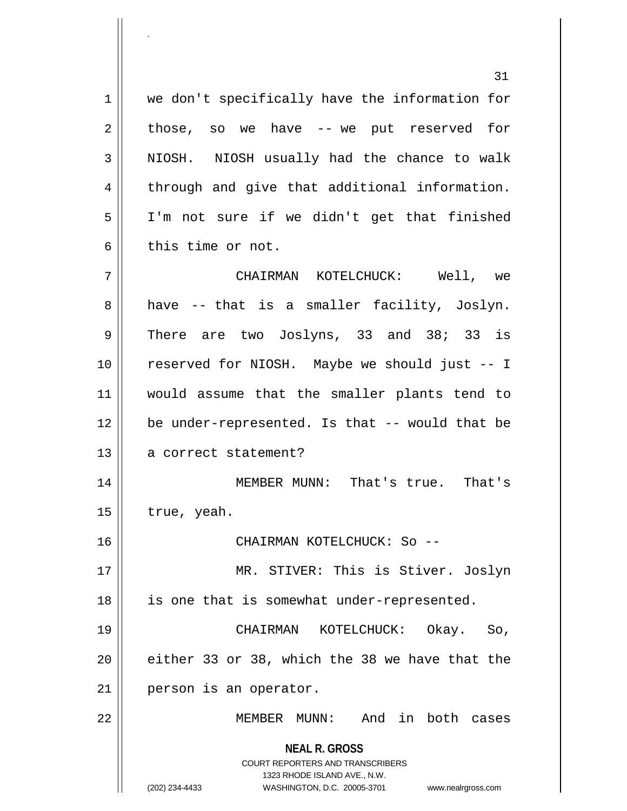**NEAL R. GROSS** COURT REPORTERS AND TRANSCRIBERS 1323 RHODE ISLAND AVE., N.W. (202) 234-4433 WASHINGTON, D.C. 20005-3701 www.nealrgross.com 31 1 || we don't specifically have the information for  $2 \parallel$  those, so we have -- we put reserved for 3 NIOSH. NIOSH usually had the chance to walk 4 || through and give that additional information. 5 I'm not sure if we didn't get that finished 6 this time or not. 7 CHAIRMAN KOTELCHUCK: Well, we  $8 \parallel$  have -- that is a smaller facility, Joslyn.  $9 \parallel$  There are two Joslyns, 33 and 38; 33 is 10 reserved for NIOSH. Maybe we should just -- I 11 would assume that the smaller plants tend to 12 || be under-represented. Is that -- would that be 13 || a correct statement? 14 MEMBER MUNN: That's true. That's  $15$  | true, yeah. 16 CHAIRMAN KOTELCHUCK: So -- 17 || MR. STIVER: This is Stiver. Joslyn 18 || is one that is somewhat under-represented. 19 CHAIRMAN KOTELCHUCK: Okay. So,  $20$  || either 33 or 38, which the 38 we have that the 21 | person is an operator. 22 MEMBER MUNN: And in both cases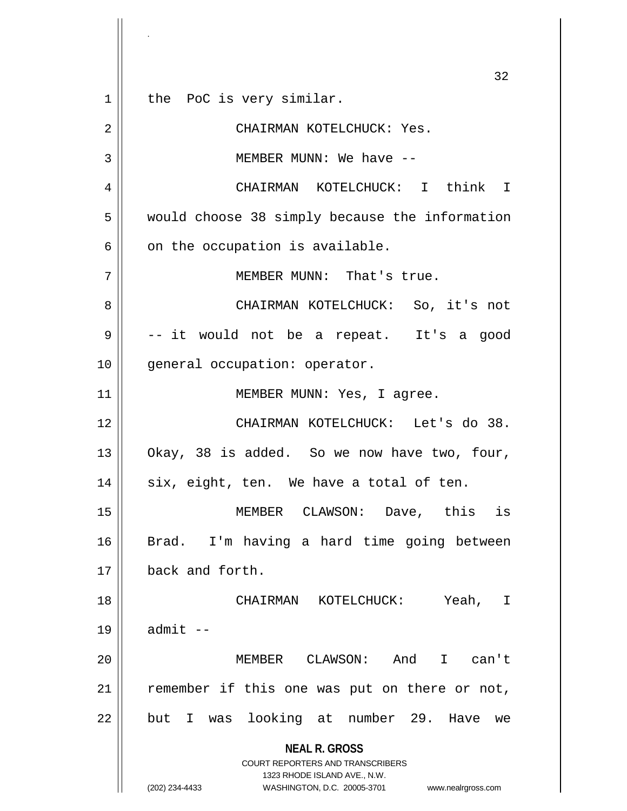**NEAL R. GROSS** COURT REPORTERS AND TRANSCRIBERS 1323 RHODE ISLAND AVE., N.W. (202) 234-4433 WASHINGTON, D.C. 20005-3701 www.nealrgross.com 32 1 || the PoC is very similar. 2 CHAIRMAN KOTELCHUCK: Yes. 3 MEMBER MUNN: We have -- 4 CHAIRMAN KOTELCHUCK: I think I 5 would choose 38 simply because the information  $6 \parallel$  on the occupation is available. 7 || MEMBER MUNN: That's true. 8 CHAIRMAN KOTELCHUCK: So, it's not  $9 \parallel$  -- it would not be a repeat. It's a good 10 || general occupation: operator. 11 || MEMBER MUNN: Yes, I agree. 12 CHAIRMAN KOTELCHUCK: Let's do 38. 13  $\parallel$  Okay, 38 is added. So we now have two, four,  $14 \parallel$  six, eight, ten. We have a total of ten. 15 MEMBER CLAWSON: Dave, this is 16 Brad. I'm having a hard time going between 17 back and forth. 18 CHAIRMAN KOTELCHUCK: Yeah, I  $19 \parallel$  admit  $-$ 20 MEMBER CLAWSON: And I can't 21 || remember if this one was put on there or not, 22 || but I was looking at number 29. Have we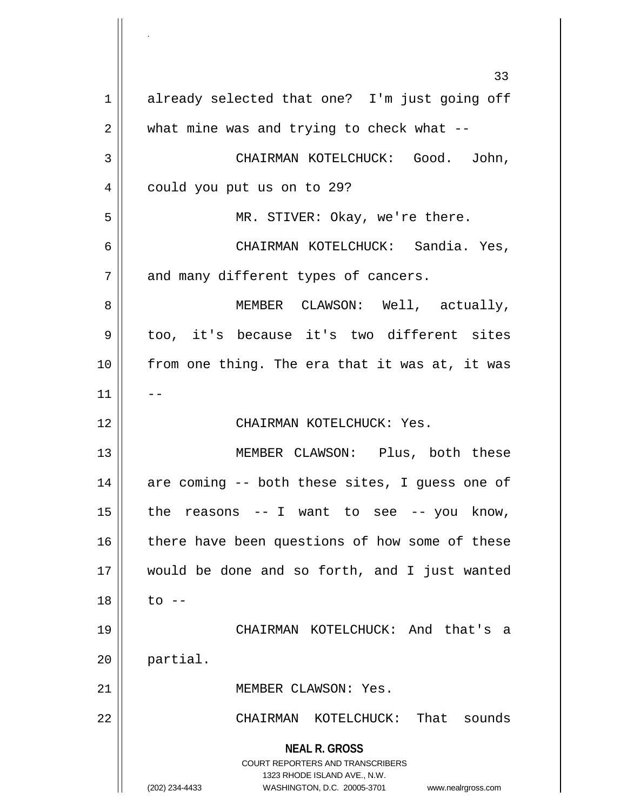**NEAL R. GROSS** COURT REPORTERS AND TRANSCRIBERS 1323 RHODE ISLAND AVE., N.W. (202) 234-4433 WASHINGTON, D.C. 20005-3701 www.nealrgross.com 33 1 already selected that one? I'm just going off  $2 \parallel$  what mine was and trying to check what --3 CHAIRMAN KOTELCHUCK: Good. John, 4 | could you put us on to 29? 5 MR. STIVER: Okay, we're there. 6 CHAIRMAN KOTELCHUCK: Sandia. Yes,  $7 \parallel$  and many different types of cancers. 8 MEMBER CLAWSON: Well, actually, 9 || too, it's because it's two different sites 10 from one thing. The era that it was at, it was  $11$ 12 CHAIRMAN KOTELCHUCK: Yes. 13 MEMBER CLAWSON: Plus, both these 14 || are coming -- both these sites, I guess one of  $15$  | the reasons -- I want to see -- you know, 16 || there have been questions of how some of these 17 would be done and so forth, and I just wanted  $18 \parallel$  to  $-$ 19 CHAIRMAN KOTELCHUCK: And that's a 20 partial. 21 | MEMBER CLAWSON: Yes. 22 CHAIRMAN KOTELCHUCK: That sounds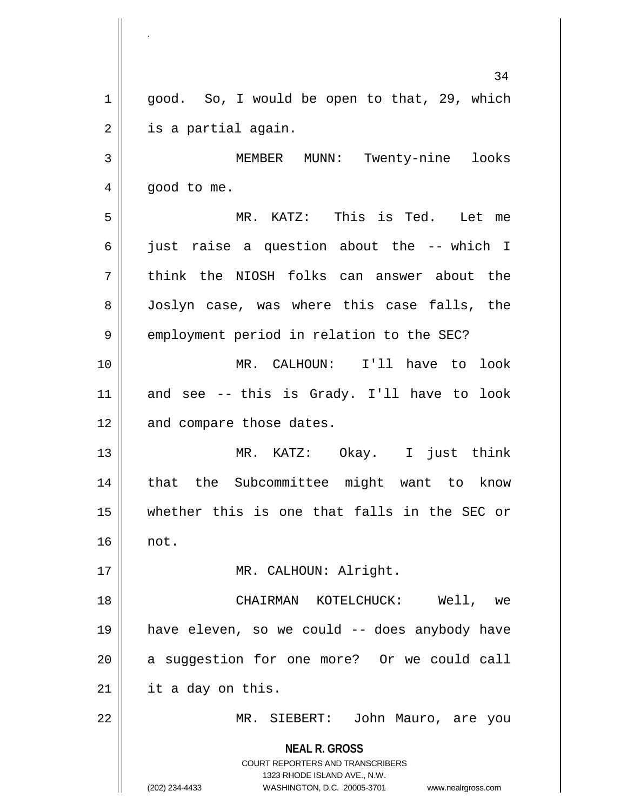**NEAL R. GROSS** COURT REPORTERS AND TRANSCRIBERS 1323 RHODE ISLAND AVE., N.W. (202) 234-4433 WASHINGTON, D.C. 20005-3701 www.nealrgross.com 34  $1 \parallel$  good. So, I would be open to that, 29, which  $2 \parallel$  is a partial again. 3 MEMBER MUNN: Twenty-nine looks  $4 \parallel$  good to me. 5 MR. KATZ: This is Ted. Let me 6 just raise a question about the -- which I  $7$   $\parallel$  think the NIOSH folks can answer about the 8 Joslyn case, was where this case falls, the 9 | employment period in relation to the SEC? 10 MR. CALHOUN: I'll have to look  $11$  and see -- this is Grady. I'll have to look 12 || and compare those dates. 13 || MR. KATZ: Okay. I just think 14 || that the Subcommittee might want to know 15 whether this is one that falls in the SEC or 16 not. 17 || MR. CALHOUN: Alright. 18 CHAIRMAN KOTELCHUCK: Well, we 19 have eleven, so we could -- does anybody have  $20$  || a suggestion for one more? Or we could call  $21$  | it a day on this. 22 || MR. SIEBERT: John Mauro, are you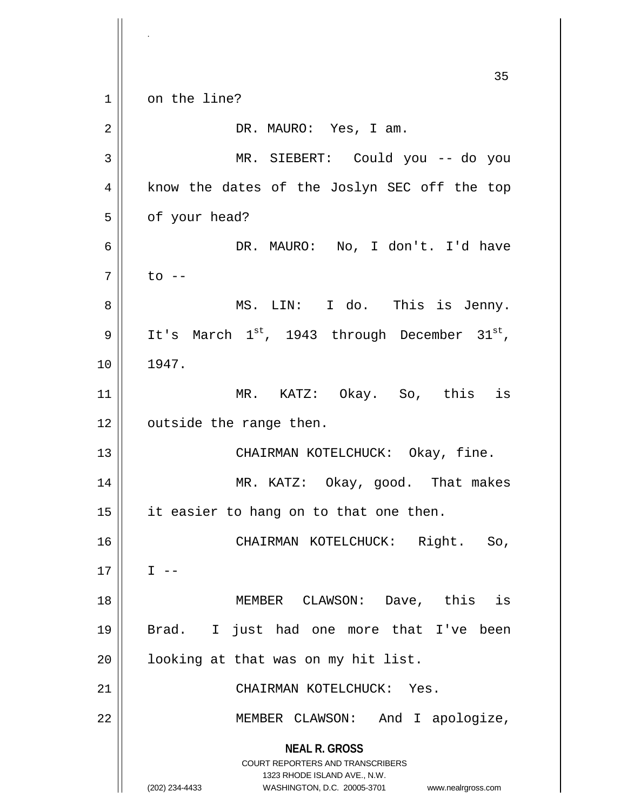**NEAL R. GROSS** COURT REPORTERS AND TRANSCRIBERS 1323 RHODE ISLAND AVE., N.W. (202) 234-4433 WASHINGTON, D.C. 20005-3701 www.nealrgross.com 35 1 on the line? 2 DR. MAURO: Yes, I am. 3 MR. SIEBERT: Could you -- do you 4 || know the dates of the Joslyn SEC off the top  $5 \parallel$  of your head? 6 DR. MAURO: No, I don't. I'd have  $7 \parallel$  to  $-$ 8 MS. LIN: I do. This is Jenny. 9 | It's March  $1^{st}$ , 1943 through December  $31^{st}$ , 10 1947. 11 MR. KATZ: Okay. So, this is 12 | outside the range then. 13 CHAIRMAN KOTELCHUCK: Okay, fine. 14 MR. KATZ: Okay, good. That makes  $15$  || it easier to hang on to that one then. 16 CHAIRMAN KOTELCHUCK: Right. So,  $17 \parallel \qquad I \text{ --}$ 18 MEMBER CLAWSON: Dave, this is 19 Brad. I just had one more that I've been  $20$  |  $\vert$  looking at that was on my hit list. 21 CHAIRMAN KOTELCHUCK: Yes. 22 MEMBER CLAWSON: And I apologize,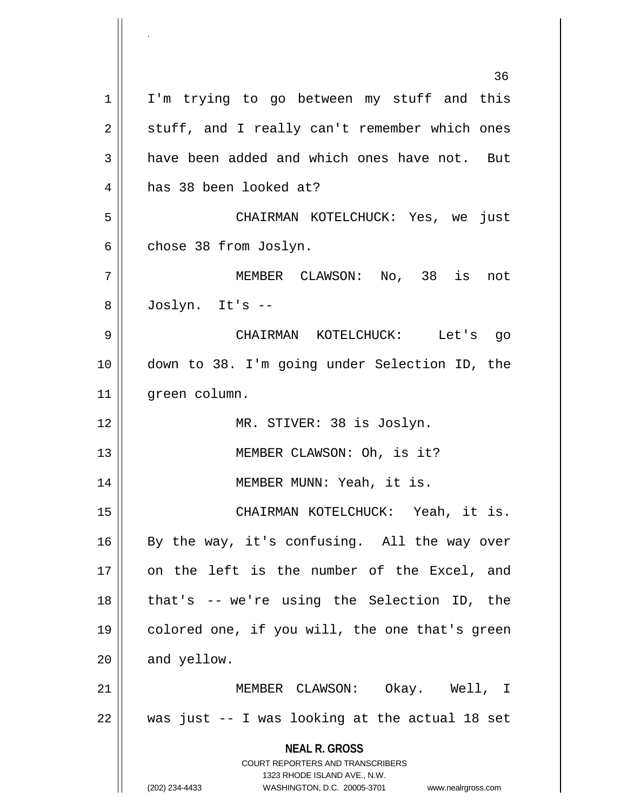**NEAL R. GROSS** COURT REPORTERS AND TRANSCRIBERS 1323 RHODE ISLAND AVE., N.W. (202) 234-4433 WASHINGTON, D.C. 20005-3701 www.nealrgross.com 36 1 || I'm trying to go between my stuff and this  $2 \parallel$  stuff, and I really can't remember which ones  $3 \parallel$  have been added and which ones have not. But 4 has 38 been looked at? 5 CHAIRMAN KOTELCHUCK: Yes, we just  $6 \parallel$  chose 38 from Joslyn. 7 MEMBER CLAWSON: No, 38 is not 8 Joslyn. It's -- 9 CHAIRMAN KOTELCHUCK: Let's go 10 down to 38. I'm going under Selection ID, the 11 | green column. 12 || MR. STIVER: 38 is Joslyn. 13 || MEMBER CLAWSON: Oh, is it? 14 || MEMBER MUNN: Yeah, it is. 15 CHAIRMAN KOTELCHUCK: Yeah, it is. 16 || By the way, it's confusing. All the way over 17 on the left is the number of the Excel, and  $18$  || that's -- we're using the Selection ID, the 19 || colored one, if you will, the one that's green  $20$  | and yellow. 21 MEMBER CLAWSON: Okay. Well, I  $22$  || was just  $-$  I was looking at the actual 18 set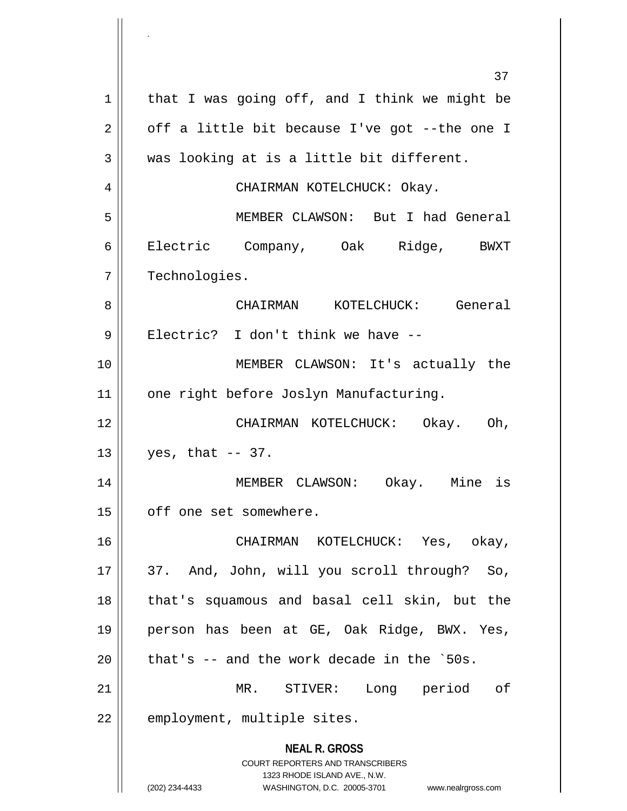**NEAL R. GROSS** COURT REPORTERS AND TRANSCRIBERS 1323 RHODE ISLAND AVE., N.W. (202) 234-4433 WASHINGTON, D.C. 20005-3701 www.nealrgross.com 37  $1 \parallel$  that I was going off, and I think we might be  $2 \parallel$  off a little bit because I've got --the one I  $3 \parallel$  was looking at is a little bit different. 4 CHAIRMAN KOTELCHUCK: Okay. 5 MEMBER CLAWSON: But I had General 6 Electric Company, Oak Ridge, BWXT 7 | Technologies. 8 CHAIRMAN KOTELCHUCK: General 9 || Electric? I don't think we have --10 MEMBER CLAWSON: It's actually the 11 | one right before Joslyn Manufacturing. 12 CHAIRMAN KOTELCHUCK: Okay. Oh,  $13 \parallel$  yes, that -- 37. 14 MEMBER CLAWSON: Okay. Mine is 15 | off one set somewhere. 16 CHAIRMAN KOTELCHUCK: Yes, okay, 17 || 37. And, John, will you scroll through? So, 18 || that's squamous and basal cell skin, but the 19 person has been at GE, Oak Ridge, BWX. Yes,  $20$  | that's  $-$  and the work decade in the `50s. 21 MR. STIVER: Long period of 22 | employment, multiple sites.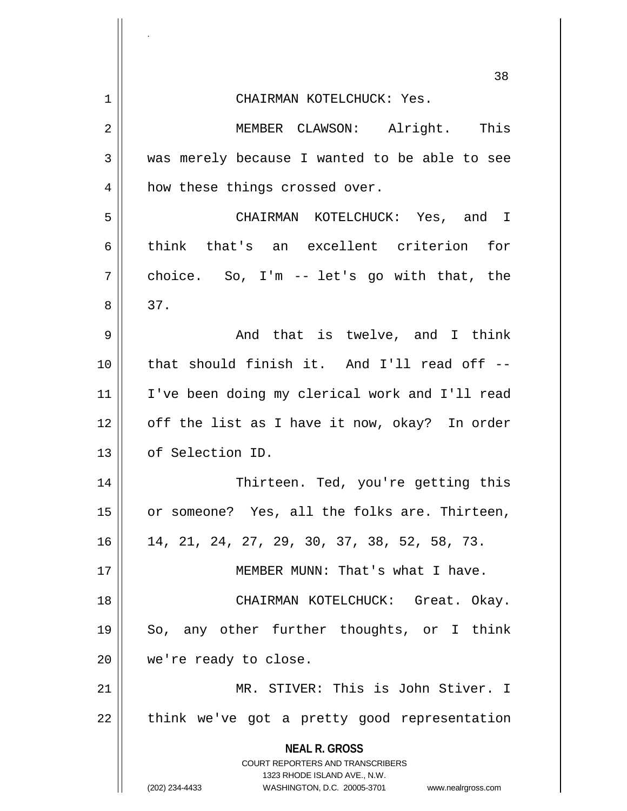|    | 38                                                                                                                                                                  |
|----|---------------------------------------------------------------------------------------------------------------------------------------------------------------------|
| 1  | CHAIRMAN KOTELCHUCK: Yes.                                                                                                                                           |
| 2  | MEMBER CLAWSON: Alright. This                                                                                                                                       |
| 3  | was merely because I wanted to be able to see                                                                                                                       |
| 4  | how these things crossed over.                                                                                                                                      |
| 5  | CHAIRMAN KOTELCHUCK: Yes, and I                                                                                                                                     |
| 6  | think that's an excellent criterion for                                                                                                                             |
| 7  | choice. So, $I'm$ -- let's go with that, the                                                                                                                        |
| 8  | 37.                                                                                                                                                                 |
| 9  | And that is twelve, and I think                                                                                                                                     |
| 10 | that should finish it. And I'll read off --                                                                                                                         |
| 11 | I've been doing my clerical work and I'll read                                                                                                                      |
| 12 | off the list as I have it now, okay? In order                                                                                                                       |
| 13 | of Selection ID.                                                                                                                                                    |
| 14 | Thirteen. Ted, you're getting this                                                                                                                                  |
| 15 | or someone? Yes, all the folks are. Thirteen,                                                                                                                       |
| 16 | 14, 21, 24, 27, 29, 30, 37, 38, 52, 58, 73.                                                                                                                         |
| 17 | MEMBER MUNN: That's what I have.                                                                                                                                    |
| 18 | CHAIRMAN KOTELCHUCK: Great. Okay.                                                                                                                                   |
| 19 | So, any other further thoughts, or I think                                                                                                                          |
| 20 | we're ready to close.                                                                                                                                               |
| 21 | MR. STIVER: This is John Stiver. I                                                                                                                                  |
| 22 | think we've got a pretty good representation                                                                                                                        |
|    | <b>NEAL R. GROSS</b><br><b>COURT REPORTERS AND TRANSCRIBERS</b><br>1323 RHODE ISLAND AVE., N.W.<br>(202) 234-4433<br>WASHINGTON, D.C. 20005-3701 www.nealrgross.com |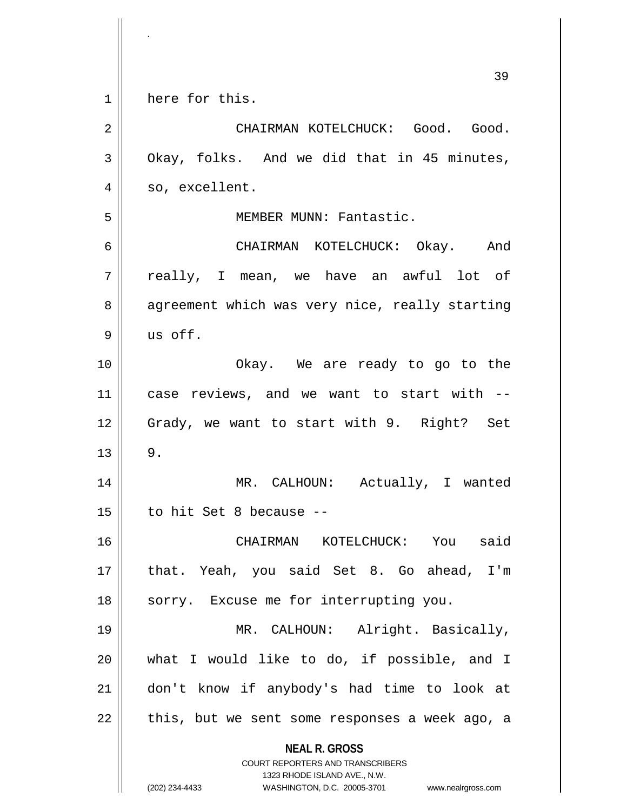|    | 39                                                                                               |
|----|--------------------------------------------------------------------------------------------------|
| 1  | here for this.                                                                                   |
| 2  | CHAIRMAN KOTELCHUCK: Good. Good.                                                                 |
| 3  | Okay, folks. And we did that in 45 minutes,                                                      |
| 4  | so, excellent.                                                                                   |
| 5  | MEMBER MUNN: Fantastic.                                                                          |
| 6  | CHAIRMAN KOTELCHUCK: Okay. And                                                                   |
| 7  | really, I mean, we have an awful lot of                                                          |
| 8  | agreement which was very nice, really starting                                                   |
| 9  | us off.                                                                                          |
| 10 | Okay. We are ready to go to the                                                                  |
| 11 | case reviews, and we want to start with --                                                       |
| 12 | Grady, we want to start with 9. Right? Set                                                       |
| 13 | $9$ .                                                                                            |
| 14 | MR. CALHOUN: Actually, I wanted                                                                  |
| 15 | to hit Set 8 because --                                                                          |
| 16 | CHAIRMAN KOTELCHUCK: You said                                                                    |
| 17 | that. Yeah, you said Set 8. Go ahead, I'm                                                        |
| 18 | sorry. Excuse me for interrupting you.                                                           |
| 19 | MR. CALHOUN: Alright. Basically,                                                                 |
| 20 | what I would like to do, if possible, and I                                                      |
| 21 | don't know if anybody's had time to look at                                                      |
| 22 | this, but we sent some responses a week ago, a                                                   |
|    | <b>NEAL R. GROSS</b><br><b>COURT REPORTERS AND TRANSCRIBERS</b>                                  |
|    | 1323 RHODE ISLAND AVE., N.W.<br>(202) 234-4433<br>WASHINGTON, D.C. 20005-3701 www.nealrgross.com |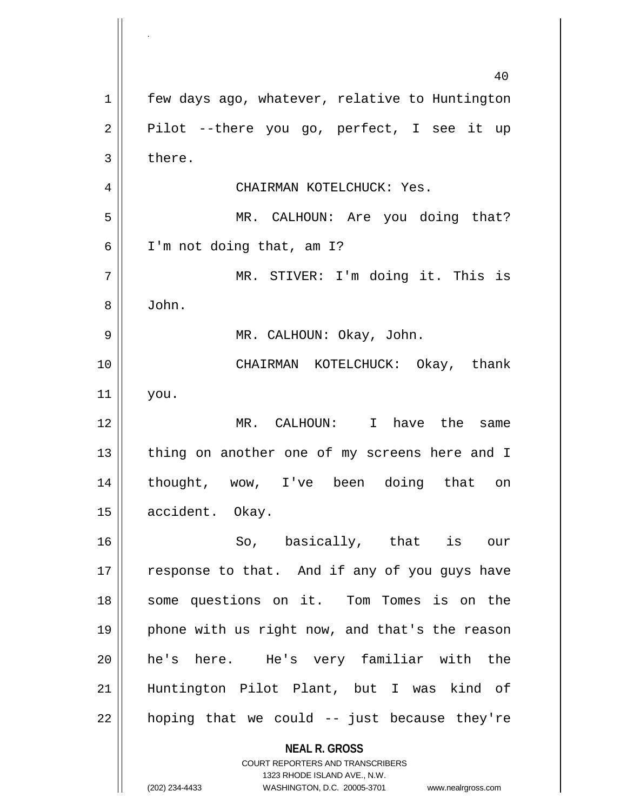**NEAL R. GROSS** COURT REPORTERS AND TRANSCRIBERS 1323 RHODE ISLAND AVE., N.W. 1 | few days ago, whatever, relative to Huntington  $2 \parallel$  Pilot --there you go, perfect, I see it up  $3 \parallel$  there. CHAIRMAN KOTELCHUCK: Yes. MR. CALHOUN: Are you doing that?  $6 \parallel$  I'm not doing that, am I? MR. STIVER: I'm doing it. This is John. MR. CALHOUN: Okay, John. CHAIRMAN KOTELCHUCK: Okay, thank you. MR. CALHOUN: I have the same || thing on another one of my screens here and I thought, wow, I've been doing that on 15 | accident. Okay. So, basically, that is our  $\parallel$  response to that. And if any of you guys have some questions on it. Tom Tomes is on the 19 || phone with us right now, and that's the reason he's here. He's very familiar with the Huntington Pilot Plant, but I was kind of || hoping that we could  $-$  just because they're

.

(202) 234-4433 WASHINGTON, D.C. 20005-3701 www.nealrgross.com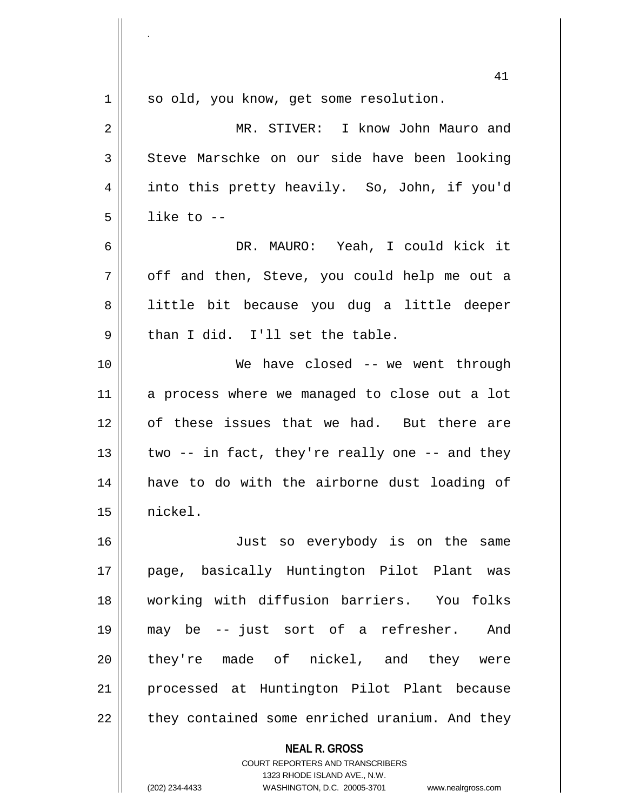|    | 41                                                                      |
|----|-------------------------------------------------------------------------|
| 1  | so old, you know, get some resolution.                                  |
| 2  | MR. STIVER: I know John Mauro and                                       |
| 3  | Steve Marschke on our side have been looking                            |
| 4  | into this pretty heavily. So, John, if you'd                            |
| 5  | like to $-$                                                             |
| 6  | DR. MAURO: Yeah, I could kick it                                        |
| 7  | off and then, Steve, you could help me out a                            |
| 8  | little bit because you dug a little deeper                              |
| 9  | than I did. I'll set the table.                                         |
| 10 | We have closed -- we went through                                       |
| 11 | a process where we managed to close out a lot                           |
| 12 | of these issues that we had. But there are                              |
| 13 | two -- in fact, they're really one -- and they                          |
| 14 | have to do with the airborne dust loading of                            |
| 15 | nickel.                                                                 |
| 16 | Just so everybody is on the same                                        |
| 17 | page, basically Huntington Pilot Plant was                              |
| 18 | working with diffusion barriers. You folks                              |
| 19 | may be -- just sort of a refresher.<br>And                              |
| 20 | they're made of nickel, and they were                                   |
| 21 | processed at Huntington Pilot Plant because                             |
| 22 | they contained some enriched uranium. And they                          |
|    | <b>NEAL R. GROSS</b>                                                    |
|    | <b>COURT REPORTERS AND TRANSCRIBERS</b><br>1323 RHODE ISLAND AVE., N.W. |
|    | (202) 234-4433<br>WASHINGTON, D.C. 20005-3701<br>www.nealrgross.com     |

.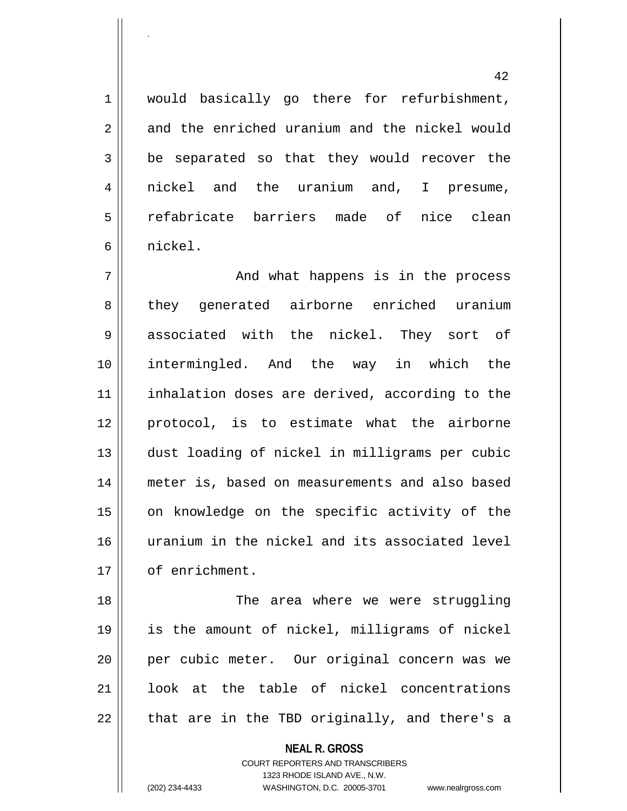1 || would basically go there for refurbishment, 2 and the enriched uranium and the nickel would  $3 \parallel$  be separated so that they would recover the 4 nickel and the uranium and, I presume, 5 || refabricate barriers made of nice clean 6 nickel.

7 And what happens is in the process 8 they generated airborne enriched uranium 9 associated with the nickel. They sort of 10 intermingled. And the way in which the 11 || inhalation doses are derived, according to the 12 || protocol, is to estimate what the airborne 13 dust loading of nickel in milligrams per cubic 14 meter is, based on measurements and also based 15 || on knowledge on the specific activity of the 16 uranium in the nickel and its associated level 17 | of enrichment.

 The area where we were struggling is the amount of nickel, milligrams of nickel per cubic meter. Our original concern was we look at the table of nickel concentrations || that are in the TBD originally, and there's a

> **NEAL R. GROSS** COURT REPORTERS AND TRANSCRIBERS 1323 RHODE ISLAND AVE., N.W. (202) 234-4433 WASHINGTON, D.C. 20005-3701 www.nealrgross.com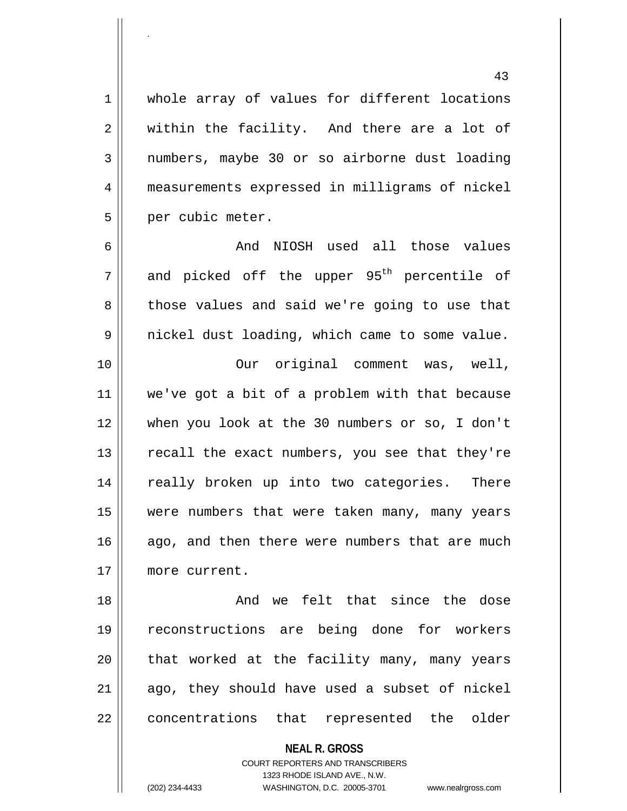1 || whole array of values for different locations  $2 \parallel$  within the facility. And there are a lot of 3 || numbers, maybe 30 or so airborne dust loading 4 measurements expressed in milligrams of nickel 5 | per cubic meter.

.

 And NIOSH used all those values and picked off the upper 95<sup>th</sup> percentile of 8 those values and said we're going to use that nickel dust loading, which came to some value.

 Our original comment was, well, 11 || we've got a bit of a problem with that because when you look at the 30 numbers or so, I don't || recall the exact numbers, you see that they're 14 || really broken up into two categories. There were numbers that were taken many, many years 16 ago, and then there were numbers that are much more current.

18 || The Contract Character Character in the dose the dose 19 reconstructions are being done for workers  $20$  || that worked at the facility many, many years  $21$  ago, they should have used a subset of nickel 22 || concentrations that represented the older

> **NEAL R. GROSS** COURT REPORTERS AND TRANSCRIBERS 1323 RHODE ISLAND AVE., N.W. (202) 234-4433 WASHINGTON, D.C. 20005-3701 www.nealrgross.com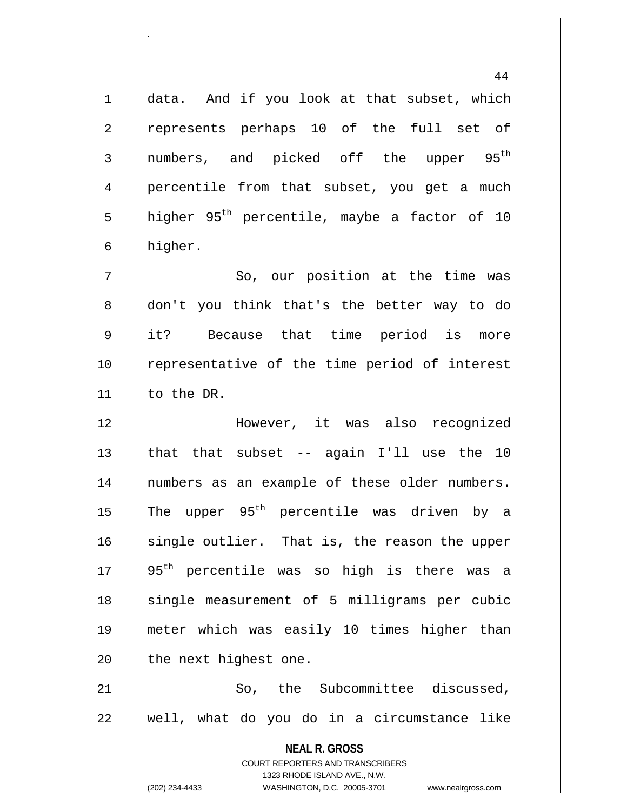**NEAL R. GROSS** COURT REPORTERS AND TRANSCRIBERS 1323 RHODE ISLAND AVE., N.W. 1 data. And if you look at that subset, which 2 || represents perhaps 10 of the full set of  $3$  mumbers, and picked off the upper  $95^{\text{th}}$ 4 || percentile from that subset, you get a much 5 | higher 95<sup>th</sup> percentile, maybe a factor of 10 6 higher. 7 || So, our position at the time was 8 don't you think that's the better way to do 9 it? Because that time period is more 10 || representative of the time period of interest 11 to the DR. 12 However, it was also recognized  $13$  || that that subset -- again I'll use the 10 14 numbers as an example of these older numbers. 15  $\parallel$  The upper 95<sup>th</sup> percentile was driven by a  $16$  single outlier. That is, the reason the upper  $17$  || 95<sup>th</sup> percentile was so high is there was a 18 || single measurement of 5 milligrams per cubic 19 meter which was easily 10 times higher than  $20$  | the next highest one.  $21$   $\parallel$  So, the Subcommittee discussed.  $22 \parallel$  well, what do you do in a circumstance like

.

(202) 234-4433 WASHINGTON, D.C. 20005-3701 www.nealrgross.com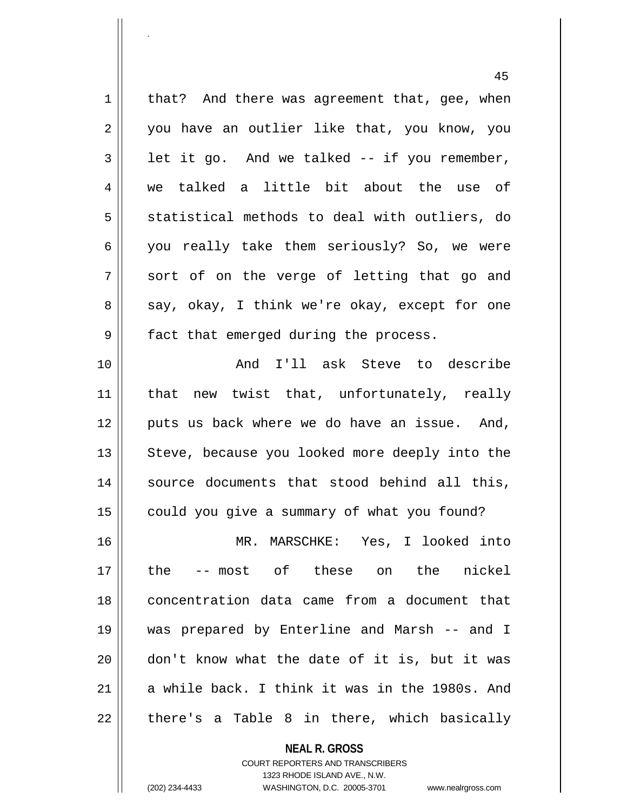45  $1 ||$  that? And there was agreement that, gee, when 2 || you have an outlier like that, you know, you  $3 \parallel$  let it go. And we talked -- if you remember, 4 we talked a little bit about the use of  $5 \parallel$  statistical methods to deal with outliers, do 6  $\parallel$  you really take them seriously? So, we were  $7 \parallel$  sort of on the verge of letting that go and 8 say, okay, I think we're okay, except for one  $9 \parallel$  fact that emerged during the process. 10 And I'll ask Steve to describe 11 || that new twist that, unfortunately, really 12 || puts us back where we do have an issue. And,  $13$  Steve, because you looked more deeply into the 14 || source documents that stood behind all this, 15 | could you give a summary of what you found? 16 MR. MARSCHKE: Yes, I looked into 17 the -- most of these on the nickel 18 concentration data came from a document that 19 was prepared by Enterline and Marsh -- and I 20 don't know what the date of it is, but it was 21  $\parallel$  a while back. I think it was in the 1980s. And  $22 \parallel$  there's a Table 8 in there, which basically

> **NEAL R. GROSS** COURT REPORTERS AND TRANSCRIBERS 1323 RHODE ISLAND AVE., N.W. (202) 234-4433 WASHINGTON, D.C. 20005-3701 www.nealrgross.com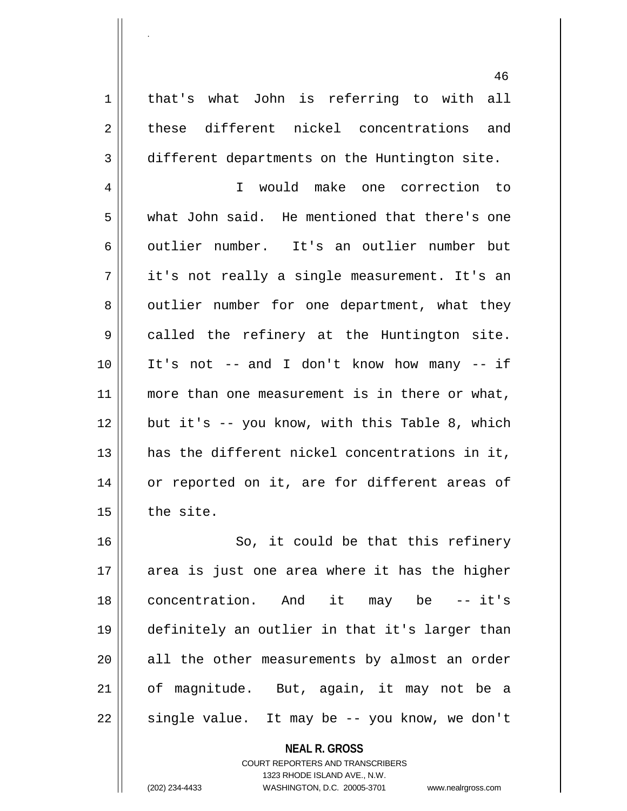1 | that's what John is referring to with all 2 these different nickel concentrations and 3 different departments on the Huntington site.

.

4 I would make one correction to 5 what John said. He mentioned that there's one 6 outlier number. It's an outlier number but  $7 \parallel$  it's not really a single measurement. It's an 8 | outlier number for one department, what they 9 || called the refinery at the Huntington site. 10 It's not -- and I don't know how many -- if 11 || more than one measurement is in there or what, 12 || but it's -- you know, with this Table 8, which 13 has the different nickel concentrations in it, 14 || or reported on it, are for different areas of  $15$  | the site.

16 || So, it could be that this refinery 17 || area is just one area where it has the higher 18 concentration. And it may be -- it's 19 definitely an outlier in that it's larger than  $20$  || all the other measurements by almost an order 21 of magnitude. But, again, it may not be a  $22 \parallel$  single value. It may be -- you know, we don't

> **NEAL R. GROSS** COURT REPORTERS AND TRANSCRIBERS 1323 RHODE ISLAND AVE., N.W. (202) 234-4433 WASHINGTON, D.C. 20005-3701 www.nealrgross.com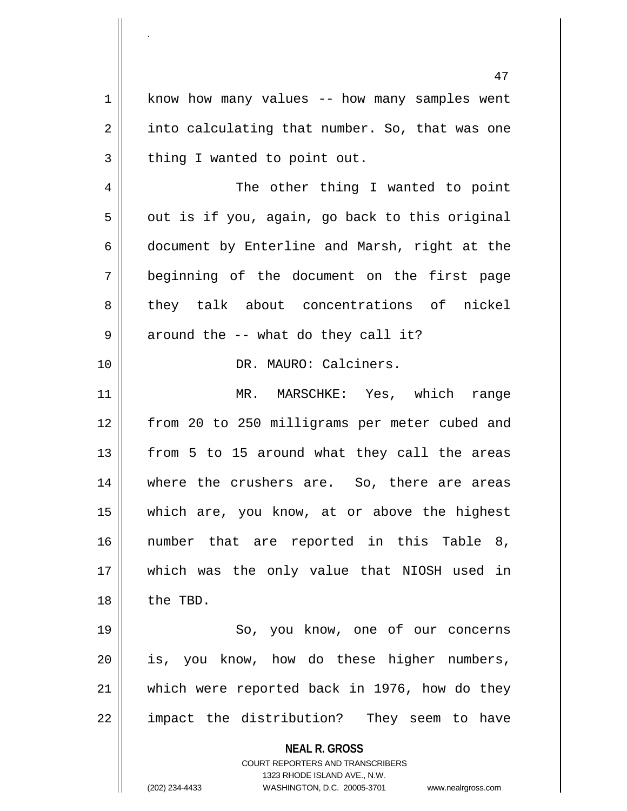1 || know how many values -- how many samples went  $2 \parallel$  into calculating that number. So, that was one  $3 \parallel$  thing I wanted to point out.

4 || The other thing I wanted to point  $5 \parallel$  out is if you, again, go back to this original  $6 \parallel$  document by Enterline and Marsh, right at the 7 beginning of the document on the first page 8 they talk about concentrations of nickel  $9 \parallel$  around the -- what do they call it?

10 DR. MAURO: Calciners.

 MR. MARSCHKE: Yes, which range from 20 to 250 milligrams per meter cubed and from 5 to 15 around what they call the areas 14 || where the crushers are. So, there are areas which are, you know, at or above the highest number that are reported in this Table 8, which was the only value that NIOSH used in 18 || the TBD.

19 || So, you know, one of our concerns is, you know, how do these higher numbers, which were reported back in 1976, how do they || impact the distribution? They seem to have

> **NEAL R. GROSS** COURT REPORTERS AND TRANSCRIBERS

> > 1323 RHODE ISLAND AVE., N.W.

(202) 234-4433 WASHINGTON, D.C. 20005-3701 www.nealrgross.com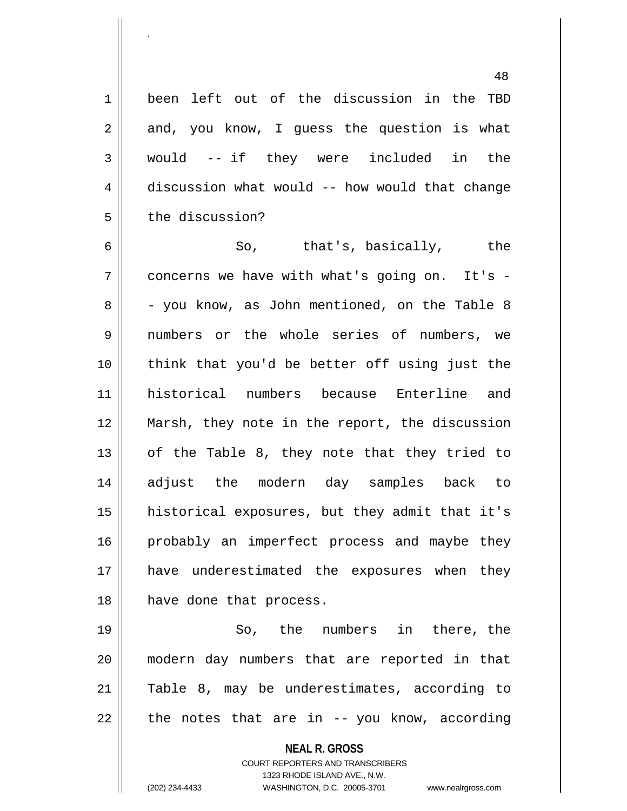1 || been left out of the discussion in the TBD  $2 \parallel$  and, you know, I guess the question is what 3 would -- if they were included in the 4 discussion what would -- how would that change 5 | the discussion?

 So, that's, basically, the  $7 \parallel$  concerns we have with what's going on. It's - $8 \parallel$  - you know, as John mentioned, on the Table 8 numbers or the whole series of numbers, we 10 || think that you'd be better off using just the historical numbers because Enterline and Marsh, they note in the report, the discussion  $\parallel$  of the Table 8, they note that they tried to adjust the modern day samples back to historical exposures, but they admit that it's 16 || probably an imperfect process and maybe they have underestimated the exposures when they 18 || have done that process.

 So, the numbers in there, the modern day numbers that are reported in that Table 8, may be underestimates, according to || the notes that are in -- you know, according

**NEAL R. GROSS**

COURT REPORTERS AND TRANSCRIBERS 1323 RHODE ISLAND AVE., N.W. (202) 234-4433 WASHINGTON, D.C. 20005-3701 www.nealrgross.com

.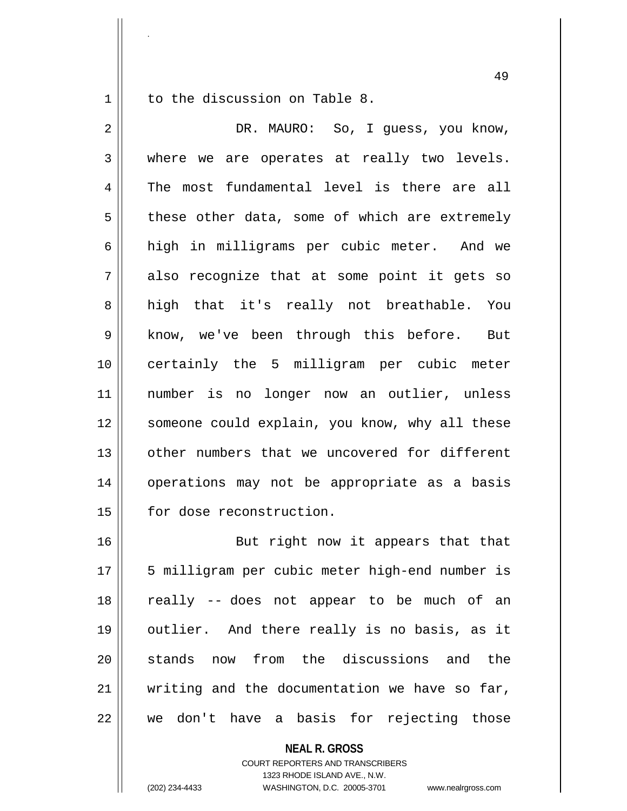1 | to the discussion on Table 8.

.

2 DR. MAURO: So, I guess, you know, 3 where we are operates at really two levels. 4 The most fundamental level is there are all  $5 \parallel$  these other data, some of which are extremely 6 high in milligrams per cubic meter. And we  $7 \parallel$  also recognize that at some point it gets so 8 || high that it's really not breathable. You 9 || know, we've been through this before. But 10 certainly the 5 milligram per cubic meter 11 number is no longer now an outlier, unless 12 || someone could explain, you know, why all these 13 || other numbers that we uncovered for different 14 || operations may not be appropriate as a basis 15 | for dose reconstruction.

16 || But right now it appears that that 17 || 5 milligram per cubic meter high-end number is 18 really -- does not appear to be much of an 19 || outlier. And there really is no basis, as it 20 Stands now from the discussions and the 21  $\parallel$  writing and the documentation we have so far, 22 we don't have a basis for rejecting those

> **NEAL R. GROSS** COURT REPORTERS AND TRANSCRIBERS 1323 RHODE ISLAND AVE., N.W. (202) 234-4433 WASHINGTON, D.C. 20005-3701 www.nealrgross.com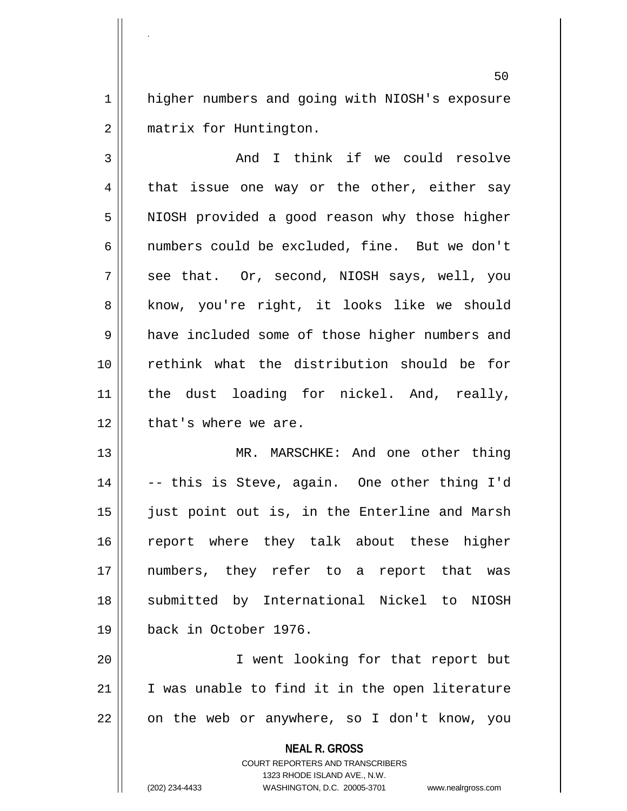1 | higher numbers and going with NIOSH's exposure 2 | matrix for Huntington.

.

3 And I think if we could resolve  $4 \parallel$  that issue one way or the other, either say 5 | NIOSH provided a good reason why those higher 6 || numbers could be excluded, fine. But we don't  $7 \parallel$  see that. Or, second, NIOSH says, well, you 8 || know, you're right, it looks like we should 9 | have included some of those higher numbers and 10 rethink what the distribution should be for 11 || the dust loading for nickel. And, really, 12 || that's where we are.

13 MR. MARSCHKE: And one other thing 14 || -- this is Steve, again. One other thing I'd 15 || just point out is, in the Enterline and Marsh 16 || report where they talk about these higher 17 numbers, they refer to a report that was 18 || submitted by International Nickel to NIOSH 19 back in October 1976.

20 I went looking for that report but  $21$  | I was unable to find it in the open literature  $22$  | on the web or anywhere, so I don't know, you

**NEAL R. GROSS**

COURT REPORTERS AND TRANSCRIBERS 1323 RHODE ISLAND AVE., N.W. (202) 234-4433 WASHINGTON, D.C. 20005-3701 www.nealrgross.com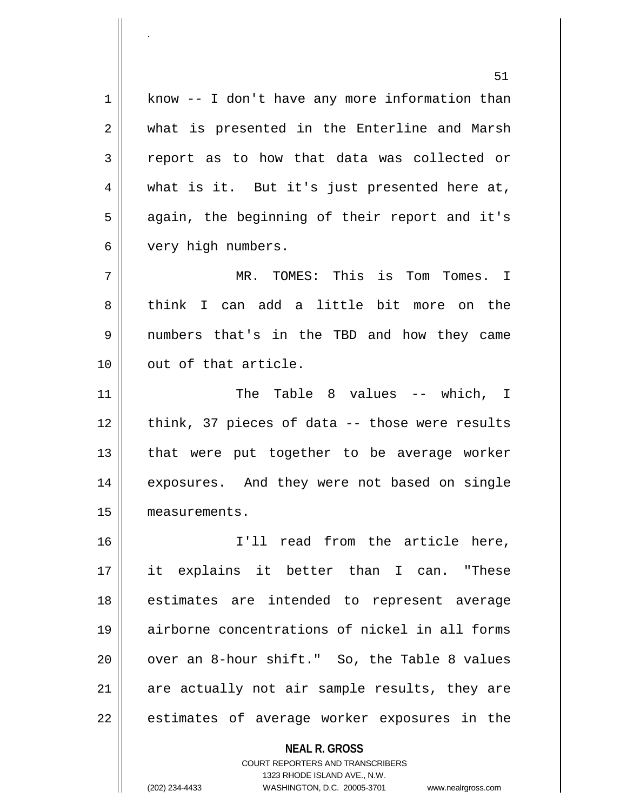$1 \parallel$  know -- I don't have any more information than 2 || what is presented in the Enterline and Marsh 3 report as to how that data was collected or 4 what is it. But it's just presented here at, 5 || again, the beginning of their report and it's 6 very high numbers. 7 MR. TOMES: This is Tom Tomes. I 8 think I can add a little bit more on the 9 numbers that's in the TBD and how they came 10 || out of that article. 11 The Table 8 values -- which, I 12 || think, 37 pieces of data -- those were results 13 || that were put together to be average worker 14 || exposures. And they were not based on single 15 measurements. 16 I'll read from the article here, 17 it explains it better than I can. "These 18 estimates are intended to represent average 19 airborne concentrations of nickel in all forms  $20$  || over an 8-hour shift." So, the Table 8 values  $21$  are actually not air sample results, they are  $22$  || estimates of average worker exposures in the

> COURT REPORTERS AND TRANSCRIBERS 1323 RHODE ISLAND AVE., N.W. (202) 234-4433 WASHINGTON, D.C. 20005-3701 www.nealrgross.com

**NEAL R. GROSS**

<sup>51</sup>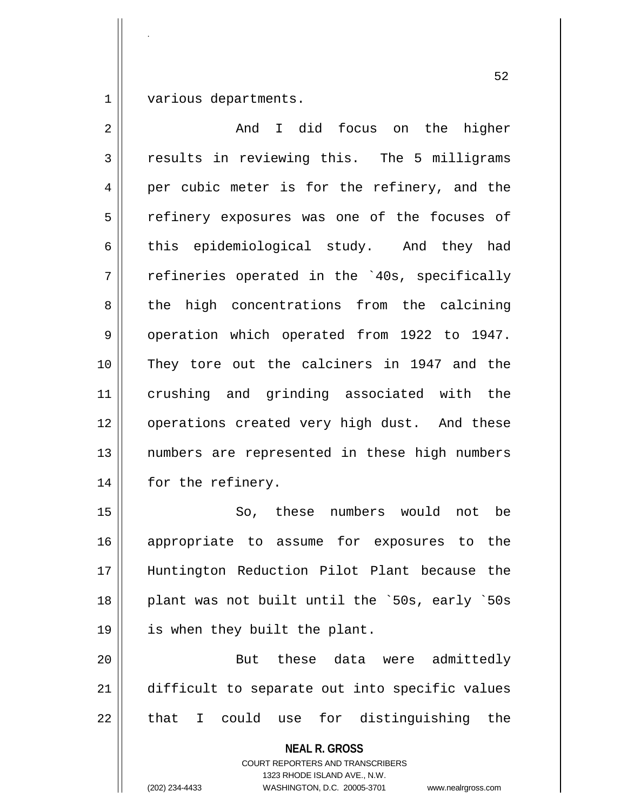1 various departments.

.

2 And I did focus on the higher  $3 \parallel$  results in reviewing this. The 5 milligrams 4 per cubic meter is for the refinery, and the 5 || refinery exposures was one of the focuses of 6 this epidemiological study. And they had  $7 \parallel$  refineries operated in the `40s, specifically 8 the high concentrations from the calcining 9 || operation which operated from 1922 to 1947. 10 They tore out the calciners in 1947 and the 11 crushing and grinding associated with the 12 || operations created very high dust. And these 13 || numbers are represented in these high numbers 14 | for the refinery. 15 So, these numbers would not be 16 || appropriate to assume for exposures to the 17 Huntington Reduction Pilot Plant because the 18 || plant was not built until the `50s, early `50s 19 || is when they built the plant. 20 || But these data were admittedly 21 | difficult to separate out into specific values  $22 \parallel$  that I could use for distinguishing the

> **NEAL R. GROSS** COURT REPORTERS AND TRANSCRIBERS 1323 RHODE ISLAND AVE., N.W.

(202) 234-4433 WASHINGTON, D.C. 20005-3701 www.nealrgross.com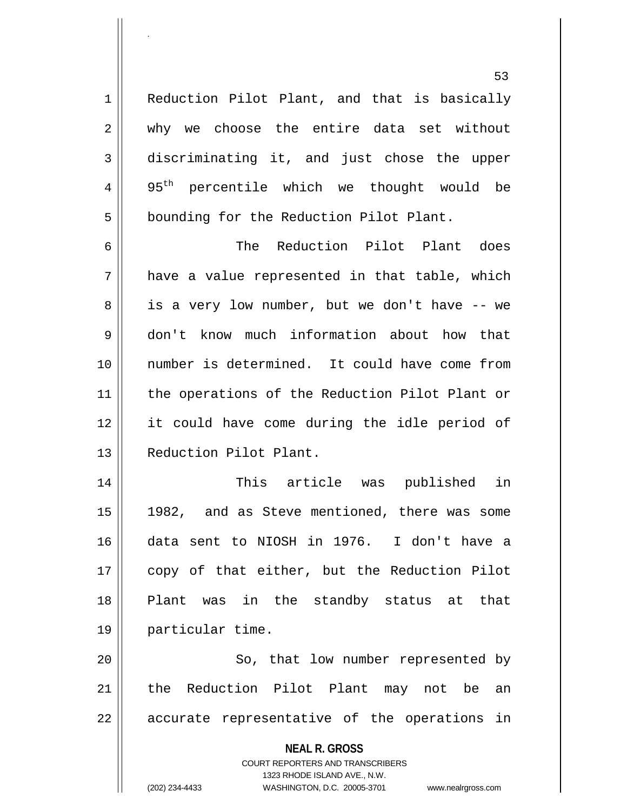1 | Reduction Pilot Plant, and that is basically 2 why we choose the entire data set without 3 discriminating it, and just chose the upper  $4 \parallel 95^{th}$  percentile which we thought would be 5 | bounding for the Reduction Pilot Plant.

6 The Reduction Pilot Plant does  $7 \parallel$  have a value represented in that table, which 8 || is a very low number, but we don't have -- we 9 don't know much information about how that 10 number is determined. It could have come from 11 || the operations of the Reduction Pilot Plant or 12 it could have come during the idle period of 13 || Reduction Pilot Plant.

 This article was published in 1982, and as Steve mentioned, there was some data sent to NIOSH in 1976. I don't have a copy of that either, but the Reduction Pilot Plant was in the standby status at that particular time.

20 || So, that low number represented by 21 || the Reduction Pilot Plant may not be an 22 || accurate representative of the operations in

**NEAL R. GROSS**

COURT REPORTERS AND TRANSCRIBERS 1323 RHODE ISLAND AVE., N.W. (202) 234-4433 WASHINGTON, D.C. 20005-3701 www.nealrgross.com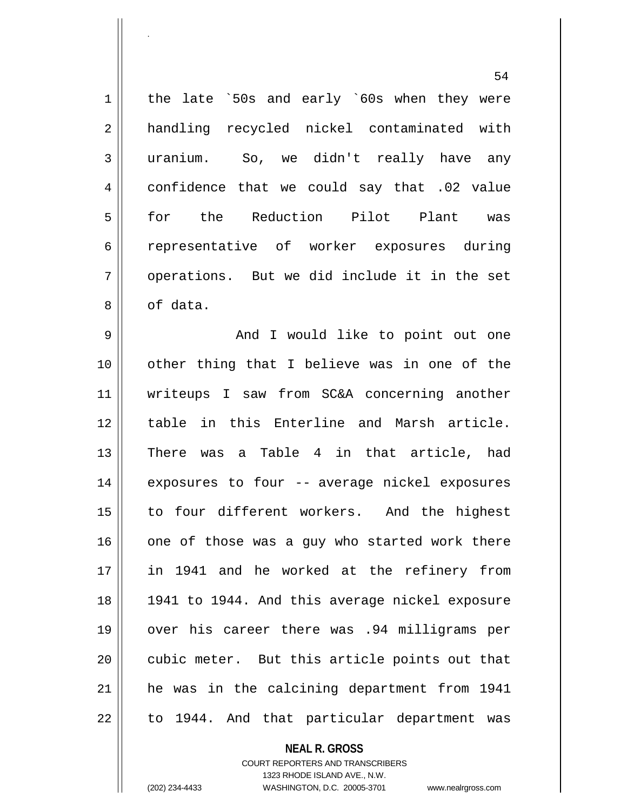1 | the late `50s and early `60s when they were 2 || handling recycled nickel contaminated with 3 uranium. So, we didn't really have any 4 confidence that we could say that .02 value 5 for the Reduction Pilot Plant was 6 representative of worker exposures during 7 || operations. But we did include it in the set 8 | of data.

 And I would like to point out one 10 || other thing that I believe was in one of the writeups I saw from SC&A concerning another 12 || table in this Enterline and Marsh article. There was a Table 4 in that article, had 14 || exposures to four -- average nickel exposures 15 || to four different workers. And the highest one of those was a guy who started work there in 1941 and he worked at the refinery from 1941 to 1944. And this average nickel exposure over his career there was .94 milligrams per 20 || cubic meter. But this article points out that he was in the calcining department from 1941 | to 1944. And that particular department was

## **NEAL R. GROSS**

COURT REPORTERS AND TRANSCRIBERS 1323 RHODE ISLAND AVE., N.W. (202) 234-4433 WASHINGTON, D.C. 20005-3701 www.nealrgross.com

.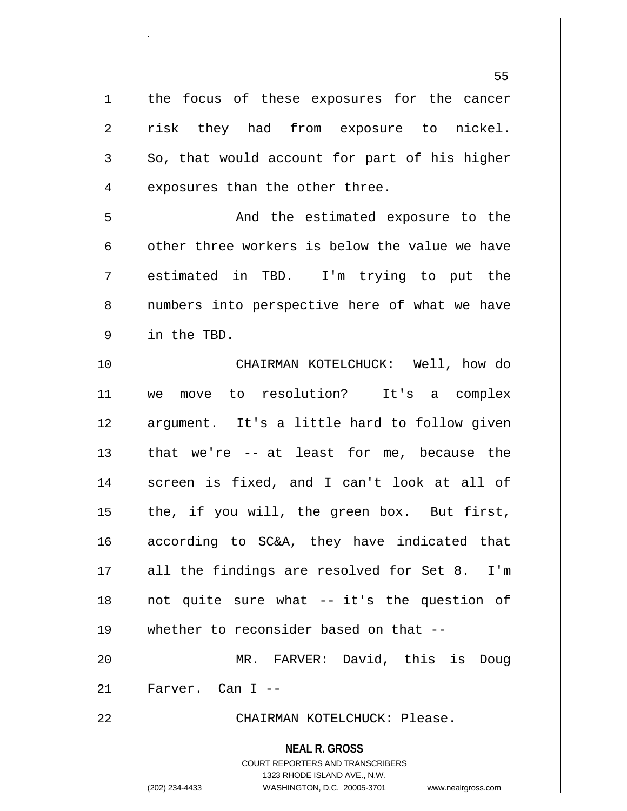**NEAL R. GROSS** COURT REPORTERS AND TRANSCRIBERS 1323 RHODE ISLAND AVE., N.W. (202) 234-4433 WASHINGTON, D.C. 20005-3701 www.nealrgross.com 55 1 || the focus of these exposures for the cancer 2 || risk they had from exposure to nickel.  $3 \parallel$  So, that would account for part of his higher  $4 \parallel$  exposures than the other three. 5 And the estimated exposure to the 6  $\parallel$  other three workers is below the value we have 7 estimated in TBD. I'm trying to put the 8 || numbers into perspective here of what we have 9 in the TBD. 10 || CHAIRMAN KOTELCHUCK: Well, how do 11 we move to resolution? It's a complex 12 || argument. It's a little hard to follow given 13 || that we're -- at least for me, because the 14 || screen is fixed, and I can't look at all of 15  $\parallel$  the, if you will, the green box. But first, 16 according to SC&A, they have indicated that 17 || all the findings are resolved for Set 8. I'm 18 not quite sure what -- it's the question of 19 whether to reconsider based on that -- 20 MR. FARVER: David, this is Doug  $21$  || Farver. Can I --22 CHAIRMAN KOTELCHUCK: Please.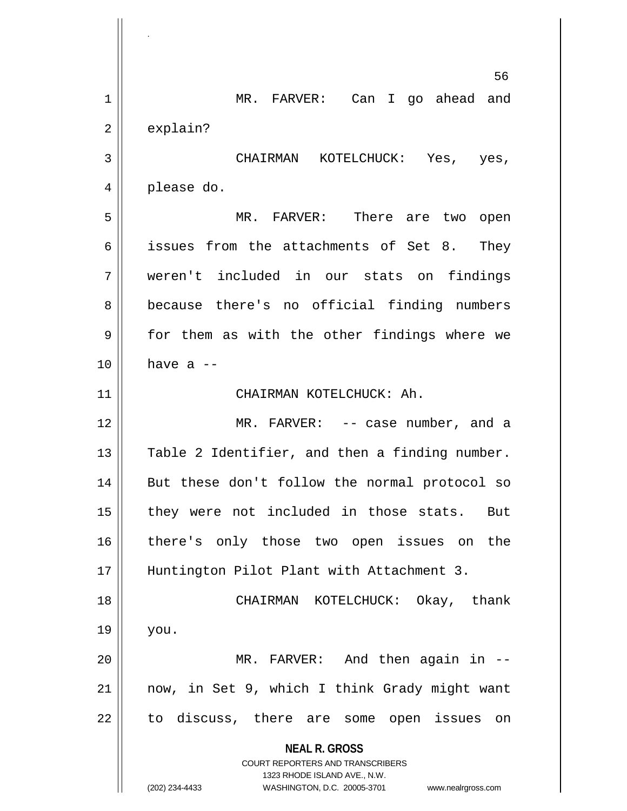**NEAL R. GROSS** COURT REPORTERS AND TRANSCRIBERS 1323 RHODE ISLAND AVE., N.W. (202) 234-4433 WASHINGTON, D.C. 20005-3701 www.nealrgross.com 56 1 || MR. FARVER: Can I go ahead and  $2 \parallel$  explain? 3 CHAIRMAN KOTELCHUCK: Yes, yes, 4 please do. 5 MR. FARVER: There are two open 6 issues from the attachments of Set 8. They 7 weren't included in our stats on findings 8 || because there's no official finding numbers 9 for them as with the other findings where we  $10$  | have a  $-$ 11 || CHAIRMAN KOTELCHUCK: Ah. 12 MR. FARVER: -- case number, and a 13 || Table 2 Identifier, and then a finding number. 14 || But these don't follow the normal protocol so 15 || they were not included in those stats. But 16 || there's only those two open issues on the 17 Huntington Pilot Plant with Attachment 3. 18 CHAIRMAN KOTELCHUCK: Okay, thank  $19 \parallel$  you. 20 MR. FARVER: And then again in -- 21 now, in Set 9, which I think Grady might want 22 || to discuss, there are some open issues on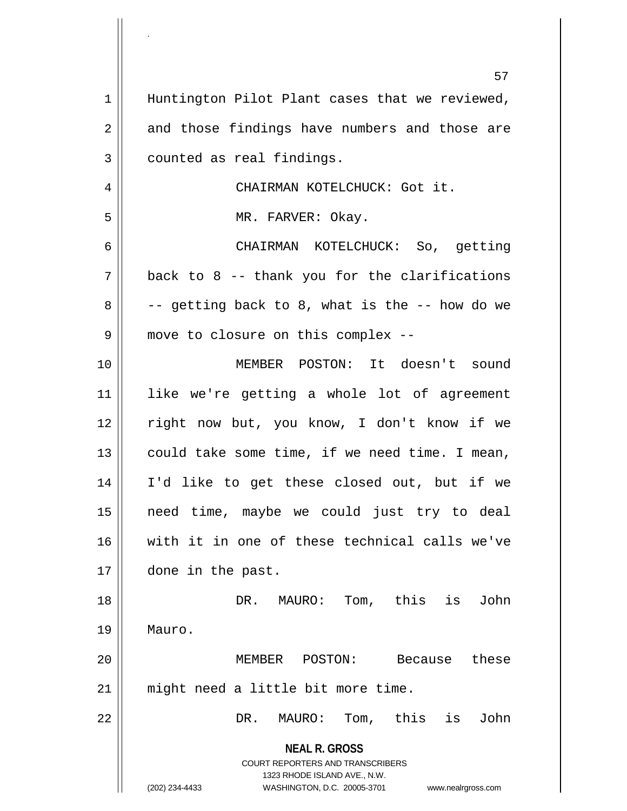|    | 57                                                                                       |
|----|------------------------------------------------------------------------------------------|
| 1  | Huntington Pilot Plant cases that we reviewed,                                           |
| 2  | and those findings have numbers and those are                                            |
| 3  | counted as real findings.                                                                |
| 4  | CHAIRMAN KOTELCHUCK: Got it.                                                             |
| 5  | MR. FARVER: Okay.                                                                        |
| 6  | CHAIRMAN KOTELCHUCK: So, getting                                                         |
| 7  | back to 8 -- thank you for the clarifications                                            |
| 8  | -- getting back to 8, what is the -- how do we                                           |
| 9  | move to closure on this complex --                                                       |
| 10 | MEMBER POSTON: It doesn't sound                                                          |
| 11 | like we're getting a whole lot of agreement                                              |
| 12 | right now but, you know, I don't know if we                                              |
| 13 | could take some time, if we need time. I mean,                                           |
| 14 | I'd like to get these closed out, but if we                                              |
| 15 | need time, maybe we could just try to deal                                               |
| 16 | with it in one of these technical calls we've                                            |
| 17 | done in the past.                                                                        |
| 18 | Tom, this<br>is<br>John<br>DR.<br>MAURO:                                                 |
| 19 | Mauro.                                                                                   |
| 20 | MEMBER POSTON:<br>these<br>Because                                                       |
| 21 | might need a little bit more time.                                                       |
| 22 | Tom, this<br>John<br>MAURO:<br>is<br>DR.                                                 |
|    | <b>NEAL R. GROSS</b><br>COURT REPORTERS AND TRANSCRIBERS<br>1323 RHODE ISLAND AVE., N.W. |
|    | (202) 234-4433<br>WASHINGTON, D.C. 20005-3701<br>www.nealrgross.com                      |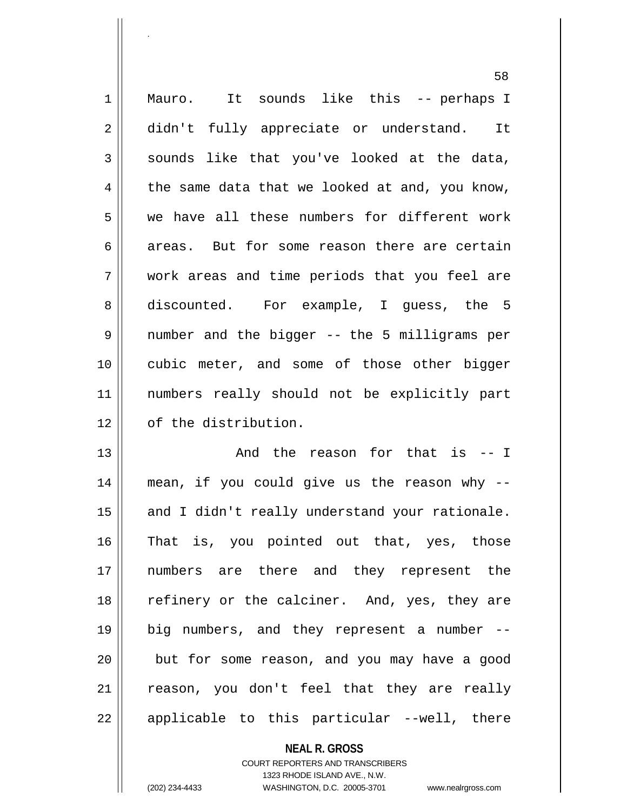1 || Mauro. It sounds like this -- perhaps I 2 didn't fully appreciate or understand. It  $3 \parallel$  sounds like that you've looked at the data,  $4 \parallel$  the same data that we looked at and, you know, 5 we have all these numbers for different work 6 areas. But for some reason there are certain 7 work areas and time periods that you feel are 8 discounted. For example, I guess, the 5 9 number and the bigger -- the 5 milligrams per 10 cubic meter, and some of those other bigger 11 numbers really should not be explicitly part 12 | of the distribution. 13 And the reason for that is -- I

14 mean, if you could give us the reason why -- 15 || and I didn't really understand your rationale. 16 That is, you pointed out that, yes, those 17 numbers are there and they represent the 18 || refinery or the calciner. And, yes, they are 19 big numbers, and they represent a number -- 20 || but for some reason, and you may have a good 21 || reason, you don't feel that they are really  $22 \parallel$  applicable to this particular --well, there

> **NEAL R. GROSS** COURT REPORTERS AND TRANSCRIBERS 1323 RHODE ISLAND AVE., N.W.

.

(202) 234-4433 WASHINGTON, D.C. 20005-3701 www.nealrgross.com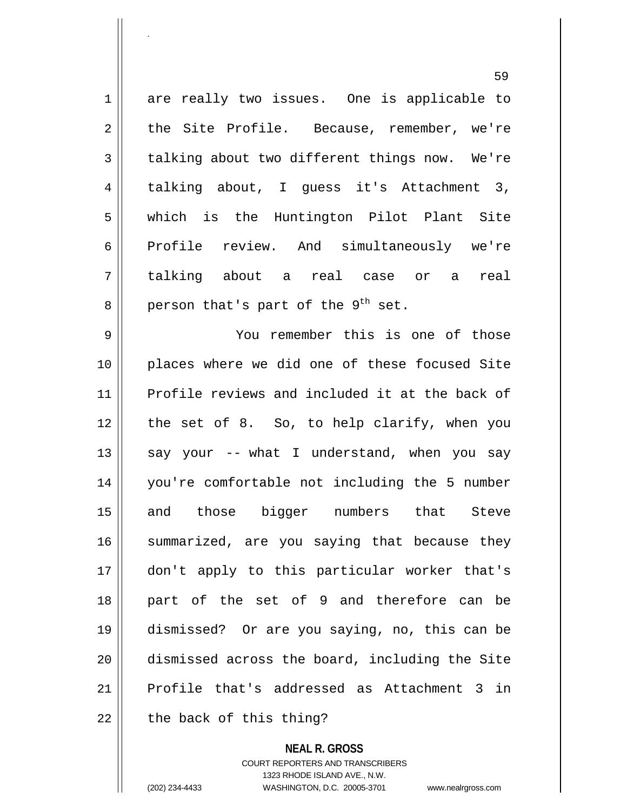1 are really two issues. One is applicable to 2 the Site Profile. Because, remember, we're 3 talking about two different things now. We're talking about, I guess it's Attachment 3, which is the Huntington Pilot Plant Site 6 Profile review. And simultaneously we're talking about a real case or a real  $8 \parallel$  person that's part of the 9<sup>th</sup> set. You remember this is one of those places where we did one of these focused Site Profile reviews and included it at the back of the set of 8. So, to help clarify, when you  $\parallel$  say your -- what I understand, when you say you're comfortable not including the 5 number and those bigger numbers that Steve 16 || summarized, are you saying that because they don't apply to this particular worker that's part of the set of 9 and therefore can be dismissed? Or are you saying, no, this can be dismissed across the board, including the Site Profile that's addressed as Attachment 3 in | the back of this thing?

> **NEAL R. GROSS** COURT REPORTERS AND TRANSCRIBERS

> > 1323 RHODE ISLAND AVE., N.W.

.

(202) 234-4433 WASHINGTON, D.C. 20005-3701 www.nealrgross.com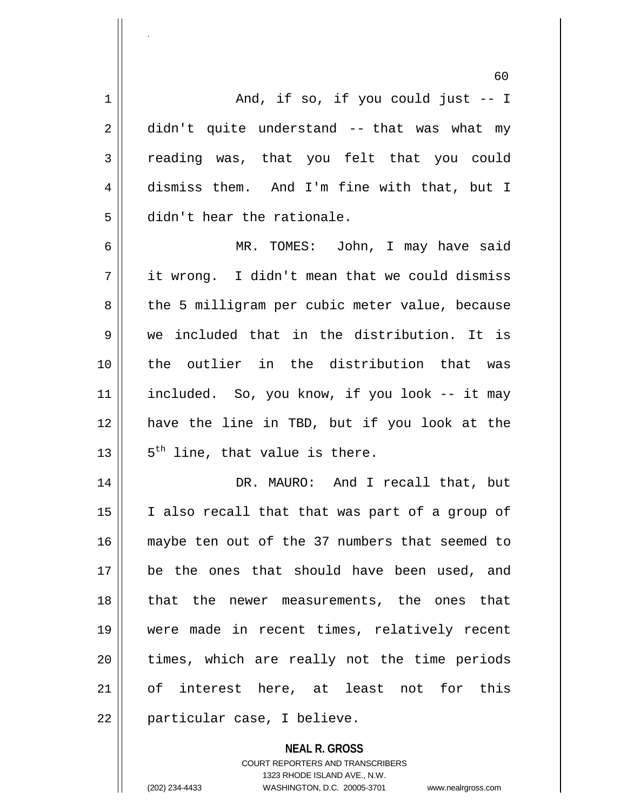60  $1 \parallel$  and, if so, if you could just  $-1$  $2 \parallel$  didn't quite understand -- that was what my reading was, that you felt that you could 4 dismiss them. And I'm fine with that, but I didn't hear the rationale. MR. TOMES: John, I may have said  $7 \parallel$  it wrong. I didn't mean that we could dismiss 8 || the 5 milligram per cubic meter value, because we included that in the distribution. It is the outlier in the distribution that was included. So, you know, if you look -- it may have the line in TBD, but if you look at the  $\parallel$  5<sup>th</sup> line, that value is there. DR. MAURO: And I recall that, but 15 || I also recall that that was part of a group of maybe ten out of the 37 numbers that seemed to be the ones that should have been used, and 18 || that the newer measurements, the ones that were made in recent times, relatively recent || times, which are really not the time periods of interest here, at least not for this 22 || particular case, I believe.

> **NEAL R. GROSS** COURT REPORTERS AND TRANSCRIBERS 1323 RHODE ISLAND AVE., N.W.

.

(202) 234-4433 WASHINGTON, D.C. 20005-3701 www.nealrgross.com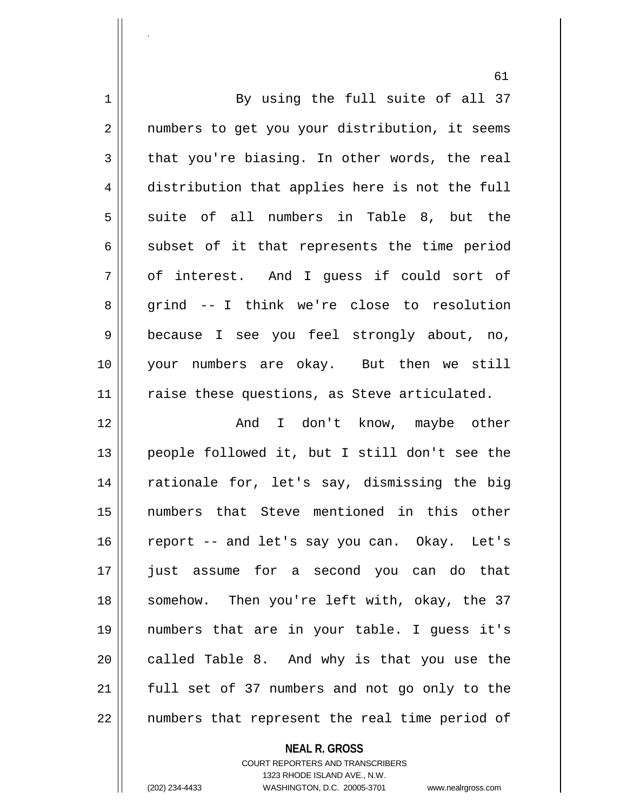| 1           | By using the full suite of all 37              |
|-------------|------------------------------------------------|
| 2           | numbers to get you your distribution, it seems |
| 3           | that you're biasing. In other words, the real  |
| 4           | distribution that applies here is not the full |
| 5           | suite of all numbers in Table 8, but the       |
| 6           | subset of it that represents the time period   |
| 7           | of interest. And I guess if could sort of      |
| 8           | grind -- I think we're close to resolution     |
| $\mathsf 9$ | because I see you feel strongly about, no,     |
| 10          | your numbers are okay. But then we still       |
| 11          | raise these questions, as Steve articulated.   |
| 12          | And I don't know, maybe other                  |
| 13          | people followed it, but I still don't see the  |
| 14          | rationale for, let's say, dismissing the big   |
| 15          | that Steve mentioned in this other<br>numbers  |
| 16          | report -- and let's say you can. Okay. Let's   |
| 17          | just assume for a second you can do that       |
| 18          | somehow. Then you're left with, okay, the 37   |
| 19          | numbers that are in your table. I guess it's   |
| 20          | called Table 8. And why is that you use the    |
| 21          | full set of 37 numbers and not go only to the  |
| 22          | numbers that represent the real time period of |

**NEAL R. GROSS**

COURT REPORTERS AND TRANSCRIBERS 1323 RHODE ISLAND AVE., N.W. (202) 234-4433 WASHINGTON, D.C. 20005-3701 www.nealrgross.com

.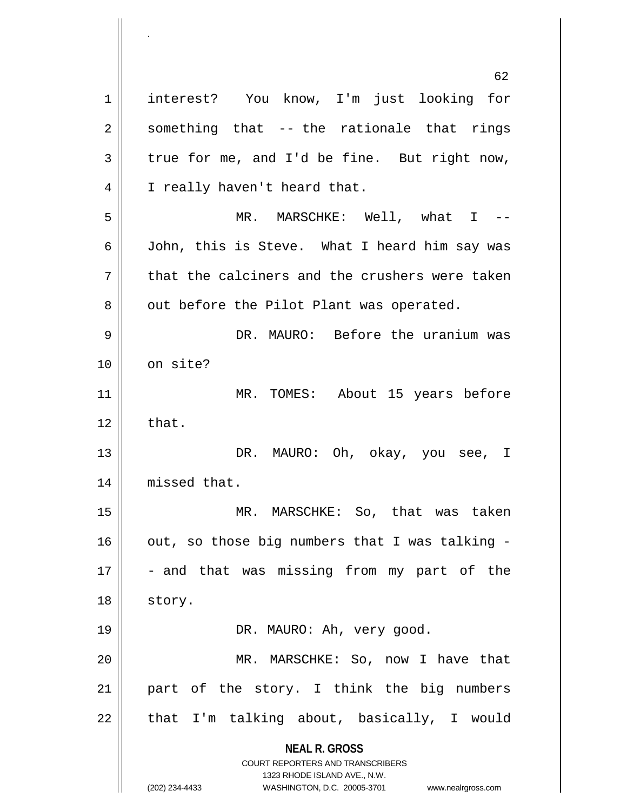**NEAL R. GROSS** COURT REPORTERS AND TRANSCRIBERS 1323 RHODE ISLAND AVE., N.W. (202) 234-4433 WASHINGTON, D.C. 20005-3701 www.nealrgross.com 62 1 || interest? You know, I'm just looking for  $2 \parallel$  something that -- the rationale that rings  $3 \parallel$  true for me, and I'd be fine. But right now, 4 || I really haven't heard that. 5 MR. MARSCHKE: Well, what I -- 6 John, this is Steve. What I heard him say was  $7 \parallel$  that the calciners and the crushers were taken  $8 \parallel$  out before the Pilot Plant was operated. 9 DR. MAURO: Before the uranium was 10 || on site? 11 || MR. TOMES: About 15 years before  $12 \parallel$  that. 13 DR. MAURO: Oh, okay, you see, I 14 | missed that. 15 MR. MARSCHKE: So, that was taken  $16$  | out, so those big numbers that I was talking - $17 \parallel$  - and that was missing from my part of the 18 || story. 19 DR. MAURO: Ah, very good. 20 MR. MARSCHKE: So, now I have that 21 part of the story. I think the big numbers  $22$  || that I'm talking about, basically, I would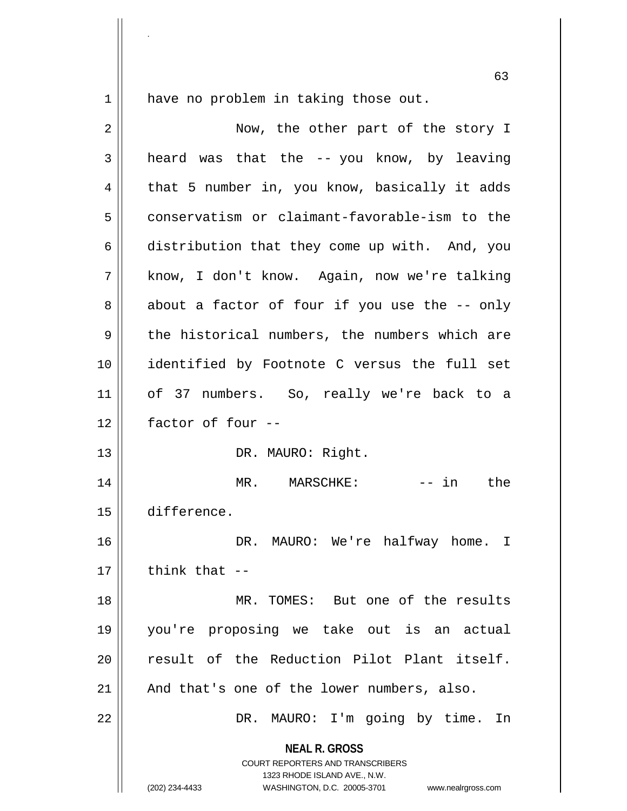.

 $1 \parallel$  have no problem in taking those out.

| 2  | Now, the other part of the story I                                                                                                                              |
|----|-----------------------------------------------------------------------------------------------------------------------------------------------------------------|
| 3  | heard was that the -- you know, by leaving                                                                                                                      |
| 4  | that 5 number in, you know, basically it adds                                                                                                                   |
| 5  | conservatism or claimant-favorable-ism to the                                                                                                                   |
| 6  | distribution that they come up with. And, you                                                                                                                   |
| 7  | know, I don't know. Again, now we're talking                                                                                                                    |
| 8  | about a factor of four if you use the -- only                                                                                                                   |
| 9  | the historical numbers, the numbers which are                                                                                                                   |
| 10 | identified by Footnote C versus the full set                                                                                                                    |
| 11 | of 37 numbers. So, really we're back to a                                                                                                                       |
| 12 | factor of four --                                                                                                                                               |
| 13 | DR. MAURO: Right.                                                                                                                                               |
| 14 | MR. MARSCHKE:<br>-- in the                                                                                                                                      |
| 15 | difference.                                                                                                                                                     |
| 16 | DR. MAURO: We're halfway home. I                                                                                                                                |
| 17 | think that --                                                                                                                                                   |
| 18 | MR. TOMES: But one of the results                                                                                                                               |
| 19 | you're proposing we take out is an actual                                                                                                                       |
| 20 | result of the Reduction Pilot Plant itself.                                                                                                                     |
| 21 | And that's one of the lower numbers, also.                                                                                                                      |
| 22 | DR. MAURO: I'm going by time. In                                                                                                                                |
|    | <b>NEAL R. GROSS</b><br>COURT REPORTERS AND TRANSCRIBERS<br>1323 RHODE ISLAND AVE., N.W.<br>(202) 234-4433<br>WASHINGTON, D.C. 20005-3701<br>www.nealrgross.com |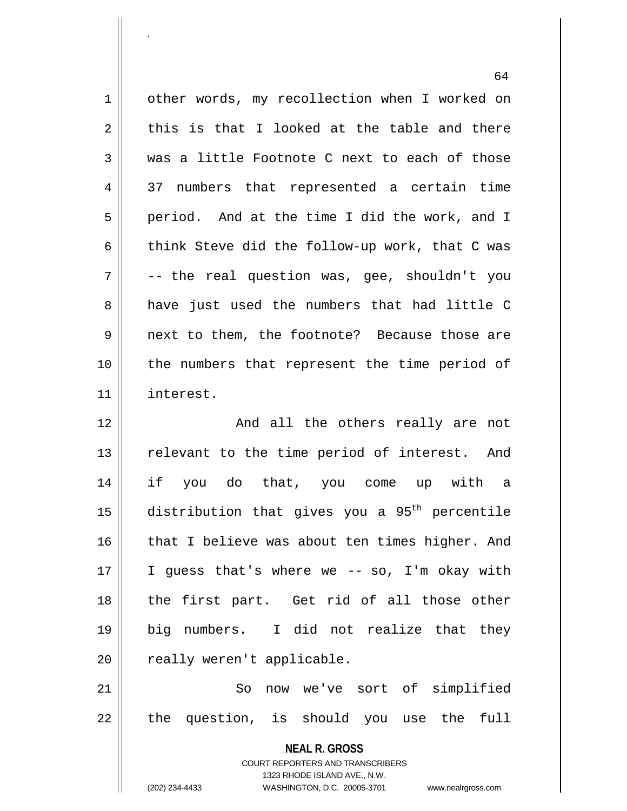|    | υ±                                                                  |
|----|---------------------------------------------------------------------|
| 1  | other words, my recollection when I worked on                       |
| 2  | this is that I looked at the table and there                        |
| 3  | was a little Footnote C next to each of those                       |
| 4  | 37 numbers that represented a certain time                          |
| 5  | period. And at the time I did the work, and I                       |
| 6  | think Steve did the follow-up work, that C was                      |
| 7  | -- the real question was, gee, shouldn't you                        |
| 8  | have just used the numbers that had little C                        |
| 9  | next to them, the footnote? Because those are                       |
| 10 | the numbers that represent the time period of                       |
| 11 | interest.                                                           |
| 12 | And all the others really are not                                   |
| 13 | relevant to the time period of interest. And                        |
| 14 | if you do that, you come up with a                                  |
| 15 | distribution that gives you a 95 <sup>th</sup> percentile           |
| 16 | that I believe was about ten times higher. And                      |
| 17 | I guess that's where we -- so, I'm okay with                        |
| 18 | the first part. Get rid of all those other                          |
| 19 | big numbers. I did not realize that they                            |
| 20 | really weren't applicable.                                          |
| 21 | So<br>now we've sort of simplified                                  |
| 22 | the question, is should you use the<br>full                         |
|    |                                                                     |
|    | <b>NEAL R. GROSS</b><br>COURT REPORTERS AND TRANSCRIBERS            |
|    | 1323 RHODE ISLAND AVE., N.W.                                        |
|    | (202) 234-4433<br>WASHINGTON, D.C. 20005-3701<br>www.nealrgross.com |

.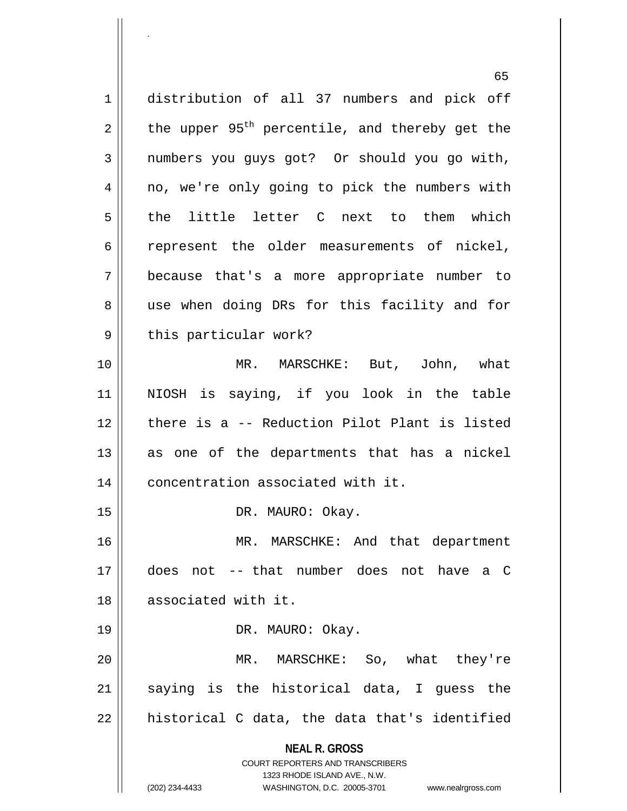**NEAL R. GROSS** COURT REPORTERS AND TRANSCRIBERS 1323 RHODE ISLAND AVE., N.W. 65 1 distribution of all 37 numbers and pick off 2 the upper 95<sup>th</sup> percentile, and thereby get the 3 | numbers you guys got? Or should you go with, 4 || no, we're only going to pick the numbers with 5 the little letter C next to them which 6 cepresent the older measurements of nickel, 7 because that's a more appropriate number to 8 || use when doing DRs for this facility and for 9 || this particular work? 10 MR. MARSCHKE: But, John, what 11 NIOSH is saying, if you look in the table 12 there is a -- Reduction Pilot Plant is listed  $13$  as one of the departments that has a nickel 14 | concentration associated with it. 15 || DR. MAURO: Okay. 16 MR. MARSCHKE: And that department 17 does not -- that number does not have a C 18 associated with it. 19 || DR. MAURO: Okay. 20 MR. MARSCHKE: So, what they're  $21$  saying is the historical data, I guess the  $22$  || historical C data, the data that's identified

.

(202) 234-4433 WASHINGTON, D.C. 20005-3701 www.nealrgross.com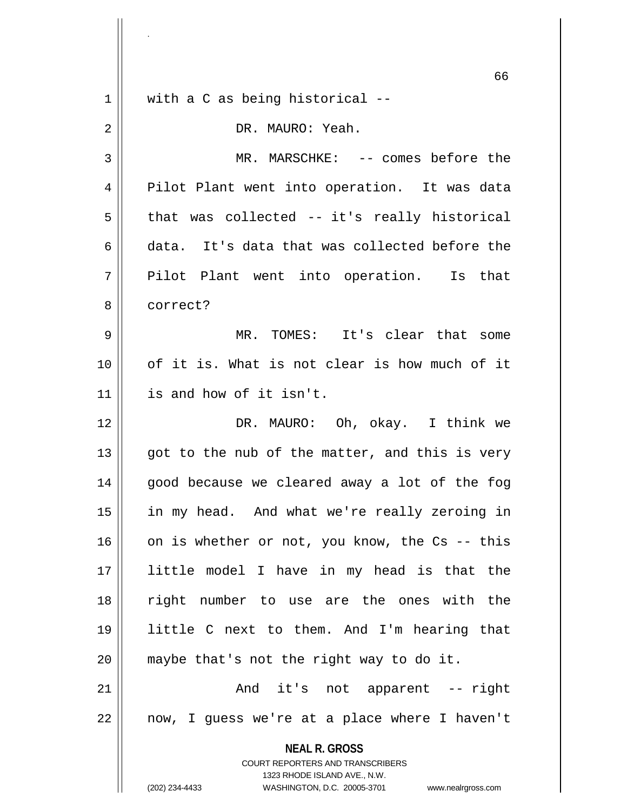|    | 66                                                                  |
|----|---------------------------------------------------------------------|
| 1  | with a C as being historical --                                     |
| 2  | DR. MAURO: Yeah.                                                    |
| 3  | MR. MARSCHKE: -- comes before the                                   |
| 4  | Pilot Plant went into operation. It was data                        |
| 5  | that was collected -- it's really historical                        |
| 6  | data. It's data that was collected before the                       |
| 7  | Pilot Plant went into operation. Is that                            |
| 8  | correct?                                                            |
| 9  | MR. TOMES: It's clear that some                                     |
| 10 | of it is. What is not clear is how much of it                       |
| 11 | is and how of it isn't.                                             |
| 12 | DR. MAURO: Oh, okay. I think we                                     |
| 13 | got to the nub of the matter, and this is very                      |
| 14 | good because we cleared away a lot of the fog                       |
| 15 | in my head. And what we're really zeroing in                        |
| 16 | on is whether or not, you know, the Cs -- this                      |
| 17 | little model I have in my head is that the                          |
| 18 | right number to use are the ones with the                           |
| 19 | little C next to them. And I'm hearing that                         |
| 20 | maybe that's not the right way to do it.                            |
| 21 | And it's not apparent -- right                                      |
| 22 | now, I guess we're at a place where I haven't                       |
|    | <b>NEAL R. GROSS</b>                                                |
|    | COURT REPORTERS AND TRANSCRIBERS<br>1323 RHODE ISLAND AVE., N.W.    |
|    | (202) 234-4433<br>WASHINGTON, D.C. 20005-3701<br>www.nealrgross.com |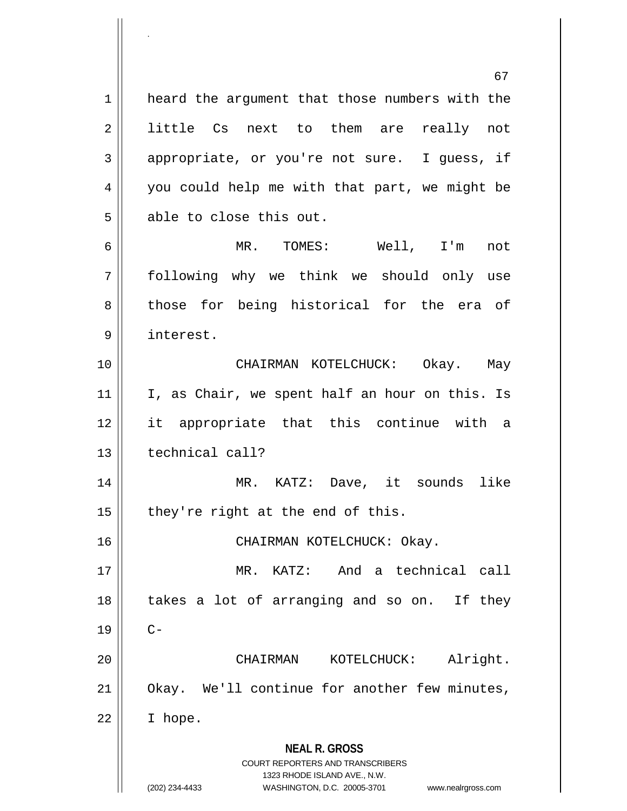**NEAL R. GROSS** COURT REPORTERS AND TRANSCRIBERS 1323 RHODE ISLAND AVE., N.W. (202) 234-4433 WASHINGTON, D.C. 20005-3701 www.nealrgross.com 67 1 | heard the argument that those numbers with the 2 || little Cs next to them are really not 3 appropriate, or you're not sure. I guess, if 4 || you could help me with that part, we might be 5 able to close this out. 6 MR. TOMES: Well, I'm not 7 following why we think we should only use 8 those for being historical for the era of 9 interest. 10 CHAIRMAN KOTELCHUCK: Okay. May  $11$  | I, as Chair, we spent half an hour on this. Is 12 it appropriate that this continue with a 13 || technical call? 14 MR. KATZ: Dave, it sounds like 15  $\parallel$  they're right at the end of this. 16 || CHAIRMAN KOTELCHUCK: Okay. 17 MR. KATZ: And a technical call  $18$  || takes a lot of arranging and so on. If they  $19 \parallel$  C-20 CHAIRMAN KOTELCHUCK: Alright. 21 | Okay. We'll continue for another few minutes,  $22 \parallel$  I hope.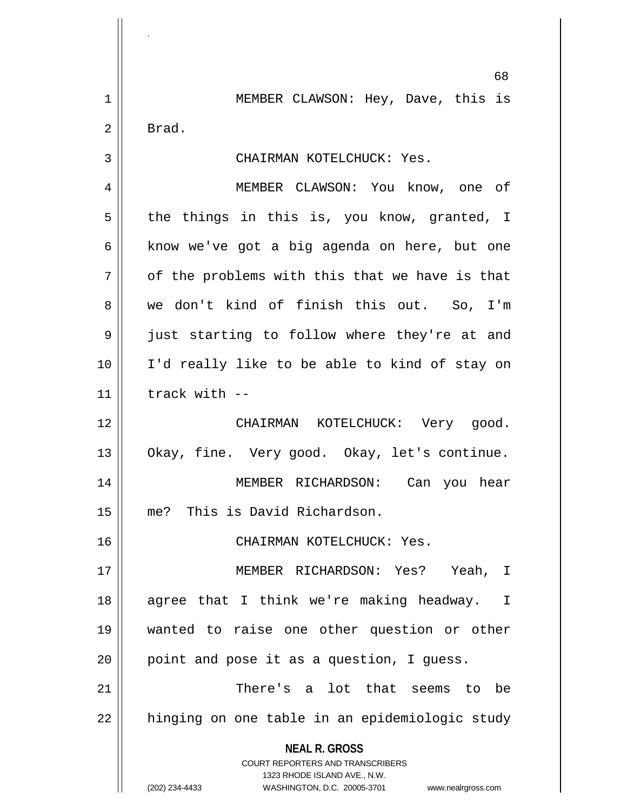**NEAL R. GROSS** COURT REPORTERS AND TRANSCRIBERS 1323 RHODE ISLAND AVE., N.W. 68 1 || MEMBER CLAWSON: Hey, Dave, this is 2 Brad. 3 CHAIRMAN KOTELCHUCK: Yes. 4 MEMBER CLAWSON: You know, one of  $5 \parallel$  the things in this is, you know, granted, I  $6 \parallel$  know we've got a big agenda on here, but one  $7 \parallel$  of the problems with this that we have is that 8 we don't kind of finish this out. So, I'm 9 || just starting to follow where they're at and 10 I'd really like to be able to kind of stay on  $11$  | track with  $-$ 12 CHAIRMAN KOTELCHUCK: Very good. 13 || Okay, fine. Very good. Okay, let's continue. 14 MEMBER RICHARDSON: Can you hear 15 me? This is David Richardson. 16 CHAIRMAN KOTELCHUCK: Yes. 17 MEMBER RICHARDSON: Yes? Yeah, I 18 || agree that I think we're making headway. I 19 wanted to raise one other question or other  $20$  | point and pose it as a question, I guess. 21 || There's a lot that seems to be 22 || hinging on one table in an epidemiologic study

.

(202) 234-4433 WASHINGTON, D.C. 20005-3701 www.nealrgross.com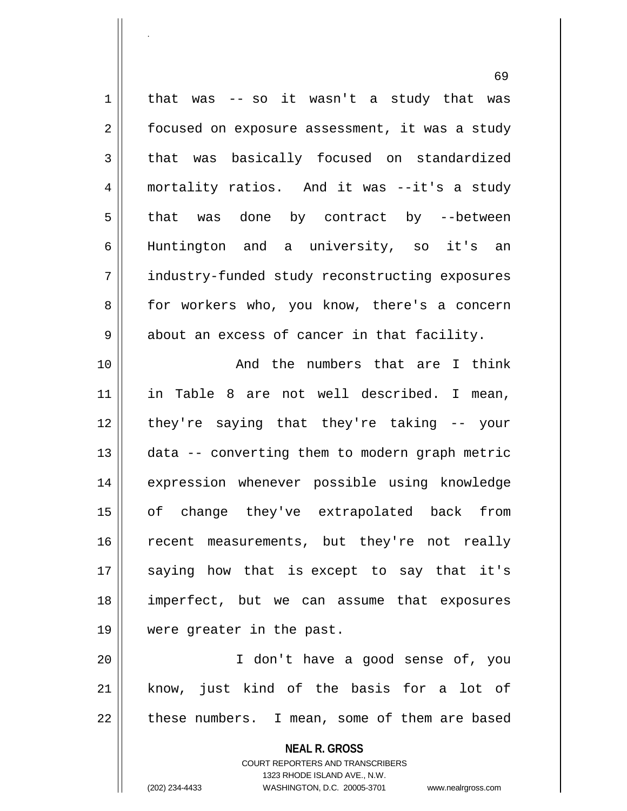$1 \parallel$  that was -- so it wasn't a study that was  $2 \parallel$  focused on exposure assessment, it was a study 3 that was basically focused on standardized 4 mortality ratios. And it was --it's a study 5 || that was done by contract by --between 6 Huntington and a university, so it's an 7 industry-funded study reconstructing exposures 8 || for workers who, you know, there's a concern  $9 \parallel$  about an excess of cancer in that facility. 10 || The numbers that are I think 11 in Table 8 are not well described. I mean, 12 they're saying that they're taking -- your 13 data -- converting them to modern graph metric 14 || expression whenever possible using knowledge 15 of change they've extrapolated back from 16 || recent measurements, but they're not really 17 || saying how that is except to say that it's 18 imperfect, but we can assume that exposures 19 were greater in the past. 20 I don't have a good sense of, you

21 || know, just kind of the basis for a lot of  $22$  | these numbers. I mean, some of them are based

> **NEAL R. GROSS** COURT REPORTERS AND TRANSCRIBERS

> > 1323 RHODE ISLAND AVE., N.W.

.

(202) 234-4433 WASHINGTON, D.C. 20005-3701 www.nealrgross.com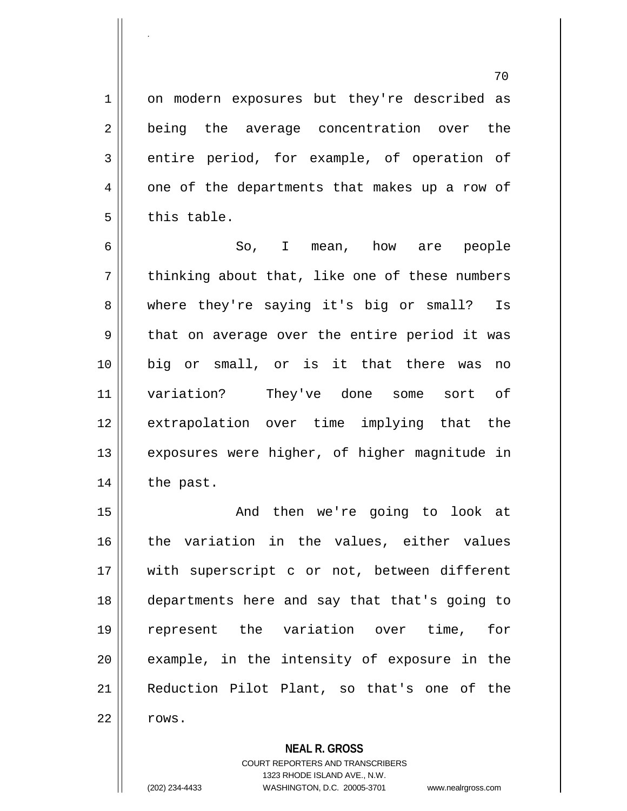1 || on modern exposures but they're described as 2 || being the average concentration over the 3 entire period, for example, of operation of 4 || one of the departments that makes up a row of  $5 \parallel$  this table.

6 So, I mean, how are people  $7$  | thinking about that, like one of these numbers 8 where they're saying it's big or small? Is  $9 \parallel$  that on average over the entire period it was 10 big or small, or is it that there was no 11 variation? They've done some sort of 12 extrapolation over time implying that the 13 || exposures were higher, of higher magnitude in 14 | the past.

15 || The Rand then we're going to look at 16 || the variation in the values, either values 17 || with superscript c or not, between different departments here and say that that's going to represent the variation over time, for || example, in the intensity of exposure in the Reduction Pilot Plant, so that's one of the  $\parallel$  rows.

**NEAL R. GROSS**

COURT REPORTERS AND TRANSCRIBERS 1323 RHODE ISLAND AVE., N.W. (202) 234-4433 WASHINGTON, D.C. 20005-3701 www.nealrgross.com

.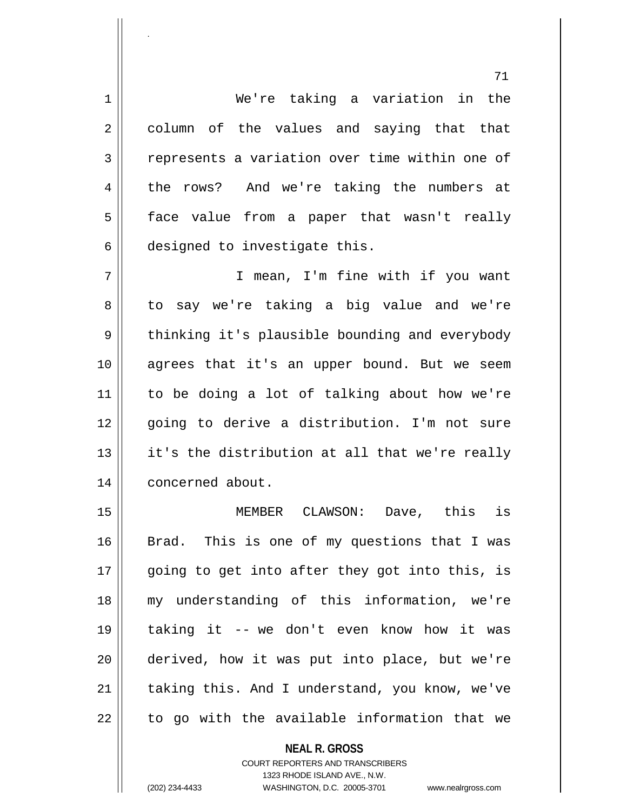1 We're taking a variation in the 2 || column of the values and saying that that  $3$  represents a variation over time within one of 4 the rows? And we're taking the numbers at 5 face value from a paper that wasn't really 6 designed to investigate this.

7 || T mean, I'm fine with if you want 8 to say we're taking a big value and we're  $9 \parallel$  thinking it's plausible bounding and everybody 10 || agrees that it's an upper bound. But we seem 11 to be doing a lot of talking about how we're 12 || qoinq to derive a distribution. I'm not sure 13 || it's the distribution at all that we're really 14 | concerned about.

 MEMBER CLAWSON: Dave, this is 16 Brad. This is one of my questions that I was 17 || going to get into after they got into this, is my understanding of this information, we're taking it -- we don't even know how it was derived, how it was put into place, but we're | taking this. And I understand, you know, we've  $\parallel$  to go with the available information that we

> **NEAL R. GROSS** COURT REPORTERS AND TRANSCRIBERS 1323 RHODE ISLAND AVE., N.W. (202) 234-4433 WASHINGTON, D.C. 20005-3701 www.nealrgross.com

.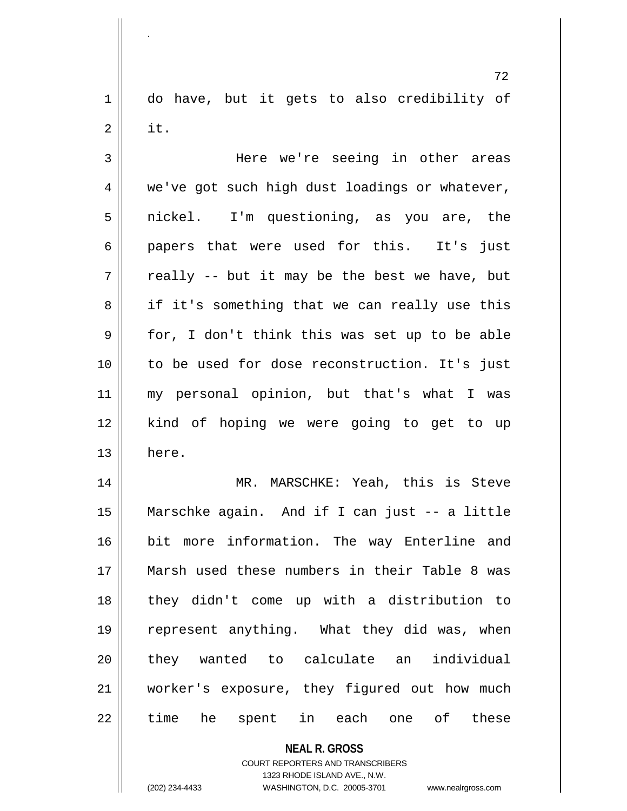1 || do have, but it gets to also credibility of  $2 \parallel$  it.

3 Here we're seeing in other areas  $4 \parallel$  we've got such high dust loadings or whatever, 5 || nickel. I'm questioning, as you are, the 6 papers that were used for this. It's just  $7 \parallel$  really -- but it may be the best we have, but  $8 \parallel$  if it's something that we can really use this  $9 \parallel$  for, I don't think this was set up to be able 10 to be used for dose reconstruction. It's just 11 my personal opinion, but that's what I was 12 || kind of hoping we were going to get to up  $13 \parallel$  here.

 MR. MARSCHKE: Yeah, this is Steve Marschke again. And if I can just -- a little bit more information. The way Enterline and Marsh used these numbers in their Table 8 was 18 || they didn't come up with a distribution to represent anything. What they did was, when 20 || they wanted to calculate an individual worker's exposure, they figured out how much 22 || time he spent in each one of these

> **NEAL R. GROSS** COURT REPORTERS AND TRANSCRIBERS

> > 1323 RHODE ISLAND AVE., N.W.

(202) 234-4433 WASHINGTON, D.C. 20005-3701 www.nealrgross.com

.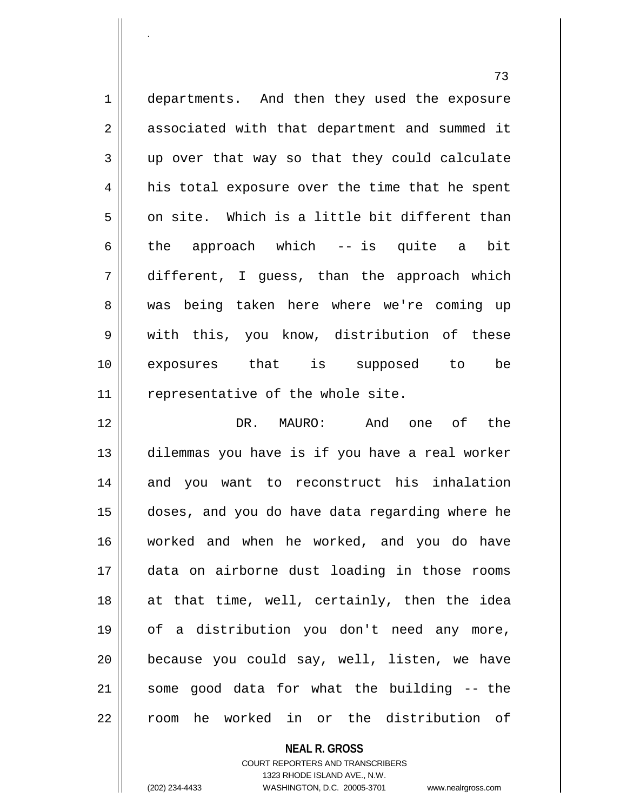1 departments. And then they used the exposure 2 || associated with that department and summed it 3 up over that way so that they could calculate 4 || his total exposure over the time that he spent  $5 \parallel$  on site. Which is a little bit different than 6 || the approach which -- is quite a bit 7 different, I guess, than the approach which 8 was being taken here where we're coming up 9 with this, you know, distribution of these 10 exposures that is supposed to be 11 || representative of the whole site.

 DR. MAURO: And one of the dilemmas you have is if you have a real worker 14 || and you want to reconstruct his inhalation doses, and you do have data regarding where he worked and when he worked, and you do have data on airborne dust loading in those rooms at that time, well, certainly, then the idea of a distribution you don't need any more, | because you could say, well, listen, we have some good data for what the building  $-$ -the 22 || room he worked in or the distribution of

**NEAL R. GROSS**

COURT REPORTERS AND TRANSCRIBERS 1323 RHODE ISLAND AVE., N.W. (202) 234-4433 WASHINGTON, D.C. 20005-3701 www.nealrgross.com

.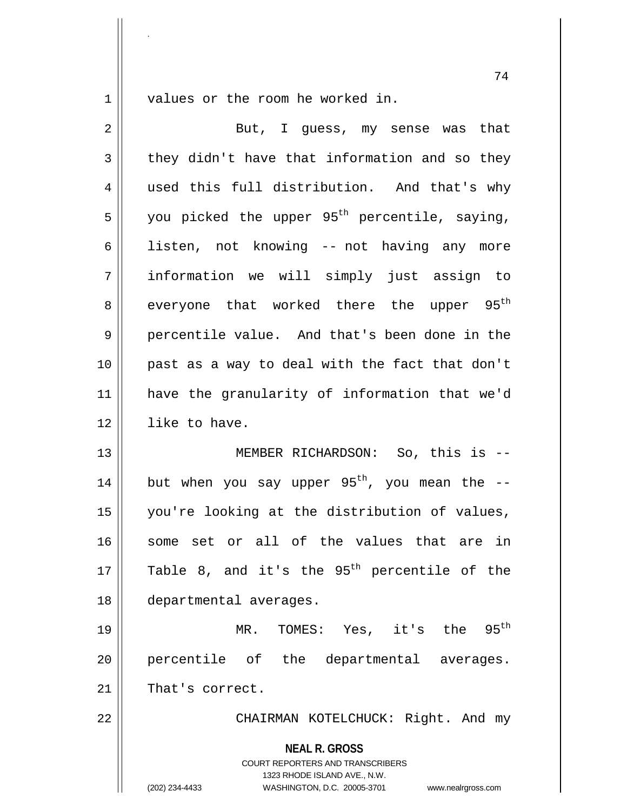$1 \parallel$  values or the room he worked in.

.

| $\overline{2}$ | But, I guess, my sense was that                                                                                                                                 |
|----------------|-----------------------------------------------------------------------------------------------------------------------------------------------------------------|
| 3              | they didn't have that information and so they                                                                                                                   |
| 4              | used this full distribution. And that's why                                                                                                                     |
| 5              | you picked the upper 95 <sup>th</sup> percentile, saying,                                                                                                       |
| 6              | listen, not knowing -- not having any more                                                                                                                      |
| 7              | information we will simply just assign to                                                                                                                       |
| 8              | everyone that worked there the upper 95 <sup>th</sup>                                                                                                           |
| 9              | percentile value. And that's been done in the                                                                                                                   |
| 10             | past as a way to deal with the fact that don't                                                                                                                  |
| 11             | have the granularity of information that we'd                                                                                                                   |
| 12             | like to have.                                                                                                                                                   |
| 13             | MEMBER RICHARDSON: So, this is --                                                                                                                               |
| 14             | but when you say upper $95th$ , you mean the --                                                                                                                 |
| 15             | you're looking at the distribution of values,                                                                                                                   |
| 16             | some set or all of the values that are in                                                                                                                       |
| $17$           | Table 8, and it's the $95th$ percentile of the                                                                                                                  |
| 18             | departmental averages.                                                                                                                                          |
| 19             | $95^{\text{th}}$<br>MR. TOMES: Yes, it's the                                                                                                                    |
| 20             | percentile of the departmental averages.                                                                                                                        |
| 21             | That's correct.                                                                                                                                                 |
| 22             | CHAIRMAN KOTELCHUCK: Right. And my                                                                                                                              |
|                | <b>NEAL R. GROSS</b><br>COURT REPORTERS AND TRANSCRIBERS<br>1323 RHODE ISLAND AVE., N.W.<br>(202) 234-4433<br>WASHINGTON, D.C. 20005-3701<br>www.nealrgross.com |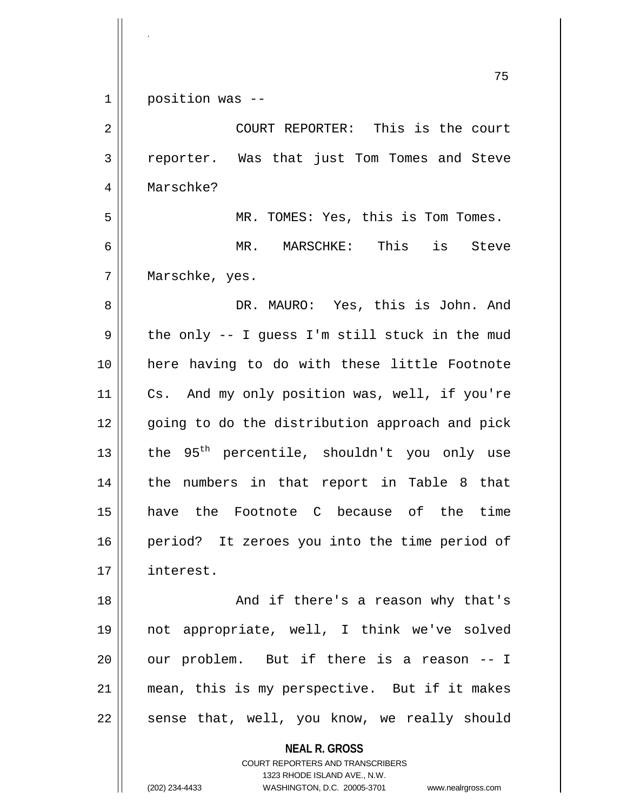|    | 75                                                      |
|----|---------------------------------------------------------|
| 1  | position was --                                         |
| 2  | COURT REPORTER: This is the court                       |
| 3  | reporter. Was that just Tom Tomes and Steve             |
| 4  | Marschke?                                               |
| 5  | MR. TOMES: Yes, this is Tom Tomes.                      |
| 6  | MR. MARSCHKE: This is Steve                             |
| 7  | Marschke, yes.                                          |
| 8  | DR. MAURO: Yes, this is John. And                       |
| 9  | the only -- I guess I'm still stuck in the mud          |
| 10 | here having to do with these little Footnote            |
| 11 | Cs. And my only position was, well, if you're           |
| 12 | going to do the distribution approach and pick          |
| 13 | the 95 <sup>th</sup> percentile, shouldn't you only use |
| 14 | the numbers in that report in Table 8 that              |
| 15 | have the Footnote C because of the time                 |
| 16 | period? It zeroes you into the time period of           |
| 17 | interest.                                               |
| 18 | And if there's a reason why that's                      |
| 19 | not appropriate, well, I think we've solved             |
| 20 | our problem. But if there is a reason -- I              |
| 21 | mean, this is my perspective. But if it makes           |

sense that, well, you know, we really should

**NEAL R. GROSS** COURT REPORTERS AND TRANSCRIBERS

1323 RHODE ISLAND AVE., N.W.

(202) 234-4433 WASHINGTON, D.C. 20005-3701 www.nealrgross.com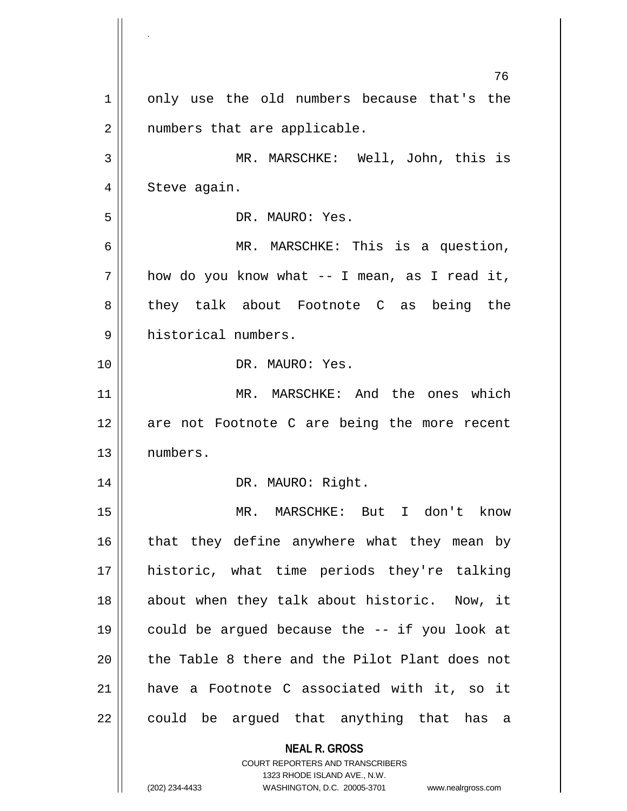**NEAL R. GROSS** COURT REPORTERS AND TRANSCRIBERS 1323 RHODE ISLAND AVE., N.W. 76 1 | only use the old numbers because that's the 2 || numbers that are applicable. 3 MR. MARSCHKE: Well, John, this is 4 | Steve again. 5 DR. MAURO: Yes. 6 MR. MARSCHKE: This is a question,  $7 \parallel$  how do you know what -- I mean, as I read it, 8 || they talk about Footnote C as being the 9 historical numbers. 10 DR. MAURO: Yes. 11 MR. MARSCHKE: And the ones which 12 are not Footnote C are being the more recent 13 numbers. 14 || DR. MAURO: Right. 15 MR. MARSCHKE: But I don't know  $16$  that they define anywhere what they mean by 17 historic, what time periods they're talking 18 || about when they talk about historic. Now, it 19 $\parallel$  could be argued because the -- if you look at  $20$  || the Table 8 there and the Pilot Plant does not 21 have a Footnote C associated with it, so it  $22$  || could be argued that anything that has a

<sup>(202) 234-4433</sup> WASHINGTON, D.C. 20005-3701 www.nealrgross.com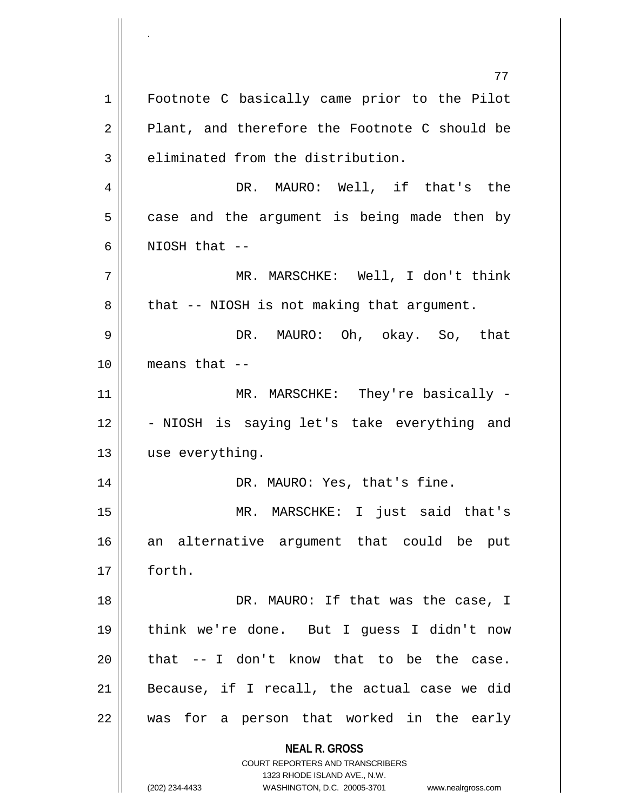**NEAL R. GROSS** COURT REPORTERS AND TRANSCRIBERS 1323 RHODE ISLAND AVE., N.W. (202) 234-4433 WASHINGTON, D.C. 20005-3701 www.nealrgross.com 77 1 || Footnote C basically came prior to the Pilot  $2 \parallel$  Plant, and therefore the Footnote C should be  $3 \parallel$  eliminated from the distribution. 4 || PR. MAURO: Well, if that's the  $5 \parallel$  case and the argument is being made then by  $6 \parallel$  NIOSH that  $-$ 7 MR. MARSCHKE: Well, I don't think  $8 \parallel$  that -- NIOSH is not making that argument. 9 DR. MAURO: Oh, okay. So, that 10 means that -- 11 || MR. MARSCHKE: They're basically -12 || - NIOSH is saying let's take everything and 13 | use everything. 14 || DR. MAURO: Yes, that's fine. 15 MR. MARSCHKE: I just said that's 16 an alternative argument that could be put 17 forth. 18 || DR. MAURO: If that was the case, I 19 think we're done. But I guess I didn't now  $20$  | that  $-$  I don't know that to be the case. 21  $\parallel$  Because, if I recall, the actual case we did  $22$  || was for a person that worked in the early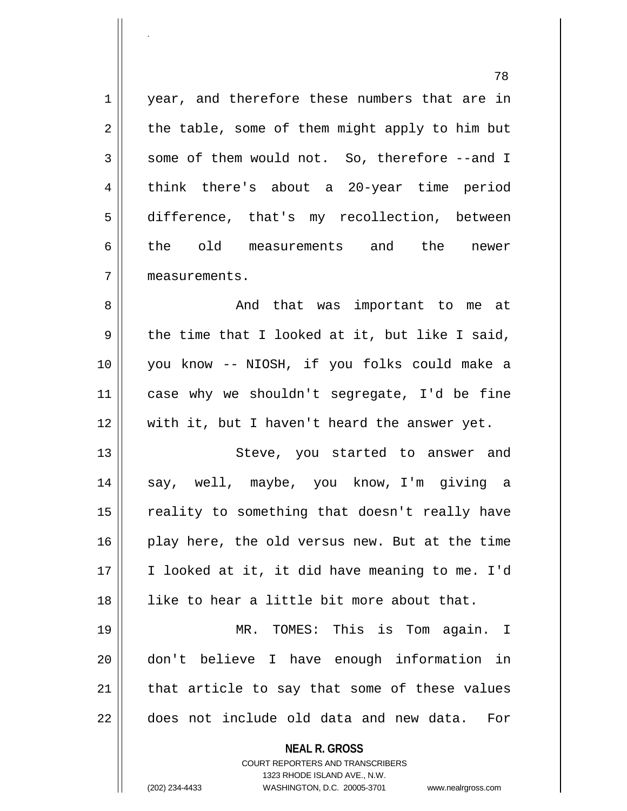**NEAL R. GROSS** COURT REPORTERS AND TRANSCRIBERS 78 1 | year, and therefore these numbers that are in  $2 \parallel$  the table, some of them might apply to him but  $3 \parallel$  some of them would not. So, therefore --and I 4 think there's about a 20-year time period 5 difference, that's my recollection, between 6 the old measurements and the newer 7 measurements. 8 And that was important to me at  $9 \parallel$  the time that I looked at it, but like I said, 10 you know -- NIOSH, if you folks could make a 11 case why we shouldn't segregate, I'd be fine 12 with it, but I haven't heard the answer yet. 13 || Steve, you started to answer and 14 say, well, maybe, you know, I'm giving a 15 || reality to something that doesn't really have 16 || play here, the old versus new. But at the time 17 I looked at it, it did have meaning to me. I'd 18 like to hear a little bit more about that. 19 MR. TOMES: This is Tom again. I 20 don't believe I have enough information in  $21$  | that article to say that some of these values 22 || does not include old data and new data. For

1323 RHODE ISLAND AVE., N.W.

.

(202) 234-4433 WASHINGTON, D.C. 20005-3701 www.nealrgross.com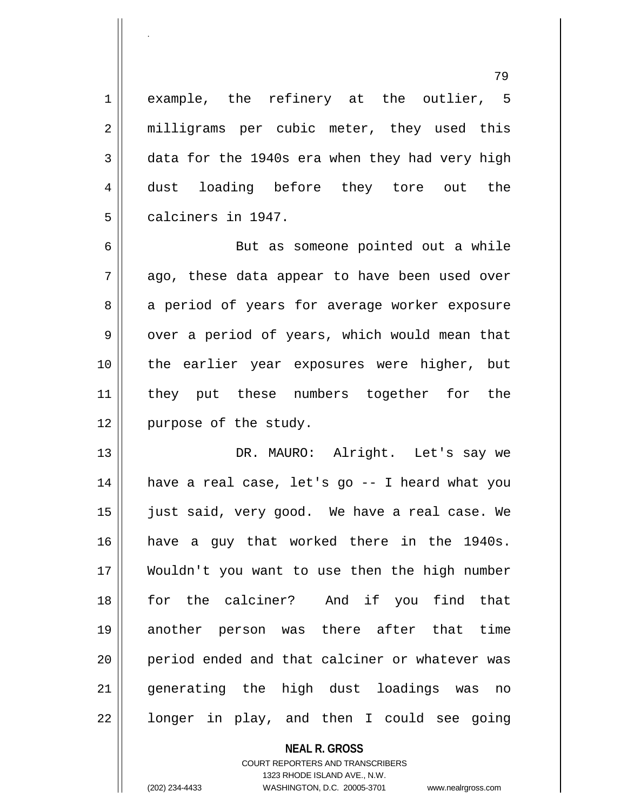1 || example, the refinery at the outlier, 5 2 || milligrams per cubic meter, they used this  $3 \parallel$  data for the 1940s era when they had very high 4 dust loading before they tore out the 5 calciners in 1947.

6 || But as someone pointed out a while  $7 \parallel$  ago, these data appear to have been used over 8 a period of years for average worker exposure  $9 \parallel$  over a period of years, which would mean that 10 the earlier year exposures were higher, but 11 || they put these numbers together for the 12 || purpose of the study.

13 DR. MAURO: Alright. Let's say we 14 || have a real case, let's go -- I heard what you 15 || just said, very good. We have a real case. We 16 have a guy that worked there in the 1940s. 17 Wouldn't you want to use then the high number 18 for the calciner? And if you find that 19 another person was there after that time 20 || period ended and that calciner or whatever was 21 generating the high dust loadings was no  $22 \parallel$  longer in play, and then I could see going

> **NEAL R. GROSS** COURT REPORTERS AND TRANSCRIBERS 1323 RHODE ISLAND AVE., N.W.

.

(202) 234-4433 WASHINGTON, D.C. 20005-3701 www.nealrgross.com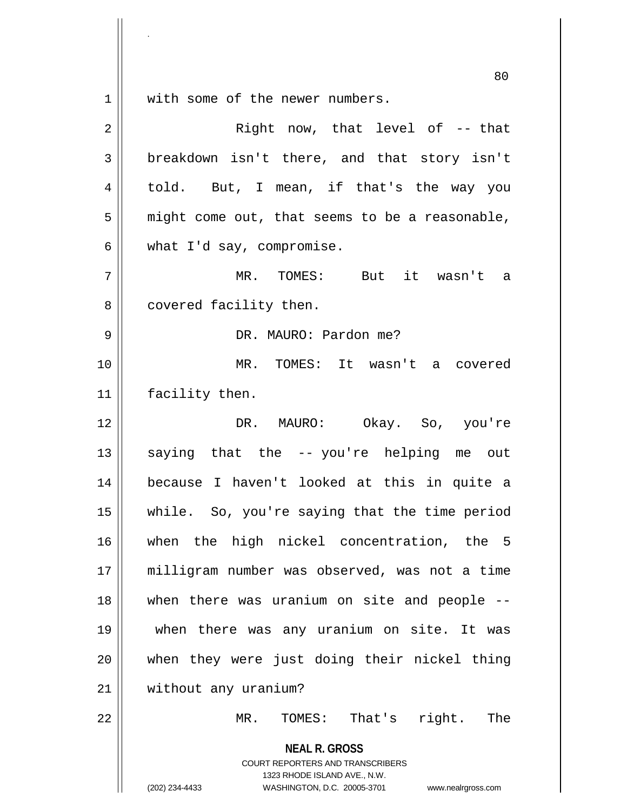$1 \parallel$  with some of the newer numbers.

.

| $\overline{a}$ | Right now, that level of -- that                                                                                                                                       |
|----------------|------------------------------------------------------------------------------------------------------------------------------------------------------------------------|
| $\mathfrak{Z}$ | breakdown isn't there, and that story isn't                                                                                                                            |
| $\overline{4}$ | told. But, I mean, if that's the way you                                                                                                                               |
| 5              | might come out, that seems to be a reasonable,                                                                                                                         |
| 6              | what I'd say, compromise.                                                                                                                                              |
| 7              | MR. TOMES: But it wasn't a                                                                                                                                             |
| 8              | covered facility then.                                                                                                                                                 |
| 9              | DR. MAURO: Pardon me?                                                                                                                                                  |
| 10             | MR. TOMES: It wasn't a covered                                                                                                                                         |
| 11             | facility then.                                                                                                                                                         |
| 12             | DR. MAURO: Okay. So, you're                                                                                                                                            |
| 13             | saying that the -- you're helping me out                                                                                                                               |
| 14             | because I haven't looked at this in quite a                                                                                                                            |
| 15             | while. So, you're saying that the time period                                                                                                                          |
| 16             | when the high nickel concentration, the 5                                                                                                                              |
| 17             | milligram number was observed, was not a time                                                                                                                          |
| 18             | when there was uranium on site and people --                                                                                                                           |
| 19             | when there was any uranium on site. It was                                                                                                                             |
| 20             | when they were just doing their nickel thing                                                                                                                           |
| 21             | without any uranium?                                                                                                                                                   |
| 22             | TOMES: That's<br>right.<br>MR.<br>The                                                                                                                                  |
|                | <b>NEAL R. GROSS</b><br><b>COURT REPORTERS AND TRANSCRIBERS</b><br>1323 RHODE ISLAND AVE., N.W.<br>(202) 234-4433<br>WASHINGTON, D.C. 20005-3701<br>www.nealrgross.com |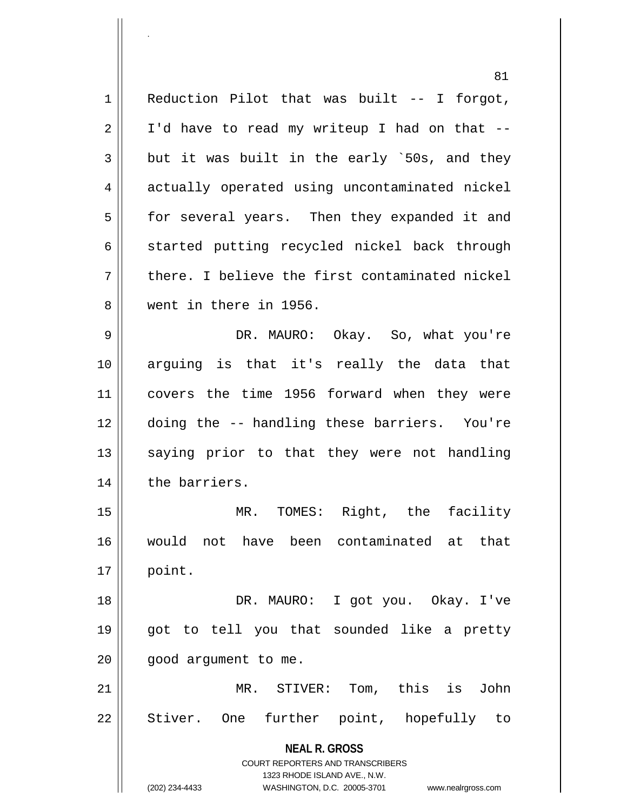**NEAL R. GROSS** 81  $1 \parallel$  Reduction Pilot that was built -- I forgot,  $2 \parallel$  I'd have to read my writeup I had on that  $3 \parallel$  but it was built in the early `50s, and they 4 actually operated using uncontaminated nickel 5 | for several years. Then they expanded it and  $6 \parallel$  started putting recycled nickel back through  $7 \parallel$  there. I believe the first contaminated nickel 8 went in there in 1956. 9 DR. MAURO: Okay. So, what you're 10 arguing is that it's really the data that 11 covers the time 1956 forward when they were 12 doing the -- handling these barriers. You're 13 || saying prior to that they were not handling 14 | the barriers. 15 MR. TOMES: Right, the facility 16 would not have been contaminated at that 17 point. 18 DR. MAURO: I got you. Okay. I've 19 got to tell you that sounded like a pretty  $20$  ||  $qood$  argument to me. 21 MR. STIVER: Tom, this is John  $22 \parallel$  Stiver. One further point, hopefully to

> COURT REPORTERS AND TRANSCRIBERS 1323 RHODE ISLAND AVE., N.W.

.

(202) 234-4433 WASHINGTON, D.C. 20005-3701 www.nealrgross.com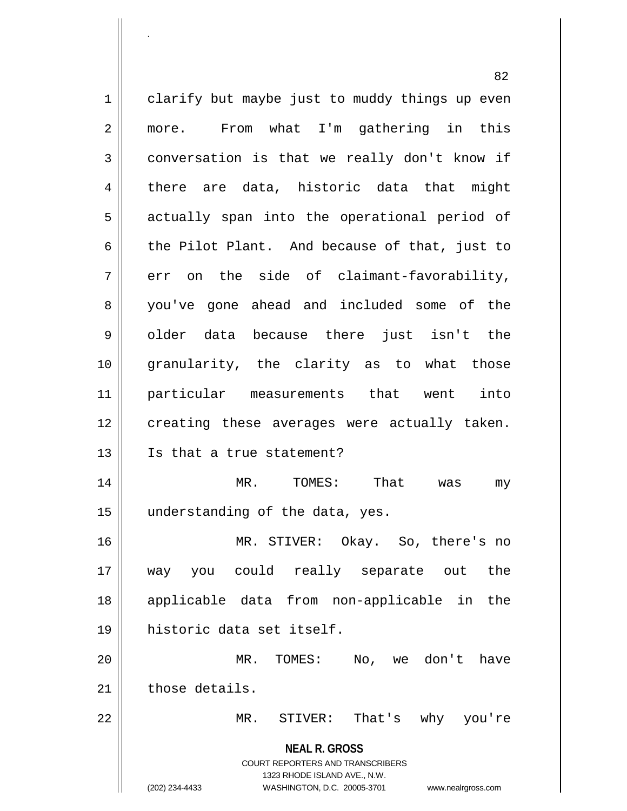**NEAL R. GROSS** COURT REPORTERS AND TRANSCRIBERS 1323 RHODE ISLAND AVE., N.W. (202) 234-4433 WASHINGTON, D.C. 20005-3701 www.nealrgross.com 1 clarify but maybe just to muddy things up even 2 || more. From what I'm gathering in this  $3 \parallel$  conversation is that we really don't know if 4 there are data, historic data that might 5 || actually span into the operational period of 6 the Pilot Plant. And because of that, just to  $7 \parallel$  err on the side of claimant-favorability, 8 || you've gone ahead and included some of the 9|| older data because there just isn't the 10 granularity, the clarity as to what those 11 particular measurements that went into 12 || creating these averages were actually taken. 13 Is that a true statement? 14 MR. TOMES: That was my 15 || understanding of the data, yes. 16 MR. STIVER: Okay. So, there's no 17 way you could really separate out the 18 applicable data from non-applicable in the 19 historic data set itself. 20 MR. TOMES: No, we don't have 21 those details. 22 MR. STIVER: That's why you're

.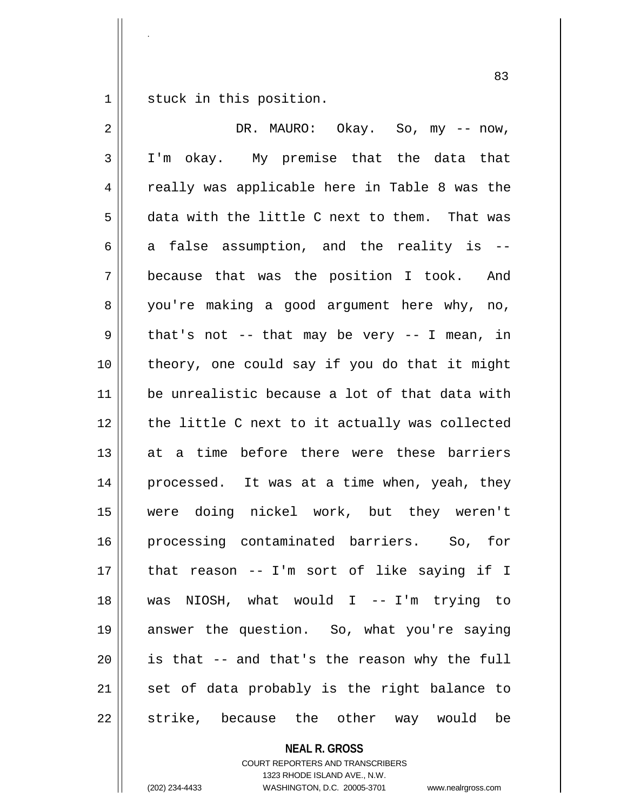1 || stuck in this position.

.

 DR. MAURO: Okay. So, my -- now, I'm okay. My premise that the data that 4 || really was applicable here in Table 8 was the  $5 \parallel$  data with the little C next to them. That was 6 a false assumption, and the reality is  $-$  because that was the position I took. And 8 you're making a good argument here why, no,  $9 \parallel$  that's not -- that may be very -- I mean, in | theory, one could say if you do that it might be unrealistic because a lot of that data with 12 || the little C next to it actually was collected 13 at a time before there were these barriers processed. It was at a time when, yeah, they were doing nickel work, but they weren't processing contaminated barriers. So, for that reason -- I'm sort of like saying if I was NIOSH, what would I -- I'm trying to answer the question. So, what you're saying || is that  $-$  and that's the reason why the full set of data probably is the right balance to 22 || strike, because the other way would be

**NEAL R. GROSS**

COURT REPORTERS AND TRANSCRIBERS 1323 RHODE ISLAND AVE., N.W. (202) 234-4433 WASHINGTON, D.C. 20005-3701 www.nealrgross.com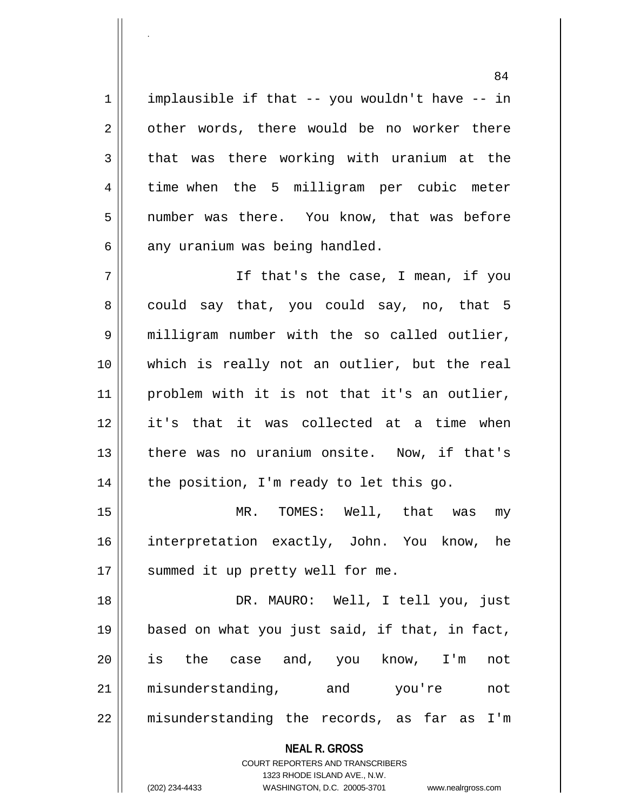$1 \parallel$  implausible if that -- you wouldn't have -- in  $2 \parallel$  other words, there would be no worker there  $3 \parallel$  that was there working with uranium at the 4 time when the 5 milligram per cubic meter 5 || number was there. You know, that was before  $6 \parallel$  any uranium was being handled.

.

7 || If that's the case, I mean, if you  $8 \parallel$  could say that, you could say, no, that 5 9 | milligram number with the so called outlier, 10 which is really not an outlier, but the real 11 || problem with it is not that it's an outlier, 12 it's that it was collected at a time when 13 || there was no uranium onsite. Now, if that's  $14$  | the position, I'm ready to let this go.

15 MR. TOMES: Well, that was my 16 interpretation exactly, John. You know, he 17 || summed it up pretty well for me.

 DR. MAURO: Well, I tell you, just based on what you just said, if that, in fact, is the case and, you know, I'm not misunderstanding, and you're not 22 || misunderstanding the records, as far as I'm

## **NEAL R. GROSS**

COURT REPORTERS AND TRANSCRIBERS 1323 RHODE ISLAND AVE., N.W. (202) 234-4433 WASHINGTON, D.C. 20005-3701 www.nealrgross.com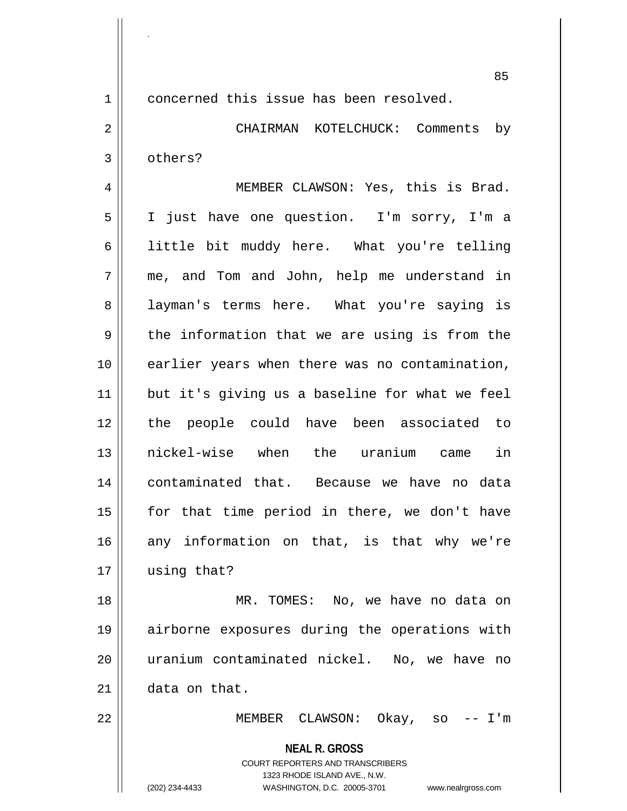85

**NEAL R. GROSS** 1 concerned this issue has been resolved. 2 CHAIRMAN KOTELCHUCK: Comments by 3 others? 4 || MEMBER CLAWSON: Yes, this is Brad. 5 I just have one question. I'm sorry, I'm a 6 | little bit muddy here. What you're telling 7 me, and Tom and John, help me understand in 8 || layman's terms here. What you're saying is  $9 \parallel$  the information that we are using is from the 10 earlier years when there was no contamination, 11 || but it's giving us a baseline for what we feel 12 the people could have been associated to 13 nickel-wise when the uranium came in 14 contaminated that. Because we have no data  $15$  | for that time period in there, we don't have  $16$  any information on that, is that why we're 17 | using that? 18 MR. TOMES: No, we have no data on 19 airborne exposures during the operations with 20 uranium contaminated nickel. No, we have no 21 data on that. 22 MEMBER CLAWSON: Okay, so -- I'm

> COURT REPORTERS AND TRANSCRIBERS 1323 RHODE ISLAND AVE., N.W.

.

(202) 234-4433 WASHINGTON, D.C. 20005-3701 www.nealrgross.com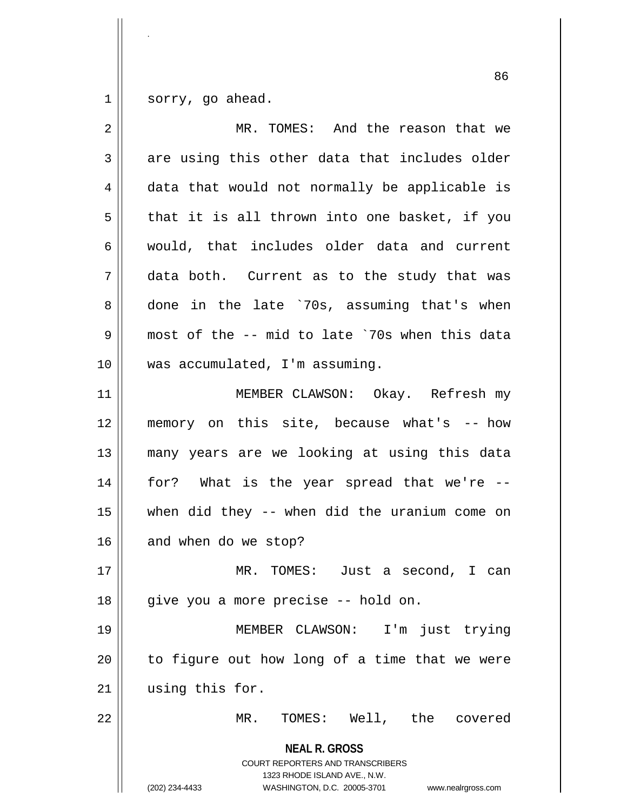$1 \parallel$  sorry, go ahead.

| 2           | MR. TOMES: And the reason that we                                                                                                                                      |
|-------------|------------------------------------------------------------------------------------------------------------------------------------------------------------------------|
| 3           | are using this other data that includes older                                                                                                                          |
| 4           | data that would not normally be applicable is                                                                                                                          |
| 5           | that it is all thrown into one basket, if you                                                                                                                          |
| 6           | would, that includes older data and current                                                                                                                            |
| 7           | data both. Current as to the study that was                                                                                                                            |
| 8           | done in the late '70s, assuming that's when                                                                                                                            |
| $\mathsf 9$ | most of the -- mid to late `70s when this data                                                                                                                         |
| 10          | was accumulated, I'm assuming.                                                                                                                                         |
| 11          | MEMBER CLAWSON: Okay. Refresh my                                                                                                                                       |
| 12          | memory on this site, because what's -- how                                                                                                                             |
| 13          | many years are we looking at using this data                                                                                                                           |
| 14          | for? What is the year spread that we're --                                                                                                                             |
| 15          | when did they -- when did the uranium come on                                                                                                                          |
| 16          | and when do we stop?                                                                                                                                                   |
| 17          | MR. TOMES: Just a second, I can                                                                                                                                        |
| 18          | give you a more precise -- hold on.                                                                                                                                    |
| 19          | MEMBER CLAWSON: I'm just trying                                                                                                                                        |
| 20          | to figure out how long of a time that we were                                                                                                                          |
| 21          | using this for.                                                                                                                                                        |
| 22          | MR. TOMES: Well, the covered                                                                                                                                           |
|             | <b>NEAL R. GROSS</b><br><b>COURT REPORTERS AND TRANSCRIBERS</b><br>1323 RHODE ISLAND AVE., N.W.<br>(202) 234-4433<br>WASHINGTON, D.C. 20005-3701<br>www.nealrgross.com |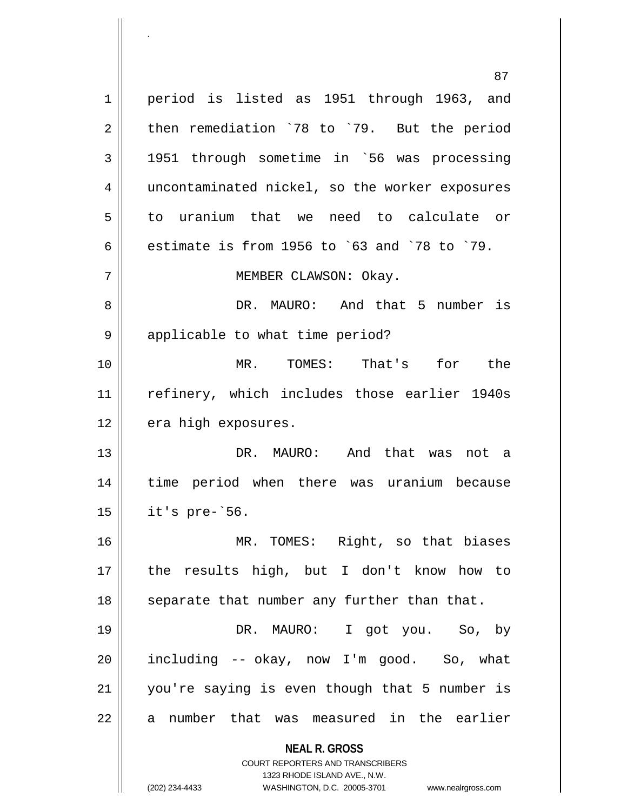**NEAL R. GROSS** COURT REPORTERS AND TRANSCRIBERS 1323 RHODE ISLAND AVE., N.W. (202) 234-4433 WASHINGTON, D.C. 20005-3701 www.nealrgross.com 87 1 || period is listed as 1951 through 1963, and  $2 \parallel$  then remediation `78 to `79. But the period  $3 \parallel$  1951 through sometime in `56 was processing 4 || uncontaminated nickel, so the worker exposures 5 to uranium that we need to calculate or 6 estimate is from 1956 to `63 and `78 to `79. 7 | MEMBER CLAWSON: Okay. 8 DR. MAURO: And that 5 number is  $9 \parallel$  applicable to what time period? 10 MR. TOMES: That's for the 11 || refinery, which includes those earlier 1940s  $12$  | era high exposures. 13 DR. MAURO: And that was not a 14 time period when there was uranium because  $15$  | it's pre- $56$ . 16 MR. TOMES: Right, so that biases 17 the results high, but I don't know how to 18 || separate that number any further than that. 19 DR. MAURO: I got you. So, by  $20$  || including  $-$  okay, now I'm good. So, what 21 you're saying is even though that 5 number is 22 || a number that was measured in the earlier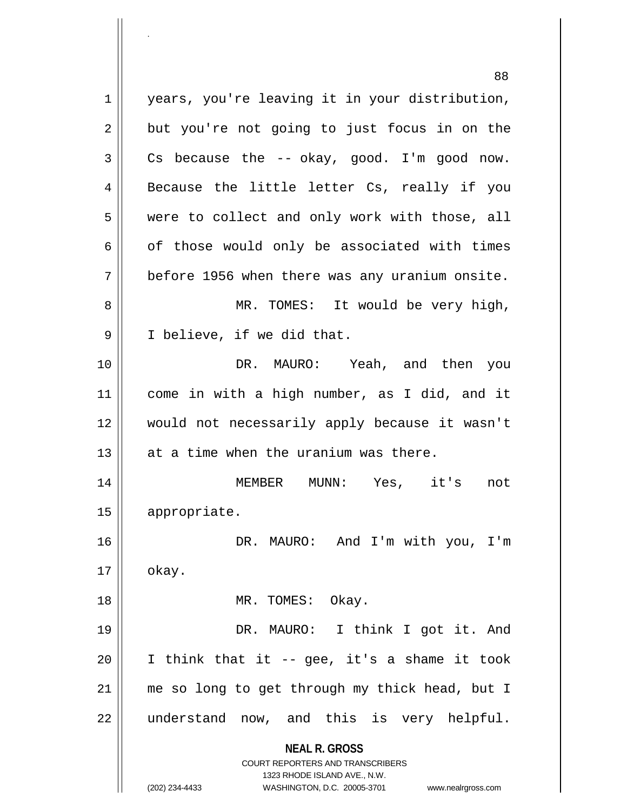**NEAL R. GROSS** COURT REPORTERS AND TRANSCRIBERS 1323 RHODE ISLAND AVE., N.W. (202) 234-4433 WASHINGTON, D.C. 20005-3701 www.nealrgross.com 1 || years, you're leaving it in your distribution,  $2 \parallel$  but you're not going to just focus in on the  $3 \parallel$  Cs because the -- okay, good. I'm good now. 4 || Because the little letter Cs, really if you 5 were to collect and only work with those, all  $6 \parallel$  of those would only be associated with times  $7 \parallel$  before 1956 when there was any uranium onsite. 8 MR. TOMES: It would be very high, 9 || I believe, if we did that. 10 DR. MAURO: Yeah, and then you 11 come in with a high number, as I did, and it 12 would not necessarily apply because it wasn't  $13$   $\parallel$  at a time when the uranium was there. 14 MEMBER MUNN: Yes, it's not 15 appropriate. 16 DR. MAURO: And I'm with you, I'm  $17 \parallel$  okay. 18 || MR. TOMES: Okay. 19 DR. MAURO: I think I got it. And  $20$  || I think that it -- gee, it's a shame it took 21 || me so long to get through my thick head, but I 22 || understand now, and this is very helpful.

.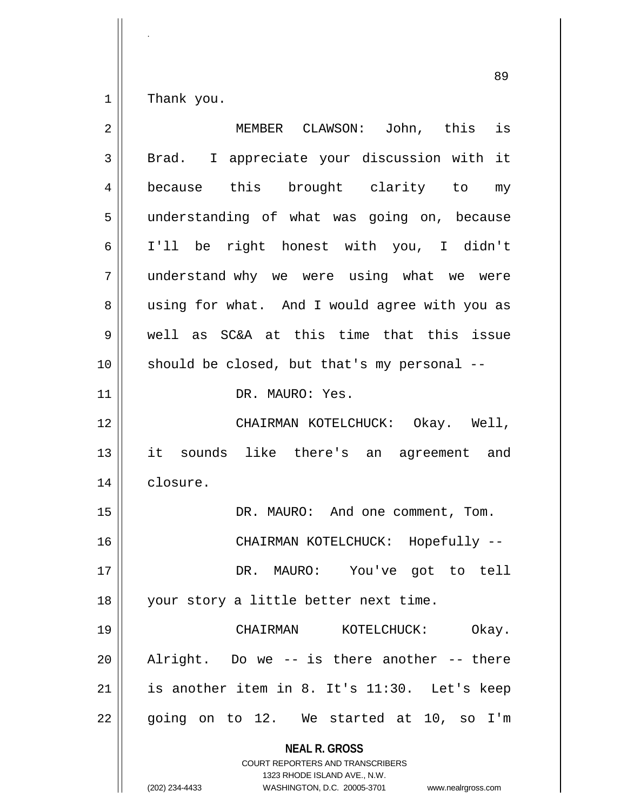$1 \parallel$  Thank you.

| $\overline{2}$ | MEMBER CLAWSON: John, this is                                                                                                                                          |
|----------------|------------------------------------------------------------------------------------------------------------------------------------------------------------------------|
| 3              | Brad. I appreciate your discussion with it                                                                                                                             |
| 4              | because this brought clarity to my                                                                                                                                     |
| 5              | understanding of what was going on, because                                                                                                                            |
| 6              | I'll be right honest with you, I didn't                                                                                                                                |
| 7              | understand why we were using what we were                                                                                                                              |
| 8              | using for what. And I would agree with you as                                                                                                                          |
| 9              | well as SC&A at this time that this issue                                                                                                                              |
| 10             | should be closed, but that's my personal --                                                                                                                            |
| 11             | DR. MAURO: Yes.                                                                                                                                                        |
| 12             | CHAIRMAN KOTELCHUCK: Okay. Well,                                                                                                                                       |
| 13             | it sounds like there's an agreement and                                                                                                                                |
| 14             | closure.                                                                                                                                                               |
| 15             | DR. MAURO: And one comment, Tom.                                                                                                                                       |
| 16             | CHAIRMAN KOTELCHUCK: Hopefully --                                                                                                                                      |
| 17             | DR. MAURO: You've got to tell                                                                                                                                          |
| 18             | your story a little better next time.                                                                                                                                  |
| 19             | KOTELCHUCK:<br>Okay.<br>CHAIRMAN                                                                                                                                       |
| 20             | Alright. Do we -- is there another -- there                                                                                                                            |
| 21             | is another item in 8. It's 11:30. Let's keep                                                                                                                           |
| 22             | going on to 12. We started at 10, so I'm                                                                                                                               |
|                | <b>NEAL R. GROSS</b><br><b>COURT REPORTERS AND TRANSCRIBERS</b><br>1323 RHODE ISLAND AVE., N.W.<br>(202) 234-4433<br>WASHINGTON, D.C. 20005-3701<br>www.nealrgross.com |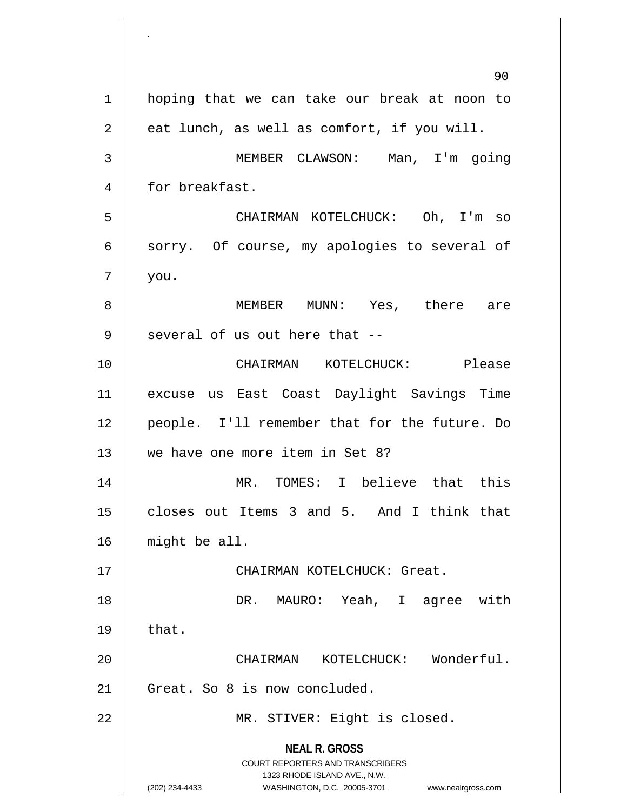**NEAL R. GROSS** COURT REPORTERS AND TRANSCRIBERS 1323 RHODE ISLAND AVE., N.W. (202) 234-4433 WASHINGTON, D.C. 20005-3701 www.nealrgross.com 90 1 | hoping that we can take our break at noon to  $2 \parallel$  eat lunch, as well as comfort, if you will. 3 MEMBER CLAWSON: Man, I'm going 4 | for breakfast. 5 CHAIRMAN KOTELCHUCK: Oh, I'm so  $6 \parallel$  sorry. Of course, my apologies to several of  $7 \parallel$  you. 8 MEMBER MUNN: Yes, there are  $9$  || several of us out here that  $-$ -10 CHAIRMAN KOTELCHUCK: Please 11 excuse us East Coast Daylight Savings Time 12 || people. I'll remember that for the future. Do 13 we have one more item in Set 8? 14 MR. TOMES: I believe that this 15 closes out Items 3 and 5. And I think that 16 might be all. 17 || CHAIRMAN KOTELCHUCK: Great. 18 DR. MAURO: Yeah, I agree with  $19 \parallel$  that. 20 CHAIRMAN KOTELCHUCK: Wonderful.  $21$  Great. So 8 is now concluded. 22 | MR. STIVER: Eight is closed.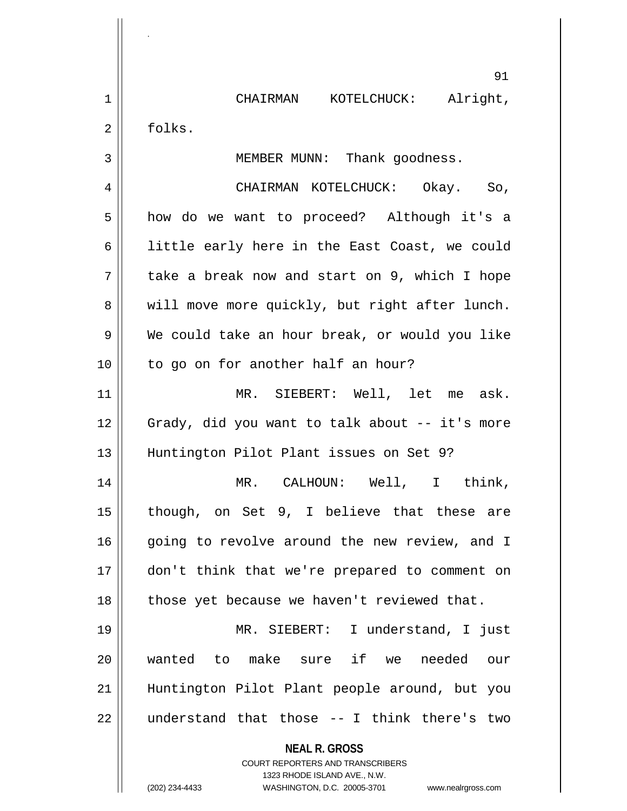|                | 91                                                                                       |
|----------------|------------------------------------------------------------------------------------------|
| $\mathbf 1$    | CHAIRMAN KOTELCHUCK: Alright,                                                            |
| $\overline{2}$ | folks.                                                                                   |
| 3              | MEMBER MUNN: Thank goodness.                                                             |
| 4              | CHAIRMAN KOTELCHUCK: Okay. So,                                                           |
| 5              | how do we want to proceed? Although it's a                                               |
| 6              | little early here in the East Coast, we could                                            |
| 7              | take a break now and start on 9, which I hope                                            |
| 8              | will move more quickly, but right after lunch.                                           |
| 9              | We could take an hour break, or would you like                                           |
| 10             | to go on for another half an hour?                                                       |
| 11             | MR. SIEBERT: Well, let me ask.                                                           |
| 12             | Grady, did you want to talk about -- it's more                                           |
| 13             | Huntington Pilot Plant issues on Set 9?                                                  |
| 14             | MR. CALHOUN: Well, I think,                                                              |
| 15             | though, on Set 9, I believe that these are                                               |
| 16             | going to revolve around the new review, and I                                            |
| 17             | don't think that we're prepared to comment on                                            |
| 18             | those yet because we haven't reviewed that.                                              |
| 19             | MR. SIEBERT: I understand, I just                                                        |
| 20             | wanted to make sure if we needed our                                                     |
| 21             | Huntington Pilot Plant people around, but you                                            |
| 22             | understand that those -- I think there's two                                             |
|                | <b>NEAL R. GROSS</b><br>COURT REPORTERS AND TRANSCRIBERS<br>1323 RHODE ISLAND AVE., N.W. |
|                | (202) 234-4433<br>WASHINGTON, D.C. 20005-3701<br>www.nealrgross.com                      |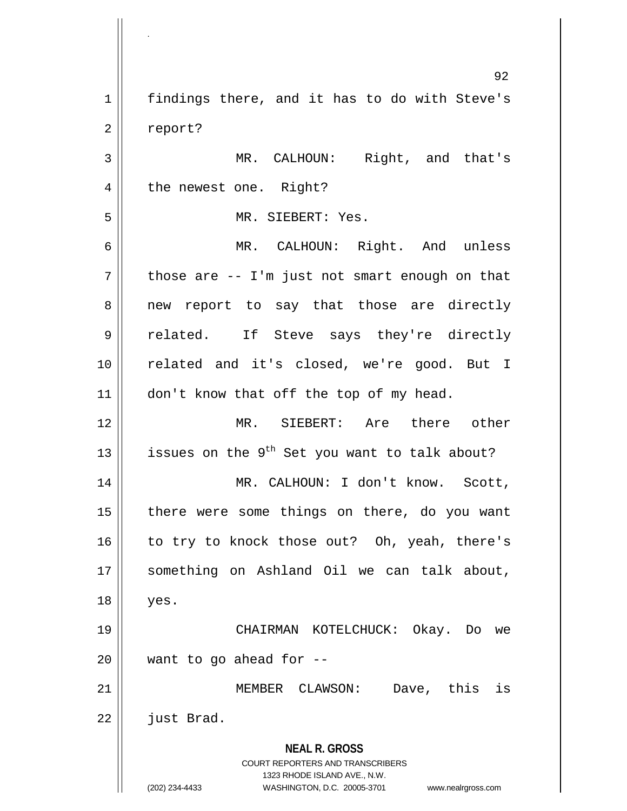**NEAL R. GROSS** COURT REPORTERS AND TRANSCRIBERS 1323 RHODE ISLAND AVE., N.W. (202) 234-4433 WASHINGTON, D.C. 20005-3701 www.nealrgross.com 92 1 | findings there, and it has to do with Steve's 2 | report? 3 MR. CALHOUN: Right, and that's 4 | the newest one. Right? 5 || MR. SIEBERT: Yes. 6 MR. CALHOUN: Right. And unless  $7 \parallel$  those are -- I'm just not smart enough on that 8 || new report to say that those are directly 9 related. If Steve says they're directly 10 || related and it's closed, we're good. But I 11 | don't know that off the top of my head. 12 MR. SIEBERT: Are there other 13  $\vert$  issues on the 9<sup>th</sup> Set you want to talk about? 14 || MR. CALHOUN: I don't know. Scott, 15 || there were some things on there, do you want  $16$  to try to knock those out? Oh, yeah, there's 17 || something on Ashland Oil we can talk about, 18 yes. 19 CHAIRMAN KOTELCHUCK: Okay. Do we  $20$  || want to go ahead for --21 MEMBER CLAWSON: Dave, this is  $22$  |  $\frac{1}{2}$  just Brad.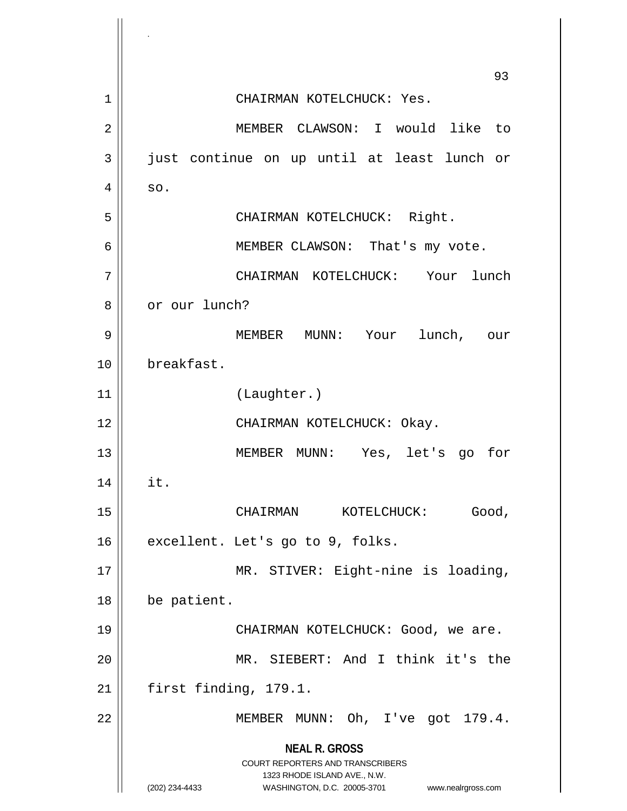**NEAL R. GROSS** COURT REPORTERS AND TRANSCRIBERS 1323 RHODE ISLAND AVE., N.W. (202) 234-4433 WASHINGTON, D.C. 20005-3701 www.nealrgross.com 93 1 | CHAIRMAN KOTELCHUCK: Yes. 2 MEMBER CLAWSON: I would like to 3 just continue on up until at least lunch or  $4 \parallel$  so. 5 CHAIRMAN KOTELCHUCK: Right. 6 || MEMBER CLAWSON: That's my vote. 7 CHAIRMAN KOTELCHUCK: Your lunch 8 | or our lunch? 9 MEMBER MUNN: Your lunch, our 10 breakfast. 11 (Laughter.) 12 || CHAIRMAN KOTELCHUCK: Okay. 13 MEMBER MUNN: Yes, let's go for  $14 \parallel \text{it.}$ 15 CHAIRMAN KOTELCHUCK: Good,  $16$  | excellent. Let's go to 9, folks. 17 || MR. STIVER: Eight-nine is loading, 18 | be patient. 19 CHAIRMAN KOTELCHUCK: Good, we are. 20 MR. SIEBERT: And I think it's the  $21$  | first finding, 179.1. 22 | MEMBER MUNN: Oh, I've got 179.4.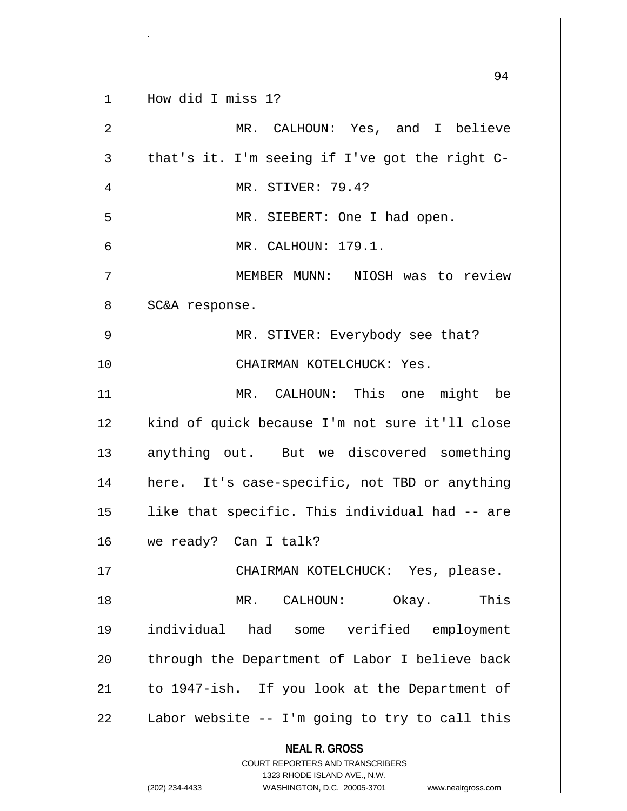|                | 94                                                                                                                                                              |
|----------------|-----------------------------------------------------------------------------------------------------------------------------------------------------------------|
| 1              | How did I miss 1?                                                                                                                                               |
| 2              | MR. CALHOUN: Yes, and I believe                                                                                                                                 |
| $\overline{3}$ | that's it. I'm seeing if I've got the right C-                                                                                                                  |
| 4              | MR. STIVER: 79.4?                                                                                                                                               |
| 5              | MR. SIEBERT: One I had open.                                                                                                                                    |
| 6              | MR. CALHOUN: 179.1.                                                                                                                                             |
| 7              | MEMBER MUNN: NIOSH was to review                                                                                                                                |
| 8              | SC&A response.                                                                                                                                                  |
| 9              | MR. STIVER: Everybody see that?                                                                                                                                 |
| 10             | CHAIRMAN KOTELCHUCK: Yes.                                                                                                                                       |
| 11             | MR. CALHOUN: This one might be                                                                                                                                  |
| 12             | kind of quick because I'm not sure it'll close                                                                                                                  |
| 13             | anything out. But we discovered something                                                                                                                       |
| 14             | here. It's case-specific, not TBD or anything                                                                                                                   |
| 15             | like that specific. This individual had -- are                                                                                                                  |
| 16             | we ready? Can I talk?                                                                                                                                           |
| 17             | CHAIRMAN KOTELCHUCK: Yes, please.                                                                                                                               |
| 18             | MR. CALHOUN: Okay. This                                                                                                                                         |
| 19             | individual had some verified employment                                                                                                                         |
| 20             | through the Department of Labor I believe back                                                                                                                  |
| 21             | to 1947-ish. If you look at the Department of                                                                                                                   |
| 22             | Labor website -- I'm going to try to call this                                                                                                                  |
|                | <b>NEAL R. GROSS</b><br>COURT REPORTERS AND TRANSCRIBERS<br>1323 RHODE ISLAND AVE., N.W.<br>(202) 234-4433<br>WASHINGTON, D.C. 20005-3701<br>www.nealrgross.com |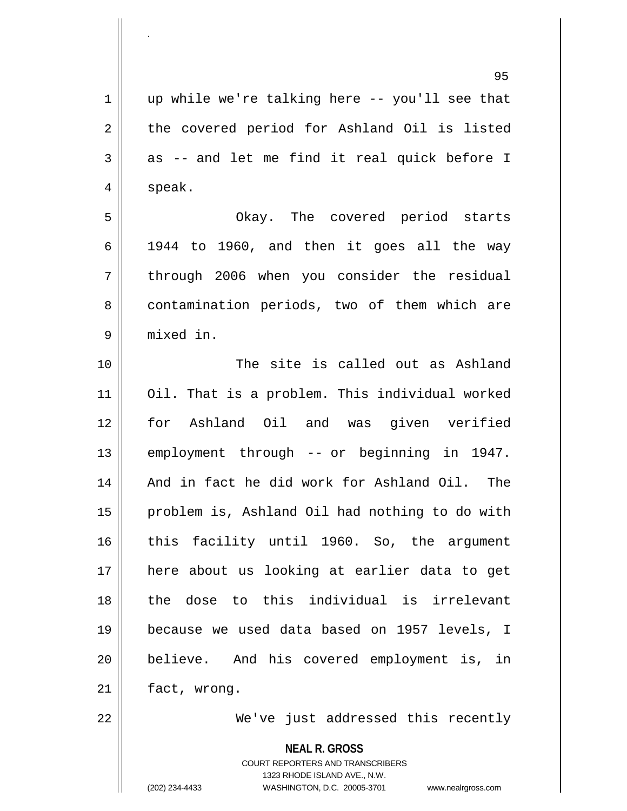$1 \parallel$  up while we're talking here -- you'll see that 2 || the covered period for Ashland Oil is listed  $3 \parallel$  as -- and let me find it real quick before I  $4 \parallel$  speak.

5 Okay. The covered period starts  $6 \parallel$  1944 to 1960, and then it goes all the way 7 through 2006 when you consider the residual 8 | contamination periods, two of them which are 9 mixed in.

 The site is called out as Ashland Oil. That is a problem. This individual worked for Ashland Oil and was given verified 13 || employment through -- or beginning in 1947. 14 || And in fact he did work for Ashland Oil. The 15 | problem is, Ashland Oil had nothing to do with this facility until 1960. So, the argument here about us looking at earlier data to get the dose to this individual is irrelevant because we used data based on 1957 levels, I believe. And his covered employment is, in 21 | fact, wrong.

.

22 We've just addressed this recently

**NEAL R. GROSS**

COURT REPORTERS AND TRANSCRIBERS 1323 RHODE ISLAND AVE., N.W. (202) 234-4433 WASHINGTON, D.C. 20005-3701 www.nealrgross.com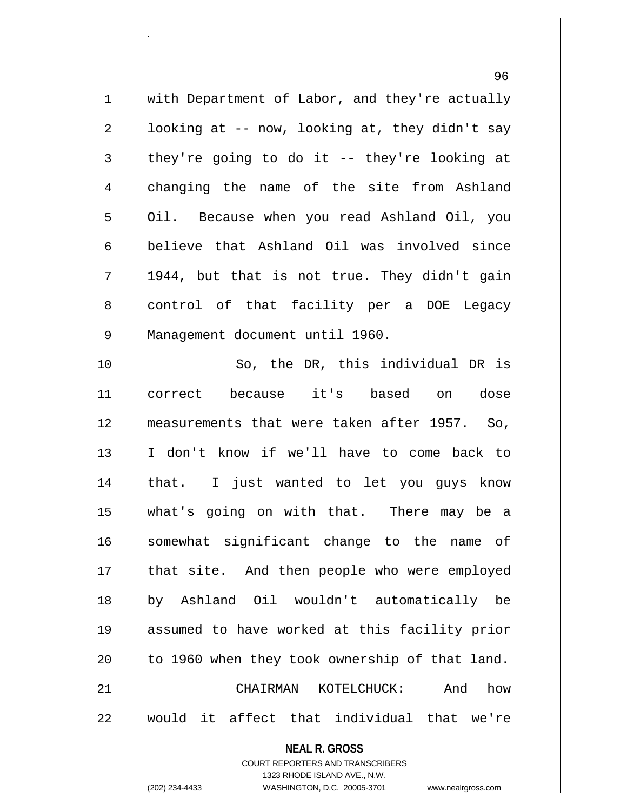**NEAL R. GROSS** 96 1 | with Department of Labor, and they're actually  $2 \parallel$  looking at -- now, looking at, they didn't say  $3 \parallel$  they're going to do it -- they're looking at 4 changing the name of the site from Ashland 5 | Oil. Because when you read Ashland Oil, you 6 believe that Ashland Oil was involved since  $7 \parallel 1944$ , but that is not true. They didn't gain 8 || control of that facility per a DOE Legacy 9 Management document until 1960. 10 || So, the DR, this individual DR is 11 correct because it's based on dose 12 measurements that were taken after 1957. So, 13 I don't know if we'll have to come back to 14 || that. I just wanted to let you guys know 15 what's going on with that. There may be a 16 || somewhat significant change to the name of 17 || that site. And then people who were employed 18 by Ashland Oil wouldn't automatically be 19 assumed to have worked at this facility prior  $20$  | to 1960 when they took ownership of that land. 21 CHAIRMAN KOTELCHUCK: And how 22 would it affect that individual that we're

> COURT REPORTERS AND TRANSCRIBERS 1323 RHODE ISLAND AVE., N.W.

.

(202) 234-4433 WASHINGTON, D.C. 20005-3701 www.nealrgross.com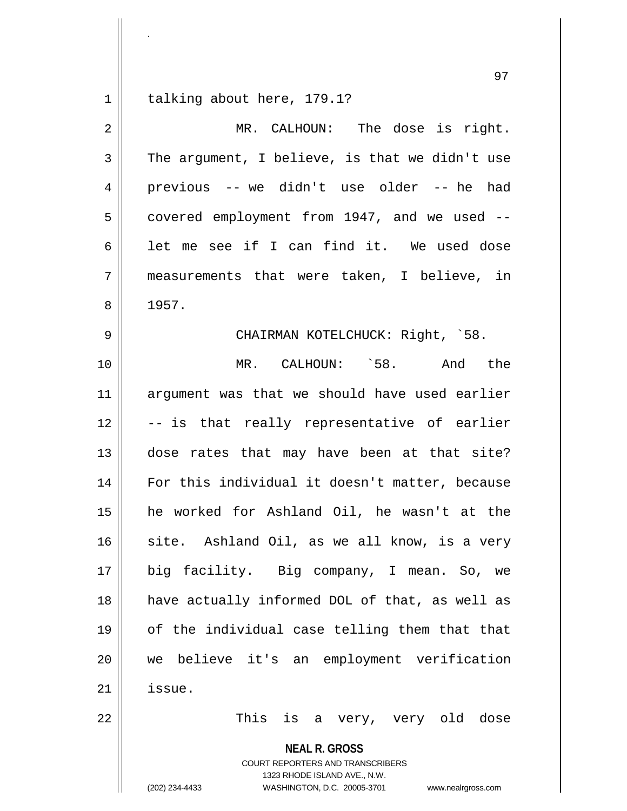talking about here, 179.1?

.

| $\overline{2}$ | MR. CALHOUN: The dose is right.                |
|----------------|------------------------------------------------|
| 3              | The argument, I believe, is that we didn't use |
| 4              | previous -- we didn't use older -- he had      |
| 5              | covered employment from 1947, and we used --   |
| 6              | let me see if I can find it. We used dose      |
| 7              | measurements that were taken, I believe, in    |
| 8              | 1957.                                          |
| 9              | CHAIRMAN KOTELCHUCK: Right, `58.               |
| 10             | MR. CALHOUN: `58.<br>And the                   |
| 11             | argument was that we should have used earlier  |
| 12             | -- is that really representative of earlier    |
| 13             | dose rates that may have been at that site?    |
| 14             | For this individual it doesn't matter, because |
| 15             | he worked for Ashland Oil, he wasn't at the    |
| 16             | site. Ashland Oil, as we all know, is a very   |
| 17             | big facility. Big company, I mean. So, we      |
| 18             | have actually informed DOL of that, as well as |
| 19             | of the individual case telling them that that  |
| 20             | we believe it's an employment verification     |
| 21             | issue.                                         |
| 22             | This<br>is<br>a very, very old<br>dose         |

**NEAL R. GROSS**

COURT REPORTERS AND TRANSCRIBERS 1323 RHODE ISLAND AVE., N.W. (202) 234-4433 WASHINGTON, D.C. 20005-3701 www.nealrgross.com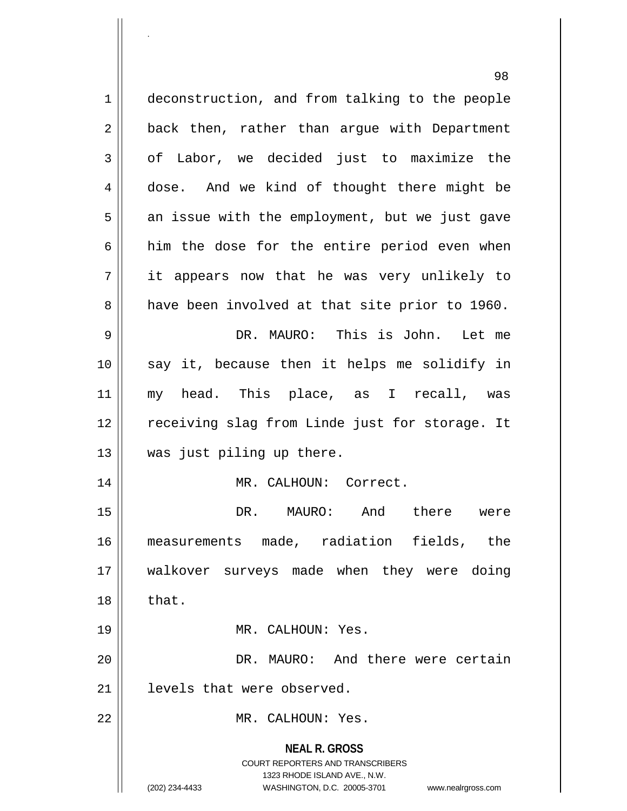**NEAL R. GROSS** COURT REPORTERS AND TRANSCRIBERS 1323 RHODE ISLAND AVE., N.W. (202) 234-4433 WASHINGTON, D.C. 20005-3701 www.nealrgross.com 98 1 deconstruction, and from talking to the people 2 || back then, rather than argue with Department 3 of Labor, we decided just to maximize the 4 dose. And we kind of thought there might be  $5$  || an issue with the employment, but we just gave  $6$  him the dose for the entire period even when 7 it appears now that he was very unlikely to 8 a have been involved at that site prior to 1960. 9 DR. MAURO: This is John. Let me 10 say it, because then it helps me solidify in 11 my head. This place, as I recall, was 12 || receiving slag from Linde just for storage. It 13 || was just piling up there. 14 || MR. CALHOUN: Correct. 15 DR. MAURO: And there were 16 measurements made, radiation fields, the 17 walkover surveys made when they were doing  $18 \parallel$  that. 19 MR. CALHOUN: Yes. 20 DR. MAURO: And there were certain 21 | levels that were observed. 22 MR. CALHOUN: Yes.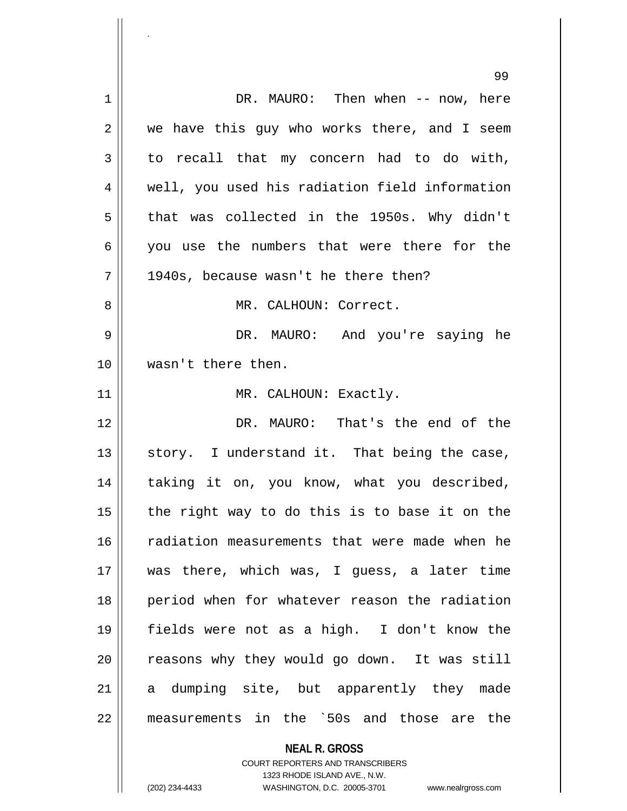|    | 99                                             |
|----|------------------------------------------------|
| 1  | DR. MAURO: Then when -- now, here              |
| 2  | we have this guy who works there, and I seem   |
| 3  | to recall that my concern had to do with,      |
| 4  | well, you used his radiation field information |
| 5  | that was collected in the 1950s. Why didn't    |
| 6  | you use the numbers that were there for the    |
| 7  | 1940s, because wasn't he there then?           |
| 8  | MR. CALHOUN: Correct.                          |
| 9  | DR. MAURO: And you're saying he                |
| 10 | wasn't there then.                             |
| 11 | MR. CALHOUN: Exactly.                          |
| 12 | DR. MAURO: That's the end of the               |
| 13 | story. I understand it. That being the case,   |
| 14 | taking it on, you know, what you described,    |
| 15 | the right way to do this is to base it on the  |
| 16 | radiation measurements that were made when he  |
| 17 | was there, which was, I guess, a later time    |
| 18 | period when for whatever reason the radiation  |
| 19 | fields were not as a high. I don't know the    |
| 20 | reasons why they would go down. It was still   |
| 21 | a dumping site, but apparently they made       |
| 22 | measurements in the `50s and those are the     |
|    | <b>NEAL R. GROSS</b>                           |

COURT REPORTERS AND TRANSCRIBERS 1323 RHODE ISLAND AVE., N.W.

 $\mathsf{I}$ 

.

(202) 234-4433 WASHINGTON, D.C. 20005-3701 www.nealrgross.com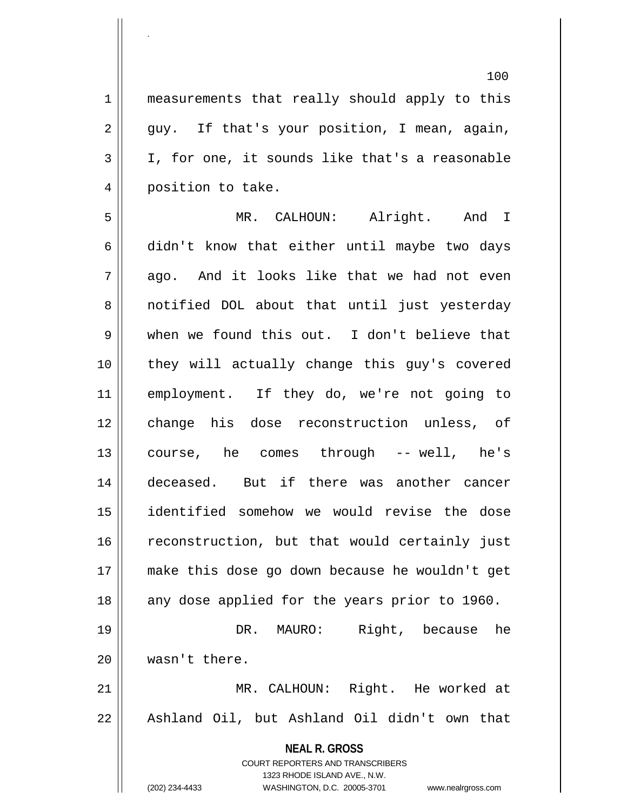1 || measurements that really should apply to this  $2 \parallel$  guy. If that's your position, I mean, again,  $3 \parallel$  I, for one, it sounds like that's a reasonable 4 || position to take.

5 MR. CALHOUN: Alright. And I  $6 \parallel$  didn't know that either until maybe two days  $7 \parallel$  ago. And it looks like that we had not even 8 || notified DOL about that until just yesterday 9 when we found this out. I don't believe that 10 || they will actually change this guy's covered 11 employment. If they do, we're not going to 12 change his dose reconstruction unless, of 13 || course, he comes through -- well, he's 14 || deceased. But if there was another cancer 15 identified somehow we would revise the dose 16 || reconstruction, but that would certainly just 17 make this dose go down because he wouldn't get 18 || any dose applied for the years prior to 1960. 19 DR. MAURO: Right, because he 20 wasn't there.

21 MR. CALHOUN: Right. He worked at 22 || Ashland Oil, but Ashland Oil didn't own that

> **NEAL R. GROSS** COURT REPORTERS AND TRANSCRIBERS

> > 1323 RHODE ISLAND AVE., N.W.

.

(202) 234-4433 WASHINGTON, D.C. 20005-3701 www.nealrgross.com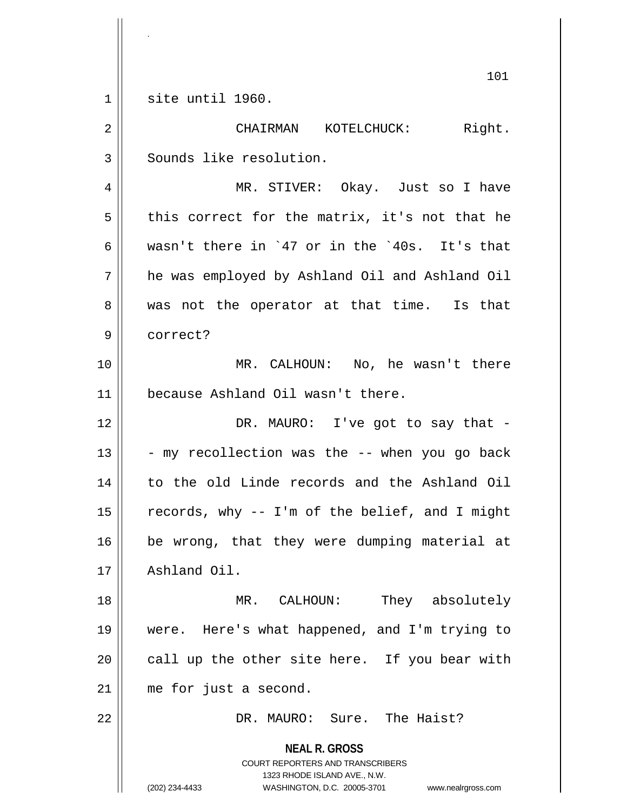$1$  site until 1960.

.

**NEAL R. GROSS** COURT REPORTERS AND TRANSCRIBERS 1323 RHODE ISLAND AVE., N.W. (202) 234-4433 WASHINGTON, D.C. 20005-3701 www.nealrgross.com 2 CHAIRMAN KOTELCHUCK: Right. 3 | Sounds like resolution. 4 MR. STIVER: Okay. Just so I have  $5 \parallel$  this correct for the matrix, it's not that he 6 wasn't there in `47 or in the `40s. It's that 7 he was employed by Ashland Oil and Ashland Oil  $8 \parallel$  was not the operator at that time. Is that 9 correct? 10 MR. CALHOUN: No, he wasn't there 11 || because Ashland Oil wasn't there. 12 DR. MAURO: I've got to say that - $13 \parallel$  - my recollection was the -- when you go back 14 to the old Linde records and the Ashland Oil 15  $\parallel$  records, why -- I'm of the belief, and I might 16 || be wrong, that they were dumping material at 17 Ashland Oil. 18 MR. CALHOUN: They absolutely 19 were. Here's what happened, and I'm trying to  $20$  | call up the other site here. If you bear with 21 || me for just a second. 22 DR. MAURO: Sure. The Haist?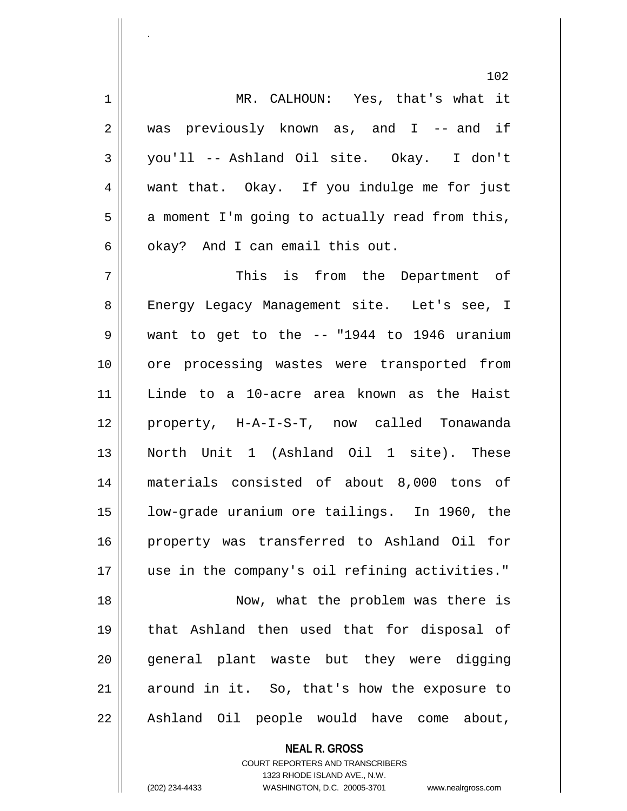1 MR. CALHOUN: Yes, that's what it 2 || was previously known as, and I -- and if 3 you'll -- Ashland Oil site. Okay. I don't 4 want that. Okay. If you indulge me for just  $5 \parallel$  a moment I'm going to actually read from this,  $6 \parallel$  okay? And I can email this out.

 This is from the Department of 8 || Energy Legacy Management site. Let's see, I  $9 \parallel$  want to get to the  $-$  "1944 to 1946 uranium ore processing wastes were transported from Linde to a 10-acre area known as the Haist property, H-A-I-S-T, now called Tonawanda North Unit 1 (Ashland Oil 1 site). These materials consisted of about 8,000 tons of low-grade uranium ore tailings. In 1960, the property was transferred to Ashland Oil for use in the company's oil refining activities." 18 || Now, what the problem was there is that Ashland then used that for disposal of 20 || general plant waste but they were digging around in it. So, that's how the exposure to 22 || Ashland Oil people would have come about,

> **NEAL R. GROSS** COURT REPORTERS AND TRANSCRIBERS 1323 RHODE ISLAND AVE., N.W. (202) 234-4433 WASHINGTON, D.C. 20005-3701 www.nealrgross.com

.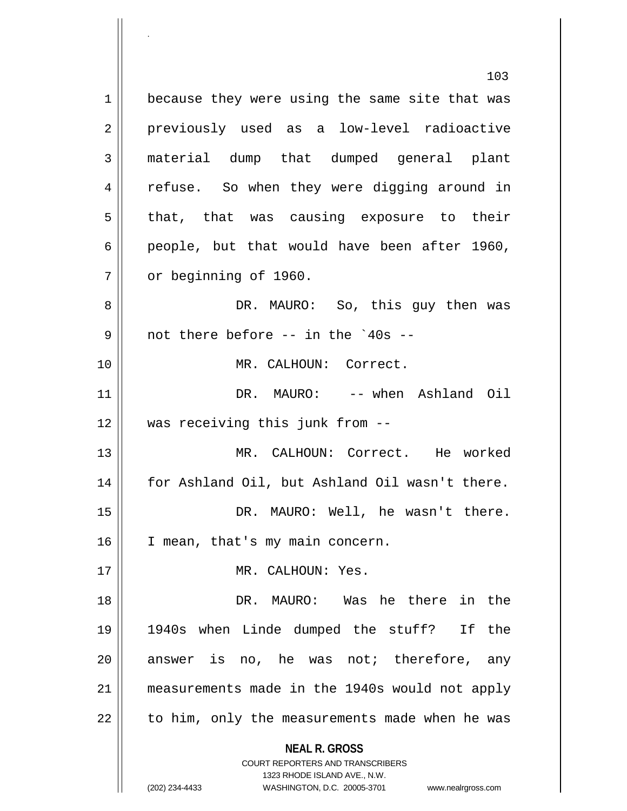**NEAL R. GROSS** COURT REPORTERS AND TRANSCRIBERS 1323 RHODE ISLAND AVE., N.W. (202) 234-4433 WASHINGTON, D.C. 20005-3701 www.nealrgross.com 103 1 || because they were using the same site that was 2 || previously used as a low-level radioactive 3 material dump that dumped general plant 4 || refuse. So when they were digging around in  $5 \parallel$  that, that was causing exposure to their 6 | people, but that would have been after 1960, 7 | or beginning of 1960. 8 DR. MAURO: So, this guy then was  $9 \parallel$  not there before -- in the `40s --10 MR. CALHOUN: Correct. 11 DR. MAURO: -- when Ashland Oil 12 was receiving this junk from -- 13 MR. CALHOUN: Correct. He worked 14 | for Ashland Oil, but Ashland Oil wasn't there. 15 || DR. MAURO: Well, he wasn't there. 16 | I mean, that's my main concern. 17 MR. CALHOUN: Yes. 18 DR. MAURO: Was he there in the 19 1940s when Linde dumped the stuff? If the  $20$  answer is no, he was not; therefore, any 21 measurements made in the 1940s would not apply  $22$  | to him, only the measurements made when he was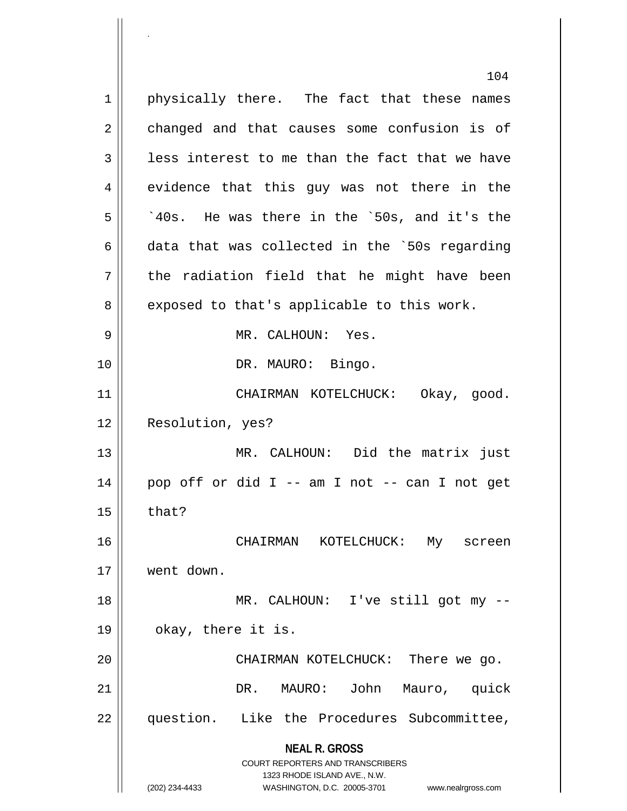**NEAL R. GROSS** COURT REPORTERS AND TRANSCRIBERS 1323 RHODE ISLAND AVE., N.W. (202) 234-4433 WASHINGTON, D.C. 20005-3701 www.nealrgross.com 104 1 || physically there. The fact that these names 2 changed and that causes some confusion is of  $3 \parallel$  less interest to me than the fact that we have 4 evidence that this guy was not there in the  $5 \parallel$   $\degree$  40s. He was there in the  $\degree$ 50s, and it's the 6 data that was collected in the `50s regarding  $7 \parallel$  the radiation field that he might have been  $8 \parallel$  exposed to that's applicable to this work. 9 MR. CALHOUN: Yes. 10 || DR. MAURO: Bingo. 11 CHAIRMAN KOTELCHUCK: Okay, good. 12 | Resolution, yes? 13 MR. CALHOUN: Did the matrix just  $14 \parallel$  pop off or did I -- am I not -- can I not get  $15$  | that? 16 CHAIRMAN KOTELCHUCK: My screen 17 went down. 18 || MR. CALHOUN: I've still got my -- $19 \parallel$  okay, there it is. 20 || CHAIRMAN KOTELCHUCK: There we go. 21 DR. MAURO: John Mauro, quick 22 || question. Like the Procedures Subcommittee,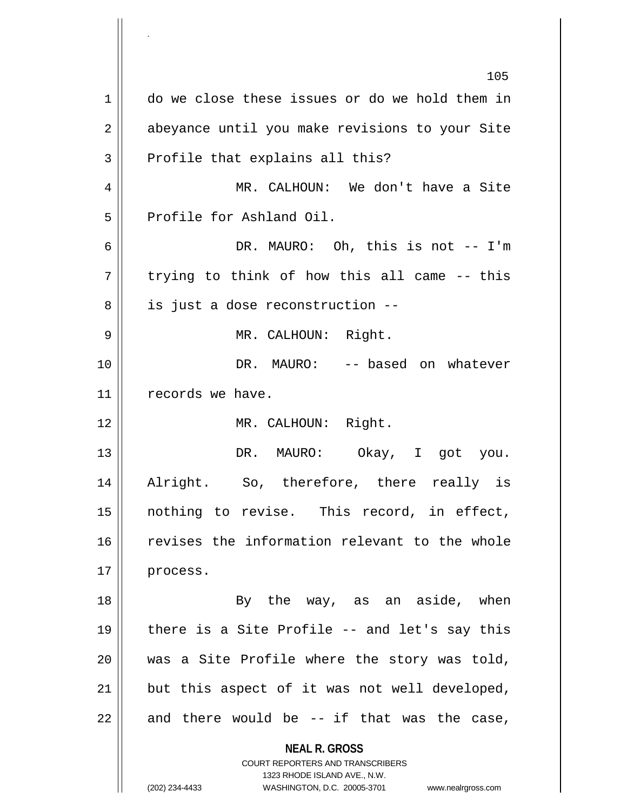**NEAL R. GROSS** COURT REPORTERS AND TRANSCRIBERS 1323 RHODE ISLAND AVE., N.W. (202) 234-4433 WASHINGTON, D.C. 20005-3701 www.nealrgross.com 105 1 do we close these issues or do we hold them in 2 || abeyance until you make revisions to your Site  $3$  Profile that explains all this? 4 MR. CALHOUN: We don't have a Site 5 Profile for Ashland Oil. 6 DR. MAURO: Oh, this is not -- I'm  $7 \parallel$  trying to think of how this all came -- this  $8$  | is just a dose reconstruction --9 MR. CALHOUN: Right. 10 || DR. MAURO: -- based on whatever 11 | records we have. 12 || MR. CALHOUN: Right. 13 || DR. MAURO: Okay, I got you. 14 Alright. So, therefore, there really is 15 nothing to revise. This record, in effect, 16 || revises the information relevant to the whole 17 || process. 18 || By the way, as an aside, when  $19 \parallel$  there is a Site Profile -- and let's say this 20 was a Site Profile where the story was told,  $21$  but this aspect of it was not well developed,  $22$  and there would be  $-$  if that was the case,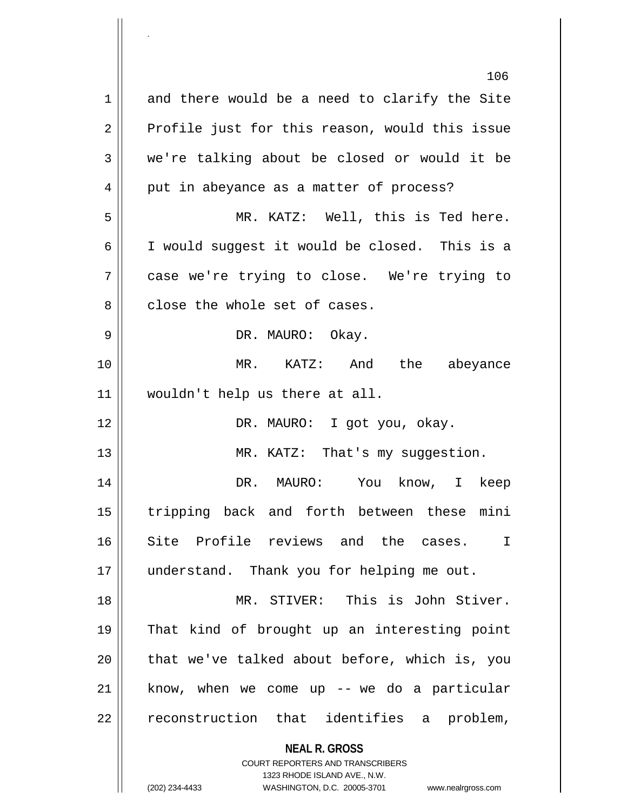**NEAL R. GROSS** COURT REPORTERS AND TRANSCRIBERS 1323 RHODE ISLAND AVE., N.W. (202) 234-4433 WASHINGTON, D.C. 20005-3701 www.nealrgross.com 106 1 and there would be a need to clarify the Site  $2 \parallel$  Profile just for this reason, would this issue  $3 \parallel$  we're talking about be closed or would it be  $4 \parallel$  put in abeyance as a matter of process? 5 MR. KATZ: Well, this is Ted here. 6 I would suggest it would be closed. This is a 7 case we're trying to close. We're trying to  $8$   $\parallel$  close the whole set of cases. 9 DR. MAURO: Okay. 10 MR. KATZ: And the abeyance 11 wouldn't help us there at all. 12 DR. MAURO: I got you, okay. 13 || MR. KATZ: That's my suggestion. 14 DR. MAURO: You know, I keep 15 tripping back and forth between these mini 16 Site Profile reviews and the cases. I 17 || understand. Thank you for helping me out. 18 MR. STIVER: This is John Stiver. 19 That kind of brought up an interesting point  $20$  || that we've talked about before, which is, you  $21$  know, when we come up -- we do a particular 22 || reconstruction that identifies a problem,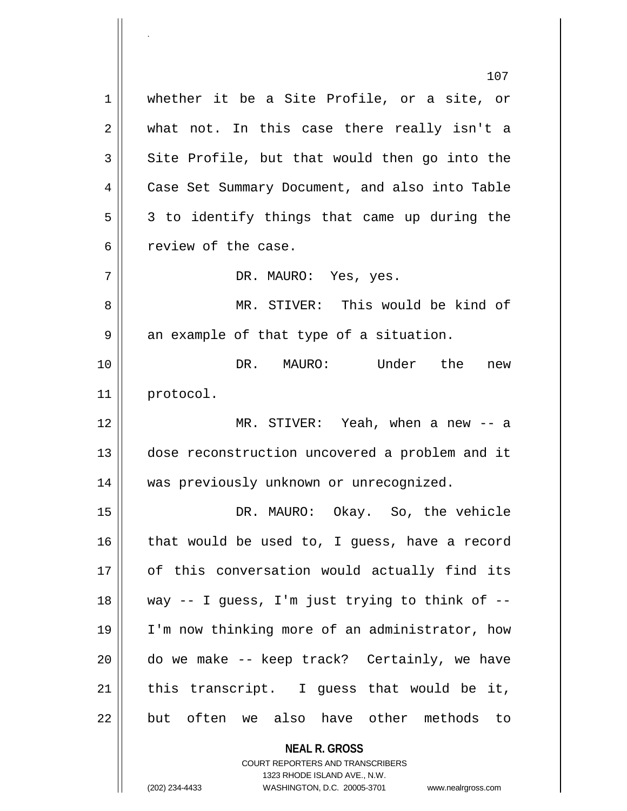**NEAL R. GROSS** 107 1 whether it be a Site Profile, or a site, or  $2 \parallel$  what not. In this case there really isn't a  $3 \parallel$  Site Profile, but that would then go into the 4 Case Set Summary Document, and also into Table  $5 \parallel$  3 to identify things that came up during the 6 case. 7 DR. MAURO: Yes, yes. 8 MR. STIVER: This would be kind of  $9 \parallel$  an example of that type of a situation. 10 DR. MAURO: Under the new 11 || protocol. 12 MR. STIVER: Yeah, when a new -- a 13 || dose reconstruction uncovered a problem and it 14 was previously unknown or unrecognized. 15 DR. MAURO: Okay. So, the vehicle  $16$  that would be used to, I guess, have a record 17 || of this conversation would actually find its 18 way -- I guess, I'm just trying to think of -- 19 I'm now thinking more of an administrator, how 20 || do we make -- keep track? Certainly, we have  $21$  | this transcript. I guess that would be it, 22 || but often we also have other methods to

> COURT REPORTERS AND TRANSCRIBERS 1323 RHODE ISLAND AVE., N.W.

(202) 234-4433 WASHINGTON, D.C. 20005-3701 www.nealrgross.com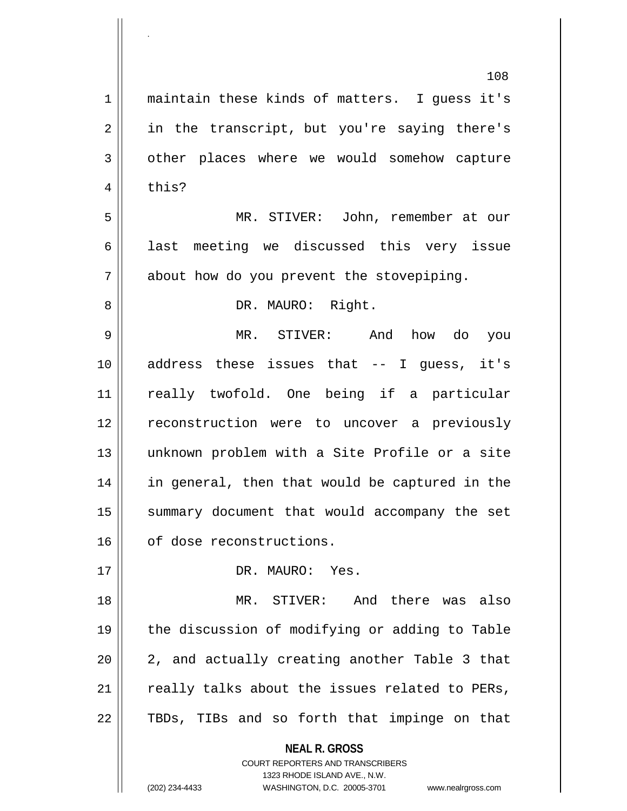**NEAL R. GROSS** COURT REPORTERS AND TRANSCRIBERS 1323 RHODE ISLAND AVE., N.W. 108 1 || maintain these kinds of matters. I quess it's 2 || in the transcript, but you're saying there's 3 | other places where we would somehow capture  $4 \parallel$  this? 5 MR. STIVER: John, remember at our  $6 \parallel$  last meeting we discussed this very issue 7 || about how do you prevent the stovepiping. 8 || DR. MAURO: Right. 9 MR. STIVER: And how do you 10 address these issues that -- I guess, it's 11 really twofold. One being if a particular 12 reconstruction were to uncover a previously 13 unknown problem with a Site Profile or a site 14 || in general, then that would be captured in the 15 || summary document that would accompany the set 16 | of dose reconstructions. 17 || DR. MAURO: Yes. 18 MR. STIVER: And there was also 19 || the discussion of modifying or adding to Table  $20$  || 2, and actually creating another Table 3 that  $21$  really talks about the issues related to PERs,  $22$  || TBDs, TIBs and so forth that impinge on that

.

(202) 234-4433 WASHINGTON, D.C. 20005-3701 www.nealrgross.com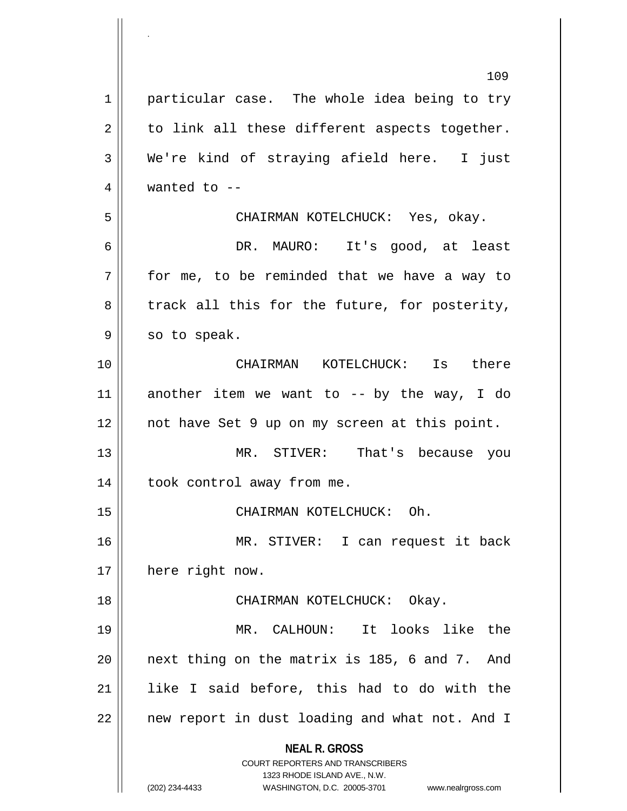**NEAL R. GROSS** COURT REPORTERS AND TRANSCRIBERS 1323 RHODE ISLAND AVE., N.W. (202) 234-4433 WASHINGTON, D.C. 20005-3701 www.nealrgross.com 109 1 | particular case. The whole idea being to try  $2 \parallel$  to link all these different aspects together. 3 We're kind of straying afield here. I just  $4 \parallel$  wanted to  $-$ 5 CHAIRMAN KOTELCHUCK: Yes, okay. 6 DR. MAURO: It's good, at least  $7 \parallel$  for me, to be reminded that we have a way to  $8 \parallel$  track all this for the future, for posterity,  $9 \parallel$  so to speak. 10 CHAIRMAN KOTELCHUCK: Is there 11  $\parallel$  another item we want to -- by the way, I do 12 not have Set 9 up on my screen at this point. 13 MR. STIVER: That's because you 14 || took control away from me. 15 || CHAIRMAN KOTELCHUCK: Oh. 16 MR. STIVER: I can request it back 17 || here right now. 18 CHAIRMAN KOTELCHUCK: Okay. 19 MR. CALHOUN: It looks like the  $20$  || next thing on the matrix is 185, 6 and 7. And 21 like I said before, this had to do with the 22 || new report in dust loading and what not. And I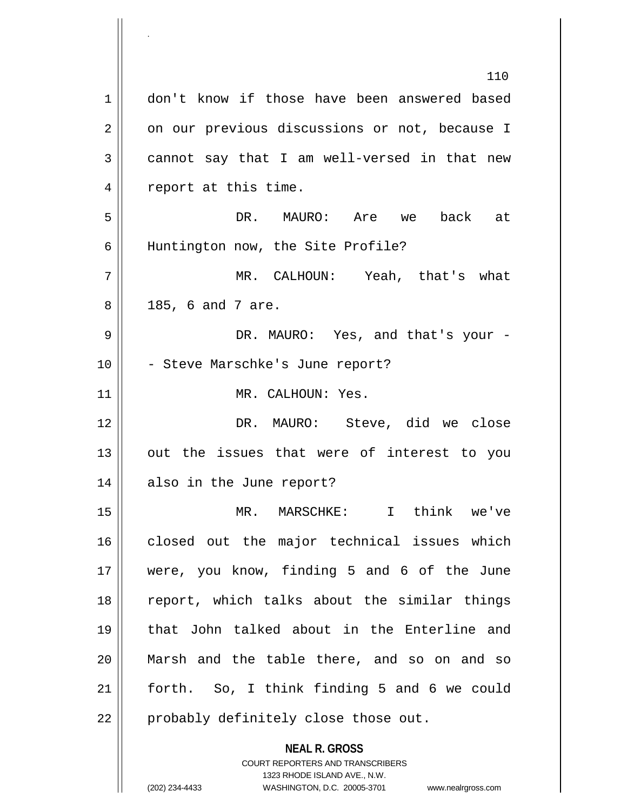**NEAL R. GROSS** COURT REPORTERS AND TRANSCRIBERS 1323 RHODE ISLAND AVE., N.W. 110 1 || don't know if those have been answered based  $2 \parallel$  on our previous discussions or not, because I  $3 \parallel$  cannot say that I am well-versed in that new 4 || report at this time. 5 DR. MAURO: Are we back at 6 Huntington now, the Site Profile? 7 MR. CALHOUN: Yeah, that's what  $8 \parallel 185, 6 \text{ and } 7 \text{ are.}$ 9 DR. MAURO: Yes, and that's your - 10 || - Steve Marschke's June report? 11 || MR. CALHOUN: Yes. 12 DR. MAURO: Steve, did we close  $13$  || out the issues that were of interest to you 14 also in the June report? 15 MR. MARSCHKE: I think we've 16 || closed out the major technical issues which 17 were, you know, finding 5 and 6 of the June 18 || report, which talks about the similar things 19 that John talked about in the Enterline and 20 Marsh and the table there, and so on and so 21 forth. So, I think finding 5 and 6 we could 22 || probably definitely close those out.

.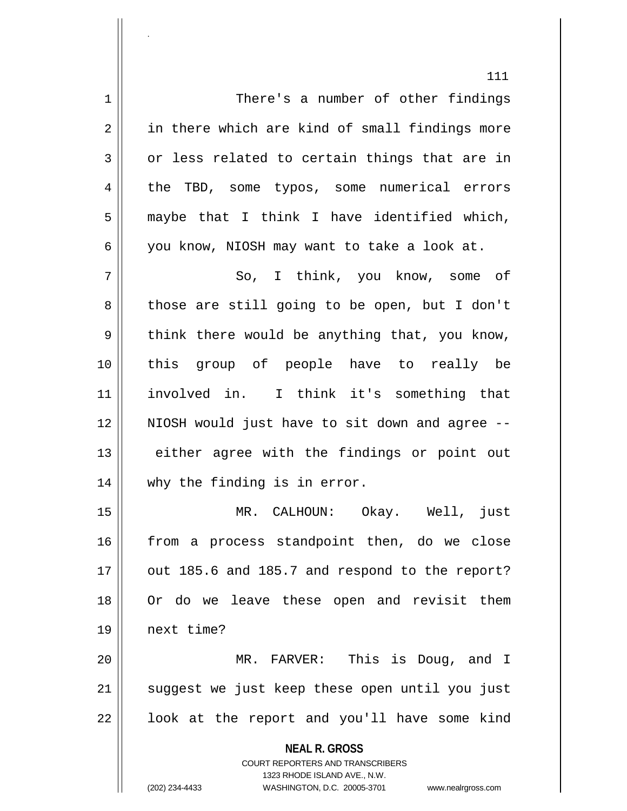**NEAL R. GROSS** COURT REPORTERS AND TRANSCRIBERS 1323 RHODE ISLAND AVE., N.W. 111 1 There's a number of other findings 2 in there which are kind of small findings more  $3 \parallel$  or less related to certain things that are in 4 || the TBD, some typos, some numerical errors  $5 \parallel$  maybe that I think I have identified which,  $6 \parallel$  you know, NIOSH may want to take a look at. 7 So, I think, you know, some of  $8 \parallel$  those are still going to be open, but I don't  $9 \parallel$  think there would be anything that, you know, 10 this group of people have to really be 11 involved in. I think it's something that 12 NIOSH would just have to sit down and agree -- 13 || either agree with the findings or point out 14 why the finding is in error. 15 MR. CALHOUN: Okay. Well, just 16 || from a process standpoint then, do we close  $17$  | out 185.6 and 185.7 and respond to the report? 18 Or do we leave these open and revisit them 19 next time? 20 MR. FARVER: This is Doug, and I 21 || suggest we just keep these open until you just  $22$  |  $\vert$  look at the report and you'll have some kind

.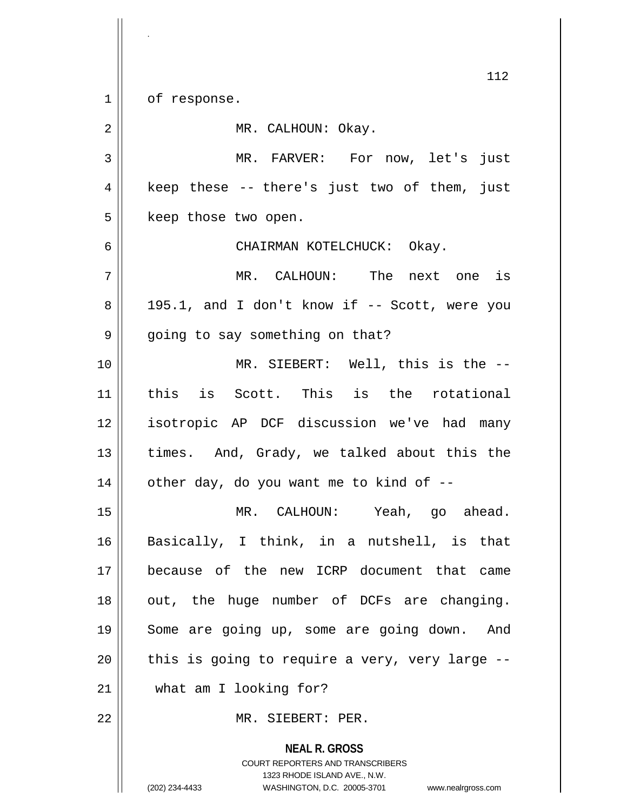$1 \parallel$  of response.

.

| $\overline{2}$ | MR. CALHOUN: Okay.                                       |
|----------------|----------------------------------------------------------|
| 3              | MR. FARVER: For now, let's just                          |
| 4              | keep these -- there's just two of them, just             |
| 5              | keep those two open.                                     |
| 6              | CHAIRMAN KOTELCHUCK: Okay.                               |
| 7              | MR. CALHOUN: The next one is                             |
| 8              | 195.1, and I don't know if -- Scott, were you            |
| 9              | going to say something on that?                          |
| 10             | MR. SIEBERT: Well, this is the --                        |
| 11             | this is Scott. This is the rotational                    |
| 12             | isotropic AP DCF discussion we've had many               |
| 13             | times. And, Grady, we talked about this the              |
| 14             | other day, do you want me to kind of --                  |
| 15             | MR. CALHOUN: Yeah, go ahead.                             |
| 16             | Basically, I think, in a nutshell, is that               |
| 17             | because of the new ICRP document that came               |
| 18             | out, the huge number of DCFs are changing.               |
| 19             | Some are going up, some are going down.<br>And           |
| 20             | this is going to require a very, very large --           |
| 21             | what am I looking for?                                   |
| 22             | MR. SIEBERT: PER.                                        |
|                | <b>NEAL R. GROSS</b><br>COURT REPORTERS AND TRANSCRIBERS |

1323 RHODE ISLAND AVE., N.W.

 $\prod$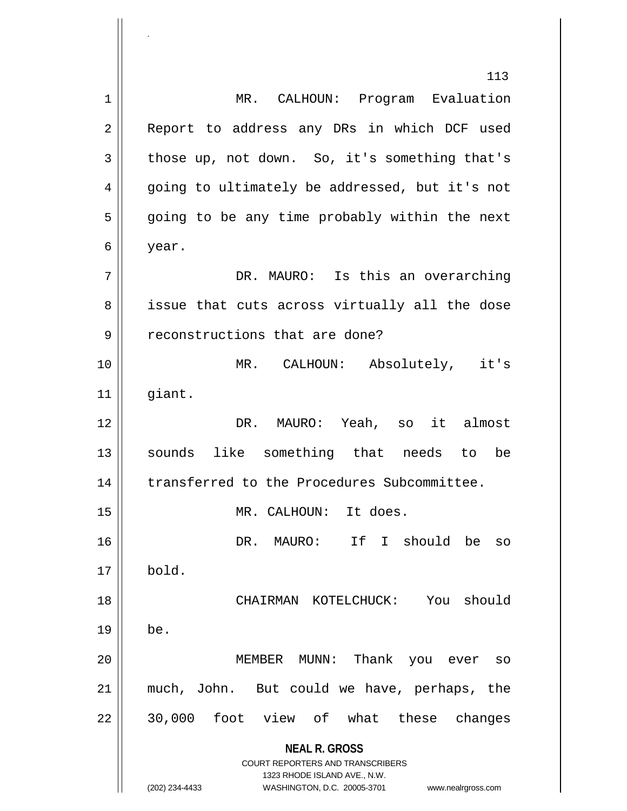**NEAL R. GROSS** COURT REPORTERS AND TRANSCRIBERS 1323 RHODE ISLAND AVE., N.W. (202) 234-4433 WASHINGTON, D.C. 20005-3701 www.nealrgross.com 113 1 MR. CALHOUN: Program Evaluation 2 || Report to address any DRs in which DCF used  $3 \parallel$  those up, not down. So, it's something that's 4 || going to ultimately be addressed, but it's not  $5 \parallel$  going to be any time probably within the next 6 year. 7 DR. MAURO: Is this an overarching 8 || issue that cuts across virtually all the dose 9 || reconstructions that are done? 10 MR. CALHOUN: Absolutely, it's  $11$  giant. 12 DR. MAURO: Yeah, so it almost 13 || sounds like something that needs to be 14 | transferred to the Procedures Subcommittee. 15 || MR. CALHOUN: It does. 16 || The South South Should be so  $17 \parallel$  bold. 18 CHAIRMAN KOTELCHUCK: You should  $19 \parallel$  be. 20 MEMBER MUNN: Thank you ever so 21 much, John. But could we have, perhaps, the 22 || 30,000 foot view of what these changes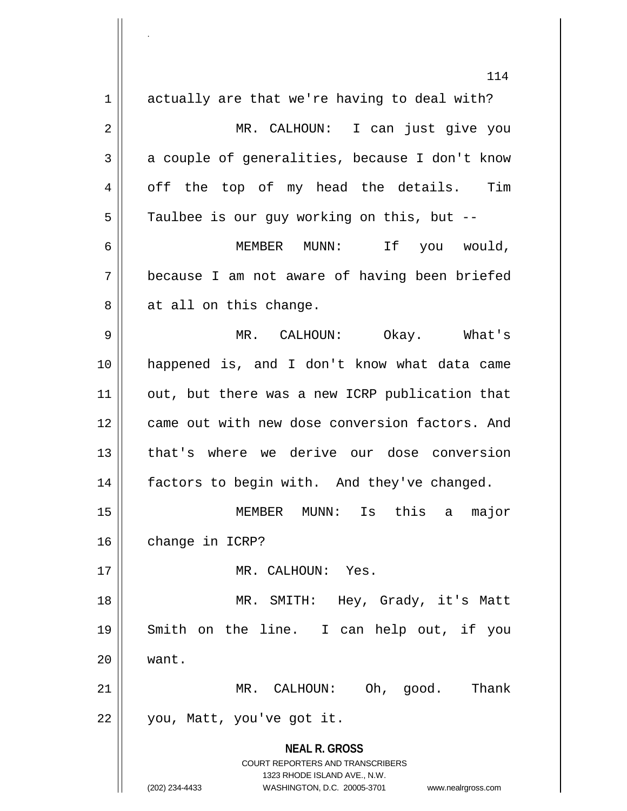**NEAL R. GROSS** COURT REPORTERS AND TRANSCRIBERS 1323 RHODE ISLAND AVE., N.W. (202) 234-4433 WASHINGTON, D.C. 20005-3701 www.nealrgross.com 114 1 actually are that we're having to deal with? 2 MR. CALHOUN: I can just give you  $3 \parallel$  a couple of generalities, because I don't know 4 || off the top of my head the details. Tim  $5 \parallel$  Taulbee is our guy working on this, but --6 MEMBER MUNN: If you would, 7 because I am not aware of having been briefed  $8 \parallel$  at all on this change. 9 MR. CALHOUN: Okay. What's 10 happened is, and I don't know what data came 11 || out, but there was a new ICRP publication that 12 came out with new dose conversion factors. And 13 that's where we derive our dose conversion 14 factors to begin with. And they've changed. 15 MEMBER MUNN: Is this a major 16 | change in ICRP? 17 MR. CALHOUN: Yes. 18 MR. SMITH: Hey, Grady, it's Matt 19 Smith on the line. I can help out, if you 20 want. 21 MR. CALHOUN: Oh, good. Thank 22 || you, Matt, you've got it.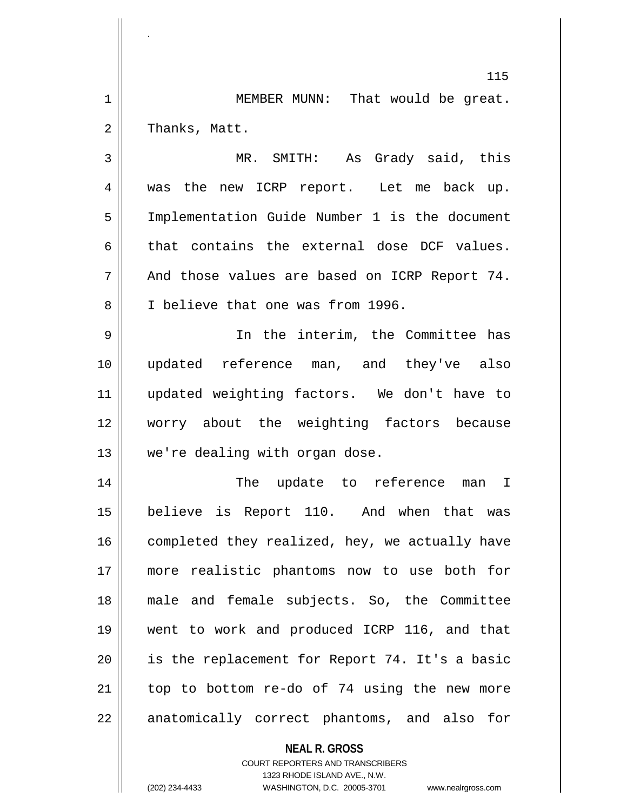1 || MEMBER MUNN: That would be great.  $2 \parallel$  Thanks, Matt.

.

3 MR. SMITH: As Grady said, this 4 was the new ICRP report. Let me back up. 5 | Implementation Guide Number 1 is the document  $6 \parallel$  that contains the external dose DCF values.  $7 \parallel$  And those values are based on ICRP Report 74. 8 || I believe that one was from 1996.

 In the interim, the Committee has updated reference man, and they've also updated weighting factors. We don't have to worry about the weighting factors because 13 || we're dealing with organ dose.

 The update to reference man I believe is Report 110. And when that was completed they realized, hey, we actually have more realistic phantoms now to use both for male and female subjects. So, the Committee went to work and produced ICRP 116, and that 20 || is the replacement for Report 74. It's a basic | top to bottom re-do of 74 using the new more 22 || anatomically correct phantoms, and also for

**NEAL R. GROSS**

COURT REPORTERS AND TRANSCRIBERS 1323 RHODE ISLAND AVE., N.W. (202) 234-4433 WASHINGTON, D.C. 20005-3701 www.nealrgross.com

<sup>115</sup>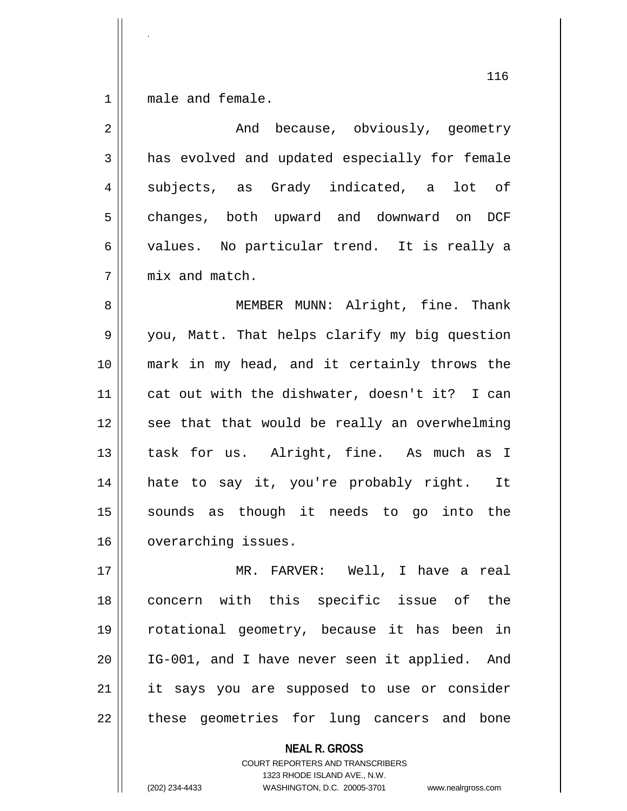1 || male and female.

.

| $\overline{2}$ | And because, obviously, geometry              |
|----------------|-----------------------------------------------|
| 3              | has evolved and updated especially for female |
| 4              | subjects, as Grady indicated, a<br>lot of     |
| 5              | changes, both upward and downward on<br>DCF   |
| 6              | values. No particular trend. It is really a   |
| 7              | mix and match.                                |
| 8              | MEMBER MUNN: Alright, fine. Thank             |
| 9              | you, Matt. That helps clarify my big question |
| 10             | mark in my head, and it certainly throws the  |
| 11             | cat out with the dishwater, doesn't it? I can |
| 12             | see that that would be really an overwhelming |
| 13             | task for us. Alright, fine. As much as I      |
| 14             | hate to say it, you're probably right. It     |
| 15             | sounds as though it needs to go into the      |
| 16             | overarching issues.                           |
| 17             | MR. FARVER: Well, I have a real               |
| 18             | concern with this specific issue of the       |
| 19             | rotational geometry, because it has been in   |
| 20             | IG-001, and I have never seen it applied. And |
| 21             | it says you are supposed to use or consider   |

these geometries for lung cancers and bone

**NEAL R. GROSS**

COURT REPORTERS AND TRANSCRIBERS 1323 RHODE ISLAND AVE., N.W. (202) 234-4433 WASHINGTON, D.C. 20005-3701 www.nealrgross.com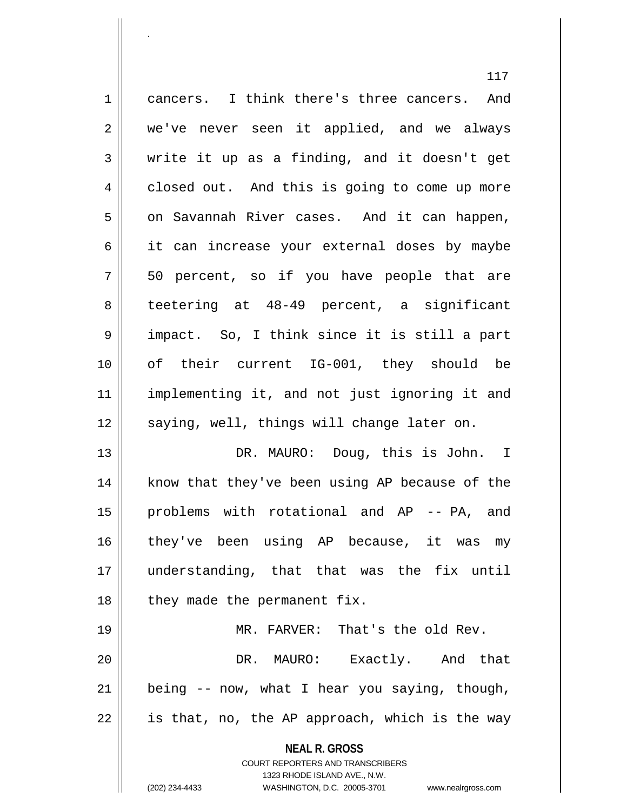**NEAL R. GROSS** COURT REPORTERS AND TRANSCRIBERS 117 1 || cancers. I think there's three cancers. And 2 we've never seen it applied, and we always  $3 \parallel$  write it up as a finding, and it doesn't get 4 closed out. And this is going to come up more 5 on Savannah River cases. And it can happen, 6 || it can increase your external doses by maybe  $7 \parallel 50$  percent, so if you have people that are 8 teetering at 48-49 percent, a significant 9 impact. So, I think since it is still a part 10 of their current IG-001, they should be 11 implementing it, and not just ignoring it and 12 || saying, well, things will change later on. 13 DR. MAURO: Doug, this is John. I 14 || know that they've been using AP because of the 15 || problems with rotational and AP -- PA, and 16 they've been using AP because, it was my 17 understanding, that that was the fix until  $18$  | they made the permanent fix. 19 MR. FARVER: That's the old Rev. 20 DR. MAURO: Exactly. And that  $21$  | being  $-$  now, what I hear you saying, though,  $22 \parallel$  is that, no, the AP approach, which is the way

1323 RHODE ISLAND AVE., N.W.

.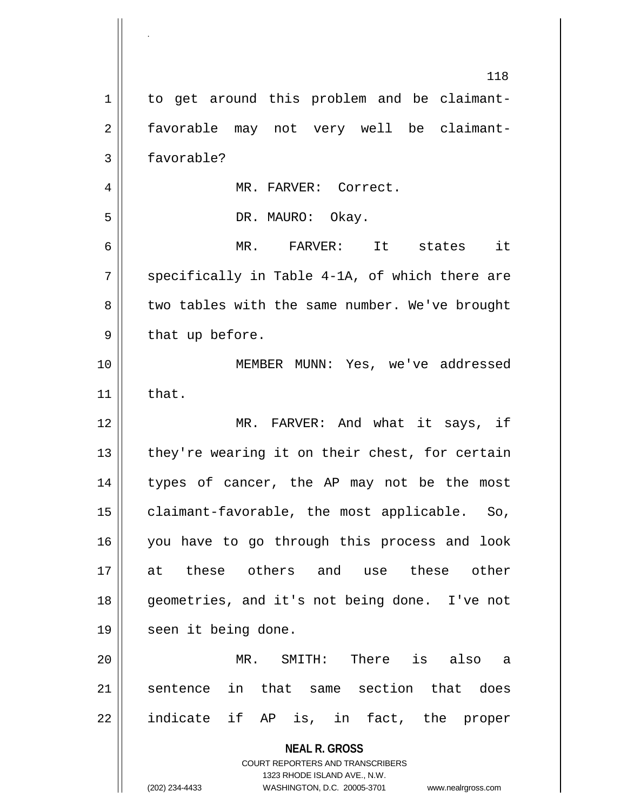| $\mathbf 1$ | 118<br>to get around this problem and be claimant-                                               |
|-------------|--------------------------------------------------------------------------------------------------|
|             |                                                                                                  |
| 2           | favorable may not very well be claimant-                                                         |
| 3           | favorable?                                                                                       |
| 4           | MR. FARVER: Correct.                                                                             |
| 5           | DR. MAURO: Okay.                                                                                 |
| 6           | MR. FARVER: It states it                                                                         |
| 7           | specifically in Table 4-1A, of which there are                                                   |
| 8           | two tables with the same number. We've brought                                                   |
| 9           | that up before.                                                                                  |
| 10          | MEMBER MUNN: Yes, we've addressed                                                                |
| 11          | that.                                                                                            |
| 12          | MR. FARVER: And what it says, if                                                                 |
| 13          | they're wearing it on their chest, for certain                                                   |
| 14          | types of cancer, the AP may not be the most                                                      |
| 15          | claimant-favorable, the most applicable. So,                                                     |
| 16          | you have to go through this process and look                                                     |
| 17          | these others and use these other<br>at                                                           |
| 18          | geometries, and it's not being done. I've not                                                    |
| 19          | seen it being done.                                                                              |
| 20          | MR.<br>SMITH: There is also a                                                                    |
| 21          | in that same section that does<br>sentence                                                       |
| 22          | indicate if AP is, in fact, the proper                                                           |
|             | <b>NEAL R. GROSS</b>                                                                             |
|             | <b>COURT REPORTERS AND TRANSCRIBERS</b>                                                          |
|             | 1323 RHODE ISLAND AVE., N.W.<br>(202) 234-4433<br>WASHINGTON, D.C. 20005-3701 www.nealrgross.com |

.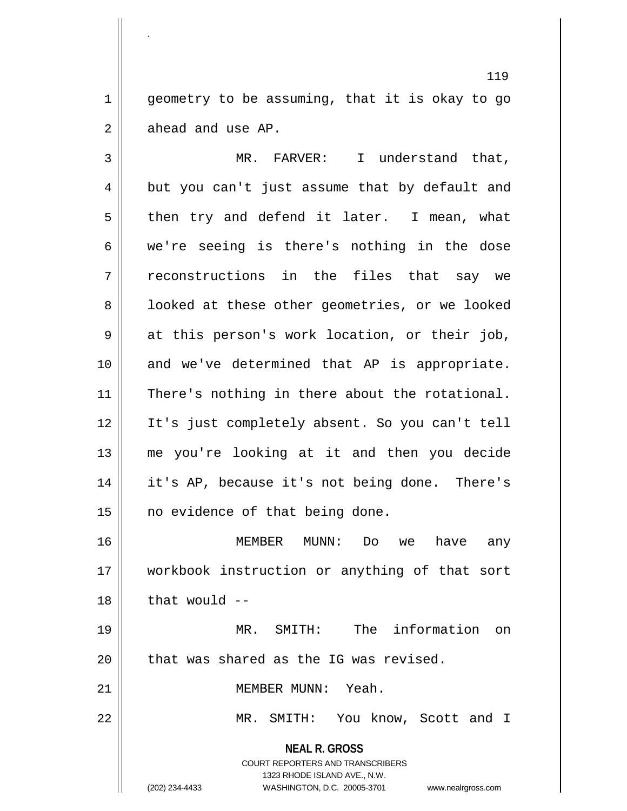$1 \parallel$  geometry to be assuming, that it is okay to go  $2 \parallel$  ahead and use AP.

3 MR. FARVER: I understand that,  $4 \parallel$  but you can't just assume that by default and  $5 \parallel$  then try and defend it later. I mean, what  $6 \parallel$  we're seeing is there's nothing in the dose 7 reconstructions in the files that say we 8 | looked at these other geometries, or we looked 9 at this person's work location, or their job, 10 || and we've determined that AP is appropriate. 11 || There's nothing in there about the rotational. 12 It's just completely absent. So you can't tell 13 me you're looking at it and then you decide 14 it's AP, because it's not being done. There's 15 || no evidence of that being done.

16 MEMBER MUNN: Do we have any 17 workbook instruction or anything of that sort  $18$  | that would  $-$ 

19 MR. SMITH: The information on  $20$  || that was shared as the IG was revised.

21 | MEMBER MUNN: Yeah.

22 || MR. SMITH: You know, Scott and I

**NEAL R. GROSS** COURT REPORTERS AND TRANSCRIBERS 1323 RHODE ISLAND AVE., N.W.

.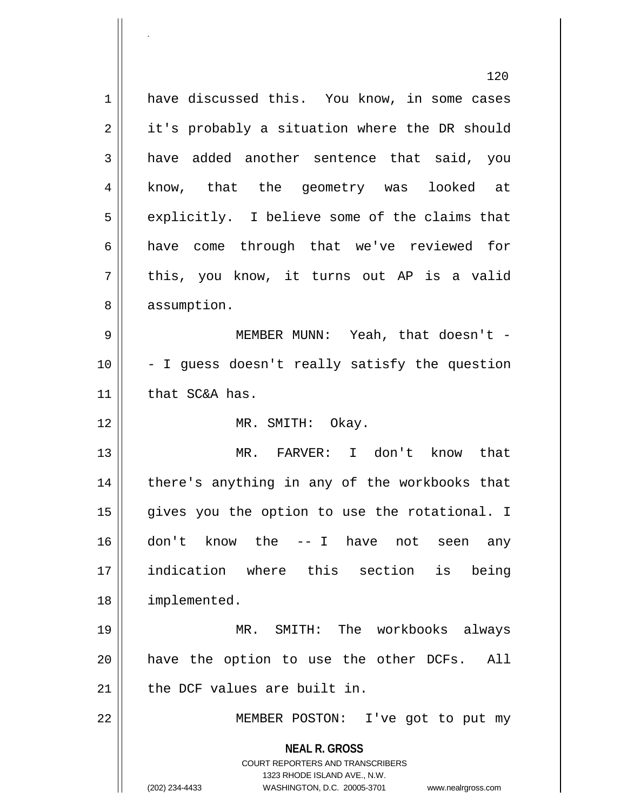**NEAL R. GROSS** COURT REPORTERS AND TRANSCRIBERS 1323 RHODE ISLAND AVE., N.W. (202) 234-4433 WASHINGTON, D.C. 20005-3701 www.nealrgross.com 120 1 have discussed this. You know, in some cases  $2 \parallel$  it's probably a situation where the DR should 3 have added another sentence that said, you 4 || know, that the geometry was looked at  $5 \parallel$  explicitly. I believe some of the claims that 6 have come through that we've reviewed for  $7 \parallel$  this, you know, it turns out AP is a valid 8 || assumption. 9 MEMBER MUNN: Yeah, that doesn't - 10 - I guess doesn't really satisfy the question  $11$  | that SC&A has. 12 || MR. SMITH: Okay. 13 MR. FARVER: I don't know that 14 || there's anything in any of the workbooks that 15 || gives you the option to use the rotational. I 16 don't know the -- I have not seen any 17 indication where this section is being 18 | implemented. 19 MR. SMITH: The workbooks always 20 || have the option to use the other DCFs. All  $21$  | the DCF values are built in. 22 MEMBER POSTON: I've got to put my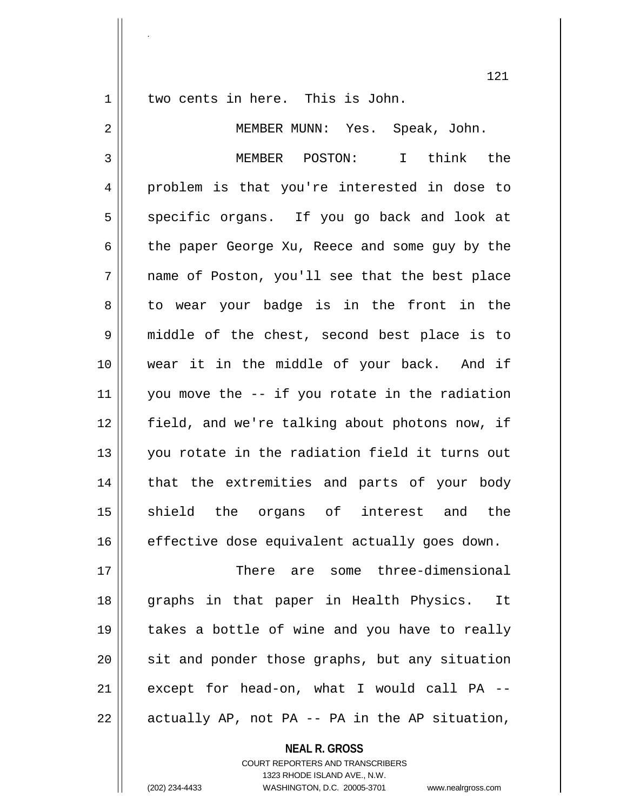.

1 || two cents in here. This is John.

 MEMBER MUNN: Yes. Speak, John. MEMBER POSTON: I think the 4 problem is that you're interested in dose to 5 specific organs. If you go back and look at 6 the paper George Xu, Reece and some guy by the name of Poston, you'll see that the best place  $8 \parallel$  to wear your badge is in the front in the middle of the chest, second best place is to wear it in the middle of your back. And if you move the  $-$  if you rotate in the radiation field, and we're talking about photons now, if you rotate in the radiation field it turns out 14 || that the extremities and parts of your body 15 || shield the organs of interest and the effective dose equivalent actually goes down. There are some three-dimensional

 graphs in that paper in Health Physics. It takes a bottle of wine and you have to really sit and ponder those graphs, but any situation except for head-on, what I would call PA -- $22 \parallel$  actually AP, not PA -- PA in the AP situation,

**NEAL R. GROSS**

COURT REPORTERS AND TRANSCRIBERS 1323 RHODE ISLAND AVE., N.W. (202) 234-4433 WASHINGTON, D.C. 20005-3701 www.nealrgross.com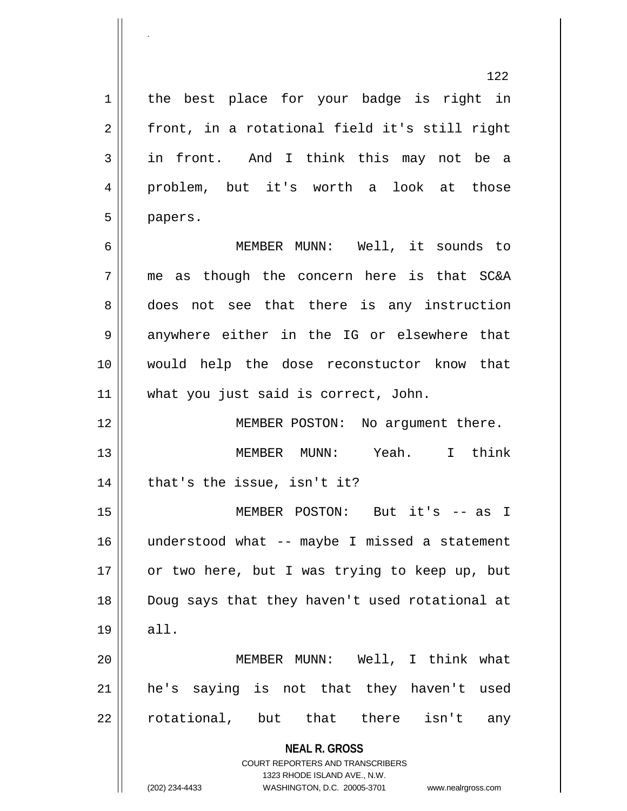1 | the best place for your badge is right in  $2 \parallel$  front, in a rotational field it's still right 3 in front. And I think this may not be a 4 problem, but it's worth a look at those 5 papers.

 MEMBER MUNN: Well, it sounds to me as though the concern here is that SC&A 8 does not see that there is any instruction 9 anywhere either in the IG or elsewhere that would help the dose reconstuctor know that what you just said is correct, John.

12 || MEMBER POSTON: No argument there. 13 MEMBER MUNN: Yeah. I think  $14$  | that's the issue, isn't it?

15 MEMBER POSTON: But it's -- as I 16 understood what -- maybe I missed a statement 17 || or two here, but I was trying to keep up, but 18 Doug says that they haven't used rotational at 19 all.

20 MEMBER MUNN: Well, I think what 21 he's saying is not that they haven't used 22 || rotational, but that there isn't any

> **NEAL R. GROSS** COURT REPORTERS AND TRANSCRIBERS

> > 1323 RHODE ISLAND AVE., N.W.

(202) 234-4433 WASHINGTON, D.C. 20005-3701 www.nealrgross.com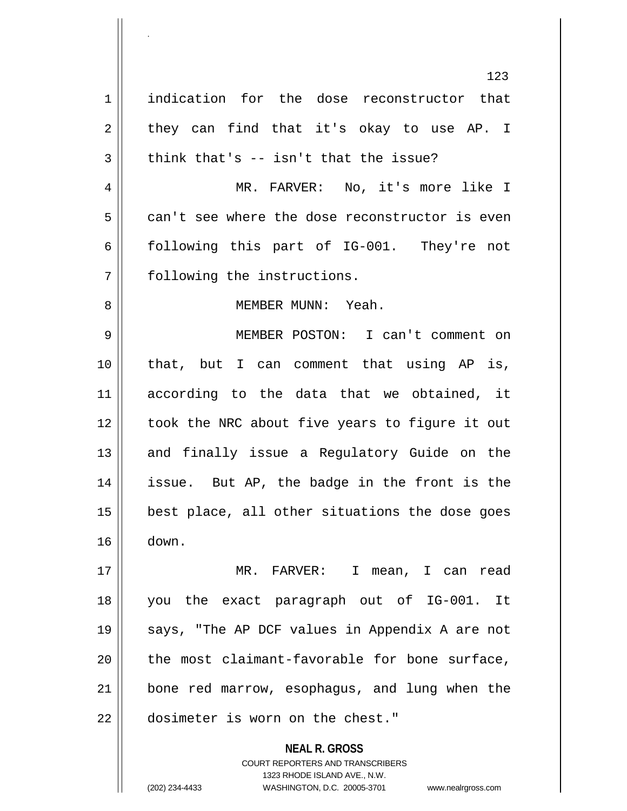123 1 indication for the dose reconstructor that  $2 \parallel$  they can find that it's okay to use AP. I  $3 \parallel$  think that's -- isn't that the issue? 4 MR. FARVER: No, it's more like I  $5 \parallel$  can't see where the dose reconstructor is even 6 following this part of IG-001. They're not 7 | following the instructions. 8 MEMBER MUNN: Yeah. 9 MEMBER POSTON: I can't comment on 10 that, but I can comment that using AP is, 11 according to the data that we obtained, it 12 || took the NRC about five years to figure it out 13 || and finally issue a Regulatory Guide on the 14 issue. But AP, the badge in the front is the  $15$  | best place, all other situations the dose goes 16 down. 17 MR. FARVER: I mean, I can read 18 you the exact paragraph out of IG-001. It 19 || says, "The AP DCF values in Appendix A are not  $20$  || the most claimant-favorable for bone surface, 21 bone red marrow, esophagus, and lung when the

.

22 dosimeter is worn on the chest."

**NEAL R. GROSS** COURT REPORTERS AND TRANSCRIBERS 1323 RHODE ISLAND AVE., N.W. (202) 234-4433 WASHINGTON, D.C. 20005-3701 www.nealrgross.com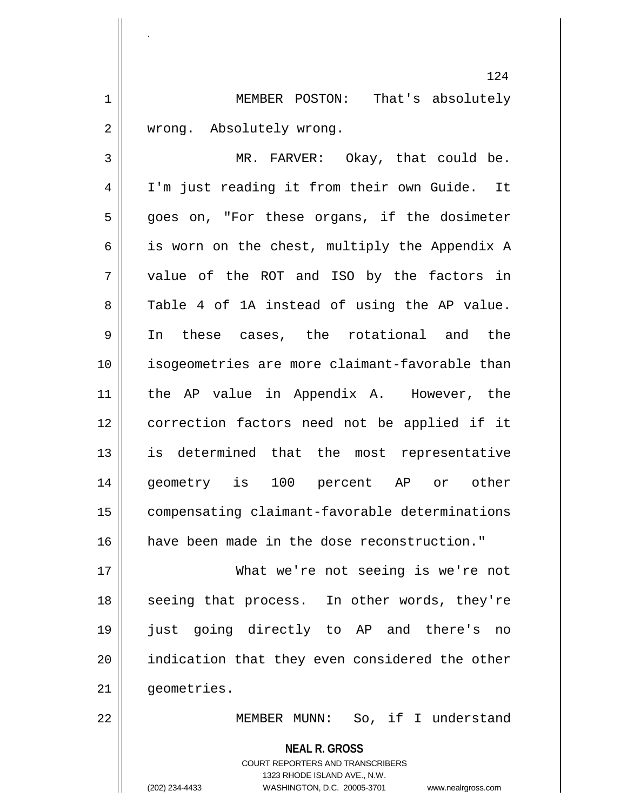1 MEMBER POSTON: That's absolutely 2 | wrong. Absolutely wrong.

 MR. FARVER: Okay, that could be. 4 | I'm just reading it from their own Guide. It 5 || goes on, "For these organs, if the dosimeter  $\parallel$  is worn on the chest, multiply the Appendix A 7 || value of the ROT and ISO by the factors in 8 Table 4 of 1A instead of using the AP value. In these cases, the rotational and the isogeometries are more claimant-favorable than the AP value in Appendix A. However, the correction factors need not be applied if it is determined that the most representative geometry is 100 percent AP or other compensating claimant-favorable determinations have been made in the dose reconstruction."

17 What we're not seeing is we're not 18 || seeing that process. In other words, they're 19 just going directly to AP and there's no 20 || indication that they even considered the other 21 | qeometries.

22 MEMBER MUNN: So, if I understand

**NEAL R. GROSS** COURT REPORTERS AND TRANSCRIBERS 1323 RHODE ISLAND AVE., N.W. (202) 234-4433 WASHINGTON, D.C. 20005-3701 www.nealrgross.com

.

124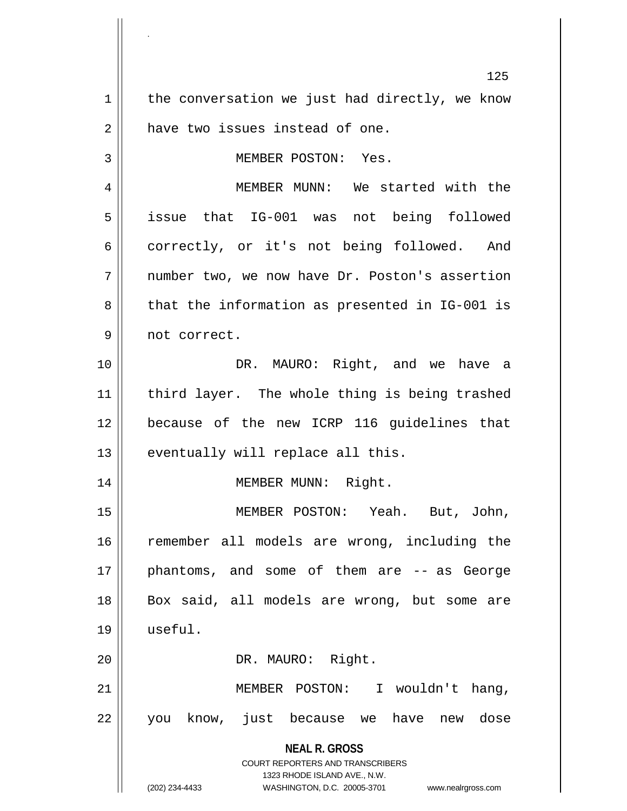**NEAL R. GROSS** COURT REPORTERS AND TRANSCRIBERS 1323 RHODE ISLAND AVE., N.W. (202) 234-4433 WASHINGTON, D.C. 20005-3701 www.nealrgross.com 125  $1 \parallel$  the conversation we just had directly, we know 2 | have two issues instead of one. 3 || MEMBER POSTON: Yes. 4 MEMBER MUNN: We started with the 5 | issue that IG-001 was not being followed 6 correctly, or it's not being followed. And 7 || number two, we now have Dr. Poston's assertion  $8 \parallel$  that the information as presented in IG-001 is 9 || not correct. 10 DR. MAURO: Right, and we have a 11 || third layer. The whole thing is being trashed 12 because of the new ICRP 116 guidelines that  $13$  | eventually will replace all this. 14 || MEMBER MUNN: Right. 15 MEMBER POSTON: Yeah. But, John, 16 || remember all models are wrong, including the 17 || phantoms, and some of them are -- as George 18 || Box said, all models are wrong, but some are 19 useful. 20 || DR. MAURO: Right. 21 MEMBER POSTON: I wouldn't hang, 22 || you know, just because we have new dose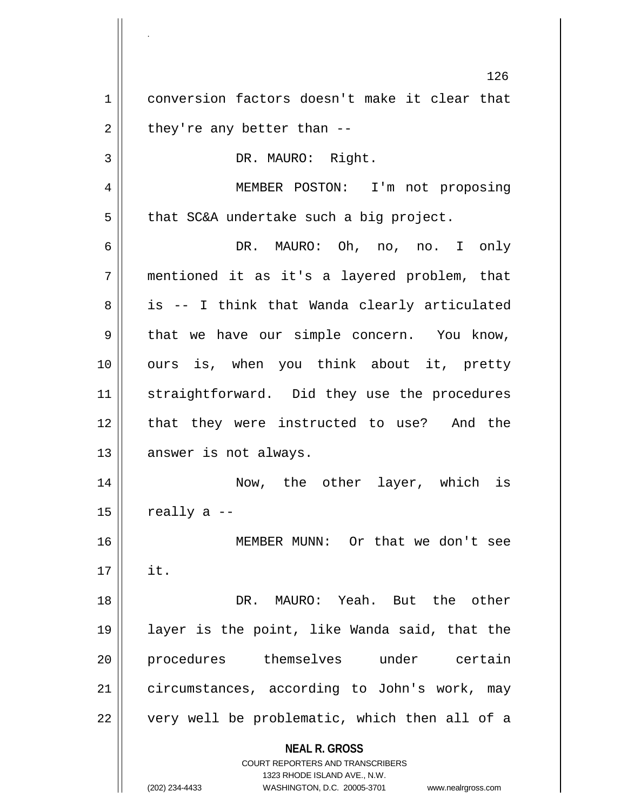**NEAL R. GROSS** COURT REPORTERS AND TRANSCRIBERS 1323 RHODE ISLAND AVE., N.W. 126 1 conversion factors doesn't make it clear that  $2 \parallel$  they're any better than --3 || DR. MAURO: Right. 4 MEMBER POSTON: I'm not proposing  $5 \parallel$  that SC&A undertake such a big project. 6 DR. MAURO: Oh, no, no. I only 7 mentioned it as it's a layered problem, that  $8 \parallel$  is -- I think that Wanda clearly articulated  $9 \parallel$  that we have our simple concern. You know, 10 || ours is, when you think about it, pretty 11 || straightforward. Did they use the procedures 12 || that they were instructed to use? And the 13 || answer is not always. 14 Now, the other layer, which is  $15$  | really a  $-$ 16 MEMBER MUNN: Or that we don't see  $17 \parallel$  it. 18 DR. MAURO: Yeah. But the other 19 layer is the point, like Wanda said, that the 20 procedures themselves under certain 21 | circumstances, according to John's work, may  $22$  || very well be problematic, which then all of a

<sup>(202) 234-4433</sup> WASHINGTON, D.C. 20005-3701 www.nealrgross.com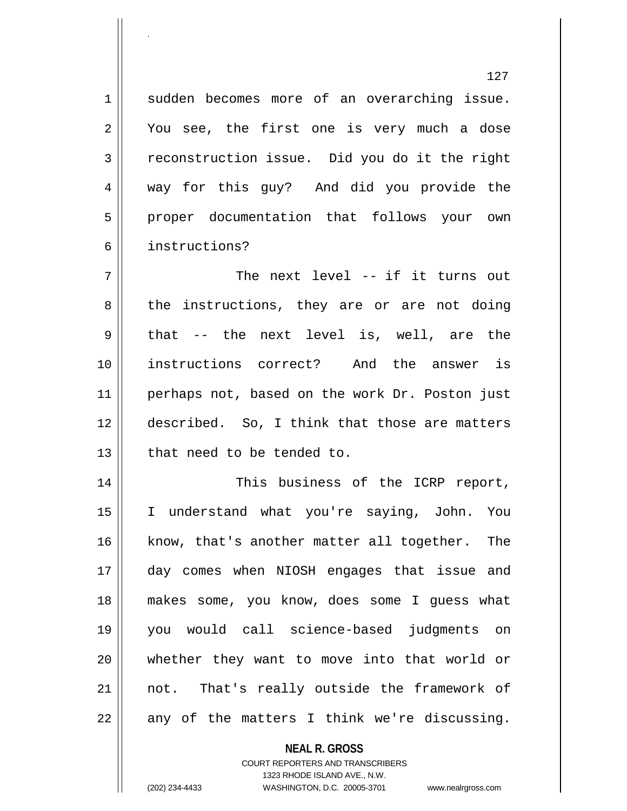1 || sudden becomes more of an overarching issue.  $2 \parallel$  You see, the first one is very much a dose 3 reconstruction issue. Did you do it the right 4 way for this guy? And did you provide the 5 || proper documentation that follows your own 6 instructions?

7 || The next level -- if it turns out 8 || the instructions, they are or are not doing  $9 \parallel$  that -- the next level is, well, are the 10 instructions correct? And the answer is 11 || perhaps not, based on the work Dr. Poston just 12 described. So, I think that those are matters 13 || that need to be tended to.

 This business of the ICRP report, I understand what you're saying, John. You 16 || know, that's another matter all together. The day comes when NIOSH engages that issue and makes some, you know, does some I guess what you would call science-based judgments on whether they want to move into that world or not. That's really outside the framework of || any of the matters I think we're discussing.

> **NEAL R. GROSS** COURT REPORTERS AND TRANSCRIBERS 1323 RHODE ISLAND AVE., N.W. (202) 234-4433 WASHINGTON, D.C. 20005-3701 www.nealrgross.com

<sup>127</sup>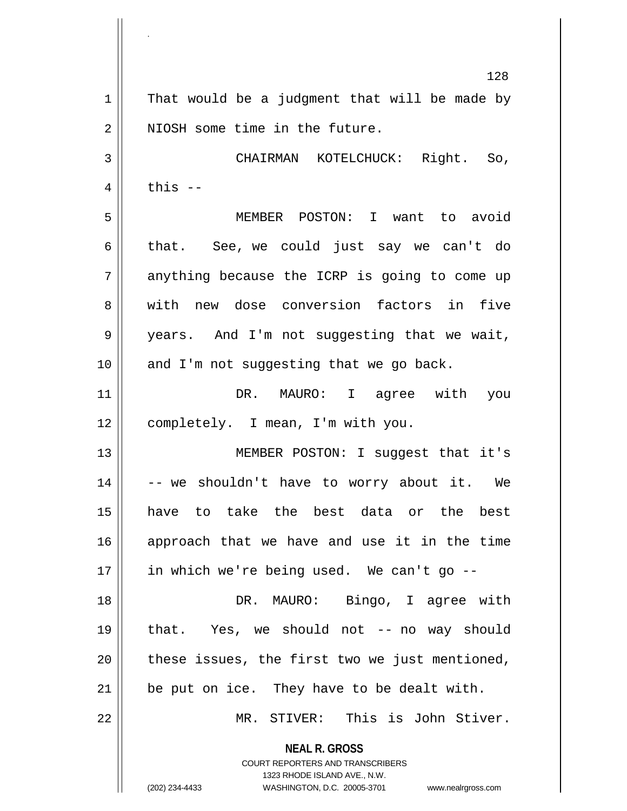**NEAL R. GROSS** COURT REPORTERS AND TRANSCRIBERS 1323 RHODE ISLAND AVE., N.W. (202) 234-4433 WASHINGTON, D.C. 20005-3701 www.nealrgross.com 128  $1 \parallel$  That would be a judgment that will be made by 2 | NIOSH some time in the future. 3 CHAIRMAN KOTELCHUCK: Right. So,  $4 \parallel$  this  $-$ 5 MEMBER POSTON: I want to avoid 6 that. See, we could just say we can't do  $7 \parallel$  anything because the ICRP is going to come up 8 W with new dose conversion factors in five 9 || years. And I'm not suggesting that we wait,  $10$  || and I'm not suggesting that we go back. 11 DR. MAURO: I agree with you 12 || completely. I mean, I'm with you. 13 || MEMBER POSTON: I suggest that it's 14  $\vert$  -- we shouldn't have to worry about it. We 15 have to take the best data or the best 16 approach that we have and use it in the time 17 || in which we're being used. We can't go --18 DR. MAURO: Bingo, I agree with 19 that. Yes, we should not -- no way should  $20$  || these issues, the first two we just mentioned,  $21$  | be put on ice. They have to be dealt with. 22 MR. STIVER: This is John Stiver.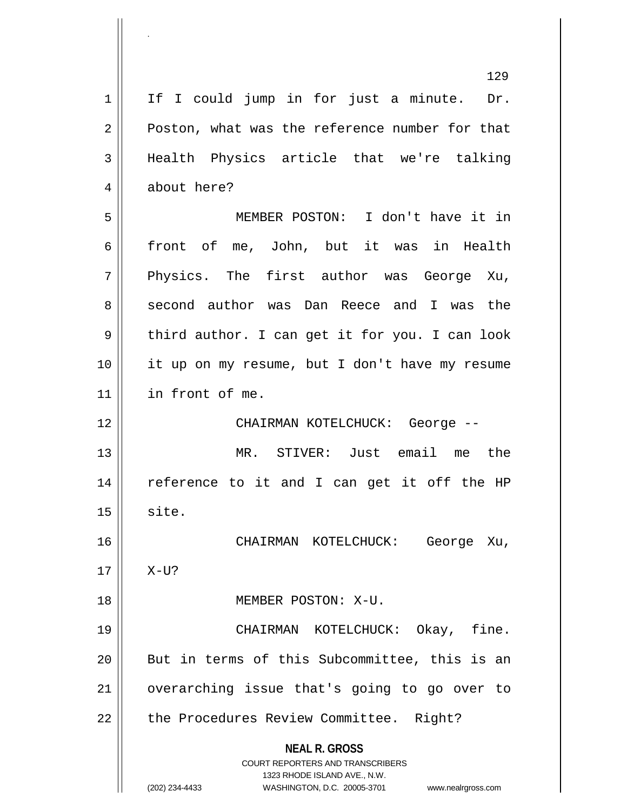**NEAL R. GROSS** COURT REPORTERS AND TRANSCRIBERS 1323 RHODE ISLAND AVE., N.W. (202) 234-4433 WASHINGTON, D.C. 20005-3701 www.nealrgross.com 129  $1 \parallel$  If I could jump in for just a minute. Dr. 2 **Poston, what was the reference number for that** 3 Health Physics article that we're talking 4 about here? 5 MEMBER POSTON: I don't have it in 6 front of me, John, but it was in Health 7 Physics. The first author was George Xu, 8 second author was Dan Reece and I was the  $9 \parallel$  third author. I can get it for you. I can look 10 it up on my resume, but I don't have my resume 11 in front of me. 12 CHAIRMAN KOTELCHUCK: George -- 13 MR. STIVER: Just email me the 14 || reference to it and I can get it off the HP  $15$  site. 16 CHAIRMAN KOTELCHUCK: George Xu,  $17 \parallel X-U$ ? 18 MEMBER POSTON: X-U. 19 CHAIRMAN KOTELCHUCK: Okay, fine. 20 || But in terms of this Subcommittee, this is an 21 || overarching issue that's going to go over to 22 || the Procedures Review Committee. Right?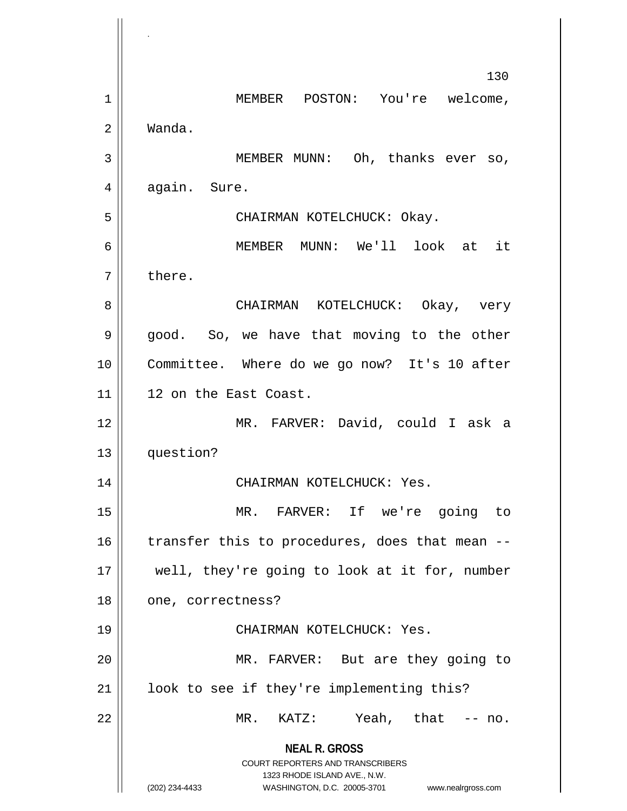**NEAL R. GROSS** COURT REPORTERS AND TRANSCRIBERS 1323 RHODE ISLAND AVE., N.W. (202) 234-4433 WASHINGTON, D.C. 20005-3701 www.nealrgross.com 130 1 | MEMBER POSTON: You're welcome, 2 Wanda. 3 || MEMBER MUNN: Oh, thanks ever so,  $4 \parallel$  again. Sure. 5 CHAIRMAN KOTELCHUCK: Okay. 6 MEMBER MUNN: We'll look at it 7 l there. 8 CHAIRMAN KOTELCHUCK: Okay, very 9 good. So, we have that moving to the other 10 Committee. Where do we go now? It's 10 after 11 || 12 on the East Coast. 12 MR. FARVER: David, could I ask a 13 question? 14 CHAIRMAN KOTELCHUCK: Yes. 15 MR. FARVER: If we're going to 16  $\parallel$  transfer this to procedures, does that mean --17 || well, they're going to look at it for, number 18 || one, correctness? 19 CHAIRMAN KOTELCHUCK: Yes. 20 || MR. FARVER: But are they going to 21 || look to see if they're implementing this? 22 MR. KATZ: Yeah, that -- no.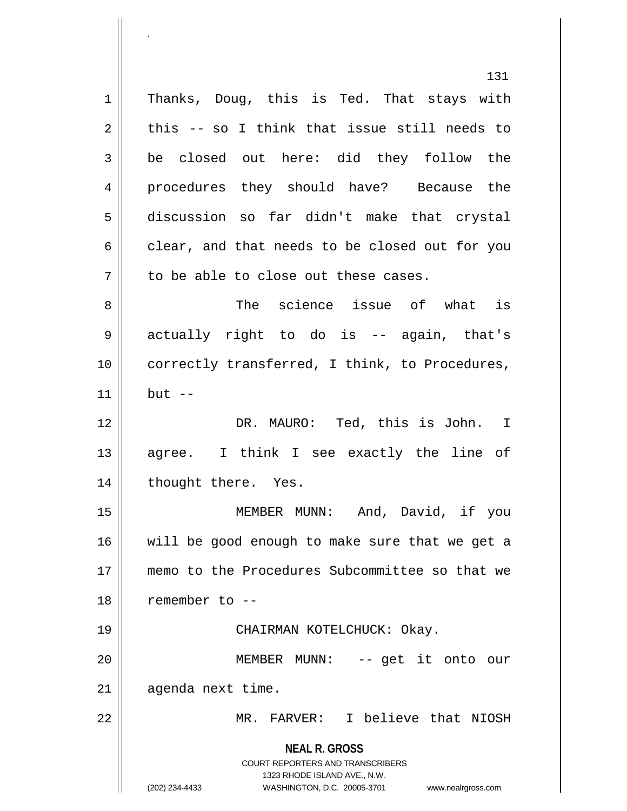**NEAL R. GROSS** COURT REPORTERS AND TRANSCRIBERS 1323 RHODE ISLAND AVE., N.W. (202) 234-4433 WASHINGTON, D.C. 20005-3701 www.nealrgross.com 131 1 || Thanks, Doug, this is Ted. That stays with  $2 \parallel$  this -- so I think that issue still needs to 3 be closed out here: did they follow the 4 procedures they should have? Because the 5 discussion so far didn't make that crystal  $6 \parallel$  clear, and that needs to be closed out for you  $7 \parallel$  to be able to close out these cases. 8 The science issue of what is 9 actually right to do is -- again, that's 10 correctly transferred, I think, to Procedures,  $11$  but  $-$ 12 DR. MAURO: Ted, this is John. I 13 || agree. I think I see exactly the line of 14 || thought there. Yes. 15 MEMBER MUNN: And, David, if you 16 || will be good enough to make sure that we get a 17 memo to the Procedures Subcommittee so that we 18 remember to -- 19 CHAIRMAN KOTELCHUCK: Okay. 20 MEMBER MUNN: -- get it onto our  $21$  | agenda next time. 22 MR. FARVER: I believe that NIOSH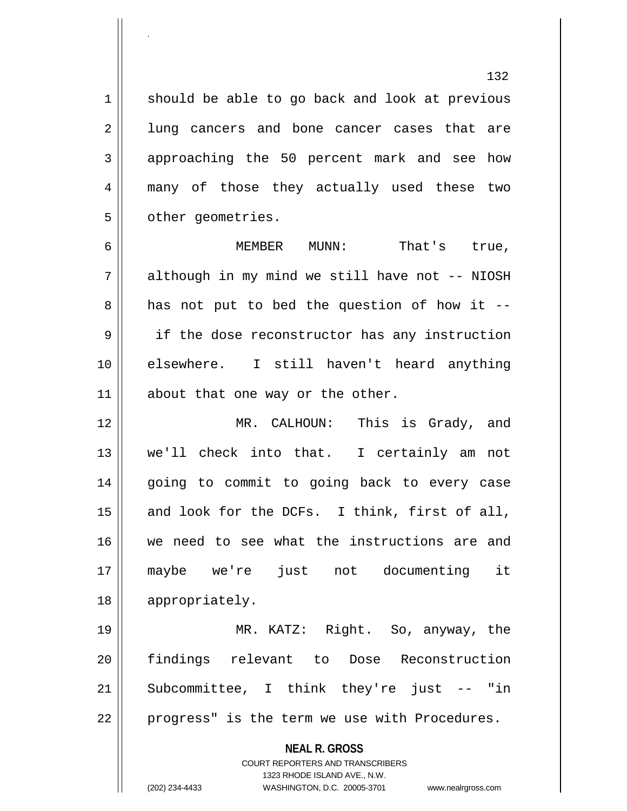1 || should be able to go back and look at previous 2 || lung cancers and bone cancer cases that are 3 approaching the 50 percent mark and see how 4 many of those they actually used these two 5 | other geometries.

6 MEMBER MUNN: That's true, 7 | although in my mind we still have not -- NIOSH  $8 \parallel$  has not put to bed the question of how it --9 || if the dose reconstructor has any instruction 10 elsewhere. I still haven't heard anything 11 || about that one way or the other.

 MR. CALHOUN: This is Grady, and we'll check into that. I certainly am not 14 || going to commit to going back to every case  $\parallel$  and look for the DCFs. I think, first of all, we need to see what the instructions are and maybe we're just not documenting it 18 || appropriately.

 MR. KATZ: Right. So, anyway, the findings relevant to Dose Reconstruction Subcommittee, I think they're just  $-$  "in 22 || progress" is the term we use with Procedures.

> **NEAL R. GROSS** COURT REPORTERS AND TRANSCRIBERS

> > 1323 RHODE ISLAND AVE., N.W.

.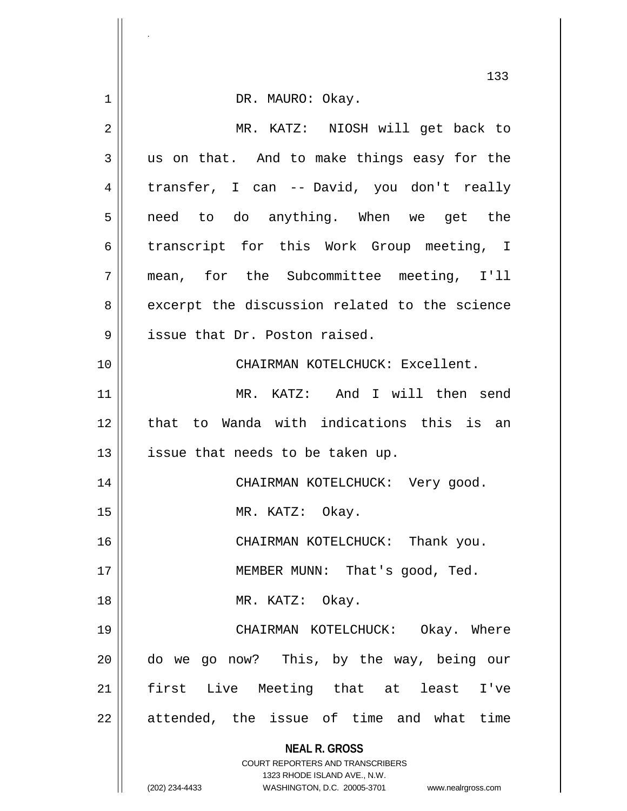|    | 133                                                                                                 |
|----|-----------------------------------------------------------------------------------------------------|
| 1  | DR. MAURO: Okay.                                                                                    |
| 2  | MR. KATZ: NIOSH will get back to                                                                    |
| 3  | us on that. And to make things easy for the                                                         |
| 4  | transfer, I can -- David, you don't really                                                          |
| 5  | need to do anything. When we get the                                                                |
| 6  | transcript for this Work Group meeting, I                                                           |
| 7  | mean, for the Subcommittee meeting, I'll                                                            |
| 8  | excerpt the discussion related to the science                                                       |
| 9  | issue that Dr. Poston raised.                                                                       |
| 10 | CHAIRMAN KOTELCHUCK: Excellent.                                                                     |
| 11 | MR. KATZ: And I will then send                                                                      |
| 12 | that to Wanda with indications this is an                                                           |
| 13 | issue that needs to be taken up.                                                                    |
| 14 | CHAIRMAN KOTELCHUCK: Very good.                                                                     |
| 15 | MR. KATZ: Okay.                                                                                     |
| 16 | CHAIRMAN KOTELCHUCK: Thank you.                                                                     |
| 17 | MEMBER MUNN: That's good, Ted.                                                                      |
| 18 | MR. KATZ: Okay.                                                                                     |
| 19 | CHAIRMAN KOTELCHUCK: Okay. Where                                                                    |
| 20 | do we go now? This, by the way, being our                                                           |
| 21 | first Live Meeting that at least<br>I've                                                            |
| 22 | attended, the issue of time and what time                                                           |
|    | <b>NEAL R. GROSS</b>                                                                                |
|    | COURT REPORTERS AND TRANSCRIBERS                                                                    |
|    | 1323 RHODE ISLAND AVE., N.W.<br>(202) 234-4433<br>WASHINGTON, D.C. 20005-3701<br>www.nealrgross.com |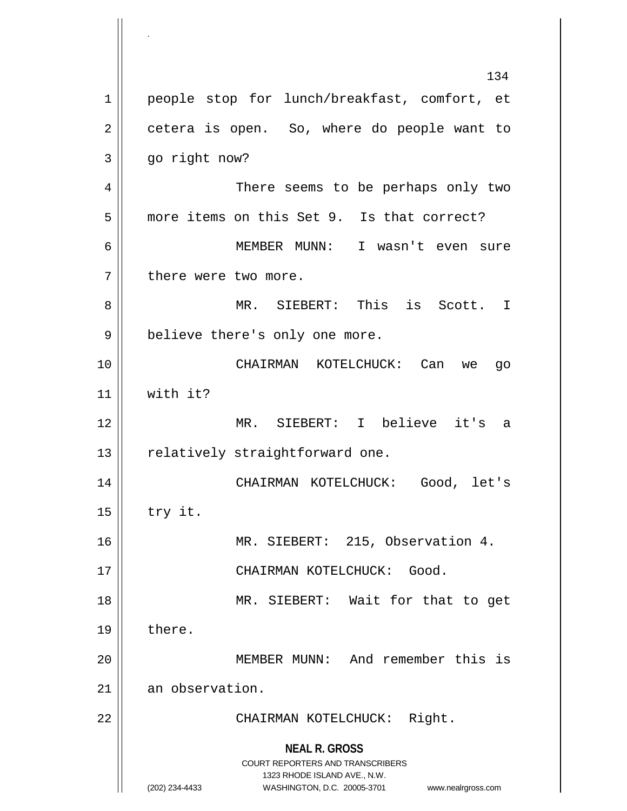**NEAL R. GROSS** COURT REPORTERS AND TRANSCRIBERS 1323 RHODE ISLAND AVE., N.W. (202) 234-4433 WASHINGTON, D.C. 20005-3701 www.nealrgross.com 134 1 || people stop for lunch/breakfast, comfort, et  $2 \parallel$  cetera is open. So, where do people want to 3 go right now? 4 There seems to be perhaps only two 5 | more items on this Set 9. Is that correct? 6 MEMBER MUNN: I wasn't even sure  $7$  | there were two more. 8 MR. SIEBERT: This is Scott. I 9 || believe there's only one more. 10 CHAIRMAN KOTELCHUCK: Can we go 11 with it? 12 MR. SIEBERT: I believe it's a  $13$  | relatively straightforward one. 14 CHAIRMAN KOTELCHUCK: Good, let's  $15$  try it. 16 MR. SIEBERT: 215, Observation 4. 17 || CHAIRMAN KOTELCHUCK: Good. 18 || MR. SIEBERT: Wait for that to get 19 | there. 20 MEMBER MUNN: And remember this is 21 an observation. 22 || CHAIRMAN KOTELCHUCK: Right.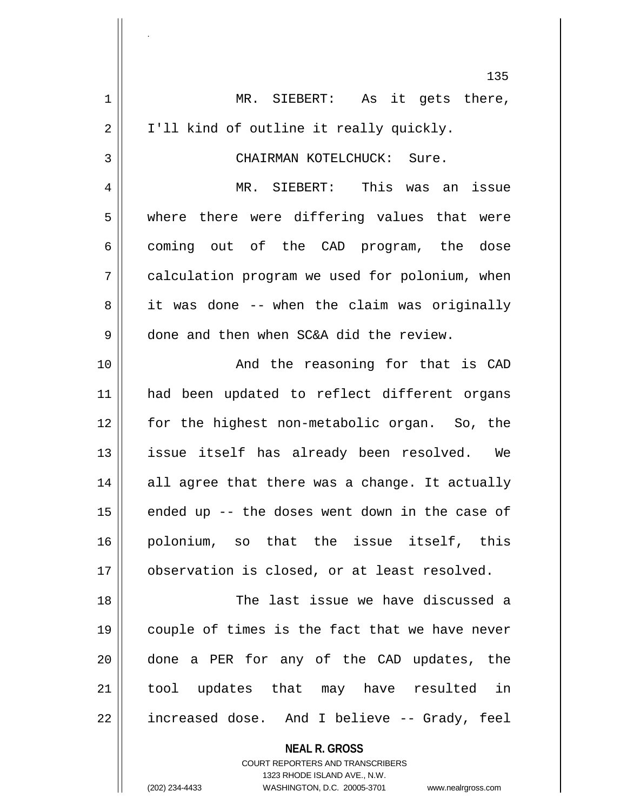|             | 135                                                                                             |
|-------------|-------------------------------------------------------------------------------------------------|
| $\mathbf 1$ | MR. SIEBERT: As it gets there,                                                                  |
| 2           | I'll kind of outline it really quickly.                                                         |
| 3           | CHAIRMAN KOTELCHUCK: Sure.                                                                      |
| 4           | MR. SIEBERT: This was an issue                                                                  |
| 5           | where there were differing values that were                                                     |
| 6           | coming out of the CAD program, the dose                                                         |
| 7           | calculation program we used for polonium, when                                                  |
| 8           | it was done -- when the claim was originally                                                    |
| 9           | done and then when SC&A did the review.                                                         |
| 10          | And the reasoning for that is CAD                                                               |
| 11          | had been updated to reflect different organs                                                    |
| 12          | for the highest non-metabolic organ. So, the                                                    |
| 13          | issue itself has already been resolved. We                                                      |
| 14          | all agree that there was a change. It actually                                                  |
| 15          | ended up -- the doses went down in the case of                                                  |
| 16          | polonium, so that the issue itself, this                                                        |
| 17          | observation is closed, or at least resolved.                                                    |
| 18          | The last issue we have discussed a                                                              |
| 19          | couple of times is the fact that we have never                                                  |
| 20          | done a PER for any of the CAD updates, the                                                      |
| 21          | tool updates that may have resulted in                                                          |
| 22          | increased dose. And I believe -- Grady, feel                                                    |
|             | <b>NEAL R. GROSS</b><br><b>COURT REPORTERS AND TRANSCRIBERS</b><br>1323 RHODE ISLAND AVE., N.W. |
|             | (202) 234-4433<br>WASHINGTON, D.C. 20005-3701<br>www.nealrgross.com                             |

.

 $\mathbf{\mathcal{L}}$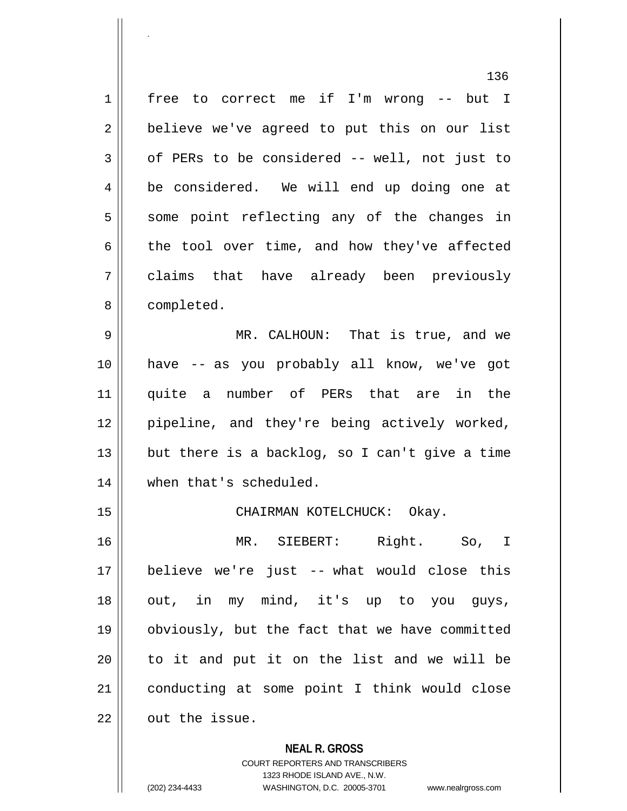1 free to correct me if I'm wrong -- but I  $2 \parallel$  believe we've agreed to put this on our list  $3 \parallel$  of PERs to be considered -- well, not just to 4 | be considered. We will end up doing one at  $5 \parallel$  some point reflecting any of the changes in  $6 \parallel$  the tool over time, and how they've affected 7 claims that have already been previously 8 | completed. 9 MR. CALHOUN: That is true, and we 10 have -- as you probably all know, we've got 11 quite a number of PERs that are in the

 $13$  || but there is a backlog, so I can't give a time 14 | when that's scheduled.

12 || pipeline, and they're being actively worked,

15 CHAIRMAN KOTELCHUCK: Okay.

 MR. SIEBERT: Right. So, I believe we're just -- what would close this out, in my mind, it's up to you guys, obviously, but the fact that we have committed || to it and put it on the list and we will be conducting at some point I think would close  $\parallel$  out the issue.

**NEAL R. GROSS**

COURT REPORTERS AND TRANSCRIBERS 1323 RHODE ISLAND AVE., N.W. (202) 234-4433 WASHINGTON, D.C. 20005-3701 www.nealrgross.com

.

136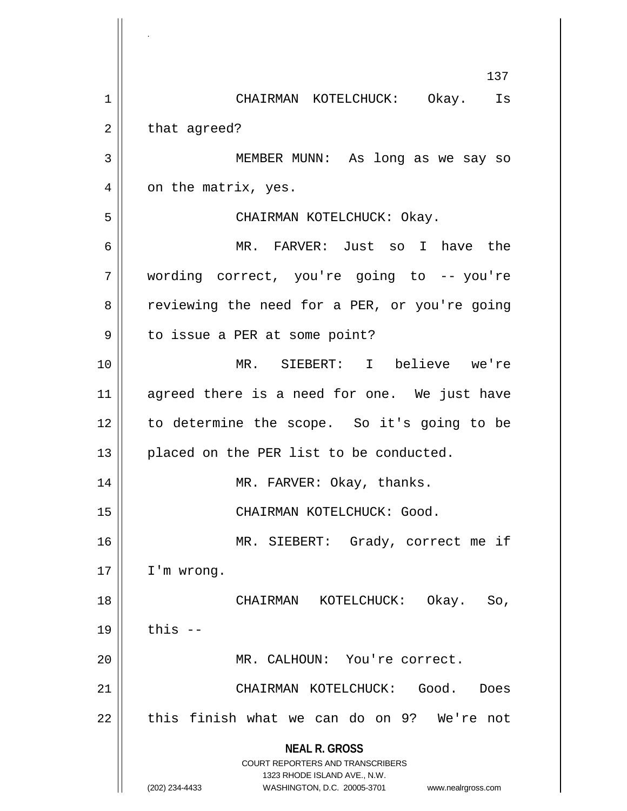**NEAL R. GROSS** COURT REPORTERS AND TRANSCRIBERS 1323 RHODE ISLAND AVE., N.W. (202) 234-4433 WASHINGTON, D.C. 20005-3701 www.nealrgross.com 137 1 CHAIRMAN KOTELCHUCK: Okay. Is  $2 \parallel$  that agreed? 3 MEMBER MUNN: As long as we say so 4 | on the matrix, yes. 5 CHAIRMAN KOTELCHUCK: Okay. 6 MR. FARVER: Just so I have the 7 wording correct, you're going to -- you're 8 || reviewing the need for a PER, or you're going 9 || to issue a PER at some point? 10 MR. SIEBERT: I believe we're 11 || agreed there is a need for one. We just have 12 || to determine the scope. So it's going to be 13 || placed on the PER list to be conducted. 14 || MR. FARVER: Okay, thanks. 15 || CHAIRMAN KOTELCHUCK: Good. 16 || MR. SIEBERT: Grady, correct me if 17 I'm wrong. 18 CHAIRMAN KOTELCHUCK: Okay. So,  $19 \parallel$  this  $-$ 20 || MR. CALHOUN: You're correct. 21 CHAIRMAN KOTELCHUCK: Good. Does  $22$  || this finish what we can do on 9? We're not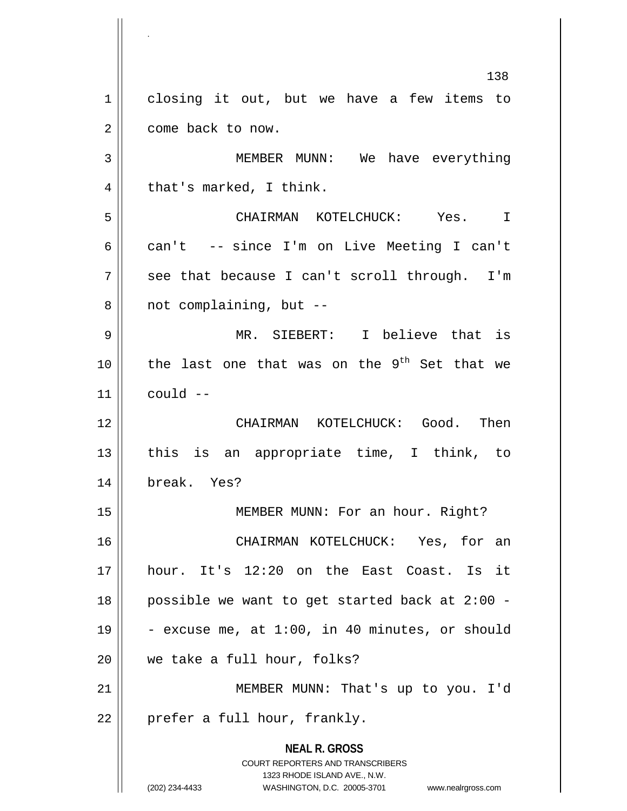**NEAL R. GROSS** COURT REPORTERS AND TRANSCRIBERS 1323 RHODE ISLAND AVE., N.W. (202) 234-4433 WASHINGTON, D.C. 20005-3701 www.nealrgross.com 138 1 closing it out, but we have a few items to 2 | come back to now. 3 MEMBER MUNN: We have everything  $4 \parallel$  that's marked, I think. 5 CHAIRMAN KOTELCHUCK: Yes. I 6 can't -- since I'm on Live Meeting I can't  $7 \parallel$  see that because I can't scroll through. I'm  $8 \parallel$  not complaining, but  $-$ 9 MR. SIEBERT: I believe that is 10 || the last one that was on the  $9^{th}$  Set that we  $11$   $\parallel$  could  $-$ 12 CHAIRMAN KOTELCHUCK: Good. Then 13  $\parallel$  this is an appropriate time, I think, to 14 break. Yes? 15 || MEMBER MUNN: For an hour. Right? 16 CHAIRMAN KOTELCHUCK: Yes, for an 17 hour. It's 12:20 on the East Coast. Is it 18 possible we want to get started back at 2:00 - 19  $\vert$  - excuse me, at 1:00, in 40 minutes, or should 20 we take a full hour, folks? 21 || MEMBER MUNN: That's up to you. I'd  $22$  | prefer a full hour, frankly.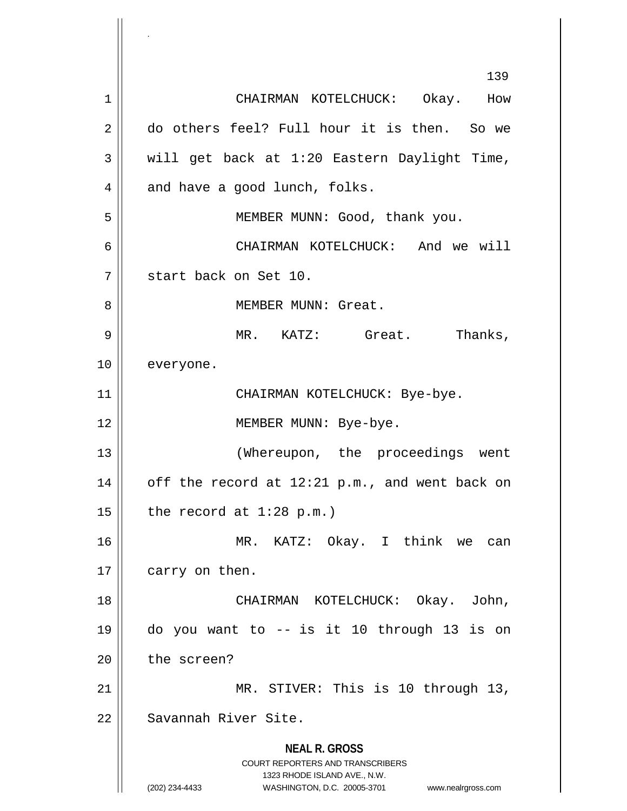**NEAL R. GROSS** COURT REPORTERS AND TRANSCRIBERS 1323 RHODE ISLAND AVE., N.W. (202) 234-4433 WASHINGTON, D.C. 20005-3701 www.nealrgross.com 139 1 CHAIRMAN KOTELCHUCK: Okay. How 2 do others feel? Full hour it is then. So we  $3 \parallel$  will get back at 1:20 Eastern Daylight Time,  $4 \parallel$  and have a good lunch, folks. 5 || MEMBER MUNN: Good, thank you. 6 CHAIRMAN KOTELCHUCK: And we will 7 start back on Set 10. 8 || MEMBER MUNN: Great. 9 MR. KATZ: Great. Thanks, 10 everyone. 11 CHAIRMAN KOTELCHUCK: Bye-bye. 12 || MEMBER MUNN: Bye-bye. 13 || (Whereupon, the proceedings went 14  $\vert$  off the record at 12:21 p.m., and went back on 15  $\vert$  the record at 1:28 p.m.) 16 MR. KATZ: Okay. I think we can  $17$  | carry on then. 18 CHAIRMAN KOTELCHUCK: Okay. John, 19 do you want to -- is it 10 through 13 is on  $20$  | the screen? 21 || MR. STIVER: This is 10 through 13, 22 Savannah River Site.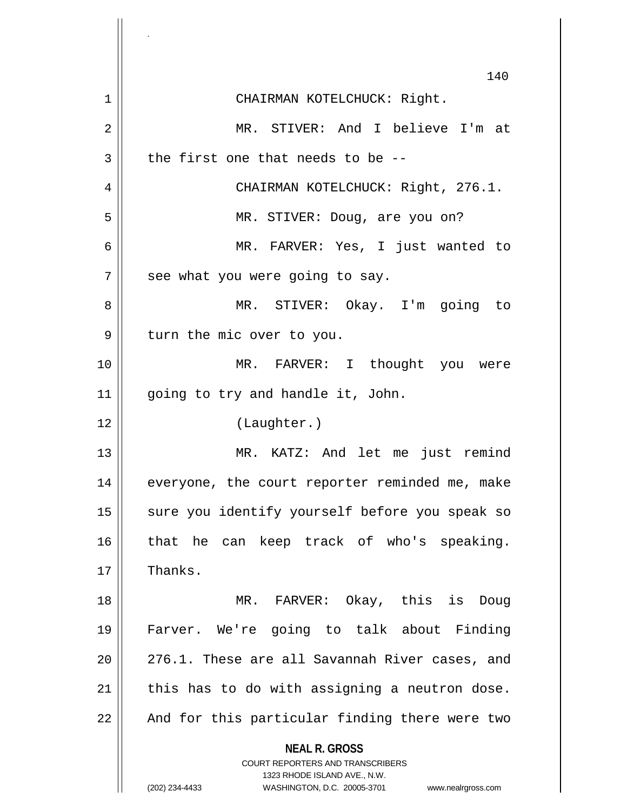|    | 140                                                                                      |
|----|------------------------------------------------------------------------------------------|
| 1  | CHAIRMAN KOTELCHUCK: Right.                                                              |
| 2  | MR. STIVER: And I believe I'm at                                                         |
| 3  | the first one that needs to be --                                                        |
| 4  | CHAIRMAN KOTELCHUCK: Right, 276.1.                                                       |
| 5  | MR. STIVER: Doug, are you on?                                                            |
| 6  | MR. FARVER: Yes, I just wanted to                                                        |
| 7  | see what you were going to say.                                                          |
| 8  | MR. STIVER: Okay. I'm going to                                                           |
| 9  | turn the mic over to you.                                                                |
| 10 | MR. FARVER: I thought you were                                                           |
| 11 | going to try and handle it, John.                                                        |
| 12 | (Laughter.)                                                                              |
| 13 | MR. KATZ: And let me just remind                                                         |
| 14 | everyone, the court reporter reminded me, make                                           |
| 15 | sure you identify yourself before you speak so                                           |
| 16 | that he can keep track of who's speaking.                                                |
| 17 | Thanks.                                                                                  |
| 18 | MR. FARVER: Okay, this is<br>Doug                                                        |
| 19 | Farver. We're going to talk about Finding                                                |
| 20 | 276.1. These are all Savannah River cases, and                                           |
| 21 | this has to do with assigning a neutron dose.                                            |
| 22 | And for this particular finding there were two                                           |
|    | <b>NEAL R. GROSS</b><br>COURT REPORTERS AND TRANSCRIBERS<br>1323 RHODE ISLAND AVE., N.W. |
|    | (202) 234-4433<br>WASHINGTON, D.C. 20005-3701<br>www.nealrgross.com                      |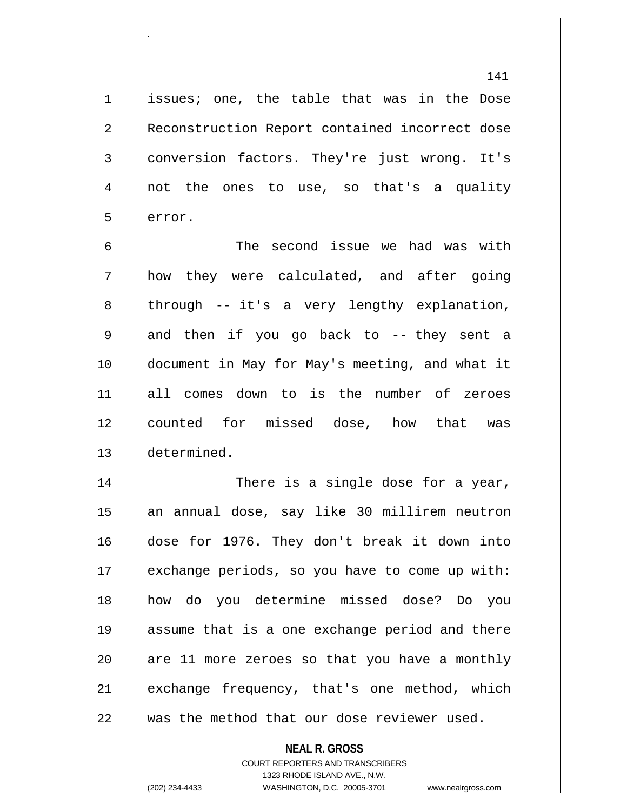1 | issues; one, the table that was in the Dose 2 | Reconstruction Report contained incorrect dose 3 conversion factors. They're just wrong. It's 4 || not the ones to use, so that's a quality  $5 \parallel$  error.

 The second issue we had was with  $7 \parallel$  how they were calculated, and after going  $8 \parallel$  through -- it's a very lengthy explanation, 9 || and then if you go back to -- they sent a document in May for May's meeting, and what it all comes down to is the number of zeroes counted for missed dose, how that was determined.

 There is a single dose for a year, an annual dose, say like 30 millirem neutron dose for 1976. They don't break it down into 17 | exchange periods, so you have to come up with: how do you determine missed dose? Do you assume that is a one exchange period and there || are 11 more zeroes so that you have a monthly exchange frequency, that's one method, which  $\parallel$  was the method that our dose reviewer used.

> **NEAL R. GROSS** COURT REPORTERS AND TRANSCRIBERS 1323 RHODE ISLAND AVE., N.W. (202) 234-4433 WASHINGTON, D.C. 20005-3701 www.nealrgross.com

.

141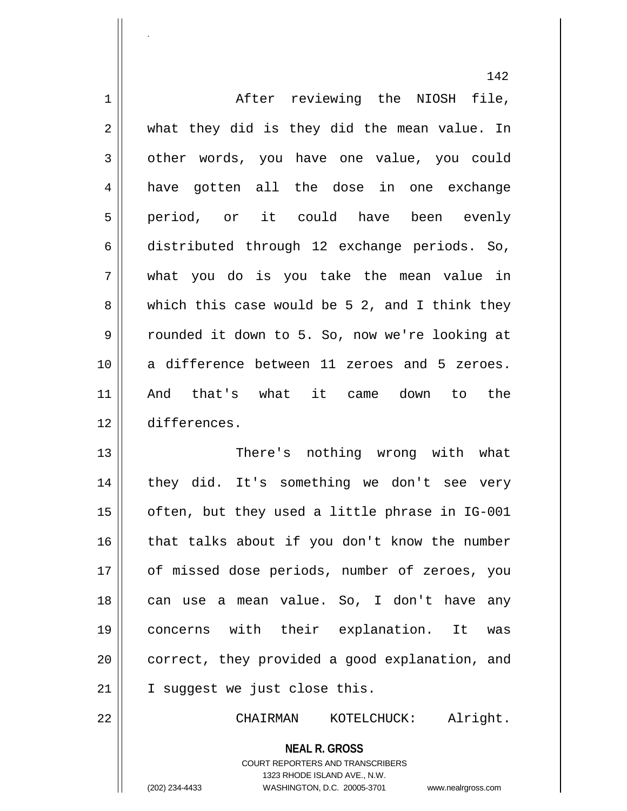|    | 142                                              |
|----|--------------------------------------------------|
| 1  | After reviewing the NIOSH file,                  |
| 2  | what they did is they did the mean value. In     |
| 3  | other words, you have one value, you could       |
| 4  | have gotten all the dose in one exchange         |
| 5  | period, or it could have been evenly             |
| 6  | distributed through 12 exchange periods. So,     |
| 7  | what you do is you take the mean value in        |
| 8  | which this case would be $5$ 2, and I think they |
| 9  | rounded it down to 5. So, now we're looking at   |
| 10 | a difference between 11 zeroes and 5 zeroes.     |
| 11 | And that's what it came down to the              |
| 12 | differences.                                     |
| 13 | There's nothing wrong with what                  |
| 14 | they did. It's something we don't see very       |
| 15 | often, but they used a little phrase in IG-001   |
| 16 | that talks about if you don't know the number    |
| 17 | of missed dose periods, number of zeroes, you    |
| 18 | can use a mean value. So, I don't have any       |
| 19 | concerns with their explanation. It<br>was       |
| 20 | correct, they provided a good explanation, and   |
| 21 | I suggest we just close this.                    |
| 22 | CHAIRMAN KOTELCHUCK: Alright.                    |
|    | <b>NEAL R. GROSS</b>                             |

.

1323 RHODE ISLAND AVE., N.W. (202) 234-4433 WASHINGTON, D.C. 20005-3701 www.nealrgross.com

 $\mathsf{II}$ 

COURT REPORTERS AND TRANSCRIBERS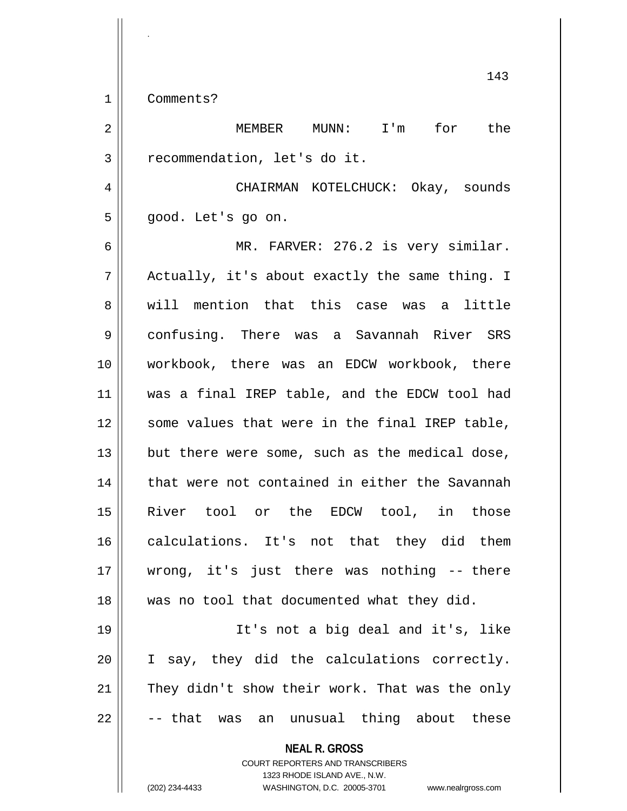1 | Comments?

.

| $\overline{2}$ | MUNN: I'm for the<br>MEMBER                                                                                                                                            |
|----------------|------------------------------------------------------------------------------------------------------------------------------------------------------------------------|
| 3              | recommendation, let's do it.                                                                                                                                           |
| 4              | CHAIRMAN KOTELCHUCK: Okay, sounds                                                                                                                                      |
| 5              | good. Let's go on.                                                                                                                                                     |
| 6              | MR. FARVER: 276.2 is very similar.                                                                                                                                     |
| 7              | Actually, it's about exactly the same thing. I                                                                                                                         |
| 8              | will mention that this case was a little                                                                                                                               |
| $\mathsf 9$    | confusing. There was a Savannah River SRS                                                                                                                              |
| 10             | workbook, there was an EDCW workbook, there                                                                                                                            |
| 11             | was a final IREP table, and the EDCW tool had                                                                                                                          |
| 12             | some values that were in the final IREP table,                                                                                                                         |
| 13             | but there were some, such as the medical dose,                                                                                                                         |
| 14             | that were not contained in either the Savannah                                                                                                                         |
| 15             | River tool or the EDCW tool, in those                                                                                                                                  |
| 16             | calculations. It's not that they did them                                                                                                                              |
| 17             | wrong, it's just there was nothing -- there                                                                                                                            |
| 18             | was no tool that documented what they did.                                                                                                                             |
| 19             | It's not a big deal and it's, like                                                                                                                                     |
| 20             | I say, they did the calculations correctly.                                                                                                                            |
| 21             | They didn't show their work. That was the only                                                                                                                         |
| 22             | -- that was an unusual thing about these                                                                                                                               |
|                | <b>NEAL R. GROSS</b><br><b>COURT REPORTERS AND TRANSCRIBERS</b><br>1323 RHODE ISLAND AVE., N.W.<br>(202) 234-4433<br>WASHINGTON, D.C. 20005-3701<br>www.nealrgross.com |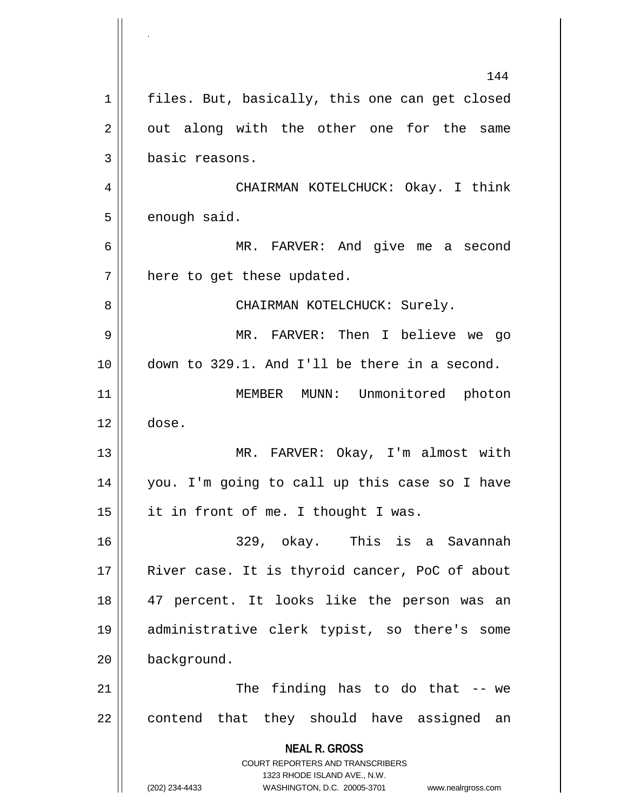**NEAL R. GROSS** COURT REPORTERS AND TRANSCRIBERS 1323 RHODE ISLAND AVE., N.W. (202) 234-4433 WASHINGTON, D.C. 20005-3701 www.nealrgross.com 144 1 | files. But, basically, this one can get closed  $2 \parallel$  out along with the other one for the same 3 basic reasons. 4 CHAIRMAN KOTELCHUCK: Okay. I think  $5$  | enough said. 6 MR. FARVER: And give me a second  $7$  || here to get these updated. 8 CHAIRMAN KOTELCHUCK: Surely. 9 MR. FARVER: Then I believe we go 10 down to 329.1. And I'll be there in a second. 11 || MEMBER MUNN: Unmonitored photon  $12 \parallel$  dose. 13 || MR. FARVER: Okay, I'm almost with 14 you. I'm going to call up this case so I have  $15$  || it in front of me. I thought I was. 16 329, okay. This is a Savannah 17 || River case. It is thyroid cancer, PoC of about 18 47 percent. It looks like the person was an 19 administrative clerk typist, so there's some 20 background. 21 || The finding has to do that -- we  $22$  || contend that they should have assigned an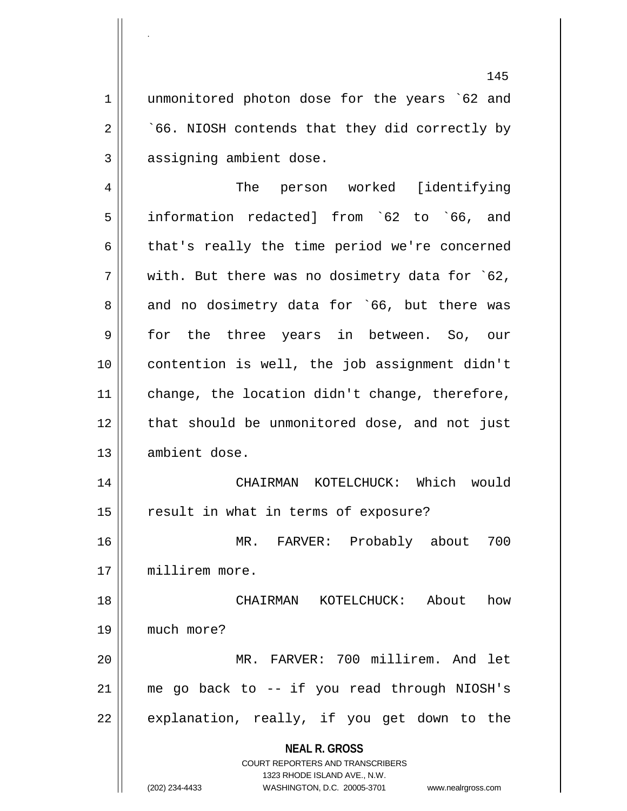1 || unmonitored photon dose for the years `62 and  $2 \parallel$   $66$ . NIOSH contends that they did correctly by 3 || assigning ambient dose.

**NEAL R. GROSS** The person worked [identifying information redacted] from `62 to `66, and  $6 \parallel$  that's really the time period we're concerned  $7 \parallel$  with. But there was no dosimetry data for `62,  $8 \parallel$  and no dosimetry data for `66, but there was for the three years in between. So, our contention is well, the job assignment didn't change, the location didn't change, therefore, 12 || that should be unmonitored dose, and not just 13 | ambient dose. CHAIRMAN KOTELCHUCK: Which would 15 || result in what in terms of exposure? MR. FARVER: Probably about 700 millirem more. CHAIRMAN KOTELCHUCK: About how much more? MR. FARVER: 700 millirem. And let me go back to -- if you read through NIOSH's || explanation, really, if you get down to the

> COURT REPORTERS AND TRANSCRIBERS 1323 RHODE ISLAND AVE., N.W.

.

(202) 234-4433 WASHINGTON, D.C. 20005-3701 www.nealrgross.com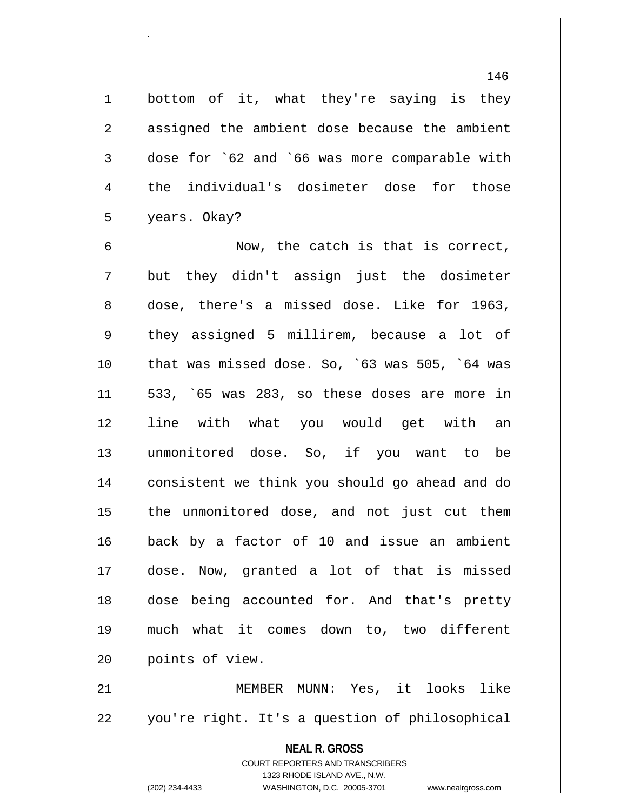146

1 bottom of it, what they're saying is they 2 || assigned the ambient dose because the ambient 3 dose for `62 and `66 was more comparable with 4 the individual's dosimeter dose for those 5 years. Okay?

6 || Now, the catch is that is correct,  $7 \parallel$  but they didn't assign just the dosimeter 8 dose, there's a missed dose. Like for 1963, 9 || they assigned 5 millirem, because a lot of 10 that was missed dose. So, `63 was 505, `64 was  $11$  | 533, `65 was 283, so these doses are more in 12 line with what you would get with an 13 unmonitored dose. So, if you want to be 14 consistent we think you should go ahead and do 15 || the unmonitored dose, and not just cut them 16 back by a factor of 10 and issue an ambient 17 dose. Now, granted a lot of that is missed 18 dose being accounted for. And that's pretty 19 much what it comes down to, two different 20 || points of view.

21 MEMBER MUNN: Yes, it looks like 22 || you're right. It's a question of philosophical

> **NEAL R. GROSS** COURT REPORTERS AND TRANSCRIBERS 1323 RHODE ISLAND AVE., N.W. (202) 234-4433 WASHINGTON, D.C. 20005-3701 www.nealrgross.com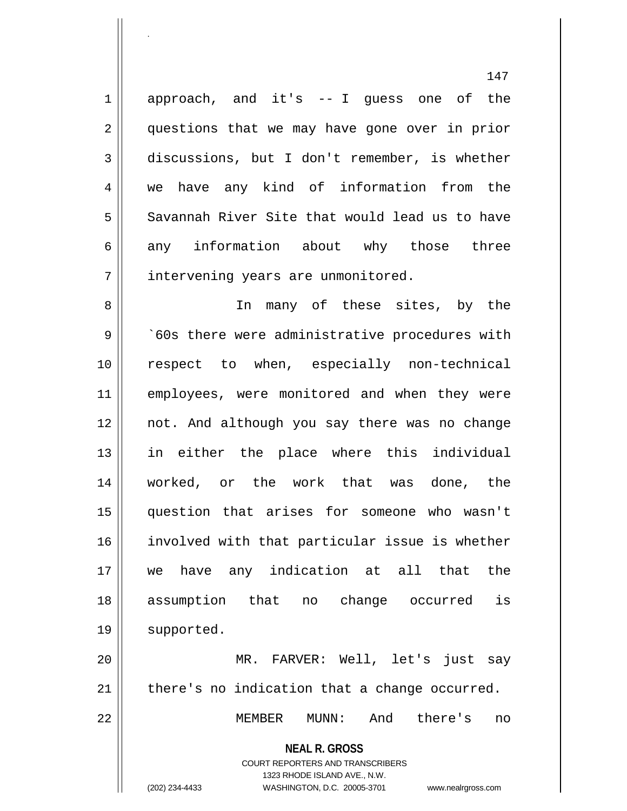1 approach, and it's -- I guess one of the 2 || questions that we may have gone over in prior 3 discussions, but I don't remember, is whether 4 we have any kind of information from the  $5 \parallel$  Savannah River Site that would lead us to have 6 any information about why those three 7 | intervening years are unmonitored.

8 || In many of these sites, by the 9 | 260s there were administrative procedures with 10 respect to when, especially non-technical 11 || employees, were monitored and when they were 12 not. And although you say there was no change 13 in either the place where this individual 14 || worked, or the work that was done, the 15 question that arises for someone who wasn't 16 involved with that particular issue is whether 17 we have any indication at all that the 18 assumption that no change occurred is 19 | supported.

20 MR. FARVER: Well, let's just say  $21$  | there's no indication that a change occurred.

22 MEMBER MUNN: And there's no

**NEAL R. GROSS**

COURT REPORTERS AND TRANSCRIBERS 1323 RHODE ISLAND AVE., N.W. (202) 234-4433 WASHINGTON, D.C. 20005-3701 www.nealrgross.com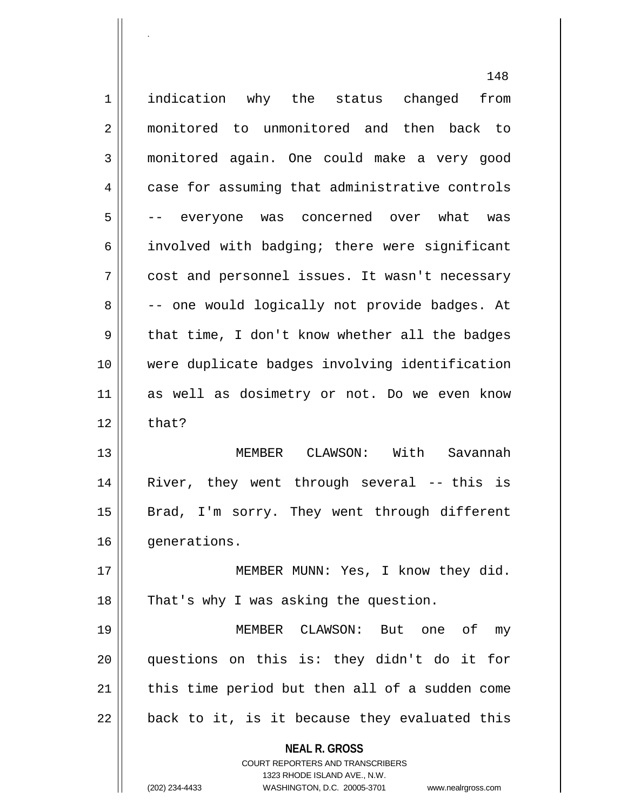**NEAL R. GROSS** COURT REPORTERS AND TRANSCRIBERS 1323 RHODE ISLAND AVE., N.W. 148 1 | indication why the status changed from 2 monitored to unmonitored and then back to 3 monitored again. One could make a very good 4 case for assuming that administrative controls 5 -- everyone was concerned over what was 6 | involved with badging; there were significant 7 || cost and personnel issues. It wasn't necessary 8 | -- one would logically not provide badges. At  $9 \parallel$  that time, I don't know whether all the badges 10 were duplicate badges involving identification 11 as well as dosimetry or not. Do we even know  $12 \parallel$  that? 13 MEMBER CLAWSON: With Savannah 14 River, they went through several -- this is 15 || Brad, I'm sorry. They went through different 16 | qenerations. 17 MEMBER MUNN: Yes, I know they did. 18 || That's why I was asking the question. 19 MEMBER CLAWSON: But one of my 20 questions on this is: they didn't do it for  $21$  | this time period but then all of a sudden come  $22 \parallel$  back to it, is it because they evaluated this

.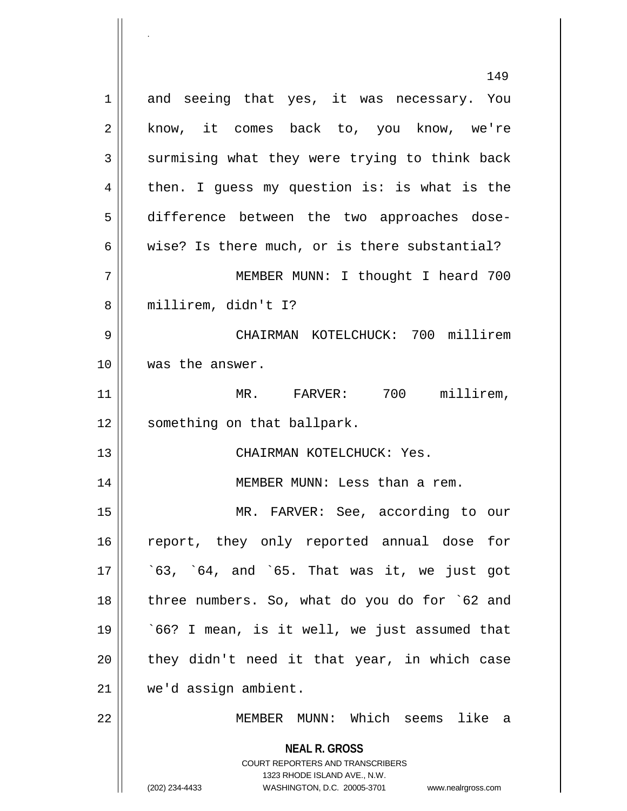**NEAL R. GROSS** COURT REPORTERS AND TRANSCRIBERS 1323 RHODE ISLAND AVE., N.W. (202) 234-4433 WASHINGTON, D.C. 20005-3701 www.nealrgross.com 149 1 and seeing that yes, it was necessary. You 2 || know, it comes back to, you know, we're  $3 \parallel$  surmising what they were trying to think back  $4 \parallel$  then. I guess my question is: is what is the 5 difference between the two approaches dose-6 wise? Is there much, or is there substantial? 7 MEMBER MUNN: I thought I heard 700 8 millirem, didn't I? 9 CHAIRMAN KOTELCHUCK: 700 millirem 10 was the answer. 11 MR. FARVER: 700 millirem, 12 | something on that ballpark. 13 CHAIRMAN KOTELCHUCK: Yes. 14 || MEMBER MUNN: Less than a rem. 15 MR. FARVER: See, according to our 16 || report, they only reported annual dose for  $17 \parallel$   $\degree$ 63,  $\degree$ 64, and  $\degree$ 65. That was it, we just got 18 || three numbers. So, what do you do for `62 and  $19 \parallel$   $66$ ? I mean, is it well, we just assumed that  $20$  || they didn't need it that year, in which case 21 we'd assign ambient. 22 MEMBER MUNN: Which seems like a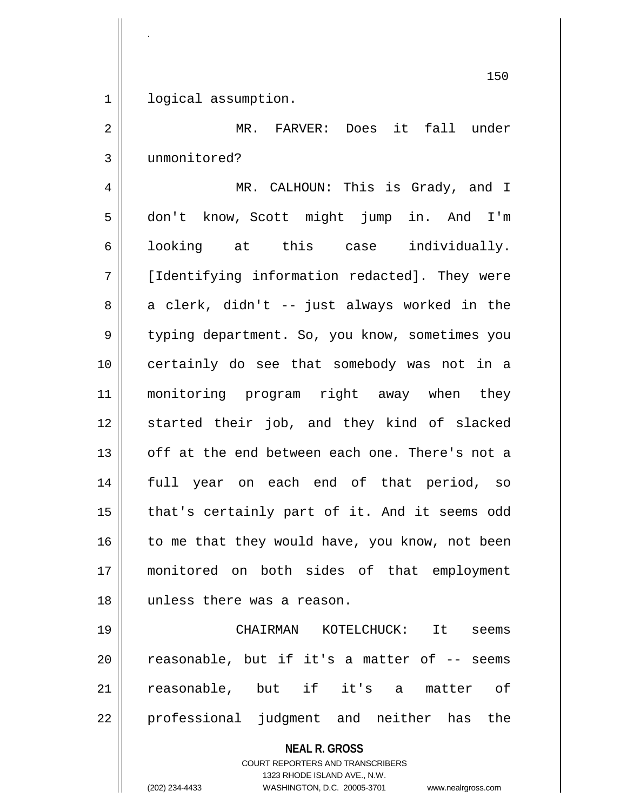1 | logical assumption.

.

2 || MR. FARVER: Does it fall under 3 unmonitored?

4 MR. CALHOUN: This is Grady, and I 5 don't know, Scott might jump in. And I'm 6 || looking at this case individually. 7 [Identifying information redacted]. They were  $8 \parallel$  a clerk, didn't -- just always worked in the 9 department. So, you know, sometimes you 10 certainly do see that somebody was not in a 11 monitoring program right away when they 12 started their job, and they kind of slacked 13 || off at the end between each one. There's not a 14 full year on each end of that period, so 15 || that's certainly part of it. And it seems odd  $16$  to me that they would have, you know, not been 17 monitored on both sides of that employment 18 unless there was a reason.

19 CHAIRMAN KOTELCHUCK: It seems  $20$  | reasonable, but if it's a matter of  $-$ - seems 21 || reasonable, but if it's a matter of 22 || professional judgment and neither has the

**NEAL R. GROSS**

COURT REPORTERS AND TRANSCRIBERS 1323 RHODE ISLAND AVE., N.W. (202) 234-4433 WASHINGTON, D.C. 20005-3701 www.nealrgross.com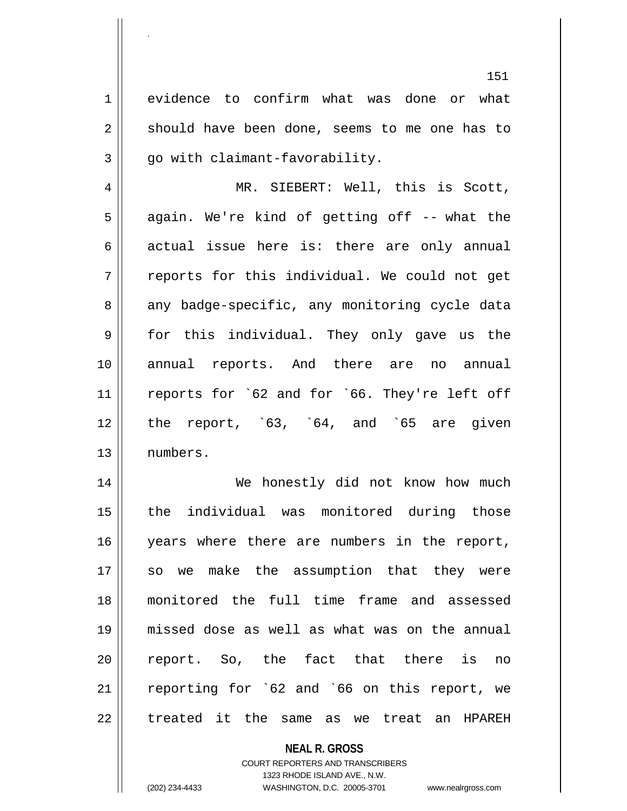1<sup>|</sup> evidence to confirm what was done or what  $2 \parallel$  should have been done, seems to me one has to  $3 \parallel$  qo with claimant-favorability.

4 || MR. SIEBERT: Well, this is Scott,  $5 \parallel$  again. We're kind of getting off -- what the  $6 \parallel$  actual issue here is: there are only annual  $7 \parallel$  reports for this individual. We could not get 8 any badge-specific, any monitoring cycle data 9 for this individual. They only gave us the 10 annual reports. And there are no annual 11 || reports for `62 and for `66. They're left off  $12$  | the report, `63, `64, and `65 are given 13 numbers.

 We honestly did not know how much the individual was monitored during those 16 || years where there are numbers in the report, 17 || so we make the assumption that they were monitored the full time frame and assessed missed dose as well as what was on the annual 20 || report. So, the fact that there is no reporting for `62 and `66 on this report, we  $\parallel$  treated it the same as we treat an HPAREH

# **NEAL R. GROSS** COURT REPORTERS AND TRANSCRIBERS 1323 RHODE ISLAND AVE., N.W. (202) 234-4433 WASHINGTON, D.C. 20005-3701 www.nealrgross.com

.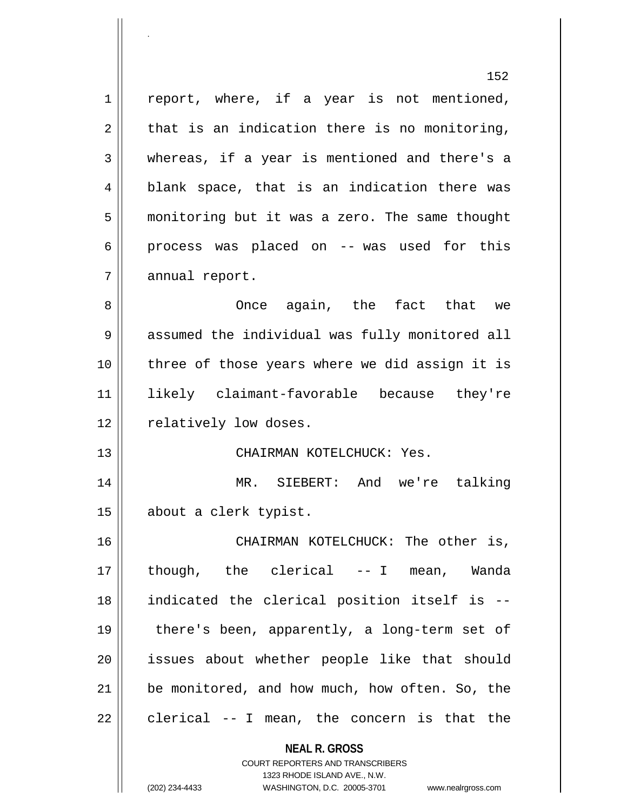**NEAL R. GROSS** 152  $1 \parallel$  report, where, if a year is not mentioned,  $2 \parallel$  that is an indication there is no monitoring, 3 whereas, if a year is mentioned and there's a  $4 \parallel$  blank space, that is an indication there was 5 monitoring but it was a zero. The same thought  $6 \parallel$  process was placed on -- was used for this 7 | annual report. 8 Once again, the fact that we 9 || assumed the individual was fully monitored all 10 three of those years where we did assign it is 11 likely claimant-favorable because they're 12 | relatively low doses. 13 CHAIRMAN KOTELCHUCK: Yes. 14 MR. SIEBERT: And we're talking 15 about a clerk typist. 16 CHAIRMAN KOTELCHUCK: The other is, 17 though, the clerical -- I mean, Wanda 18 indicated the clerical position itself is -- 19 there's been, apparently, a long-term set of 20 issues about whether people like that should 21 | be monitored, and how much, how often. So, the  $22$  || clerical -- I mean, the concern is that the

> COURT REPORTERS AND TRANSCRIBERS 1323 RHODE ISLAND AVE., N.W.

.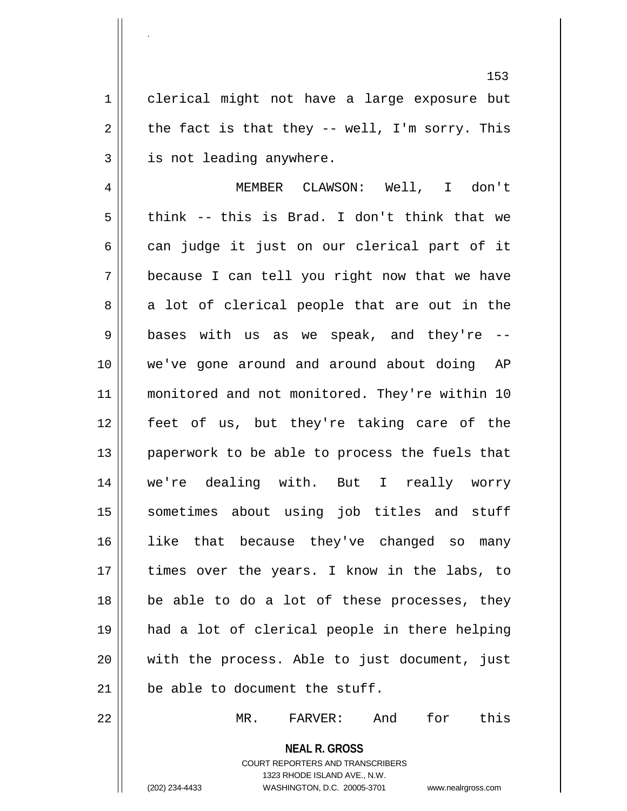1 clerical might not have a large exposure but  $2 \parallel$  the fact is that they -- well, I'm sorry. This 3 | is not leading anywhere.

 MEMBER CLAWSON: Well, I don't  $5 \parallel$  think -- this is Brad. I don't think that we  $6 \parallel$  can judge it just on our clerical part of it because I can tell you right now that we have  $8 \parallel$  a lot of clerical people that are out in the  $9 ||$  bases with us as we speak, and they're  $-$  we've gone around and around about doing AP 11 || monitored and not monitored. They're within 10 feet of us, but they're taking care of the paperwork to be able to process the fuels that we're dealing with. But I really worry sometimes about using job titles and stuff like that because they've changed so many 17 || times over the years. I know in the labs, to be able to do a lot of these processes, they had a lot of clerical people in there helping with the process. Able to just document, just  $\parallel$  be able to document the stuff.

22 MR. FARVER: And for this

**NEAL R. GROSS** COURT REPORTERS AND TRANSCRIBERS 1323 RHODE ISLAND AVE., N.W. (202) 234-4433 WASHINGTON, D.C. 20005-3701 www.nealrgross.com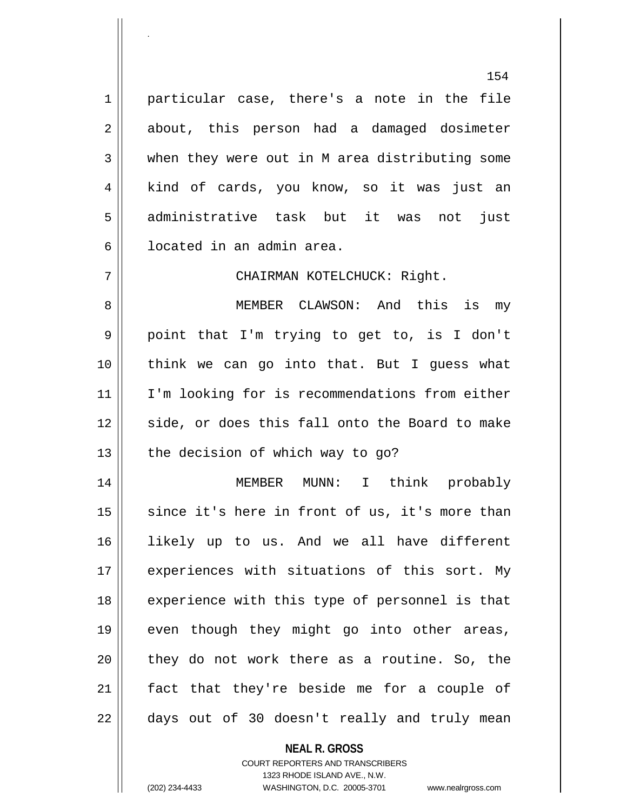1 | particular case, there's a note in the file 2 about, this person had a damaged dosimeter 3 when they were out in M area distributing some 4 || kind of cards, you know, so it was just an 5 administrative task but it was not just 6 l located in an admin area.

7 CHAIRMAN KOTELCHUCK: Right.

 MEMBER CLAWSON: And this is my point that I'm trying to get to, is I don't think we can go into that. But I guess what I'm looking for is recommendations from either 12 || side, or does this fall onto the Board to make | the decision of which way to go?

14 MEMBER MUNN: I think probably  $15$  since it's here in front of us, it's more than 16 likely up to us. And we all have different 17 || experiences with situations of this sort. My 18 || experience with this type of personnel is that 19 || even though they might go into other areas,  $20$  || they do not work there as a routine. So, the 21 || fact that they're beside me for a couple of  $22 \parallel$  days out of 30 doesn't really and truly mean

## **NEAL R. GROSS** COURT REPORTERS AND TRANSCRIBERS 1323 RHODE ISLAND AVE., N.W. (202) 234-4433 WASHINGTON, D.C. 20005-3701 www.nealrgross.com

.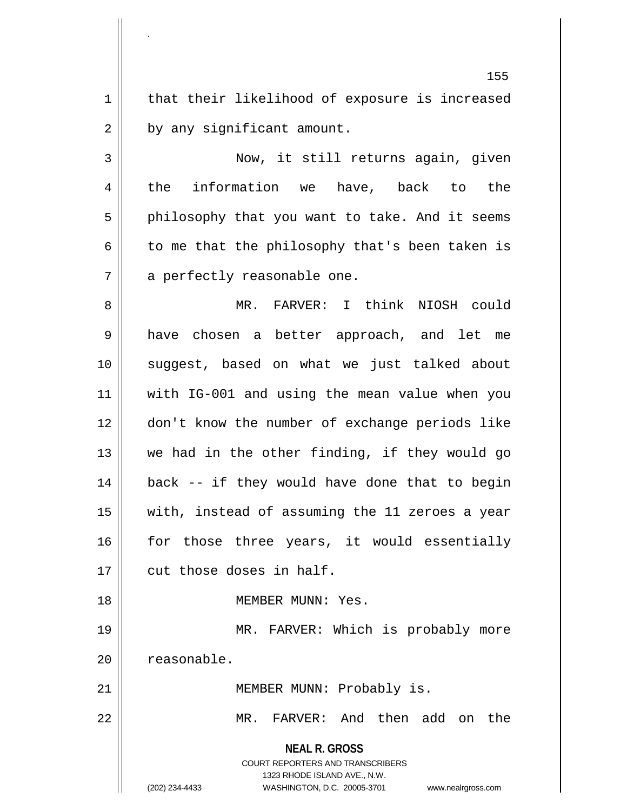1 | that their likelihood of exposure is increased  $2 \parallel$  by any significant amount.

.

3 Now, it still returns again, given 4 || the information we have, back to the  $5 \parallel$  philosophy that you want to take. And it seems  $6 \parallel$  to me that the philosophy that's been taken is 7 || a perfectly reasonable one.

 MR. FARVER: I think NIOSH could 9 || have chosen a better approach, and let me suggest, based on what we just talked about with IG-001 and using the mean value when you don't know the number of exchange periods like we had in the other finding, if they would go || back -- if they would have done that to begin with, instead of assuming the 11 zeroes a year 16 for those three years, it would essentially 17 || cut those doses in half.

18 MEMBER MUNN: Yes.

19 MR. FARVER: Which is probably more 20 | reasonable.

21 || MEMBER MUNN: Probably is.

22 MR. FARVER: And then add on the

**NEAL R. GROSS**

COURT REPORTERS AND TRANSCRIBERS 1323 RHODE ISLAND AVE., N.W. (202) 234-4433 WASHINGTON, D.C. 20005-3701 www.nealrgross.com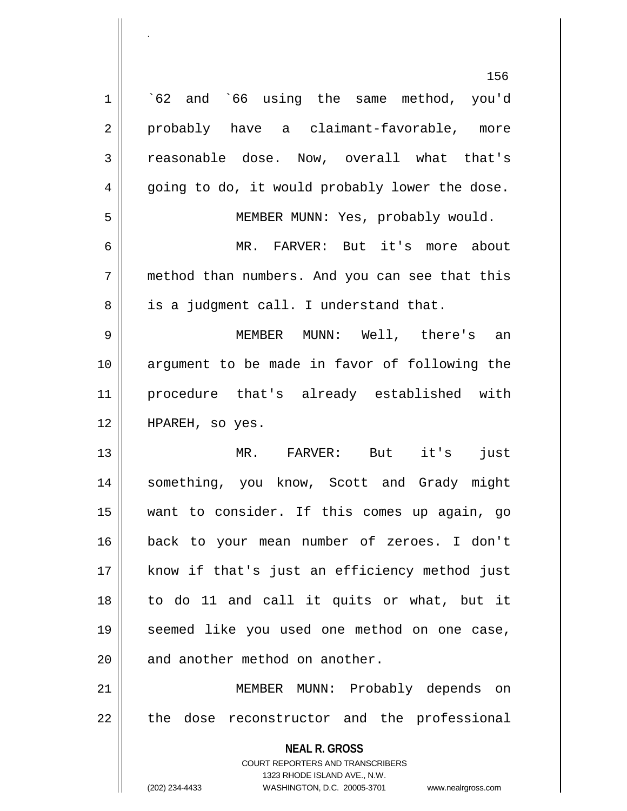|                | 156                                                                     |
|----------------|-------------------------------------------------------------------------|
| $\mathbf 1$    | 62 and 66 using the same method, you'd                                  |
| $\overline{2}$ | probably have a claimant-favorable, more                                |
| 3              | reasonable dose. Now, overall what that's                               |
| 4              | going to do, it would probably lower the dose.                          |
| 5              | MEMBER MUNN: Yes, probably would.                                       |
| 6              | MR. FARVER: But it's more about                                         |
| 7              | method than numbers. And you can see that this                          |
| 8              | is a judgment call. I understand that.                                  |
| 9              | MEMBER MUNN: Well, there's an                                           |
| 10             | argument to be made in favor of following the                           |
| 11             | procedure that's already established with                               |
| 12             | HPAREH, so yes.                                                         |
| 13             | MR.<br>FARVER: But it's<br>just                                         |
| 14             | something, you know, Scott and Grady might                              |
| 15             | want to consider. If this comes up again, go                            |
| 16             | back to your mean number of zeroes. I don't                             |
| 17             | know if that's just an efficiency method just                           |
| 18             | to do 11 and call it quits or what, but it                              |
| 19             | seemed like you used one method on one case,                            |
| 20             | and another method on another.                                          |
| 21             | MEMBER MUNN: Probably depends on                                        |
| 22             | dose reconstructor and the professional<br>the                          |
|                | <b>NEAL R. GROSS</b>                                                    |
|                | <b>COURT REPORTERS AND TRANSCRIBERS</b><br>1323 RHODE ISLAND AVE., N.W. |
|                | (202) 234-4433<br>WASHINGTON, D.C. 20005-3701<br>www.nealrgross.com     |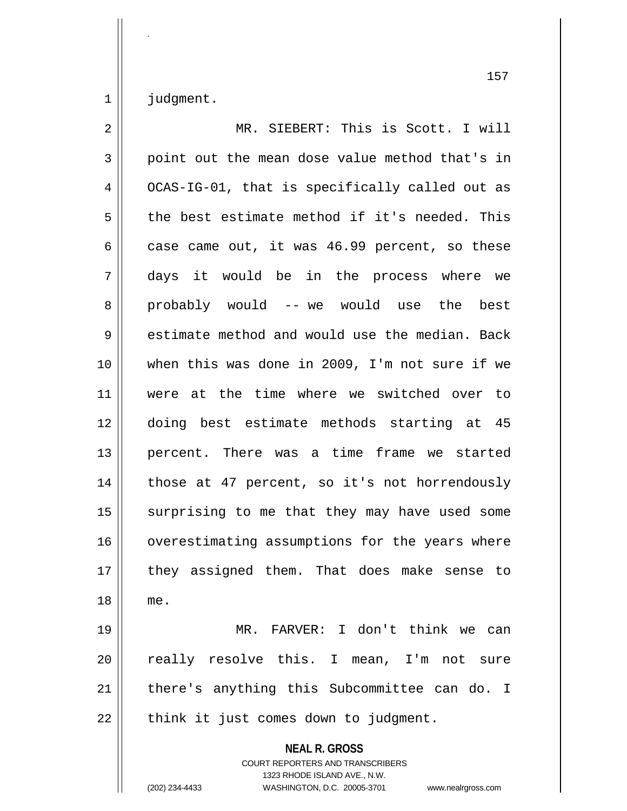judgment.

.

| $\overline{2}$ | MR. SIEBERT: This is Scott. I will                                                                                                                                     |
|----------------|------------------------------------------------------------------------------------------------------------------------------------------------------------------------|
| 3              | point out the mean dose value method that's in                                                                                                                         |
| $\overline{4}$ | OCAS-IG-01, that is specifically called out as                                                                                                                         |
| 5              | the best estimate method if it's needed. This                                                                                                                          |
| 6              | case came out, it was 46.99 percent, so these                                                                                                                          |
| 7              | days it would be in the process where we                                                                                                                               |
| 8              | probably would -- we would use the best                                                                                                                                |
| $\mathsf 9$    | estimate method and would use the median. Back                                                                                                                         |
| 10             | when this was done in 2009, I'm not sure if we                                                                                                                         |
| 11             | were at the time where we switched over to                                                                                                                             |
| 12             | doing best estimate methods starting at 45                                                                                                                             |
| 13             | percent. There was a time frame we started                                                                                                                             |
| 14             | those at 47 percent, so it's not horrendously                                                                                                                          |
| 15             | surprising to me that they may have used some                                                                                                                          |
| 16             | overestimating assumptions for the years where                                                                                                                         |
| 17             | they assigned them. That does make sense to                                                                                                                            |
| 18             | me.                                                                                                                                                                    |
| 19             | MR. FARVER: I don't think we can                                                                                                                                       |
| 20             | really resolve this. I mean, I'm not sure                                                                                                                              |
| 21             | there's anything this Subcommittee can do. I                                                                                                                           |
| 22             | think it just comes down to judgment.                                                                                                                                  |
|                | <b>NEAL R. GROSS</b><br><b>COURT REPORTERS AND TRANSCRIBERS</b><br>1323 RHODE ISLAND AVE., N.W.<br>(202) 234-4433<br>WASHINGTON, D.C. 20005-3701<br>www.nealrgross.com |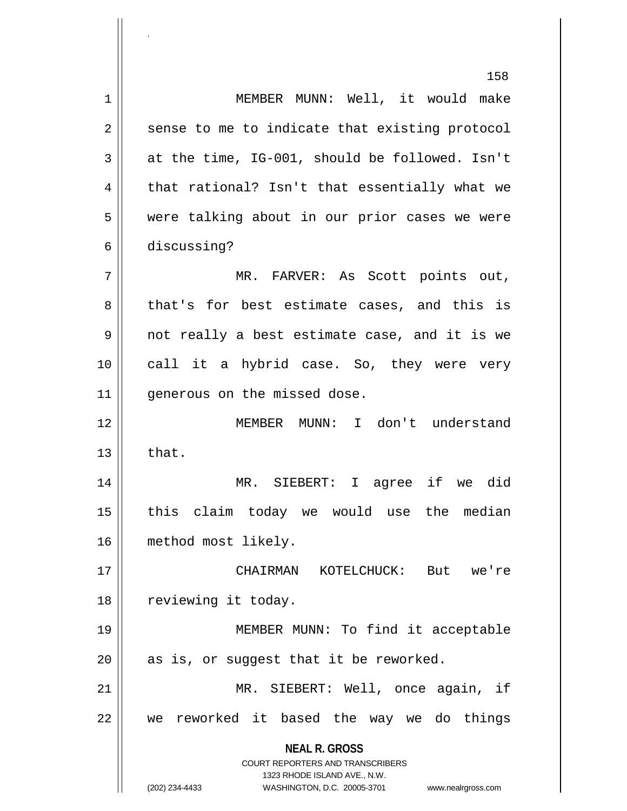**NEAL R. GROSS** COURT REPORTERS AND TRANSCRIBERS 1323 RHODE ISLAND AVE., N.W. (202) 234-4433 WASHINGTON, D.C. 20005-3701 www.nealrgross.com 158 1 | MEMBER MUNN: Well, it would make  $2 \parallel$  sense to me to indicate that existing protocol  $3 \parallel$  at the time, IG-001, should be followed. Isn't  $4 \parallel$  that rational? Isn't that essentially what we 5 || were talking about in our prior cases we were 6 discussing? 7 MR. FARVER: As Scott points out, 8 that's for best estimate cases, and this is 9 not really a best estimate case, and it is we 10 || call it a hybrid case. So, they were very 11 | qenerous on the missed dose. 12 || MEMBER MUNN: I don't understand  $13 \parallel$  that. 14 MR. SIEBERT: I agree if we did  $15$  this claim today we would use the median 16 method most likely. 17 CHAIRMAN KOTELCHUCK: But we're 18 | reviewing it today. 19 MEMBER MUNN: To find it acceptable  $20$  || as is, or suggest that it be reworked. 21 || MR. SIEBERT: Well, once again, if 22 we reworked it based the way we do things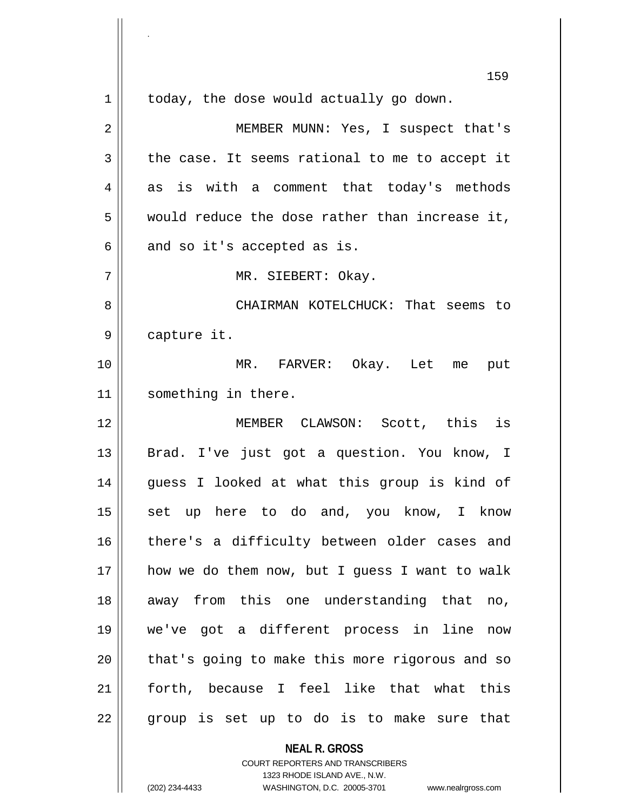|    | 159                                            |
|----|------------------------------------------------|
| 1  | today, the dose would actually go down.        |
| 2  | MEMBER MUNN: Yes, I suspect that's             |
| 3  | the case. It seems rational to me to accept it |
| 4  | as is with a comment that today's methods      |
| 5  | would reduce the dose rather than increase it, |
| 6  | and so it's accepted as is.                    |
| 7  | MR. SIEBERT: Okay.                             |
| 8  | CHAIRMAN KOTELCHUCK: That seems to             |
| 9  | capture it.                                    |
| 10 | MR. FARVER: Okay. Let me put                   |
| 11 | something in there.                            |
| 12 | MEMBER CLAWSON: Scott, this is                 |
| 13 | Brad. I've just got a question. You know, I    |
| 14 | guess I looked at what this group is kind of   |
| 15 | set up here to do and, you know, I know        |
| 16 | there's a difficulty between older cases and   |
| 17 | how we do them now, but I guess I want to walk |
| 18 | away from this one understanding that no,      |
| 19 | we've got a different process in line now      |
| 20 | that's going to make this more rigorous and so |
| 21 | forth, because I feel like that what this      |
| 22 | group is set up to do is to make sure that     |
|    | <b>NEAL R. GROSS</b>                           |

COURT REPORTERS AND TRANSCRIBERS 1323 RHODE ISLAND AVE., N.W.

.

Ш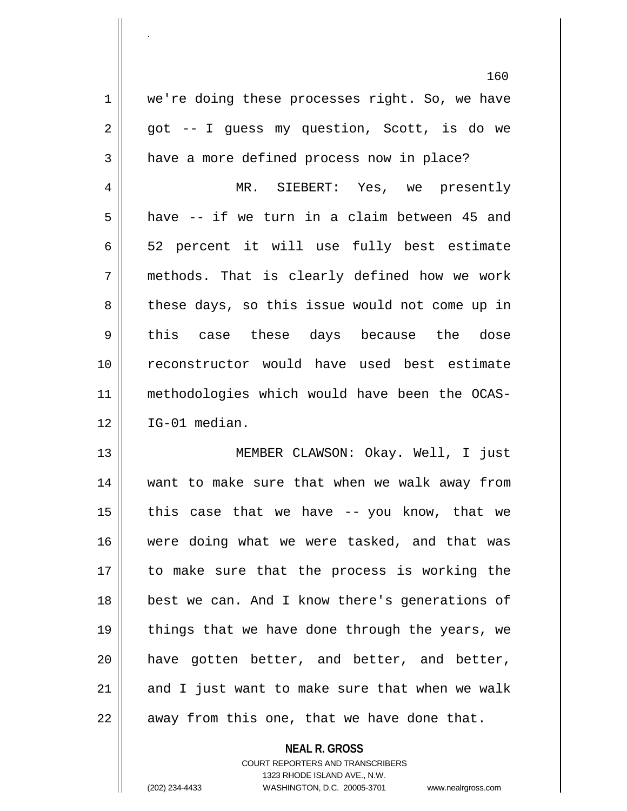160 1 | we're doing these processes right. So, we have  $2 \parallel$  got -- I guess my question, Scott, is do we 3 | have a more defined process now in place? 4 MR. SIEBERT: Yes, we presently  $5 \parallel$  have -- if we turn in a claim between 45 and  $6 \parallel$  52 percent it will use fully best estimate 7 methods. That is clearly defined how we work 8 these days, so this issue would not come up in 9 || this case these days because the dose 10 reconstructor would have used best estimate 11 methodologies which would have been the OCAS-12 IG-01 median. 13 MEMBER CLAWSON: Okay. Well, I just 14 want to make sure that when we walk away from 15  $\parallel$  this case that we have -- you know, that we 16 were doing what we were tasked, and that was 17 to make sure that the process is working the 18 || best we can. And I know there's generations of 19  $\parallel$  things that we have done through the years, we  $20$  || have gotten better, and better, and better,

21  $\parallel$  and I just want to make sure that when we walk

.

 $22$  | away from this one, that we have done that.

## **NEAL R. GROSS** COURT REPORTERS AND TRANSCRIBERS 1323 RHODE ISLAND AVE., N.W. (202) 234-4433 WASHINGTON, D.C. 20005-3701 www.nealrgross.com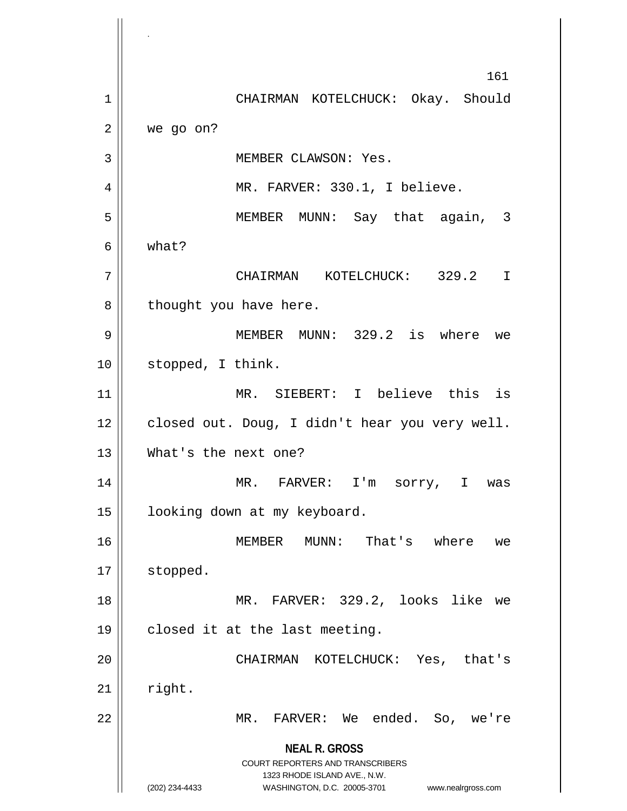**NEAL R. GROSS** COURT REPORTERS AND TRANSCRIBERS 1323 RHODE ISLAND AVE., N.W. (202) 234-4433 WASHINGTON, D.C. 20005-3701 www.nealrgross.com 161 1 | CHAIRMAN KOTELCHUCK: Okay. Should  $2 \parallel$  we go on? 3 | MEMBER CLAWSON: Yes. 4 || MR. FARVER: 330.1, I believe. 5 MEMBER MUNN: Say that again, 3  $6 \parallel$  what? 7 CHAIRMAN KOTELCHUCK: 329.2 I  $8 \parallel$  thought you have here. 9 MEMBER MUNN: 329.2 is where we 10 || stopped, I think. 11 MR. SIEBERT: I believe this is  $12$  | closed out. Doug, I didn't hear you very well. 13 || What's the next one? 14 || MR. FARVER: I'm sorry, I was 15 | looking down at my keyboard. 16 MEMBER MUNN: That's where we 17 | stopped. 18 || MR. FARVER: 329.2, looks like we  $19 \parallel$  closed it at the last meeting. 20 CHAIRMAN KOTELCHUCK: Yes, that's  $21$  right. 22 MR. FARVER: We ended. So, we're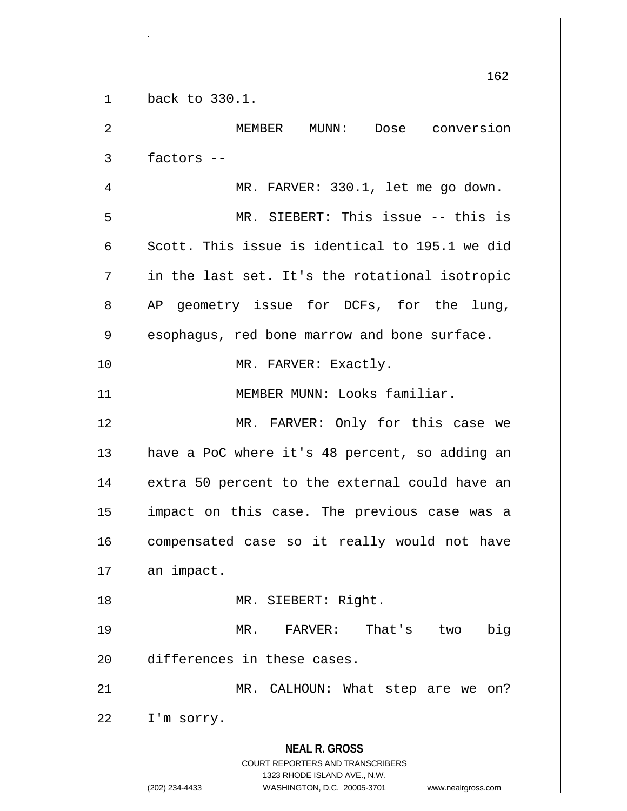**NEAL R. GROSS** COURT REPORTERS AND TRANSCRIBERS 1323 RHODE ISLAND AVE., N.W. (202) 234-4433 WASHINGTON, D.C. 20005-3701 www.nealrgross.com 162 1 back to 330.1. 2 MEMBER MUNN: Dose conversion  $3 \parallel$  factors --4 || MR. FARVER: 330.1, let me go down. 5 MR. SIEBERT: This issue -- this is 6 Scott. This issue is identical to 195.1 we did  $7 \parallel$  in the last set. It's the rotational isotropic  $8 \parallel$  AP geometry issue for DCFs, for the lung, 9 || esophagus, red bone marrow and bone surface. 10 || MR. FARVER: Exactly. 11 MEMBER MUNN: Looks familiar. 12 || MR. FARVER: Only for this case we 13 || have a PoC where it's 48 percent, so adding an  $14$  || extra 50 percent to the external could have an 15 impact on this case. The previous case was a 16 || compensated case so it really would not have  $17$  | an impact. 18 || MR. SIEBERT: Right. 19 MR. FARVER: That's two big 20 differences in these cases. 21 || MR. CALHOUN: What step are we on?  $22$  | I'm sorry.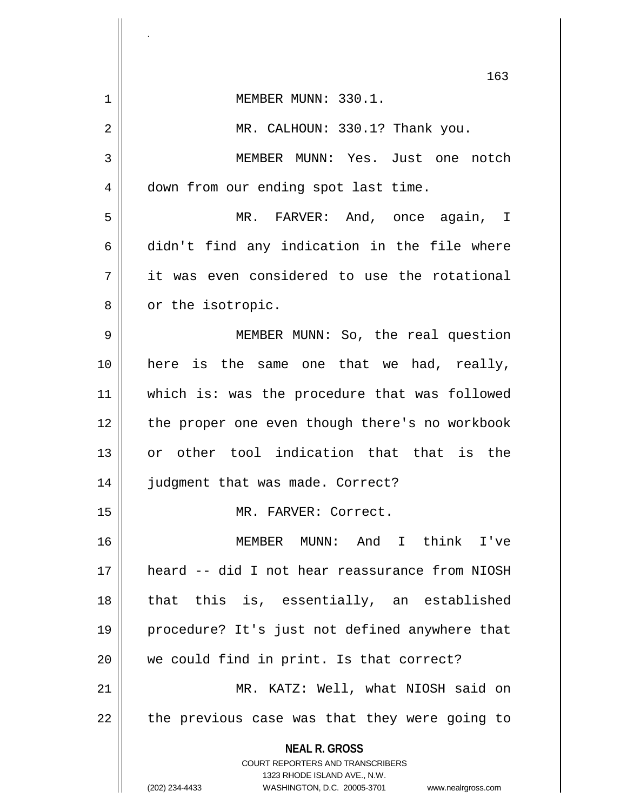|    | 163                                                                                             |
|----|-------------------------------------------------------------------------------------------------|
| 1  | MEMBER MUNN: 330.1.                                                                             |
| 2  | MR. CALHOUN: 330.1? Thank you.                                                                  |
| 3  | MEMBER MUNN: Yes. Just one notch                                                                |
| 4  | down from our ending spot last time.                                                            |
| 5  | MR. FARVER: And, once again, I                                                                  |
| 6  | didn't find any indication in the file where                                                    |
| 7  | it was even considered to use the rotational                                                    |
| 8  | or the isotropic.                                                                               |
| 9  | MEMBER MUNN: So, the real question                                                              |
| 10 | here is the same one that we had, really,                                                       |
| 11 | which is: was the procedure that was followed                                                   |
| 12 | the proper one even though there's no workbook                                                  |
| 13 | or other tool indication that that is the                                                       |
| 14 | judgment that was made. Correct?                                                                |
| 15 | MR. FARVER: Correct.                                                                            |
| 16 | MEMBER MUNN: And I think I've                                                                   |
| 17 | heard -- did I not hear reassurance from NIOSH                                                  |
| 18 | that this is, essentially, an established                                                       |
| 19 | procedure? It's just not defined anywhere that                                                  |
| 20 | we could find in print. Is that correct?                                                        |
| 21 | MR. KATZ: Well, what NIOSH said on                                                              |
| 22 | the previous case was that they were going to                                                   |
|    | <b>NEAL R. GROSS</b><br><b>COURT REPORTERS AND TRANSCRIBERS</b><br>1323 RHODE ISLAND AVE., N.W. |
|    | (202) 234-4433<br>WASHINGTON, D.C. 20005-3701 www.nealrgross.com                                |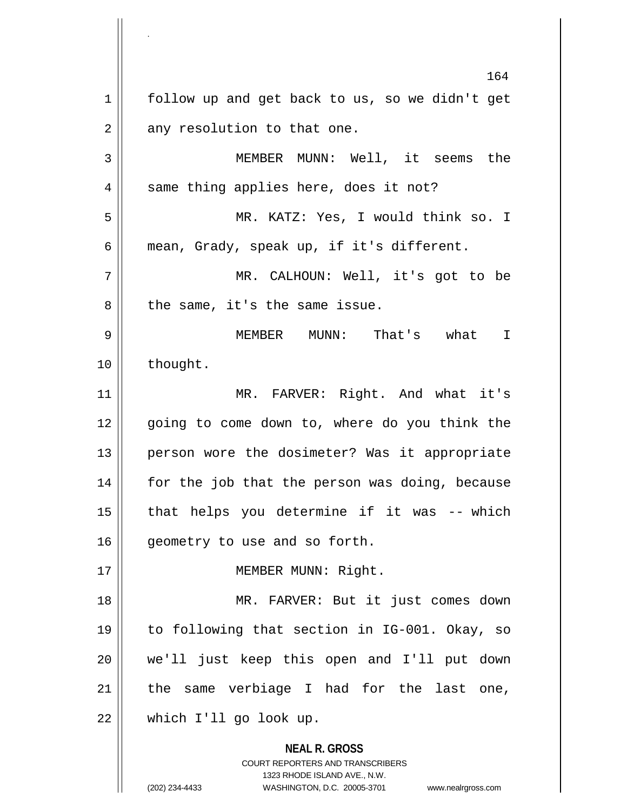**NEAL R. GROSS** COURT REPORTERS AND TRANSCRIBERS 1323 RHODE ISLAND AVE., N.W. 164 1 || follow up and get back to us, so we didn't get  $2 \parallel$  any resolution to that one. 3 MEMBER MUNN: Well, it seems the  $4 \parallel$  same thing applies here, does it not? 5 MR. KATZ: Yes, I would think so. I 6 mean, Grady, speak up, if it's different. 7 MR. CALHOUN: Well, it's got to be 8 || the same, it's the same issue. 9 MEMBER MUNN: That's what I 10 | thought. 11 || MR. FARVER: Right. And what it's 12 || going to come down to, where do you think the 13 || person wore the dosimeter? Was it appropriate 14 || for the job that the person was doing, because  $15$  || that helps you determine if it was -- which 16 | geometry to use and so forth. 17 || MEMBER MUNN: Right. 18 MR. FARVER: But it just comes down 19 to following that section in IG-001. Okay, so 20 we'll just keep this open and I'll put down  $21$  | the same verbiage I had for the last one, 22 which I'll go look up.

<sup>(202) 234-4433</sup> WASHINGTON, D.C. 20005-3701 www.nealrgross.com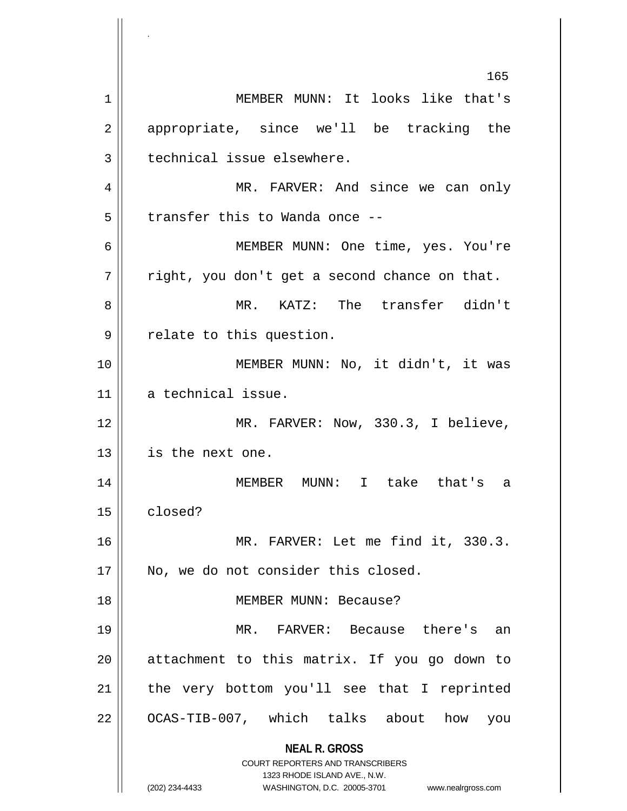**NEAL R. GROSS** COURT REPORTERS AND TRANSCRIBERS 1323 RHODE ISLAND AVE., N.W. (202) 234-4433 WASHINGTON, D.C. 20005-3701 www.nealrgross.com MEMBER MUNN: It looks like that's 2 appropriate, since we'll be tracking the || technical issue elsewhere. MR. FARVER: And since we can only | transfer this to Wanda once -- MEMBER MUNN: One time, yes. You're  $7 ||$  right, you don't get a second chance on that. MR. KATZ: The transfer didn't 9 | relate to this question. 10 || MEMBER MUNN: No, it didn't, it was a technical issue. MR. FARVER: Now, 330.3, I believe, is the next one. MEMBER MUNN: I take that's a closed? MR. FARVER: Let me find it, 330.3. 17 || No, we do not consider this closed. MEMBER MUNN: Because? MR. FARVER: Because there's an attachment to this matrix. If you go down to | the very bottom you'll see that I reprinted 22 || OCAS-TIB-007, which talks about how you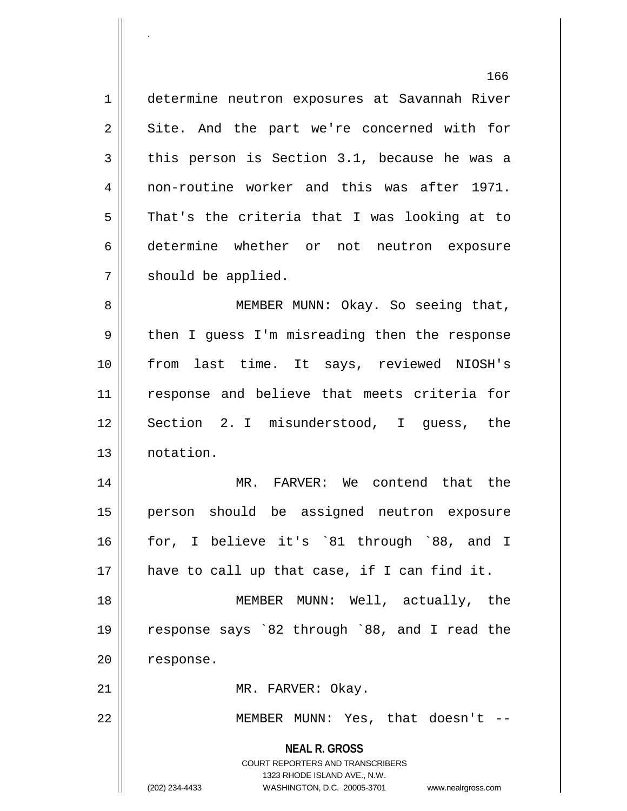166 1 determine neutron exposures at Savannah River 2 || Site. And the part we're concerned with for  $3 \parallel$  this person is Section 3.1, because he was a 4 || non-routine worker and this was after 1971.  $5 \parallel$  That's the criteria that I was looking at to 6 determine whether or not neutron exposure 7 | should be applied. 8 || MEMBER MUNN: Okay. So seeing that, 9 || then I guess I'm misreading then the response 10 from last time. It says, reviewed NIOSH's 11 response and believe that meets criteria for 12 || Section 2. I misunderstood, I quess, the 13 notation. 14 || MR. FARVER: We contend that the 15 person should be assigned neutron exposure 16 for, I believe it's `81 through `88, and I  $17$  || have to call up that case, if I can find it. 18 MEMBER MUNN: Well, actually, the 19 response says `82 through `88, and I read the

20 | response.

.

21 || MR. FARVER: Okay.

22 || MEMBER MUNN: Yes, that doesn't --

**NEAL R. GROSS**

COURT REPORTERS AND TRANSCRIBERS 1323 RHODE ISLAND AVE., N.W. (202) 234-4433 WASHINGTON, D.C. 20005-3701 www.nealrgross.com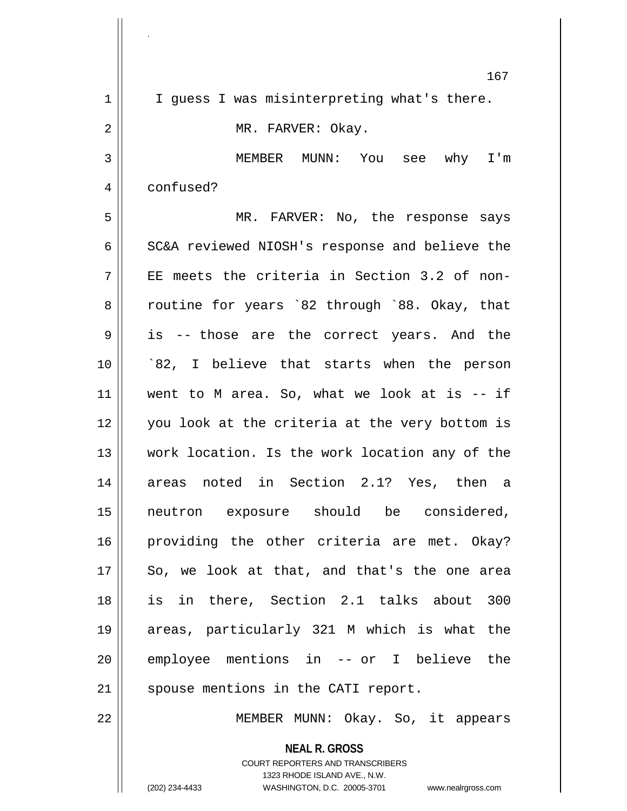|             | 167                                                                                                                                                                 |
|-------------|---------------------------------------------------------------------------------------------------------------------------------------------------------------------|
| $\mathbf 1$ | I guess I was misinterpreting what's there.                                                                                                                         |
| 2           | MR. FARVER: Okay.                                                                                                                                                   |
| 3           | MEMBER MUNN: You see why I'm                                                                                                                                        |
| 4           | confused?                                                                                                                                                           |
| 5           | MR. FARVER: No, the response says                                                                                                                                   |
| 6           | SC&A reviewed NIOSH's response and believe the                                                                                                                      |
| 7           | EE meets the criteria in Section 3.2 of non-                                                                                                                        |
| 8           | routine for years `82 through `88. Okay, that                                                                                                                       |
| 9           | is -- those are the correct years. And the                                                                                                                          |
| 10          | `82, I believe that starts when the person                                                                                                                          |
| 11          | went to M area. So, what we look at is $-$ if                                                                                                                       |
| 12          | you look at the criteria at the very bottom is                                                                                                                      |
| 13          | work location. Is the work location any of the                                                                                                                      |
| 14          | areas noted in Section 2.1? Yes, then a                                                                                                                             |
| 15          | neutron exposure should be considered,                                                                                                                              |
| 16          | providing the other criteria are met. Okay?                                                                                                                         |
| 17          | So, we look at that, and that's the one area                                                                                                                        |
| 18          | is in there, Section 2.1 talks about 300                                                                                                                            |
| 19          | areas, particularly 321 M which is what the                                                                                                                         |
| 20          | employee mentions in -- or I believe the                                                                                                                            |
| 21          | spouse mentions in the CATI report.                                                                                                                                 |
| 22          | MEMBER MUNN: Okay. So, it appears                                                                                                                                   |
|             | <b>NEAL R. GROSS</b><br><b>COURT REPORTERS AND TRANSCRIBERS</b><br>1323 RHODE ISLAND AVE., N.W.<br>(202) 234-4433<br>WASHINGTON, D.C. 20005-3701 www.nealrgross.com |

.

<sup>(202) 234-4433</sup> WASHINGTON, D.C. 20005-3701 www.nealrgross.com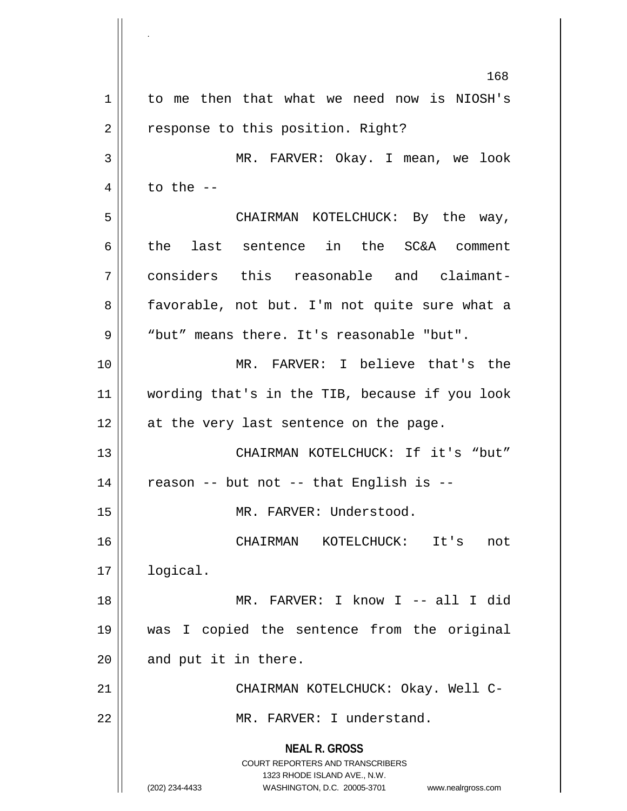**NEAL R. GROSS** COURT REPORTERS AND TRANSCRIBERS 1323 RHODE ISLAND AVE., N.W. (202) 234-4433 WASHINGTON, D.C. 20005-3701 www.nealrgross.com 1 to me then that what we need now is NIOSH's 2 | response to this position. Right? MR. FARVER: Okay. I mean, we look  $\parallel$  to the  $-$  CHAIRMAN KOTELCHUCK: By the way, the last sentence in the SC&A comment considers this reasonable and claimant-8 || favorable, not but. I'm not quite sure what a "but" means there. It's reasonable "but". MR. FARVER: I believe that's the wording that's in the TIB, because if you look 12 || at the very last sentence on the page. CHAIRMAN KOTELCHUCK: If it's "but" || reason -- but not -- that English is --15 || MR. FARVER: Understood. CHAIRMAN KOTELCHUCK: It's not logical. MR. FARVER: I know I -- all I did was I copied the sentence from the original | and put it in there. CHAIRMAN KOTELCHUCK: Okay. Well C-22 || MR. FARVER: I understand.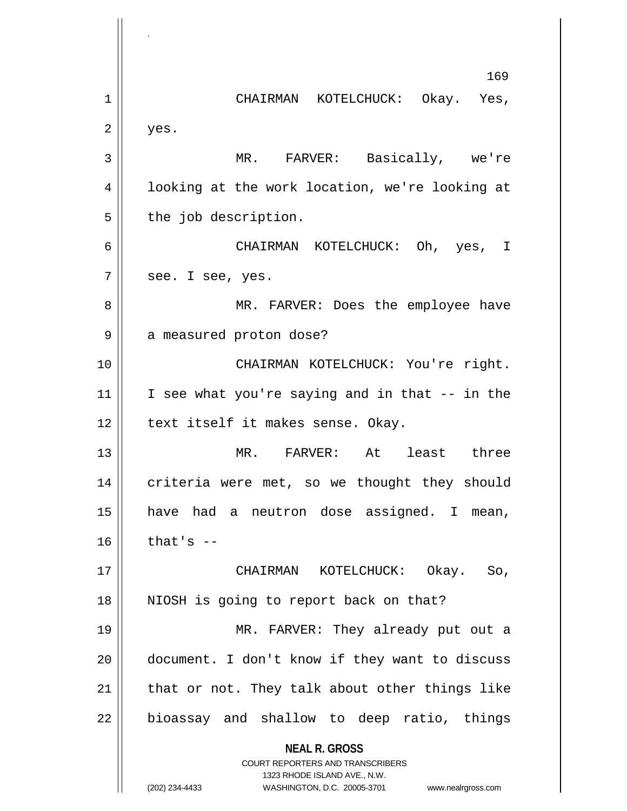**NEAL R. GROSS** COURT REPORTERS AND TRANSCRIBERS 1323 RHODE ISLAND AVE., N.W. (202) 234-4433 WASHINGTON, D.C. 20005-3701 www.nealrgross.com 169 1 CHAIRMAN KOTELCHUCK: Okay. Yes,  $2 \parallel$  yes. 3 MR. FARVER: Basically, we're 4 || looking at the work location, we're looking at  $5 \parallel$  the job description. 6 CHAIRMAN KOTELCHUCK: Oh, yes, I  $7 \parallel$  see. I see, yes. 8 MR. FARVER: Does the employee have 9 | a measured proton dose? 10 CHAIRMAN KOTELCHUCK: You're right.  $11$  I see what you're saying and in that  $-$  in the  $12$  | text itself it makes sense. Okay. 13 MR. FARVER: At least three 14 | criteria were met, so we thought they should 15 have had a neutron dose assigned. I mean,  $16$  that's  $-$ 17 CHAIRMAN KOTELCHUCK: Okay. So, 18 || NIOSH is going to report back on that? 19 MR. FARVER: They already put out a 20 document. I don't know if they want to discuss  $21$  | that or not. They talk about other things like  $22$  || bioassay and shallow to deep ratio, things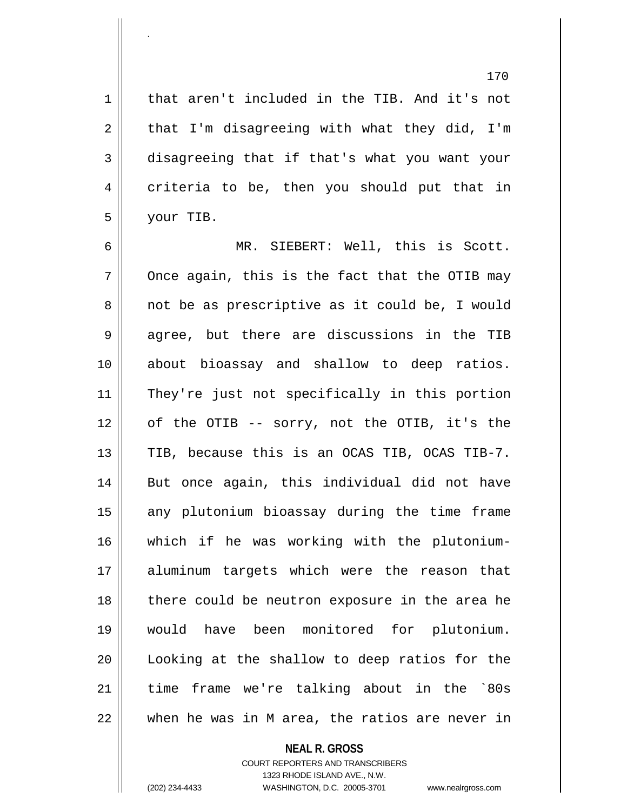1 || that aren't included in the TIB. And it's not  $2 \parallel$  that I'm disagreeing with what they did, I'm 3 disagreeing that if that's what you want your 4 criteria to be, then you should put that in 5 your TIB.

 MR. SIEBERT: Well, this is Scott.  $7 \parallel$  Once again, this is the fact that the OTIB may 8 || not be as prescriptive as it could be, I would  $9 \parallel$  agree, but there are discussions in the TIB about bioassay and shallow to deep ratios. They're just not specifically in this portion of the OTIB -- sorry, not the OTIB, it's the  $\parallel$  TIB, because this is an OCAS TIB, OCAS TIB-7. 14 || But once again, this individual did not have 15 || any plutonium bioassay during the time frame which if he was working with the plutonium- aluminum targets which were the reason that 18 || there could be neutron exposure in the area he would have been monitored for plutonium. Looking at the shallow to deep ratios for the time frame we're talking about in the `80s  $\parallel$  when he was in M area, the ratios are never in

### **NEAL R. GROSS**

COURT REPORTERS AND TRANSCRIBERS 1323 RHODE ISLAND AVE., N.W. (202) 234-4433 WASHINGTON, D.C. 20005-3701 www.nealrgross.com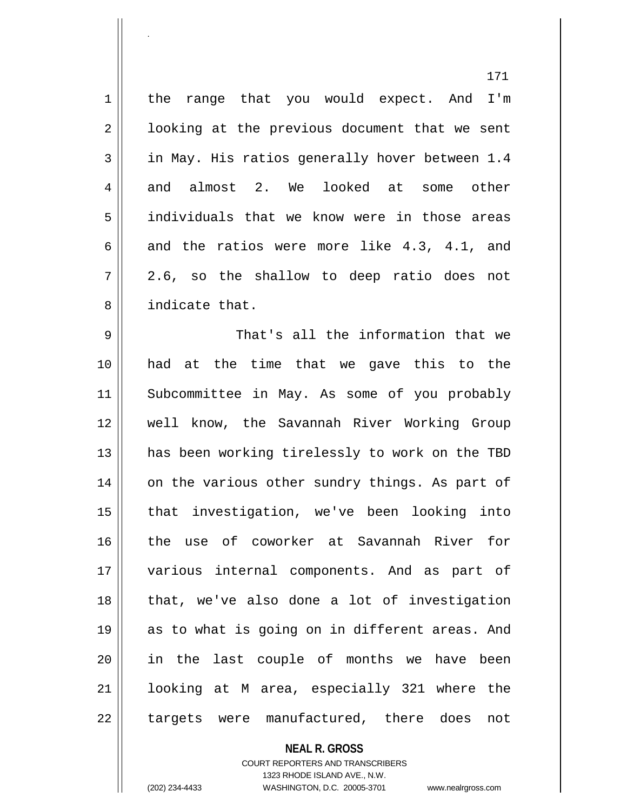1 | the range that you would expect. And I'm  $2 \parallel$  looking at the previous document that we sent  $3 \parallel$  in May. His ratios generally hover between 1.4 4 and almost 2. We looked at some other 5 individuals that we know were in those areas 6 and the ratios were more like 4.3, 4.1, and  $7 \parallel 2.6$ , so the shallow to deep ratio does not 8 indicate that.

 That's all the information that we had at the time that we gave this to the 11 || Subcommittee in May. As some of you probably well know, the Savannah River Working Group 13 || has been working tirelessly to work on the TBD 14 || on the various other sundry things. As part of that investigation, we've been looking into the use of coworker at Savannah River for various internal components. And as part of that, we've also done a lot of investigation as to what is going on in different areas. And in the last couple of months we have been looking at M area, especially 321 where the 22 || targets were manufactured, there does not

**NEAL R. GROSS**

COURT REPORTERS AND TRANSCRIBERS 1323 RHODE ISLAND AVE., N.W. (202) 234-4433 WASHINGTON, D.C. 20005-3701 www.nealrgross.com

.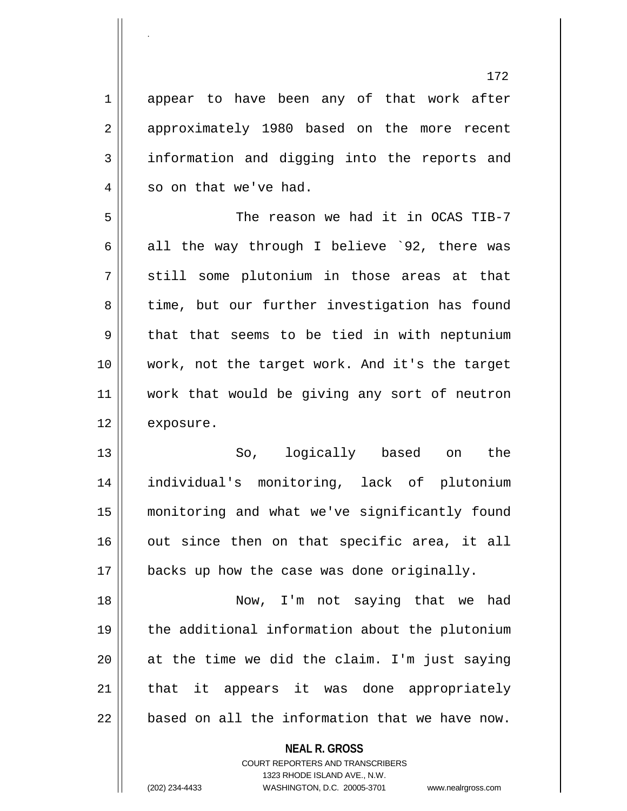1 appear to have been any of that work after 2 || approximately 1980 based on the more recent 3 information and digging into the reports and 4 || so on that we've had. 5 The reason we had it in OCAS TIB-7 6 all the way through I believe `92, there was  $7 \parallel$  still some plutonium in those areas at that 8 | time, but our further investigation has found  $9 \parallel$  that that seems to be tied in with neptunium 10 work, not the target work. And it's the target 11 work that would be giving any sort of neutron 12 | exposure. 13 So, logically based on the 14 individual's monitoring, lack of plutonium 15 monitoring and what we've significantly found  $16$  out since then on that specific area, it all 17 | backs up how the case was done originally. 18 Now, I'm not saying that we had 19 the additional information about the plutonium  $20$  at the time we did the claim. I'm just saying  $21$  that it appears it was done appropriately  $22$   $\parallel$  based on all the information that we have now.

**NEAL R. GROSS**

COURT REPORTERS AND TRANSCRIBERS 1323 RHODE ISLAND AVE., N.W. (202) 234-4433 WASHINGTON, D.C. 20005-3701 www.nealrgross.com

.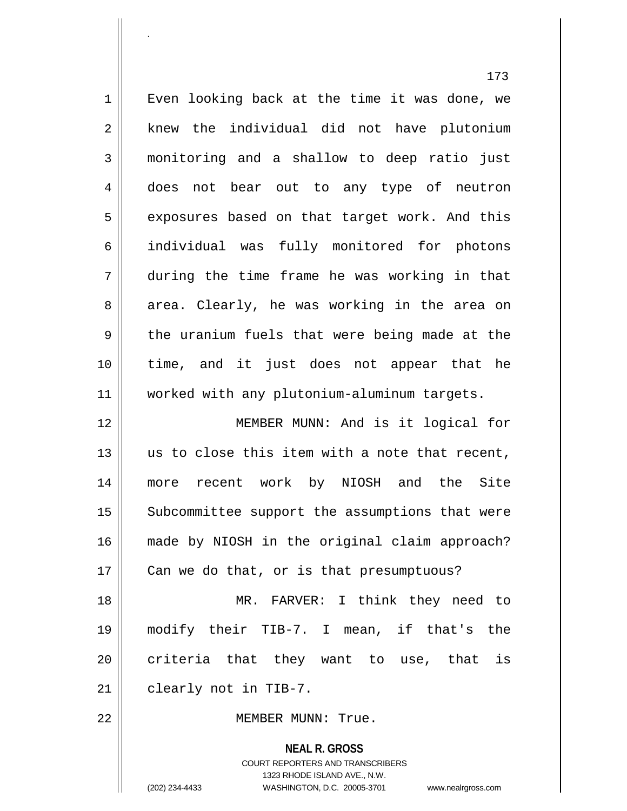173 1 | Even looking back at the time it was done, we  $2 \parallel$  knew the individual did not have plutonium 3 monitoring and a shallow to deep ratio just 4 does not bear out to any type of neutron 5 || exposures based on that target work. And this 6 individual was fully monitored for photons 7 during the time frame he was working in that 8 area. Clearly, he was working in the area on  $9 \parallel$  the uranium fuels that were being made at the 10 time, and it just does not appear that he 11 worked with any plutonium-aluminum targets. 12 MEMBER MUNN: And is it logical for 13 || us to close this item with a note that recent, 14 more recent work by NIOSH and the Site 15 | Subcommittee support the assumptions that were 16 made by NIOSH in the original claim approach? 17 | Can we do that, or is that presumptuous? 18 || MR. FARVER: I think they need to 19 modify their TIB-7. I mean, if that's the  $20$  criteria that they want to use, that is  $21$  | clearly not in TIB-7.

22 MEMBER MUNN: True.

**NEAL R. GROSS** COURT REPORTERS AND TRANSCRIBERS 1323 RHODE ISLAND AVE., N.W. (202) 234-4433 WASHINGTON, D.C. 20005-3701 www.nealrgross.com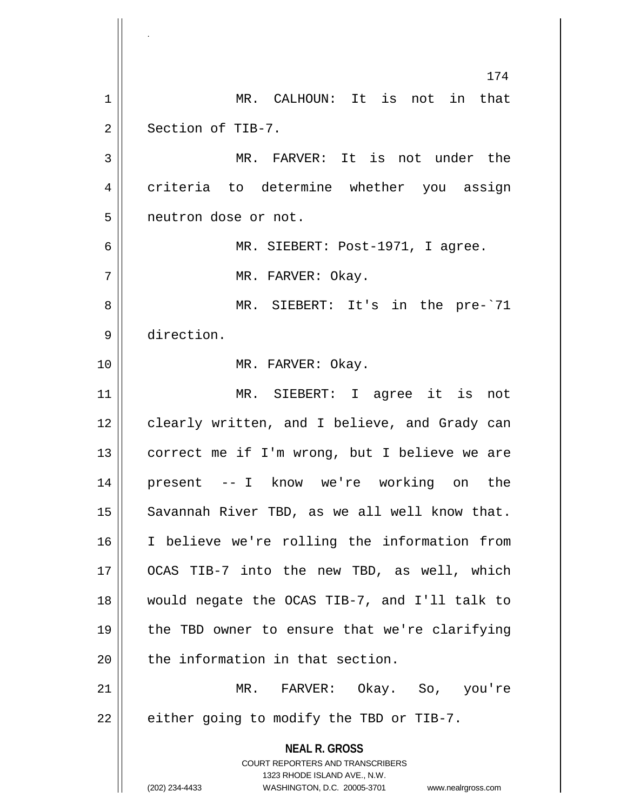**NEAL R. GROSS** COURT REPORTERS AND TRANSCRIBERS 1323 RHODE ISLAND AVE., N.W. (202) 234-4433 WASHINGTON, D.C. 20005-3701 www.nealrgross.com 174 1 MR. CALHOUN: It is not in that 2 | Section of TIB-7. 3 || MR. FARVER: It is not under the 4 criteria to determine whether you assign 5 | neutron dose or not. 6 MR. SIEBERT: Post-1971, I agree. 7 MR. FARVER: Okay. 8 MR. SIEBERT: It's in the pre-`71 9 direction. 10 || MR. FARVER: Okay. 11 MR. SIEBERT: I agree it is not 12 | clearly written, and I believe, and Grady can 13 || correct me if I'm wrong, but I believe we are 14 present -- I know we're working on the  $15$  || Savannah River TBD, as we all well know that. 16 I believe we're rolling the information from 17 OCAS TIB-7 into the new TBD, as well, which 18 would negate the OCAS TIB-7, and I'll talk to 19 || the TBD owner to ensure that we're clarifying 20 || the information in that section. 21 MR. FARVER: Okay. So, you're  $22 \parallel$  either going to modify the TBD or TIB-7.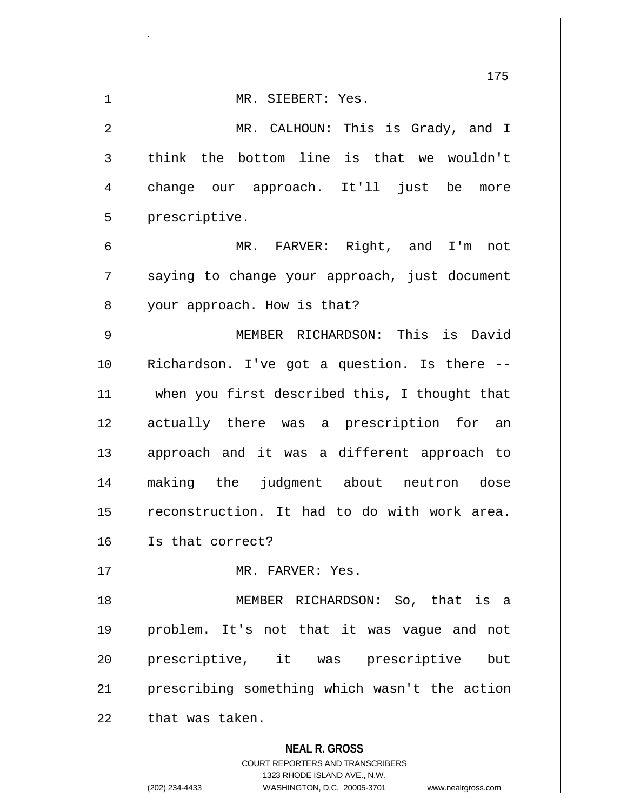|                | 175                                                                                                                                                                    |
|----------------|------------------------------------------------------------------------------------------------------------------------------------------------------------------------|
| 1              | MR. SIEBERT: Yes.                                                                                                                                                      |
| $\overline{2}$ | MR. CALHOUN: This is Grady, and I                                                                                                                                      |
| 3              | think the bottom line is that we wouldn't                                                                                                                              |
| 4              | change our approach. It'll just be<br>more                                                                                                                             |
| 5              | prescriptive.                                                                                                                                                          |
| 6              | MR. FARVER: Right, and I'm<br>not                                                                                                                                      |
| 7              | saying to change your approach, just document                                                                                                                          |
| 8              | your approach. How is that?                                                                                                                                            |
| 9              | MEMBER RICHARDSON: This is David                                                                                                                                       |
| 10             | Richardson. I've got a question. Is there --                                                                                                                           |
| 11             | when you first described this, I thought that                                                                                                                          |
| 12             | actually there was a prescription for an                                                                                                                               |
| 13             | approach and it was a different approach to                                                                                                                            |
| 14             | making the judgment about neutron dose                                                                                                                                 |
| 15             | reconstruction. It had to do with work area.                                                                                                                           |
| 16             | Is that correct?                                                                                                                                                       |
| 17             | MR. FARVER: Yes.                                                                                                                                                       |
| 18             | MEMBER RICHARDSON: So, that is a                                                                                                                                       |
| 19             | problem. It's not that it was vague and not                                                                                                                            |
| 20             | prescriptive, it was prescriptive<br>but                                                                                                                               |
| 21             | prescribing something which wasn't the action                                                                                                                          |
| 22             | that was taken.                                                                                                                                                        |
|                | <b>NEAL R. GROSS</b><br><b>COURT REPORTERS AND TRANSCRIBERS</b><br>1323 RHODE ISLAND AVE., N.W.<br>(202) 234-4433<br>WASHINGTON, D.C. 20005-3701<br>www.nealrgross.com |

.

 $\overline{\phantom{a}}$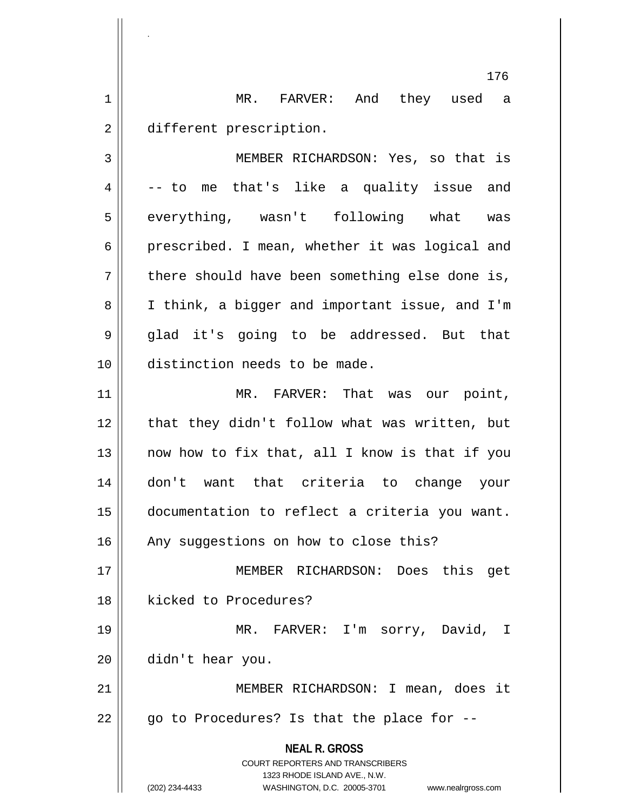1 MR. FARVER: And they used a 2 | different prescription.

.

3 MEMBER RICHARDSON: Yes, so that is  $4 \parallel$  -- to me that's like a quality issue and 5 || everything, wasn't following what was 6 prescribed. I mean, whether it was logical and  $7 \parallel$  there should have been something else done is, 8 | I think, a bigger and important issue, and I'm 9 || glad it's going to be addressed. But that 10 distinction needs to be made.

 MR. FARVER: That was our point, 12 || that they didn't follow what was written, but  $\parallel$  now how to fix that, all I know is that if you don't want that criteria to change your documentation to reflect a criteria you want. 16 || Any suggestions on how to close this?

17 MEMBER RICHARDSON: Does this get 18 || kicked to Procedures?

19 MR. FARVER: I'm sorry, David, I 20 didn't hear you.

21 || MEMBER RICHARDSON: I mean, does it  $22 \parallel$  go to Procedures? Is that the place for --

> **NEAL R. GROSS** COURT REPORTERS AND TRANSCRIBERS 1323 RHODE ISLAND AVE., N.W.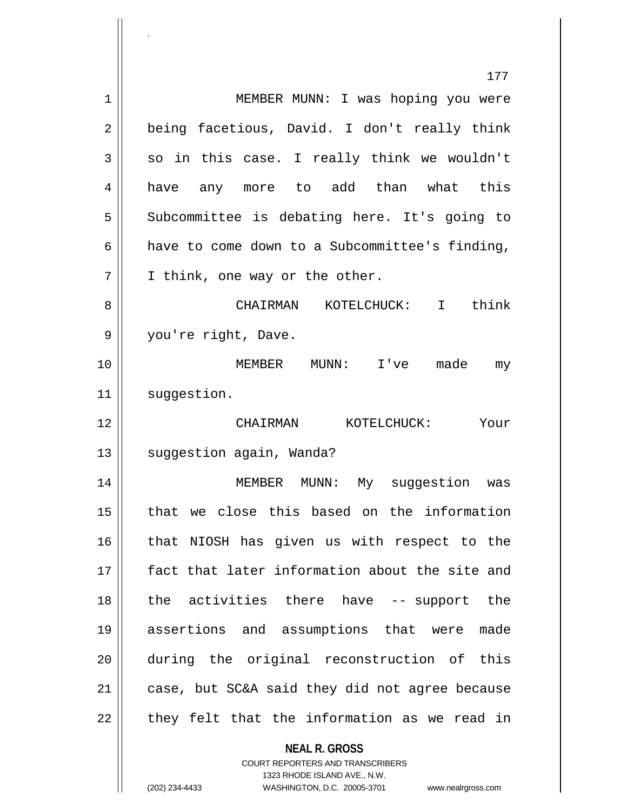|    | 177                                                      |
|----|----------------------------------------------------------|
| 1  | MEMBER MUNN: I was hoping you were                       |
| 2  | being facetious, David. I don't really think             |
| 3  | so in this case. I really think we wouldn't              |
| 4  | have any more to add than what this                      |
| 5  | Subcommittee is debating here. It's going to             |
| 6  | have to come down to a Subcommittee's finding,           |
| 7  | I think, one way or the other.                           |
| 8  | CHAIRMAN KOTELCHUCK: I think                             |
| 9  | you're right, Dave.                                      |
| 10 | MEMBER<br>MUNN: I've<br>made<br>my                       |
| 11 | suggestion.                                              |
| 12 | CHAIRMAN KOTELCHUCK:<br>Your                             |
| 13 | suggestion again, Wanda?                                 |
| 14 | MEMBER MUNN: My suggestion was                           |
| 15 | that we close this based on the information              |
| 16 | that NIOSH has given us with respect to the              |
| 17 | fact that later information about the site and           |
| 18 | the activities there have -- support the                 |
| 19 | assertions and assumptions that were<br>made             |
| 20 | during the original reconstruction of this               |
| 21 | case, but SC&A said they did not agree because           |
| 22 | they felt that the information as we read in             |
|    | <b>NEAL R. GROSS</b><br>COURT REPORTERS AND TRANSCRIBERS |

1323 RHODE ISLAND AVE., N.W.

 $\prod$ 

.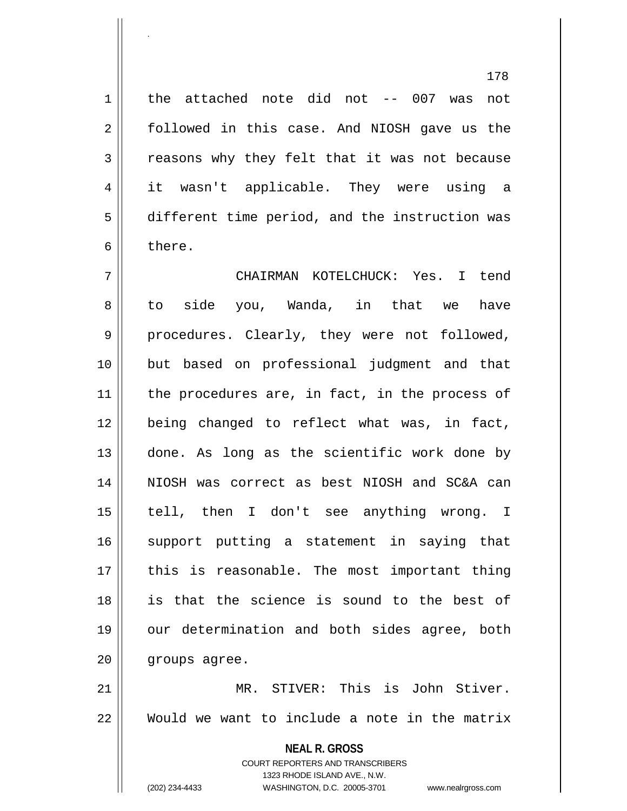1 | the attached note did not -- 007 was not 2 followed in this case. And NIOSH gave us the 3 | reasons why they felt that it was not because 4 it wasn't applicable. They were using a 5 different time period, and the instruction was 6 bere.

7 CHAIRMAN KOTELCHUCK: Yes. I tend 8 to side you, Wanda, in that we have 9 procedures. Clearly, they were not followed, 10 but based on professional judgment and that  $11$  | the procedures are, in fact, in the process of 12 being changed to reflect what was, in fact, 13 || done. As long as the scientific work done by 14 NIOSH was correct as best NIOSH and SC&A can 15 || tell, then I don't see anything wrong. I 16 || support putting a statement in saying that 17 || this is reasonable. The most important thing 18 is that the science is sound to the best of 19 || our determination and both sides agree, both 20 | groups agree. 21 MR. STIVER: This is John Stiver.

22 Would we want to include a note in the matrix

**NEAL R. GROSS** COURT REPORTERS AND TRANSCRIBERS 1323 RHODE ISLAND AVE., N.W.

.

(202) 234-4433 WASHINGTON, D.C. 20005-3701 www.nealrgross.com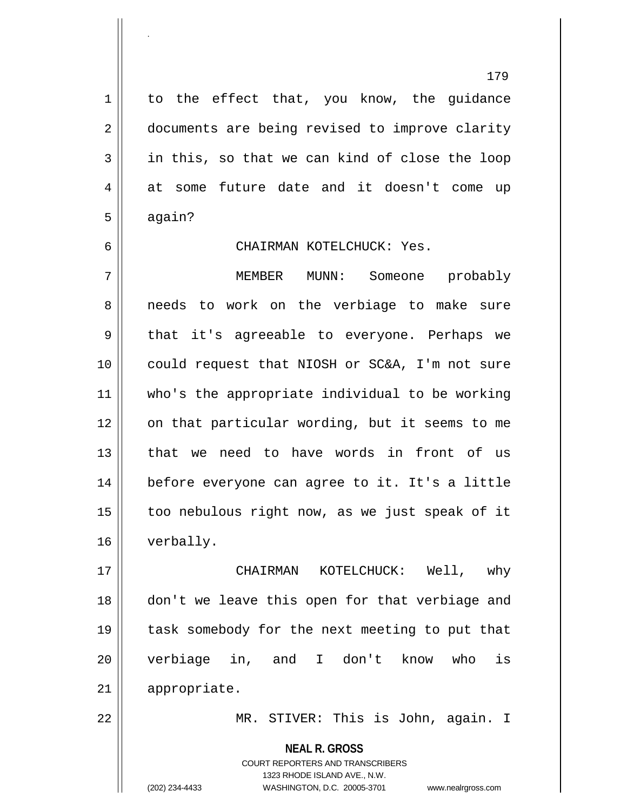$1 \parallel$  to the effect that, you know, the quidance 2 documents are being revised to improve clarity 3 in this, so that we can kind of close the loop 4 at some future date and it doesn't come up  $5 \parallel$  again?

### 6 CHAIRMAN KOTELCHUCK: Yes.

7 MEMBER MUNN: Someone probably 8 || needs to work on the verbiage to make sure 9 || that it's agreeable to everyone. Perhaps we 10 could request that NIOSH or SC&A, I'm not sure 11 who's the appropriate individual to be working 12 || on that particular wording, but it seems to me 13 that we need to have words in front of us 14 before everyone can agree to it. It's a little  $15$  | too nebulous right now, as we just speak of it 16 verbally.

17 CHAIRMAN KOTELCHUCK: Well, why 18 || don't we leave this open for that verbiage and 19 || task somebody for the next meeting to put that 20 verbiage in, and I don't know who is 21 appropriate.

22 MR. STIVER: This is John, again. I

**NEAL R. GROSS** COURT REPORTERS AND TRANSCRIBERS 1323 RHODE ISLAND AVE., N.W.

.

(202) 234-4433 WASHINGTON, D.C. 20005-3701 www.nealrgross.com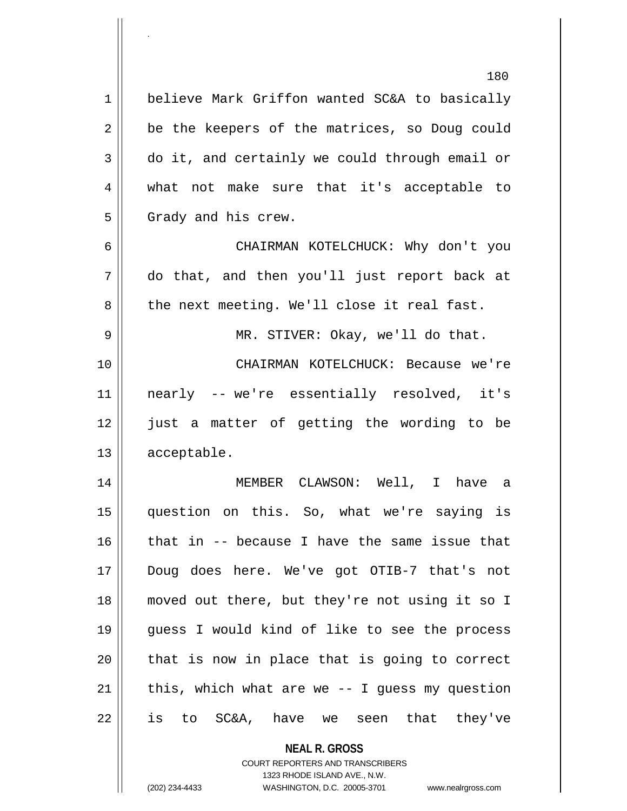|             | 180                                               |
|-------------|---------------------------------------------------|
| $\mathbf 1$ | believe Mark Griffon wanted SC&A to basically     |
| 2           | be the keepers of the matrices, so Doug could     |
| 3           | do it, and certainly we could through email or    |
| 4           | what not make sure that it's acceptable to        |
| 5           | Grady and his crew.                               |
| 6           | CHAIRMAN KOTELCHUCK: Why don't you                |
| 7           | do that, and then you'll just report back at      |
| 8           | the next meeting. We'll close it real fast.       |
| 9           | MR. STIVER: Okay, we'll do that.                  |
| 10          | CHAIRMAN KOTELCHUCK: Because we're                |
| 11          | nearly -- we're essentially resolved, it's        |
| 12          | just a matter of getting the wording to be        |
| 13          | acceptable.                                       |
| 14          | MEMBER CLAWSON: Well, I have a                    |
| 15          | question on this. So, what we're saying is        |
| 16          | that in -- because I have the same issue that     |
| 17          | Doug does here. We've got OTIB-7 that's not       |
| 18          | moved out there, but they're not using it so I    |
| 19          | guess I would kind of like to see the process     |
| 20          | that is now in place that is going to correct     |
| 21          | this, which what are we $-$ - I guess my question |
| 22          | is to SC&A, have we seen that they've             |
|             | <b>NEAL R. GROSS</b>                              |

COURT REPORTERS AND TRANSCRIBERS 1323 RHODE ISLAND AVE., N.W.

 $\prod$ 

.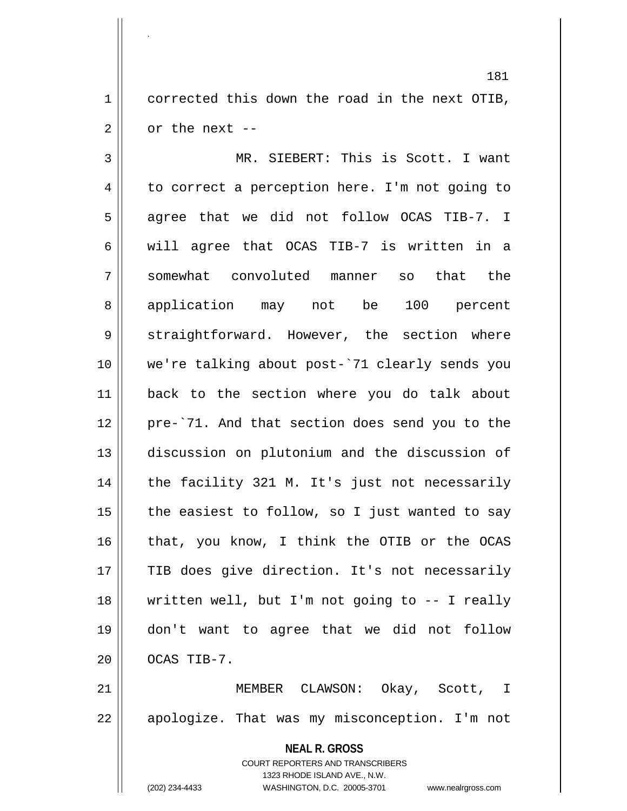$1 \parallel$  corrected this down the road in the next OTIB,  $2 \parallel$  or the next --

.

3 || MR. SIEBERT: This is Scott. I want  $4 \parallel$  to correct a perception here. I'm not going to 5 agree that we did not follow OCAS TIB-7. I 6 Weill agree that OCAS TIB-7 is written in a 7 somewhat convoluted manner so that the 8 application may not be 100 percent 9 Straightforward. However, the section where 10 we're talking about post-`71 clearly sends you 11 back to the section where you do talk about 12 pre-`71. And that section does send you to the 13 discussion on plutonium and the discussion of 14 || the facility 321 M. It's just not necessarily 15  $\parallel$  the easiest to follow, so I just wanted to say 16 || that, you know, I think the OTIB or the OCAS 17 || TIB does give direction. It's not necessarily 18 written well, but I'm not going to -- I really 19 don't want to agree that we did not follow  $20$  |  $OCAS$  TIB-7.

21 || MEMBER CLAWSON: Okay, Scott, I 22 || apologize. That was my misconception. I'm not

> **NEAL R. GROSS** COURT REPORTERS AND TRANSCRIBERS 1323 RHODE ISLAND AVE., N.W.

(202) 234-4433 WASHINGTON, D.C. 20005-3701 www.nealrgross.com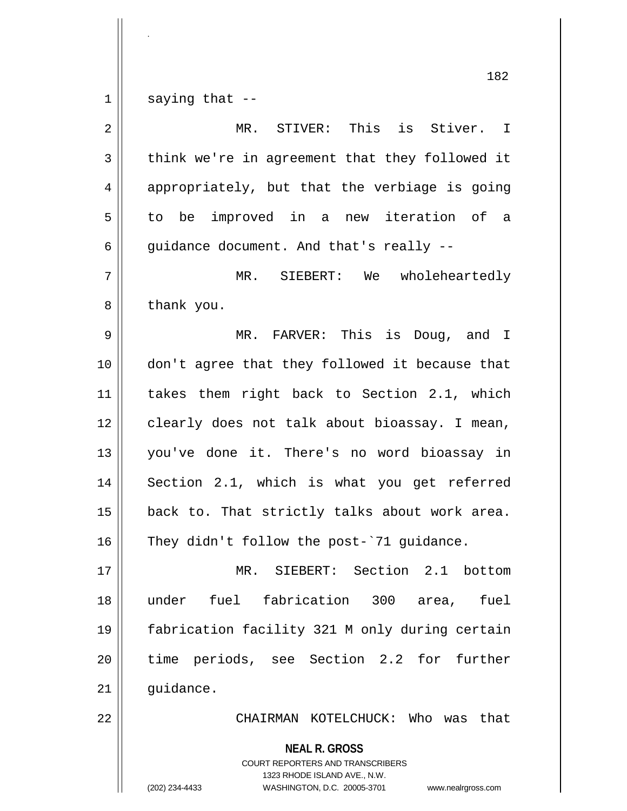$1 \parallel$  saying that --

.

| $\overline{2}$ | MR. STIVER: This is Stiver. I                                                                                                                                          |
|----------------|------------------------------------------------------------------------------------------------------------------------------------------------------------------------|
| $\mathfrak{Z}$ | think we're in agreement that they followed it                                                                                                                         |
| $\overline{4}$ | appropriately, but that the verbiage is going                                                                                                                          |
| 5              | to be improved in a new iteration of a                                                                                                                                 |
| 6              | guidance document. And that's really --                                                                                                                                |
| 7              | wholeheartedly<br>MR. SIEBERT: We                                                                                                                                      |
| 8              | thank you.                                                                                                                                                             |
| 9              | FARVER: This is Doug, and I<br>$MR$ .                                                                                                                                  |
| 10             | don't agree that they followed it because that                                                                                                                         |
| 11             | takes them right back to Section 2.1, which                                                                                                                            |
| $12$           | clearly does not talk about bioassay. I mean,                                                                                                                          |
| 13             | you've done it. There's no word bioassay in                                                                                                                            |
| 14             | Section 2.1, which is what you get referred                                                                                                                            |
| 15             | back to. That strictly talks about work area.                                                                                                                          |
| 16             | They didn't follow the post-'71 guidance.                                                                                                                              |
| 17             | MR. SIEBERT: Section 2.1 bottom                                                                                                                                        |
| 18             | fuel fabrication 300<br>under<br>fuel<br>area,                                                                                                                         |
| 19             | fabrication facility 321 M only during certain                                                                                                                         |
| 20             | time periods, see Section 2.2 for further                                                                                                                              |
| 21             | guidance.                                                                                                                                                              |
| 22             | CHAIRMAN KOTELCHUCK: Who was<br>that                                                                                                                                   |
|                | <b>NEAL R. GROSS</b><br><b>COURT REPORTERS AND TRANSCRIBERS</b><br>1323 RHODE ISLAND AVE., N.W.<br>WASHINGTON, D.C. 20005-3701<br>(202) 234-4433<br>www.nealrgross.com |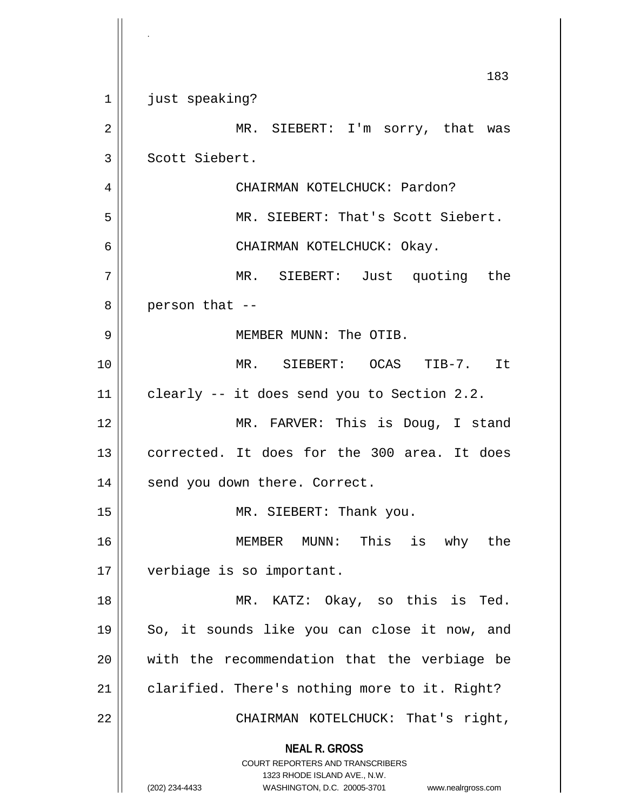|    | 183                                                                                                                                                             |
|----|-----------------------------------------------------------------------------------------------------------------------------------------------------------------|
| 1  | just speaking?                                                                                                                                                  |
| 2  | MR. SIEBERT: I'm sorry, that was                                                                                                                                |
| 3  | Scott Siebert.                                                                                                                                                  |
| 4  | CHAIRMAN KOTELCHUCK: Pardon?                                                                                                                                    |
| 5  | MR. SIEBERT: That's Scott Siebert.                                                                                                                              |
| 6  | CHAIRMAN KOTELCHUCK: Okay.                                                                                                                                      |
| 7  | MR. SIEBERT: Just quoting the                                                                                                                                   |
| 8  | person that --                                                                                                                                                  |
| 9  | MEMBER MUNN: The OTIB.                                                                                                                                          |
| 10 | MR. SIEBERT: OCAS TIB-7. It                                                                                                                                     |
| 11 | clearly -- it does send you to Section 2.2.                                                                                                                     |
| 12 | MR. FARVER: This is Doug, I stand                                                                                                                               |
| 13 | corrected. It does for the 300 area. It does                                                                                                                    |
| 14 | send you down there. Correct.                                                                                                                                   |
| 15 | MR. SIEBERT: Thank you.                                                                                                                                         |
| 16 | MEMBER MUNN: This<br>is why the                                                                                                                                 |
| 17 | verbiage is so important.                                                                                                                                       |
| 18 | MR. KATZ: Okay, so this is Ted.                                                                                                                                 |
| 19 | So, it sounds like you can close it now, and                                                                                                                    |
| 20 | with the recommendation that the verbiage be                                                                                                                    |
| 21 | clarified. There's nothing more to it. Right?                                                                                                                   |
| 22 | CHAIRMAN KOTELCHUCK: That's right,                                                                                                                              |
|    | <b>NEAL R. GROSS</b><br>COURT REPORTERS AND TRANSCRIBERS<br>1323 RHODE ISLAND AVE., N.W.<br>(202) 234-4433<br>WASHINGTON, D.C. 20005-3701<br>www.nealrgross.com |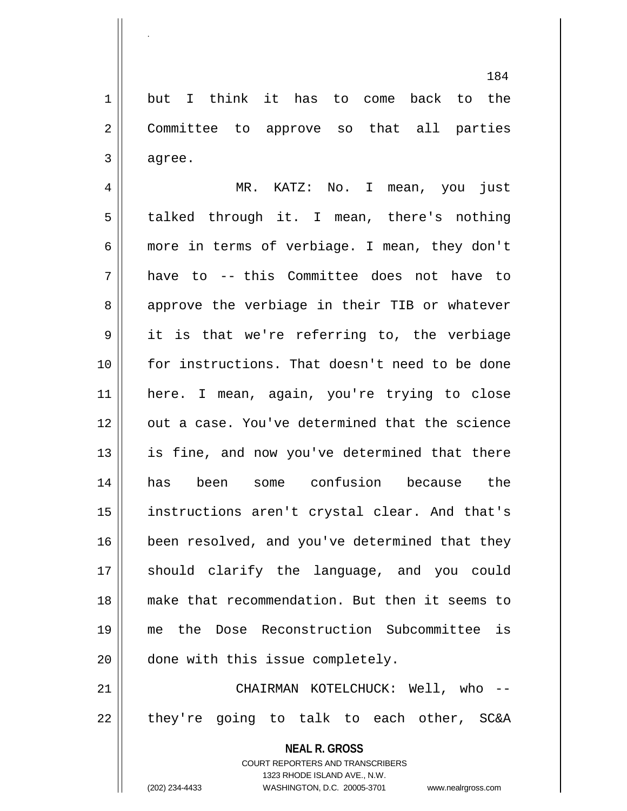1 but I think it has to come back to the 2 || Committee to approve so that all parties  $3 \parallel$  agree.

 MR. KATZ: No. I mean, you just 5 | talked through it. I mean, there's nothing more in terms of verbiage. I mean, they don't have to -- this Committee does not have to 8 approve the verbiage in their TIB or whatever it is that we're referring to, the verbiage for instructions. That doesn't need to be done here. I mean, again, you're trying to close 12 || out a case. You've determined that the science || is fine, and now you've determined that there has been some confusion because the instructions aren't crystal clear. And that's 16 | been resolved, and you've determined that they 17 || should clarify the language, and you could make that recommendation. But then it seems to me the Dose Reconstruction Subcommittee is 20 done with this issue completely.

21 CHAIRMAN KOTELCHUCK: Well, who --  $22$  || they're going to talk to each other, SC&A

> **NEAL R. GROSS** COURT REPORTERS AND TRANSCRIBERS 1323 RHODE ISLAND AVE., N.W.

.

(202) 234-4433 WASHINGTON, D.C. 20005-3701 www.nealrgross.com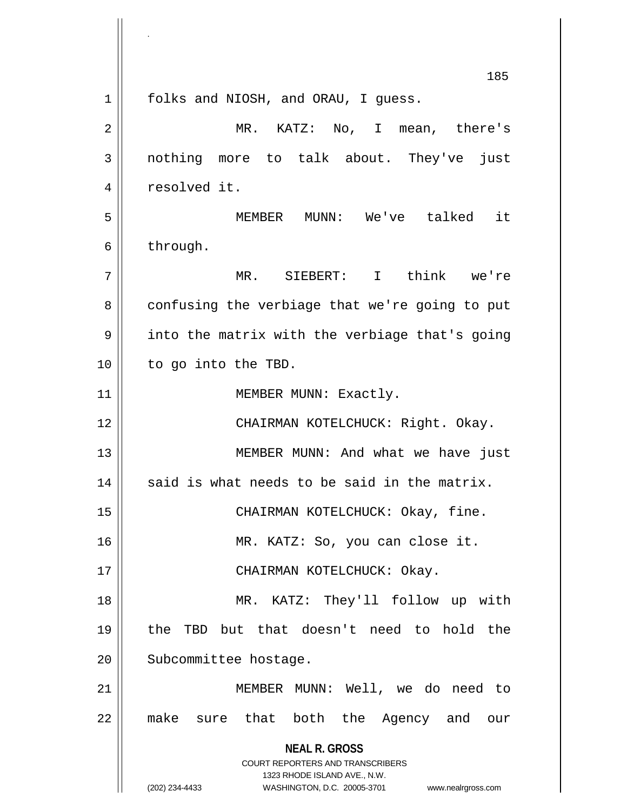**NEAL R. GROSS** COURT REPORTERS AND TRANSCRIBERS 1323 RHODE ISLAND AVE., N.W. (202) 234-4433 WASHINGTON, D.C. 20005-3701 www.nealrgross.com 185 1 || folks and NIOSH, and ORAU, I guess. 2 MR. KATZ: No, I mean, there's 3 nothing more to talk about. They've just 4 | resolved it. 5 MEMBER MUNN: We've talked it  $6 \parallel$  through. 7 MR. SIEBERT: I think we're 8 confusing the verbiage that we're going to put  $9 \parallel$  into the matrix with the verbiage that's going 10 || to go into the TBD. 11 || MEMBER MUNN: Exactly. 12 CHAIRMAN KOTELCHUCK: Right. Okay. 13 || MEMBER MUNN: And what we have just  $14$  said is what needs to be said in the matrix. 15 CHAIRMAN KOTELCHUCK: Okay, fine. 16 MR. KATZ: So, you can close it. 17 || CHAIRMAN KOTELCHUCK: Okay. 18 || MR. KATZ: They'll follow up with 19 the TBD but that doesn't need to hold the 20 | Subcommittee hostage. 21 || MEMBER MUNN: Well, we do need to 22 make sure that both the Agency and our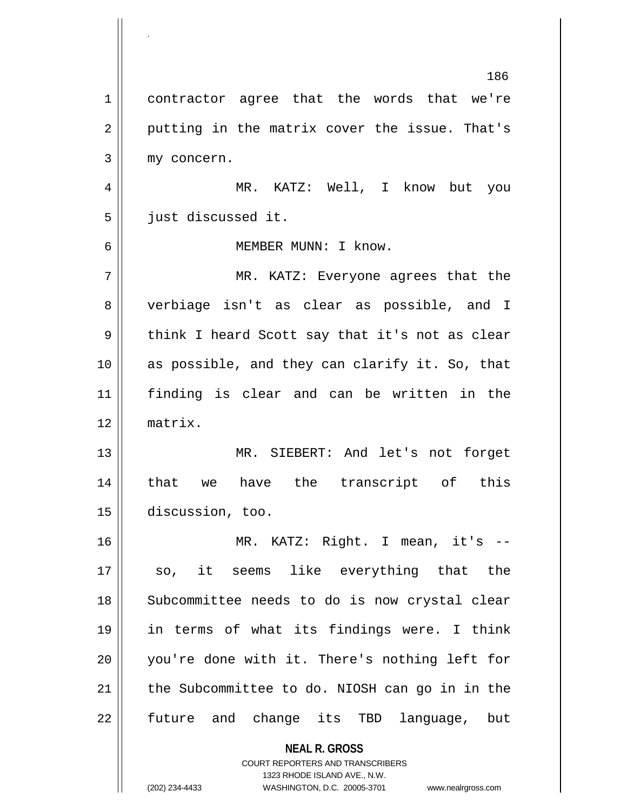**NEAL R. GROSS** COURT REPORTERS AND TRANSCRIBERS 1323 RHODE ISLAND AVE., N.W. 186 1 contractor agree that the words that we're  $2 \parallel$  putting in the matrix cover the issue. That's 3 || my concern. 4 MR. KATZ: Well, I know but you 5 | just discussed it. 6 MEMBER MUNN: I know. 7 MR. KATZ: Everyone agrees that the 8 || verbiage isn't as clear as possible, and I  $9 \parallel$  think I heard Scott say that it's not as clear 10 as possible, and they can clarify it. So, that 11 finding is clear and can be written in the 12 matrix. 13 || MR. SIEBERT: And let's not forget 14 that we have the transcript of this 15 discussion, too. 16 MR. KATZ: Right. I mean, it's -- 17 || so, it seems like everything that the 18 || Subcommittee needs to do is now crystal clear 19 in terms of what its findings were. I think 20 || you're done with it. There's nothing left for 21 || the Subcommittee to do. NIOSH can go in in the 22 || future and change its TBD language, but

.

(202) 234-4433 WASHINGTON, D.C. 20005-3701 www.nealrgross.com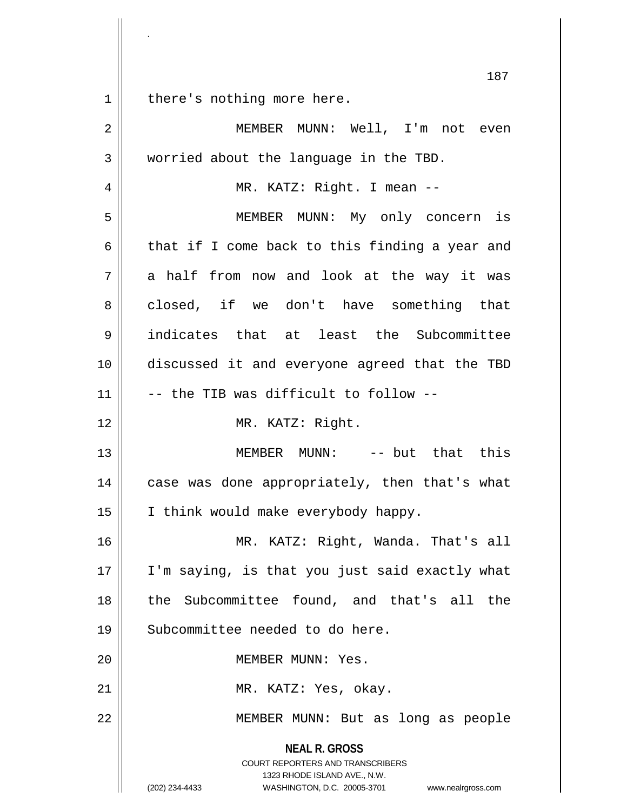**NEAL R. GROSS** COURT REPORTERS AND TRANSCRIBERS 1323 RHODE ISLAND AVE., N.W. (202) 234-4433 WASHINGTON, D.C. 20005-3701 www.nealrgross.com 187 1 || there's nothing more here. 2 MEMBER MUNN: Well, I'm not even 3 | worried about the language in the TBD. 4 MR. KATZ: Right. I mean -- 5 MEMBER MUNN: My only concern is 6 | that if I come back to this finding a year and  $7 \parallel$  a half from now and look at the way it was 8 closed, if we don't have something that 9 || indicates that at least the Subcommittee 10 discussed it and everyone agreed that the TBD  $11$   $\parallel$  -- the TIB was difficult to follow --12 || MR. KATZ: Right. 13 MEMBER MUNN: -- but that this 14 || case was done appropriately, then that's what 15 || I think would make everybody happy. 16 MR. KATZ: Right, Wanda. That's all 17 I'm saying, is that you just said exactly what 18 the Subcommittee found, and that's all the 19 || Subcommittee needed to do here. 20 MEMBER MUNN: Yes. 21 || MR. KATZ: Yes, okay. 22 MEMBER MUNN: But as long as people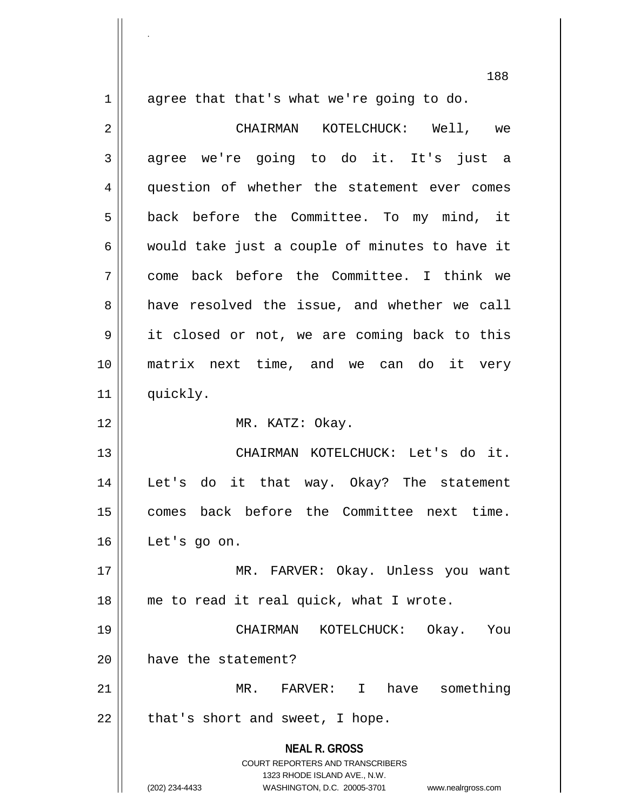1 agree that that's what we're going to do.

.

**NEAL R. GROSS** COURT REPORTERS AND TRANSCRIBERS 1323 RHODE ISLAND AVE., N.W. (202) 234-4433 WASHINGTON, D.C. 20005-3701 www.nealrgross.com 2 CHAIRMAN KOTELCHUCK: Well, we  $3 \parallel$  agree we're going to do it. It's just a 4 question of whether the statement ever comes 5 || back before the Committee. To my mind, it 6  $\parallel$  would take just a couple of minutes to have it 7 come back before the Committee. I think we 8 a have resolved the issue, and whether we call 9 || it closed or not, we are coming back to this 10 matrix next time, and we can do it very 11 || quickly. 12 || MR. KATZ: Okay. 13 CHAIRMAN KOTELCHUCK: Let's do it. 14 Let's do it that way. Okay? The statement 15 comes back before the Committee next time. 16 Let's go on. 17 MR. FARVER: Okay. Unless you want 18 || me to read it real quick, what I wrote. 19 CHAIRMAN KOTELCHUCK: Okay. You 20 | have the statement? 21 MR. FARVER: I have something  $22$  | that's short and sweet, I hope.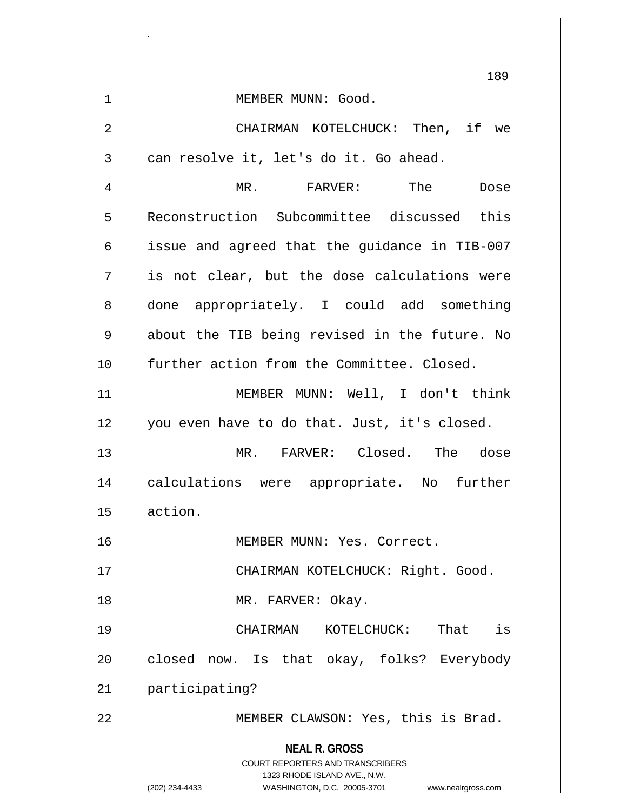**NEAL R. GROSS** COURT REPORTERS AND TRANSCRIBERS 1323 RHODE ISLAND AVE., N.W. (202) 234-4433 WASHINGTON, D.C. 20005-3701 www.nealrgross.com 189 1 || MEMBER MUNN: Good. 2 CHAIRMAN KOTELCHUCK: Then, if we  $3 \parallel$  can resolve it, let's do it. Go ahead. 4 MR. FARVER: The Dose 5 Reconstruction Subcommittee discussed this  $6 \parallel$  issue and agreed that the guidance in TIB-007  $7 \parallel$  is not clear, but the dose calculations were 8 done appropriately. I could add something  $9 \parallel$  about the TIB being revised in the future. No 10 further action from the Committee. Closed. 11 || MEMBER MUNN: Well, I don't think 12 you even have to do that. Just, it's closed. 13 MR. FARVER: Closed. The dose 14 calculations were appropriate. No further 15 action. 16 MEMBER MUNN: Yes. Correct. 17 || CHAIRMAN KOTELCHUCK: Right. Good. 18 MR. FARVER: Okay. 19 CHAIRMAN KOTELCHUCK: That is 20 closed now. Is that okay, folks? Everybody 21 | participating? 22 || MEMBER CLAWSON: Yes, this is Brad.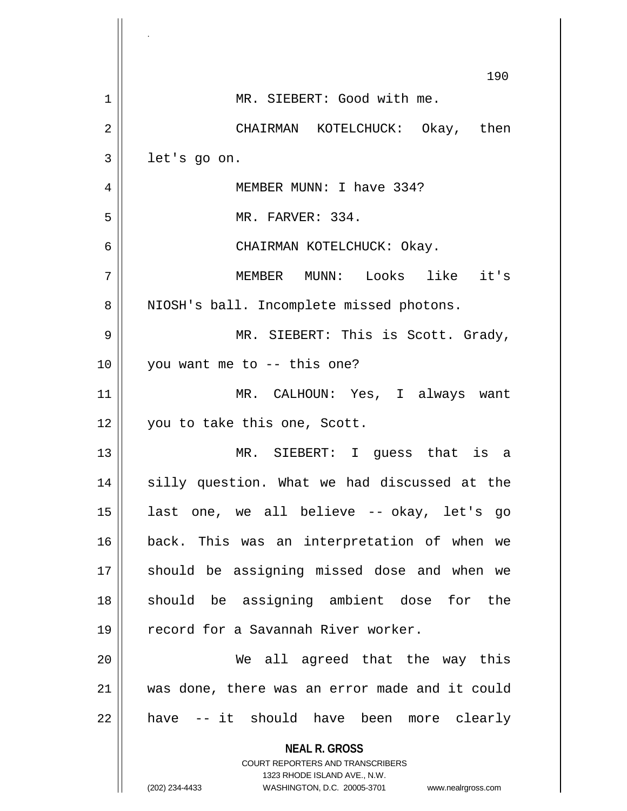|    | 190                                                                                                                                                             |
|----|-----------------------------------------------------------------------------------------------------------------------------------------------------------------|
| 1  | MR. SIEBERT: Good with me.                                                                                                                                      |
| 2  | CHAIRMAN KOTELCHUCK: Okay, then                                                                                                                                 |
| 3  | let's go on.                                                                                                                                                    |
| 4  | MEMBER MUNN: I have 334?                                                                                                                                        |
| 5  | MR. FARVER: 334.                                                                                                                                                |
| 6  | CHAIRMAN KOTELCHUCK: Okay.                                                                                                                                      |
| 7  | MEMBER MUNN: Looks like it's                                                                                                                                    |
| 8  | NIOSH's ball. Incomplete missed photons.                                                                                                                        |
| 9  | MR. SIEBERT: This is Scott. Grady,                                                                                                                              |
| 10 | you want me to -- this one?                                                                                                                                     |
| 11 | MR. CALHOUN: Yes, I always want                                                                                                                                 |
| 12 | you to take this one, Scott.                                                                                                                                    |
| 13 | MR. SIEBERT: I guess that is a                                                                                                                                  |
| 14 | silly question. What we had discussed at the                                                                                                                    |
| 15 | last one, we all believe -- okay, let's go                                                                                                                      |
| 16 | back. This was an interpretation of when we                                                                                                                     |
| 17 | should be assigning missed dose and when we                                                                                                                     |
| 18 | should be assigning ambient dose for the                                                                                                                        |
| 19 | record for a Savannah River worker.                                                                                                                             |
| 20 | We all agreed that the way this                                                                                                                                 |
| 21 | was done, there was an error made and it could                                                                                                                  |
| 22 | have -- it should have been more clearly                                                                                                                        |
|    | <b>NEAL R. GROSS</b><br>COURT REPORTERS AND TRANSCRIBERS<br>1323 RHODE ISLAND AVE., N.W.<br>(202) 234-4433<br>WASHINGTON, D.C. 20005-3701<br>www.nealrgross.com |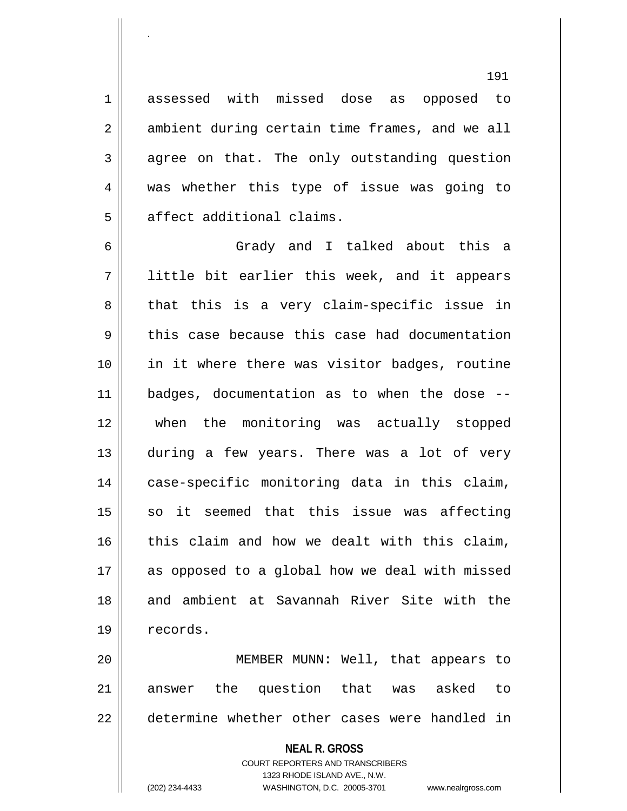1 assessed with missed dose as opposed to  $2 \parallel$  ambient during certain time frames, and we all  $3 \parallel$  agree on that. The only outstanding question 4 was whether this type of issue was going to 5 || affect additional claims.

.

6 Grady and I talked about this a 7 little bit earlier this week, and it appears  $8 \parallel$  that this is a very claim-specific issue in  $9 \parallel$  this case because this case had documentation 10 in it where there was visitor badges, routine 11 badges, documentation as to when the dose -- 12 when the monitoring was actually stopped 13 during a few years. There was a lot of very 14 || case-specific monitoring data in this claim,  $15$  so it seemed that this issue was affecting  $16$  this claim and how we dealt with this claim, 17 as opposed to a global how we deal with missed 18 and ambient at Savannah River Site with the 19 | records.

20 MEMBER MUNN: Well, that appears to 21 answer the question that was asked to 22 determine whether other cases were handled in

## **NEAL R. GROSS** COURT REPORTERS AND TRANSCRIBERS 1323 RHODE ISLAND AVE., N.W. (202) 234-4433 WASHINGTON, D.C. 20005-3701 www.nealrgross.com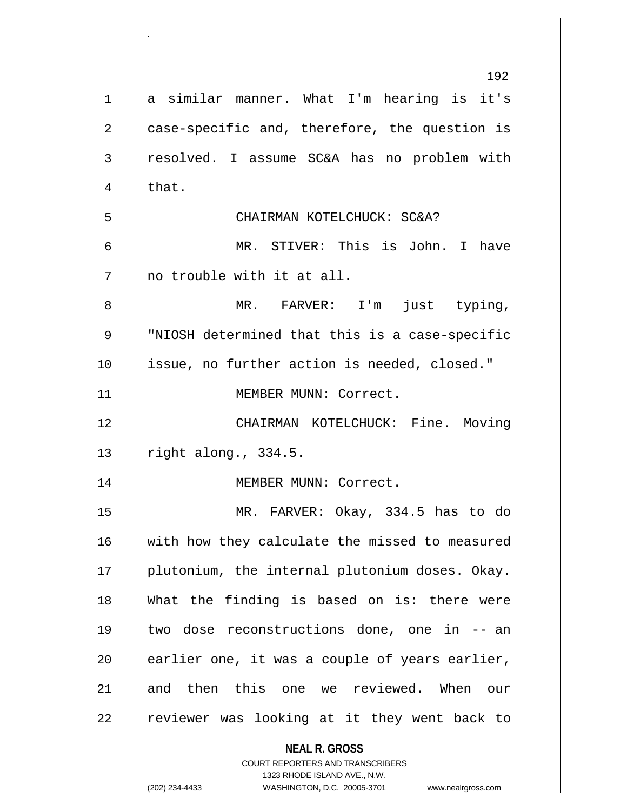|             | 192                                                                 |
|-------------|---------------------------------------------------------------------|
| $\mathbf 1$ | a similar manner. What I'm hearing is it's                          |
| 2           | case-specific and, therefore, the question is                       |
| 3           | resolved. I assume SC&A has no problem with                         |
| 4           | that.                                                               |
| 5           | CHAIRMAN KOTELCHUCK: SC&A?                                          |
| 6           | MR. STIVER: This is John. I have                                    |
| 7           | no trouble with it at all.                                          |
| 8           | MR. FARVER: I'm just typing,                                        |
| 9           | "NIOSH determined that this is a case-specific                      |
| 10          | issue, no further action is needed, closed."                        |
| 11          | MEMBER MUNN: Correct.                                               |
| 12          | CHAIRMAN KOTELCHUCK: Fine. Moving                                   |
| 13          | right along., 334.5.                                                |
| 14          | MEMBER MUNN: Correct.                                               |
| 15          | MR. FARVER: Okay, 334.5 has to do                                   |
| 16          | with how they calculate the missed to measured                      |
| 17          | plutonium, the internal plutonium doses. Okay.                      |
| 18          | What the finding is based on is: there were                         |
| 19          | two dose reconstructions done, one in -- an                         |
| 20          | earlier one, it was a couple of years earlier,                      |
| 21          | and then this one we reviewed. When<br>our                          |
| 22          | reviewer was looking at it they went back to                        |
|             | <b>NEAL R. GROSS</b><br>COURT REPORTERS AND TRANSCRIBERS            |
|             | 1323 RHODE ISLAND AVE., N.W.                                        |
|             | (202) 234-4433<br>WASHINGTON, D.C. 20005-3701<br>www.nealrgross.com |

.

 $\parallel$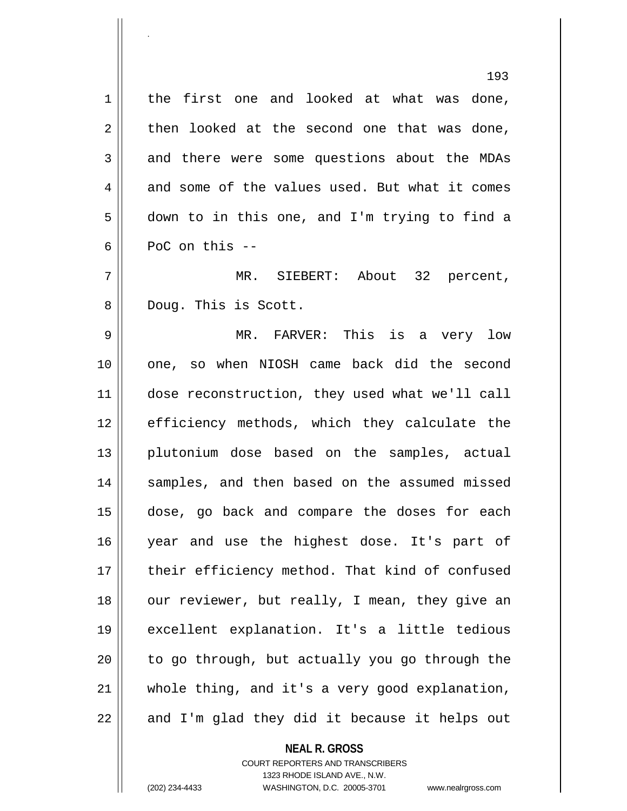1 || the first one and looked at what was done,  $2 \parallel$  then looked at the second one that was done, 3 and there were some questions about the MDAs  $4 \parallel$  and some of the values used. But what it comes 5 down to in this one, and I'm trying to find a  $6 \parallel$  PoC on this  $-$ 7 MR. SIEBERT: About 32 percent, 8 Doug. This is Scott. 9 MR. FARVER: This is a very low 10 one, so when NIOSH came back did the second 11 dose reconstruction, they used what we'll call 12 || efficiency methods, which they calculate the 13 plutonium dose based on the samples, actual 14 || samples, and then based on the assumed missed 15 dose, go back and compare the doses for each 16 year and use the highest dose. It's part of 17 || their efficiency method. That kind of confused 18 || our reviewer, but really, I mean, they give an 19 excellent explanation. It's a little tedious  $20$  | to go through, but actually you go through the  $21$  whole thing, and it's a very good explanation,  $22$  || and I'm glad they did it because it helps out

> **NEAL R. GROSS** COURT REPORTERS AND TRANSCRIBERS

.

1323 RHODE ISLAND AVE., N.W.

(202) 234-4433 WASHINGTON, D.C. 20005-3701 www.nealrgross.com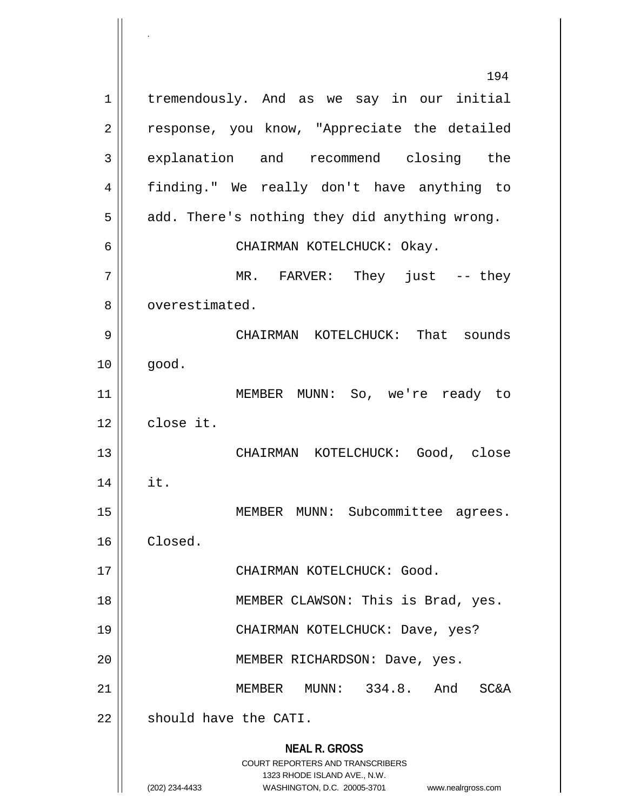**NEAL R. GROSS** COURT REPORTERS AND TRANSCRIBERS 1323 RHODE ISLAND AVE., N.W. (202) 234-4433 WASHINGTON, D.C. 20005-3701 www.nealrgross.com 194 1 | tremendously. And as we say in our initial 2 || response, you know, "Appreciate the detailed 3 explanation and recommend closing the 4 finding." We really don't have anything to  $5 \parallel$  add. There's nothing they did anything wrong. 6 CHAIRMAN KOTELCHUCK: Okay. 7 MR. FARVER: They just -- they 8 | overestimated. 9 CHAIRMAN KOTELCHUCK: That sounds  $10 \parallel \qquad \text{qood}.$ 11 MEMBER MUNN: So, we're ready to 12 close it. 13 CHAIRMAN KOTELCHUCK: Good, close  $14 \parallel \text{it.}$ 15 || MEMBER MUNN: Subcommittee agrees. 16 Closed. 17 || CHAIRMAN KOTELCHUCK: Good. 18 MEMBER CLAWSON: This is Brad, yes. 19 CHAIRMAN KOTELCHUCK: Dave, yes? 20 | MEMBER RICHARDSON: Dave, yes. 21 MEMBER MUNN: 334.8. And SC&A 22 | should have the CATI.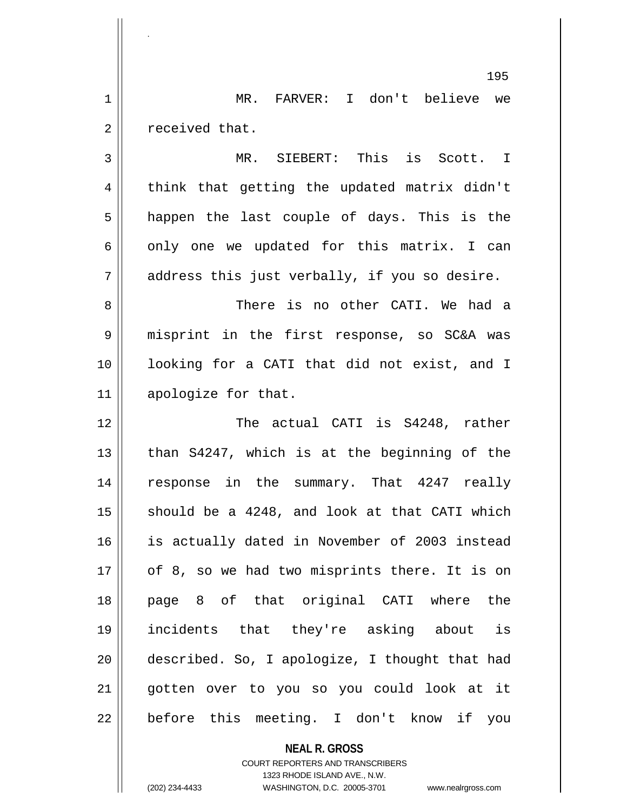1 MR. FARVER: I don't believe we  $2 \parallel$  received that.

.

3 || MR. SIEBERT: This is Scott. I  $4 \parallel$  think that getting the updated matrix didn't  $5 \parallel$  happen the last couple of days. This is the 6  $\parallel$  only one we updated for this matrix. I can  $7 \parallel$  address this just verbally, if you so desire.

8 There is no other CATI. We had a 9 | misprint in the first response, so SC&A was 10 looking for a CATI that did not exist, and I 11 apologize for that.

 The actual CATI is S4248, rather  $\parallel$  than S4247, which is at the beginning of the 14 || response in the summary. That 4247 really  $\parallel$  should be a 4248, and look at that CATI which is actually dated in November of 2003 instead | of 8, so we had two misprints there. It is on page 8 of that original CATI where the incidents that they're asking about is described. So, I apologize, I thought that had 21 || gotten over to you so you could look at it  $22 \parallel$  before this meeting. I don't know if you

> **NEAL R. GROSS** COURT REPORTERS AND TRANSCRIBERS 1323 RHODE ISLAND AVE., N.W. (202) 234-4433 WASHINGTON, D.C. 20005-3701 www.nealrgross.com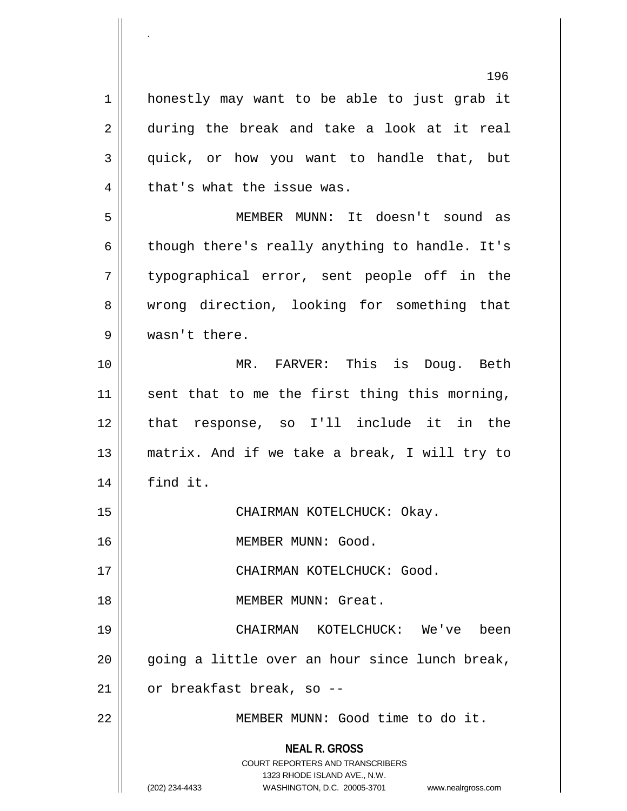**NEAL R. GROSS** COURT REPORTERS AND TRANSCRIBERS 1323 RHODE ISLAND AVE., N.W. (202) 234-4433 WASHINGTON, D.C. 20005-3701 www.nealrgross.com 1 || honestly may want to be able to just grab it 2 || during the break and take a look at it real 3 || quick, or how you want to handle that, but  $4 \parallel$  that's what the issue was. 5 MEMBER MUNN: It doesn't sound as  $6 \parallel$  though there's really anything to handle. It's 7 typographical error, sent people off in the 8 wrong direction, looking for something that 9 wasn't there. 10 MR. FARVER: This is Doug. Beth 11  $\parallel$  sent that to me the first thing this morning, 12 that response, so I'll include it in the 13 matrix. And if we take a break, I will try to 14 find it. 15 CHAIRMAN KOTELCHUCK: Okay. 16 | MEMBER MUNN: Good. 17 CHAIRMAN KOTELCHUCK: Good. 18 MEMBER MUNN: Great. 19 CHAIRMAN KOTELCHUCK: We've been  $20$  || going a little over an hour since lunch break,  $21$  | or breakfast break, so --22 MEMBER MUNN: Good time to do it.

.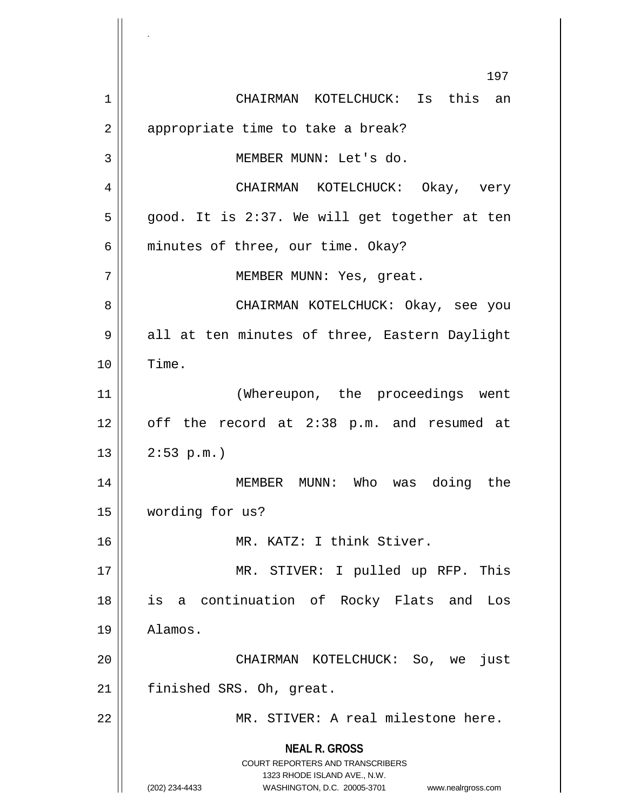**NEAL R. GROSS** COURT REPORTERS AND TRANSCRIBERS 1323 RHODE ISLAND AVE., N.W. (202) 234-4433 WASHINGTON, D.C. 20005-3701 www.nealrgross.com 197 1 CHAIRMAN KOTELCHUCK: Is this an 2 | appropriate time to take a break? 3 || MEMBER MUNN: Let's do. 4 CHAIRMAN KOTELCHUCK: Okay, very  $5 \parallel$  good. It is 2:37. We will get together at ten  $6 \parallel$  minutes of three, our time. Okay? 7 || MEMBER MUNN: Yes, great. 8 CHAIRMAN KOTELCHUCK: Okay, see you 9 all at ten minutes of three, Eastern Daylight 10 Time. 11 || (Whereupon, the proceedings went 12 || off the record at 2:38 p.m. and resumed at  $13$  |  $2:53$  p.m.) 14 MEMBER MUNN: Who was doing the 15 wording for us? 16 MR. KATZ: I think Stiver. 17 || MR. STIVER: I pulled up RFP. This 18 is a continuation of Rocky Flats and Los 19 Alamos. 20 CHAIRMAN KOTELCHUCK: So, we just 21 finished SRS. Oh, great. 22 || MR. STIVER: A real milestone here.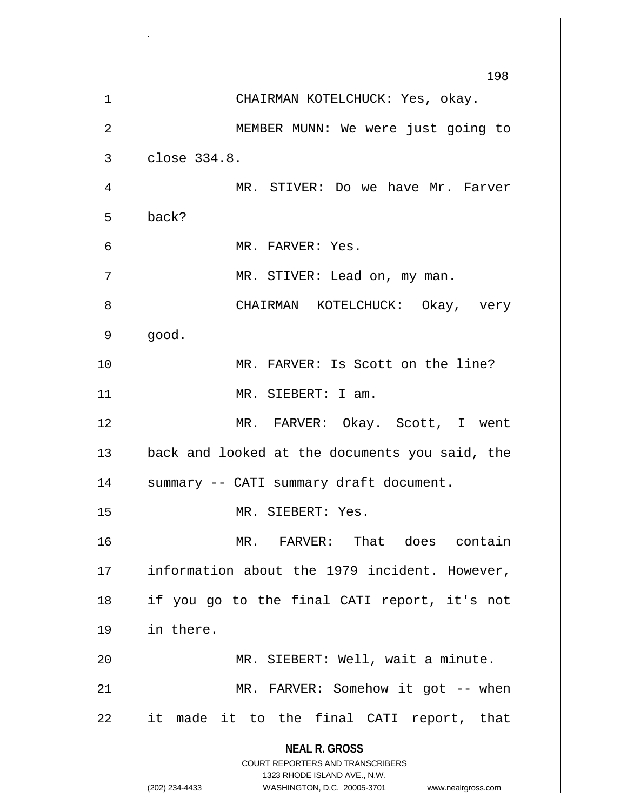**NEAL R. GROSS** COURT REPORTERS AND TRANSCRIBERS 1323 RHODE ISLAND AVE., N.W. (202) 234-4433 WASHINGTON, D.C. 20005-3701 www.nealrgross.com 198 1 CHAIRMAN KOTELCHUCK: Yes, okay. 2 || MEMBER MUNN: We were just going to  $3 \parallel$  close  $334.8$ . 4 MR. STIVER: Do we have Mr. Farver 5 back? 6 MR. FARVER: Yes. 7 MR. STIVER: Lead on, my man. 8 CHAIRMAN KOTELCHUCK: Okay, very  $9 \parallel$  good. 10 MR. FARVER: Is Scott on the line? 11 || MR. SIEBERT: I am. 12 MR. FARVER: Okay. Scott, I went 13 || back and looked at the documents you said, the 14 || summary -- CATI summary draft document. 15 || MR. SIEBERT: Yes. 16 MR. FARVER: That does contain 17 || information about the 1979 incident. However, 18 if you go to the final CATI report, it's not 19 in there. 20 || MR. SIEBERT: Well, wait a minute. 21 || MR. FARVER: Somehow it got -- when 22 it made it to the final CATI report, that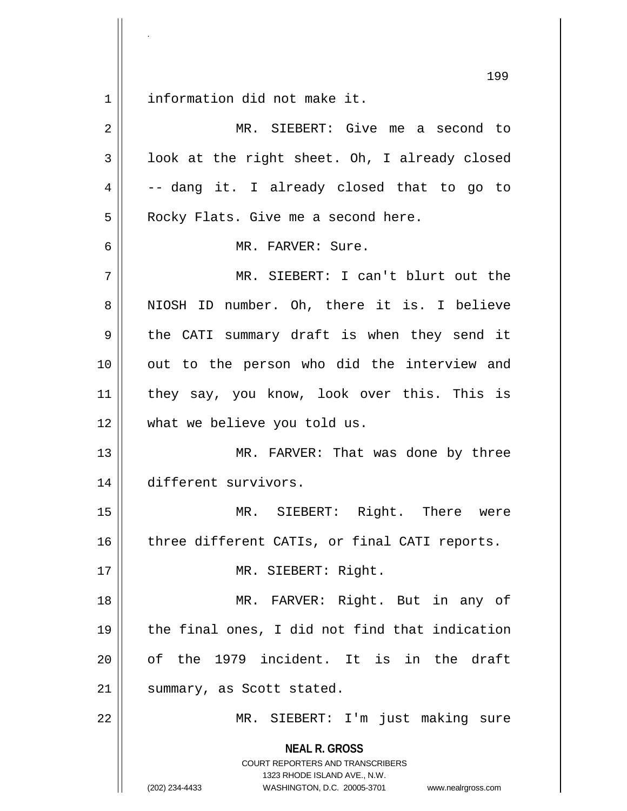information did not make it.

.

| $\overline{2}$ | MR. SIEBERT: Give me a second to                                                                                                                                       |
|----------------|------------------------------------------------------------------------------------------------------------------------------------------------------------------------|
| 3              | look at the right sheet. Oh, I already closed                                                                                                                          |
| 4              | -- dang it. I already closed that to go to                                                                                                                             |
| 5              | Rocky Flats. Give me a second here.                                                                                                                                    |
| 6              | MR. FARVER: Sure.                                                                                                                                                      |
| 7              | MR. SIEBERT: I can't blurt out the                                                                                                                                     |
| 8              | NIOSH ID number. Oh, there it is. I believe                                                                                                                            |
| 9              | the CATI summary draft is when they send it                                                                                                                            |
| 10             | out to the person who did the interview and                                                                                                                            |
| 11             | they say, you know, look over this. This is                                                                                                                            |
| 12             | what we believe you told us.                                                                                                                                           |
| 13             | MR. FARVER: That was done by three                                                                                                                                     |
| 14             | different survivors.                                                                                                                                                   |
| 15             | MR. SIEBERT: Right. There were                                                                                                                                         |
| 16             | three different CATIs, or final CATI reports.                                                                                                                          |
| 17             | MR. SIEBERT: Right.                                                                                                                                                    |
| 18             | MR. FARVER: Right. But in any of                                                                                                                                       |
| 19             | the final ones, I did not find that indication                                                                                                                         |
| 20             | of the 1979 incident. It is in the draft                                                                                                                               |
| 21             | summary, as Scott stated.                                                                                                                                              |
| 22             | MR. SIEBERT: I'm just making sure                                                                                                                                      |
|                | <b>NEAL R. GROSS</b><br><b>COURT REPORTERS AND TRANSCRIBERS</b><br>1323 RHODE ISLAND AVE., N.W.<br>WASHINGTON, D.C. 20005-3701<br>(202) 234-4433<br>www.nealrgross.com |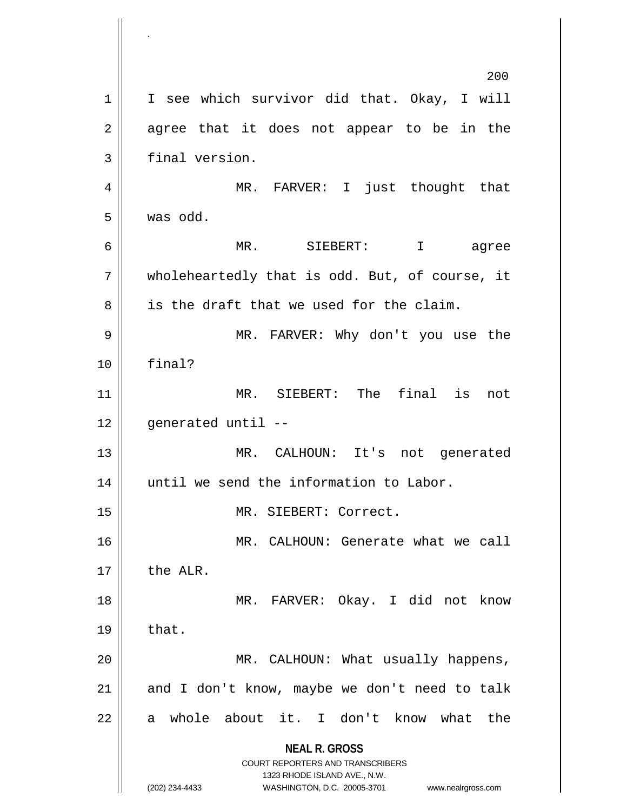**NEAL R. GROSS** COURT REPORTERS AND TRANSCRIBERS 1323 RHODE ISLAND AVE., N.W. (202) 234-4433 WASHINGTON, D.C. 20005-3701 www.nealrgross.com 200 1 | I see which survivor did that. Okay, I will  $2 \parallel$  agree that it does not appear to be in the 3 | final version. 4 MR. FARVER: I just thought that 5 was odd. 6 MR. SIEBERT: I agree  $7 \parallel$  wholeheartedly that is odd. But, of course, it  $8 \parallel$  is the draft that we used for the claim. 9 MR. FARVER: Why don't you use the 10 final? 11 MR. SIEBERT: The final is not  $12$  || qenerated until  $-$ 13 MR. CALHOUN: It's not generated 14 || until we send the information to Labor. 15 MR. SIEBERT: Correct. 16 MR. CALHOUN: Generate what we call  $17 \parallel$  the ALR. 18 MR. FARVER: Okay. I did not know  $19 \parallel$  that. 20 || MR. CALHOUN: What usually happens,  $21$  and I don't know, maybe we don't need to talk  $22$  a whole about it. I don't know what the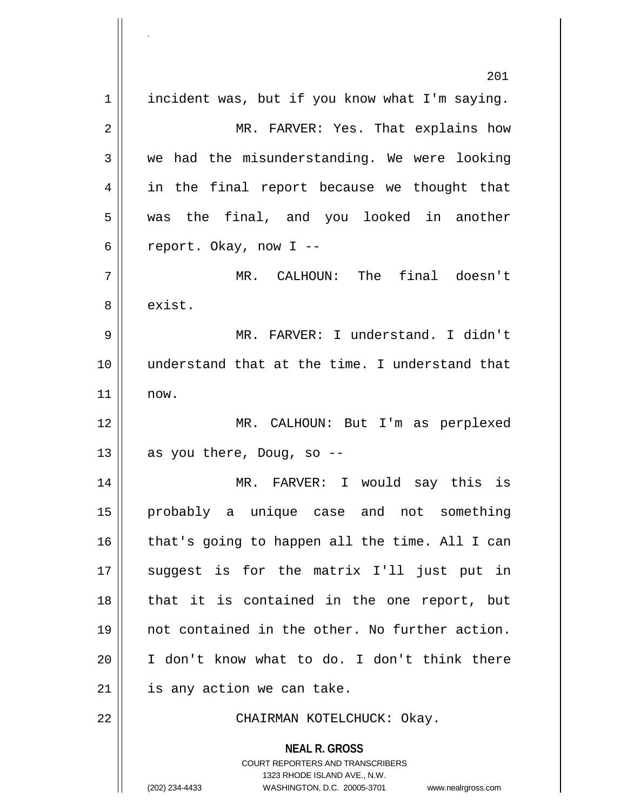**NEAL R. GROSS** COURT REPORTERS AND TRANSCRIBERS 1323 RHODE ISLAND AVE., N.W. (202) 234-4433 WASHINGTON, D.C. 20005-3701 www.nealrgross.com 201  $1 \parallel$  incident was, but if you know what I'm saying. 2 MR. FARVER: Yes. That explains how  $3 \parallel$  we had the misunderstanding. We were looking 4 || in the final report because we thought that 5 || was the final, and you looked in another 6 | report. Okay, now  $I$  --7 MR. CALHOUN: The final doesn't 8 l exist. 9 || MR. FARVER: I understand. I didn't 10 understand that at the time. I understand that 11 now. 12 MR. CALHOUN: But I'm as perplexed 13  $\parallel$  as you there, Doug, so --14 MR. FARVER: I would say this is 15 probably a unique case and not something  $16$  | that's going to happen all the time. All I can 17 suggest is for the matrix I'll just put in 18 || that it is contained in the one report, but 19 not contained in the other. No further action.  $20$  || I don't know what to do. I don't think there  $21$  | is any action we can take. 22 || CHAIRMAN KOTELCHUCK: Okay.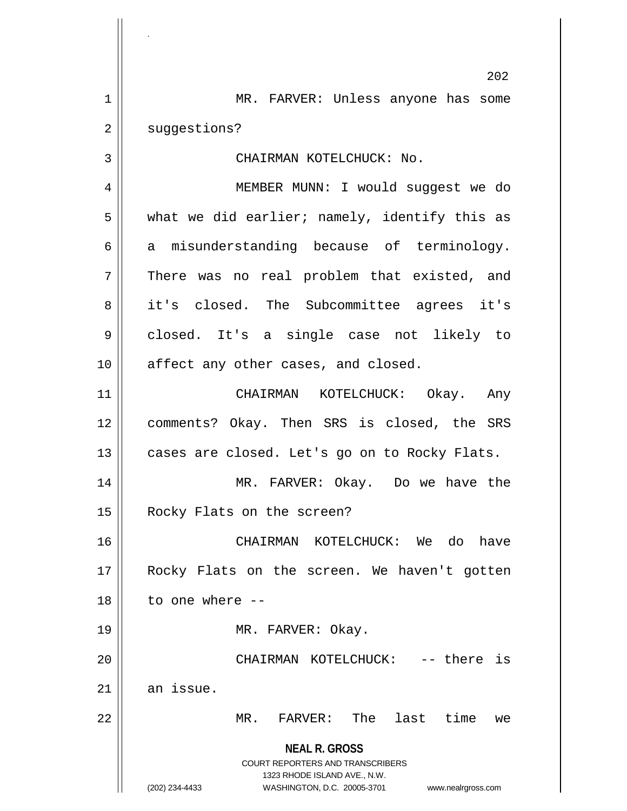**NEAL R. GROSS** COURT REPORTERS AND TRANSCRIBERS 1323 RHODE ISLAND AVE., N.W. 202 1 || MR. FARVER: Unless anyone has some 2 | suggestions? 3 | CHAIRMAN KOTELCHUCK: No. 4 || MEMBER MUNN: I would suggest we do  $5$  || what we did earlier; namely, identify this as  $6 \parallel$  a misunderstanding because of terminology.  $7$  There was no real problem that existed, and 8 || it's closed. The Subcommittee agrees it's 9 closed. It's a single case not likely to 10 || affect any other cases, and closed. 11 CHAIRMAN KOTELCHUCK: Okay. Any 12 comments? Okay. Then SRS is closed, the SRS 13 || cases are closed. Let's go on to Rocky Flats. 14 || MR. FARVER: Okay. Do we have the 15 || Rocky Flats on the screen? 16 CHAIRMAN KOTELCHUCK: We do have 17 Rocky Flats on the screen. We haven't gotten 18 to one where -- 19 || MR. FARVER: Okay. 20 CHAIRMAN KOTELCHUCK: -- there is  $21$  an issue. 22 MR. FARVER: The last time we

.

(202) 234-4433 WASHINGTON, D.C. 20005-3701 www.nealrgross.com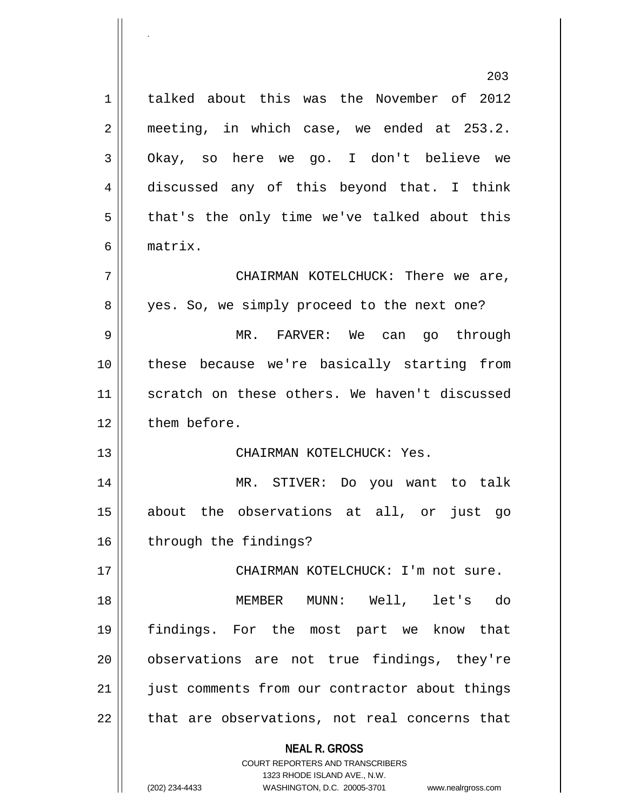**NEAL R. GROSS** COURT REPORTERS AND TRANSCRIBERS 1323 RHODE ISLAND AVE., N.W. (202) 234-4433 WASHINGTON, D.C. 20005-3701 www.nealrgross.com 203 1 | talked about this was the November of 2012 2 | meeting, in which case, we ended at 253.2. 3 Okay, so here we go. I don't believe we 4 discussed any of this beyond that. I think  $5 \parallel$  that's the only time we've talked about this 6 matrix. 7 CHAIRMAN KOTELCHUCK: There we are, 8 || yes. So, we simply proceed to the next one? 9 MR. FARVER: We can go through 10 these because we're basically starting from 11 || scratch on these others. We haven't discussed 12 | them before. 13 CHAIRMAN KOTELCHUCK: Yes. 14 MR. STIVER: Do you want to talk 15 about the observations at all, or just go 16 | through the findings? 17 || CHAIRMAN KOTELCHUCK: I'm not sure. 18 MEMBER MUNN: Well, let's do 19 findings. For the most part we know that 20 || observations are not true findings, they're 21 || just comments from our contractor about things  $22$  || that are observations, not real concerns that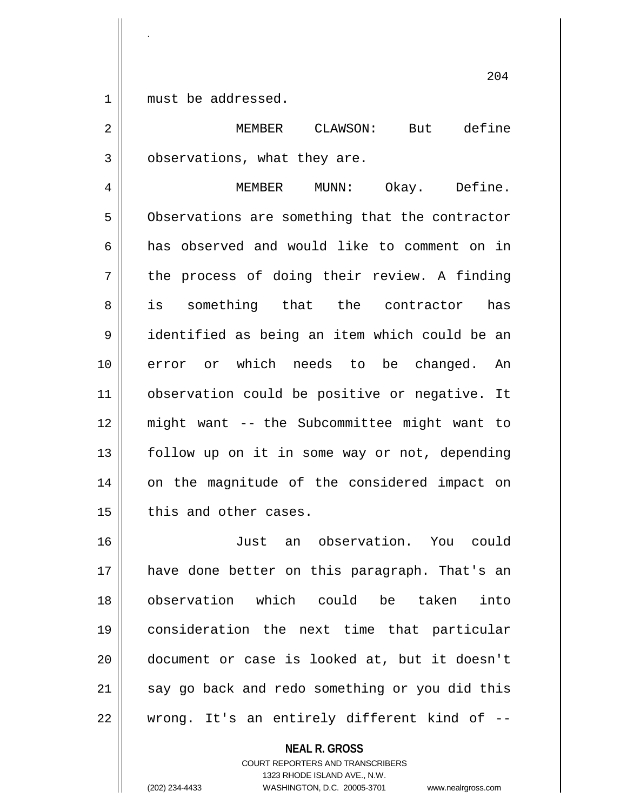1 must be addressed.

.

2 MEMBER CLAWSON: But define 3 | observations, what they are.

4 MEMBER MUNN: Okay. Define. 5 | Observations are something that the contractor 6 has observed and would like to comment on in  $7 \parallel$  the process of doing their review. A finding 8 || is something that the contractor has 9 identified as being an item which could be an 10 error or which needs to be changed. An 11 || observation could be positive or negative. It 12 might want -- the Subcommittee might want to 13 || follow up on it in some way or not, depending 14 || on the magnitude of the considered impact on  $15$  | this and other cases.

 Just an observation. You could have done better on this paragraph. That's an observation which could be taken into consideration the next time that particular document or case is looked at, but it doesn't say go back and redo something or you did this || wrong. It's an entirely different kind of  $-$ 

> **NEAL R. GROSS** COURT REPORTERS AND TRANSCRIBERS 1323 RHODE ISLAND AVE., N.W. (202) 234-4433 WASHINGTON, D.C. 20005-3701 www.nealrgross.com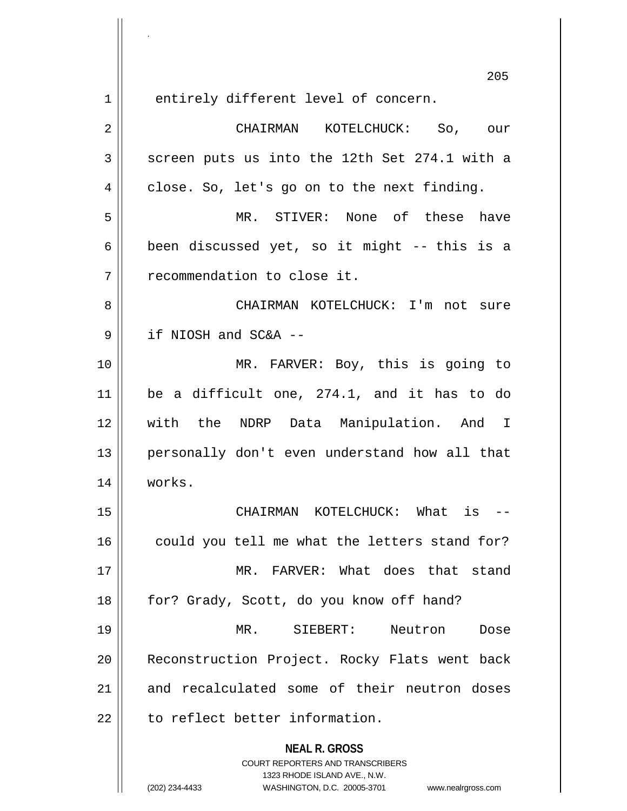.

1 || entirely different level of concern.

**NEAL R. GROSS** COURT REPORTERS AND TRANSCRIBERS 1323 RHODE ISLAND AVE., N.W. (202) 234-4433 WASHINGTON, D.C. 20005-3701 www.nealrgross.com 2 CHAIRMAN KOTELCHUCK: So, our  $3 \parallel$  screen puts us into the 12th Set 274.1 with a  $4 \parallel$  close. So, let's go on to the next finding. 5 MR. STIVER: None of these have 6 | been discussed yet, so it might -- this is a 7 | Tecommendation to close it. 8 CHAIRMAN KOTELCHUCK: I'm not sure 9 if NIOSH and SC&A -- 10 || MR. FARVER: Boy, this is going to 11 be a difficult one, 274.1, and it has to do 12 with the NDRP Data Manipulation. And I 13 personally don't even understand how all that 14 works. 15 CHAIRMAN KOTELCHUCK: What is --  $16$  could you tell me what the letters stand for? 17 MR. FARVER: What does that stand 18 | for? Grady, Scott, do you know off hand? 19 MR. SIEBERT: Neutron Dose 20 || Reconstruction Project. Rocky Flats went back 21 and recalculated some of their neutron doses  $22$   $\parallel$  to reflect better information.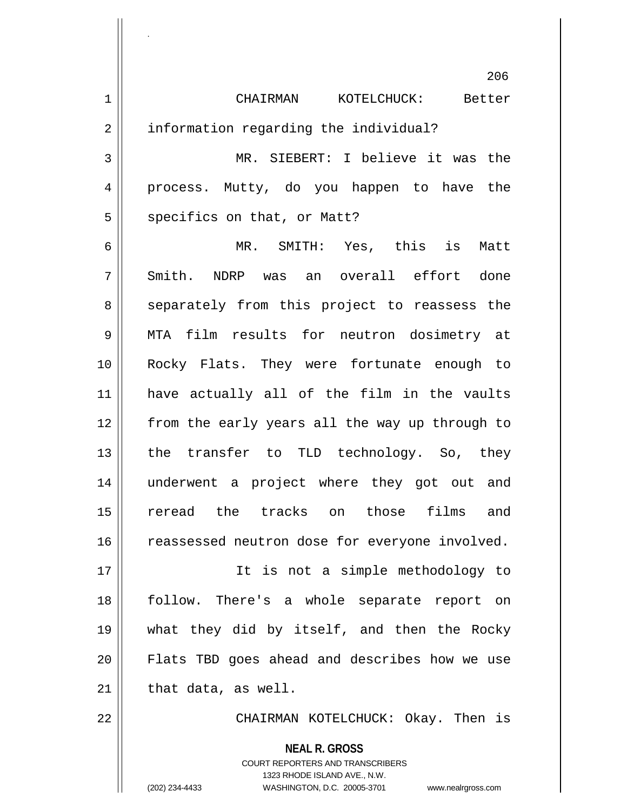|             | 206                                            |
|-------------|------------------------------------------------|
| $\mathbf 1$ | CHAIRMAN KOTELCHUCK: Better                    |
| 2           | information regarding the individual?          |
| 3           | MR. SIEBERT: I believe it was the              |
| 4           | process. Mutty, do you happen to have the      |
| 5           | specifics on that, or Matt?                    |
| 6           | MR. SMITH: Yes, this is<br>Matt                |
| 7           | Smith. NDRP was an overall effort done         |
| 8           | separately from this project to reassess the   |
| 9           | MTA film results for neutron dosimetry at      |
| 10          | Rocky Flats. They were fortunate enough to     |
| 11          | have actually all of the film in the vaults    |
| 12          | from the early years all the way up through to |
| 13          | the transfer to TLD technology. So, they       |
| 14          | underwent a project where they got out and     |
| 15          | reread the tracks on<br>those films and        |
| 16          | reassessed neutron dose for everyone involved. |
| 17          | It is not a simple methodology to              |
| 18          | follow. There's a whole separate report on     |
| 19          | what they did by itself, and then the Rocky    |
| 20          | Flats TBD goes ahead and describes how we use  |
| 21          | that data, as well.                            |
| 22          | CHAIRMAN KOTELCHUCK: Okay. Then is             |
|             | <b>NEAL R. GROSS</b>                           |

 $\mathsf{II}$ 

.

 $\mathsf{I}$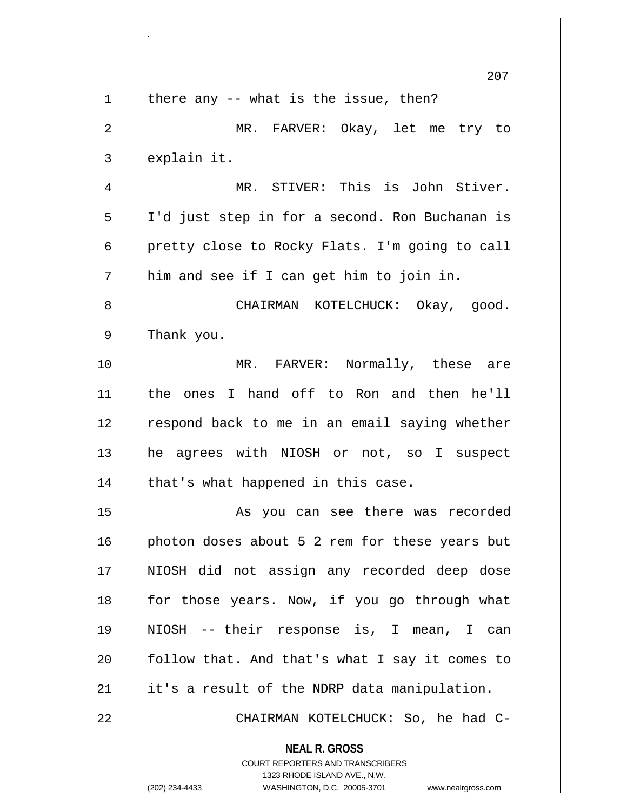|             | 207                                                                                                                                                             |
|-------------|-----------------------------------------------------------------------------------------------------------------------------------------------------------------|
| $\mathbf 1$ | there any -- what is the issue, then?                                                                                                                           |
| 2           | MR. FARVER: Okay, let me try to                                                                                                                                 |
| 3           | explain it.                                                                                                                                                     |
| 4           | MR. STIVER: This is John Stiver.                                                                                                                                |
| 5           | I'd just step in for a second. Ron Buchanan is                                                                                                                  |
| 6           | pretty close to Rocky Flats. I'm going to call                                                                                                                  |
| 7           | him and see if I can get him to join in.                                                                                                                        |
| 8           | CHAIRMAN KOTELCHUCK: Okay, good.                                                                                                                                |
| 9           | Thank you.                                                                                                                                                      |
| 10          | MR. FARVER: Normally, these are                                                                                                                                 |
| 11          | the ones I hand off to Ron and then he'll                                                                                                                       |
| 12          | respond back to me in an email saying whether                                                                                                                   |
| 13          | agrees with NIOSH or not, so I suspect<br>he                                                                                                                    |
| 14          | that's what happened in this case.                                                                                                                              |
| 15          | As you can see there was recorded                                                                                                                               |
| 16          | photon doses about 5 2 rem for these years but                                                                                                                  |
| 17          | NIOSH did not assign any recorded deep dose                                                                                                                     |
| 18          | for those years. Now, if you go through what                                                                                                                    |
| 19          | NIOSH -- their response is, I mean, I can                                                                                                                       |
| 20          | follow that. And that's what I say it comes to                                                                                                                  |
| 21          | it's a result of the NDRP data manipulation.                                                                                                                    |
| 22          | CHAIRMAN KOTELCHUCK: So, he had C-                                                                                                                              |
|             | <b>NEAL R. GROSS</b><br>COURT REPORTERS AND TRANSCRIBERS<br>1323 RHODE ISLAND AVE., N.W.<br>(202) 234-4433<br>WASHINGTON, D.C. 20005-3701<br>www.nealrgross.com |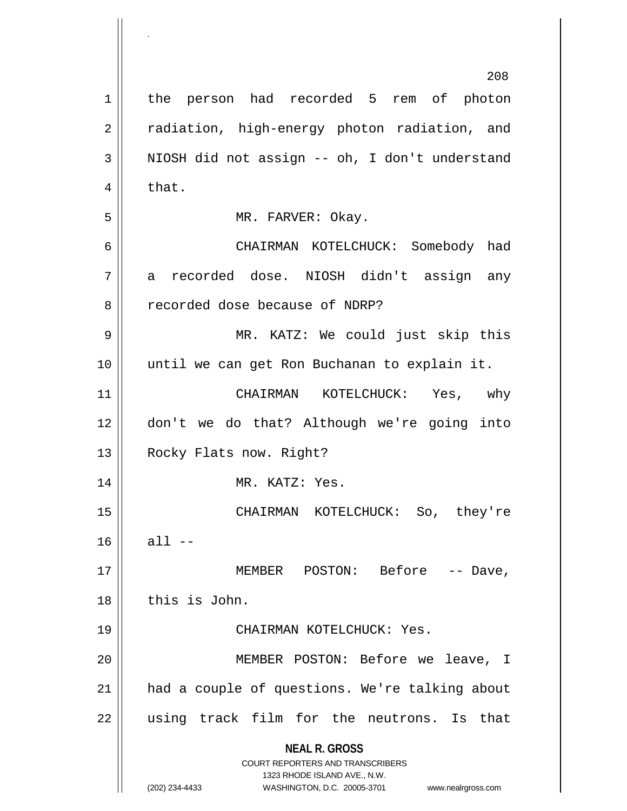|             | 208                                                                                                                                                                    |
|-------------|------------------------------------------------------------------------------------------------------------------------------------------------------------------------|
| $\mathbf 1$ | the person had recorded 5 rem of photon                                                                                                                                |
| 2           | radiation, high-energy photon radiation, and                                                                                                                           |
| 3           | NIOSH did not assign -- oh, I don't understand                                                                                                                         |
| 4           | that.                                                                                                                                                                  |
| 5           | MR. FARVER: Okay.                                                                                                                                                      |
| 6           | CHAIRMAN KOTELCHUCK: Somebody had                                                                                                                                      |
| 7           | a recorded dose. NIOSH didn't assign any                                                                                                                               |
| 8           | recorded dose because of NDRP?                                                                                                                                         |
| 9           | MR. KATZ: We could just skip this                                                                                                                                      |
| 10          | until we can get Ron Buchanan to explain it.                                                                                                                           |
| 11          | CHAIRMAN KOTELCHUCK: Yes, why                                                                                                                                          |
| 12          | don't we do that? Although we're going into                                                                                                                            |
| 13          | Rocky Flats now. Right?                                                                                                                                                |
| 14          | MR. KATZ: Yes.                                                                                                                                                         |
| 15          | CHAIRMAN KOTELCHUCK: So, they're                                                                                                                                       |
| 16          | all $--$                                                                                                                                                               |
| 17          | MEMBER POSTON: Before -- Dave,                                                                                                                                         |
| 18          | this is John.                                                                                                                                                          |
| 19          | CHAIRMAN KOTELCHUCK: Yes.                                                                                                                                              |
| 20          | MEMBER POSTON: Before we leave, I                                                                                                                                      |
| 21          | had a couple of questions. We're talking about                                                                                                                         |
| 22          | using track film for the neutrons. Is that                                                                                                                             |
|             | <b>NEAL R. GROSS</b><br><b>COURT REPORTERS AND TRANSCRIBERS</b><br>1323 RHODE ISLAND AVE., N.W.<br>(202) 234-4433<br>WASHINGTON, D.C. 20005-3701<br>www.nealrgross.com |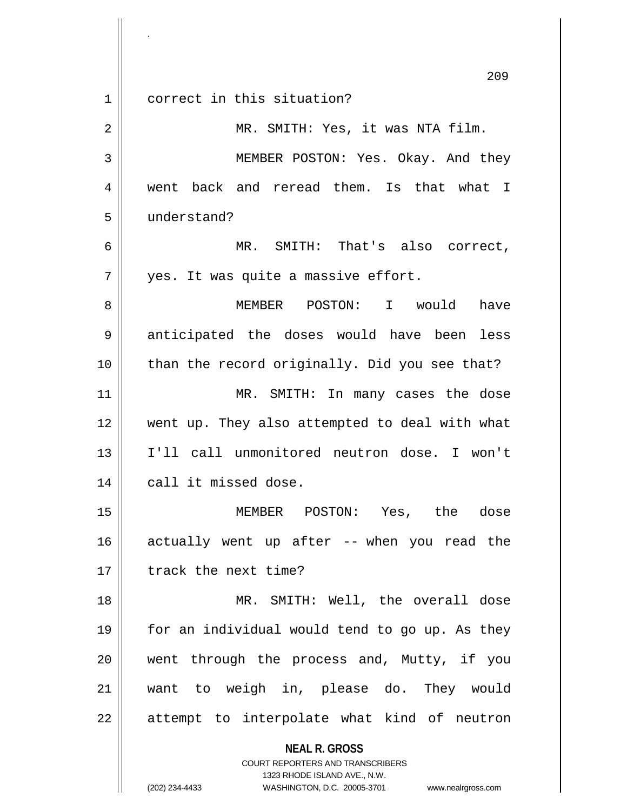**NEAL R. GROSS** COURT REPORTERS AND TRANSCRIBERS 1323 RHODE ISLAND AVE., N.W. 209 1 correct in this situation? 2 MR. SMITH: Yes, it was NTA film. 3 MEMBER POSTON: Yes. Okay. And they 4 || went back and reread them. Is that what I 5 understand? 6 MR. SMITH: That's also correct,  $7 \parallel$  yes. It was quite a massive effort. 8 MEMBER POSTON: I would have 9 || anticipated the doses would have been less 10 than the record originally. Did you see that? 11 || MR. SMITH: In many cases the dose 12 went up. They also attempted to deal with what 13 I'll call unmonitored neutron dose. I won't 14 || call it missed dose. 15 MEMBER POSTON: Yes, the dose  $16$  actually went up after -- when you read the 17 | track the next time? 18 || MR. SMITH: Well, the overall dose 19 || for an individual would tend to go up. As they 20 || went through the process and, Mutty, if you 21 want to weigh in, please do. They would 22 || attempt to interpolate what kind of neutron

.

(202) 234-4433 WASHINGTON, D.C. 20005-3701 www.nealrgross.com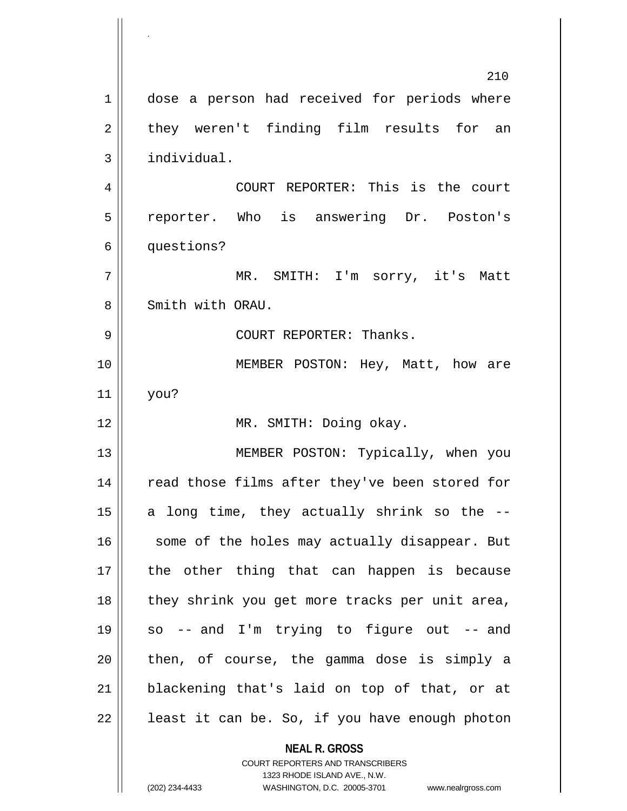**NEAL R. GROSS** COURT REPORTERS AND TRANSCRIBERS 1323 RHODE ISLAND AVE., N.W. 210 1 || dose a person had received for periods where  $2 \parallel$  they weren't finding film results for an 3 | individual. 4 COURT REPORTER: This is the court 5 reporter. Who is answering Dr. Poston's 6 | questions? 7 MR. SMITH: I'm sorry, it's Matt 8 Smith with ORAU. 9 COURT REPORTER: Thanks. 10 MEMBER POSTON: Hey, Matt, how are 11 you? 12 || MR. SMITH: Doing okay. 13 || MEMBER POSTON: Typically, when you 14 || read those films after they've been stored for 15  $\parallel$  a long time, they actually shrink so the  $-$ - $16$  some of the holes may actually disappear. But 17 || the other thing that can happen is because 18 || they shrink you get more tracks per unit area, 19 so -- and I'm trying to figure out -- and  $20$  || then, of course, the gamma dose is simply a 21 blackening that's laid on top of that, or at  $22$  | least it can be. So, if you have enough photon

.

(202) 234-4433 WASHINGTON, D.C. 20005-3701 www.nealrgross.com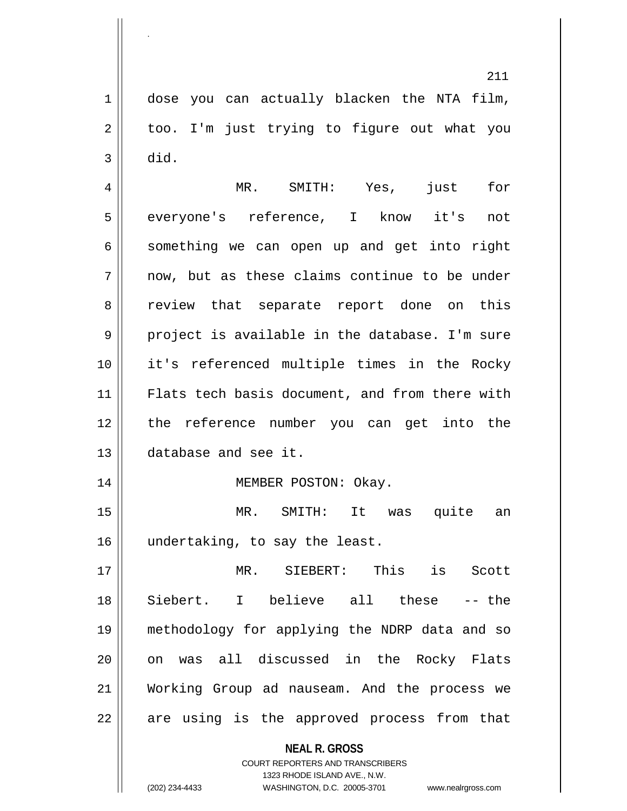1 || dose you can actually blacken the NTA film,  $2 \parallel$  too. I'm just trying to figure out what you  $3 \parallel$  did.

.

4 MR. SMITH: Yes, just for 5 everyone's reference, I know it's not  $6 \parallel$  something we can open up and get into right  $7 \parallel$  now, but as these claims continue to be under 8 Teview that separate report done on this  $9 \parallel$  project is available in the database. I'm sure 10 it's referenced multiple times in the Rocky 11 || Flats tech basis document, and from there with 12 the reference number you can get into the 13 database and see it.

14 || MEMBER POSTON: Okay.

15 MR. SMITH: It was quite an 16 || undertaking, to say the least.

 MR. SIEBERT: This is Scott Siebert. I believe all these -- the methodology for applying the NDRP data and so 20 || on was all discussed in the Rocky Flats Working Group ad nauseam. And the process we || are using is the approved process from that

**NEAL R. GROSS**

COURT REPORTERS AND TRANSCRIBERS 1323 RHODE ISLAND AVE., N.W. (202) 234-4433 WASHINGTON, D.C. 20005-3701 www.nealrgross.com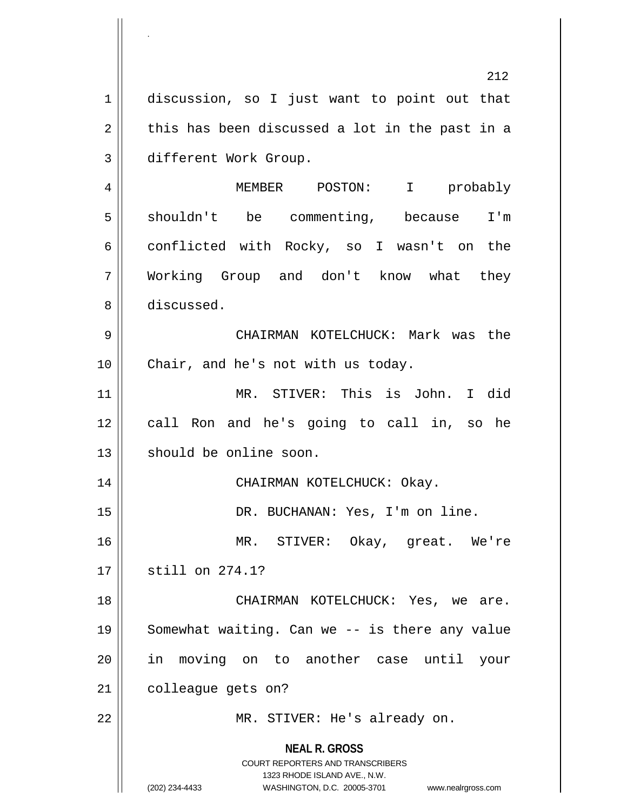**NEAL R. GROSS** COURT REPORTERS AND TRANSCRIBERS 1323 RHODE ISLAND AVE., N.W. (202) 234-4433 WASHINGTON, D.C. 20005-3701 www.nealrgross.com 212 1 discussion, so I just want to point out that  $2 \parallel$  this has been discussed a lot in the past in a 3 different Work Group. 4 MEMBER POSTON: I probably 5 || shouldn't be commenting, because I'm 6 conflicted with Rocky, so I wasn't on the 7 Working Group and don't know what they 8 discussed. 9 CHAIRMAN KOTELCHUCK: Mark was the 10 || Chair, and he's not with us today. 11 MR. STIVER: This is John. I did 12 call Ron and he's going to call in, so he 13 || should be online soon. 14 CHAIRMAN KOTELCHUCK: Okay. 15 || DR. BUCHANAN: Yes, I'm on line. 16 MR. STIVER: Okay, great. We're 17 || still on 274.1? 18 CHAIRMAN KOTELCHUCK: Yes, we are. 19 || Somewhat waiting. Can we -- is there any value 20 in moving on to another case until your 21 | colleague gets on? 22 | MR. STIVER: He's already on.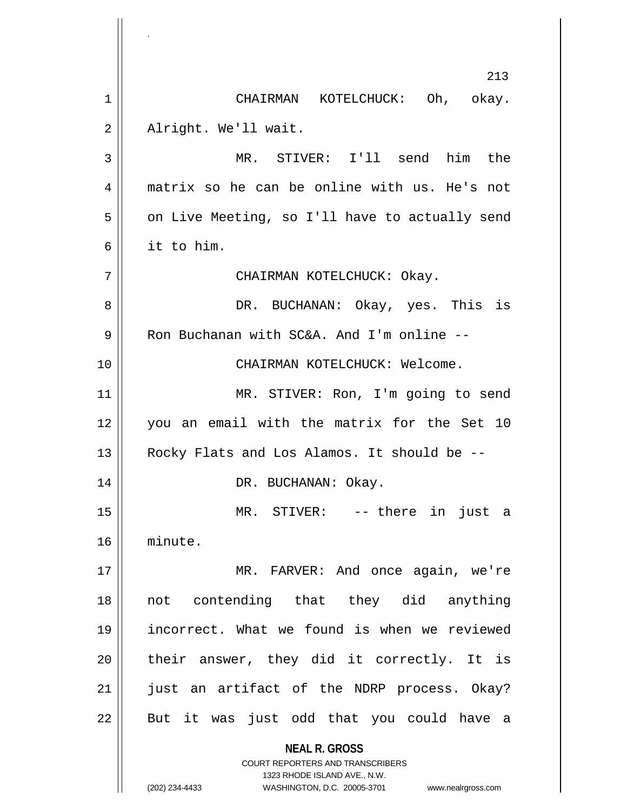**NEAL R. GROSS** COURT REPORTERS AND TRANSCRIBERS 1323 RHODE ISLAND AVE., N.W. (202) 234-4433 WASHINGTON, D.C. 20005-3701 www.nealrgross.com 213 1 CHAIRMAN KOTELCHUCK: Oh, okay. 2 | Alright. We'll wait. 3 MR. STIVER: I'll send him the 4 matrix so he can be online with us. He's not  $5 \parallel$  on Live Meeting, so I'll have to actually send 6 it to him. 7 CHAIRMAN KOTELCHUCK: Okay. 8 DR. BUCHANAN: Okay, yes. This is 9 | Ron Buchanan with SC&A. And I'm online --10 CHAIRMAN KOTELCHUCK: Welcome. 11 || MR. STIVER: Ron, I'm going to send 12 you an email with the matrix for the Set 10 13 || Rocky Flats and Los Alamos. It should be --14 DR. BUCHANAN: Okay. 15 MR. STIVER: -- there in just a 16 minute. 17 || MR. FARVER: And once again, we're 18 not contending that they did anything 19 incorrect. What we found is when we reviewed  $20$  || their answer, they did it correctly. It is 21 || just an artifact of the NDRP process. Okay?  $22$  || But it was just odd that you could have a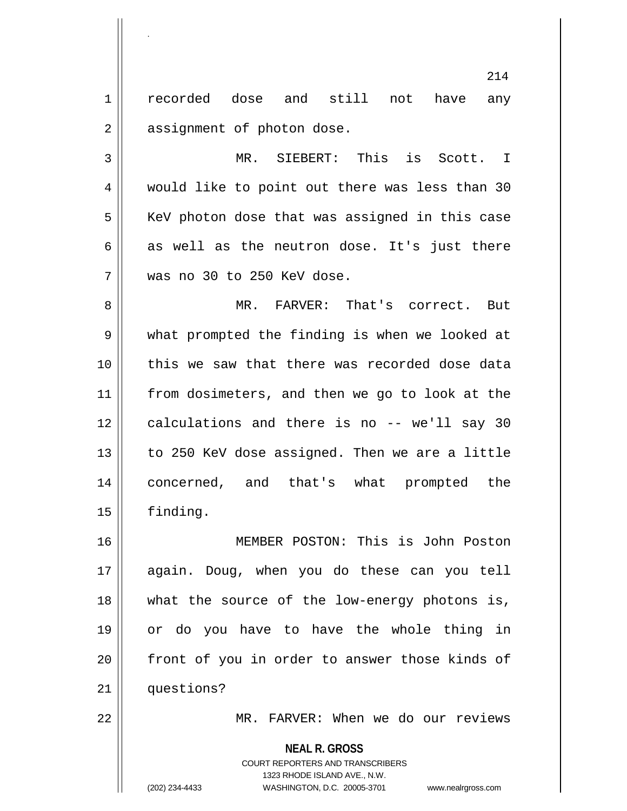1 || recorded dose and still not have any 2 | assignment of photon dose.

.

3 MR. SIEBERT: This is Scott. I 4 || would like to point out there was less than 30  $5$  KeV photon dose that was assigned in this case  $6 \parallel$  as well as the neutron dose. It's just there 7 was no 30 to 250 KeV dose.

8 MR. FARVER: That's correct. But 9 || what prompted the finding is when we looked at 10 this we saw that there was recorded dose data 11 || from dosimeters, and then we go to look at the 12 || calculations and there is no -- we'll say 30 13 || to 250 KeV dose assigned. Then we are a little 14 concerned, and that's what prompted the 15 finding.

 MEMBER POSTON: This is John Poston again. Doug, when you do these can you tell what the source of the low-energy photons is, or do you have to have the whole thing in 20 || front of you in order to answer those kinds of 21 | questions?

22 || MR. FARVER: When we do our reviews

**NEAL R. GROSS** COURT REPORTERS AND TRANSCRIBERS 1323 RHODE ISLAND AVE., N.W. (202) 234-4433 WASHINGTON, D.C. 20005-3701 www.nealrgross.com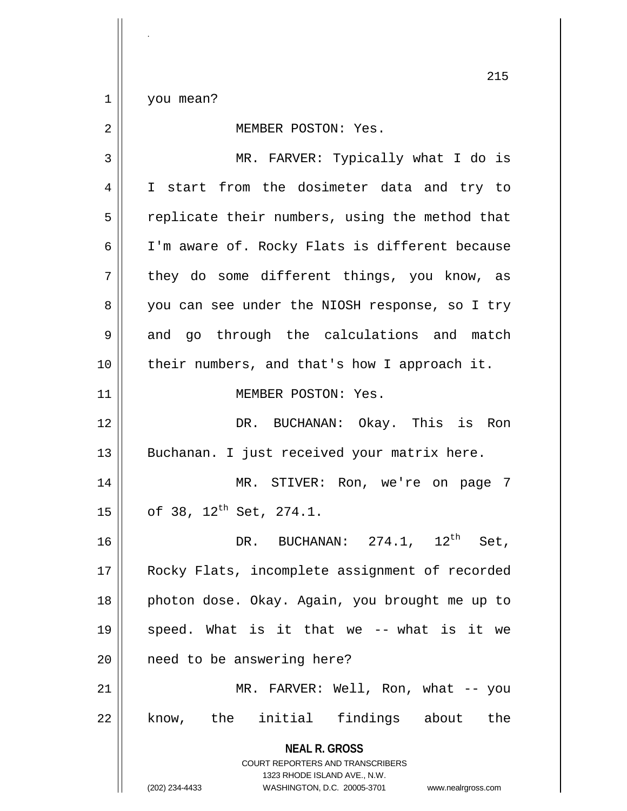$1 \parallel$  you mean?

| 2  | MEMBER POSTON: Yes.                                                                                                                                             |
|----|-----------------------------------------------------------------------------------------------------------------------------------------------------------------|
| 3  | MR. FARVER: Typically what I do is                                                                                                                              |
| 4  | I start from the dosimeter data and try to                                                                                                                      |
| 5  | replicate their numbers, using the method that                                                                                                                  |
| 6  | I'm aware of. Rocky Flats is different because                                                                                                                  |
| 7  | they do some different things, you know, as                                                                                                                     |
| 8  | you can see under the NIOSH response, so I try                                                                                                                  |
| 9  | and go through the calculations and match                                                                                                                       |
| 10 | their numbers, and that's how I approach it.                                                                                                                    |
| 11 | MEMBER POSTON: Yes.                                                                                                                                             |
| 12 | DR. BUCHANAN: Okay. This is Ron                                                                                                                                 |
| 13 | Buchanan. I just received your matrix here.                                                                                                                     |
| 14 | MR. STIVER: Ron, we're on page 7                                                                                                                                |
| 15 | of 38, 12 <sup>th</sup> Set, 274.1.                                                                                                                             |
| 16 | DR. BUCHANAN: $274.1$ , $12^{\text{th}}$<br>Set,                                                                                                                |
| 17 | Rocky Flats, incomplete assignment of recorded                                                                                                                  |
| 18 | photon dose. Okay. Again, you brought me up to                                                                                                                  |
| 19 | speed. What is it that we -- what is it we                                                                                                                      |
| 20 | need to be answering here?                                                                                                                                      |
| 21 | MR. FARVER: Well, Ron, what -- you                                                                                                                              |
| 22 | know, the initial findings about<br>the                                                                                                                         |
|    | <b>NEAL R. GROSS</b><br>COURT REPORTERS AND TRANSCRIBERS<br>1323 RHODE ISLAND AVE., N.W.<br>(202) 234-4433<br>WASHINGTON, D.C. 20005-3701<br>www.nealrgross.com |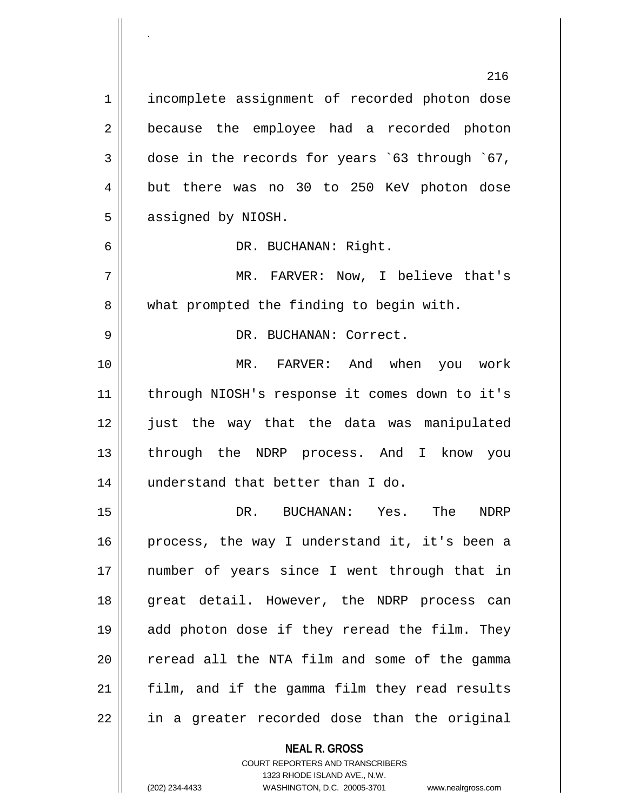**NEAL R. GROSS** 216 1 | incomplete assignment of recorded photon dose 2 || because the employee had a recorded photon  $3 \parallel$  dose in the records for years `63 through `67, 4 but there was no 30 to 250 KeV photon dose 5 | assigned by NIOSH. 6 | DR. BUCHANAN: Right. 7 MR. FARVER: Now, I believe that's 8 what prompted the finding to begin with. 9 DR. BUCHANAN: Correct. 10 MR. FARVER: And when you work 11 || through NIOSH's response it comes down to it's 12 just the way that the data was manipulated 13 through the NDRP process. And I know you 14 || understand that better than I do. 15 DR. BUCHANAN: Yes. The NDRP 16 || process, the way I understand it, it's been a 17 || number of years since I went through that in 18 || great detail. However, the NDRP process can 19 add photon dose if they reread the film. They 20 || reread all the NTA film and some of the gamma  $21$  || film, and if the gamma film they read results 22 || in a greater recorded dose than the original

> COURT REPORTERS AND TRANSCRIBERS 1323 RHODE ISLAND AVE., N.W.

.

(202) 234-4433 WASHINGTON, D.C. 20005-3701 www.nealrgross.com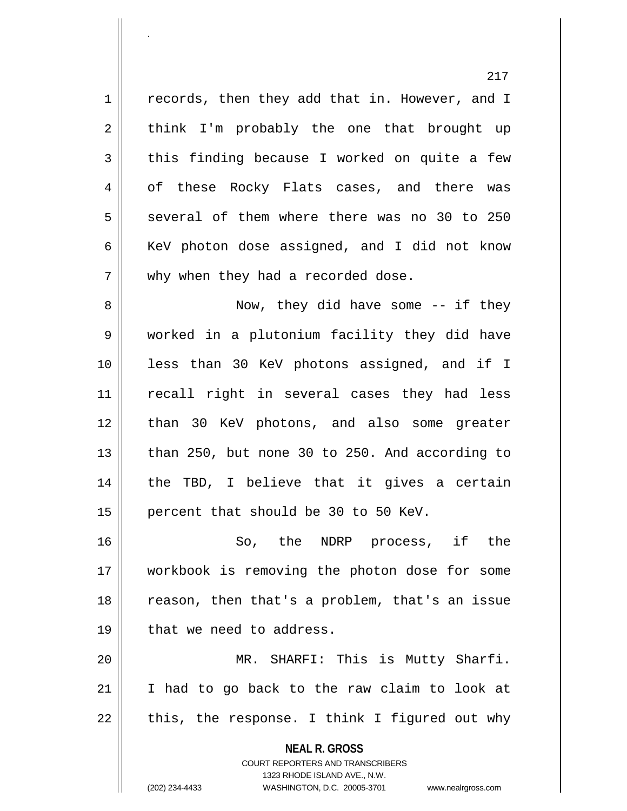$1 \parallel$  records, then they add that in. However, and I  $2 \parallel$  think I'm probably the one that brought up  $3 \parallel$  this finding because I worked on quite a few 4 of these Rocky Flats cases, and there was  $5 \parallel$  several of them where there was no 30 to 250 6  $\parallel$  KeV photon dose assigned, and I did not know 7 || why when they had a recorded dose.

.

8 Now, they did have some -- if they 9 worked in a plutonium facility they did have 10 less than 30 KeV photons assigned, and if I 11 || recall right in several cases they had less 12 || than 30 KeV photons, and also some greater 13  $\parallel$  than 250, but none 30 to 250. And according to 14 || the TBD, I believe that it gives a certain 15 || percent that should be 30 to 50 KeV.

 So, the NDRP process, if the workbook is removing the photon dose for some 18 || reason, then that's a problem, that's an issue | that we need to address.

20 MR. SHARFI: This is Mutty Sharfi. 21 I had to go back to the raw claim to look at  $22$  | this, the response. I think I figured out why

> **NEAL R. GROSS** COURT REPORTERS AND TRANSCRIBERS 1323 RHODE ISLAND AVE., N.W. (202) 234-4433 WASHINGTON, D.C. 20005-3701 www.nealrgross.com

217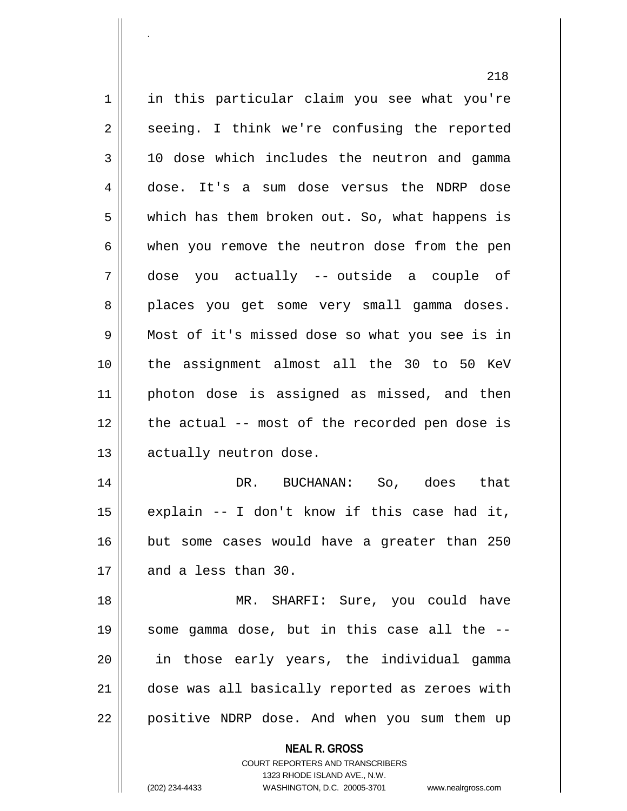|             | ⊿⊥ၓ                                                      |
|-------------|----------------------------------------------------------|
| $\mathbf 1$ | in this particular claim you see what you're             |
| 2           | seeing. I think we're confusing the reported             |
| 3           | 10 dose which includes the neutron and gamma             |
| 4           | dose. It's a sum dose versus the NDRP dose               |
| 5           | which has them broken out. So, what happens is           |
| 6           | when you remove the neutron dose from the pen            |
| 7           | dose you actually -- outside a couple of                 |
| 8           | places you get some very small gamma doses.              |
| 9           | Most of it's missed dose so what you see is in           |
| 10          | the assignment almost all the 30 to 50 KeV               |
| 11          | photon dose is assigned as missed, and then              |
| 12          | the actual -- most of the recorded pen dose is           |
| 13          | actually neutron dose.                                   |
| 14          | DR. BUCHANAN: So, does that                              |
| 15          | explain -- I don't know if this case had it,             |
| 16          | but some cases would have a greater than 250             |
| 17          | and a less than 30.                                      |
| 18          | MR. SHARFI: Sure, you could have                         |
| 19          | some gamma dose, but in this case all the --             |
| 20          | in those early years, the individual gamma               |
| 21          | dose was all basically reported as zeroes with           |
| 22          | positive NDRP dose. And when you sum them up             |
|             | <b>NEAL R. GROSS</b><br>COURT REPORTERS AND TRANSCRIBERS |

1323 RHODE ISLAND AVE., N.W.

 $\mathop{\text{||}}$ 

.

(202) 234-4433 WASHINGTON, D.C. 20005-3701 www.nealrgross.com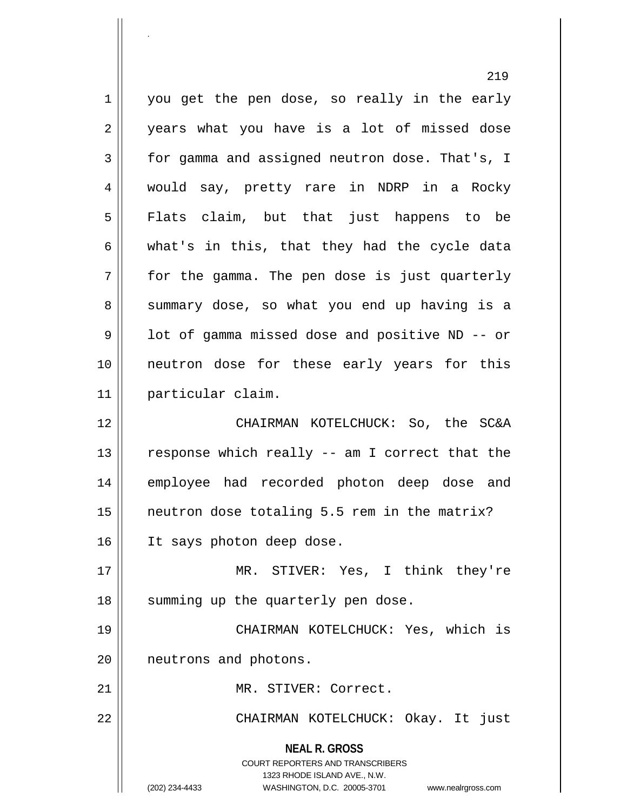**NEAL R. GROSS** COURT REPORTERS AND TRANSCRIBERS 1323 RHODE ISLAND AVE., N.W. (202) 234-4433 WASHINGTON, D.C. 20005-3701 www.nealrgross.com 1 || you get the pen dose, so really in the early 2 || years what you have is a lot of missed dose 3 for gamma and assigned neutron dose. That's, I 4 would say, pretty rare in NDRP in a Rocky 5 Flats claim, but that just happens to be  $6 \parallel$  what's in this, that they had the cycle data  $7 \parallel$  for the gamma. The pen dose is just quarterly 8 || summary dose, so what you end up having is a  $9 \parallel$  1ot of gamma missed dose and positive ND -- or 10 neutron dose for these early years for this 11 particular claim. 12 CHAIRMAN KOTELCHUCK: So, the SC&A 13  $\parallel$  response which really -- am I correct that the 14 employee had recorded photon deep dose and  $15$  | neutron dose totaling 5.5 rem in the matrix? 16 | It says photon deep dose. 17 MR. STIVER: Yes, I think they're 18 || summing up the quarterly pen dose. 19 CHAIRMAN KOTELCHUCK: Yes, which is 20 || neutrons and photons. 21 || MR. STIVER: Correct. 22 CHAIRMAN KOTELCHUCK: Okay. It just

.

219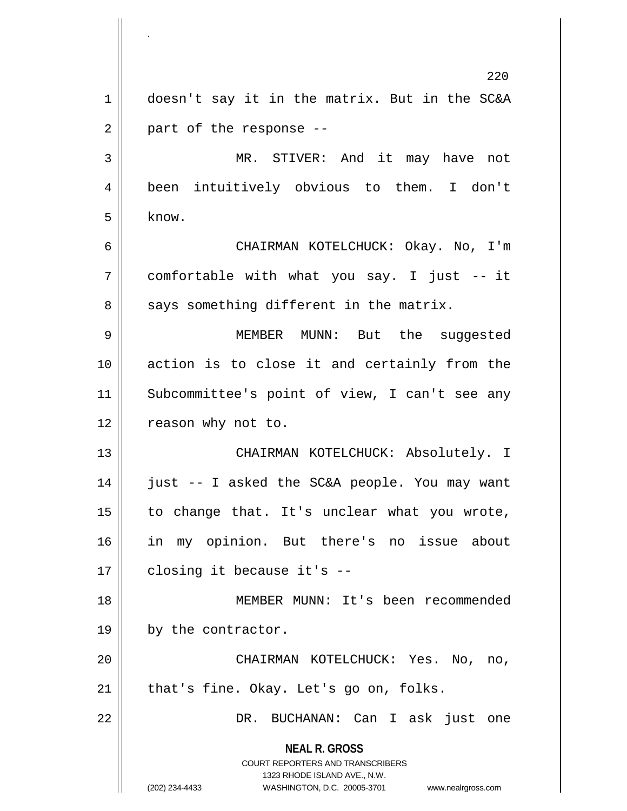**NEAL R. GROSS** COURT REPORTERS AND TRANSCRIBERS 1323 RHODE ISLAND AVE., N.W. (202) 234-4433 WASHINGTON, D.C. 20005-3701 www.nealrgross.com 220 1 doesn't say it in the matrix. But in the SC&A  $2 \parallel$  part of the response --3 MR. STIVER: And it may have not 4 been intuitively obvious to them. I don't  $5 \mid$  know. 6 CHAIRMAN KOTELCHUCK: Okay. No, I'm 7 comfortable with what you say. I just -- it  $8 \parallel$  says something different in the matrix. 9 MEMBER MUNN: But the suggested 10 action is to close it and certainly from the 11 Subcommittee's point of view, I can't see any 12 || reason why not to. 13 CHAIRMAN KOTELCHUCK: Absolutely. I 14 just -- I asked the SC&A people. You may want  $15$  to change that. It's unclear what you wrote, 16 in my opinion. But there's no issue about  $17$  | closing it because it's  $-$ 18 MEMBER MUNN: It's been recommended 19 || by the contractor. 20 CHAIRMAN KOTELCHUCK: Yes. No, no,  $21$  | that's fine. Okay. Let's go on, folks. 22 || DR. BUCHANAN: Can I ask just one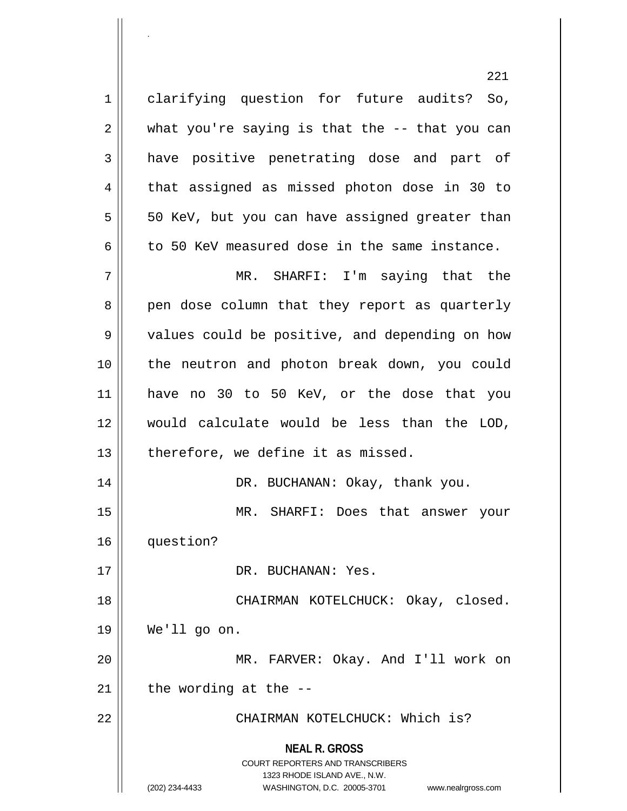**NEAL R. GROSS** COURT REPORTERS AND TRANSCRIBERS 1323 RHODE ISLAND AVE., N.W. (202) 234-4433 WASHINGTON, D.C. 20005-3701 www.nealrgross.com 221 1 clarifying question for future audits? So,  $2 \parallel$  what you're saying is that the  $-$ - that you can 3 have positive penetrating dose and part of 4 || that assigned as missed photon dose in 30 to  $5 \parallel$  50 KeV, but you can have assigned greater than 6 to 50 KeV measured dose in the same instance. 7 MR. SHARFI: I'm saying that the 8 pen dose column that they report as quarterly 9 || values could be positive, and depending on how 10 the neutron and photon break down, you could 11 have no 30 to 50 KeV, or the dose that you 12 would calculate would be less than the LOD,  $13$  | therefore, we define it as missed. 14 DR. BUCHANAN: Okay, thank you. 15 MR. SHARFI: Does that answer your 16 question? 17 DR. BUCHANAN: Yes. 18 || CHAIRMAN KOTELCHUCK: Okay, closed. 19 We'll go on. 20 MR. FARVER: Okay. And I'll work on  $21$  | the wording at the --22 CHAIRMAN KOTELCHUCK: Which is?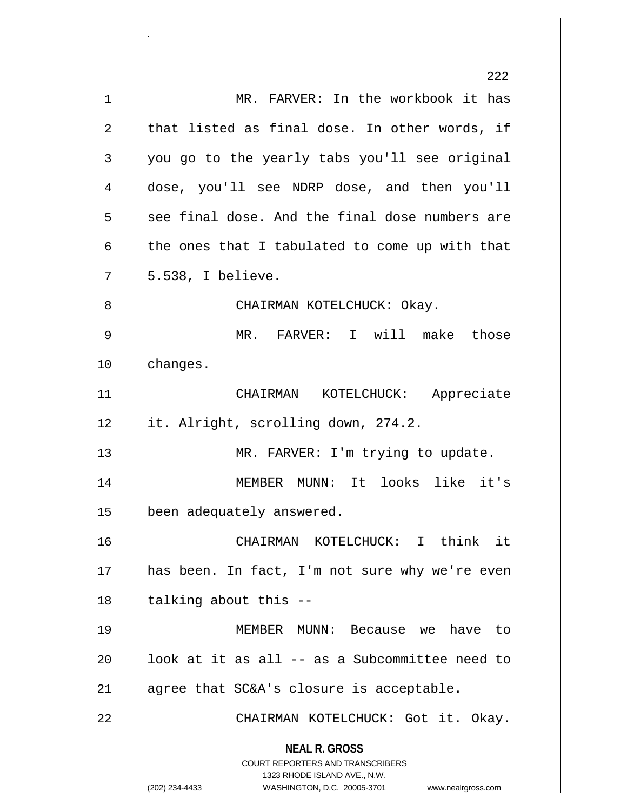**NEAL R. GROSS** COURT REPORTERS AND TRANSCRIBERS 1323 RHODE ISLAND AVE., N.W. (202) 234-4433 WASHINGTON, D.C. 20005-3701 www.nealrgross.com 222 1 MR. FARVER: In the workbook it has  $2 \parallel$  that listed as final dose. In other words, if  $3 \parallel$  you go to the yearly tabs you'll see original 4 dose, you'll see NDRP dose, and then you'll  $5 \parallel$  see final dose. And the final dose numbers are  $6 \parallel$  the ones that I tabulated to come up with that  $7 \parallel 5.538$ , I believe. 8 CHAIRMAN KOTELCHUCK: Okay. 9 MR. FARVER: I will make those 10 | changes. 11 CHAIRMAN KOTELCHUCK: Appreciate 12 | it. Alright, scrolling down, 274.2. 13 || MR. FARVER: I'm trying to update. 14 MEMBER MUNN: It looks like it's 15 | been adequately answered. 16 CHAIRMAN KOTELCHUCK: I think it 17 || has been. In fact, I'm not sure why we're even  $18$  | talking about this  $-$ 19 MEMBER MUNN: Because we have to  $20$  ||  $100k$  at it as all -- as a Subcommittee need to  $21$  || agree that SC&A's closure is acceptable. 22 | CHAIRMAN KOTELCHUCK: Got it. Okay.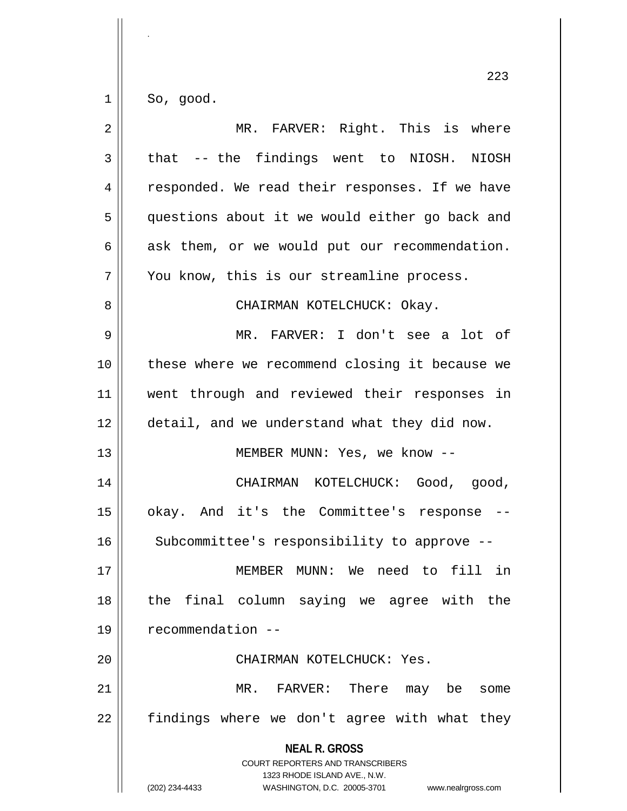$1 \parallel$  So, good.

| $\overline{2}$ | MR. FARVER: Right. This is where                                                                                                                                       |
|----------------|------------------------------------------------------------------------------------------------------------------------------------------------------------------------|
| 3              | that -- the findings went to NIOSH. NIOSH                                                                                                                              |
| $\overline{4}$ | responded. We read their responses. If we have                                                                                                                         |
| 5              | questions about it we would either go back and                                                                                                                         |
| 6              | ask them, or we would put our recommendation.                                                                                                                          |
| 7              | You know, this is our streamline process.                                                                                                                              |
| 8              | CHAIRMAN KOTELCHUCK: Okay.                                                                                                                                             |
| $\mathsf 9$    | MR. FARVER: I don't see a lot of                                                                                                                                       |
| 10             | these where we recommend closing it because we                                                                                                                         |
| 11             | went through and reviewed their responses in                                                                                                                           |
| 12             | detail, and we understand what they did now.                                                                                                                           |
| 13             | MEMBER MUNN: Yes, we know --                                                                                                                                           |
| 14             | CHAIRMAN KOTELCHUCK: Good, good,                                                                                                                                       |
| 15             | okay. And it's the Committee's response --                                                                                                                             |
| 16             | Subcommittee's responsibility to approve --                                                                                                                            |
| 17             | MEMBER MUNN: We need to fill in                                                                                                                                        |
| 18             | the final column saying we agree with the                                                                                                                              |
| 19             | recommendation --                                                                                                                                                      |
| 20             | CHAIRMAN KOTELCHUCK: Yes.                                                                                                                                              |
| 21             | MR. FARVER: There<br>may be<br>some                                                                                                                                    |
| 22             | findings where we don't agree with what they                                                                                                                           |
|                | <b>NEAL R. GROSS</b><br><b>COURT REPORTERS AND TRANSCRIBERS</b><br>1323 RHODE ISLAND AVE., N.W.<br>(202) 234-4433<br>WASHINGTON, D.C. 20005-3701<br>www.nealrgross.com |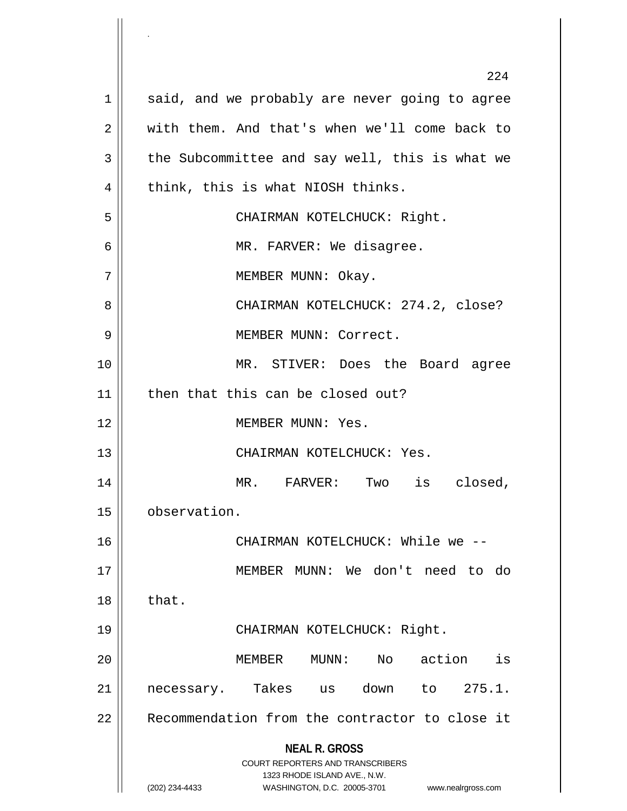**NEAL R. GROSS** COURT REPORTERS AND TRANSCRIBERS 1323 RHODE ISLAND AVE., N.W. (202) 234-4433 WASHINGTON, D.C. 20005-3701 www.nealrgross.com 224  $1 \parallel$  said, and we probably are never going to agree 2 with them. And that's when we'll come back to  $3 \parallel$  the Subcommittee and say well, this is what we  $4 \parallel$  think, this is what NIOSH thinks. 5 CHAIRMAN KOTELCHUCK: Right. 6 MR. FARVER: We disagree. 7 || MEMBER MUNN: Okay. 8 CHAIRMAN KOTELCHUCK: 274.2, close? 9 || MEMBER MUNN: Correct. 10 MR. STIVER: Does the Board agree 11 || then that this can be closed out? 12 MEMBER MUNN: Yes. 13 || CHAIRMAN KOTELCHUCK: Yes. 14 || MR. FARVER: Two is closed, 15 observation. 16 CHAIRMAN KOTELCHUCK: While we -- 17 MEMBER MUNN: We don't need to do  $18 \parallel$  that. 19 CHAIRMAN KOTELCHUCK: Right. 20 MEMBER MUNN: No action is 21 || necessary. Takes us down to 275.1. 22 || Recommendation from the contractor to close it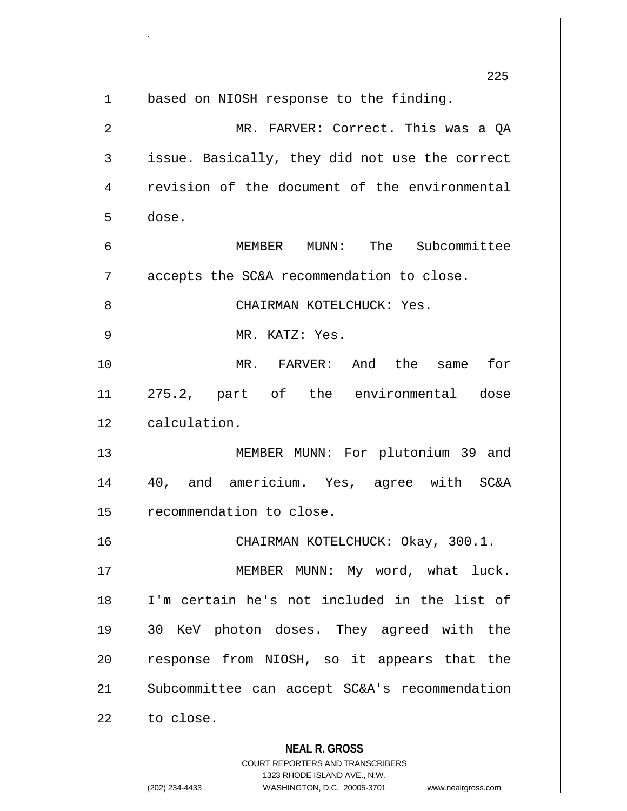|    | 225                                                                                     |
|----|-----------------------------------------------------------------------------------------|
| 1  | based on NIOSH response to the finding.                                                 |
| 2  | MR. FARVER: Correct. This was a OA                                                      |
| 3  | issue. Basically, they did not use the correct                                          |
| 4  | revision of the document of the environmental                                           |
| 5  | dose.                                                                                   |
| 6  | MEMBER MUNN: The Subcommittee                                                           |
| 7  | accepts the SC&A recommendation to close.                                               |
| 8  | CHAIRMAN KOTELCHUCK: Yes.                                                               |
| 9  | MR. KATZ: Yes.                                                                          |
| 10 | MR. FARVER: And the same<br>for                                                         |
| 11 | 275.2, part of the environmental dose                                                   |
| 12 | calculation.                                                                            |
| 13 | MEMBER MUNN: For plutonium 39 and                                                       |
| 14 | 40, and americium. Yes, agree with SC&A                                                 |
| 15 | recommendation to close                                                                 |
| 16 | CHAIRMAN KOTELCHUCK: Okay, 300.1.                                                       |
| 17 | MEMBER MUNN: My word, what luck.                                                        |
| 18 | I'm certain he's not included in the list of                                            |
| 19 | 30 KeV photon doses. They agreed with the                                               |
| 20 | response from NIOSH, so it appears that the                                             |
| 21 | Subcommittee can accept SC&A's recommendation                                           |
| 22 | to close.                                                                               |
|    | <b>NEAL R. GROSS</b><br>COURT REPORTERS AND TRANSCRIBERS<br>1323 RHODE ISLAND AVE. N.W. |

1323 RHODE ISLAND AVE., N.W.

 $\prod_{i=1}^{n}$ 

.

 $\begin{array}{c} \hline \end{array}$ 

(202) 234-4433 WASHINGTON, D.C. 20005-3701 www.nealrgross.com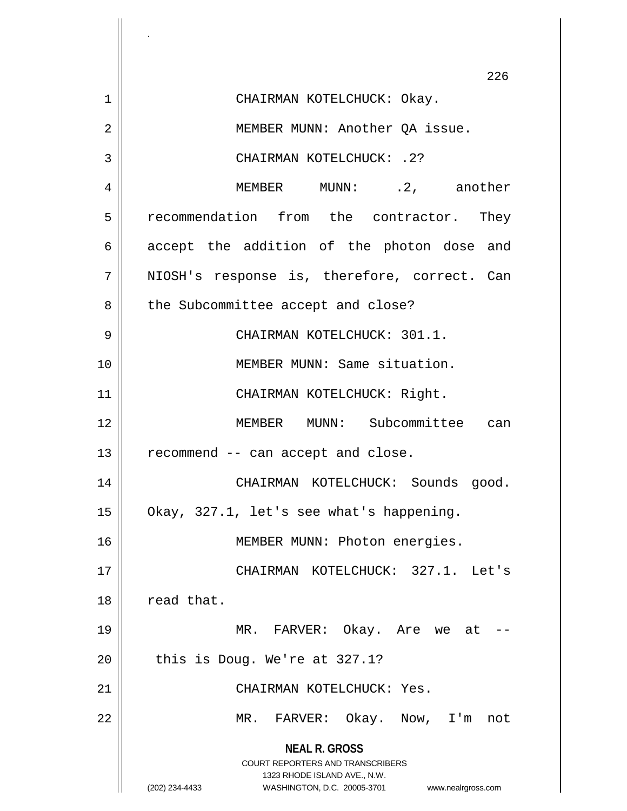|    | 226                                                                 |
|----|---------------------------------------------------------------------|
| 1  | CHAIRMAN KOTELCHUCK: Okay.                                          |
| 2  | MEMBER MUNN: Another QA issue.                                      |
| 3  | CHAIRMAN KOTELCHUCK: . 2?                                           |
| 4  | MEMBER MUNN: .2, another                                            |
| 5  | recommendation from the contractor. They                            |
| 6  | accept the addition of the photon dose and                          |
| 7  | NIOSH's response is, therefore, correct. Can                        |
| 8  | the Subcommittee accept and close?                                  |
| 9  | CHAIRMAN KOTELCHUCK: 301.1.                                         |
| 10 | MEMBER MUNN: Same situation.                                        |
| 11 | CHAIRMAN KOTELCHUCK: Right.                                         |
| 12 | MEMBER MUNN: Subcommittee can                                       |
| 13 | recommend -- can accept and close.                                  |
| 14 | CHAIRMAN KOTELCHUCK: Sounds good.                                   |
| 15 | Okay, 327.1, let's see what's happening.                            |
| 16 | MEMBER MUNN: Photon energies.                                       |
| 17 | CHAIRMAN KOTELCHUCK: 327.1. Let's                                   |
| 18 | read that.                                                          |
| 19 | MR. FARVER: Okay. Are we at                                         |
| 20 | this is Doug. We're at 327.1?                                       |
| 21 | CHAIRMAN KOTELCHUCK: Yes.                                           |
| 22 | MR. FARVER: Okay. Now, I'm not                                      |
|    | <b>NEAL R. GROSS</b>                                                |
|    | COURT REPORTERS AND TRANSCRIBERS<br>1323 RHODE ISLAND AVE., N.W.    |
|    | (202) 234-4433<br>WASHINGTON, D.C. 20005-3701<br>www.nealrgross.com |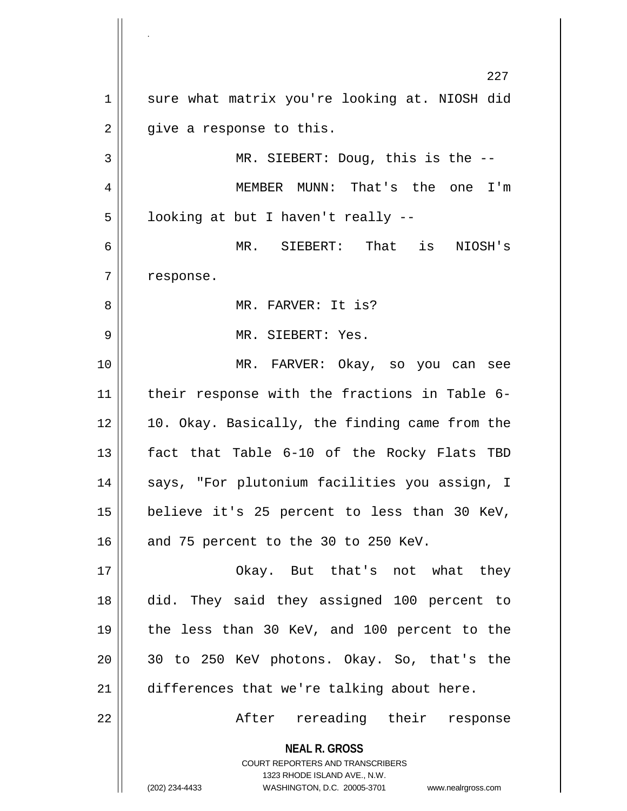**NEAL R. GROSS** COURT REPORTERS AND TRANSCRIBERS 1323 RHODE ISLAND AVE., N.W. (202) 234-4433 WASHINGTON, D.C. 20005-3701 www.nealrgross.com 227 1 || sure what matrix you're looking at. NIOSH did  $2 \parallel$  give a response to this.  $3 \parallel$  MR. SIEBERT: Doug, this is the  $-$ 4 MEMBER MUNN: That's the one I'm  $5 \parallel$  looking at but I haven't really --6 MR. SIEBERT: That is NIOSH's  $7$  | response. 8 MR. FARVER: It is? 9 MR. SIEBERT: Yes. 10 MR. FARVER: Okay, so you can see 11 || their response with the fractions in Table 6- $12 \parallel 10$ . Okay. Basically, the finding came from the 13 fact that Table 6-10 of the Rocky Flats TBD 14 || says, "For plutonium facilities you assign, I 15 believe it's 25 percent to less than 30 KeV, 16  $\parallel$  and 75 percent to the 30 to 250 KeV. 17 Okay. But that's not what they 18 did. They said they assigned 100 percent to 19 the less than 30 KeV, and 100 percent to the 20 30 to 250 KeV photons. Okay. So, that's the 21 differences that we're talking about here. 22 After rereading their response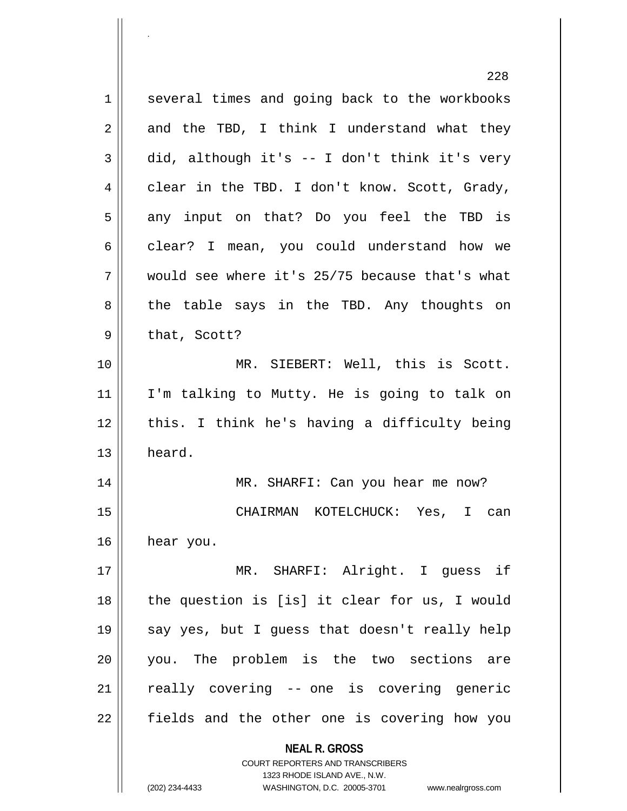**NEAL R. GROSS** COURT REPORTERS AND TRANSCRIBERS 1323 RHODE ISLAND AVE., N.W. 228 1 several times and going back to the workbooks  $2 \parallel$  and the TBD, I think I understand what they  $3 \parallel$  did, although it's -- I don't think it's very  $4 \parallel$  clear in the TBD. I don't know. Scott, Grady,  $5$  any input on that? Do you feel the TBD is  $6 \parallel$  clear? I mean, you could understand how we  $7 \parallel$  would see where it's 25/75 because that's what  $8 \parallel$  the table says in the TBD. Any thoughts on  $9 \parallel$  that, Scott? 10 || MR. SIEBERT: Well, this is Scott. 11 I'm talking to Mutty. He is going to talk on 12 || this. I think he's having a difficulty being 13 | heard. 14 MR. SHARFI: Can you hear me now? 15 CHAIRMAN KOTELCHUCK: Yes, I can 16 hear you. 17 MR. SHARFI: Alright. I guess if  $18$  || the question is [is] it clear for us, I would 19 || say yes, but I guess that doesn't really help 20 you. The problem is the two sections are  $21$  really covering  $-$  one is covering generic 22 || fields and the other one is covering how you

<sup>(202) 234-4433</sup> WASHINGTON, D.C. 20005-3701 www.nealrgross.com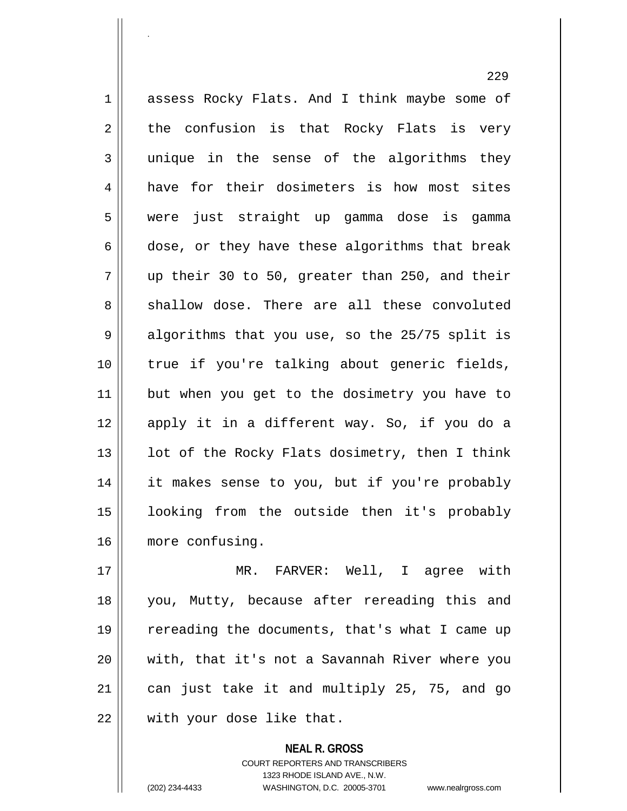1 assess Rocky Flats. And I think maybe some of  $2 \parallel$  the confusion is that Rocky Flats is very 3 unique in the sense of the algorithms they 4 have for their dosimeters is how most sites 5 were just straight up gamma dose is gamma  $6 \parallel$  dose, or they have these algorithms that break  $7 \parallel$  up their 30 to 50, greater than 250, and their  $8 \parallel$  shallow dose. There are all these convoluted  $9 \parallel$  algorithms that you use, so the 25/75 split is 10 true if you're talking about generic fields, 11 || but when you get to the dosimetry you have to 12 apply it in a different way. So, if you do a 13  $\parallel$  1ot of the Rocky Flats dosimetry, then I think 14 || it makes sense to you, but if you're probably 15 looking from the outside then it's probably 16 | more confusing.

.

 MR. FARVER: Well, I agree with you, Mutty, because after rereading this and 19 || rereading the documents, that's what I came up with, that it's not a Savannah River where you | can just take it and multiply 25, 75, and go | with your dose like that.

> **NEAL R. GROSS** COURT REPORTERS AND TRANSCRIBERS 1323 RHODE ISLAND AVE., N.W. (202) 234-4433 WASHINGTON, D.C. 20005-3701 www.nealrgross.com

229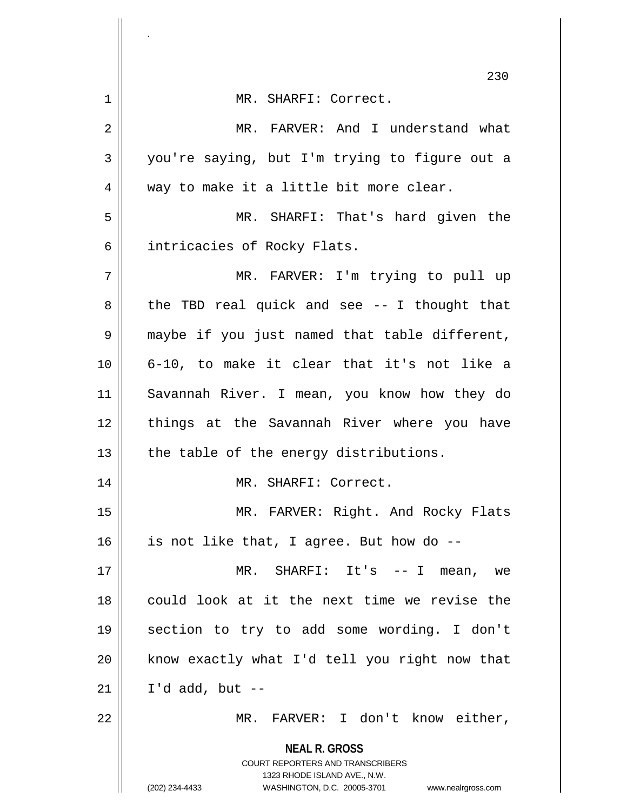|                | 230                                                                                                                                                             |
|----------------|-----------------------------------------------------------------------------------------------------------------------------------------------------------------|
| 1              | MR. SHARFI: Correct.                                                                                                                                            |
| $\overline{2}$ | MR. FARVER: And I understand what                                                                                                                               |
| 3              | you're saying, but I'm trying to figure out a                                                                                                                   |
| 4              | way to make it a little bit more clear.                                                                                                                         |
| 5              | MR. SHARFI: That's hard given the                                                                                                                               |
| 6              | intricacies of Rocky Flats.                                                                                                                                     |
| 7              | MR. FARVER: I'm trying to pull up                                                                                                                               |
| 8              | the TBD real quick and see -- I thought that                                                                                                                    |
| 9              | maybe if you just named that table different,                                                                                                                   |
| 10             | 6-10, to make it clear that it's not like a                                                                                                                     |
| 11             | Savannah River. I mean, you know how they do                                                                                                                    |
| 12             | things at the Savannah River where you have                                                                                                                     |
| 13             | the table of the energy distributions.                                                                                                                          |
| 14             | MR. SHARFI: Correct.                                                                                                                                            |
| 15             | MR. FARVER: Right. And Rocky Flats                                                                                                                              |
| 16             | is not like that, I agree. But how do --                                                                                                                        |
| 17             | MR. SHARFI: It's $-$ - I mean, we                                                                                                                               |
| 18             | could look at it the next time we revise the                                                                                                                    |
| 19             | section to try to add some wording. I don't                                                                                                                     |
| 20             | know exactly what I'd tell you right now that                                                                                                                   |
| 21             | I'd add, but $--$                                                                                                                                               |
| 22             | MR. FARVER: I don't know either,                                                                                                                                |
|                | <b>NEAL R. GROSS</b><br>COURT REPORTERS AND TRANSCRIBERS<br>1323 RHODE ISLAND AVE., N.W.<br>(202) 234-4433<br>WASHINGTON, D.C. 20005-3701<br>www.nealrgross.com |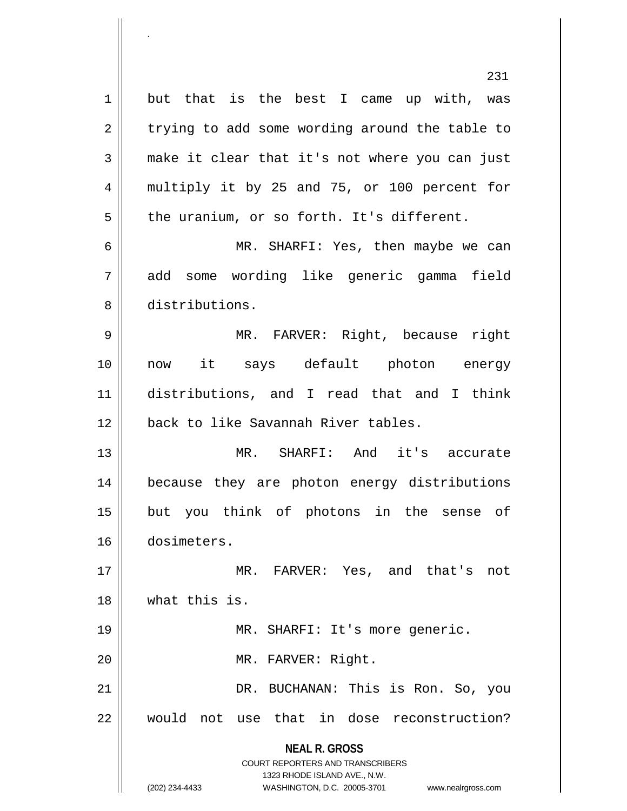**NEAL R. GROSS** COURT REPORTERS AND TRANSCRIBERS 1323 RHODE ISLAND AVE., N.W. but that is the best I came up with, was  $2 \parallel$  trying to add some wording around the table to 3 make it clear that it's not where you can just multiply it by 25 and 75, or 100 percent for | the uranium, or so forth. It's different. MR. SHARFI: Yes, then maybe we can add some wording like generic gamma field distributions. MR. FARVER: Right, because right now it says default photon energy distributions, and I read that and I think 12 || back to like Savannah River tables. MR. SHARFI: And it's accurate because they are photon energy distributions but you think of photons in the sense of dosimeters. MR. FARVER: Yes, and that's not what this is. 19 || MR. SHARFI: It's more generic. 20 || MR. FARVER: Right. DR. BUCHANAN: This is Ron. So, you would not use that in dose reconstruction?

<sup>(202) 234-4433</sup> WASHINGTON, D.C. 20005-3701 www.nealrgross.com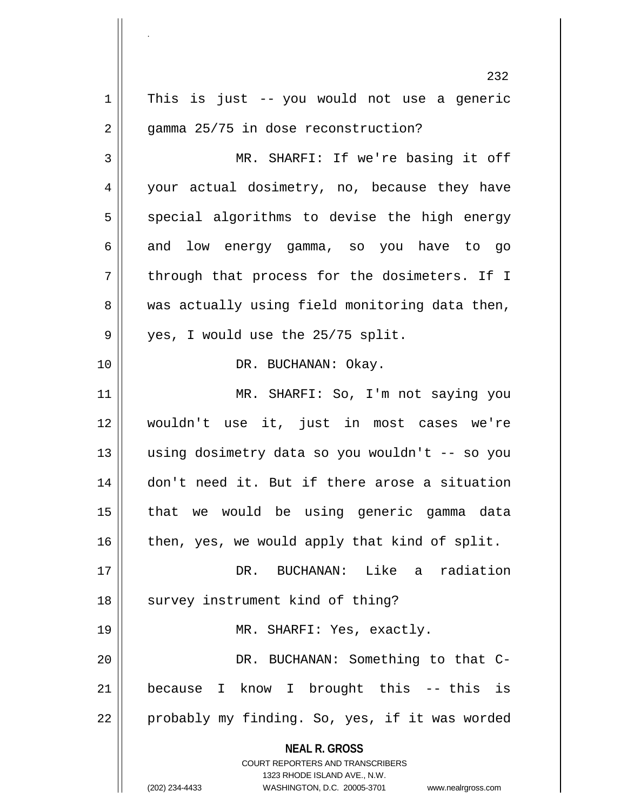**NEAL R. GROSS** COURT REPORTERS AND TRANSCRIBERS 1323 RHODE ISLAND AVE., N.W. (202) 234-4433 WASHINGTON, D.C. 20005-3701 www.nealrgross.com 232  $1 \parallel$  This is just -- you would not use a generic  $2 \parallel$  gamma 25/75 in dose reconstruction? 3 MR. SHARFI: If we're basing it off 4 your actual dosimetry, no, because they have  $5$  special algorithms to devise the high energy  $6 \parallel$  and low energy gamma, so you have to go  $7 \parallel$  through that process for the dosimeters. If I  $8 \parallel$  was actually using field monitoring data then, 9 || yes, I would use the 25/75 split. 10 || DR. BUCHANAN: Okay. 11 MR. SHARFI: So, I'm not saying you 12 wouldn't use it, just in most cases we're 13 using dosimetry data so you wouldn't -- so you 14 don't need it. But if there arose a situation 15 that we would be using generic gamma data  $16$  | then, yes, we would apply that kind of split. 17 DR. BUCHANAN: Like a radiation 18 || survey instrument kind of thing? 19 MR. SHARFI: Yes, exactly. 20 || DR. BUCHANAN: Something to that C-21 because I know I brought this -- this is  $22 \parallel$  probably my finding. So, yes, if it was worded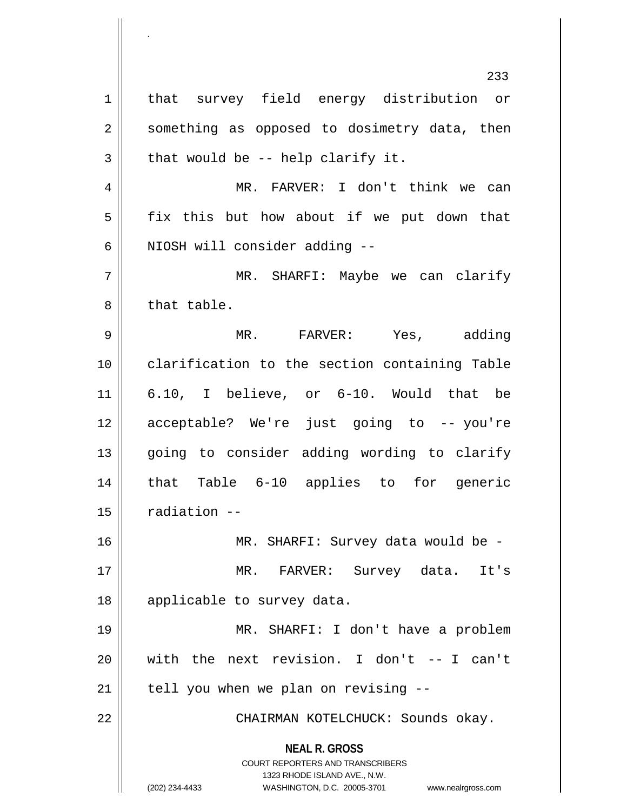**NEAL R. GROSS** COURT REPORTERS AND TRANSCRIBERS 1323 RHODE ISLAND AVE., N.W. (202) 234-4433 WASHINGTON, D.C. 20005-3701 www.nealrgross.com 233 1 | that survey field energy distribution or 2 || something as opposed to dosimetry data, then  $3 \parallel$  that would be -- help clarify it. 4 || MR. FARVER: I don't think we can  $5 \parallel$  fix this but how about if we put down that  $6$  | NIOSH will consider adding  $-$ 7 MR. SHARFI: Maybe we can clarify 8 || that table. 9 MR. FARVER: Yes, adding 10 clarification to the section containing Table 11 6.10, I believe, or 6-10. Would that be 12 acceptable? We're just going to -- you're 13 || going to consider adding wording to clarify 14 that Table 6-10 applies to for generic  $15$   $\parallel$  radiation  $-$ 16 MR. SHARFI: Survey data would be - 17 MR. FARVER: Survey data. It's 18 || applicable to survey data. 19 MR. SHARFI: I don't have a problem  $20$  with the next revision. I don't  $-$ - I can't  $21$  | tell you when we plan on revising  $-$ 22 CHAIRMAN KOTELCHUCK: Sounds okay.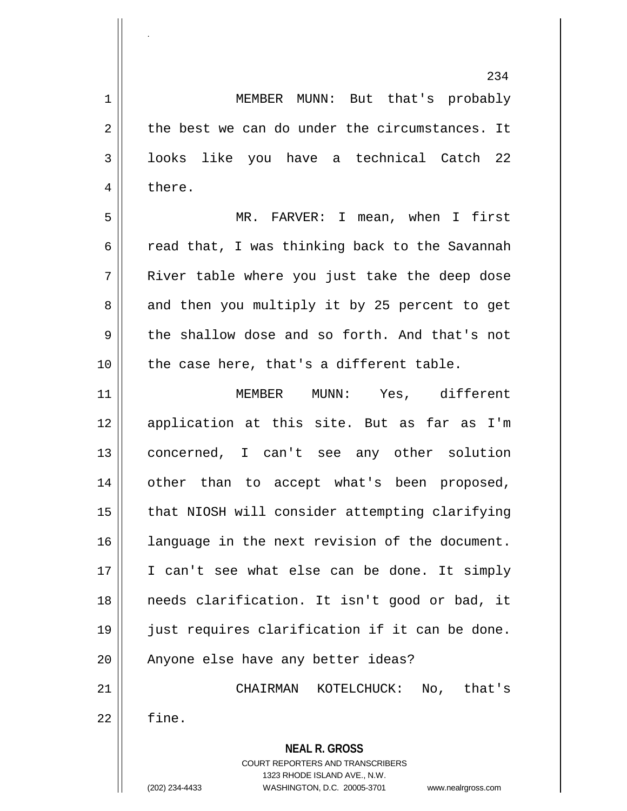**NEAL R. GROSS** COURT REPORTERS AND TRANSCRIBERS 234 1 MEMBER MUNN: But that's probably  $2 \parallel$  the best we can do under the circumstances. It  $3 \parallel$  looks like you have a technical Catch 22 4 | there. 5 MR. FARVER: I mean, when I first 6  $\parallel$  read that, I was thinking back to the Savannah 7 River table where you just take the deep dose  $8 \parallel$  and then you multiply it by 25 percent to get  $9 \parallel$  the shallow dose and so forth. And that's not  $10$  | the case here, that's a different table. 11 MEMBER MUNN: Yes, different 12 application at this site. But as far as I'm 13 concerned, I can't see any other solution 14 other than to accept what's been proposed, 15 | that NIOSH will consider attempting clarifying 16 language in the next revision of the document. 17 || I can't see what else can be done. It simply 18 needs clarification. It isn't good or bad, it 19 just requires clarification if it can be done. 20 || Anyone else have any better ideas? 21 CHAIRMAN KOTELCHUCK: No, that's  $22$   $\parallel$  fine.

1323 RHODE ISLAND AVE., N.W.

.

(202) 234-4433 WASHINGTON, D.C. 20005-3701 www.nealrgross.com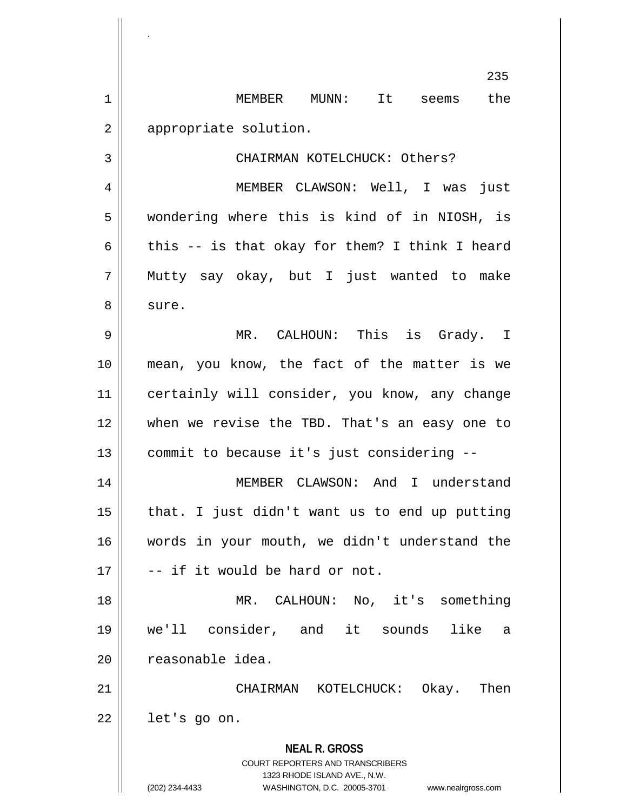1 MEMBER MUNN: It seems the 2 | appropriate solution.

.

3 || CHAIRMAN KOTELCHUCK: Others?

235

4 MEMBER CLAWSON: Well, I was just 5 wondering where this is kind of in NIOSH, is 6 | this -- is that okay for them? I think I heard 7 Mutty say okay, but I just wanted to make 8 | sure.

 MR. CALHOUN: This is Grady. I mean, you know, the fact of the matter is we 11 | certainly will consider, you know, any change when we revise the TBD. That's an easy one to commit to because it's just considering --

14 || MEMBER CLAWSON: And I understand  $15$  || that. I just didn't want us to end up putting 16 words in your mouth, we didn't understand the  $17 \parallel$  -- if it would be hard or not.

18 MR. CALHOUN: No, it's something 19 we'll consider, and it sounds like a 20 | reasonable idea.

21 CHAIRMAN KOTELCHUCK: Okay. Then  $22 \parallel$  let's go on.

> **NEAL R. GROSS** COURT REPORTERS AND TRANSCRIBERS 1323 RHODE ISLAND AVE., N.W. (202) 234-4433 WASHINGTON, D.C. 20005-3701 www.nealrgross.com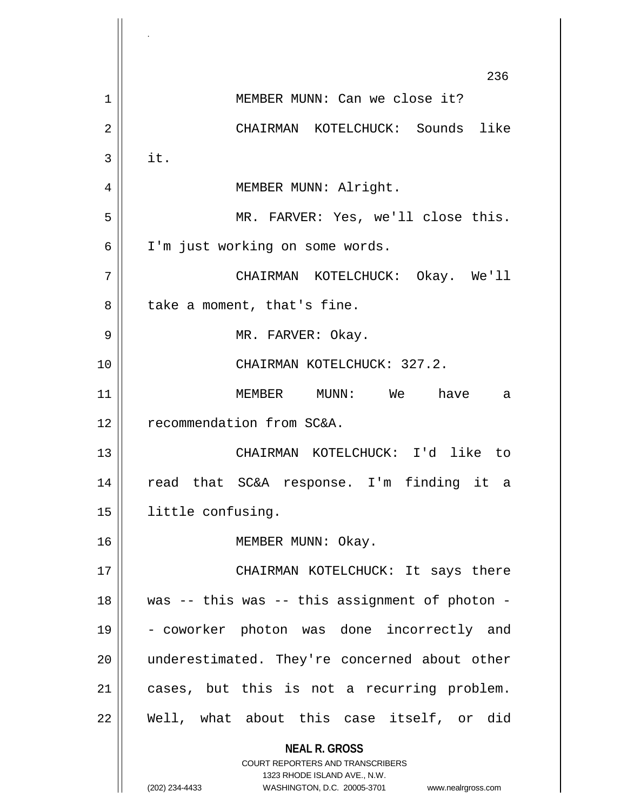**NEAL R. GROSS** COURT REPORTERS AND TRANSCRIBERS 1323 RHODE ISLAND AVE., N.W. (202) 234-4433 WASHINGTON, D.C. 20005-3701 www.nealrgross.com 236 1 || MEMBER MUNN: Can we close it? 2 CHAIRMAN KOTELCHUCK: Sounds like  $3 \parallel$  it. 4 MEMBER MUNN: Alright. 5 MR. FARVER: Yes, we'll close this. 6 I'm just working on some words. 7 CHAIRMAN KOTELCHUCK: Okay. We'll 8 || take a moment, that's fine. 9 MR. FARVER: Okay. 10 || CHAIRMAN KOTELCHUCK: 327.2. 11 MEMBER MUNN: We have a 12 | recommendation from SC&A. 13 CHAIRMAN KOTELCHUCK: I'd like to 14 read that SC&A response. I'm finding it a 15 | little confusing. 16 || MEMBER MUNN: Okay. 17 || CHAIRMAN KOTELCHUCK: It says there  $18$  || was -- this was -- this assignment of photon -19 - coworker photon was done incorrectly and 20 || underestimated. They're concerned about other 21 || cases, but this is not a recurring problem. 22 || Well, what about this case itself, or did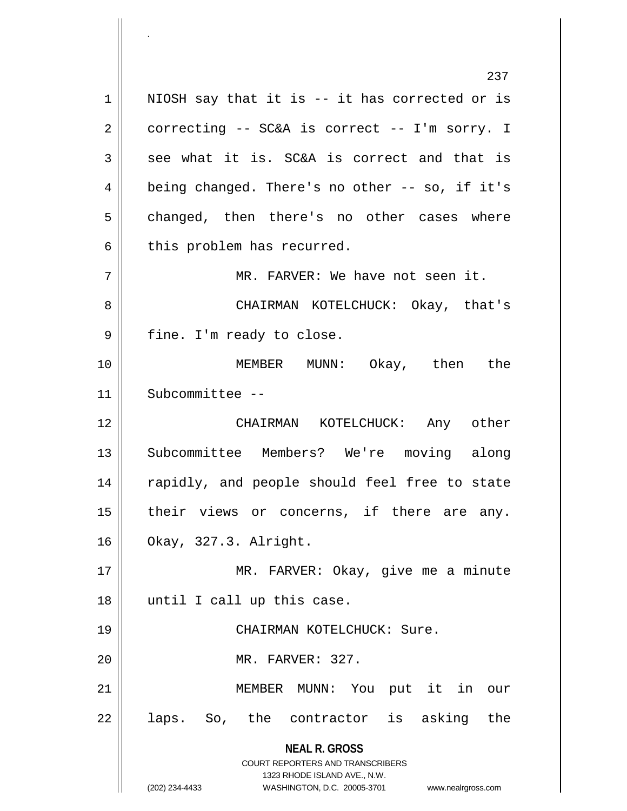**NEAL R. GROSS** COURT REPORTERS AND TRANSCRIBERS 1323 RHODE ISLAND AVE., N.W. (202) 234-4433 WASHINGTON, D.C. 20005-3701 www.nealrgross.com  $1 \parallel$  NIOSH say that it is -- it has corrected or is  $2 \parallel$  correcting -- SC&A is correct -- I'm sorry. I  $3 \parallel$  see what it is. SC&A is correct and that is  $4 \parallel$  being changed. There's no other -- so, if it's  $5 \parallel$  changed, then there's no other cases where  $6 \parallel$  this problem has recurred. 7 MR. FARVER: We have not seen it. 8 CHAIRMAN KOTELCHUCK: Okay, that's 9 || fine. I'm ready to close. 10 MEMBER MUNN: Okay, then the 11 Subcommittee -- 12 CHAIRMAN KOTELCHUCK: Any other 13 Subcommittee Members? We're moving along 14 || rapidly, and people should feel free to state  $15$  | their views or concerns, if there are any. 16 Okay, 327.3. Alright. 17 || MR. FARVER: Okay, give me a minute 18 || until I call up this case. 19 || CHAIRMAN KOTELCHUCK: Sure. 20 || MR. FARVER: 327. 21 MEMBER MUNN: You put it in our  $22 \parallel$  laps. So, the contractor is asking the

.

237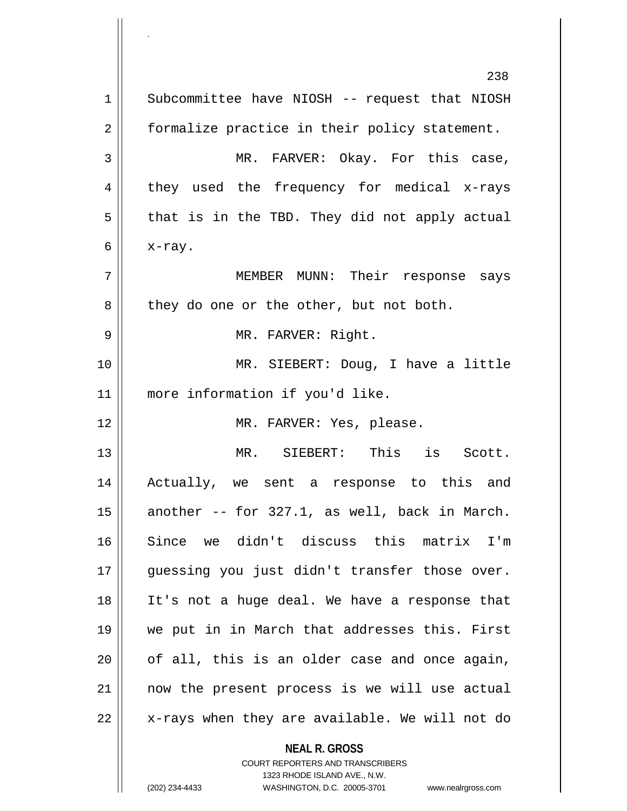**NEAL R. GROSS** 238 1 | Subcommittee have NIOSH -- request that NIOSH 2 | formalize practice in their policy statement. 3 MR. FARVER: Okay. For this case,  $4 \parallel$  they used the frequency for medical x-rays  $5 \parallel$  that is in the TBD. They did not apply actual 6  $\vert x$ -ray. 7 MEMBER MUNN: Their response says  $8 \parallel$  they do one or the other, but not both. 9 || MR. FARVER: Right. 10 MR. SIEBERT: Doug, I have a little 11 more information if you'd like. 12 || MR. FARVER: Yes, please. 13 MR. SIEBERT: This is Scott. 14 Actually, we sent a response to this and 15  $\parallel$  another -- for 327.1, as well, back in March. 16 Since we didn't discuss this matrix I'm 17 || guessing you just didn't transfer those over. 18 It's not a huge deal. We have a response that 19 we put in in March that addresses this. First  $20$  | of all, this is an older case and once again, 21 now the present process is we will use actual 22 || x-rays when they are available. We will not do

COURT REPORTERS AND TRANSCRIBERS

(202) 234-4433 WASHINGTON, D.C. 20005-3701 www.nealrgross.com

.

1323 RHODE ISLAND AVE., N.W.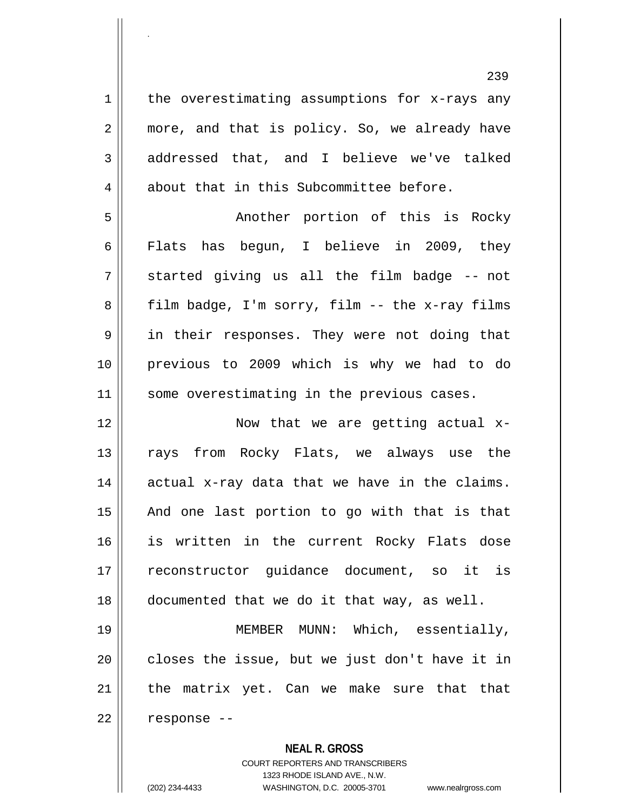239  $1 \parallel$  the overestimating assumptions for x-rays any 2 || more, and that is policy. So, we already have 3 addressed that, and I believe we've talked 4 about that in this Subcommittee before. 5 Another portion of this is Rocky 6 Flats has begun, I believe in 2009, they  $7 \parallel$  started giving us all the film badge -- not  $8 \parallel$  film badge, I'm sorry, film -- the x-ray films 9 || in their responses. They were not doing that 10 previous to 2009 which is why we had to do 11 || some overestimating in the previous cases. 12 || Now that we are getting actual x-13 || rays from Rocky Flats, we always use the  $14$  actual x-ray data that we have in the claims.  $15$  || And one last portion to go with that is that 16 || is written in the current Rocky Flats dose 17 reconstructor guidance document, so it is 18 documented that we do it that way, as well. 19 MEMBER MUNN: Which, essentially,  $20$   $\vert$  closes the issue, but we just don't have it in  $21$  | the matrix yet. Can we make sure that that  $22$  | response --

**NEAL R. GROSS**

COURT REPORTERS AND TRANSCRIBERS 1323 RHODE ISLAND AVE., N.W. (202) 234-4433 WASHINGTON, D.C. 20005-3701 www.nealrgross.com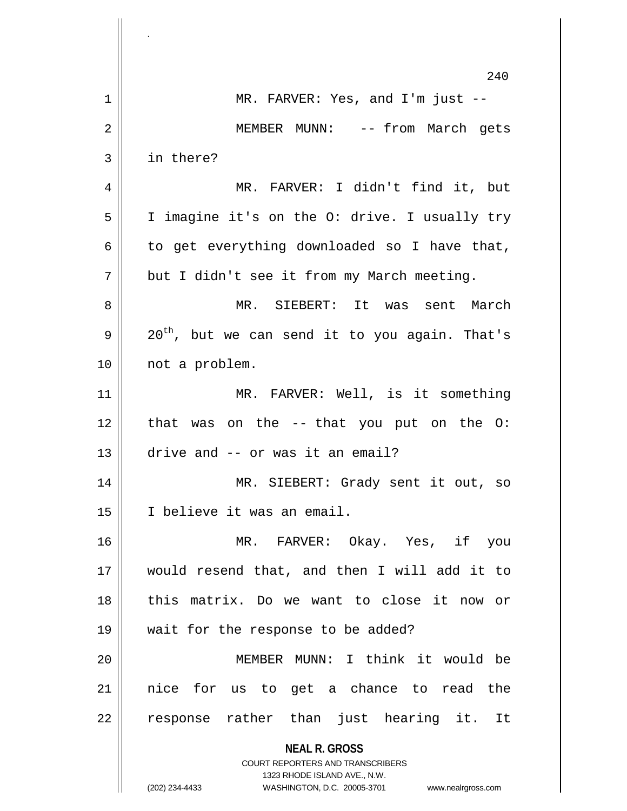|    | 240                                                                 |
|----|---------------------------------------------------------------------|
| 1  | MR. FARVER: Yes, and I'm just $-$                                   |
| 2  | MEMBER MUNN: -- from March gets                                     |
| 3  | in there?                                                           |
| 4  | MR. FARVER: I didn't find it, but                                   |
| 5  | I imagine it's on the O: drive. I usually try                       |
| 6  | to get everything downloaded so I have that,                        |
| 7  | but I didn't see it from my March meeting.                          |
| 8  | MR. SIEBERT: It was sent March                                      |
| 9  | 20 <sup>th</sup> , but we can send it to you again. That's          |
| 10 | not a problem.                                                      |
| 11 | MR. FARVER: Well, is it something                                   |
| 12 | that was on the -- that you put on the O:                           |
| 13 | drive and -- or was it an email?                                    |
| 14 | MR. SIEBERT: Grady sent it out, so                                  |
| 15 | I believe it was an email.                                          |
| 16 | MR. FARVER: Okay. Yes, if you                                       |
| 17 | would resend that, and then I will add it to                        |
| 18 | this matrix. Do we want to close it now or                          |
| 19 | wait for the response to be added?                                  |
| 20 | MEMBER MUNN: I think it would be                                    |
| 21 | nice for us to get a chance to read the                             |
| 22 | response rather than just hearing it. It                            |
|    | <b>NEAL R. GROSS</b>                                                |
|    | COURT REPORTERS AND TRANSCRIBERS<br>1323 RHODE ISLAND AVE., N.W.    |
|    | (202) 234-4433<br>WASHINGTON, D.C. 20005-3701<br>www.nealrgross.com |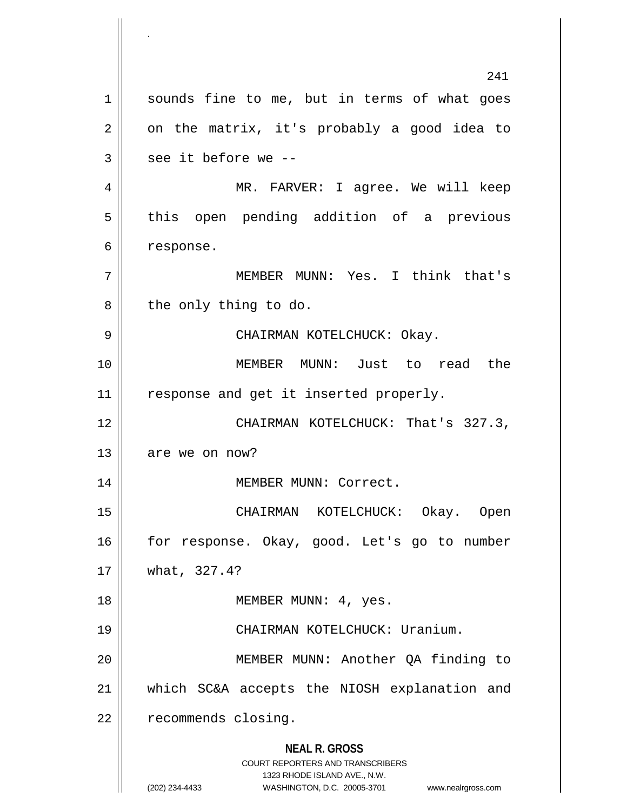**NEAL R. GROSS** COURT REPORTERS AND TRANSCRIBERS 1323 RHODE ISLAND AVE., N.W. (202) 234-4433 WASHINGTON, D.C. 20005-3701 www.nealrgross.com 241 1 || sounds fine to me, but in terms of what goes  $2 \parallel$  on the matrix, it's probably a good idea to  $3 \parallel$  see it before we --4 MR. FARVER: I agree. We will keep 5 || this open pending addition of a previous 6 | response. 7 MEMBER MUNN: Yes. I think that's  $8 \parallel$  the only thing to do. 9 CHAIRMAN KOTELCHUCK: Okay. 10 MEMBER MUNN: Just to read the 11 || response and get it inserted properly. 12 | CHAIRMAN KOTELCHUCK: That's 327.3,  $13$  | are we on now? 14 | MEMBER MUNN: Correct. 15 CHAIRMAN KOTELCHUCK: Okay. Open 16 || for response. Okay, good. Let's go to number 17 what, 327.4? 18 || MEMBER MUNN: 4, yes. 19 CHAIRMAN KOTELCHUCK: Uranium. 20 MEMBER MUNN: Another QA finding to 21 which SC&A accepts the NIOSH explanation and 22 | recommends closing.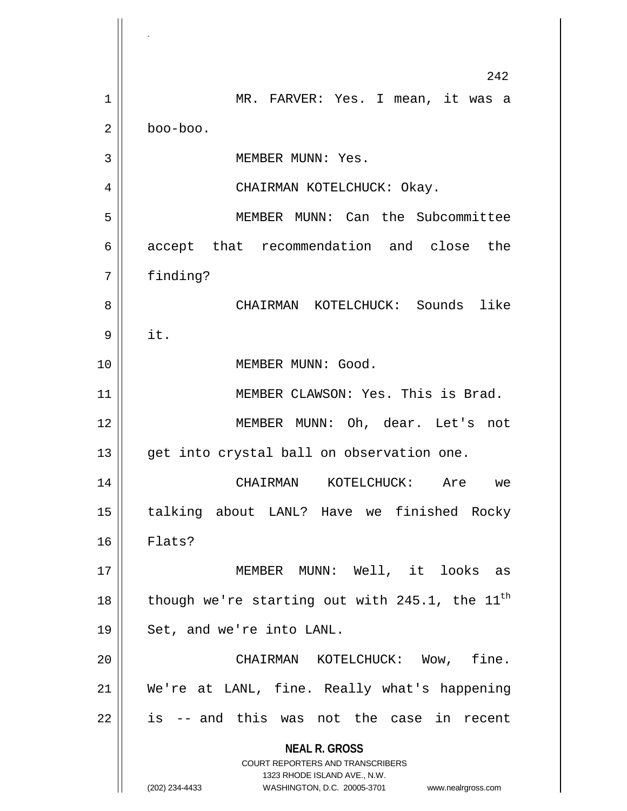**NEAL R. GROSS** COURT REPORTERS AND TRANSCRIBERS 1323 RHODE ISLAND AVE., N.W. (202) 234-4433 WASHINGTON, D.C. 20005-3701 www.nealrgross.com 242 1 MR. FARVER: Yes. I mean, it was a 2 boo-boo. 3 || MEMBER MUNN: Yes. 4 CHAIRMAN KOTELCHUCK: Okay. 5 MEMBER MUNN: Can the Subcommittee 6 accept that recommendation and close the 7 finding? 8 CHAIRMAN KOTELCHUCK: Sounds like 9 it. 10 MEMBER MUNN: Good. 11 || MEMBER CLAWSON: Yes. This is Brad. 12 || MEMBER MUNN: Oh, dear. Let's not 13 || get into crystal ball on observation one. 14 CHAIRMAN KOTELCHUCK: Are we 15 talking about LANL? Have we finished Rocky 16 Flats? 17 MEMBER MUNN: Well, it looks as 18  $\parallel$  though we're starting out with 245.1, the 11<sup>th</sup>  $19 \parallel$  Set, and we're into LANL. 20 CHAIRMAN KOTELCHUCK: Wow, fine. 21 We're at LANL, fine. Really what's happening  $22 \parallel$  is -- and this was not the case in recent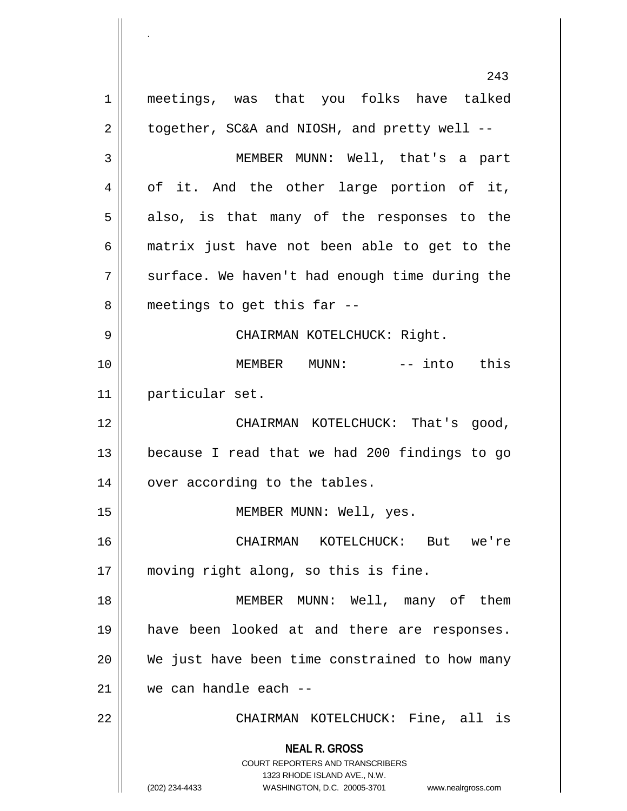**NEAL R. GROSS** COURT REPORTERS AND TRANSCRIBERS 1323 RHODE ISLAND AVE., N.W. (202) 234-4433 WASHINGTON, D.C. 20005-3701 www.nealrgross.com 243 1 meetings, was that you folks have talked  $2 \parallel$  together, SC&A and NIOSH, and pretty well --3 MEMBER MUNN: Well, that's a part 4 || of it. And the other large portion of it,  $5 \parallel$  also, is that many of the responses to the 6 matrix just have not been able to get to the  $7 \parallel$  surface. We haven't had enough time during the  $8 \parallel$  meetings to get this far --9 CHAIRMAN KOTELCHUCK: Right. 10 MEMBER MUNN: -- into this 11 particular set. 12 || CHAIRMAN KOTELCHUCK: That's good, 13 because I read that we had 200 findings to go  $14$  | over according to the tables. 15 || MEMBER MUNN: Well, yes. 16 CHAIRMAN KOTELCHUCK: But we're 17 moving right along, so this is fine. 18 MEMBER MUNN: Well, many of them 19 have been looked at and there are responses.  $20$  We just have been time constrained to how many 21 we can handle each -- 22 CHAIRMAN KOTELCHUCK: Fine, all is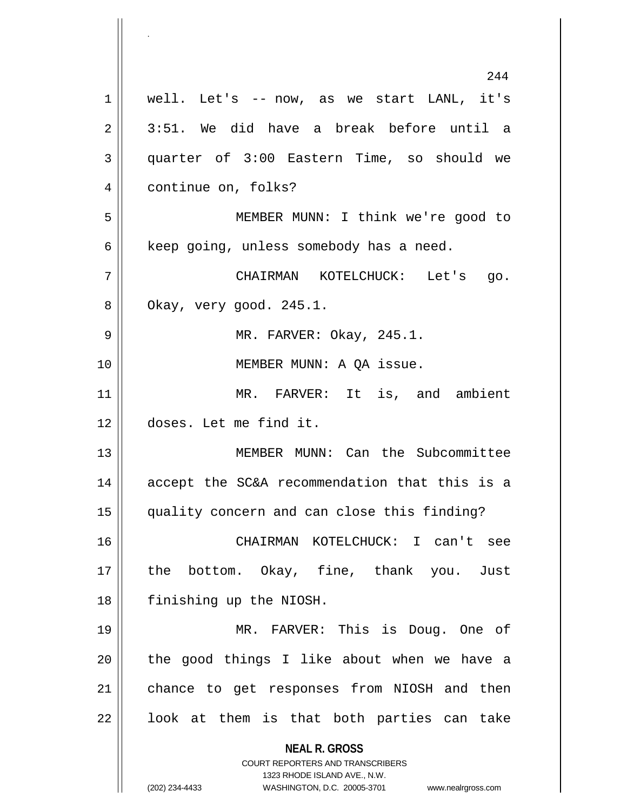**NEAL R. GROSS** COURT REPORTERS AND TRANSCRIBERS 1323 RHODE ISLAND AVE., N.W. (202) 234-4433 WASHINGTON, D.C. 20005-3701 www.nealrgross.com 244 1 well. Let's -- now, as we start LANL, it's  $2 \parallel 3:51$ . We did have a break before until a 3 quarter of 3:00 Eastern Time, so should we 4 | continue on, folks? 5 MEMBER MUNN: I think we're good to  $6 \parallel$  keep going, unless somebody has a need. 7 CHAIRMAN KOTELCHUCK: Let's go.  $8 \parallel$  Okay, very good. 245.1. 9 MR. FARVER: Okay, 245.1. 10 || **MEMBER MUNN: A QA issue.** 11 MR. FARVER: It is, and ambient 12 doses. Let me find it. 13 || MEMBER MUNN: Can the Subcommittee 14 accept the SC&A recommendation that this is a 15 quality concern and can close this finding? 16 CHAIRMAN KOTELCHUCK: I can't see 17 the bottom. Okay, fine, thank you. Just 18 finishing up the NIOSH. 19 MR. FARVER: This is Doug. One of  $20$  || the good things I like about when we have a 21 | chance to get responses from NIOSH and then  $22$  || look at them is that both parties can take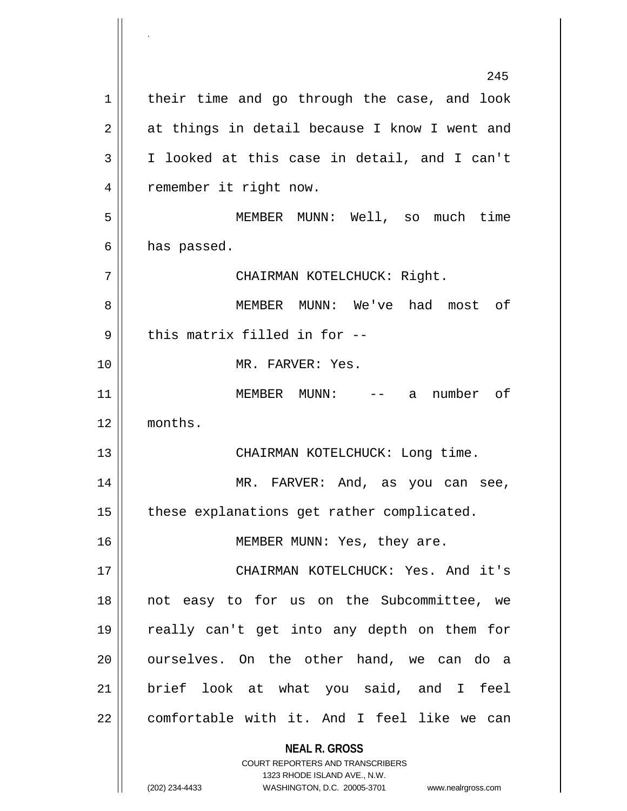**NEAL R. GROSS** COURT REPORTERS AND TRANSCRIBERS 1323 RHODE ISLAND AVE., N.W. (202) 234-4433 WASHINGTON, D.C. 20005-3701 www.nealrgross.com 245  $1 \parallel$  their time and go through the case, and look 2 || at things in detail because I know I went and 3 I looked at this case in detail, and I can't 4 | remember it right now. 5 MEMBER MUNN: Well, so much time  $6 \parallel$  has passed. 7 CHAIRMAN KOTELCHUCK: Right. 8 MEMBER MUNN: We've had most of  $9$   $\parallel$  this matrix filled in for --10 MR. FARVER: Yes. 11 MEMBER MUNN: -- a number of 12 months. 13 || CHAIRMAN KOTELCHUCK: Long time. 14 MR. FARVER: And, as you can see, 15 | these explanations get rather complicated. 16 || MEMBER MUNN: Yes, they are. 17 CHAIRMAN KOTELCHUCK: Yes. And it's 18 not easy to for us on the Subcommittee, we 19 really can't get into any depth on them for 20 || ourselves. On the other hand, we can do a 21 brief look at what you said, and I feel  $22$  | comfortable with it. And I feel like we can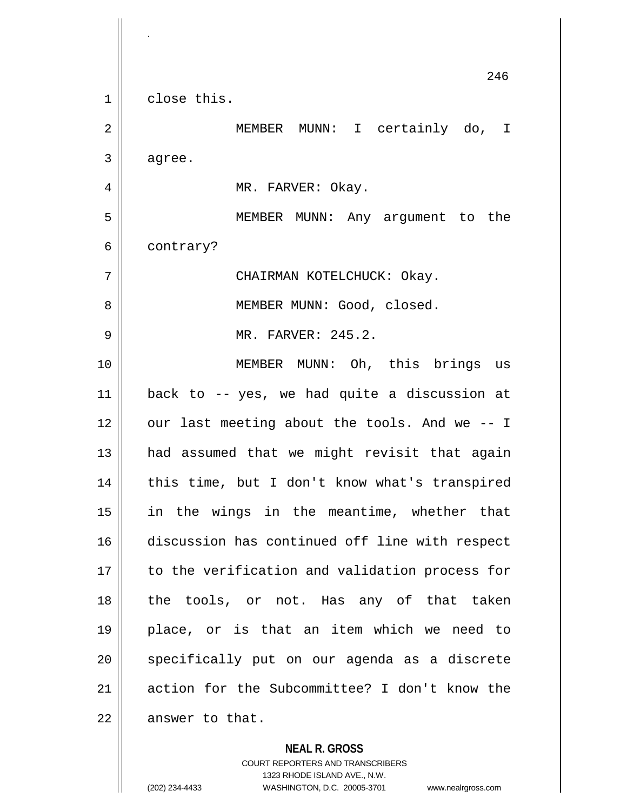**NEAL R. GROSS** 246 1<sup>1</sup> close this. 2 || MEMBER MUNN: I certainly do, I  $3 \parallel$  agree. 4 | MR. FARVER: Okay. 5 MEMBER MUNN: Any argument to the 6 | contrary? 7 CHAIRMAN KOTELCHUCK: Okay. 8 || MEMBER MUNN: Good, closed. 9 MR. FARVER: 245.2. 10 MEMBER MUNN: Oh, this brings us 11 back to -- yes, we had quite a discussion at 12 || our last meeting about the tools. And we -- I 13 || had assumed that we might revisit that again 14 || this time, but I don't know what's transpired 15 in the wings in the meantime, whether that 16 discussion has continued off line with respect 17 || to the verification and validation process for 18 the tools, or not. Has any of that taken 19 place, or is that an item which we need to 20 || specifically put on our agenda as a discrete 21 action for the Subcommittee? I don't know the  $22$  | answer to that.

> COURT REPORTERS AND TRANSCRIBERS 1323 RHODE ISLAND AVE., N.W. (202) 234-4433 WASHINGTON, D.C. 20005-3701 www.nealrgross.com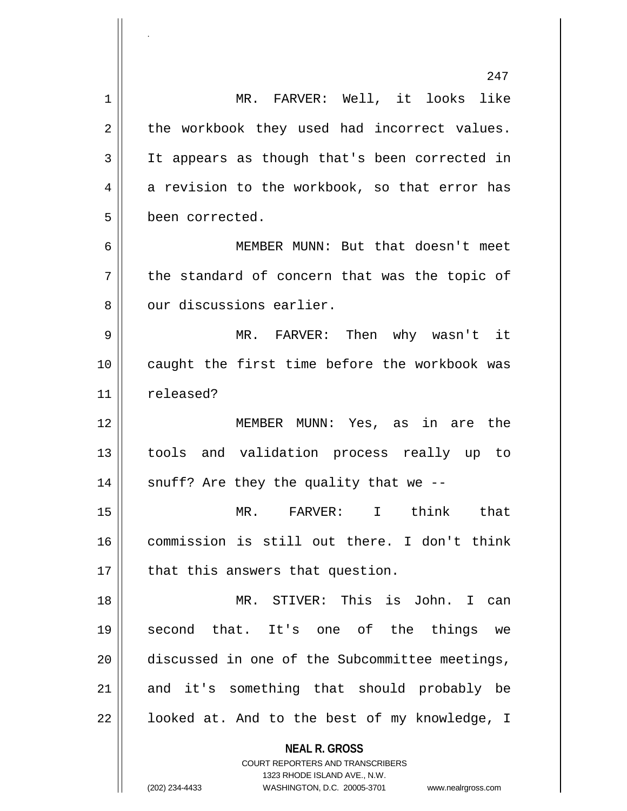|    | 247                                                                                                 |
|----|-----------------------------------------------------------------------------------------------------|
| 1  | MR. FARVER: Well, it looks like                                                                     |
| 2  | the workbook they used had incorrect values.                                                        |
| 3  | It appears as though that's been corrected in                                                       |
| 4  | a revision to the workbook, so that error has                                                       |
| 5  | been corrected.                                                                                     |
| 6  | MEMBER MUNN: But that doesn't meet                                                                  |
| 7  | the standard of concern that was the topic of                                                       |
| 8  | our discussions earlier.                                                                            |
| 9  | MR. FARVER: Then why wasn't it                                                                      |
| 10 | caught the first time before the workbook was                                                       |
| 11 | released?                                                                                           |
| 12 | MEMBER MUNN: Yes, as in are the                                                                     |
| 13 | tools and validation process really up to                                                           |
| 14 | snuff? Are they the quality that we $-$ -                                                           |
| 15 | MR. FARVER: I think that                                                                            |
| 16 | commission is still out there. I don't think                                                        |
| 17 | that this answers that question.                                                                    |
| 18 | MR. STIVER: This is John. I can                                                                     |
| 19 | second that. It's one of the things<br>we                                                           |
| 20 | discussed in one of the Subcommittee meetings,                                                      |
| 21 | and it's something that should probably be                                                          |
| 22 | looked at. And to the best of my knowledge, I                                                       |
|    | <b>NEAL R. GROSS</b>                                                                                |
|    | <b>COURT REPORTERS AND TRANSCRIBERS</b>                                                             |
|    | 1323 RHODE ISLAND AVE., N.W.<br>(202) 234-4433<br>WASHINGTON, D.C. 20005-3701<br>www.nealrgross.com |
|    |                                                                                                     |

.

 $\mathop{\text{||}}$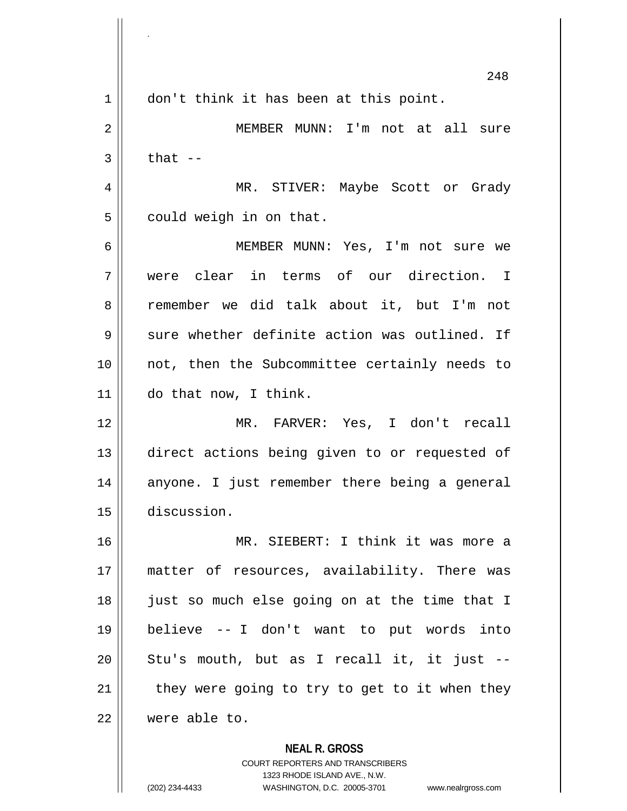**NEAL R. GROSS** 248 1 || don't think it has been at this point. MEMBER MUNN: I'm not at all sure  $3 \parallel$  that  $-$  MR. STIVER: Maybe Scott or Grady  $5 \parallel$  could weigh in on that. MEMBER MUNN: Yes, I'm not sure we were clear in terms of our direction. I 8 remember we did talk about it, but I'm not  $9 \parallel$  sure whether definite action was outlined. If not, then the Subcommittee certainly needs to do that now, I think. MR. FARVER: Yes, I don't recall direct actions being given to or requested of 14 || anyone. I just remember there being a general discussion. MR. SIEBERT: I think it was more a matter of resources, availability. There was 18 || just so much else going on at the time that I believe -- I don't want to put words into || Stu's mouth, but as I recall it, it just  $-$  | they were going to try to get to it when they were able to.

> COURT REPORTERS AND TRANSCRIBERS 1323 RHODE ISLAND AVE., N.W.

.

(202) 234-4433 WASHINGTON, D.C. 20005-3701 www.nealrgross.com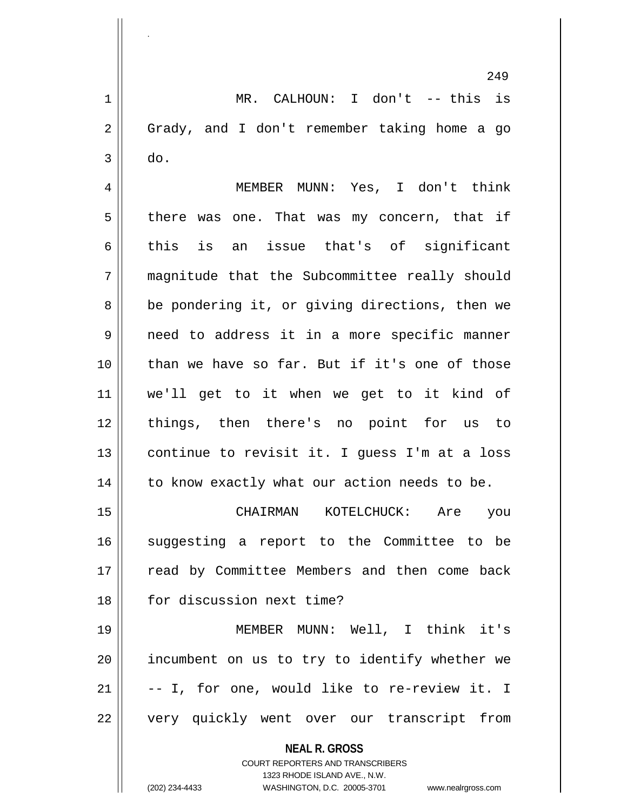**NEAL R. GROSS** COURT REPORTERS AND TRANSCRIBERS 249 1 MR. CALHOUN: I don't -- this is 2 || Grady, and I don't remember taking home a go  $3 \parallel$  do. 4 MEMBER MUNN: Yes, I don't think  $5 \parallel$  there was one. That was my concern, that if 6 this is an issue that's of significant 7 magnitude that the Subcommittee really should  $8 \parallel$  be pondering it, or giving directions, then we 9 need to address it in a more specific manner 10 than we have so far. But if it's one of those 11 we'll get to it when we get to it kind of 12 things, then there's no point for us to 13  $\parallel$  continue to revisit it. I guess I'm at a loss  $14$  | to know exactly what our action needs to be. 15 CHAIRMAN KOTELCHUCK: Are you 16 || suggesting a report to the Committee to be 17 || read by Committee Members and then come back 18 **for discussion next time?** 19 MEMBER MUNN: Well, I think it's 20 incumbent on us to try to identify whether we  $21$   $\vert$  -- I, for one, would like to re-review it. I 22 || very quickly went over our transcript from

1323 RHODE ISLAND AVE., N.W.

.

(202) 234-4433 WASHINGTON, D.C. 20005-3701 www.nealrgross.com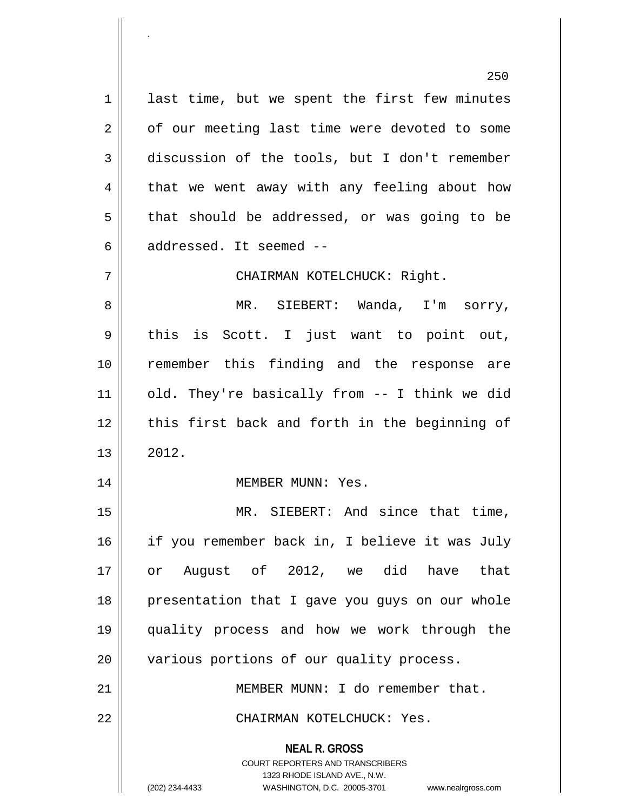**NEAL R. GROSS** COURT REPORTERS AND TRANSCRIBERS 1323 RHODE ISLAND AVE., N.W. (202) 234-4433 WASHINGTON, D.C. 20005-3701 www.nealrgross.com  $1 \parallel$  last time, but we spent the first few minutes  $2 \parallel$  of our meeting last time were devoted to some 3 discussion of the tools, but I don't remember  $4 \parallel$  that we went away with any feeling about how  $5 \parallel$  that should be addressed, or was going to be 6  $\parallel$  addressed. It seemed --7 CHAIRMAN KOTELCHUCK: Right. 8 MR. SIEBERT: Wanda, I'm sorry, 9 || this is Scott. I just want to point out, 10 remember this finding and the response are 11 || old. They're basically from -- I think we did 12 || this first back and forth in the beginning of  $13 \parallel 2012.$ 14 || MEMBER MUNN: Yes. 15 || MR. SIEBERT: And since that time, 16 if you remember back in, I believe it was July 17 or August of 2012, we did have that 18 || presentation that I gave you guys on our whole 19 quality process and how we work through the 20 | various portions of our quality process. 21 MEMBER MUNN: I do remember that. 22 CHAIRMAN KOTELCHUCK: Yes.

.

250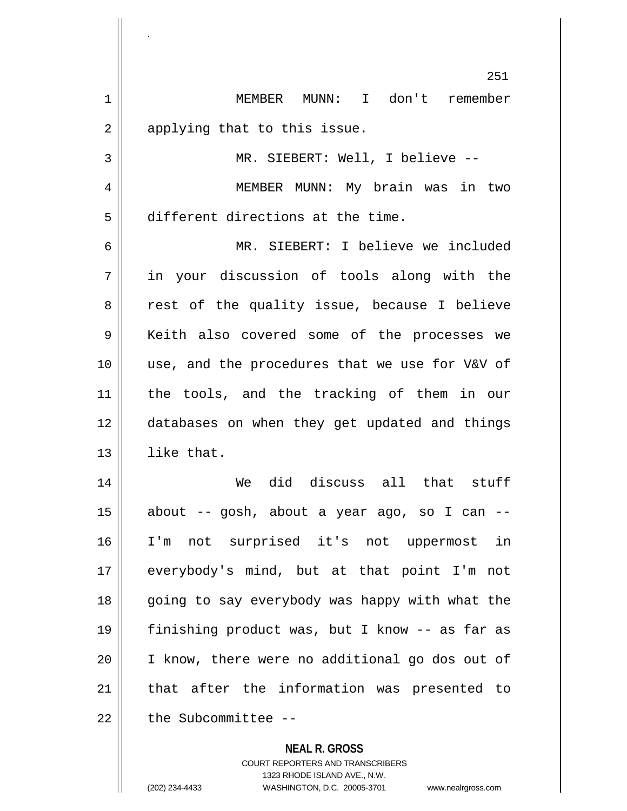**NEAL R. GROSS** COURT REPORTERS AND TRANSCRIBERS 251 1 MEMBER MUNN: I don't remember  $2 \parallel$  applying that to this issue. 3 || MR. SIEBERT: Well, I believe --4 MEMBER MUNN: My brain was in two 5 different directions at the time. 6 MR. SIEBERT: I believe we included 7 in your discussion of tools along with the 8 || rest of the quality issue, because I believe 9 || Keith also covered some of the processes we 10 use, and the procedures that we use for V&V of 11 the tools, and the tracking of them in our 12 databases on when they get updated and things 13 || like that. 14 We did discuss all that stuff  $15$  about -- gosh, about a year ago, so I can --16 I'm not surprised it's not uppermost in 17 everybody's mind, but at that point I'm not 18 || going to say everybody was happy with what the 19 finishing product was, but I know -- as far as 20 I know, there were no additional go dos out of 21 || that after the information was presented to 22 decryptive the Subcommittee --

1323 RHODE ISLAND AVE., N.W.

.

(202) 234-4433 WASHINGTON, D.C. 20005-3701 www.nealrgross.com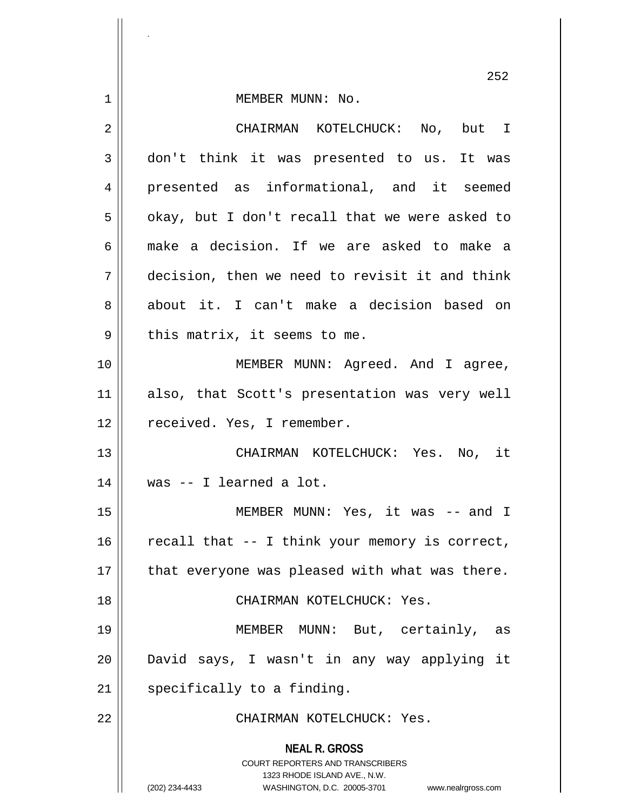1 | MEMBER MUNN: No.

| $\overline{2}$ | CHAIRMAN KOTELCHUCK: No, but I                                                                                                                                         |
|----------------|------------------------------------------------------------------------------------------------------------------------------------------------------------------------|
| 3              | don't think it was presented to us. It was                                                                                                                             |
| 4              | presented as informational, and it seemed                                                                                                                              |
| 5              | okay, but I don't recall that we were asked to                                                                                                                         |
| 6              | make a decision. If we are asked to make a                                                                                                                             |
| 7              | decision, then we need to revisit it and think                                                                                                                         |
| 8              | about it. I can't make a decision based on                                                                                                                             |
| 9              | this matrix, it seems to me.                                                                                                                                           |
| 10             | MEMBER MUNN: Agreed. And I agree,                                                                                                                                      |
| 11             | also, that Scott's presentation was very well                                                                                                                          |
| 12             | received. Yes, I remember.                                                                                                                                             |
| 13             | CHAIRMAN KOTELCHUCK: Yes. No, it                                                                                                                                       |
| 14             | was -- I learned a lot.                                                                                                                                                |
| 15             | MEMBER MUNN: Yes, it was -- and I                                                                                                                                      |
| 16             | recall that -- I think your memory is correct,                                                                                                                         |
| 17             | that everyone was pleased with what was there.                                                                                                                         |
| 18             | CHAIRMAN KOTELCHUCK: Yes.                                                                                                                                              |
| 19             | MEMBER MUNN: But, certainly,<br>as                                                                                                                                     |
| 20             | David says, I wasn't in any way applying it                                                                                                                            |
| 21             | specifically to a finding.                                                                                                                                             |
| 22             | CHAIRMAN KOTELCHUCK: Yes.                                                                                                                                              |
|                | <b>NEAL R. GROSS</b><br><b>COURT REPORTERS AND TRANSCRIBERS</b><br>1323 RHODE ISLAND AVE., N.W.<br>WASHINGTON, D.C. 20005-3701<br>(202) 234-4433<br>www.nealrgross.com |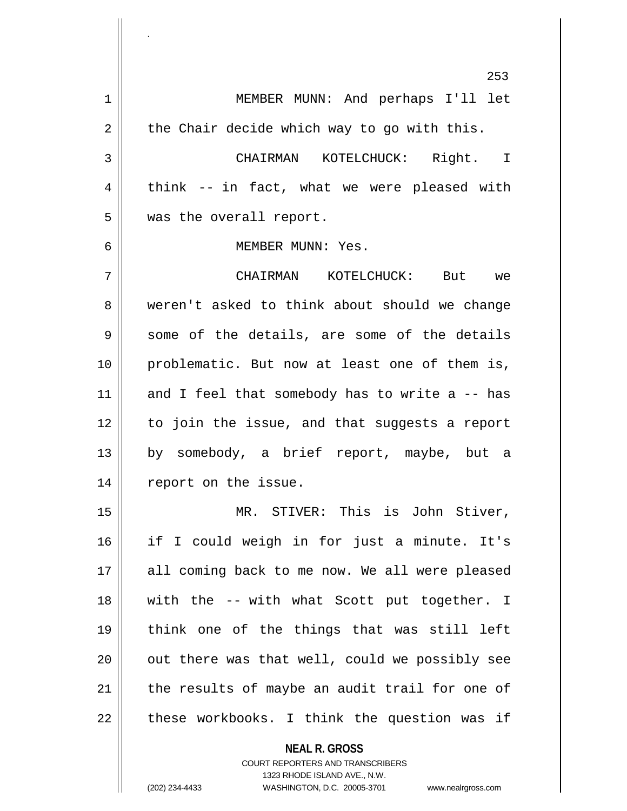**NEAL R. GROSS** COURT REPORTERS AND TRANSCRIBERS 253 1 MEMBER MUNN: And perhaps I'll let  $2 \parallel$  the Chair decide which way to go with this. 3 CHAIRMAN KOTELCHUCK: Right. I  $4 \parallel$  think -- in fact, what we were pleased with 5 | was the overall report. 6 MEMBER MUNN: Yes. 7 CHAIRMAN KOTELCHUCK: But we 8 weren't asked to think about should we change  $9 \parallel$  some of the details, are some of the details 10 problematic. But now at least one of them is, 11  $\parallel$  and I feel that somebody has to write a -- has 12 to join the issue, and that suggests a report 13 || by somebody, a brief report, maybe, but a 14 || report on the issue. 15 || MR. STIVER: This is John Stiver, 16 if I could weigh in for just a minute. It's 17 || all coming back to me now. We all were pleased 18 || with the -- with what Scott put together. I 19 think one of the things that was still left  $20$   $\parallel$  out there was that well, could we possibly see  $21$  the results of maybe an audit trail for one of  $22$  | these workbooks. I think the question was if

1323 RHODE ISLAND AVE., N.W.

.

(202) 234-4433 WASHINGTON, D.C. 20005-3701 www.nealrgross.com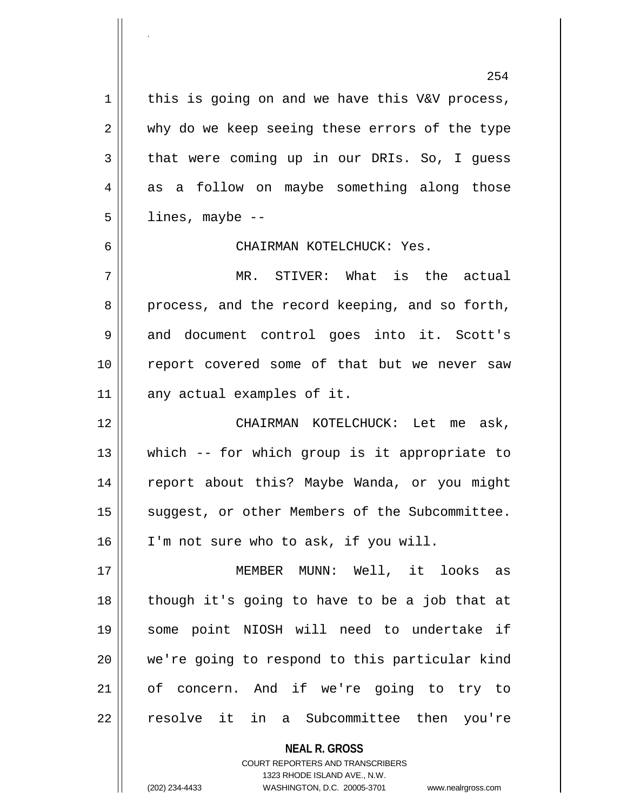254  $1 \parallel$  this is going on and we have this V&V process, 2 why do we keep seeing these errors of the type  $3 \parallel$  that were coming up in our DRIs. So, I quess 4 as a follow on maybe something along those  $5 \parallel$  lines, maybe --6 CHAIRMAN KOTELCHUCK: Yes. 7 MR. STIVER: What is the actual 8 process, and the record keeping, and so forth, 9 || and document control goes into it. Scott's 10 || report covered some of that but we never saw  $11$  any actual examples of it. 12 CHAIRMAN KOTELCHUCK: Let me ask, 13 which -- for which group is it appropriate to 14 || report about this? Maybe Wanda, or you might 15 || suggest, or other Members of the Subcommittee. 16 I'm not sure who to ask, if you will. 17 MEMBER MUNN: Well, it looks as 18 though it's going to have to be a job that at 19 some point NIOSH will need to undertake if 20 we're going to respond to this particular kind 21 of concern. And if we're going to try to 22 || resolve it in a Subcommittee then you're

> **NEAL R. GROSS** COURT REPORTERS AND TRANSCRIBERS 1323 RHODE ISLAND AVE., N.W.

.

(202) 234-4433 WASHINGTON, D.C. 20005-3701 www.nealrgross.com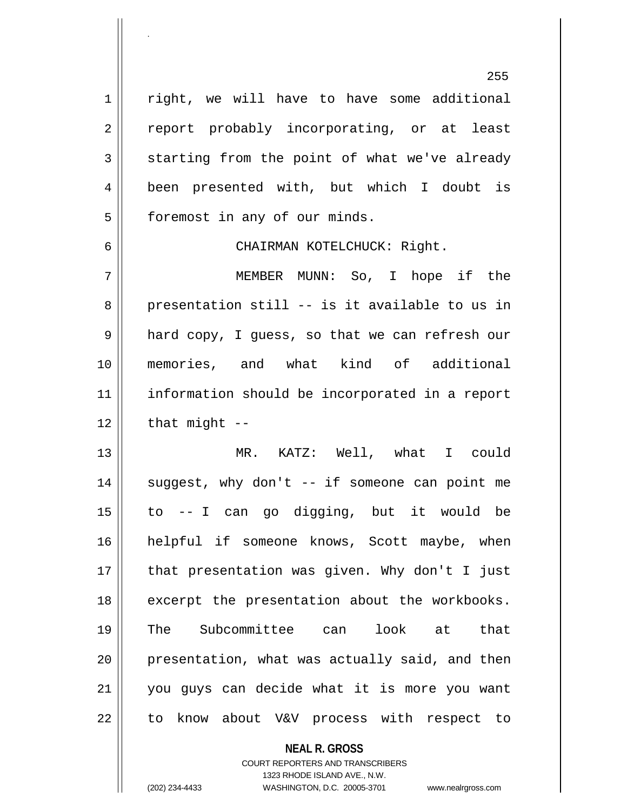1 | right, we will have to have some additional 2 || report probably incorporating, or at least  $3 \parallel$  starting from the point of what we've already 4 been presented with, but which I doubt is 5 | foremost in any of our minds. 6 CHAIRMAN KOTELCHUCK: Right. 7 MEMBER MUNN: So, I hope if the

 $8 \parallel$  presentation still -- is it available to us in 9 || hard copy, I guess, so that we can refresh our 10 memories, and what kind of additional 11 information should be incorporated in a report  $12$  | that might  $-$ 

 MR. KATZ: Well, what I could || suggest, why don't -- if someone can point me to -- I can go digging, but it would be helpful if someone knows, Scott maybe, when || that presentation was given. Why don't I just 18 || excerpt the presentation about the workbooks. The Subcommittee can look at that || presentation, what was actually said, and then you guys can decide what it is more you want 22 || to know about V&V process with respect to

> **NEAL R. GROSS** COURT REPORTERS AND TRANSCRIBERS 1323 RHODE ISLAND AVE., N.W.

.

(202) 234-4433 WASHINGTON, D.C. 20005-3701 www.nealrgross.com

255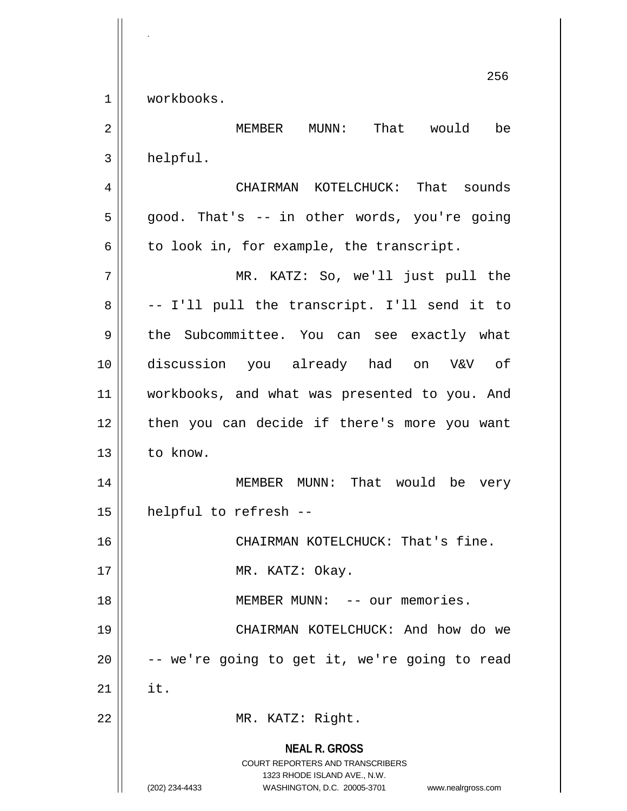1 workbooks.

.

**NEAL R. GROSS** COURT REPORTERS AND TRANSCRIBERS 1323 RHODE ISLAND AVE., N.W. (202) 234-4433 WASHINGTON, D.C. 20005-3701 www.nealrgross.com 2 MEMBER MUNN: That would be  $3 \parallel$  helpful. 4 CHAIRMAN KOTELCHUCK: That sounds  $5 \parallel$  good. That's -- in other words, you're going  $6 \parallel$  to look in, for example, the transcript. 7 MR. KATZ: So, we'll just pull the  $8 \parallel$  -- I'll pull the transcript. I'll send it to 9 the Subcommittee. You can see exactly what 10 discussion you already had on V&V of 11 || workbooks, and what was presented to you. And 12 || then you can decide if there's more you want 13 l to know. 14 || MEMBER MUNN: That would be very 15 helpful to refresh -- 16 || CHAIRMAN KOTELCHUCK: That's fine. 17 || MR. KATZ: Okay. 18 MEMBER MUNN: -- our memories. 19 CHAIRMAN KOTELCHUCK: And how do we  $20$   $\vert$  -- we're going to get it, we're going to read  $21$  lit. 22 || MR. KATZ: Right.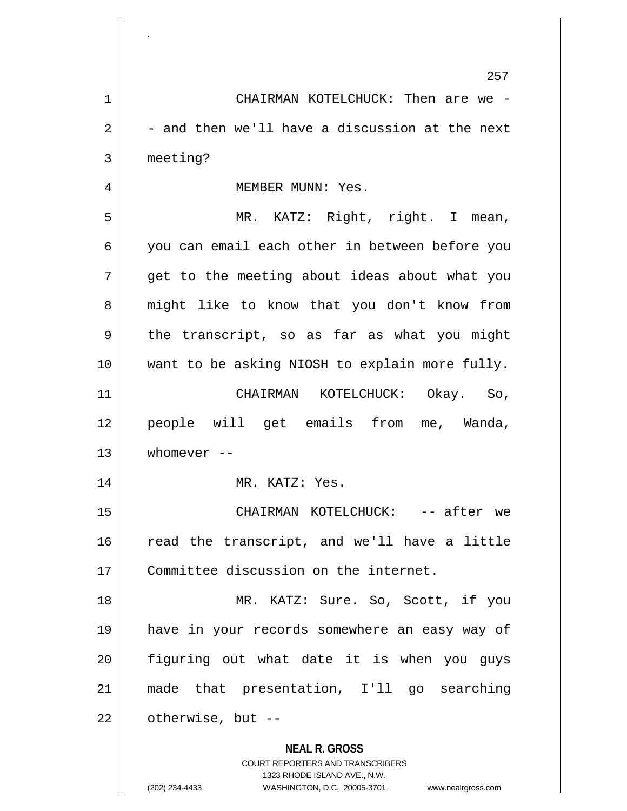|                | 257                                                                                                                                                                    |
|----------------|------------------------------------------------------------------------------------------------------------------------------------------------------------------------|
| $\mathbf 1$    | CHAIRMAN KOTELCHUCK: Then are we -                                                                                                                                     |
| $\overline{2}$ | - and then we'll have a discussion at the next                                                                                                                         |
| 3              | meeting?                                                                                                                                                               |
| 4              | MEMBER MUNN: Yes.                                                                                                                                                      |
| 5              | MR. KATZ: Right, right. I mean,                                                                                                                                        |
| 6              | you can email each other in between before you                                                                                                                         |
| 7              | get to the meeting about ideas about what you                                                                                                                          |
| 8              | might like to know that you don't know from                                                                                                                            |
| 9              | the transcript, so as far as what you might                                                                                                                            |
| 10             | want to be asking NIOSH to explain more fully.                                                                                                                         |
| 11             | CHAIRMAN KOTELCHUCK: Okay. So,                                                                                                                                         |
| 12             | people will get emails from me, Wanda,                                                                                                                                 |
| 13             | whomever $--$                                                                                                                                                          |
| 14             | MR. KATZ: Yes.                                                                                                                                                         |
| 15             | CHAIRMAN KOTELCHUCK: -- after we                                                                                                                                       |
| 16             | read the transcript, and we'll have a little                                                                                                                           |
| 17             | Committee discussion on the internet.                                                                                                                                  |
| 18             | MR. KATZ: Sure. So, Scott, if you                                                                                                                                      |
| 19             | have in your records somewhere an easy way of                                                                                                                          |
| 20             | figuring out what date it is when you guys                                                                                                                             |
| 21             | made that presentation, I'll go searching                                                                                                                              |
| 22             | otherwise, but --                                                                                                                                                      |
|                | <b>NEAL R. GROSS</b><br><b>COURT REPORTERS AND TRANSCRIBERS</b><br>1323 RHODE ISLAND AVE., N.W.<br>(202) 234-4433<br>WASHINGTON, D.C. 20005-3701<br>www.nealrgross.com |

.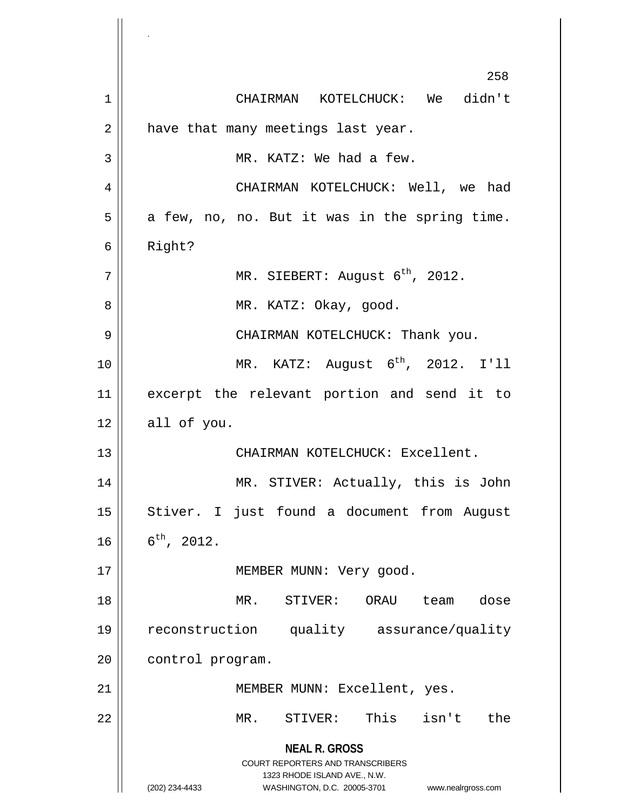**NEAL R. GROSS** COURT REPORTERS AND TRANSCRIBERS 1323 RHODE ISLAND AVE., N.W. (202) 234-4433 WASHINGTON, D.C. 20005-3701 www.nealrgross.com 258 1 CHAIRMAN KOTELCHUCK: We didn't  $2 \parallel$  have that many meetings last year. 3 || MR. KATZ: We had a few. 4 CHAIRMAN KOTELCHUCK: Well, we had  $5 \parallel$  a few, no, no. But it was in the spring time. 6 Right?  $7$  |  $\parallel$  MR. SIEBERT: August 6<sup>th</sup>, 2012. 8 MR. KATZ: Okay, good. 9 CHAIRMAN KOTELCHUCK: Thank you.  $10$  | MR. KATZ: August  $6^{th}$ , 2012. I'll 11 excerpt the relevant portion and send it to  $12 \parallel$  all of you. 13 CHAIRMAN KOTELCHUCK: Excellent. 14 MR. STIVER: Actually, this is John 15 || Stiver. I just found a document from August  $16 \parallel 6^{th}$ , 2012. 17 || MEMBER MUNN: Very good. 18 MR. STIVER: ORAU team dose 19 reconstruction quality assurance/quality 20 | control program. 21 | MEMBER MUNN: Excellent, yes. 22 MR. STIVER: This isn't the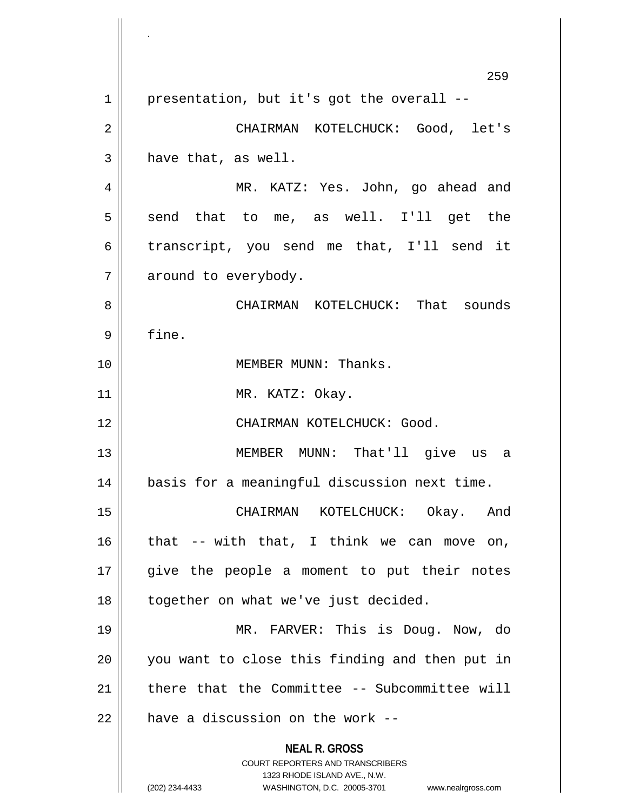**NEAL R. GROSS** COURT REPORTERS AND TRANSCRIBERS 1323 RHODE ISLAND AVE., N.W. (202) 234-4433 WASHINGTON, D.C. 20005-3701 www.nealrgross.com 259  $1 \parallel$  presentation, but it's got the overall --2 CHAIRMAN KOTELCHUCK: Good, let's  $3 \parallel$  have that, as well. 4 MR. KATZ: Yes. John, go ahead and  $5 \parallel$  send that to me, as well. I'll get the 6 transcript, you send me that, I'll send it 7 | around to everybody. 8 CHAIRMAN KOTELCHUCK: That sounds 9 | fine. 10 || MEMBER MUNN: Thanks. 11 || MR. KATZ: Okay. 12 CHAIRMAN KOTELCHUCK: Good. 13 MEMBER MUNN: That'll give us a 14 || basis for a meaningful discussion next time. 15 CHAIRMAN KOTELCHUCK: Okay. And  $16$  that -- with that, I think we can move on, 17 || give the people a moment to put their notes 18 || together on what we've just decided. 19 MR. FARVER: This is Doug. Now, do 20 || you want to close this finding and then put in 21  $\parallel$  there that the Committee -- Subcommittee will  $22$  || have a discussion on the work --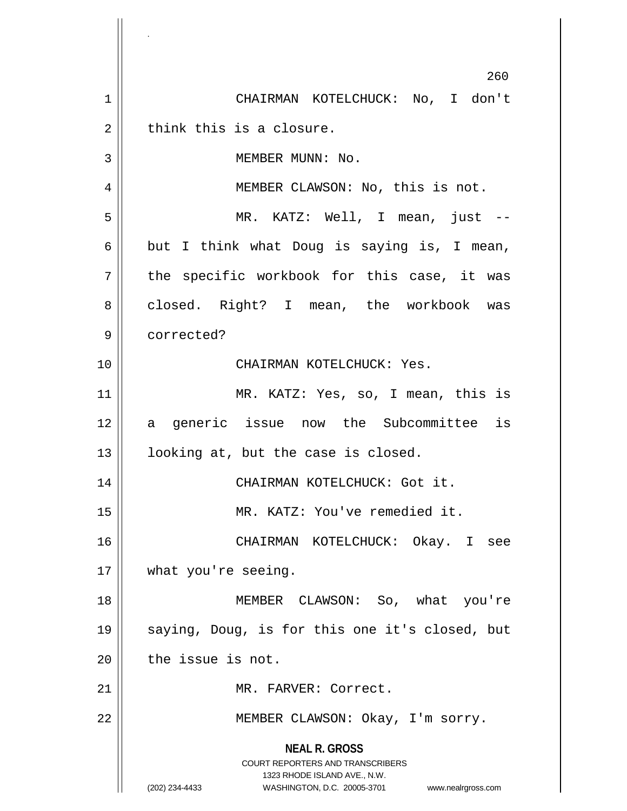**NEAL R. GROSS** COURT REPORTERS AND TRANSCRIBERS 1323 RHODE ISLAND AVE., N.W. (202) 234-4433 WASHINGTON, D.C. 20005-3701 www.nealrgross.com 260 1 CHAIRMAN KOTELCHUCK: No, I don't  $2 \parallel$  think this is a closure. 3 || MEMBER MUNN: No. 4 || MEMBER CLAWSON: No, this is not. 5 MR. KATZ: Well, I mean, just -- 6 but I think what Doug is saying is, I mean,  $7 \parallel$  the specific workbook for this case, it was 8 closed. Right? I mean, the workbook was 9 corrected? 10 CHAIRMAN KOTELCHUCK: Yes. 11 MR. KATZ: Yes, so, I mean, this is 12 || a generic issue now the Subcommittee is  $13$  || looking at, but the case is closed. 14 || CHAIRMAN KOTELCHUCK: Got it. 15 MR. KATZ: You've remedied it. 16 CHAIRMAN KOTELCHUCK: Okay. I see 17 || what you're seeing. 18 || MEMBER CLAWSON: So, what you're 19 saying, Doug, is for this one it's closed, but  $20$  | the issue is not. 21 | MR. FARVER: Correct. 22 | MEMBER CLAWSON: Okay, I'm sorry.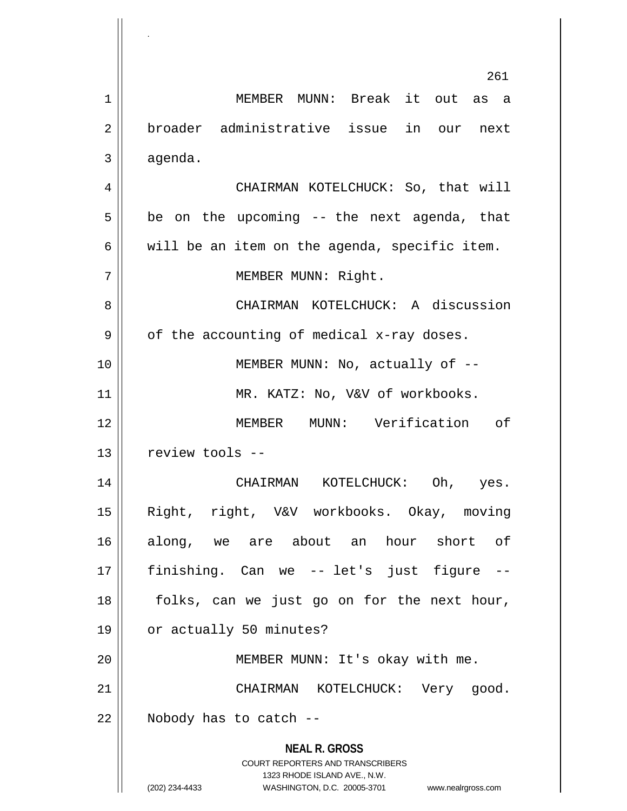**NEAL R. GROSS** COURT REPORTERS AND TRANSCRIBERS 1323 RHODE ISLAND AVE., N.W. (202) 234-4433 WASHINGTON, D.C. 20005-3701 www.nealrgross.com 261 1 MEMBER MUNN: Break it out as a 2 broader administrative issue in our next  $3 \parallel$  agenda. 4 | CHAIRMAN KOTELCHUCK: So, that will  $5 \parallel$  be on the upcoming -- the next agenda, that  $6 \parallel$  will be an item on the agenda, specific item. 7 || MEMBER MUNN: Right. 8 CHAIRMAN KOTELCHUCK: A discussion  $9 \parallel$  of the accounting of medical x-ray doses. 10 || MEMBER MUNN: No, actually of --11 || MR. KATZ: No, V&V of workbooks. 12 MEMBER MUNN: Verification of 13 || review tools --14 CHAIRMAN KOTELCHUCK: Oh, yes. 15 Right, right, V&V workbooks. Okay, moving 16 along, we are about an hour short of 17 finishing. Can we -- let's just figure -- 18 || folks, can we just go on for the next hour, 19 | or actually 50 minutes? 20 MEMBER MUNN: It's okay with me. 21 || CHAIRMAN KOTELCHUCK: Very qood.  $22$  || Nobody has to catch  $-$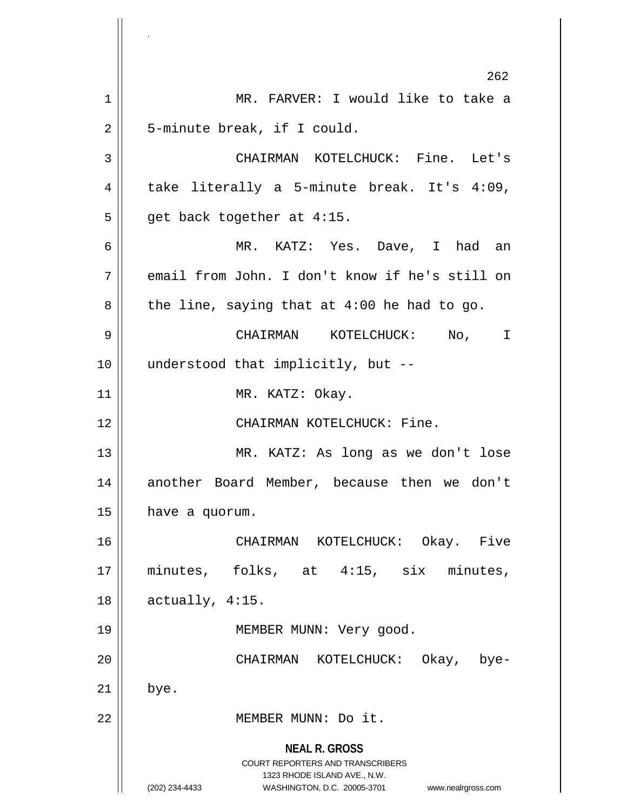**NEAL R. GROSS** COURT REPORTERS AND TRANSCRIBERS 1323 RHODE ISLAND AVE., N.W. (202) 234-4433 WASHINGTON, D.C. 20005-3701 www.nealrgross.com 262 1 || MR. FARVER: I would like to take a 2 | 5-minute break, if I could. 3 CHAIRMAN KOTELCHUCK: Fine. Let's  $4 \parallel$  take literally a 5-minute break. It's 4:09,  $5 \parallel$  get back together at 4:15. 6 MR. KATZ: Yes. Dave, I had an 7 email from John. I don't know if he's still on  $8 \parallel$  the line, saying that at 4:00 he had to go. 9 CHAIRMAN KOTELCHUCK: No, I 10 || understood that implicitly, but --11 || MR. KATZ: Okay. 12 CHAIRMAN KOTELCHUCK: Fine. 13 MR. KATZ: As long as we don't lose 14 || another Board Member, because then we don't  $15$  | have a quorum. 16 CHAIRMAN KOTELCHUCK: Okay. Five 17 || minutes, folks, at 4:15, six minutes,  $18 \parallel$  actually, 4:15. 19 || MEMBER MUNN: Very good. 20 CHAIRMAN KOTELCHUCK: Okay, bye- $21$  | bye. 22 | MEMBER MUNN: Do it.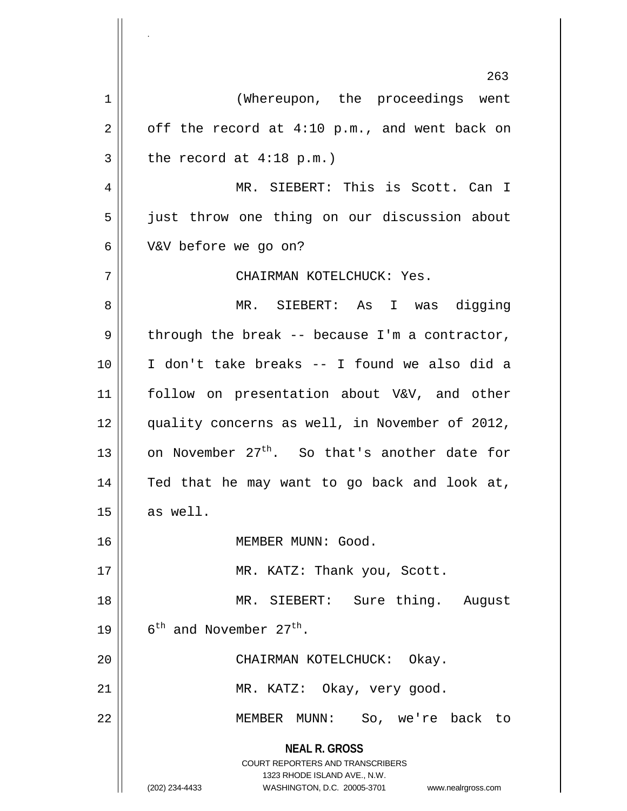**NEAL R. GROSS** COURT REPORTERS AND TRANSCRIBERS 1323 RHODE ISLAND AVE., N.W. (202) 234-4433 WASHINGTON, D.C. 20005-3701 www.nealrgross.com 263 1 || (Whereupon, the proceedings went  $2 \parallel$  off the record at 4:10 p.m., and went back on  $3 \parallel$  the record at 4:18 p.m.) 4 || MR. SIEBERT: This is Scott. Can I 5 | just throw one thing on our discussion about 6 V&V before we go on? 7 CHAIRMAN KOTELCHUCK: Yes. 8 MR. SIEBERT: As I was digging  $9 \parallel$  through the break -- because I'm a contractor, 10 I don't take breaks -- I found we also did a 11 || follow on presentation about V&V, and other 12 || quality concerns as well, in November of 2012, 13  $\parallel$  on November 27<sup>th</sup>. So that's another date for 14 || Ted that he may want to go back and look at,  $15 \parallel$  as well. 16 | MEMBER MUNN: Good. 17 || MR. KATZ: Thank you, Scott. 18 MR. SIEBERT: Sure thing. August 19  $\vert$  6<sup>th</sup> and November 27<sup>th</sup>. 20 || CHAIRMAN KOTELCHUCK: Okay. 21 || MR. KATZ: Okay, very good. 22 MEMBER MUNN: So, we're back to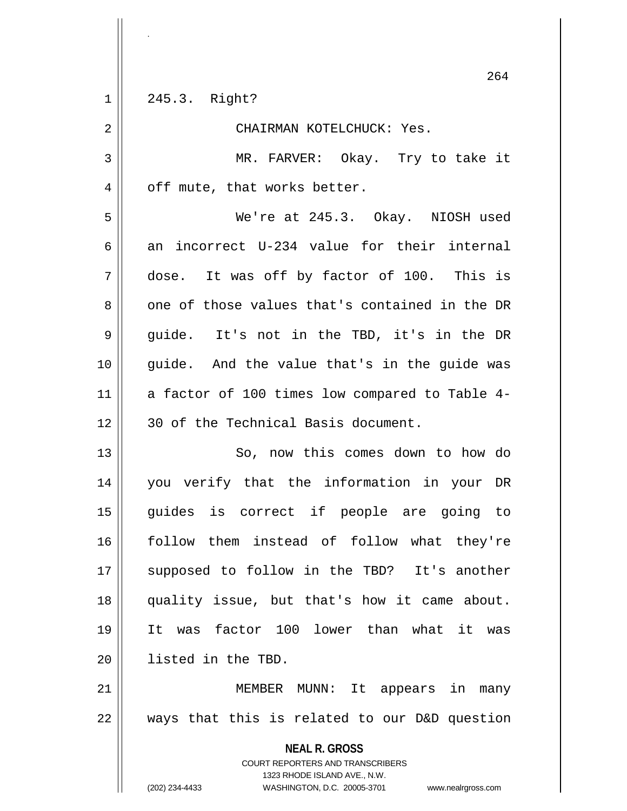|             | ∠ ∪ ±                                                                                           |
|-------------|-------------------------------------------------------------------------------------------------|
| $\mathbf 1$ | 245.3. Right?                                                                                   |
| $\mathbf 2$ | CHAIRMAN KOTELCHUCK: Yes.                                                                       |
| 3           | MR. FARVER: Okay. Try to take it                                                                |
| 4           | off mute, that works better.                                                                    |
| 5           | We're at 245.3. Okay. NIOSH used                                                                |
| 6           | an incorrect U-234 value for their internal                                                     |
| 7           | dose. It was off by factor of 100. This is                                                      |
| 8           | one of those values that's contained in the DR                                                  |
| $\mathsf 9$ | guide. It's not in the TBD, it's in the DR                                                      |
| 10          | guide. And the value that's in the guide was                                                    |
| 11          | a factor of 100 times low compared to Table 4-                                                  |
| 12          | 30 of the Technical Basis document.                                                             |
| 13          | So, now this comes down to how do                                                               |
| 14          | you verify that the information in your DR                                                      |
| 15          | guides is correct if people are going to                                                        |
| 16          | follow them instead of follow what they're                                                      |
| 17          | supposed to follow in the TBD? It's another                                                     |
| 18          | quality issue, but that's how it came about.                                                    |
| 19          | was factor 100 lower than what it was<br>It                                                     |
| 20          | listed in the TBD.                                                                              |
| 21          | MEMBER<br>$\texttt{MUNN}:$<br>It appears in<br>many                                             |
| 22          | ways that this is related to our D&D question                                                   |
|             | <b>NEAL R. GROSS</b><br><b>COURT REPORTERS AND TRANSCRIBERS</b><br>1323 RHODE ISLAND AVE., N.W. |
|             | (202) 234-4433<br>WASHINGTON, D.C. 20005-3701<br>www.nealrgross.com                             |

.

 $\mathsf{I}$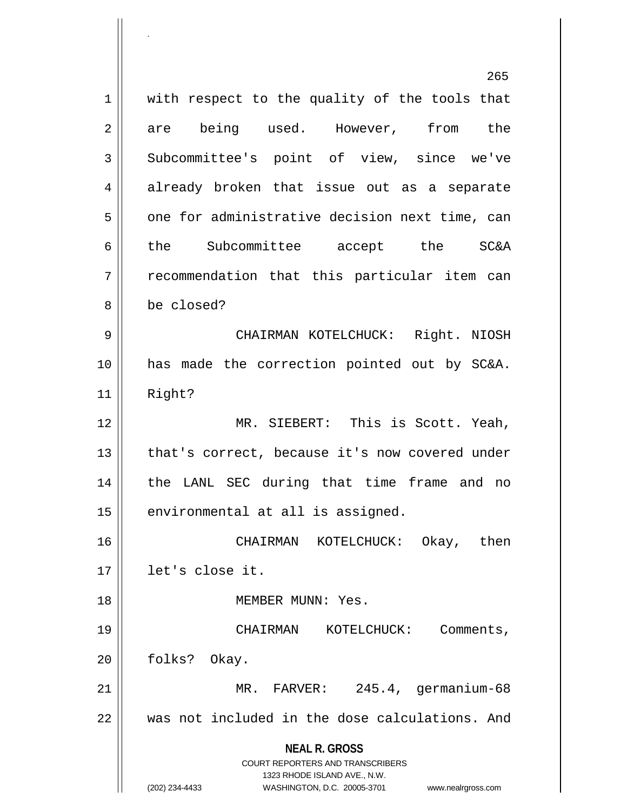**NEAL R. GROSS** COURT REPORTERS AND TRANSCRIBERS 1323 RHODE ISLAND AVE., N.W. (202) 234-4433 WASHINGTON, D.C. 20005-3701 www.nealrgross.com 265  $1$  with respect to the quality of the tools that 2 are being used. However, from the 3 Subcommittee's point of view, since we've 4 already broken that issue out as a separate  $5 \parallel$  one for administrative decision next time, can 6 || the Subcommittee accept the SC&A 7 || recommendation that this particular item can 8 be closed? 9 CHAIRMAN KOTELCHUCK: Right. NIOSH 10 has made the correction pointed out by SC&A. 11 Right? 12 MR. SIEBERT: This is Scott. Yeah,  $13$  | that's correct, because it's now covered under 14 || the LANL SEC during that time frame and no  $15$  | environmental at all is assigned. 16 CHAIRMAN KOTELCHUCK: Okay, then 17 let's close it. 18 MEMBER MUNN: Yes. 19 || CHAIRMAN KOTELCHUCK: Comments, 20 | folks? Okay. 21 MR. FARVER: 245.4, germanium-68 22 was not included in the dose calculations. And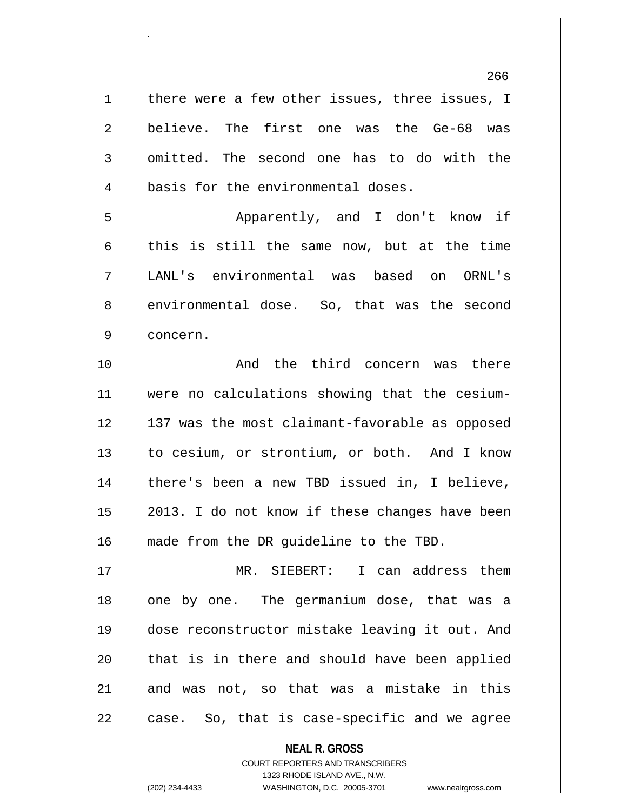266  $1 \parallel$  there were a few other issues, three issues, I 2 believe. The first one was the Ge-68 was 3 omitted. The second one has to do with the 4 || basis for the environmental doses. 5 Apparently, and I don't know if 6 this is still the same now, but at the time 7 LANL's environmental was based on ORNL's 8 environmental dose. So, that was the second 9 concern. 10 || The Rand the third concern was there 11 were no calculations showing that the cesium-12 137 was the most claimant-favorable as opposed 13 || to cesium, or strontium, or both. And I know 14 || there's been a new TBD issued in, I believe,  $15$  || 2013. I do not know if these changes have been 16 || made from the DR quideline to the TBD. 17 MR. SIEBERT: I can address them 18 || one by one. The germanium dose, that was a 19 dose reconstructor mistake leaving it out. And  $20$  || that is in there and should have been applied  $21$  and was not, so that was a mistake in this  $22 \parallel$  case. So, that is case-specific and we agree

> **NEAL R. GROSS** COURT REPORTERS AND TRANSCRIBERS 1323 RHODE ISLAND AVE., N.W.

(202) 234-4433 WASHINGTON, D.C. 20005-3701 www.nealrgross.com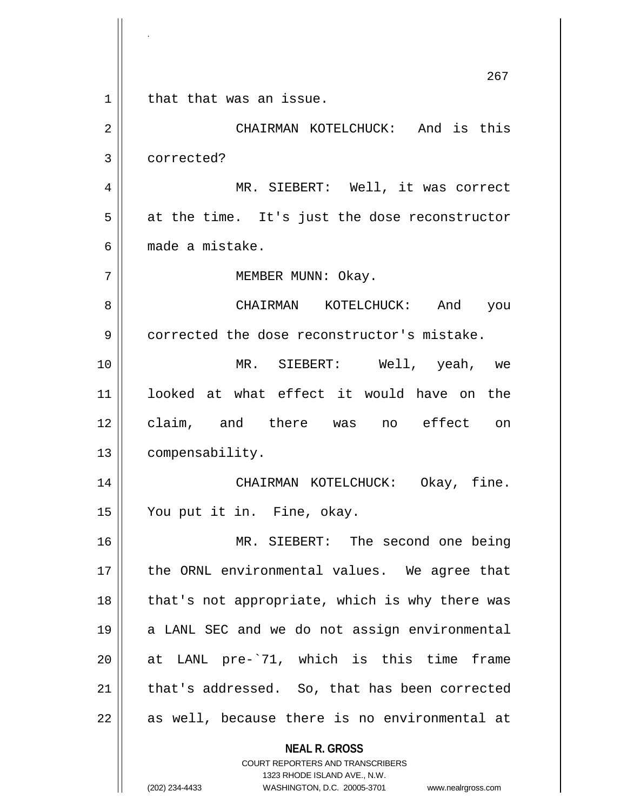**NEAL R. GROSS** COURT REPORTERS AND TRANSCRIBERS 1323 RHODE ISLAND AVE., N.W. 267 1 | that that was an issue. 2 CHAIRMAN KOTELCHUCK: And is this 3 corrected? 4 MR. SIEBERT: Well, it was correct  $5 \parallel$  at the time. It's just the dose reconstructor 6 made a mistake. 7 || MEMBER MUNN: Okay. 8 CHAIRMAN KOTELCHUCK: And you 9 corrected the dose reconstructor's mistake. 10 MR. SIEBERT: Well, yeah, we 11 looked at what effect it would have on the 12 claim, and there was no effect on 13 | compensability. 14 CHAIRMAN KOTELCHUCK: Okay, fine. 15 You put it in. Fine, okay. 16 MR. SIEBERT: The second one being 17 || the ORNL environmental values. We agree that  $18$  || that's not appropriate, which is why there was 19 || a LANL SEC and we do not assign environmental 20 at LANL pre-`71, which is this time frame 21 || that's addressed. So, that has been corrected  $22$  || as well, because there is no environmental at

.

(202) 234-4433 WASHINGTON, D.C. 20005-3701 www.nealrgross.com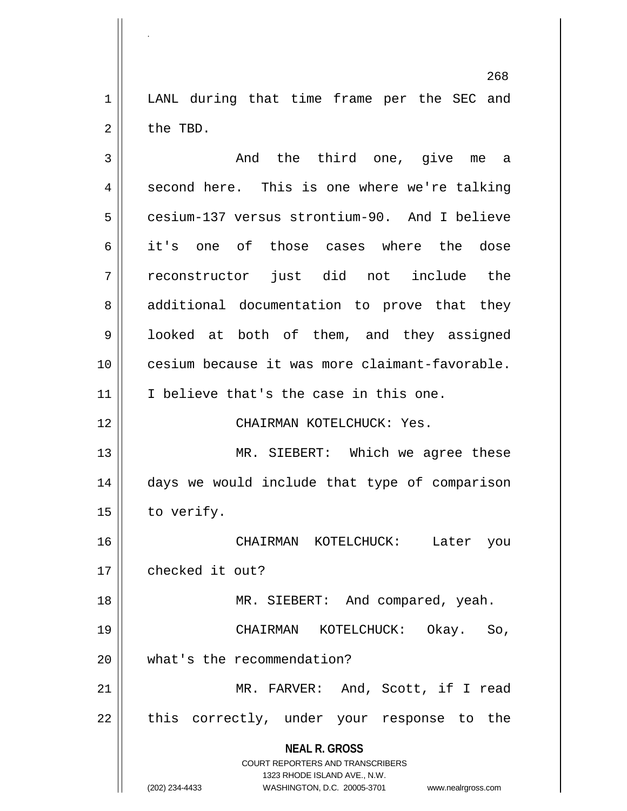1 || LANL during that time frame per the SEC and  $2 \parallel$  the TBD.

.

**NEAL R. GROSS** COURT REPORTERS AND TRANSCRIBERS 1323 RHODE ISLAND AVE., N.W. (202) 234-4433 WASHINGTON, D.C. 20005-3701 www.nealrgross.com 3 and the third one, give me a  $4 \parallel$  second here. This is one where we're talking 5 cesium-137 versus strontium-90. And I believe 6 it's one of those cases where the dose 7 reconstructor just did not include the 8 additional documentation to prove that they 9 || looked at both of them, and they assigned 10 cesium because it was more claimant-favorable. 11 || I believe that's the case in this one. 12 CHAIRMAN KOTELCHUCK: Yes. 13 || MR. SIEBERT: Which we agree these 14 days we would include that type of comparison  $15$  | to verify. 16 CHAIRMAN KOTELCHUCK: Later you 17 | checked it out? 18 MR. SIEBERT: And compared, yeah. 19 CHAIRMAN KOTELCHUCK: Okay. So, 20 | what's the recommendation? 21 || MR. FARVER: And, Scott, if I read  $22$  || this correctly, under your response to the

268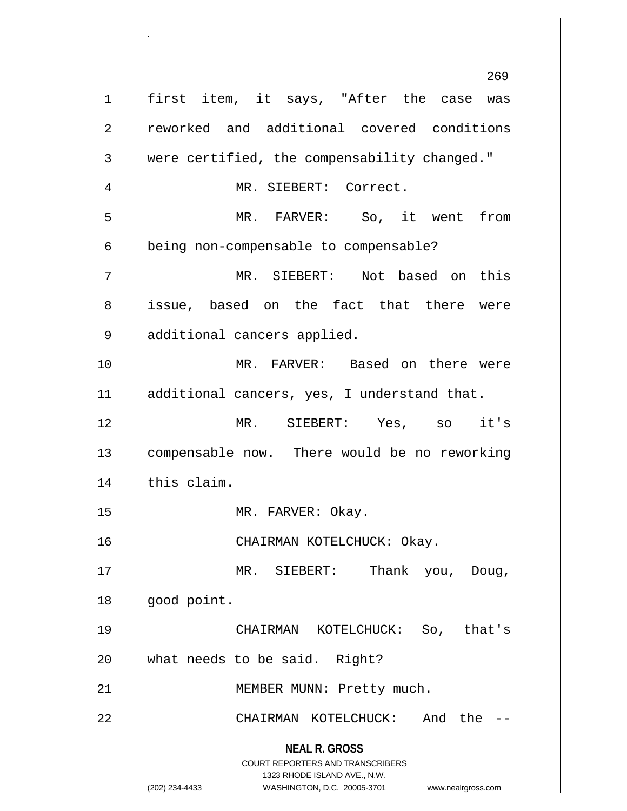**NEAL R. GROSS** COURT REPORTERS AND TRANSCRIBERS 1323 RHODE ISLAND AVE., N.W. (202) 234-4433 WASHINGTON, D.C. 20005-3701 www.nealrgross.com 269 1 || first item, it says, "After the case was 2 | reworked and additional covered conditions 3 were certified, the compensability changed." 4 MR. SIEBERT: Correct. 5 MR. FARVER: So, it went from 6 | being non-compensable to compensable? 7 MR. SIEBERT: Not based on this 8 issue, based on the fact that there were 9 || additional cancers applied. 10 MR. FARVER: Based on there were 11 | additional cancers, yes, I understand that. 12 MR. SIEBERT: Yes, so it's 13 || compensable now. There would be no reworking  $14$  | this claim. 15 || MR. FARVER: Okay. 16 || CHAIRMAN KOTELCHUCK: Okay. 17 MR. SIEBERT: Thank you, Doug, 18 | good point. 19 CHAIRMAN KOTELCHUCK: So, that's 20 what needs to be said. Right? 21 || MEMBER MUNN: Pretty much. 22 CHAIRMAN KOTELCHUCK: And the --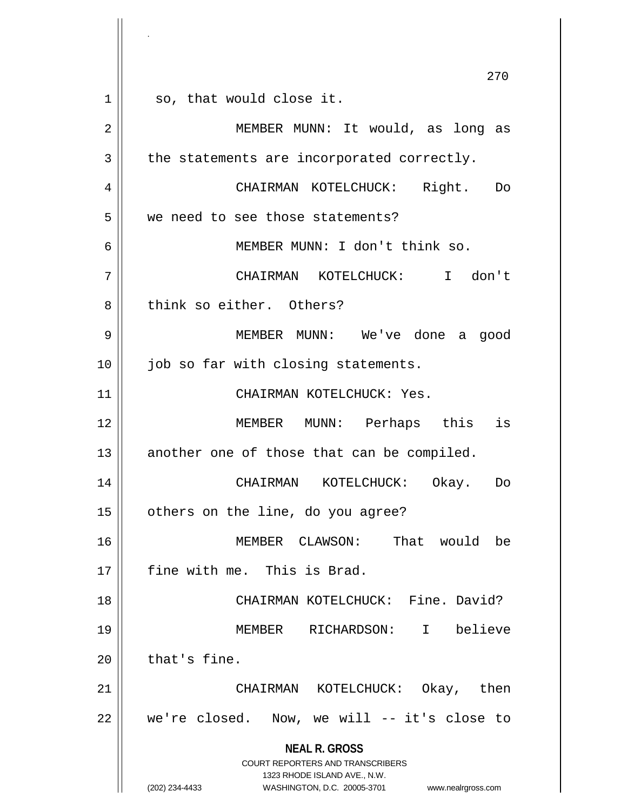**NEAL R. GROSS** COURT REPORTERS AND TRANSCRIBERS 1323 RHODE ISLAND AVE., N.W. (202) 234-4433 WASHINGTON, D.C. 20005-3701 www.nealrgross.com 270  $1 \parallel$  so, that would close it. 2 || MEMBER MUNN: It would, as long as  $3 \parallel$  the statements are incorporated correctly. 4 CHAIRMAN KOTELCHUCK: Right. Do 5 | we need to see those statements? 6 MEMBER MUNN: I don't think so. 7 CHAIRMAN KOTELCHUCK: I don't 8 think so either. Others? 9 MEMBER MUNN: We've done a good 10 || job so far with closing statements. 11 || CHAIRMAN KOTELCHUCK: Yes. 12 MEMBER MUNN: Perhaps this is  $13$  another one of those that can be compiled. 14 CHAIRMAN KOTELCHUCK: Okay. Do 15 | others on the line, do you agree? 16 MEMBER CLAWSON: That would be 17 || fine with me. This is Brad. 18 || CHAIRMAN KOTELCHUCK: Fine. David? 19 MEMBER RICHARDSON: I believe  $20$  | that's fine. 21 CHAIRMAN KOTELCHUCK: Okay, then  $22$  | we're closed. Now, we will -- it's close to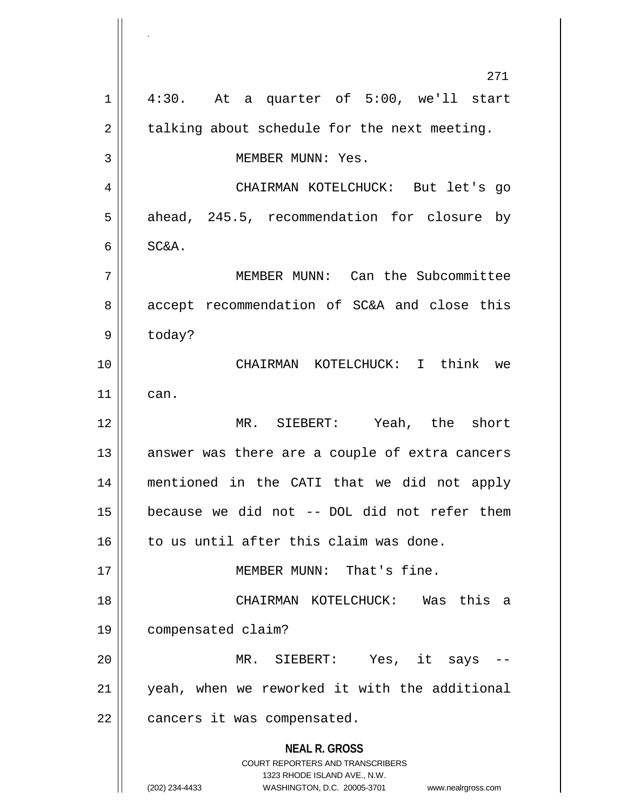|    | 271                                                                     |
|----|-------------------------------------------------------------------------|
| 1  | 4:30. At a quarter of 5:00, we'll start                                 |
| 2  | talking about schedule for the next meeting.                            |
| 3  | MEMBER MUNN: Yes.                                                       |
| 4  | CHAIRMAN KOTELCHUCK: But let's go                                       |
| 5  | ahead, 245.5, recommendation for closure by                             |
| 6  | SC&A.                                                                   |
| 7  | MEMBER MUNN: Can the Subcommittee                                       |
| 8  | accept recommendation of SC&A and close this                            |
| 9  | today?                                                                  |
| 10 | CHAIRMAN KOTELCHUCK: I think we                                         |
| 11 | can.                                                                    |
| 12 | MR. SIEBERT: Yeah, the short                                            |
| 13 | answer was there are a couple of extra cancers                          |
| 14 | mentioned in the CATI that we did not apply                             |
| 15 | because we did not -- DOL did not refer them                            |
| 16 | to us until after this claim was done.                                  |
| 17 | MEMBER MUNN: That's fine.                                               |
| 18 | CHAIRMAN KOTELCHUCK: Was this<br>a                                      |
| 19 | compensated claim?                                                      |
| 20 | MR. SIEBERT: Yes, it says                                               |
| 21 | yeah, when we reworked it with the additional                           |
| 22 | cancers it was compensated.                                             |
|    | <b>NEAL R. GROSS</b>                                                    |
|    | <b>COURT REPORTERS AND TRANSCRIBERS</b><br>1323 RHODE ISLAND AVE., N.W. |
|    | (202) 234-4433<br>WASHINGTON, D.C. 20005-3701<br>www.nealrgross.com     |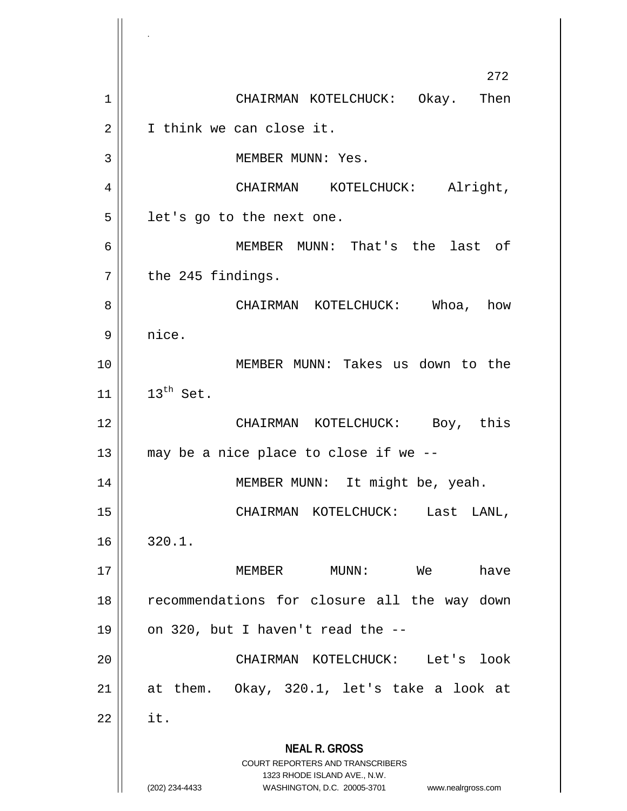**NEAL R. GROSS** COURT REPORTERS AND TRANSCRIBERS 1323 RHODE ISLAND AVE., N.W. (202) 234-4433 WASHINGTON, D.C. 20005-3701 www.nealrgross.com 272 1 | CHAIRMAN KOTELCHUCK: Okay. Then 2 | I think we can close it. 3 || MEMBER MUNN: Yes. 4 CHAIRMAN KOTELCHUCK: Alright,  $5 \parallel$  let's go to the next one. 6 MEMBER MUNN: That's the last of  $7 \parallel$  the 245 findings. 8 CHAIRMAN KOTELCHUCK: Whoa, how  $9 \parallel$  nice. 10 MEMBER MUNN: Takes us down to the  $11$  |  $13^{th}$  Set. 12 CHAIRMAN KOTELCHUCK: Boy, this  $13$  || may be a nice place to close if we  $-$ -14 || MEMBER MUNN: It might be, yeah. 15 CHAIRMAN KOTELCHUCK: Last LANL,  $16 \parallel 320.1$ . 17 MEMBER MUNN: We have 18 || recommendations for closure all the way down 19  $\vert$  on 320, but I haven't read the  $-$ -20 CHAIRMAN KOTELCHUCK: Let's look 21  $\parallel$  at them. Okay, 320.1, let's take a look at  $22$   $\parallel$  it.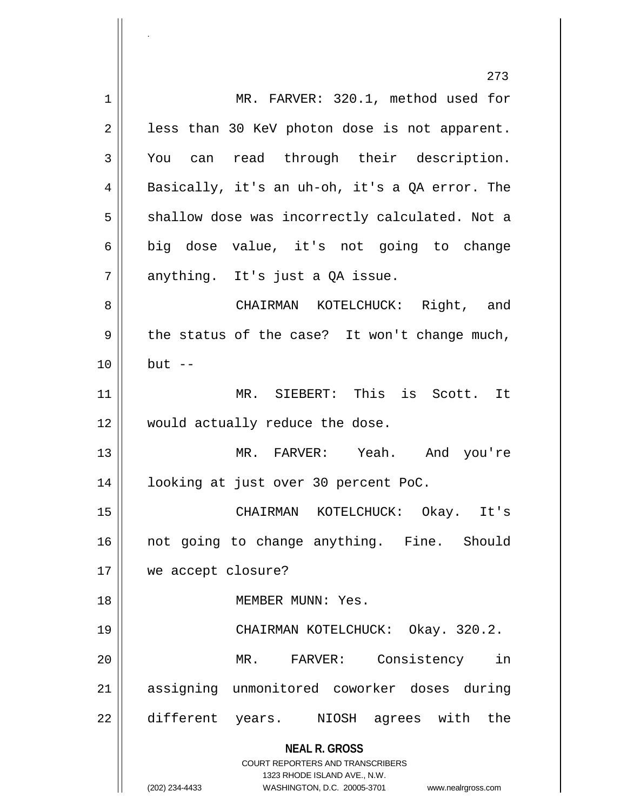**NEAL R. GROSS** COURT REPORTERS AND TRANSCRIBERS 1323 RHODE ISLAND AVE., N.W. (202) 234-4433 WASHINGTON, D.C. 20005-3701 www.nealrgross.com 273 1 || MR. FARVER: 320.1, method used for  $2 \parallel$  less than 30 KeV photon dose is not apparent. 3 You can read through their description. 4 Basically, it's an uh-oh, it's a QA error. The 5 | shallow dose was incorrectly calculated. Not a 6 big dose value, it's not going to change  $7 \parallel$  anything. It's just a QA issue. 8 CHAIRMAN KOTELCHUCK: Right, and  $9 \parallel$  the status of the case? It won't change much,  $10 \parallel$  but  $-$ 11 || MR. SIEBERT: This is Scott. It 12 || would actually reduce the dose. 13 MR. FARVER: Yeah. And you're 14 looking at just over 30 percent PoC. 15 CHAIRMAN KOTELCHUCK: Okay. It's 16 || not going to change anything. Fine. Should 17 we accept closure? 18 MEMBER MUNN: Yes. 19 CHAIRMAN KOTELCHUCK: Okay. 320.2. 20 MR. FARVER: Consistency in 21 assigning unmonitored coworker doses during 22 different years. NIOSH agrees with the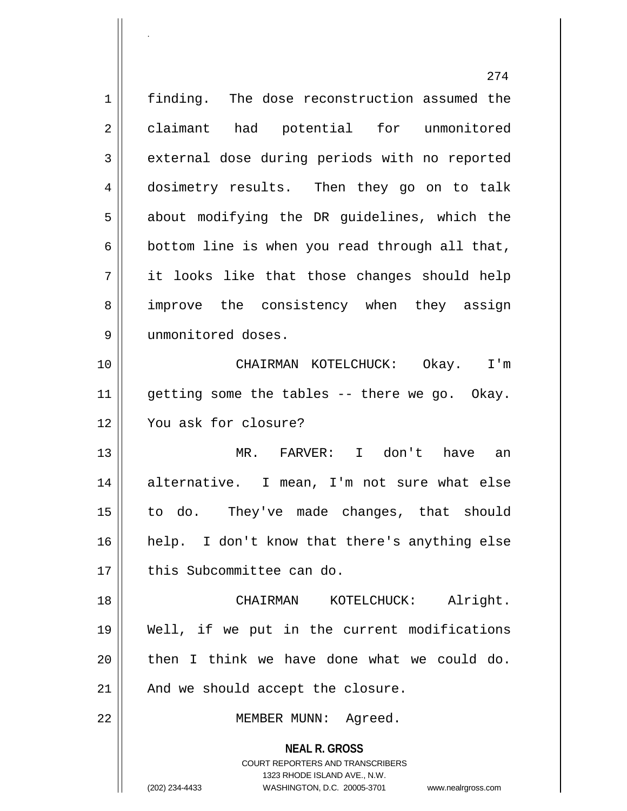|                | 274                                                                 |
|----------------|---------------------------------------------------------------------|
| $\mathbf 1$    | finding. The dose reconstruction assumed the                        |
| $\overline{2}$ | claimant had potential for unmonitored                              |
| $\mathbf{3}$   | external dose during periods with no reported                       |
| 4              | dosimetry results. Then they go on to talk                          |
| 5              | about modifying the DR guidelines, which the                        |
| $\epsilon$     | bottom line is when you read through all that,                      |
| 7              | it looks like that those changes should help                        |
| 8              | improve the consistency when they assign                            |
| 9              | unmonitored doses.                                                  |
| 10             | CHAIRMAN KOTELCHUCK: Okay. I'm                                      |
| 11             | getting some the tables -- there we go. Okay.                       |
| 12             | You ask for closure?                                                |
| 13             | MR. FARVER: I don't have an                                         |
| 14             | alternative. I mean, I'm not sure what else                         |
| $15$           | to do. They've made changes, that should                            |
| 16             | help. I don't know that there's anything else                       |
| 17             | this Subcommittee can do.                                           |
| 18             | Alright.<br>CHAIRMAN<br>KOTELCHUCK:                                 |
| 19             | Well, if we put in the current modifications                        |
| 20             | then I think we have done what we could do.                         |
| 21             | And we should accept the closure.                                   |
| 22             | MEMBER MUNN: Agreed.                                                |
|                | <b>NEAL R. GROSS</b>                                                |
|                | <b>COURT REPORTERS AND TRANSCRIBERS</b>                             |
|                | 1323 RHODE ISLAND AVE., N.W.                                        |
|                | (202) 234-4433<br>WASHINGTON, D.C. 20005-3701<br>www.nealrgross.com |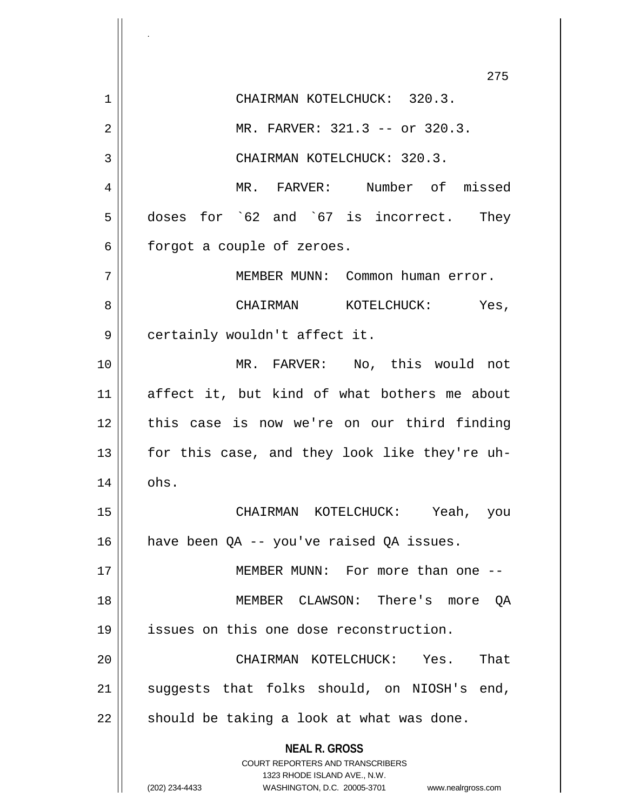**NEAL R. GROSS** COURT REPORTERS AND TRANSCRIBERS 1323 RHODE ISLAND AVE., N.W. (202) 234-4433 WASHINGTON, D.C. 20005-3701 www.nealrgross.com 275 1 CHAIRMAN KOTELCHUCK: 320.3. 2 || MR. FARVER: 321.3 -- or 320.3. 3 || CHAIRMAN KOTELCHUCK: 320.3. 4 || MR. FARVER: Number of missed 5 doses for `62 and `67 is incorrect. They  $6 \parallel$  forgot a couple of zeroes. 7 MEMBER MUNN: Common human error. 8 CHAIRMAN KOTELCHUCK: Yes, 9 | certainly wouldn't affect it. 10 MR. FARVER: No, this would not 11 affect it, but kind of what bothers me about 12 this case is now we're on our third finding 13 || for this case, and they look like they're uh- $14 \parallel$  ohs. 15 CHAIRMAN KOTELCHUCK: Yeah, you 16 | have been  $QA$  -- you've raised  $QA$  issues. 17 MEMBER MUNN: For more than one -- 18 MEMBER CLAWSON: There's more QA 19 issues on this one dose reconstruction. 20 CHAIRMAN KOTELCHUCK: Yes. That 21 || suggests that folks should, on NIOSH's end,  $22$  || should be taking a look at what was done.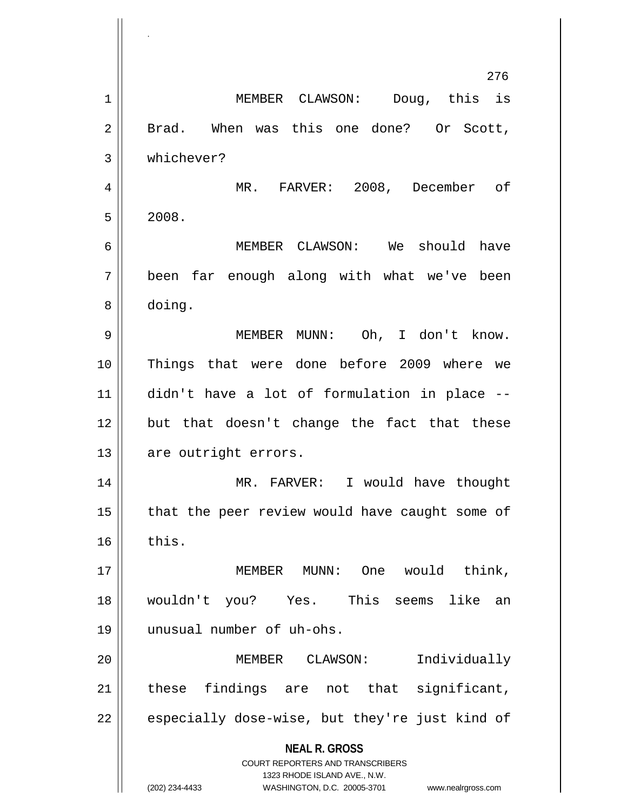**NEAL R. GROSS** COURT REPORTERS AND TRANSCRIBERS 1323 RHODE ISLAND AVE., N.W. (202) 234-4433 WASHINGTON, D.C. 20005-3701 www.nealrgross.com MEMBER CLAWSON: Doug, this is 2 || Brad. When was this one done? Or Scott, whichever? 4 || MR. FARVER: 2008, December of  $5 \parallel 2008.$  MEMBER CLAWSON: We should have been far enough along with what we've been doing. 9 || MEMBER MUNN: Oh, I don't know. Things that were done before 2009 where we didn't have a lot of formulation in place -- 12 but that doesn't change the fact that these 13 || are outright errors. MR. FARVER: I would have thought | that the peer review would have caught some of  $\parallel$  this. MEMBER MUNN: One would think, wouldn't you? Yes. This seems like an unusual number of uh-ohs. MEMBER CLAWSON: Individually these findings are not that significant, | especially dose-wise, but they're just kind of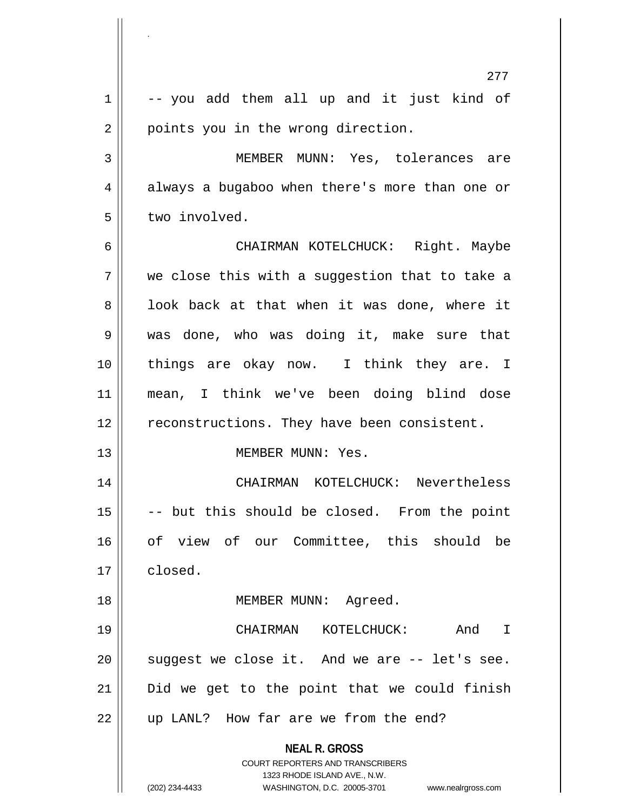|    | $\overline{\phantom{a}}$                                                                 |
|----|------------------------------------------------------------------------------------------|
|    | 277                                                                                      |
| 1  | -- you add them all up and it just kind of                                               |
| 2  | points you in the wrong direction.                                                       |
| 3  | MEMBER MUNN: Yes, tolerances are                                                         |
| 4  | always a bugaboo when there's more than one or                                           |
| 5  | two involved.                                                                            |
| 6  | CHAIRMAN KOTELCHUCK: Right. Maybe                                                        |
| 7  | we close this with a suggestion that to take a                                           |
| 8  | look back at that when it was done, where it                                             |
| 9  | was done, who was doing it, make sure that                                               |
| 10 | things are okay now. I think they are. I                                                 |
| 11 | mean, I think we've been doing blind dose                                                |
| 12 | reconstructions. They have been consistent.                                              |
| 13 | MEMBER MUNN: Yes.                                                                        |
| 14 | CHAIRMAN KOTELCHUCK: Nevertheless                                                        |
| 15 | -- but this should be closed. From the point                                             |
| 16 | of view of our Committee, this should be                                                 |
| 17 | closed.                                                                                  |
| 18 | MEMBER MUNN: Agreed.                                                                     |
| 19 | CHAIRMAN<br>KOTELCHUCK:<br>And I                                                         |
| 20 | suggest we close it. And we are -- let's see.                                            |
| 21 | Did we get to the point that we could finish                                             |
| 22 | up LANL? How far are we from the end?                                                    |
|    | <b>NEAL R. GROSS</b><br>COURT REPORTERS AND TRANSCRIBERS<br>1323 RHODE ISLAND AVE., N.W. |
|    | (202) 234-4433<br>WASHINGTON, D.C. 20005-3701<br>www.nealrgross.com                      |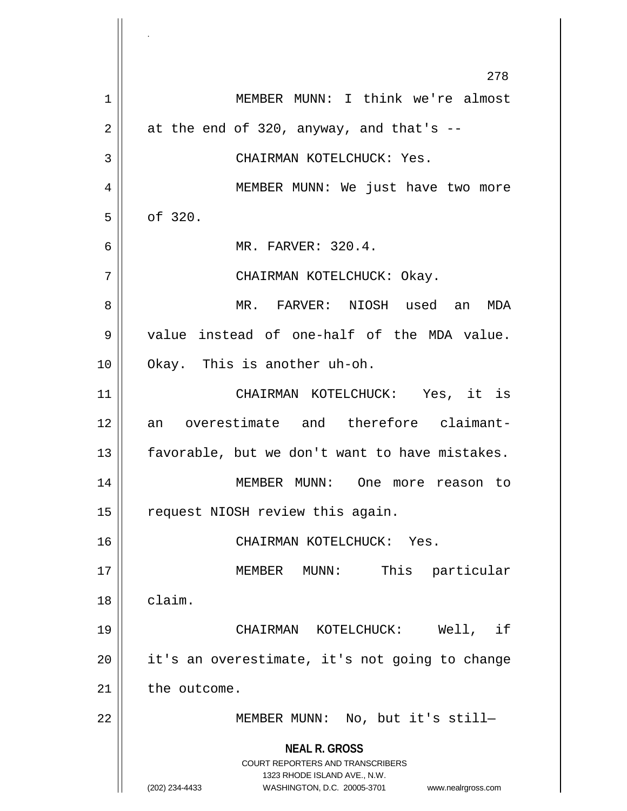**NEAL R. GROSS** COURT REPORTERS AND TRANSCRIBERS 1323 RHODE ISLAND AVE., N.W. (202) 234-4433 WASHINGTON, D.C. 20005-3701 www.nealrgross.com 278 1 MEMBER MUNN: I think we're almost  $2 \parallel$  at the end of 320, anyway, and that's --3 CHAIRMAN KOTELCHUCK: Yes. 4 || MEMBER MUNN: We just have two more  $5 \parallel$  of 320. 6 MR. FARVER: 320.4. 7 CHAIRMAN KOTELCHUCK: Okay. 8 MR. FARVER: NIOSH used an MDA 9 || value instead of one-half of the MDA value. 10 Okay. This is another uh-oh. 11 CHAIRMAN KOTELCHUCK: Yes, it is 12 an overestimate and therefore claimant- $13$  | favorable, but we don't want to have mistakes. 14 MEMBER MUNN: One more reason to 15 | request NIOSH review this again. 16 CHAIRMAN KOTELCHUCK: Yes. 17 MEMBER MUNN: This particular 18 claim. 19 CHAIRMAN KOTELCHUCK: Well, if  $20$  || it's an overestimate, it's not going to change  $21$  the outcome. 22 || MEMBER MUNN: No, but it's still-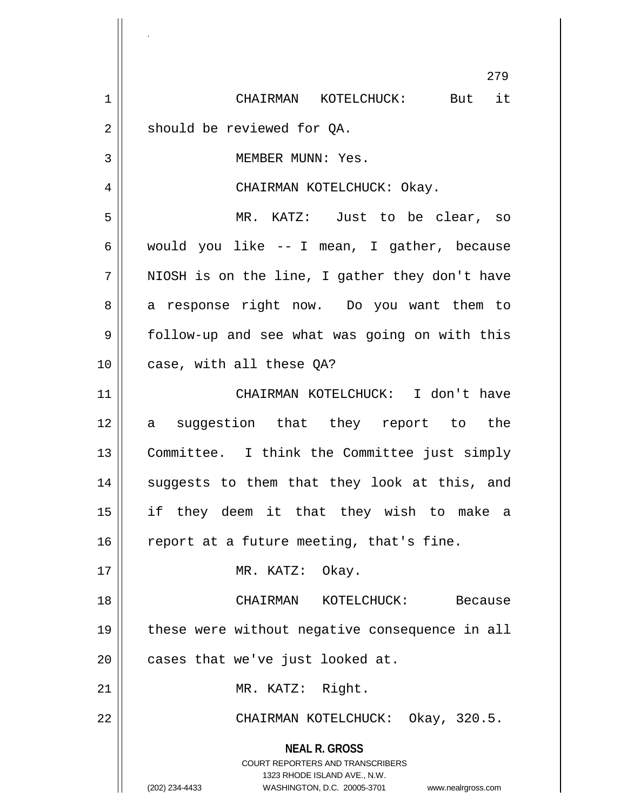**NEAL R. GROSS** COURT REPORTERS AND TRANSCRIBERS 1323 RHODE ISLAND AVE., N.W. (202) 234-4433 WASHINGTON, D.C. 20005-3701 www.nealrgross.com 279 1 CHAIRMAN KOTELCHUCK: But it  $2 \parallel$  should be reviewed for QA. 3 || MEMBER MUNN: Yes. 4 || CHAIRMAN KOTELCHUCK: Okay. 5 MR. KATZ: Just to be clear, so 6 would you like -- I mean, I gather, because  $7 \parallel$  NIOSH is on the line, I gather they don't have 8 a response right now. Do you want them to 9 | follow-up and see what was going on with this 10 || case, with all these OA? 11 CHAIRMAN KOTELCHUCK: I don't have 12 a suggestion that they report to the 13 || Committee. I think the Committee just simply 14 || suggests to them that they look at this, and 15 if they deem it that they wish to make a 16  $\parallel$  report at a future meeting, that's fine. 17 || MR. KATZ: Okay. 18 CHAIRMAN KOTELCHUCK: Because 19 || these were without negative consequence in all  $20$  | cases that we've just looked at. 21 | MR. KATZ: Right. 22 CHAIRMAN KOTELCHUCK: Okay, 320.5.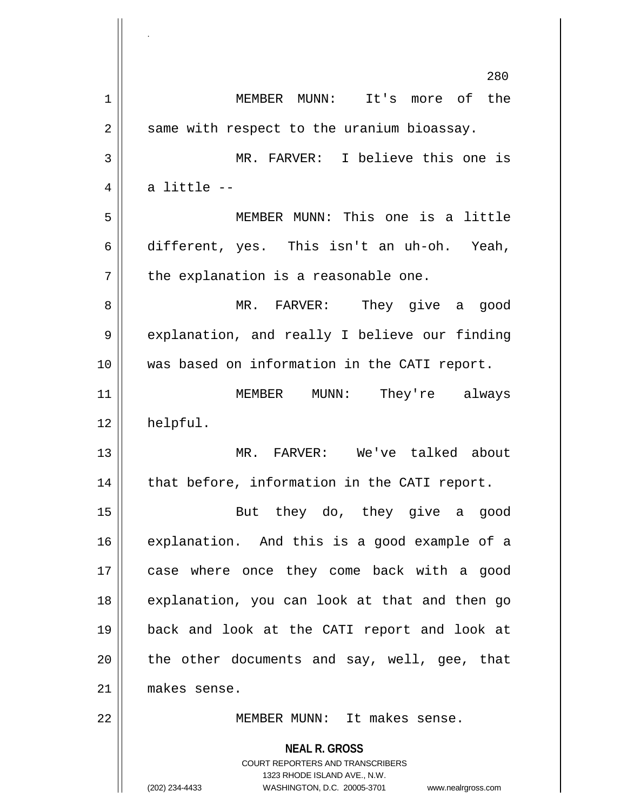|    | 280                                                                                                                                                                    |
|----|------------------------------------------------------------------------------------------------------------------------------------------------------------------------|
| 1  | MEMBER MUNN: It's more of the                                                                                                                                          |
| 2  | same with respect to the uranium bioassay.                                                                                                                             |
| 3  | MR. FARVER: I believe this one is                                                                                                                                      |
| 4  | a little --                                                                                                                                                            |
| 5  | MEMBER MUNN: This one is a little                                                                                                                                      |
| 6  | different, yes. This isn't an uh-oh. Yeah,                                                                                                                             |
| 7  | the explanation is a reasonable one.                                                                                                                                   |
| 8  | MR. FARVER: They give a good                                                                                                                                           |
| 9  | explanation, and really I believe our finding                                                                                                                          |
| 10 | was based on information in the CATI report.                                                                                                                           |
| 11 | MEMBER MUNN: They're always                                                                                                                                            |
| 12 | helpful.                                                                                                                                                               |
| 13 | MR. FARVER: We've talked about                                                                                                                                         |
| 14 | that before, information in the CATI report.                                                                                                                           |
| 15 | they do, they give a<br>But<br>good                                                                                                                                    |
| 16 | explanation. And this is a good example of a                                                                                                                           |
| 17 | case where once they come back with a good                                                                                                                             |
| 18 | explanation, you can look at that and then go                                                                                                                          |
| 19 | back and look at the CATI report and look at                                                                                                                           |
| 20 | the other documents and say, well, gee, that                                                                                                                           |
| 21 | makes sense.                                                                                                                                                           |
| 22 | MEMBER MUNN: It makes sense.                                                                                                                                           |
|    | <b>NEAL R. GROSS</b><br><b>COURT REPORTERS AND TRANSCRIBERS</b><br>1323 RHODE ISLAND AVE., N.W.<br>(202) 234-4433<br>WASHINGTON, D.C. 20005-3701<br>www.nealrgross.com |

.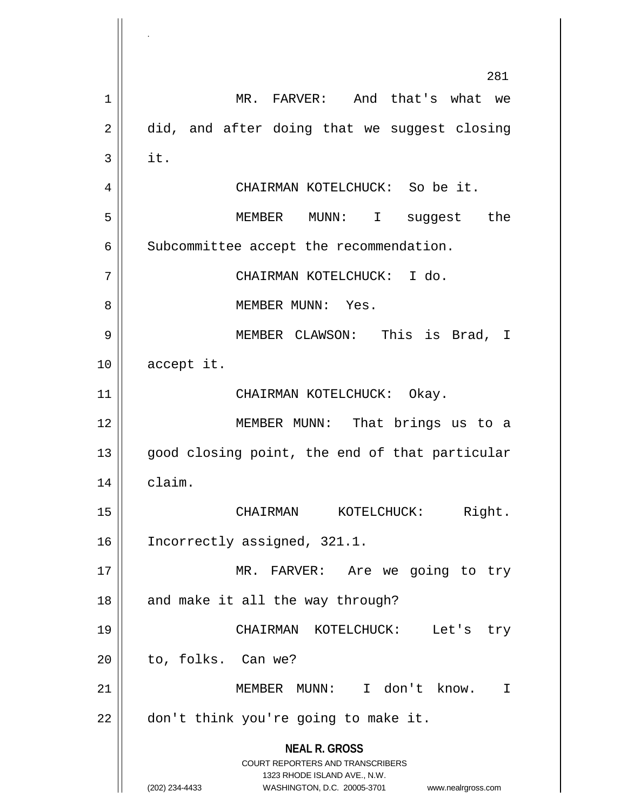**NEAL R. GROSS** COURT REPORTERS AND TRANSCRIBERS 1323 RHODE ISLAND AVE., N.W. (202) 234-4433 WASHINGTON, D.C. 20005-3701 www.nealrgross.com 281 1 | MR. FARVER: And that's what we  $2 \parallel$  did, and after doing that we suggest closing  $3 \parallel$  it. 4 CHAIRMAN KOTELCHUCK: So be it. 5 MEMBER MUNN: I suggest the 6 | Subcommittee accept the recommendation. 7 CHAIRMAN KOTELCHUCK: I do. 8 MEMBER MUNN: Yes. 9 MEMBER CLAWSON: This is Brad, I 10 | accept it. 11 || CHAIRMAN KOTELCHUCK: Okay. 12 MEMBER MUNN: That brings us to a 13 || good closing point, the end of that particular 14 claim. 15 CHAIRMAN KOTELCHUCK: Right. 16 | Incorrectly assigned, 321.1. 17 || MR. FARVER: Are we going to try  $18$  || and make it all the way through? 19 CHAIRMAN KOTELCHUCK: Let's try  $20$  | to, folks. Can we? 21 || MEMBER MUNN: I don't know. I  $22$  | don't think you're going to make it.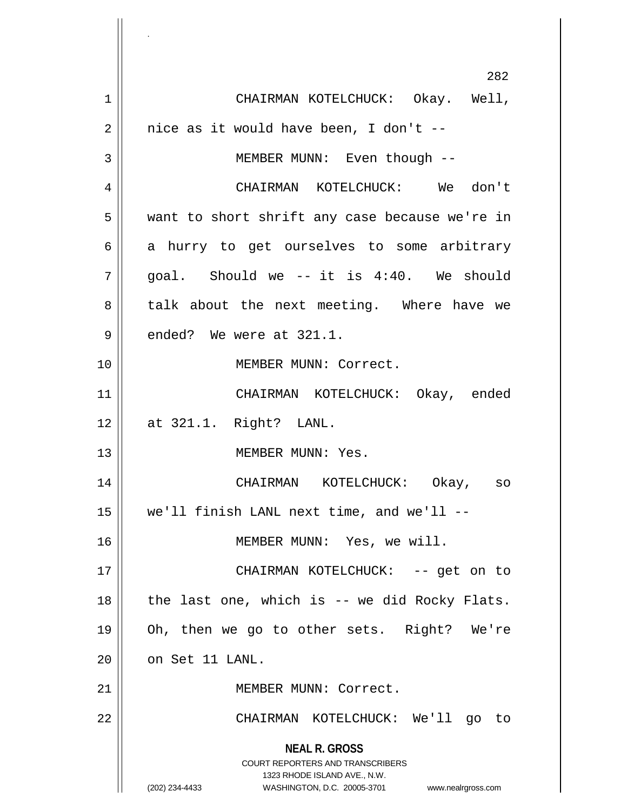**NEAL R. GROSS** COURT REPORTERS AND TRANSCRIBERS 1323 RHODE ISLAND AVE., N.W. (202) 234-4433 WASHINGTON, D.C. 20005-3701 www.nealrgross.com 282 1 CHAIRMAN KOTELCHUCK: Okay. Well,  $2 \parallel$  nice as it would have been, I don't --3 || MEMBER MUNN: Even though --4 CHAIRMAN KOTELCHUCK: We don't 5 || want to short shrift any case because we're in  $6 \parallel$  a hurry to get ourselves to some arbitrary  $7 \parallel$  goal. Should we -- it is 4:40. We should 8 || talk about the next meeting. Where have we  $9 \parallel$  ended? We were at 321.1. 10 MEMBER MUNN: Correct. 11 CHAIRMAN KOTELCHUCK: Okay, ended 12 at 321.1. Right? LANL. 13 || MEMBER MUNN: Yes. 14 CHAIRMAN KOTELCHUCK: Okay, so 15 we'll finish LANL next time, and we'll -- 16 MEMBER MUNN: Yes, we will. 17 CHAIRMAN KOTELCHUCK: -- get on to 18 || the last one, which is -- we did Rocky Flats. 19 Oh, then we go to other sets. Right? We're  $20$  |  $\circ$  on Set 11 LANL. 21 | MEMBER MUNN: Correct. 22 CHAIRMAN KOTELCHUCK: We'll go to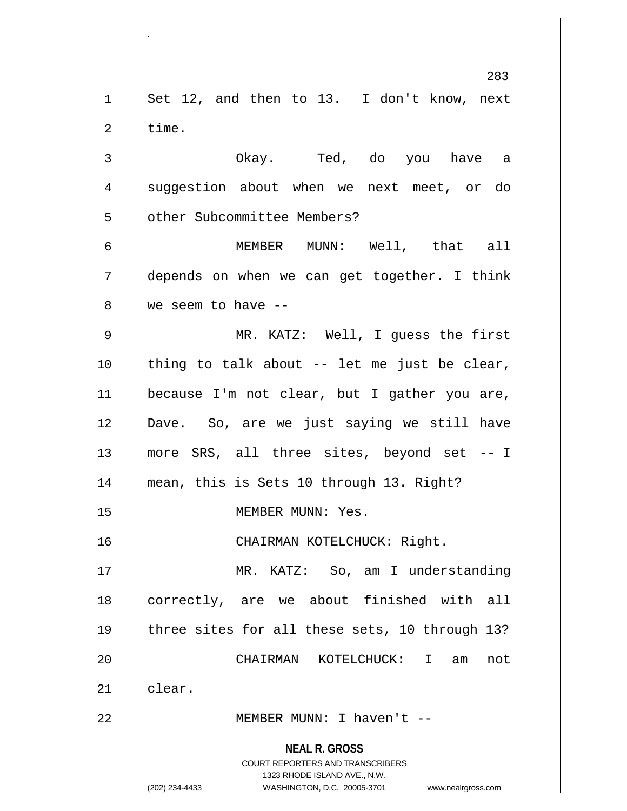**NEAL R. GROSS** COURT REPORTERS AND TRANSCRIBERS 1323 RHODE ISLAND AVE., N.W. (202) 234-4433 WASHINGTON, D.C. 20005-3701 www.nealrgross.com 283  $1 \parallel$  Set 12, and then to 13. I don't know, next  $2 \parallel$  time. 3 Okay. Ted, do you have a 4 suggestion about when we next meet, or do 5 | | other Subcommittee Members? 6 MEMBER MUNN: Well, that all 7 depends on when we can get together. I think 8 We seem to have --9 MR. KATZ: Well, I guess the first  $10$  | thing to talk about -- let me just be clear, 11 because I'm not clear, but I gather you are, 12 Dave. So, are we just saying we still have 13 more SRS, all three sites, beyond set -- I 14 mean, this is Sets 10 through 13. Right? 15 || MEMBER MUNN: Yes. 16 || CHAIRMAN KOTELCHUCK: Right. 17 || MR. KATZ: So, am I understanding 18 || correctly, are we about finished with all 19 || three sites for all these sets, 10 through 13? 20 CHAIRMAN KOTELCHUCK: I am not  $21$   $\parallel$  clear. 22 MEMBER MUNN: I haven't --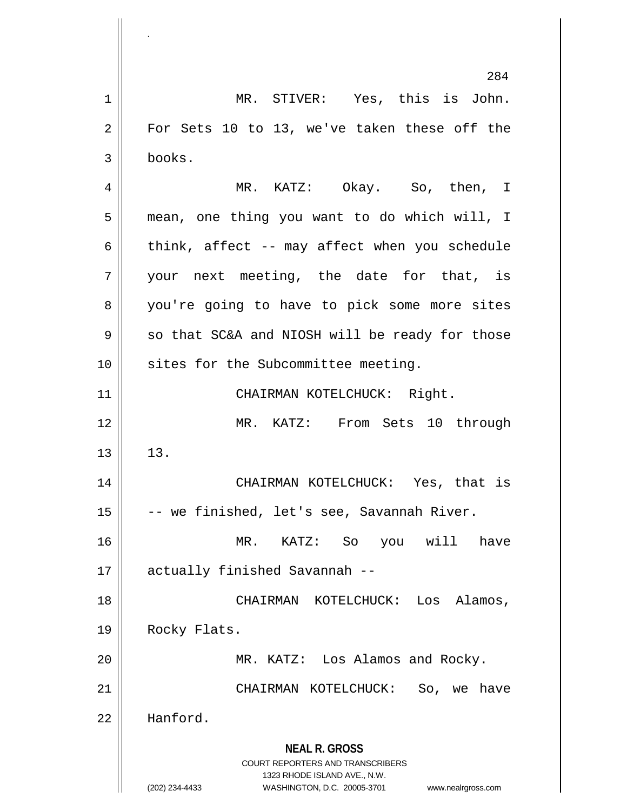**NEAL R. GROSS** COURT REPORTERS AND TRANSCRIBERS 1323 RHODE ISLAND AVE., N.W. (202) 234-4433 WASHINGTON, D.C. 20005-3701 www.nealrgross.com 284 1 || MR. STIVER: Yes, this is John.  $2 \parallel$  For Sets 10 to 13, we've taken these off the 3 books. 4 MR. KATZ: Okay. So, then, I 5 mean, one thing you want to do which will, I 6  $\parallel$  think, affect -- may affect when you schedule  $7 \parallel$  your next meeting, the date for that, is 8 || you're going to have to pick some more sites  $9 \parallel$  so that SC&A and NIOSH will be ready for those 10 || sites for the Subcommittee meeting. 11 | CHAIRMAN KOTELCHUCK: Right. 12 MR. KATZ: From Sets 10 through  $13 \parallel 13$ . 14 CHAIRMAN KOTELCHUCK: Yes, that is 15  $\vert$  -- we finished, let's see, Savannah River. 16 MR. KATZ: So you will have 17 || actually finished Savannah --18 CHAIRMAN KOTELCHUCK: Los Alamos, 19 | Rocky Flats. 20 MR. KATZ: Los Alamos and Rocky. 21 CHAIRMAN KOTELCHUCK: So, we have 22 Hanford.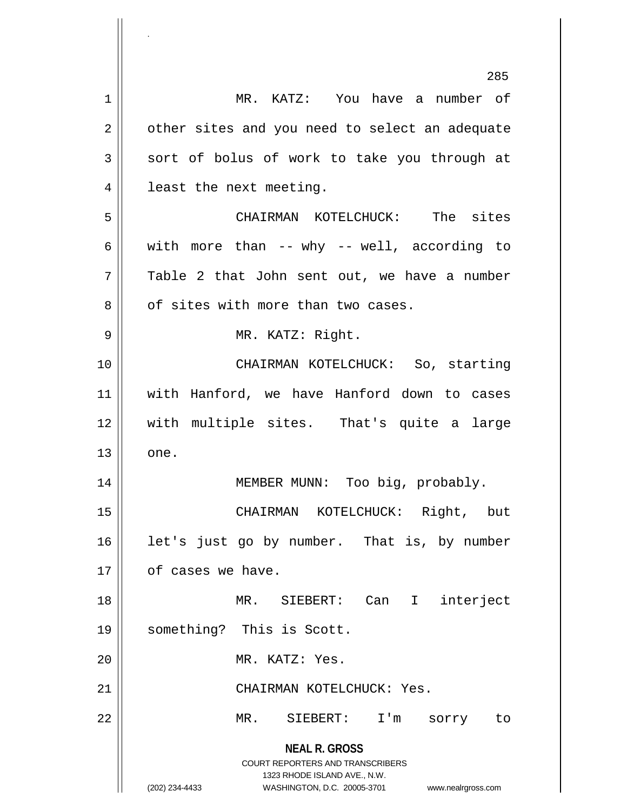|    | 285                                                                                                 |
|----|-----------------------------------------------------------------------------------------------------|
| 1  | MR. KATZ: You have a number of                                                                      |
| 2  | other sites and you need to select an adequate                                                      |
| 3  | sort of bolus of work to take you through at                                                        |
| 4  | least the next meeting.                                                                             |
| 5  | CHAIRMAN KOTELCHUCK: The sites                                                                      |
| 6  | with more than -- why -- well, according to                                                         |
| 7  | Table 2 that John sent out, we have a number                                                        |
| 8  | of sites with more than two cases.                                                                  |
| 9  | MR. KATZ: Right.                                                                                    |
| 10 | CHAIRMAN KOTELCHUCK: So, starting                                                                   |
| 11 | with Hanford, we have Hanford down to cases                                                         |
| 12 | with multiple sites. That's quite a large                                                           |
| 13 | one.                                                                                                |
| 14 | Too big, probably.<br>MEMBER MUNN:                                                                  |
| 15 | CHAIRMAN KOTELCHUCK: Right, but                                                                     |
| 16 | let's just go by number. That is, by number                                                         |
| 17 | of cases we have.                                                                                   |
| 18 | MR. SIEBERT: Can<br>$\mathbf{I}$<br>interject                                                       |
| 19 | something? This is Scott.                                                                           |
| 20 | MR. KATZ: Yes.                                                                                      |
| 21 | CHAIRMAN KOTELCHUCK: Yes.                                                                           |
| 22 | MR.<br>SIEBERT: I'm<br>sorry<br>to                                                                  |
|    | <b>NEAL R. GROSS</b><br><b>COURT REPORTERS AND TRANSCRIBERS</b>                                     |
|    | 1323 RHODE ISLAND AVE., N.W.<br>(202) 234-4433<br>WASHINGTON, D.C. 20005-3701<br>www.nealrgross.com |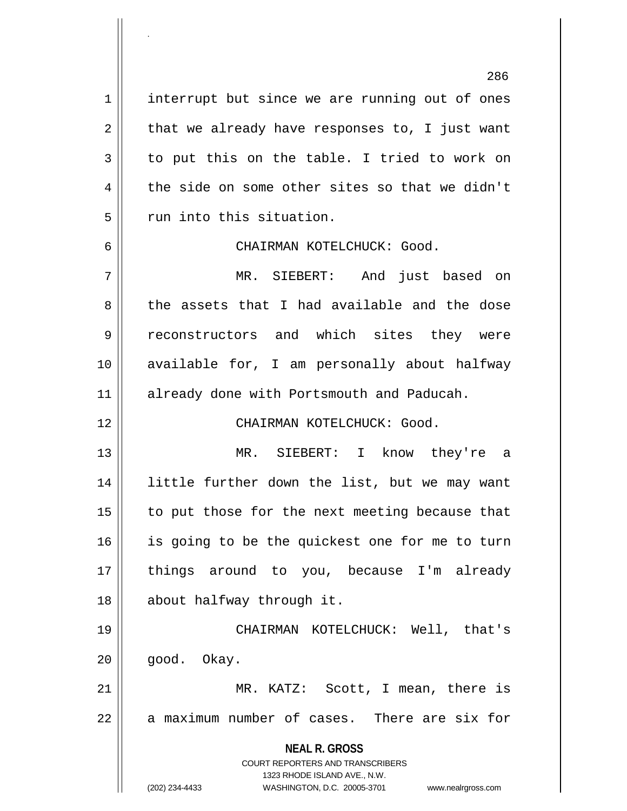1 interrupt but since we are running out of ones  $2 \parallel$  that we already have responses to, I just want  $3 \parallel$  to put this on the table. I tried to work on  $4 \parallel$  the side on some other sites so that we didn't  $5$   $\parallel$  run into this situation.

.

6 CHAIRMAN KOTELCHUCK: Good.

7 MR. SIEBERT: And just based on 8 the assets that I had available and the dose 9 || reconstructors and which sites they were 10 available for, I am personally about halfway 11 || already done with Portsmouth and Paducah.

12 CHAIRMAN KOTELCHUCK: Good.

 MR. SIEBERT: I know they're a little further down the list, but we may want to put those for the next meeting because that 16 || is going to be the quickest one for me to turn 17 || things around to you, because I'm already about halfway through it.

19 CHAIRMAN KOTELCHUCK: Well, that's  $20$  |  $qood.$  Okay.

21 || MR. KATZ: Scott, I mean, there is  $22 \parallel$  a maximum number of cases. There are six for

**NEAL R. GROSS**

COURT REPORTERS AND TRANSCRIBERS 1323 RHODE ISLAND AVE., N.W. (202) 234-4433 WASHINGTON, D.C. 20005-3701 www.nealrgross.com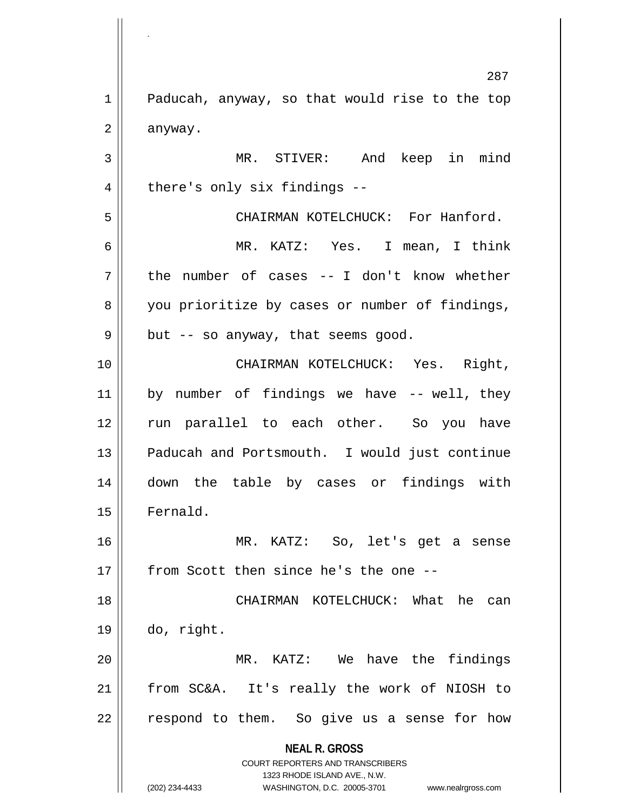**NEAL R. GROSS** COURT REPORTERS AND TRANSCRIBERS 1323 RHODE ISLAND AVE., N.W. 287 1 | Paducah, anyway, so that would rise to the top  $2 \parallel$  anyway. 3 MR. STIVER: And keep in mind 4 || there's only six findings --5 S N CHAIRMAN KOTELCHUCK: For Hanford. 6 MR. KATZ: Yes. I mean, I think  $7 \parallel$  the number of cases -- I don't know whether 8 you prioritize by cases or number of findings,  $9 \parallel$  but -- so anyway, that seems good. 10 CHAIRMAN KOTELCHUCK: Yes. Right,  $11$  by number of findings we have  $-$  well, they 12 || run parallel to each other. So you have 13 || Paducah and Portsmouth. I would just continue 14 down the table by cases or findings with 15 | Fernald. 16 MR. KATZ: So, let's get a sense  $17$   $\parallel$  from Scott then since he's the one --18 || CHAIRMAN KOTELCHUCK: What he can  $19 \parallel$  do, right. 20 MR. KATZ: We have the findings 21 from SC&A. It's really the work of NIOSH to  $22 \parallel$  respond to them. So give us a sense for how

.

(202) 234-4433 WASHINGTON, D.C. 20005-3701 www.nealrgross.com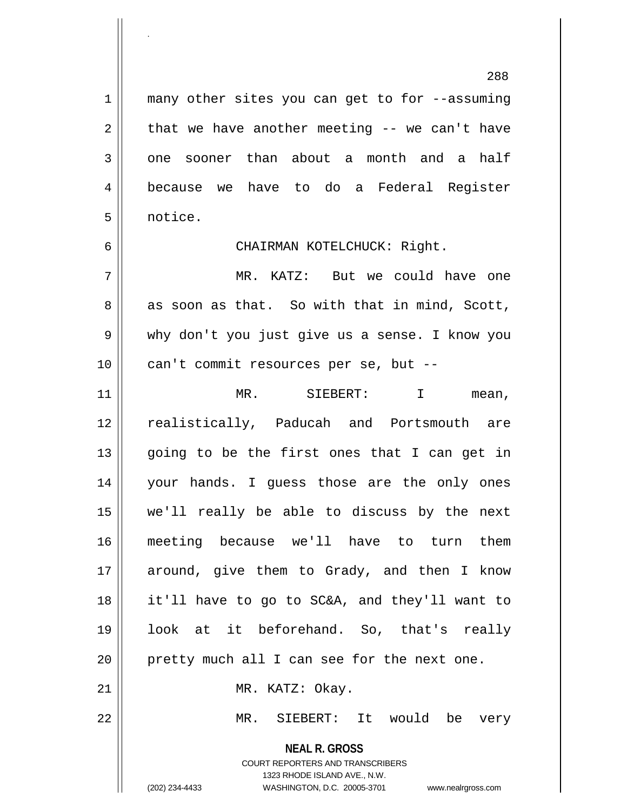1 || many other sites you can get to for --assuming  $2 \parallel$  that we have another meeting -- we can't have  $3 \parallel$  one sooner than about a month and a half 4 because we have to do a Federal Register 5 notice.

.

6 CHAIRMAN KOTELCHUCK: Right.

7 MR. KATZ: But we could have one  $8 \parallel$  as soon as that. So with that in mind, Scott, 9 why don't you just give us a sense. I know you 10 || can't commit resources per se, but --

 MR. SIEBERT: I mean, realistically, Paducah and Portsmouth are || going to be the first ones that I can get in your hands. I guess those are the only ones we'll really be able to discuss by the next meeting because we'll have to turn them 17 || around, give them to Grady, and then I know it'll have to go to SC&A, and they'll want to look at it beforehand. So, that's really pretty much all I can see for the next one. 21 || MR. KATZ: Okay. MR. SIEBERT: It would be very

> COURT REPORTERS AND TRANSCRIBERS 1323 RHODE ISLAND AVE., N.W. (202) 234-4433 WASHINGTON, D.C. 20005-3701 www.nealrgross.com

**NEAL R. GROSS**

288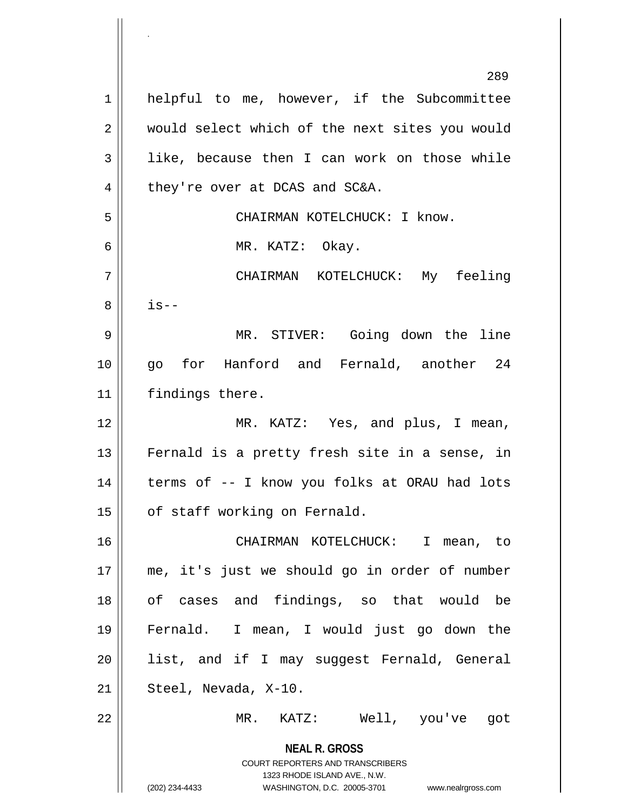**NEAL R. GROSS** COURT REPORTERS AND TRANSCRIBERS 1323 RHODE ISLAND AVE., N.W. (202) 234-4433 WASHINGTON, D.C. 20005-3701 www.nealrgross.com 289 1 | helpful to me, however, if the Subcommittee 2 || would select which of the next sites you would  $3 \parallel$  like, because then I can work on those while  $4$  | they're over at DCAS and SC&A. 5 || CHAIRMAN KOTELCHUCK: I know. 6 MR. KATZ: Okay. 7 CHAIRMAN KOTELCHUCK: My feeling  $8 \parallel$  is--9 MR. STIVER: Going down the line 10 go for Hanford and Fernald, another 24 11 | findings there. 12 MR. KATZ: Yes, and plus, I mean, 13 || Fernald is a pretty fresh site in a sense, in  $14$  | terms of  $-$  I know you folks at ORAU had lots  $15$  | of staff working on Fernald. 16 CHAIRMAN KOTELCHUCK: I mean, to 17 me, it's just we should go in order of number 18 || of cases and findings, so that would be 19 Fernald. I mean, I would just go down the 20 list, and if I may suggest Fernald, General  $21 \parallel$  Steel, Nevada, X-10. 22 MR. KATZ: Well, you've got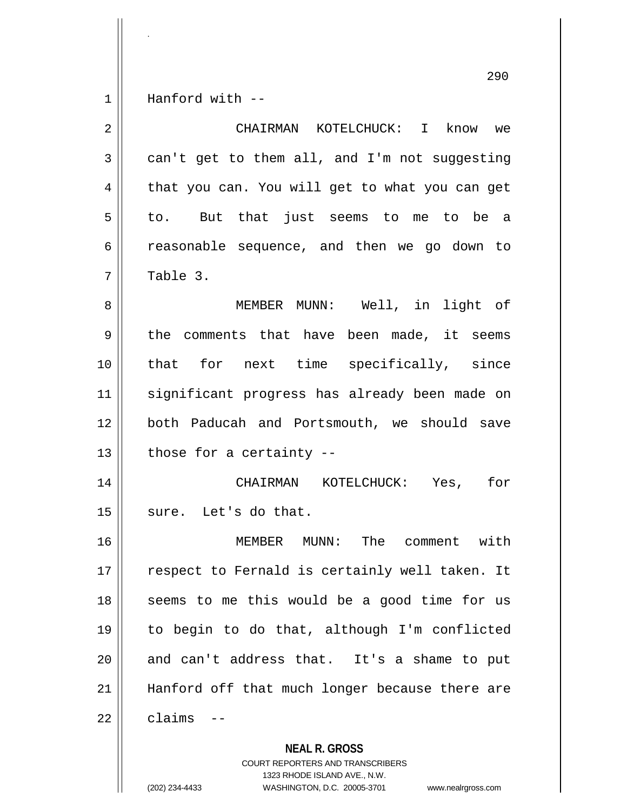$1 \parallel$  Hanford with --

.

| $\overline{2}$ | CHAIRMAN KOTELCHUCK: I<br>know we              |
|----------------|------------------------------------------------|
| 3              | can't get to them all, and I'm not suggesting  |
| 4              | that you can. You will get to what you can get |
| 5              | to. But that just seems to me to be a          |
| 6              | reasonable sequence, and then we go down to    |
| 7              | Table 3.                                       |
| 8              | MEMBER MUNN: Well, in light of                 |
| 9              | the comments that have been made, it seems     |
| 10             | that for next time specifically, since         |
| 11             | significant progress has already been made on  |
| 12             | both Paducah and Portsmouth, we should save    |
| 13             | those for a certainty --                       |
| 14             | CHAIRMAN KOTELCHUCK: Yes,<br>for               |
| 15             | sure. Let's do that.                           |
| 16             | MEMBER MUNN: The comment with                  |
| 17             | respect to Fernald is certainly well taken. It |
| 18             | seems to me this would be a good time for us   |
| 19             | to begin to do that, although I'm conflicted   |
| 20             | and can't address that. It's a shame to put    |
| 21             | Hanford off that much longer because there are |
| 22             | claims                                         |

**NEAL R. GROSS** COURT REPORTERS AND TRANSCRIBERS 1323 RHODE ISLAND AVE., N.W. (202) 234-4433 WASHINGTON, D.C. 20005-3701 www.nealrgross.com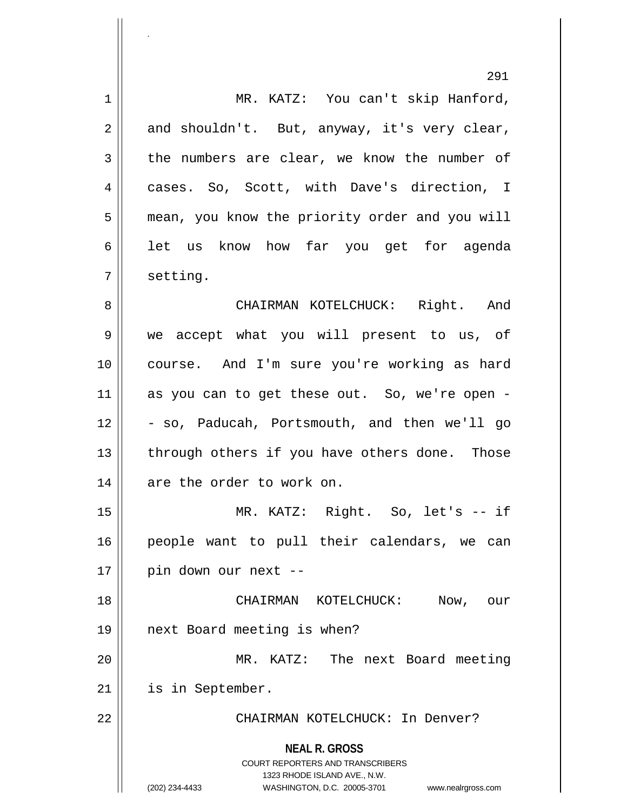|    | 291                                                                                                                                                                    |
|----|------------------------------------------------------------------------------------------------------------------------------------------------------------------------|
| 1  | MR. KATZ: You can't skip Hanford,                                                                                                                                      |
| 2  | and shouldn't. But, anyway, it's very clear,                                                                                                                           |
| 3  | the numbers are clear, we know the number of                                                                                                                           |
| 4  | cases. So, Scott, with Dave's direction, I                                                                                                                             |
| 5  | mean, you know the priority order and you will                                                                                                                         |
| 6  | let us know how far you get for agenda                                                                                                                                 |
| 7  | setting.                                                                                                                                                               |
| 8  | CHAIRMAN KOTELCHUCK: Right. And                                                                                                                                        |
| 9  | we accept what you will present to us, of                                                                                                                              |
| 10 | course. And I'm sure you're working as hard                                                                                                                            |
| 11 | as you can to get these out. So, we're open -                                                                                                                          |
| 12 | - so, Paducah, Portsmouth, and then we'll go                                                                                                                           |
| 13 | through others if you have others done. Those                                                                                                                          |
| 14 | are the order to work on.                                                                                                                                              |
| 15 | MR. KATZ: Right. So, let's -- if                                                                                                                                       |
| 16 | people want to pull their calendars, we can                                                                                                                            |
| 17 | pin down our next --                                                                                                                                                   |
| 18 | CHAIRMAN KOTELCHUCK:<br>Now,<br>our                                                                                                                                    |
| 19 | next Board meeting is when?                                                                                                                                            |
| 20 | MR. KATZ: The next Board meeting                                                                                                                                       |
| 21 | is in September.                                                                                                                                                       |
| 22 | CHAIRMAN KOTELCHUCK: In Denver?                                                                                                                                        |
|    | <b>NEAL R. GROSS</b><br><b>COURT REPORTERS AND TRANSCRIBERS</b><br>1323 RHODE ISLAND AVE., N.W.<br>(202) 234-4433<br>WASHINGTON, D.C. 20005-3701<br>www.nealrgross.com |

.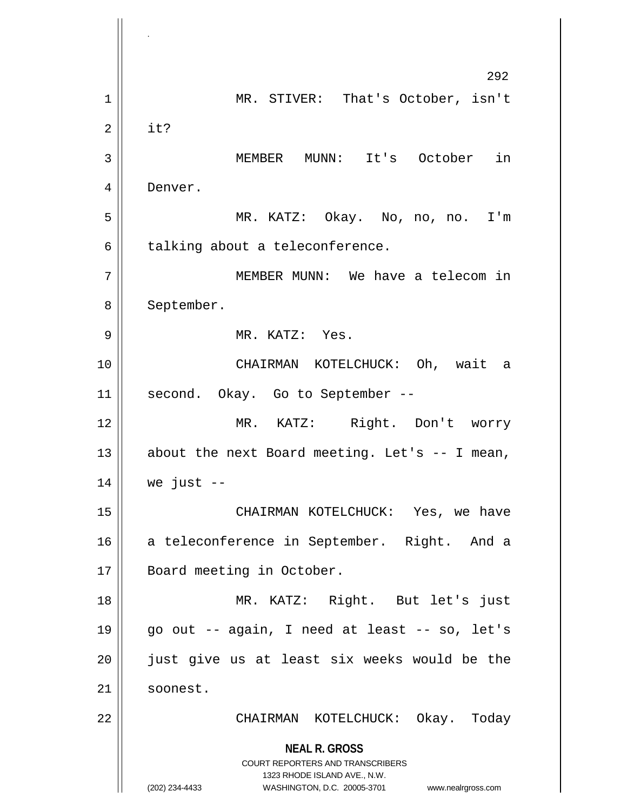**NEAL R. GROSS** COURT REPORTERS AND TRANSCRIBERS 1323 RHODE ISLAND AVE., N.W. (202) 234-4433 WASHINGTON, D.C. 20005-3701 www.nealrgross.com 292 1 || MR. STIVER: That's October, isn't  $2 \parallel$  it? 3 MEMBER MUNN: It's October in 4 Denver. 5 MR. KATZ: Okay. No, no, no. I'm  $6 \parallel$  talking about a teleconference. 7 MEMBER MUNN: We have a telecom in 8 | September. 9 MR. KATZ: Yes. 10 CHAIRMAN KOTELCHUCK: Oh, wait a 11 || second. Okay. Go to September --12 MR. KATZ: Right. Don't worry 13  $\parallel$  about the next Board meeting. Let's -- I mean,  $14$  | we just  $-$ 15 CHAIRMAN KOTELCHUCK: Yes, we have 16 a teleconference in September. Right. And a 17 || Board meeting in October. 18 MR. KATZ: Right. But let's just 19 || go out  $-$  again, I need at least  $-$  so, let's 20 || just give us at least six weeks would be the 21 | soonest. 22 CHAIRMAN KOTELCHUCK: Okay. Today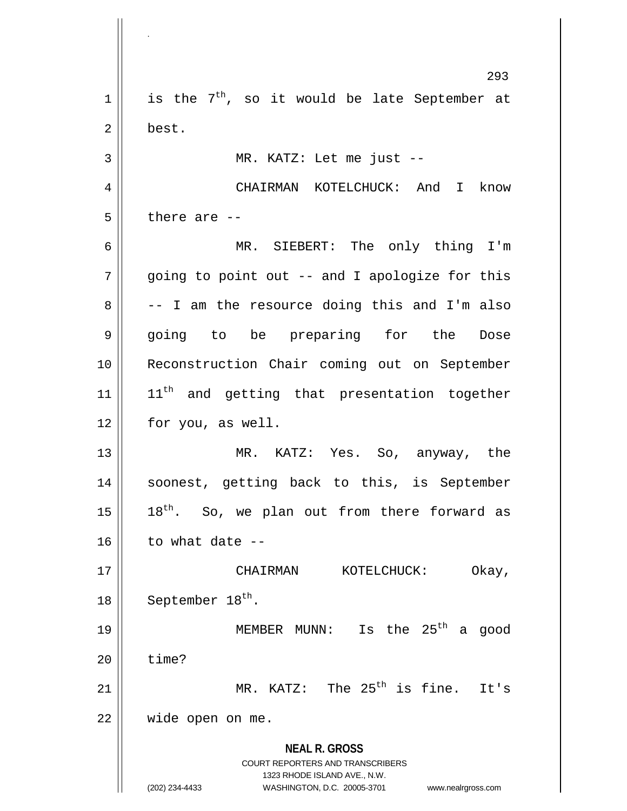**NEAL R. GROSS** COURT REPORTERS AND TRANSCRIBERS 1323 RHODE ISLAND AVE., N.W. (202) 234-4433 WASHINGTON, D.C. 20005-3701 www.nealrgross.com 293  $1 \parallel$  is the 7<sup>th</sup>, so it would be late September at 2 best. 3 MR. KATZ: Let me just -- 4 CHAIRMAN KOTELCHUCK: And I know  $5$  || there are  $-$ 6 MR. SIEBERT: The only thing I'm 7 || going to point out -- and I apologize for this  $8 \parallel$  -- I am the resource doing this and I'm also 9 || going to be preparing for the Dose 10 Reconstruction Chair coming out on September  $11$  ||  $11<sup>th</sup>$  and getting that presentation together 12 || for you, as well. 13 MR. KATZ: Yes. So, anyway, the 14 || soonest, getting back to this, is September 15  $\parallel$  18<sup>th</sup>. So, we plan out from there forward as  $16$  | to what date --17 CHAIRMAN KOTELCHUCK: Okay, 18  $\vert$  September 18<sup>th</sup>. 19  $\parallel$  MEMBER MUNN: Is the 25<sup>th</sup> a good  $20$  | time? 21  $\parallel$  MR. KATZ: The 25<sup>th</sup> is fine. It's 22 wide open on me.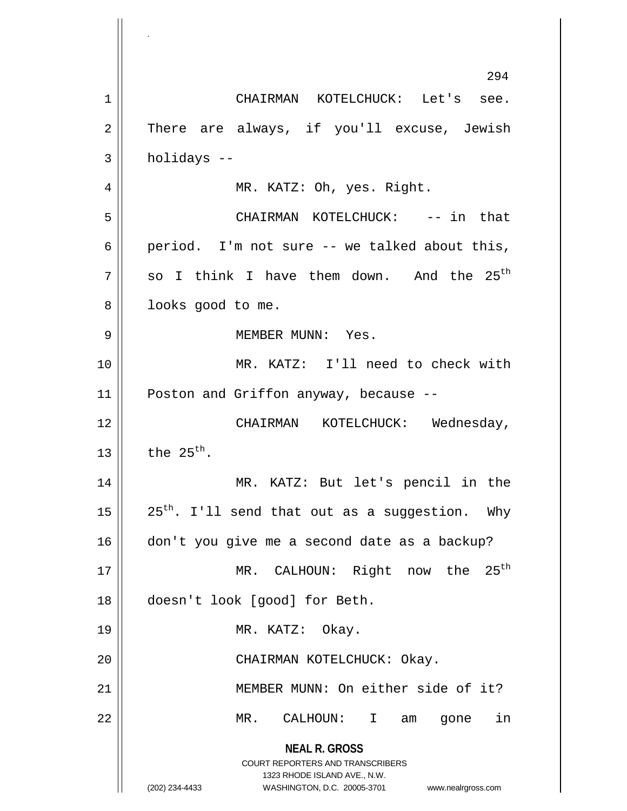**NEAL R. GROSS** COURT REPORTERS AND TRANSCRIBERS 1323 RHODE ISLAND AVE., N.W. (202) 234-4433 WASHINGTON, D.C. 20005-3701 www.nealrgross.com 294 1 CHAIRMAN KOTELCHUCK: Let's see. 2 There are always, if you'll excuse, Jewish  $3 \parallel$  holidays  $-$ 4 || MR. KATZ: Oh, yes. Right. 5 CHAIRMAN KOTELCHUCK: -- in that 6 | period. I'm not sure  $-$  we talked about this,  $7 \parallel$  so I think I have them down. And the 25<sup>th</sup> 8 || looks good to me. 9 MEMBER MUNN: Yes. 10 MR. KATZ: I'll need to check with 11 || Poston and Griffon anyway, because --12 CHAIRMAN KOTELCHUCK: Wednesday,  $13$  the  $25^{th}$ . 14 MR. KATZ: But let's pencil in the 15  $\parallel$  25<sup>th</sup>. I'll send that out as a suggestion. Why 16 don't you give me a second date as a backup? 17 || MR. CALHOUN: Right now the 25<sup>th</sup> 18 doesn't look [good] for Beth. 19 || MR. KATZ: Okay. 20 || CHAIRMAN KOTELCHUCK: Okay. 21 MEMBER MUNN: On either side of it? 22 MR. CALHOUN: I am gone in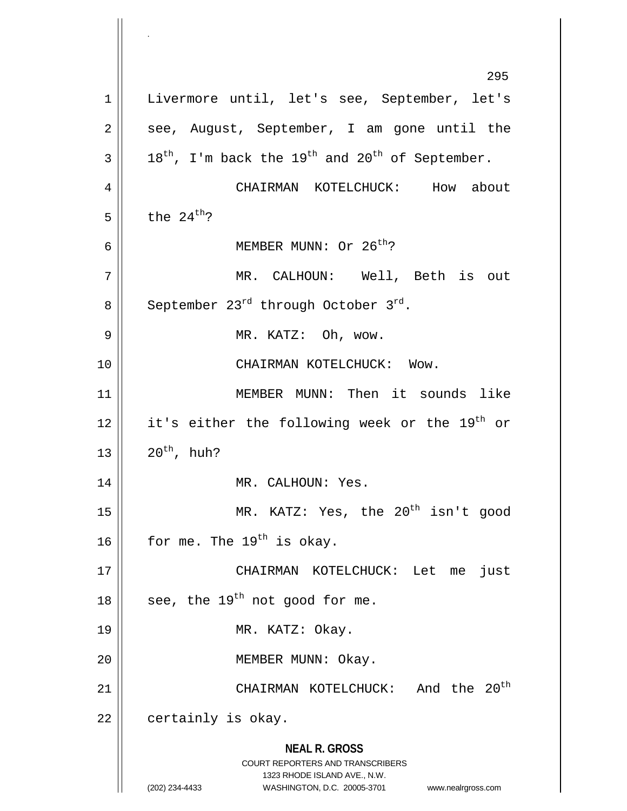**NEAL R. GROSS** COURT REPORTERS AND TRANSCRIBERS 1323 RHODE ISLAND AVE., N.W. (202) 234-4433 WASHINGTON, D.C. 20005-3701 www.nealrgross.com 295 1 || Livermore until, let's see, September, let's  $2 \parallel$  see, August, September, I am gone until the  $3 \parallel 18^{th}$ , I'm back the 19<sup>th</sup> and 20<sup>th</sup> of September. 4 | CHAIRMAN KOTELCHUCK: How about  $5 \parallel$  the 24<sup>th</sup>? 6  $\parallel$  MEMBER MUNN: Or 26<sup>th</sup>? 7 MR. CALHOUN: Well, Beth is out 8 September 23<sup>rd</sup> through October 3<sup>rd</sup>. 9 || MR. KATZ: Oh, wow. 10 || CHAIRMAN KOTELCHUCK: Wow. 11 MEMBER MUNN: Then it sounds like 12 || it's either the following week or the  $19^{th}$  or  $13$  |  $20^{th}$ , huh? 14 || MR. CALHOUN: Yes. 15 || MR. KATZ: Yes, the 20<sup>th</sup> isn't good 16  $\vert$  for me. The 19<sup>th</sup> is okay. 17 CHAIRMAN KOTELCHUCK: Let me just 18  $\parallel$  see, the 19<sup>th</sup> not good for me. 19 || MR. KATZ: Okay. 20 || MEMBER MUNN: Okay. CHAIRMAN KOTELCHUCK: And the 20th 21  $22$  | certainly is okay.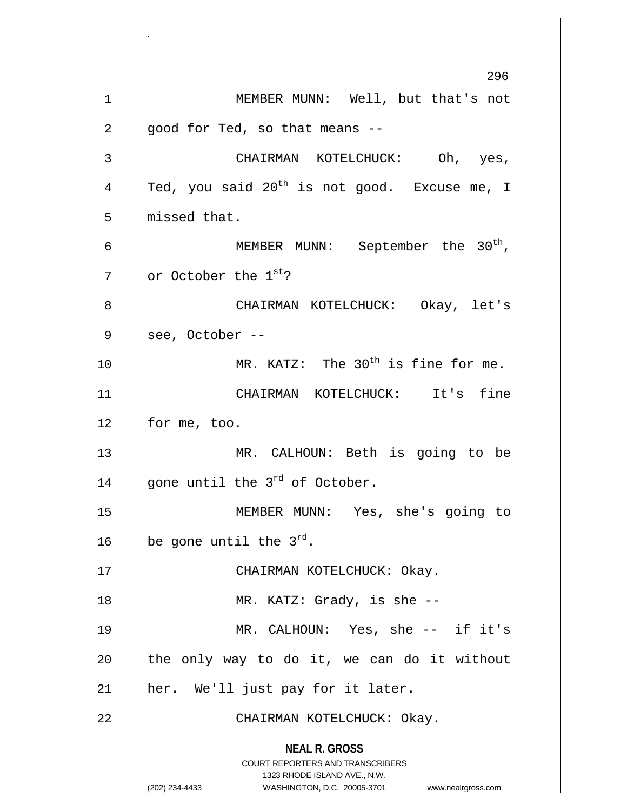**NEAL R. GROSS** COURT REPORTERS AND TRANSCRIBERS 1323 RHODE ISLAND AVE., N.W. (202) 234-4433 WASHINGTON, D.C. 20005-3701 www.nealrgross.com 296 1 || MEMBER MUNN: Well, but that's not  $2 \parallel$  good for Ted, so that means --3 CHAIRMAN KOTELCHUCK: Oh, yes, 4  $\parallel$  Ted, you said 20<sup>th</sup> is not good. Excuse me, I 5 | missed that. 6  $\parallel$  MEMBER MUNN: September the 30<sup>th</sup>,  $7 \parallel$  or October the  $1^{st}$ ? 8 CHAIRMAN KOTELCHUCK: Okay, let's  $9 \parallel$  see, October --10  $\parallel$  MR. KATZ: The 30<sup>th</sup> is fine for me. 11 CHAIRMAN KOTELCHUCK: It's fine 12 | for me, too. 13 || MR. CALHOUN: Beth is going to be 14  $\parallel$  gone until the 3<sup>rd</sup> of October. 15 MEMBER MUNN: Yes, she's going to 16  $\vert$  be gone until the 3<sup>rd</sup>. 17 || CHAIRMAN KOTELCHUCK: Okay. 18 || MR. KATZ: Grady, is she --19 MR. CALHOUN: Yes, she -- if it's  $20$  || the only way to do it, we can do it without 21 || her. We'll just pay for it later. 22 || CHAIRMAN KOTELCHUCK: Okay.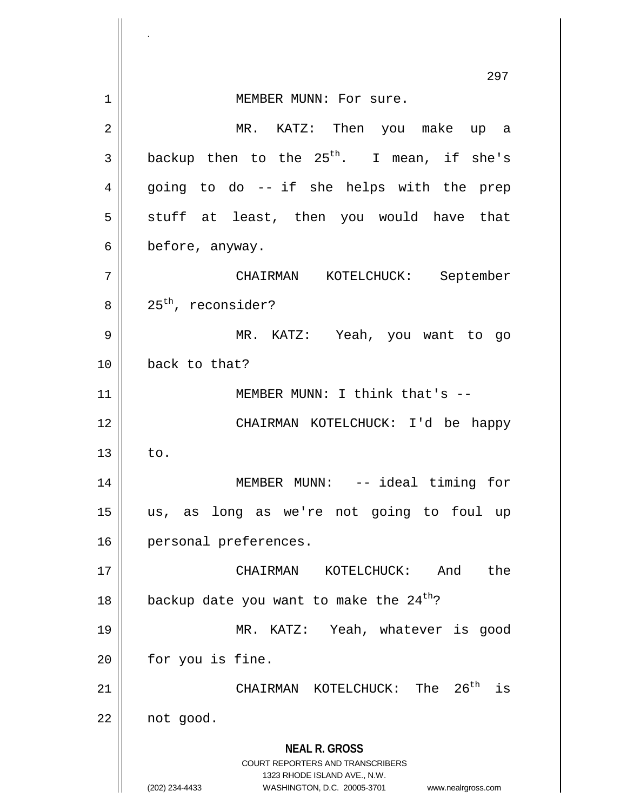**NEAL R. GROSS** COURT REPORTERS AND TRANSCRIBERS 1323 RHODE ISLAND AVE., N.W. (202) 234-4433 WASHINGTON, D.C. 20005-3701 www.nealrgross.com 297 1 || **MEMBER MUNN: For sure.** 2 MR. KATZ: Then you make up a  $3 \parallel$  backup then to the 25<sup>th</sup>. I mean, if she's 4 || going to do -- if she helps with the prep  $5 \parallel$  stuff at least, then you would have that  $6 \parallel$  before, anyway. 7 CHAIRMAN KOTELCHUCK: September  $8 \parallel 25^{\text{th}}$ , reconsider? 9 MR. KATZ: Yeah, you want to go 10 back to that? 11 || MEMBER MUNN: I think that's --12 CHAIRMAN KOTELCHUCK: I'd be happy  $13 \parallel$  to. 14 MEMBER MUNN: -- ideal timing for 15 us, as long as we're not going to foul up 16 | personal preferences. 17 CHAIRMAN KOTELCHUCK: And the 18  $\vert$  backup date you want to make the 24<sup>th</sup>? 19 MR. KATZ: Yeah, whatever is good  $20$  | for you is fine. CHAIRMAN KOTELCHUCK: The 26th 21 is  $22 \parallel$  not good.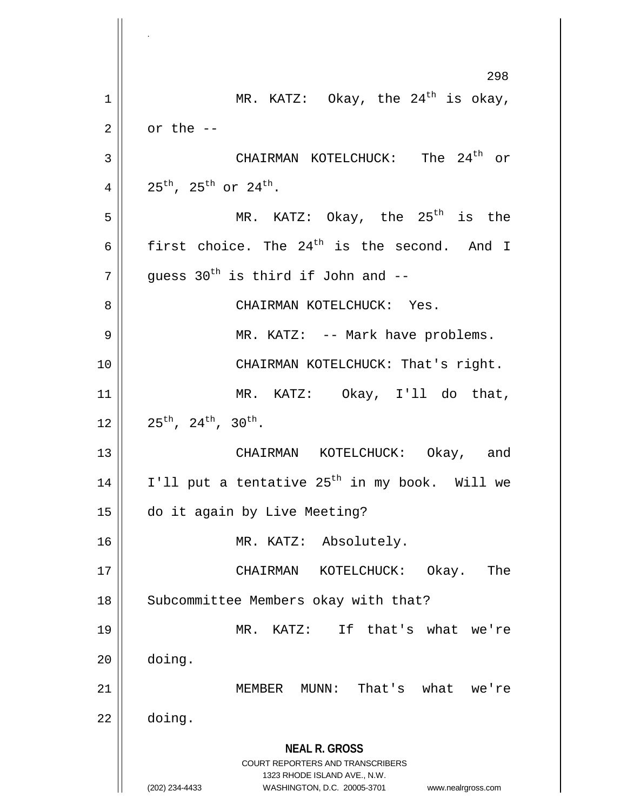**NEAL R. GROSS** COURT REPORTERS AND TRANSCRIBERS 1323 RHODE ISLAND AVE., N.W. (202) 234-4433 WASHINGTON, D.C. 20005-3701 www.nealrgross.com 298 1 || MR. KATZ: Okay, the  $24^{\text{th}}$  is okay,  $2 \parallel$  or the  $-$ CHAIRMAN KOTELCHUCK: The 24th 3 or 4 | 25<sup>th</sup>, 25<sup>th</sup> or 24<sup>th</sup>.  $5$  || MR. KATZ: Okay, the 25<sup>th</sup> is the 6 first choice. The 24<sup>th</sup> is the second. And I  $\|7\|$  guess 30<sup>th</sup> is third if John and --8 CHAIRMAN KOTELCHUCK: Yes. 9 MR. KATZ: -- Mark have problems. 10 || CHAIRMAN KOTELCHUCK: That's right. 11 MR. KATZ: Okay, I'll do that,  $12 \parallel 25^{\text{th}}$ ,  $24^{\text{th}}$ ,  $30^{\text{th}}$ . 13 CHAIRMAN KOTELCHUCK: Okay, and 14  $\parallel$  I'll put a tentative 25<sup>th</sup> in my book. Will we 15 do it again by Live Meeting? 16 MR. KATZ: Absolutely. 17 CHAIRMAN KOTELCHUCK: Okay. The 18 | Subcommittee Members okay with that? 19 MR. KATZ: If that's what we're 20 doing. 21 MEMBER MUNN: That's what we're  $22 \parallel$  doing.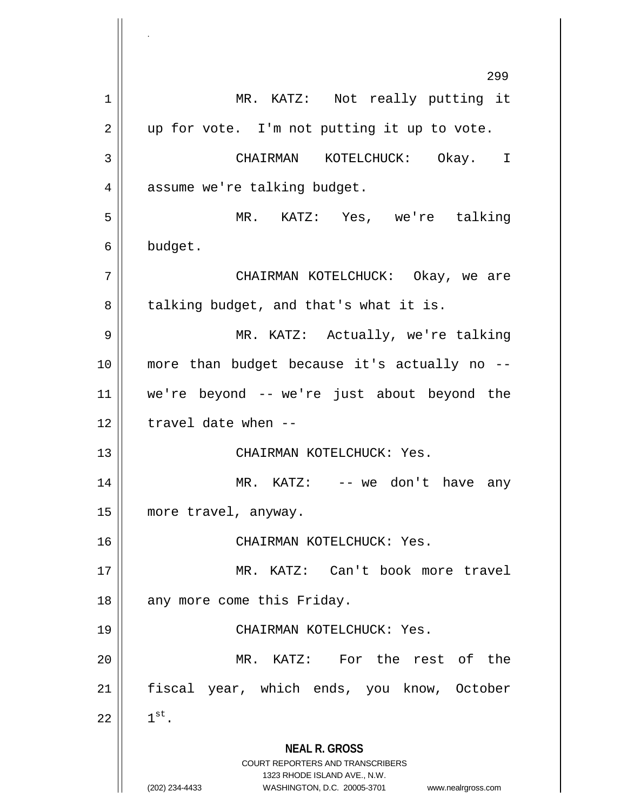**NEAL R. GROSS** COURT REPORTERS AND TRANSCRIBERS 1323 RHODE ISLAND AVE., N.W. (202) 234-4433 WASHINGTON, D.C. 20005-3701 www.nealrgross.com 299 1 || MR. KATZ: Not really putting it  $2 \parallel$  up for vote. I'm not putting it up to vote. 3 CHAIRMAN KOTELCHUCK: Okay. I 4 | assume we're talking budget. 5 MR. KATZ: Yes, we're talking 6 budget. 7 CHAIRMAN KOTELCHUCK: Okay, we are 8 || talking budget, and that's what it is. 9 MR. KATZ: Actually, we're talking 10 more than budget because it's actually no -- 11 we're beyond -- we're just about beyond the  $12$  || travel date when --13 CHAIRMAN KOTELCHUCK: Yes. 14 || MR. KATZ: -- we don't have any 15 more travel, anyway. 16 CHAIRMAN KOTELCHUCK: Yes. 17 MR. KATZ: Can't book more travel 18 || any more come this Friday. 19 CHAIRMAN KOTELCHUCK: Yes. 20 || MR. KATZ: For the rest of the 21 || fiscal year, which ends, you know, October  $22 \parallel 1^{st}$ .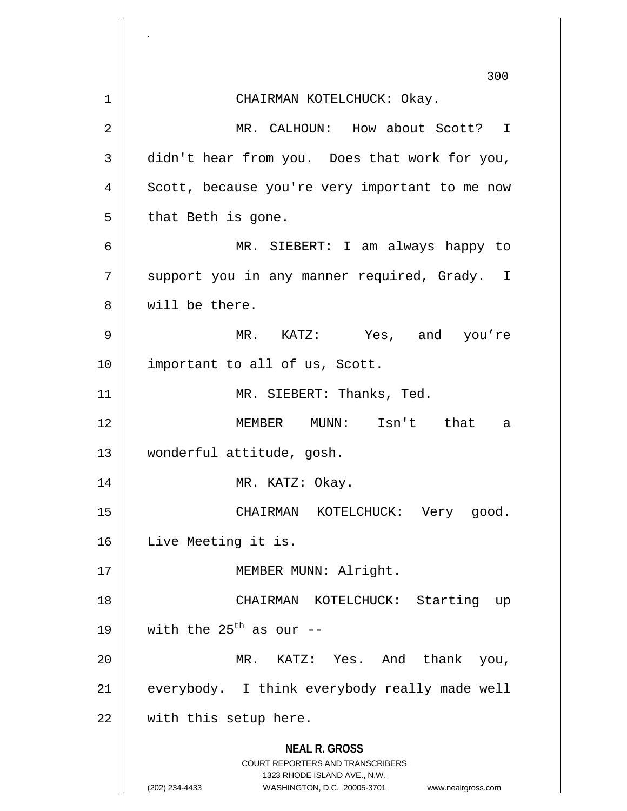|    | 300                                                                                                                                                                    |
|----|------------------------------------------------------------------------------------------------------------------------------------------------------------------------|
| 1  | CHAIRMAN KOTELCHUCK: Okay.                                                                                                                                             |
| 2  | MR. CALHOUN: How about Scott? I                                                                                                                                        |
| 3  | didn't hear from you. Does that work for you,                                                                                                                          |
| 4  | Scott, because you're very important to me now                                                                                                                         |
| 5  | that Beth is gone.                                                                                                                                                     |
| 6  | MR. SIEBERT: I am always happy to                                                                                                                                      |
| 7  | support you in any manner required, Grady. I                                                                                                                           |
| 8  | will be there.                                                                                                                                                         |
| 9  | MR. KATZ: Yes, and you're                                                                                                                                              |
| 10 | important to all of us, Scott.                                                                                                                                         |
| 11 | MR. SIEBERT: Thanks, Ted.                                                                                                                                              |
| 12 | MEMBER MUNN: Isn't that<br>a                                                                                                                                           |
| 13 | wonderful attitude, gosh.                                                                                                                                              |
| 14 | MR. KATZ: Okay.                                                                                                                                                        |
| 15 | CHAIRMAN KOTELCHUCK: Very good.                                                                                                                                        |
| 16 | Live Meeting it is.                                                                                                                                                    |
| 17 | MEMBER MUNN: Alright.                                                                                                                                                  |
| 18 | CHAIRMAN KOTELCHUCK: Starting up                                                                                                                                       |
| 19 | with the $25^{th}$ as our --                                                                                                                                           |
| 20 | MR. KATZ: Yes. And thank you,                                                                                                                                          |
| 21 | everybody. I think everybody really made well                                                                                                                          |
| 22 | with this setup here.                                                                                                                                                  |
|    | <b>NEAL R. GROSS</b><br><b>COURT REPORTERS AND TRANSCRIBERS</b><br>1323 RHODE ISLAND AVE., N.W.<br>(202) 234-4433<br>WASHINGTON, D.C. 20005-3701<br>www.nealrgross.com |